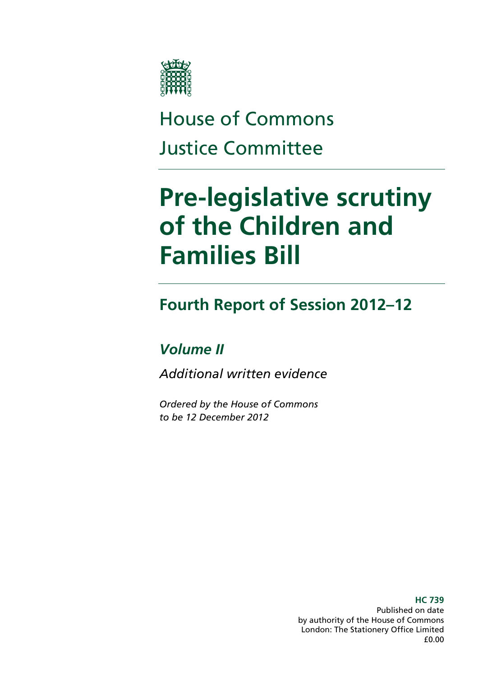

### House of Commons Justice Committee

### **Pre-legislative scrutiny of the Children and Families Bill**

### **Fourth Report of Session 2012–12**

### *Volume II*

*Additional written evidence* 

*Ordered by the House of Commons to be 12 December 2012* 

> **HC 739**  Published on date by authority of the House of Commons London: The Stationery Office Limited £0.00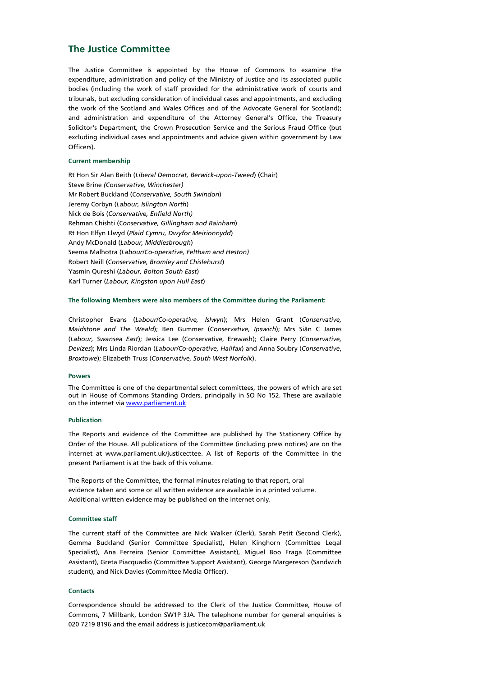### **The Justice Committee**

The Justice Committee is appointed by the House of Commons to examine the expenditure, administration and policy of the Ministry of Justice and its associated public bodies (including the work of staff provided for the administrative work of courts and tribunals, but excluding consideration of individual cases and appointments, and excluding the work of the Scotland and Wales Offices and of the Advocate General for Scotland); and administration and expenditure of the Attorney General's Office, the Treasury Solicitor's Department, the Crown Prosecution Service and the Serious Fraud Office (but excluding individual cases and appointments and advice given within government by Law Officers).

### **Current membership**

Rt Hon Sir Alan Beith (*Liberal Democrat, Berwick-upon-Tweed*) (Chair) Steve Brine *(Conservative, Winchester)* Mr Robert Buckland (*Conservative, South Swindon*) Jeremy Corbyn (*Labour, Islington North*) Nick de Bois (*Conservative, Enfield North)* Rehman Chishti (*Conservative, Gillingham and Rainham*) Rt Hon Elfyn Llwyd (*Plaid Cymru, Dwyfor Meirionnydd*) Andy McDonald (*Labour, Middlesbrough*) Seema Malhotra (*Labour/Co-operative, Feltham and Heston)* Robert Neill (*Conservative, Bromley and Chislehurst*) Yasmin Qureshi (*Labour, Bolton South East*) Karl Turner (*Labour, Kingston upon Hull East*)

### **The following Members were also members of the Committee during the Parliament:**

Christopher Evans (*Labour/Co-operative, Islwyn*); Mrs Helen Grant (*Conservative, Maidstone and The Weald*); Ben Gummer (*Conservative, Ipswich*); Mrs Siân C James (*Labour, Swansea East*); Jessica Lee (Conservative, Erewash); Claire Perry (*Conservative, Devizes*); Mrs Linda Riordan (*Labour/Co-operative, Halifax*) and Anna Soubry (*Conservative*, *Broxtowe*); Elizabeth Truss (*Conservative, South West Norfolk*).

### **Powers**

The Committee is one of the departmental select committees, the powers of which are set out in House of Commons Standing Orders, principally in SO No 152. These are available on the internet via www.parliament.uk

### **Publication**

The Reports and evidence of the Committee are published by The Stationery Office by Order of the House. All publications of the Committee (including press notices) are on the internet at www.parliament.uk/justicecttee. A list of Reports of the Committee in the present Parliament is at the back of this volume.

The Reports of the Committee, the formal minutes relating to that report, oral evidence taken and some or all written evidence are available in a printed volume. Additional written evidence may be published on the internet only.

### **Committee staff**

The current staff of the Committee are Nick Walker (Clerk), Sarah Petit (Second Clerk), Gemma Buckland (Senior Committee Specialist), Helen Kinghorn (Committee Legal Specialist), Ana Ferreira (Senior Committee Assistant), Miguel Boo Fraga (Committee Assistant), Greta Piacquadio (Committee Support Assistant), George Margereson (Sandwich student), and Nick Davies (Committee Media Officer).

### **Contacts**

Correspondence should be addressed to the Clerk of the Justice Committee, House of Commons, 7 Millbank, London SW1P 3JA. The telephone number for general enquiries is 020 7219 8196 and the email address is justicecom@parliament.uk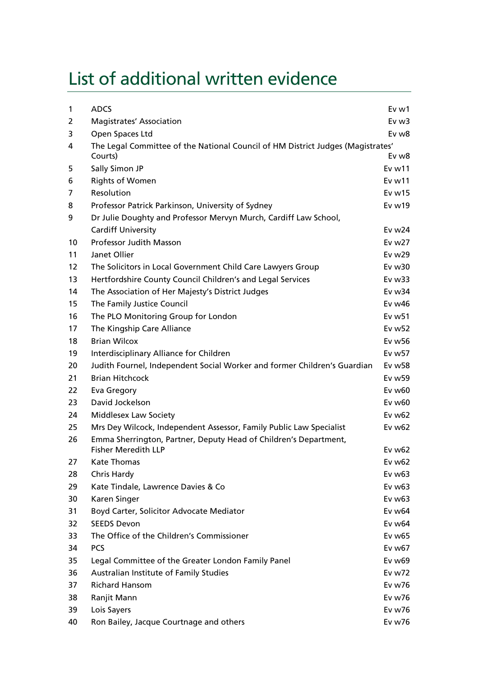### List of additional written evidence

| 1  | <b>ADCS</b>                                                                     | Ev w1              |
|----|---------------------------------------------------------------------------------|--------------------|
| 2  | <b>Magistrates' Association</b>                                                 | $Ev$ w $3$         |
| 3  | Open Spaces Ltd                                                                 | Ev w <sub>8</sub>  |
| 4  | The Legal Committee of the National Council of HM District Judges (Magistrates' |                    |
|    | Courts)                                                                         | Ev w <sub>8</sub>  |
| 5  | Sally Simon JP                                                                  | Ev <sub>w11</sub>  |
| 6  | <b>Rights of Women</b>                                                          | Ev <sub>w11</sub>  |
| 7  | Resolution                                                                      | Ev $w15$           |
| 8  | Professor Patrick Parkinson, University of Sydney                               | Evw19              |
| 9  | Dr Julie Doughty and Professor Mervyn Murch, Cardiff Law School,                |                    |
|    | <b>Cardiff University</b>                                                       | Ev $w24$           |
| 10 | <b>Professor Judith Masson</b>                                                  | Ev w27             |
| 11 | Janet Ollier                                                                    | Ev w29             |
| 12 | The Solicitors in Local Government Child Care Lawyers Group                     | Ev $w30$           |
| 13 | Hertfordshire County Council Children's and Legal Services                      | $Ev$ w $33$        |
| 14 | The Association of Her Majesty's District Judges                                | Ev $w34$           |
| 15 | The Family Justice Council                                                      | Ev $w46$           |
| 16 | The PLO Monitoring Group for London                                             | Ev w <sub>51</sub> |
| 17 | The Kingship Care Alliance                                                      | Ev w <sub>52</sub> |
| 18 | <b>Brian Wilcox</b>                                                             | Ev w56             |
| 19 | Interdisciplinary Alliance for Children                                         | Ev w57             |
| 20 | Judith Fournel, Independent Social Worker and former Children's Guardian        | Ev w <sub>58</sub> |
| 21 | <b>Brian Hitchcock</b>                                                          | Ev w59             |
| 22 | Eva Gregory                                                                     | Ev w60             |
| 23 | David Jockelson                                                                 | Ev w60             |
| 24 | <b>Middlesex Law Society</b>                                                    | Ev $w62$           |
| 25 | Mrs Dey Wilcock, Independent Assessor, Family Public Law Specialist             | $Ev$ w $62$        |
| 26 | Emma Sherrington, Partner, Deputy Head of Children's Department,                |                    |
|    | <b>Fisher Meredith LLP</b>                                                      | Ev w62             |
| 27 | <b>Kate Thomas</b>                                                              | Ev w62             |
| 28 | Chris Hardy                                                                     | Ev w63             |
| 29 | Kate Tindale, Lawrence Davies & Co                                              | Ev w63             |
| 30 | Karen Singer                                                                    | Ev $w63$           |
| 31 | Boyd Carter, Solicitor Advocate Mediator                                        | Ev w64             |
| 32 | <b>SEEDS Devon</b>                                                              | Ev w64             |
| 33 | The Office of the Children's Commissioner                                       | Ev w65             |
| 34 | <b>PCS</b>                                                                      | Ev w67             |
| 35 | Legal Committee of the Greater London Family Panel                              | Ev w69             |
| 36 | Australian Institute of Family Studies                                          | Ev w72             |
| 37 | <b>Richard Hansom</b>                                                           | Ev w76             |
| 38 | Ranjit Mann                                                                     | Ev w76             |
| 39 | Lois Sayers                                                                     | Ev w76             |
| 40 | Ron Bailey, Jacque Courtnage and others                                         | Ev w76             |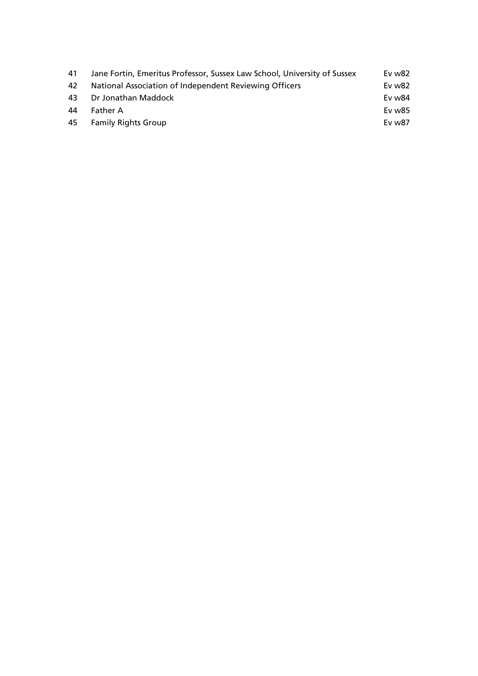| 41 | Jane Fortin, Emeritus Professor, Sussex Law School, University of Sussex | Ev w82 |
|----|--------------------------------------------------------------------------|--------|
| 42 | National Association of Independent Reviewing Officers                   | Ev w82 |
| 43 | Dr Jonathan Maddock                                                      | Ev w84 |
| 44 | <b>Father A</b>                                                          | Ev w85 |
|    | 45 Family Rights Group                                                   | Ev w87 |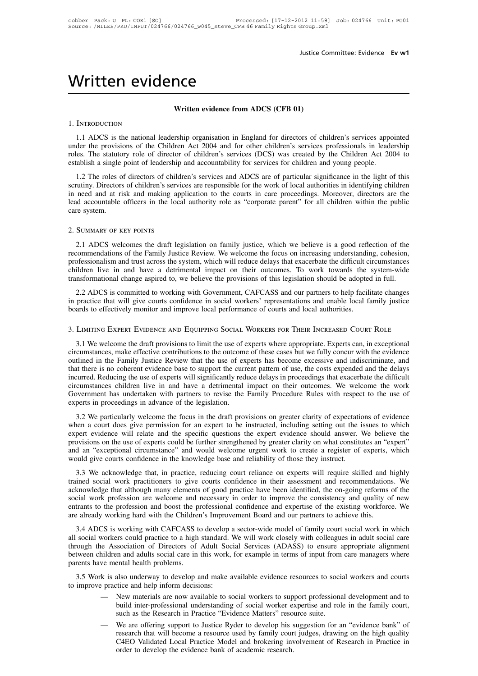# Written evidence<br>Written evidence from ADCS (

# Figure CONDINETRY THE MANUS CONDITIONS (CFB 01)

### 1. Introduction

VITILICTI CVIUCTICE<br>
Written evidence from ADCS (CFB 01)<br>
1.1 ADCS is the national leadership organisation in England for directors of children's services appointed<br>
der the provisions of the Children Act 2004 and for othe Written evidence from ADCS (CFB 01)<br>1. INTRODUCTION<br>1.1 ADCS is the national leadership organisation in England for directors of children's services appointed<br>under the provisions of the Children Act 2004 and for other chi **Example 12 CHE STATE STATE STATE OF STATE STATE STATE STATE STATE STATE STATE STATE STATE STATE STATE STATE STATE STATE STATE STATE STATE STATE STATE OF A STATE OF A STATE OF A STATE OF A STATE OF A STATE OF A STATE OF A Example 1.** INTRODUCTION<br>
1.1 ADCS is the national leadership organisation in England for directors of children's services appointed<br>
1.1 ADCS is the national leadership organisation in England for directors of children's INTRODUCTION<br>1.1 ADCS is the national leadership organisation in England for directors of children's services appointed<br>der the provisions of the Children Act 2004 and for other children's services professionals in leaders

1.1 ADCS is the national leadership organisation in England for directors of children's services appointed under the provisions of the Children Act 2004 and for other children's services professionals in leadership roles. In ADCS is the lational readership organisation in England for directors of emitients services appointed under the provisions of the Children Act 2004 and for other children's services professionals in leadership roles. Th lead accountable officers in the local authority role as "corporate parent" for all children Act 2004 to establish a single point of leadership and accountability for services for children and young people.<br>1.2 The roles o care stablish a single point of leadership and stablish a single point of leadership is<br>1.2 The roles of directors of children's service<br>in need and at risk and making app<br>lead accountable officers in the local<br>care system The detection of the courts in care proceedings. Moreover, directors are the detection of finest and making application to the courts in care proceedings. Moreover, directors are the detection of fines exprem.<br>
SUMMARY OF

Frequence are system.<br>
2. SUMMARY OF KEY POINTS<br>
2.1 ADCS welcomes the draft legislation on family justice, which we believe is a good reflection of the<br>
recommendations of the Family Justice Review. We welcome the focus o extern.<br>
2. SUMMARY OF KEY POINTS<br>
2.1 ADCS welcomes the draft legislation on family justice, which we believe is a good reflection of the<br>
recommendations of the Family Justice Review. We welcome the focus on increasing u 2. SUMMARY OF KEY POINTS<br>2.1 ADCS welcomes the draft legislation on family justice, which we believe is a good reflection of the<br>recommendations of the Family Justice Review. We welcome the focus on increasing understandin 2. SUMMARY OF KEY POINTS<br>2.1 ADCS welcomes the draft legislation on family justice, which we believe is a good reflection of the<br>recommendations of the Family Justice Review. We welcome the focus on increasing understandin 2.1 ADCS welcomes the draft legislation on family justice, which we believe is a good reflection of the commendations of the Family Justice Review. We welcome the focus on increasing understanding, cohesion, ofessionalism 2.1 ADCs welcomes the dial registration on family justice, which we believe is a good fencetion of the recommendations of the Family Justice Review. We welcome the focus on increasing understanding, cohesion, professionali boards to effectively monitor and improve local performance of courts and the difficult circumstances children live in and have a detrimental impact on their outcomes. To work towards the system-wide transformational chang

2.2 ADCS is committed to working with Government, CAFCASS and our partners to help facilitate changes practice that will give courts confidence in social workers' representations and enable local family justice ards to eff

in practice that will give courts confidence in social workers' representations and enable local family justice<br>boards to effectively monitor and improve local performance of courts and local authorities.<br>3. LIMITING EXPER boards to effectively monitor and improve local performance of courts and local authorities.<br>
3. LIMITING EXPERT EVIDENCE AND EQUIPPING SOCIAL WORKERS FOR THEIR INCREASED COURT ROLE<br>
3.1 We welcome the draft provisions to 3. LIMITING EXPERT EVIDENCE AND EQUIPPING SOCIAL WORKERS FOR THEIR INCREASED COURT ROLE<br>3.1 We welcome the draft provisions to limit the use of experts where appropriate. Experts can, in exceptional<br>circumstances, make eff 3. LIMITING EXPERT EVIDENCE AND EQUIPPING SOCIAL WORKERS FOR THEIR INCREASED COURT ROLE<br>3.1 We welcome the draft provisions to limit the use of experts where appropriate. Experts can, in exceptional<br>circumstances, make eff 3.1 We welcome the draft provisions to limit the use of experts where appropriate. Experts can, in exceptional circumstances, make effective contributions to the outcome of these cases but we fully concur with the evidence 3.1 We welcome the draft provisions to limit the use of experts where appropriate. Experts can, in exceptional circumstances, make effective contributions to the outcome of these cases but we fully concur with the evidence 3.1 We welcome the draft provisions to limit the use of experts where appropriate. Experts can, in exceptional circumstances, make effective contributions to the outcome of these cases but we fully concur with the evidence The time is also the focus in the focus in the draft provisions of experience the follows curred. Reducing the use of experts will significantly reduce delays in proceedings that exacerbate the difficult cumstances childre

expert evidence will relate and the specific questions the expert evidence should answer. We believe the provisions on the use of experts could be further strengthened by greater clarity on what constitutes an "expert" expert evidence will relate and the specific questions the specific questions. We welcome the work Government has undertaken with partners to revise the Family Procedure Rules with respect to the use of experts in proceedi provisions on the use of experts on the use of the legislation.<br>
3.2 We particularly welcome the focus in the draft provisions on greater clarity of expectations of evidence<br>
when a court does give permission for an expert Expect to the last undertated with parties to revise the rainity riocedure redist with respect to the use of expectations in proceedings in advance of the legislation.<br>
3.2 We particularly welcome the focus in the draft pr 3.2 We particularly welcome the focus in the draft provisions on greater clarity of expectatio when a court does give permission for an expert to be instructed, including setting out the inserpret evidence will relate and 3.2 We particularly wereome the rocus in the unart provisions on greater etailty or expectations or evidence<br>hen a court does give permission for an expert to be instructed, including setting out the issues to which<br>pert e when a court does give perimssion for an expert to be instructed, including setting out the issues to which expert evidence will relate and the specific questions the expert evidence should answer. We believe the provision

Expert evidence win relate and the specific questions the expert evidence should answel. We believe the<br>provisions on the use of experts could be further strengthened by greater clarity on what constitutes an "expert"<br>and social work profession are welcome and welcome urgent work to create a register of experts, which would give courts confidence in the knowledge base and reliability of those they instruct.<br>3.3 We acknowledge that, in pract and an exceptional chedulisatice and would welcome ligent work to cleate a register of experts, which would give courts confidence in the knowledge base and reliability of those they instruct.<br>3.3 We acknowledge that, in p are already working hard with the Children's to develop a sector-wide model of family court social work practitioners to give courts confidence in their assessment and recommendation acknowledge that although many elements 3.3 We acknowledge that, in plactice, retateing court relation to experts with require skince and ingitity inded social work practitioners to give courts confidence in their assessment and recommendations. We knowledge tha all social work placinolies to give collis collidered in their assessment and recommendations. We<br>acknowledge that although many elements of good practice have been identified, the on-going reforms of the<br>social work profe

Example the Association are welcome and necessary in order to improve the consistency and quality of new entrants to the profession and boost the professional confidence and expertise of the existing workforce. We are alre between children and adults social care in this work, for example in terms of input from care managers where a<br>are already working hard with the Children's Improvement Board and our partners to achieve this.<br>3.4 ADCS is wo entiants to the procession and boost the phare<br>are already working hard with the Childrer<br>3.4 ADCS is working with CAFCASS to<br>all social workers could practice to a high<br>through the Association of Directors of<br>between chil 3.4 ADCS is working with CAFCASS to develop a sector-wide model of family court social work in which<br>social workers could practice to a high standard. We will work closely with colleagues in adult social care<br>rough the Ass The state of the minit of the control of the state when the minit of the minit of the distant were interested through the Association of Directors of Adult Social Services (ADASS) to ensure appropriate alignment between ch

- In and adults social care in this work, for example in terms of input from care managers where<br>
ental health problems.<br>
Also underway to develop and make available evidence resources to social workers and courts<br>
tice and
- Such as the Research in Practice and help inform decisions:<br>
Such a the Puractice and help inform decisions:<br>
The Matters are now available to social workers to support professional development and to<br>
build inter-professi research that will become a resource issue is social workers and courts<br>tice and help inform decisions:<br>New materials are now available to social workers to support professional development and to<br>build inter-professional New materials are now available to social workers to support professional development and to build inter-professional understanding of social worker expertise and role in the family court, such as the Research in Practice New materials are now available to social workers to support professional development and to build inter-professional understanding of social worker expertise and role in the family court, such as the Research in Practice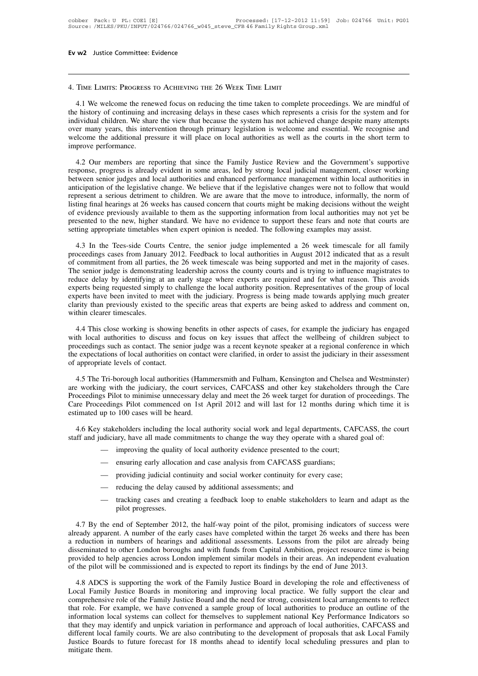# 4. Time Limits: Progress to Achieving the <sup>26</sup> Week Time Limit

4. TIME LIMITS: PROGRESS TO ACHIEVING THE 26 WEEK TIME LIMIT<br>4.1 We welcome the renewed focus on reducing the time taken to complete proceedings. We are mindful of<br>the history of continuing and increasing delays in these c THAT A. TIME LIMITS: PROGRESS TO ACHIEVING THE 26 WEEK TIME LIMIT<br>4.1 We welcome the renewed focus on reducing the time taken to complete proceedings. We are mindful of<br>the history of continuing and increasing delays in th 4. TIME LIMITS: PROGRESS TO ACHIEVING THE 26 WEEK TIME LIMIT<br>4.1 We welcome the renewed focus on reducing the time taken to complete proceedings. We are mindful of<br>the history of continuing and increasing delays in these c 4. TIME LIMITS: PROGRESS TO ACHIEVING THE 26 WEEK TIME LIMIT<br>4.1 We welcome the renewed focus on reducing the time taken to complete proceedings. We are mindful of<br>the history of continuing and increasing delays in these c 4. TIME LIMITS: PROGRESS TO ACHIEVING THE 26 WEEK TIME LIMIT<br>4.1 We welcome the renewed focus on reducing the time taken to complete proceedings. We are mindful of<br>the history of continuing and increasing delays in these c 4.1 We welcome the rene<br>the history of continuing an<br>individual children. We shan<br>over many years, this inter<br>welcome the additional pre<br>improve performance.<br>4.2 Our members are re Expectively of continuing and increasing delays in these cases which represents a crisis for the system and for dividual children. We share the view that because the system has not achieved change despite many attempts er individual children. We share the view that because the system has not achieved change despite many attempts<br>over many years, this intervention through primary legislation is welcome and essential. We recognise and<br>welcome

over many years, this intervention through primary legislation is welcome and essential. We recognise and welcome the additional pressure it will place on local authorities as well as the courts in the short term to improv welcome the additional pressure it will place on local authorities as well as the courts in the short term to<br>improve performance.<br>4.2 Our members are reporting that since the Family Justice Review and the Government's sup improve performance.<br>4.2 Our members are reporting that since the Family Justice Review and the Government's supportive<br>response, progress is already evident in some areas, led by strong local judicial management, closer w <sup>1</sup><br>4.2 Our members are reporting that since the Family Justice Review and the Government's supportive<br>response, progress is already evident in some areas, led by strong local judicial management, closer working<br>between se 4.2 Our members are reporting that since the Family Justice Review and the Government's supportive response, progress is already evident in some areas, led by strong local judicial management, closer working between senior response, progress is already evident in some areas, led by strong local judicial management, closer working between senior judges and local authorities and enhanced performance management within local authorities in antic between senior judges and local authorities and enhanced performance management within local author anticipation of the legislative change. We believe that if the legislative changes were not to follow that represent a ser beyond a serious detriment to children. We are aware that the move to introduce, informally, the norm of ting final hearings at 26 weeks has caused concern that courts might be making decisions without the weight evidence listing final hearings at 26 weeks has caused concern that courts might be making decisions without the weight<br>of evidence previously available to them as the supporting information from local authorities may not yet be<br>pr

of evidence previously available to them as the supporting information from local authorities may not yet be<br>presented to the new, higher standard. We have no evidence to support these fears and note that courts are<br>settin presented to the new, higher standard. We have no evidence to support these fears and note that courts are setting appropriate timetables when expert opinion is needed. The following examples may assist.<br>4.3 In the Tees-si retting appropriate timetables when expert opinion is needed. The following examples may assist.<br>4.3 In the Tees-side Courts Centre, the senior judge implemented a 26 week timescale for all family<br>proceedings cases from Ja 2.11 The Tees-side Courts Centre, the senior judge implemented a 26 week timescale for all family proceedings cases from January 2012. Feedback to local authorities in August 2012 indicated that as a result of commitment f 4.3 In the Tees-side Courts Centre, the senior judge implemented a 26 week timescale for all family proceedings cases from January 2012. Feedback to local authorities in August 2012 indicated that as a result of commitment proceedings cases from January 2012. Feedback to local authorities in August 2012 indicated that as a result of commitment from all parties, the 26 week timescale was being supported and met in the majority of cases. The s of commitment from all parties, the 26 week timescale was being supported and met in the majority of cases.<br>The senior judge is demonstrating leadership across the county courts and is trying to influence magistrates to<br>re duce delay by identifying at an early stage where experts are required and for what reason. This avoids perts being requested simply to challenge the local authority position. Representatives of the group of local perts ha experts being requested simply to challenge the local authority position. Representatives of the group of local<br>experts have been invited to meet with the judiciary. Progress is being made towards applying much greater<br>cla

experts have been invited to meet with the judiciary. Progress is being made towards applying much greater clarity than previously existed to the specific areas that experts are being asked to address and comment on, withi clarity than previously existed to the specific areas that experts are being asked to address and comment on, within clearer timescales.<br>
4.4 This close working is showing benefits in other aspects of cases, for example th within clearer timescales.<br>4.4 This close working is showing<br>with local authorities to discuss and<br>proceedings such as contact. The seni<br>the expectations of local authorities of<br>of appropriate levels of contact.<br>4.5 The Tr 4.4 This close working is showing benefits in other aspects of cases, for example the judiciary has engaged<br>th local authorities to discuss and focus on key issues that affect the wellbeing of children subject to<br>oceedings with local authorities to discuss and focus on key issues that affect the wellbeing of children subject to<br>proceedings such as contact. The senior judge was a recent keynote speaker at a regional conference in which<br>the ex

proceedings such as contact. The senior judge was a recent keynote speaker at a regional conference in which<br>the expectations of local authorities on contact were clarified, in order to assist the judiciary in their assess The expectations of local authorities on contact were clarified, in order to assist the judiciary in their assessment<br>of appropriate levels of contact.<br>4.5 The Tri-borough local authorities (Hammersmith and Fulham, Kensing of appropriate levels of contact.<br>4.5 The Tri-borough local authorities (Haminare working with the judiciary, the court ser<br>Proceedings Pilot to minimise unnecessary del<br>Care Proceedings Pilot commenced on 1st A<br>estimated 4.5 The Tri-borough local authorities (Hammersmith and Fulham, Kensington and Chelsea and Westminster)<br>
Evorking with the judiciary, the court services, CAFCASS and other key stakeholders through the Care<br>
occedings Pilot are working with the judiciary, the court services, CAFCASS and other key stakeholders through the Care<br>Proceedings Pilot to minimise unnecessary delay and meet the 26 week target for duration of proceedings. The<br>Care Proc

- 
- 
- 
- 
- improving the quality of local authority evidence presented to the court;<br>
 ensuring early allocation and case analysis from CAFCASS guardians;<br>
 providing judicial continuity and social worker continuity for every cas

— providing judicial continuity and social worker continuity for every case;<br>
— reducing the delay caused by additional assessments; and<br>
— tracking cases and creating a feedback loop to enable stakeholders to learn and ad all a tracking cases and creating a feedback loop to enable stakeholders to learn and adapt as the pilot progresses.<br>
4.7 By the end of September 2012, the half-way point of the pilot, promising indicators of success were - reducing the delay caused by additional assessments; and<br>- tracking cases and creating a feedback loop to enable stakeholders to learn and adapt as the<br>pilot progresses.<br>4.7 By the end of September 2012, the half-way poi - tracking cases and creating a feedback loop to enable stakeholders to learn and adapt as the pilot progresses.<br>4.7 By the end of September 2012, the half-way point of the pilot, promising indicators of success were alrea provided to help agencies across London implement similar models in their areas. An independent evaluation in numbers of hearings and additional assessments. Lessons from the pilot are already being disseminated to other L 4.7 By the end of September 2012, the half-way point of the pilot, promising indicators of succe<br>already apparent. A number of the early cases have completed within the target 26 weeks and there h<br>a reduction in numbers of eady apparent. A number of the early cases have completed within the target 26 weeks and there has been reduction in numbers of hearings and additional assessments. Lessons from the pilot are already being sseminated to ot a reduction in numbers of hearings and additional assessments. Lessons from the pilot are already being<br>disseminated to other London boroughs and with funds from Capital Ambition, project resource time is being<br>provided to

disseminated to other London boroughs and with funds from Capital Ambition, project resource time is being<br>provided to help agencies across London implement similar models in their areas. An independent evaluation<br>of the p provided to help agencies across London implement similar models in their areas. An independent evaluation<br>of the pilot will be commissioned and is expected to report its findings by the end of June 2013.<br>4.8 ADCS is suppo information local systems can collect for themselves to supplement of proposals that ask Local Family Justice Boards in monitoring and improving local practice. We fully support the clear and comprehensive role of the Fami 1. The second in developing the rand effectiveness of Local Family Justice Boards in monitoring and improving local practice. We fully support the clear and comprehensive role of the Family Justice Board and the need for s 4.8 ADCS is supporting the work of the Family Justice Board in developing the role and effectiveness of Local Family Justice Boards in monitoring and improving local practice. We fully support the clear and comprehensive r Local Family Justice Boards in monitoring and improving local practice. We fully support the clear and comprehensive role of the Family Justice Board and the need for strong, consistent local arrangements to reflect that r comprehensive role of the Family Justice Board and the need for strong, consistent local arrangements to reflect that role. For example, we have convened a sample group of local authorities to produce an outline of the inf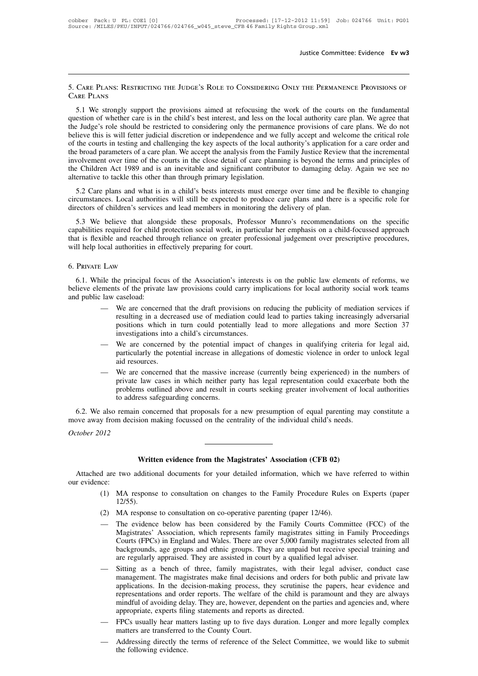Justice Committee: Evidence Ev w3<br>5. Care Plans: Restricting the Judge's Role to Considering Only the Permanence Provisions of Care Plans

Justice Committee: Evidence Ev w3<br>5. CARE PLANS: RESTRICTING THE JUDGE'S ROLE TO CONSIDERING ONLY THE PERMANENCE PROVISIONS OF<br>CARE PLANS<br>5.1 We strongly support the provisions aimed at refocusing the work of the courts on 5. CARE PLANS: RESTRICTING THE JUDGE'S ROLE TO CONSIDERING ONLY THE PERMANENCE PROVISIONS OF CARE PLANS<br>CARE PLANS<br>5.1 We strongly support the provisions aimed at refocusing the work of the courts on the fundamental<br>questi 5. CARE PLANS: RESTRICTING THE JUDGE'S ROLE TO CONSIDERING ONLY THE PERMANENCE PROVISIONS OF CARE PLANS<br>
5.1 We strongly support the provisions aimed at refocusing the work of the courts on the fundamental<br>
question of whe 5. CARE PLANS: RESTRICTING THE JUDGE'S ROLE TO CONSIDERING ONLY THE PERMANENCE PROVISIONS OF CARE PLANS<br>5.1 We strongly support the provisions aimed at refocusing the work of the courts on the fundamental<br>question of wheth S. CARE LEANS. NESTRICTING THE JODGE S NOLE TO CONSIDERTNO CINET THE LERMANENCE LROVISIONS OF CARE PLANS<br>
5.1 We strongly support the provisions aimed at refocusing the work of the courts on the fundamental<br>
question of wh S.1 We strongly support the provisions aimed at refocusing the work of the courts on the fundamental question of whether care is in the child's best interest, and less on the local authority care plan. We agree that the Ju 5.1 We strongly support the provisions aimed at refocusing the work of the courts on the fundamental question of whether care is in the child's best interest, and less on the local authority care plan. We agree that the Ju question of whether care is in the child's best interest, and less on the local authority care plan. We agree that<br>the Judge's role should be restricted to considering only the permanence provisions of care plans. We do no the Judge's role should be restricted to considering only the perman<br>believe this is will fetter judicial discretion or independence and we<br>of the courts in testing and challenging the key aspects of the local as<br>the broad First distributed in the courts in testing and challenging the key aspects of the local authority's application for a care order and be broad parameters of a care plan. We accept the analysis from the Family Justice Review of the broad parameters of a care plan. We accept the analysis from the Family Justice Review that the incremental<br>involvement over time of the courts in the close detail of care planning is beyond the terms and principles directors of children's of a care plan. We accept the analysis from the Family sustice Review<br>involvement over time of the courts in the close detail of care planning is beyond the terr<br>the Children Act 1989 and is an inev

Exercise that along is an inevitable and significant contributor to damaging delay. Again we see no<br>ernative to tackle this other than through primary legislation.<br>5.2 Care plans and what is in a child's bests interests mu alternative to tackle this other than through primary legislation.<br>
5.2 Care plans and what is in a child's bests interests must emerge over time and be flexible to changing<br>
circumstances. Local authorities will still be 5.2 Care plans and what is in a child's bests interests must emerge over time and be flexible to changing circumstances. Local authorities will still be expected to produce care plans and there is a specific role for direc 3.2 Cate plans and what is in a clind s bests interests intit eitercumstances. Local authorities will still be expected to produce directors of children's services and lead members in monitoring t 5.3 We believe that along Fabilities required for child protection social work, in particular her emphasis on a child-focussed approach<br>at is flexible and reached through reliance on greater professional judgement over prescriptive procedures,<br>Il h

### 6. Private Law

be that is flexible and reached through reliance on greater professional judgement over prescriptive procedures,<br>will help local authorities in effectively preparing for court.<br>6. PRIVATE LAW<br>6.1. While the principal focu will help local authorities in effectively preparing for court.<br>
6. PRIVATE LAW<br>
6.1. While the principal focus of the Association's interests is on the public law elements of reforms, we<br>
believe elements of the private l

- reprincipal focus of the Association's interests is on the public law elements of reforms, we<br>so f the private law provisions could carry implications for local authority social work teams<br>caseload:<br>We are concerned that t positions of the Association's interests is on the public law elements of reforms, we<br>so f the private law provisions could carry implications for local authority social work teams<br>caseload:<br>We are concerned that the draft ile the principal focus of the Association's interests is on the public law elements of reforms, we ments of the private law provisions could carry implications for local authority social work teams law caseload:<br>— We are Exercise in a decreased use of mediation could lead to parties taking increasingly adversarial positions which in turn could potentially lead to more allegations and more Section 37 investigations into a child's circumstan We are concerned that the draft provisions on reducing the publicity of mediation services if<br>resulting in a decreased use of mediation could lead to parties taking increasingly adversarial<br>positions which in turn could po
- 
- prositions winch in turn could potentially icad to inote ancgations and inote section 37<br>investigations into a child's circumstances.<br>We are concerned by the potential impact of changes in qualifying criteria for legal aid movestigations into a cinit s circumstances.<br>We are concerned by the potential impact of changes in qualifying criteria for legal aid,<br>particularly the potential increase in allegations of domestic violence in order to unl particularly the potential increase in allegations of domestic violence in order to unlock legal<br>aid resources.<br>— We are concerned that the massive increase (currently being experienced) in the numbers of<br>private law cases We are concerned that the massive increase (currently being experienced) in the numbers of<br>private law cases in which neither party has legal representation could exacerbate both the<br>problems outlined above and result in c — We are concerned that the massive increase (currently being experienced) in the private law cases in which neither party has legal representation could exacerb problems outlined above and result in courts seeking greater

move away from decision making focussed on the centrality of the individual child's needs.<br>*October 2012* In concerned that proposals for a new presumption of equal parenting m<br>
ion making focussed on the centrality of the individual child's needs.<br> **Written evidence from the Magistrates' Association (CFB 02)**<br>
dditional docum

Vien and the centrality of the individual child's needs.<br>
Attached are two additional documents for your detailed information, which we have referred to within<br>
r evidence:<br>
(1) MA response to consultation on changes to th October 2012<br>Attached are two<br>our evidence:<br>(1) MA<br>12/5

- Written evidence from the Magistrates' Association (CFB 02)<br>
d are two additional documents for your detailed information, which we have referred to within<br>
(2) MA response to consultation on co-operative parenting (paper 12/55).
- 
- Written evidence from the Magistrates' Association (CFB 02)<br>
d are two additional documents for your detailed information, which we have referred to within<br>
ce:<br>
(1) MA response to consultation on co-operative parenting (p MA response to consultation on changes to the Family Procedure Rules on Experts (paper 12/55).<br>MA response to consultation on co-operative parenting (paper 12/46).<br>The evidence below has been considered by the Family Court MA response to consultation on changes to the Family Procedure Rules on Experts (paper 12/55).<br>MA response to consultation on co-operative parenting (paper 12/46).<br>The evidence below has been considered by the Family Court backgrounds to consultation on co-operative parenting (paper 12/46).<br>
MA response to consultation on co-operative parenting (paper 12/46).<br>
The evidence below has been considered by the Family Courts Committee (FCC) of the are regularly appraised. They are assisted by the Family Courts Committee (FCC) of the Magistrates' Association, which represents family magistrates sitting in Family Proceedings Courts (FPCs) in England and Wales. There a The evidence below has been considered by the Family Courts Committee (FCC) of the Magistrates' Association, which represents family magistrates sitting in Family Proceedings Courts (FPCs) in England and Wales. There are o
- Magistrates' Association, which represents family magistrates sitting in Family Proceedings<br>Courts (FPCs) in England and Wales. There are over 5,000 family magistrates selected from all<br>backgrounds, age groups and ethnic g Courts (FPCs) in England and Wales. There are over 5,000 family magistrates selected from all backgrounds, age groups and ethnic groups. They are unpaid but receive special training and are regularly appraised. They are as backgrounds, age groups and ethnic groups. They are unpaid but receive special training and<br>are regularly appraised. They are assisted in court by a qualified legal adviser.<br>Sitting as a bench of three, family magistrates, are regularly appraised. They are assisted in court by a qualified legal adviser, conduct case<br>
management. The magistrates make final decisions and orders for both public and private law<br>
applications. In the decision-mak management. The magistrates make final decisions and orders for both public and private law applications. In the decision-making process, they scrutinise the papers, hear evidence and representations and order reports. The representations and order reports. The welfare of the child is paramount and they are always<br>mindful of avoiding delay. They are, however, dependent on the parties and agencies and, where<br>appropriate, experts filing statem
- 
-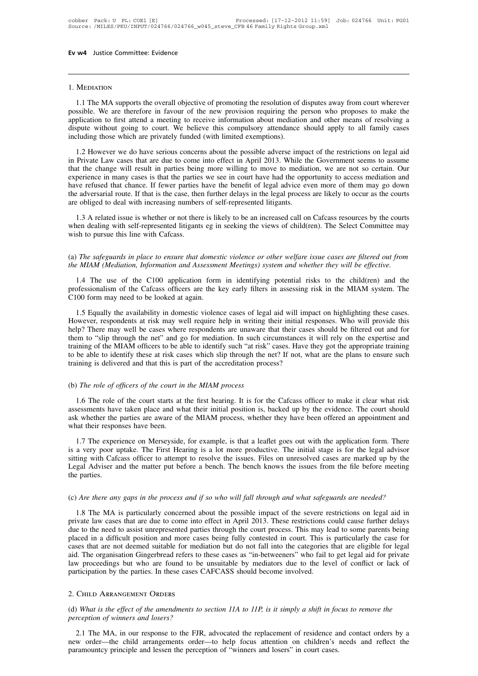### 1. Mediation

MEDIATION<br>
1.1 The MA supports the overall objective of promoting the resolution of disputes away from court wherever<br>
1.1 The MA supports the overall objective of promoting the resolution of disputes away from court where 1. MEDIATION<br>1.1 The MA supports the overall objective of promoting the resolution of disputes away from court wherever<br>possible. We are therefore in favour of the new provision requiring the person who proposes to make th 1. MEDIATION<br>1. The MA supports the overall objective of promoting the resolution of disputes away from court wherever<br>possible. We are therefore in favour of the new provision requiring the person who proposes to make the 1. MEDIATION<br>1. The MA supports the overall objective of promoting the resolution of disputes away from court wherever<br>possible. We are therefore in favour of the new provision requiring the person who proposes to make the 1. MEDIATION<br>1.1 The MA supports the overall objective of promoting the resolution of<br>possible. We are therefore in favour of the new provision requiring the p<br>application to first attend a meeting to receive information a 1.1 The MA supports the overall objective of promoting the resolution of disputes away from court wherever ssible. We are therefore in favour of the new provision requiring the person who proposes to make the plication to in Private Law cases that are due to come into effect in April 2013. While the Government seems who proposes to make the application to first attend a meeting to receive information about mediation and other means of resol

application to first attend a meeting to receive information about mediation and other means of resolving a dispute without going to court. We believe this compulsory attendance should apply to all family cases including t experience in many cases is that the parties have the benefit of legal process are likely to all family cases including those which are privately funded (with limited exemptions).<br>
1.2 However we do have serious concerns a including those which are privately funded (with limited exemptions).<br>
1.2 However we do have serious concerns about the possible adverse impact of the restrictions on legal aid<br>
in Private Law cases that are due to come i The adversarial route. If that is the case, then further delays in the legal process impact of the restrictions on legal aid<br>in Private Law cases that are due to come into effect in April 2013. While the Government seems t 1.2 However we do have serious concerns about the possible adverse impade in Private Law cases that are due to come into effect in April 2013. While the that the change will result in parties being more willing to move to 1.3 A related issue is whether or not there is likely to be an increased call on Cafcass resources when the change will result in parties being more willing to move to mediation, we are not so certain. Our perience in many when dealing with self-represented litigants environment of the Select Committee may cases is that the parties we see in court have had the opportunity to access mediation and have refused that chance. If fewer parties hav Experience in many calculate in the parties<br>have refused that chance. If fewer parties<br>the adversarial route. If that is the case, the<br>are obliged to deal with increasing number<br>1.3 A related issue is whether or not then<br>w

are obliged to deal with increasing numbers of self-represented litigants.<br>
1.3 A related issue is whether or not there is likely to be an increased call on Cafcass resources by the courts<br>
when dealing with self-represent 1.3 A related issue is whether or not there is likely to be an increased call on Cafcass resources by the courts<br>when dealing with self-represented litigants eg in seeking the views of child(ren). The Select Committee may<br>

1.4 The use of the C100 application form in identifying potential risks to the MIAM system. The use of the C100 application form in identifying potential risks to the child(ren) and the ofessionalism of the C100 applicatio wish to pursue this line with Cafcass.<br>
(a) The safeguards in place to ensure that domestic violence or other welfare issue cases are filtered out from<br>
the MIAM (Mediation, Information and Assessment Meetings) system and (a) The safeguards in place to ensure that domest<br>the MIAM (Mediation, Information and Assessme<br>1.4 The use of the C100 application form<br>professionalism of the Cafcass officers are the k<br>C100 form may need to be looked at The suggations in place to ensure that atomestic violence of other weighte issue class are jutered out jrom in MEM (Mediation, Information and Assessment Meetings) system and whether they will be effective.<br>1.4 The use of

However, respondents at risk may well require help in writing their initial risks to the child(ren) and the professionalism of the Cafcass officers are the key early filters in assessing risk in the MIAM system. The C100 f 1.4 The use of the C100 application form in identifying potential risks to the child(ren) and the professionalism of the Cafcass officers are the key early filters in assessing risk in the MIAM system. The C100 form may ne The may well be to the network of the network of the network of the network of the network of the network of the network of the network of the network of the network of the network of the network of the may need to be look The MIAM officers to be able to identify such an absorbing that in the EHTH system. The C100 form may need to be looked at again.<br>
1.5 Equally the availability in domestic violence cases of legal aid will impact on highlig 1.5 Equally the availability in domestic violence cases of legal aid will impact on highlighting these cases.<br>However, respondents at risk may well require help in writing their initial responses. Who will provide this<br>hel 1.5 Equally the availability in domestic violence cases of legal aid will imper-<br>However, respondents at risk may well require help in writing their initial res<br>help? There may well be cases where respondents are unaware help? There may well be cases where respondents are unaware that their cases should be filtered out and for them to "slip through the net" and go for mediation. In such circumstances it will rely on the expertise and train

1.6 The role of officers of the court in the MIAM process. Have they got the appropriate training be able to identify these at risk cases which slip through the net? If not, what are the plans to ensure such ining is deliv ask whether the parties are aware of the MIAM process.<br>
The role of officers of the court in the MIAM process?<br>
1.6 The role of officers of the court in the MIAM process<br>
1.6 The role of the court starts at the first heari Training is denvered and that this is part of the accreditation process?<br>
(b) The role of officers of the court in the MIAM process<br>
1.6 The role of the court starts at the first hearing. It is for the Cafcass officer to m (b) The role of officers of the court in the MIAM process<br>
1.6 The role of the court starts at the first hearing. It is for the Cafcass officer to make it clear what risk<br>
assessments have taken place and what their initia The role of officers of the court in the MEMP process<br>1.6 The role of the court starts at the first hearing. It is for the Cafcass officer to make it clear what risk<br>sessments have taken place and what their initial positi

1.6 The role of the court starts at the first hearing. It is for the Cafcass officer to make it clear what risk<br>assessments have taken place and what their initial position is, backed up by the evidence. The court should<br>a is a seessments have taken place and what their initial position is, backed up by the evidence. The court should ask whether the parties are aware of the MIAM process, whether they have been offered an appointment and what Legal Adviser and the matter we want what their represents are aware of the MIAM process, whether they have been offered an appointment and what their responses have been.<br>
1.7 The experience on Merseyside, for example, is sitting with Cafcass officer to attempt to resolve the issues. Files on unresolved cases are marked up by the Legal Adviser and the matter put before a bench. The bench knows the issues from the file before meeting the par (c) *Are there any gaps in the process and if so who will fall through and what safeguards are needed?*<br>(c) *Are there any gaps in the process and if so who will fall through and what safeguards are needed?*<br>(c) *Are there* 

The MA is particularly concerned about the possible impact of the severe restrictions on legal Adviser and the matter put before a bench. The bench knows the issues from the file before meeting e parties.<br>
The MA is partic Legal Adviser and the matter put before a bench. The bench knows the issues from the file before meeting<br>the parties.<br>(c) *Are there any gaps in the process and if so who will fall through and what safeguards are needed?*<br> (c) *Are there any gaps in the process and if so who will fall through and what safeguards are needed?*<br>1.8 The MA is particularly concerned about the possible impact of the severe restrictions on legal aid in<br>private law (c) Are there any gaps in the process and if so who will fall through and what safeguards are needed?<br>1.8 The MA is particularly concerned about the possible impact of the severe restrictions on legal aid in<br>private law ca (c) *Are there any gaps in the process and if so who will fall through and what safeguards are needed?*<br>1.8 The MA is particularly concerned about the possible impact of the severe restrictions on legal aid in<br>private law and The MA is particularly concerned about the possible impact of the severe restrictions on legal aid in private law cases that are due to come into effect in April 2013. These restrictions could cause further delays due 1.8 The MA is particularly concerned about the possible impact of the severe restrictions on legal aid in private law cases that are due to come into effect in April 2013. These restrictions could cause further delays due private law cases that are due to come into effect in April 2013. These restrictions come to the need to assist unrepresented parties through the court process. This may le placed in a difficult position and more cases bei (d) *What is the effect of the amendments to section 11A to 11P, is it simply a shift in focus to remove the*<br>2. CHILD ARRANGEMENT ORDERS<br>(d) *What is the effect of the amendments to section 11A to 11P, is it simply a shif* 

### 2. Child Arrangement Orders

# *perticipation by the parties.* In these cases  $C$  *A*<br>*participation by the parties. In these cases*  $C$  *<i>A*<br>*2. CHILD ARRANGEMENT ORDERS*<br>*(d) What is the effect of the amendments to s*<br>*perception of winners and losers*?

2.1 The MA, in our response to the FJR, advocated the replacement of residence and contact orders by a corder—the child arrangements order—to help focus attention on children's needs and reflect the remountcy principle and 2. CHILD ARRANGEMENT ORDERS<br>
(d) What is the effect of the amendments to section 11A to 11P, is it simply a shift in focus to remove the<br>
perception of winners and losers?<br>
2.1 The MA, in our response to the FJR, advocated 2. CHILD AKKANGEMENT OKDEKS<br>
(d) What is the effect of the amendments to section 11A to 11P, is it simply a shift in for<br>
perception of winners and losers?<br>
2.1 The MA, in our response to the FJR, advocated the replacement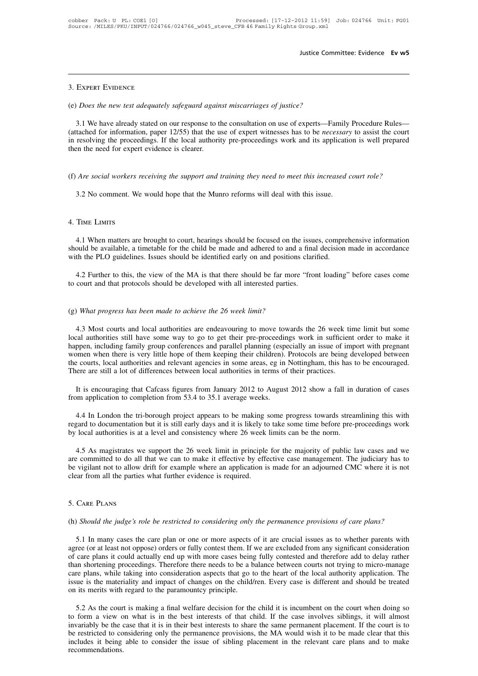# 3. Expert Evidence

# Justice Comn<br>
3. Expert Evidence<br>
(e) *Does the new test adequately safeguard against miscarriages of justice?*<br>
3.1 We have already stated on our response to the consultation on use of experts—Far

3.1 We have already stated on our response to the consultation on use of experts—Family Procedure Rules—<br>3.1 We have already stated on our response to the consultation on use of experts—Family Procedure Rules—<br>tached for i (attached for information, paper 12/55) that the use of experts—Family Procedure Rules—<br>(attached for information, paper 12/55) that the use of expert witnesses has to be *necessary* to assist the court<br>in resolving the pr 3. Expert Evidence<br>
(e) *Does the new test adequately safeguard against miscarriages of justice?*<br>
3.1 We have already stated on our response to the consultation on use of experts—Family Procedure Rules—<br>
(attached for inf (e) *Does the new test adequately safeguard against miscarriages of justice?*<br>3.1 We have already stated on our response to the consultation on use of experts—Family Procedure Rules—<br>(attached for information, paper 12/55) 3.1 We have already stated on our response to the consultation on use of experts—Family Procedure Rules—<br>(attached for information, paper 12/55) that the use of expert witnesses has to be *necessary* to assist the court<br>in The mean of the proceedings. If the local authority pre-proceedings work and its application<br>and the need for expert evidence is clearer.<br>Are social workers receiving the support and training they need to meet this increas

# Find the need for expert of<br>(f) *Are social workers ree*<br>3.2 No comment. We v<br>4. Time Limits

3.2 No comment. We would hope that the Munro reforms will deal with this issue.<br>TIME LIMITS<br>4.1 When matters are brought to court, hearings should be focused on the issues, comprehensive information<br>ould be available, a ti shows that the Munro reforms will deal with this issue.<br>4. Time Limits<br>4.1 When matters are brought to court, hearings should be focused on the issues, comprehensive information<br>should be available, a timetable for the chi 4. TIME LIMITS<br>4.1 When matters are brought to court, hearings should be focused on the issues, compreshould be available, a timetable for the child be made and adhered to and a final decision<br>with the PLO guidelines. Issu TIME LIMITS<br>4.1 When matters are brought to court, hearings should be focused on the issues, comprehensive information<br>ould be available, a timetable for the child be made and adhered to and a final decision made in accord 4.1 When matters are brought to court, hearings should be focused on the issues should be available, a timetable for the child be made and adhered to and a fina with the PLO guidelines. Issues should be identified early on

with the PLO guidelines. Issues should be identified early on and positions clarified.<br>
4.2 Further to this, the view of the MA is that there should be far more "front loading" before cases come<br>
to court and that protocol

4.2 Further to this, the view of the MA is that there should be far more "front loading" before cases come<br>court and that protocols should be developed with all interested parties.<br>What progress has been made to achieve th Local authorities should be developed with all interested parties.<br>
(g) What progress has been made to achieve the 26 week limit?<br>
4.3 Most courts and local authorities are endeavouring to move towards the 26 week time lim (g) What progress has been made to achieve the 26 week limit?<br>4.3 Most courts and local authorities are endeavouring to move towards the 26 week time limit but some<br>local authorities still have some way to go to get their (g) What progress has been made to achieve the 26 week limit?<br>4.3 Most courts and local authorities are endeavouring to move towards the 26 week time limit but some<br>local authorities still have some way to go to get their (g) What progress has been made to achieve the 26 week limit?<br>4.3 Most courts and local authorities are endeavouring to move towards the 26 week time limit but some<br>local authorities still have some way to go to get their 4.3 Most courts and local authorities are endeavouring to move towards the 26 week til local authorities still have some way to go to get their pre-proceedings work in sufficien happen, including family group conferences a It is encouraging that Cafcass figures from January 2012 to August 2012 show a fall in duration of cases am application to complete are still a lot of differences and parallel planning (especially an issue of import with p happen, including family group conferences and parallel planning (esperantion when there is very little hope of them keeping their children).<br>the courts, local authorities and relevant agencies in some areas, eg in<br>There a

Exercise is courts, local authorities and relevant agencies in some areas, eg in Nottingham, this has to be encouraged.<br>
It is encouraging that Cafcass figures from January 2012 to August 2012 show a fall in duration of ca There are still a lot of differences between local authorities in terms of their practices.<br>
It is encouraging that Cafcass figures from January 2012 to August 2012 show a fall in duration of cases<br>
from application to com It is encouraging that Cafcass figures from January 2012 to August 2012 show a fall in duration of cases<br>from application to completion from 53.4 to 35.1 average weeks.<br>4.4 In London the tri-borough project appears to be m

It also mapplication to completion from 53.4 to 35.1 average weeks.<br>4.4 In London the tri-borough project appears to be making some progress towards streamlining this with<br>gard to documentation but it is still early days a 4.4 In London the tri-borough project appears to be making some progress towards streamlining this with regard to documentation but it is still early days and it is likely to take some time before pre-proceedings work by l 4.4 In London the tri-borough project appears to be making some progress towards streamlining this with regard to documentation but it is still early days and it is likely to take some time before pre-proceedings work by l regard to documentation but it is still early days and it is likely to<br>by local authorities is at a level and consistency where 26 week<br>4.5 As magistrates we support the 26 week limit in principle<br>are committed to do all t are committed to do all that we can to make it effective by effective case management. The judiciary has to be vigilant not to allow drift for example where an application is made for an adjourned CMC where it is not clear (h) *Should the judge's role be restricted to considering only the permanence provisions of care plans?*<br>
(h) *Should the judge's role be restricted to considering only the permanence provisions of care plans?*<br>
(h) *Shoul* 

Should the judge's role be restricted to considering only the permanence provisions of care plans?<br>
5.1 In many cases the care plan or one or more aspects of it are crucial issues as to whether parents with<br>
tree (or at le 5. Care PLANS<br>(h) *Should the judge's role be restricted to considering only the permanence provisions of care plans?*<br>5.1 In many cases the care plan or one or more aspects of it are crucial issues as to whether parents w 5. Care PLANS<br>(h) *Should the judge's role be restricted to considering only the permanence provisions of care plans?*<br>5.1 In many cases the care plan or one or more aspects of it are crucial issues as to whether parents w (h) *Should the judge's role be restricted to considering only the permanence provisions of care plans?*<br>5.1 In many cases the care plan or one or more aspects of it are crucial issues as to whether parents with<br>agree (or (h) *Should the judge's role be restricted to considering only the permanence provisions of care plans?*<br>5.1 In many cases the care plan or one or more aspects of it are crucial issues as to whether parents with<br>agree (or 5.1 In many cases the care plan or one or more aspects of it are crucial issues as to whether parents with agree (or at least not oppose) orders or fully contest them. If we are excluded from any significant consideration 5.1 In many cases the care plan or one or more aspects of it are crucial issues as to whether parents with agree (or at least not oppose) orders or fully contest them. If we are excluded from any significant consideration care plans it could actually end up with more cases being fully contested and therefore add to delay rather<br>an shortening proceedings. Therefore there needs to be a balance between courts not trying to micro-manage<br>re plan than shortening proceedings. Therefore there needs to be a balance between courts not trying to micro-manage care plans, while taking into consideration aspects that go to the heart of the local authority application. The

care plans, while taking into consideration aspects that go to the heart of the local authority application. The issue is the materiality and impact of changes on the child/ren. Every case is different and should be treate issue is the materiality and impact of changes on the child/ren. Every case is different and should be treated<br>on its merits with regard to the paramountcy principle.<br>5.2 As the court is making a final welfare decision for on its merits with regard to the paramountcy principle.<br>
5.2 As the court is making a final welfare decision for the child it is incumbent on the court when doing so<br>
to form a view on what is in the best interests of that recommendations.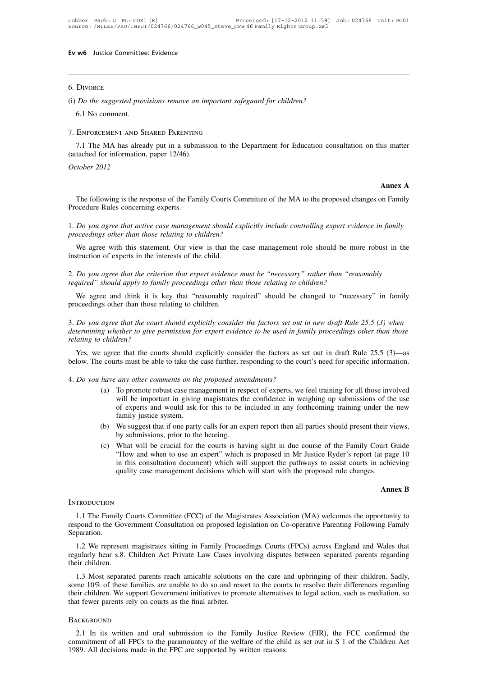### 6. Divorce

(i) *Do the suggested provisions remove an important safeguard for children?*<br>
(i) *Do the suggested provisions remove an important safeguard for children?*<br>
6.1 No comment. Divorce<br> *Do the suggested prov*<br>
6.1 No comment.<br>
ENFORCEMENT AND SI 5. Divorce<br>5. Divorce<br>6.1 No comment.<br>7. Enforcement and Shared Parenting

*Do the suggested provisions remove an important safeguard for children?*<br>6.1 No comment.<br>ENFORCEMENT AND SHARED PARENTING<br>7.1 The MA has already put in a submission to the Department for Education consultation on this mat (i) *Do the suggested provisions remove an im*<br>6.1 No comment.<br>7. ENFORCEMENT AND SHARED PARENTING<br>7.1 The MA has already put in a submiss<br>(attached for information, paper 12/46).<br>*October 2012* 6.1 No comment.<br>
7. ENFORCEMENT AND SHARED PARENTING<br>
7.1 The MA has already put in a submission to the Department for Education consultation on this matter<br>
(attached for information, paper 12/46).<br> *October 2012* **Annex A**

The MA has already put in a submission to the Department for Education consultation on this matter tached for information, paper 12/46).<br> *tober* 2012<br> **The following is the response of the Family Courts Committee of the M** (attached for information, paper 12/46).<br>  $October\ 2012$ <br>
The following is the response of the Fan<br>
Procedure Rules concerning experts.<br>
1. Do you agree that active case managen 1. *Do you agree that active case management should explicitly include controlling expert evidence in family*<br>1. *Do you agree that active case management should explicitly include controlling expert evidence in family*<br>pr The following is the response of the Family Courts Commit<br>Procedure Rules concerning experts.<br>1. Do you agree that active case management should explicit<br>proceedings other than those relating to children?<br>We agree with thi The following is the response of the Family Courts Committee of the MA to the proposed changes on Family ocedure Rules concerning experts.<br>Do you agree that active case management should explicitly include controlling expe

Frocedure Rules concerning experts.<br>
1. Do you agree that active case management should e<br>
proceedings other than those relating to children?<br>
We agree with this statement. Our view is that the<br>
instruction of experts in t

2. *Do you agree that active case management should explicitly include controlling expert evidence in family*<br>
2. We agree with this statement. Our view is that the case management role should be more robust in the<br>
instru *r. Bo you agree that active case management should expirely include controlling expert evidence proceedings other than those relating to children?*<br>We agree with this statement. Our view is that the case management role s We agree with this statement. Our view is that the case management role should be more robust in the struction of experts in the interests of the child.<br>Do you agree that the criterion that expert evidence must be "necessa

proceedings of the child.<br>
Superior of experts in the interests of the child.<br>
2. Do you agree that the criterion that expert evidence<br>
required" should apply to family proceedings other the<br>
We agree and think it is key t

2. *Do you agree that the criterion that expert evidence must be "necessary" rather than "reasonably required" should apply to family proceedings other than those relating to children?*<br>We agree and think it is key that "r *defined* and the total of *determining whether to give permission for expert evidence mast be necessary rather than reasonably required" should be changed to "necessary" in family proceedings other than those relating to required" should apply to family proceedings other than those relating to children?*<br> *We agree and think it is key that "reasonably required" should be changed to "necessary" in family proceedings other than those relati* Yes, we agree that the courts should explicitly consider the factors set out in new draft Rule 25.5 (3) when<br>termining whether to give permission for expert evidence to be used in family proceedings other than those<br>lating 3. Do you agree that the court should explicitly consider the factors set out in new draft Rule 25.5 (3) when determining whether to give permission for expert evidence to be used in family proceedings other than those re

6. below. The courts must be able to take the case further, responding to the court's need for specific information.<br>4. *Do you have any other comments on the proposed amendments?*<br>(a) To promote robust case management in

- (a) charge that the courts should explicitly consider the factors as set out in draft Rule 25.5 (3)—as<br>
courts must be able to take the case further, responding to the court's need for specific information.<br>
have any other e that the courts should explicitly consider the factors as set out in draft Rule 25.5 (3)—as<br>trs must be able to take the case further, responding to the court's need for specific information.<br>any other comments on the pr of experts and would explicitly consider the factors as set out in draft Kule 25.5 (3)—as<br>tts must be able to take the case further, responding to the court's need for specific information.<br>any other comments on the propos first must be able to take the<br>any other comments on the<br>To promote robust case man<br>will be important in giving<br>of experts and would ask 1<br>family justice system.<br>We suggest that if one party<br>by submissions prior to the (a) To promote robust case management in respect of experts, we feel training for all those involved<br>
will be important in giving magistrates the confidence in weighing up submissions of the use<br>
of experts and would ask f any omer comments on the proposed ame<br>To promote robust case management in res<br>will be important in giving magistrates the<br>of experts and would ask for this to be i<br>family justice system.<br>We suggest that if one party calls (a) To promote rootst case management in respect or experts, we reer training for an those involved<br>will be important in giving magistrates the confidence in weighing up submissions of the use<br>of experts and would ask for
- 
- Whi be important in giving magistrates the confidence in weighing up submissions of the use<br>of experts and would ask for this to be included in any forthcoming training under the new<br>family justice system.<br>We suggest that In this consultation document and which will support the all parties should present their views,<br>by submissions, prior to the hearing.<br>What will be crucial for the courts is having sight in due course of the Family Court G family justice system.<br>
(b) We suggest that if one party calls for an expert report then all parties should present their views,<br>
by submissions, prior to the hearing.<br>
(c) What will be crucial for the courts is having sig art Guide<br>**t** page 10<br>achieving<br>**Annex B**

### **INTRODUCTION**

1.1 The Family Courts Committee (FCC) of the Magistrates Association (MA) welcomes the opportunity to<br>
1.1 The Family Courts Committee (FCC) of the Magistrates Association (MA) welcomes the opportunity to<br>
1.1 The Family C quality case management decisions which will start with the proposed rule changes.<br> **Annex B**<br>
INTRODUCTION<br>
1.1 The Family Courts Consultation on proposed legislation on Co-operative Parenting Following Family<br>
Separation Separation.

1.1 The Family Courts Committee (FCC) of the Magistrates Association (MA) welcomes the opportunity to spond to the Government Consultation on proposed legislation on Co-operative Parenting Following Family paration.<br>1.2 We INTRODUCTION<br>
1.1 The Family Courts Committee (FCC) of the Magistrates Association (MA) welcomes the opportunity to<br>
respond to the Government Consultation on proposed legislation on Co-operative Parenting Following Family 1.1 The Family C<br>respond to the Governomental Contract Separation.<br>1.2 We represent<br>regularly hear s.8.<br>their children.<br>1.3 Most separation of the separation of the separation spond to the Government Consultation on proposed legislation on Co-operative Parenting Following Family paration.<br>
1.2 We represent magistrates sitting in Family Proceedings Courts (FPCs) across England and Wales that<br>
sul

Separation.<br>
1.2 We represent magistrates sitting in Family Proceedings Courts (FPCs) across England and Wales that<br>
regularly hear s.8. Children Act Private Law Cases involving disputes between separated parents regarding 1.2 We represent magistrates sitting in Family Proceedings Courts (FPCs) across England and Wales that regularly hear s.8. Children Act Private Law Cases involving disputes between separated parents regarding their childre 1.2 we represent magistrates sitting in Fainly Procee-<br>regularly hear s.8. Children Act Private Law Cases inve<br>their children.<br>1.3 Most separated parents reach amicable solutions<br>some 10% of these families are unable to do 2.1 In its written and oral submission to the Family Justice Review (FJR), the FCC confirmed the metal oral submission to the Family Justice Review (FJR), the FCC confirmed the metal submission to the Family Justice Review

### **BACKGROUND**

Exercise of all FPCs to these radiatives to all Federal Formula Formula Control and Testive and Testive in the paramount of the support Government initiatives to promote alternatives to legal action, such as mediation, so 1989. All decisions made in the FPC are supported by written reasons.<br>
1989. All decisions made in the FPC are supported by written reasons.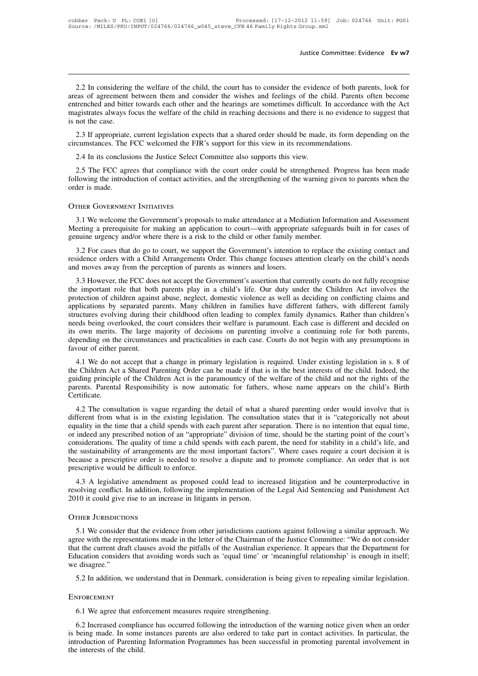Justice Committee: Evidence Ev w7<br>2.2 In considering the welfare of the child, the court has to consider the evidence of both parents, look for<br>trenched and bitter towards each other and the hearings are sometimes difficul areas of agreement between them and consider the court has to consider the evidence of both parents, look for areas of agreement between them and consider the wishes and feelings of the child. Parents often become entrench Justice Committee: Evidence Ev w7<br>2.2 In considering the welfare of the child, the court has to consider the evidence of both parents, look for<br>areas of agreement between them and consider the wishes and feelings of the ch 2.2 In considering the welfare of the child, the court has to consider the evidence of both parents, look for areas of agreement between them and consider the wishes and feelings of the child. Parents often become entrench 2.2 In considering<br>areas of agreement<br>entrenched and bitte<br>magistrates always fi<br>is not the case.<br>2.3 If appropriate, 2.2 In considering the welfare of the child, the court has to consider the evidence of both parents, look for<br>eas of agreement between them and consider the wishes and feelings of the child. Parents often become<br>trenched a 2.2 In considering the weirate of the child, the court has to consider the evidence of bour part<br>areas of agreement between them and consider the wishes and feelings of the child. Parents c<br>entrenched and bitter towards ea trenched and bitter towards each other and the hearings are sometimes difficult.<br>agistrates always focus the welfare of the child in reaching decisions and there is<br>not the case.<br>2.3 If appropriate, current legislation exp

2.3 If appropriate, current legislation expects that a shared order should be made, its form depending on the<br>2.3 If appropriate, current legislation expects that a shared order should be made, its form depending on the<br>2. Following the introduction of contact activities, and the strengthening of the warning given to parents activities.<br>
2.4 In its conclusions the Justice Select Committee also supports this view.<br>
2.5 The FCC agrees that com 2.3 If appropriate, current legislation experiencumstances. The FCC welcomed the FJR<br>2.4 In its conclusions the Justice Select C<br>2.5 The FCC agrees that compliance wit<br>following the introduction of contact activiti<br>order i 2.5 The FCC agrees that compliance with the court order could be strengthened. Progress has been made<br>llowing the introduction of contact activities, and the strengthening of the warning given to parents when the<br>der is ma

Method is in the introduction of contact activities, and the strengthening of the warning given to parents when the order is made.<br>
OTHER GOVERNMENT INITIATIVES<br>
3.1 We welcome the Government's proposals to make attendance FORE THE COVERNMENT INITIATIVES<br>
3.1 We welcome the Government's proposals to make attendance at a Mediation Inform<br>
Meeting a prerequisite for making an application to court—with appropriate safeguard<br>
genuine urgency and

THER GOVERNMENT INITIATIVES<br>3.1 We welcome the Government's proposals to make attendance at a Mediation Information and Assessment<br>eeting a prerequisite for making an application to court—with appropriate safeguards built THER GOVERNMENT INITIATIVES<br>
3.1 We welcome the Government's proposals to make attendance at a Mediation Information and Assessment<br>
Meeting a prerequisite for making an application to court—with appropriate safeguards bui 3.1 We welcome the Government's proposals to make attendance at a Med<br>Meeting a prerequisite for making an application to court—with appropriar<br>genuine urgency and/or where there is a risk to the child or other family me<br>3 eeting a prerequisite for making an application to court—with appropriate safeguards built in for cases of<br>nuine urgency and/or where there is a risk to the child or other family member.<br>3.2 For cases that do go to court,

genuine urgency and/or where there is a risk to the child or other family member.<br>
3.2 For cases that do go to court, we support the Government's intention to replace the existing contact and<br>
residence orders with a Child 3.2 For cases that do go to court, we support the Government's intention to replace the existing contact and<br>residence orders with a Child Arrangements Order. This change focuses attention clearly on the child's needs<br>and and the protection of colling and applications by separated parents. This change focuses attention to replace the existing contact and residence orders with a Child Arrangements Order. This change focuses attention clearly issidence of oters with a Cinq Ariangements Order. This change focuses attention elearly on the einds sheets and moves away from the perception of parents as winners and losers.<br>3.3 However, the FCC does not accept the Gov and moves away from the perception of patents as winners and fosets.<br>3.3 However, the FCC does not accept the Government's assertion that currently courts do not fully recognise<br>the important role that both parents play in 3.3 However, the FCC does not accept the Government's assertion that currently courts do not fully recognise the important role that both parents play in a child's life. Our duty under the Children Act involves the protect the important role that both parents play in a child's life. Our duty under the Children Act involves the protection of children against abuse, neglect, domestic violence as well as deciding on conflicting claims and appli protection of children agains<br>applications by separated p<br>structures evolving during th<br>needs being overlooked, the<br>its own merits. The large r<br>depending on the circumstan<br>favour of either parent.<br>4.1 We do not accept that pheations by separated patents. Many emitted in families have different famely, whit different family uctures evolving during their childhood often leading to complex family dynamics. Rather than children's eds being overl Stateures evolving uning their entimolog ofter realing to complex rainity dynamics. Kanter than emitted is<br>needs being overlooked, the court considers their welfare is paramount. Each case is different and decided on<br>its o

ited being overlooked, the court considers then wertate is paramount. Each case is unterest and decided on<br>its own merits. The large majority of decisions on parenting involve a continuing role for both parents,<br>depending now ments. The lage majority of decisions on parenting involve a community of the one of parents, depending on the circumstances and practicalities in each case. Courts do not begin with any presumptions in favour of eithe Certificate. 4.1 We do not accept that a change in primary legislation is required. Under existing legislation in s. 8 of e Children Act a Shared Parenting Order can be made if that is in the best interests of the child. Indeed, the id 4.1 We do not accept that a change in primary registation is required. Onder existing registation in s. 8 of<br>the Children Act a Shared Parenting Order can be made if that is in the best interests of the child. Indeed, the<br>

In the children Act a shaced a children Act is the paramountcy of the welfare of the child and not the rights of the parents. Parental Responsibility is now automatic for fathers, whose name appears on the child's Birth Ce guiding principle of the Children Act is the paramountcy of the wertate of the child and not the rights of the<br>parents. Parental Responsibility is now automatic for fathers, whose name appears on the child's Birth<br>Certific parents. Farentar Responsionity is now automatic for fainers, whose name appears on the child spend.<br>Certificate.<br>4.2 The consultation is vague regarding the detail of what a shared parenting order would involve that is<br>di defined the sustainability is vague regarding the detail of what a shared parenting order would involve that is different from what is in the existing legislation. The consultation states that it is "categorically not abou 4.2 The consultation is vague regarding the detail of what a shared parenting order would involve that is different from what is in the existing legislation. The consultation states that it is "categorically not about equa different from what is in the existing legislaties<br>equality in the time that a child spends with ead<br>or indeed any prescribed notion of an "appropriconsiderations. The quality of time a child spen<br>the sustainability of arr antly in the time that a clind spends with each parent antel separation. There is no intention that equal time,<br>indeed any prescribed notion of an "appropriate" division of time, should be the starting point of the court's or maeed any prescribed notion or an appropriate division or three, should be the starting point or the court's<br>considerations. The quality of time a child spends with each parent, the need for stability in a child's life, 2010 it could give rise to an increase in litigants in person.<br>
2010 it could be difficult to enforce.<br>
2010 it could give rise to an increase in litigants in person.<br>
2010 it could give rise to an increase in litigants in

4.3 A legislative amendment as proposed could lead to increased litigation and be counterproductive in<br>solving conflict. In addition, following the implementation of the Legal Aid Sentencing and Punishment Act<br>10 it could

resolving conflict. In addition, following the implementation of the Legal Aid Sentencing and Punishment Act<br>2010 it could give rise to an increase in litigants in person.<br>OTHER JURISDICTIONS<br>5.1 We consider that the evide The current draft clauses avoid the pitfalls of the Australian experience. It appears that the pitfalls of the Australian experience. It appears that the Department for Education considers that avoiding words such as 'equa THER JURISDICTIONS<br>
5.1 We consider that the evidence from other jurisdictions cautions against following a similar approach. We<br>
agree with the representations made in the letter of the Chairman of the Justice Committee: OTHER JURISDICTIONS<br>5.1 We consider that<br>agree with the represent<br>that the current draft cl:<br>Education considers tha<br>we disagree."<br>5.2 In addition, we u 5.1 We consider that the evidence from other jurisdictions cautions against following a similar approach. We<br>ree with the representations made in the letter of the Chairman of the Justice Committee: "We do not consider<br>at Education considers that avoiding words such as 'equal time' or 'meaningful relationship' is enough in itself;<br>we disagree."<br>5.2 In addition, we understand that in Denmark, consideration is being given to repealing similar

### **ENFORCEMENT**

5.2 In addition, we understand that in Denmark, consideration is being given to repealing similar legislation.<br>
STORCEMENT<br>
6.1 We agree that enforcement measures require strengthening.<br>
6.2 Increased compliance has occurr ENFORCEMENT<br>
ENFORCEMENT<br>
6.1 We agree that enforcement measures require strengthening.<br>
6.2 Increased compliance has occurred following the introduction of the warning notice given when an order<br>
is being made. In some in ENFORCEMENT<br>6.1 We agree that enforcement measures require strengthening.<br>6.2 Increased compliance has occurred following the introduction of the warning notice given when an order<br>is being made. In some instances parents ENFORCEMENT<br>6.1 We agree that enfc<br>6.2 Increased compliar<br>is being made. In some<br>introduction of Parenting<br>the interests of the child.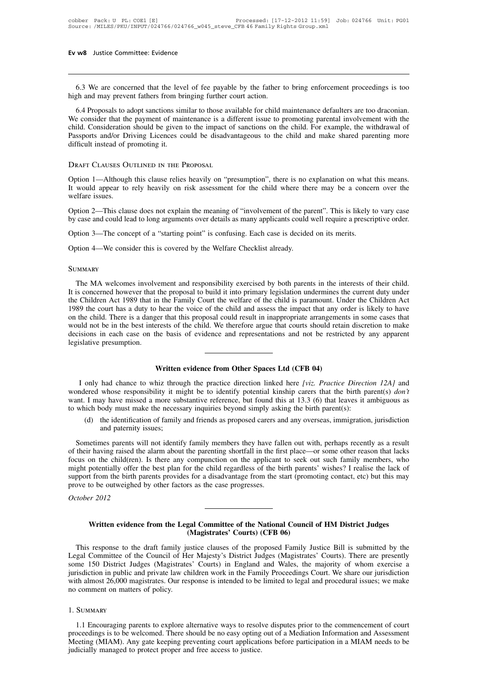WEST Justice Committee: Evidence<br>6.3 We are concerned that the level of fee payable by the father to bring enforcement proceedings is too<br>the and may prevent fathers from bringing further court action. Ev w8 Justice Committee: Evidence<br>
6.3 We are concerned that the level of fee payable by the father t<br>
high and may prevent fathers from bringing further court action.<br>
6.4 Proposals to adopt sanctions similar to those ava

6.3 We are concerned that the level of fee payable by the father to bring enforcement proceedings is too when and may prevent fathers from bringing further court action.<br>6.4 Proposals to adopt sanctions similar to those av 6.3 We are concerned that the level of fee payable by the father to bring enforcement proceedings is too high and may prevent fathers from bringing further court action.<br>6.4 Proposals to adopt sanctions similar to those av 6.3 We are concerned that the level of fee payable by the father to bring enforcement proceedings is too high and may prevent fathers from bringing further court action.<br>6.4 Proposals to adopt sanctions similar to those av 6.3 We are concerned that the level of fee payable by the father to bring enforcement proceedings is too high and may prevent fathers from bringing further court action.<br>6.4 Proposals to adopt sanctions similar to those av bigh and may prevent fathers from br<br>6.4 Proposals to adopt sanctions sin<br>We consider that the payment of main<br>child. Consideration should be given<br>Passports and/or Driving Licences co<br>difficult instead of promoting it. high and may prevent fathers from bringing further court<br>6.4 Proposals to adopt sanctions similar to those availab<br>We consider that the payment of maintenance is a differe<br>child. Consideration should be given to the impact child. Consideration should be given to the impact of sanctions on the child. For example, the withdrawal of Passports and/or Driving Licences could be disadvantageous to the child and make shared parenting more difficult

Passports and/or Driving Licences could be disadvantageous to the child and make shared parenting more<br>difficult instead of promoting it.<br>DRAFT CLAUSES OUTLINED IN THE PROPOSAL<br>Option 1—Although this clause relies heavily difficult instead of p<br>DRAFT CLAUSES OU<br>Option 1—Although<br>It would appear to<br>welfare issues.<br>Option 2—This clau DRAFT CLAUSES OUTLINED IN THE PROPOSAL<br>Option 1—Although this clause relies heavily on "presumption", there is no explanation on what this means.<br>It would appear to rely heavily on risk assessment for the child where there DRAFT CLAUSES OUTLINED IN THE PROPOSAL<br>Option 1—Although this clause relies heavily on "presumption", there is no explanation on what this means.<br>It would appear to rely heavily on risk assessment for the child where there Option 1—Although this clause relies heavily on "presumption", there is no explanation on what<br>It would appear to rely heavily on risk assessment for the child where there may be a conce<br>welfare issues.<br>Option 2—This claus

welfare issues.<br>
Option 2—This clause does not explain the meaning of "involvement of the pa<br>
by case and could lead to long arguments over details as many applicants could<br>
Option 3—The concept of a "starting point" is co

### **SUMMARY**

The concept of a "starting point" is confusing. Each case is decided on its merits.<br>
MA welcomes involvement and responsibility exercised by both parents in the interests of their child.<br>
The MA welcomes involvement and re It is concerned however that the proposal to build it into primary legislation undermines the current duty under<br>It is concerned however that the proposal to build it into primary legislation undermines the current duty un Option 4—We consider this is covered by the Welfare Checklist already.<br>
SUMMARY<br>
The MA welcomes involvement and responsibility exercised by both parents in the interests of their child.<br>
It is concerned however that the p SUMMARY<br>
The MA welcomes involvement and responsibility exercised by both parents in the interests of their child.<br>
It is concerned however that the proposal to build it into primary legislation undermines the current duty SUMMARY<br>The MA welcomes involvement and responsibility exercised by both parents in the interests of their child.<br>It is concerned however that the proposal to build it into primary legislation undermines the current duty u The MA welcomes involvement and responsibility exercised by both parents in the interests of their child. It is concerned however that the proposal to build it into primary legislation undermines the current duty under the The MA welcomes involvement and responsibility exercised by both parents in the interests of their child.<br>It is concerned however that the proposal to build it into primary legislation undermines the current duty under<br>the It is concerned however that the Children Act 1989 that in 1989 the court has a duty to on the child. There is a dange would not be in the best interdecisions in each case on the legislative presumption. Experiment this proposal could result in inappropriate arrangement<br>
Frests of the child. We therefore argue that courts should retain<br>
the basis of evidence and representations and not be restrice<br> **Written evidence from O** 

I only had chance to whiz through the practice direction linked here *[viz. Practice Direction 12A]* and the practice direction of the practice direction linked here *[viz. Practice Direction 12A]* and the practice directi Written evidence from Other Spaces Ltd (CFB 04)<br>I only had chance to whiz through the practice direction linked here [viz. Practice Direction 12A] and<br>wondered whose responsibility it might be to identify potential kinship Written evidence from Other Spaces Ltd (CFB 04)<br>I only had chance to whiz through the practice direction linked here [viz. Practice Direction 12A] and<br>wondered whose responsibility it might be to identify potential kinship **1** Only had chance to whiz through the practice direction linked here [viz. Practice Direction wondered whose responsibility it might be to identify potential kinship carers that the birth parent. I may have missed a mor Written evidence from Other Spaces Ltd (CFB 04)<br>only had chance to whiz through the practice direction linked here [viz. Practice Direction 12A] and<br>ered whose responsibility it might be to identify potential kinship carer had chance to whiz throu<br>whose responsibility it m<br>ay have missed a more subody must make the necess<br>the identification of family<br>and paternity issues;<br>mes parents will not identif or in the sometimes parents will not identify family members that the birth parents which body must make the necessary inquiries beyond simply asking the birth parents it ambiguous as which body must make the necessary in

want. I may have missed a more substantive reference, but found this at 13.3 (6) that leaves it ambiguous as<br>to which body must make the necessary inquiries beyond simply asking the birth parent(s):<br>(d) the identification for which body must make the necessary inquiries beyond simply asking the birth parent(s):<br>
(d) the identification of family and friends as proposed carers and any overseas, immigration, jurisdiction<br>
and paternity issues; (d) the identification of family and friends as proposed carers and any overseas, immigration, jurisdiction and paternity issues;<br>Sometimes parents will not identify family members they have fallen out with, perhaps recent supported the birth parents will not identify family members they have fallen out with, perhaps recently as a result of their having raised the alarm about the parenting shortfall in the first place—or some other reason th Sometimes parents will not identify family members they have fall of their having raised the alarm about the parenting shortfall in the firecus on the child(ren). Is there any compunction on the applicant might potentially Sometimes parents will<br>of their having raised the<br>focus on the child(ren).<br>might potentially offer th<br>support from the birth pa<br>prove to be outweighed l<br>*October 2012* Written evidence from the Legal Committee of the National Council of HM District Judges<br>Written evidence from the Legal Committee of the National Council of HM District Judges<br>Written evidence from the Legal Committee of t

# From a disadvantage from the start (profit<br>
rs as the case progresses.<br> **Courts**<br> **(Magistrates' Courts) (CFB 06)**<br>
ustice clauses of the proposed Family J

This response to the draft family justice clauses of the National Council of HM District Judges<br>
(Magistrates' Courts) (CFB 06)<br>
This response to the draft family justice clauses of the proposed Family Justice Bill is subm Written evidence from the Legal Committee of the National Council of HM District Judges<br>(Magistrates' Courts) (CFB 06)<br>This response to the draft family justice clauses of the proposed Family Justice Bill is submitted by t Written evidence from the Legal Committee of the National Council of HM District Judges<br>(Magistrates' Courts) (CFB 06)<br>This response to the draft family justice clauses of the proposed Family Justice Bill is submitted by t Written evidence from the Legal Committee of the National Council of HM District Judges<br>
(Magistrates' Courts) (CFB 06)<br>
This response to the draft family justice clauses of the proposed Family Justice Bill is submitted by (Magistrates' Courts) (CFB 06)<br>
This response to the draft family justice clauses of the proposed Family Justice Bill is submitted by the<br>
Legal Committee of the Council of Her Majesty's District Judges (Magistrates' Court This response to the draft family ju<br>Legal Committee of the Council of He<br>some 150 District Judges (Magistratee<br>jurisdiction in public and private law ch<br>with almost 26,000 magistrates. Our res<br>no comment on matters of pol 1.1 Encouraging parents to explore alternative ways to resolve disputes prior to the commencement of court almost 26,000 magistrates. Our response is intended to be limited to legal and procedural issues; we make comment o

### 1. Summary

with almost 26,000 magistrates. Our response is intended to be limited to legal and procedural issues; we make<br>no comment on matters of policy.<br>1. SUMMARY<br>1.1 Encouraging parents to explore alternative ways to resolve disp The SUMMARY<br>
1. SUMMARY<br>
1.1 Encouraging parents to explore alternative ways to resolve disputes prior to the commencement of court<br>
proceedings is to be welcomed. There should be no easy opting out of a Mediation Informat 1. SUMMARY<br>1.1 Encouraging parents to explore alternative ways to resolv<br>proceedings is to be welcomed. There should be no easy opting<br>Meeting (MIAM). Any gate keeping preventing court applicatie<br>judicially managed to prot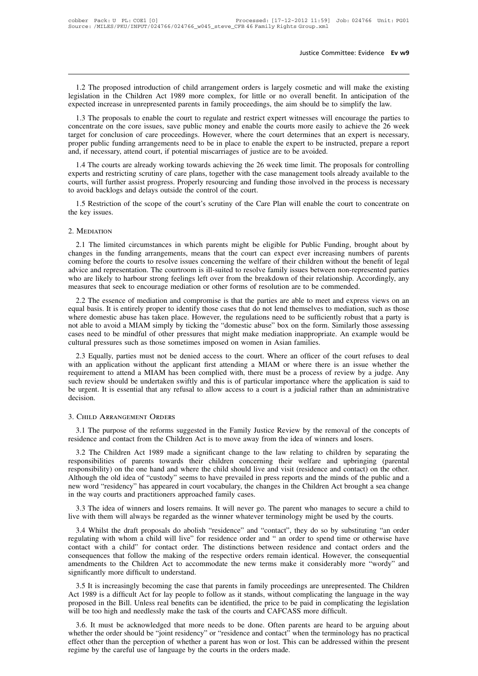Justice Committee: Evidence Ev w9<br>1.2 The proposed introduction of child arrangement orders is largely cosmetic and will make the existing<br>islation in the Children Act 1989 more complex, for little or no overall benefit. I legislation in the Children Act 1989 more complex, for little or no overall benefit. In anticipation of the expected increase in unrepresented parents in family proceedings, the aim should be to simplify the law. Justice Committee: Evidence Ev w9<br>
1.2 The proposed introduction of child arrangement orders is largely cosmetic and will make the existing<br>
legislation in the Children Act 1989 more complex, for little or no overall benef

1.2 The proposed introduction of child arrangement orders is largely cosmetic and will make the existing gislation in the Children Act 1989 more complex, for little or no overall benefit. In anticipation of the pected incr 1.2 The proposed introduction of child arrangement orders is largely cosmetic and will make the existing legislation in the Children Act 1989 more complex, for little or no overall benefit. In anticipation of the expected 1.2 The proposed introduction of child arrangement orders is largely cosmetic and will make the existing legislation in the Children Act 1989 more complex, for little or no overall benefit. In anticipation of the expected F.2 The proposed infoduction of child arrangement orders is targery cosinetic and win make the existing legislation in the Children Act 1989 more complex, for little or no overall benefit. In anticipation of the expected and, if necessary, attend court, if potential miscarriages of justice are to be avoided.<br>
1.3 The proposals to enable the court to regulate and restrict expert witnesses will enconcentrate on the core issues, save public m 1.3 The proposals to enable the court to regulate and restrict expert witnesses will encourage the parties to<br>ncentrate on the core issues, save public money and enable the court smore easily to achieve the 26 week<br>get for 1.3 The proposals to enable the court to regulate and restrict expert whilesses will encourage the parties to<br>concentrate on the core issues, save public money and enable the courts more easily to achieve the 26 week<br>targe

concentrate on the core issues, save public intolly and entable the courts infore easily to achieve the 20 week<br>target for conclusion of care proceedings. However, where the court determines that an expert is necessary,<br>pr proper public funding arrangements need to be in place to enable the expert to be instructed, prepare a report and, if necessary, attend court, if potential miscarriages of justice are to be avoided.<br>
1.4 The courts are al d, if necessary, attend court, if potential miscarriages of justice are to be avoided.<br>
1.4 The courts are already working towards achieving the 26 week time limit. The proposals for controlling<br>
perts and restricting scru experts and restricting scrutiny of care plans, together with the case management tools already available to the

### 2. MEDIATION

2.1 The limited circumstances in which parents might be eligible for Public Funding, brought about by<br>2.1 The limited circumstances in which parents might be eligible for Public Funding, brought about by<br>2.1 The limited ci 1.5 Restriction of the scope of the court's scrutiny of the Care Plan will enable the court to concentrate on<br>the key issues.<br>2. MEDIATION<br>2.1 The limited circumstances in which parents might be eligible for Public Funding Coming before the courts to resolve issues in which parents might be eligible for Public Funding, brought about by<br>changes in the funding arrangements, means that the court can expect ever increasing numbers of parents<br>com 2. MEDIATION<br>2.1 The limited circumstances in which parents might be eligible for Public Funding, brought about by<br>changes in the funding arrangements, means that the court can expect ever increasing numbers of parents<br>com 2. MEDIATION<br>2.1 The limited circumstances in which parents might be eligible for Public Funding, brought about by<br>changes in the funding arrangements, means that the court can expect ever increasing numbers of parents<br>com 2.1 The limited circumstances in which parents might be eligible for Public Funding, brought about by changes in the funding arrangements, means that the court can expect ever increasing numbers of parents coming before th 2.1 The filmed chedual stations in which parents inight be englibe for Fubile Funding, blought about by anges in the funding arrangements, means that the court can expect ever increasing numbers of parents ming before the entings in the funding analigements, means that the court can expect ever increasing numbers of parents coming before the courts to resolve issues concerning the welfare of their children without the benefit of legal advic

Colling before the courts to resolve issues concerning the wentate of their children without the benefit of regalitation. The courtroom is ill-suited to resolve family issues between non-represented parties who are likely advice and representation. The countroom is in-sured to resolve family issues between non-represented parties<br>who are likely to harbour strong feelings left over from the breakdown of their relationship. Accordingly, any<br>m who are intery to harbout strong reemigs left over from the breaktown of their relationship. Accordingly, any<br>measures that seek to encourage mediation or other forms of resolution are to be commended.<br>2.2 The essence of m 2.2 The essence of mediation and compromise is that the parties are able to meet an equal basis. It is entirely proper to identify those cases that do not lend themselves to m where domestic abuse has taken place. However, 2.2 The essence of mediation and complomise is that the parties are able to meet and express views on an ual basis. It is entirely proper to identify those cases that do not lend themselves to mediation, such as those ere equal basis. It is entirely proper to dentity those cases that do not lend themserves to methanton, such as those<br>where domestic abuse has taken place. However, the regulations need to be sufficiently robust that a party i

where domestic abuse has taken place. However, the regulations heed to be sumchently rootst that a party is<br>not able to avoid a MIAM simply by ticking the "domestic abuse" box on the form. Similarly those assessing<br>cases n such review should a WIANY shippy by decking the domestic abuse box on the form. Similarly those assessing cases need to be mindful of other pressures that might make mediation inappropriate. An example would be cultural p cases heed to be findula of other pressures that hight hiade inediation happropriate. All example would be cultural pressures such as those sometimes imposed on women in Asian families.<br>2.3 Equally, parties must not be den decision. 2.3 Equally, parties must not be denied a<br>with an application without the applicant 1<br>requirement to attend a MIAM has been co<br>such review should be undertaken swiftly ar<br>be urgent. It is essential that any refusal to<br>deci For review should be undertaken swiftly and this is of particular importance where the application is said to urgent. It is essential that any refusal to allow access to a court is a judicial rather than an administrative residence and contact from the Children Act is to move away from the idea of winners and losers.<br>
1. The purpose of the reforms suggested in the Family Justice Review by the removal of the concepts of residence and contact

CHILD ARRANGEMENT ORDERS<br>3.1 The purpose of the reforms suggested in the Family Justice Review by the removal of the concepts of<br>idence and contact from the Children Act is to move away from the idea of winners and losers. FRIELD ARRANGEMENT ORDERS<br>
3.1 The purpose of the reforms suggested in the Family Justice Review by the removal of the concepts of<br>
residence and contact from the Children Act is to move away from the idea of winners and l 3. CHILD ARRANGEMENT ORDERS<br>3.1 The purpose of the reforms suggested in the Family Justice Review by the removal of the concepts of<br>residence and contact from the Children Act is to move away from the idea of winners and l 3.1 The purpose of the reforms suggested in the Family Justice Review by the removal of the concepts of residence and contact from the Children Act is to move away from the idea of winners and losers.<br>3.2 The Children Act 9.1 The pulpose of the Eclorias suggested in the Family Justice Review by the felloval of the collections of residence and contact from the Children Act is to move away from the idea of winners and losers.<br>3.2 The Childre 3.2 The Children Act 1989 made a significant change to the responsibilities of parents towards their children concerning responsibility) on the one hand and where the child should live and Although the old idea of "custody 3.2 The Children Act 1989 made a signineant change to the law relating to children by separating the posibilities of parents towards their children concerning their welfare and upbringing (parental ponsibility) on the one It will always be regarded as the winner what what we all dividence and the other.<br>Although the old idea of "custody" seems to have prevailed in press reports and the minds of the public and a<br>new word "residency" has appe

though the old idea of "custody" seems to have prevailed in press reports and the minds of the public and a<br>w word "residency" has appeared in court vocabulary, the changes in the Children Act brought a sea change<br>the way regulating with whom a child will live" for residence orders remains identical. However, the changes in the Children Act brought a sea change in the way courts and practitioners approached family cases.<br>
3.3 The idea of wi in the way courts and practitioners approached family cases.<br>
3.3 The idea of winners and losers remains. It will never go. The parent who manages to secure a child to<br>
live with them will always be regarded as the winner 3.3 The idea of winners and losers remains. It will never go. The parent who manages to secure a child to live with them will always be regarded as the winner whatever terminology might be used by the courts.<br>3.4 Whilst th 3.3 The luea of whilets and losels tentants. It will never go. The patent who manages to secure a child to live with them will always be regarded as the winner whatever terminology might be used by the courts.<br>3.4 Whilst Significantly more difficult to understand.<br>
Significantly with whom a child will live" for recontact with a child" for contact order. The consequences that follow the making of the r<br>
amendments to the Children Act to acc 3.4 Whilst the diatt proposals do aboulsh Testdence and Contact, they do so by substituting an order public substituting with whom a child will live" for residence order and " an order to spend time or otherwise have intac The usually with whom a child will live to residence ofder and that of the consequences that follow the making of the respective orders remain identical. However, the consequential amendments to the Children Act to accommo

proposed in the Bill. Unless real benefits can be identified, the price to be paid in connect over the consequential amendments to the Children Act to accommodate the new terms make it considerably more "wordy" and signifi consequences that follow the making of the respective ofders remain fuentical. Towever, the amendments to the Children Act to accommodate the new terms make it considerably more significantly more difficult to understand.<br> whicantly more difficult to understand.<br>
3.5 It is increasingly becoming the case that parents in family proceedings are unrepresented. The Children<br>
1989 is a difficult Act for lay people to follow as it stands, without c

3.5 It is increasingly becoming the case that parents in family proceedings are unrepresented. The Children Act 1989 is a difficult Act for lay people to follow as it stands, without complicating the language in the way pr For the sucreasingly becoming the case that parents in rainity proceedings are unepresented. The Clintien Act 1989 is a difficult Act for lay people to follow as it stands, without complicating the language in the way prop Act 1969 is a united Act for lay people to follow as it stands, whilout proposed in the Bill. Unless real benefits can be identified, the price to will be too high and needlessly make the task of the courts and CAFCA 3.6.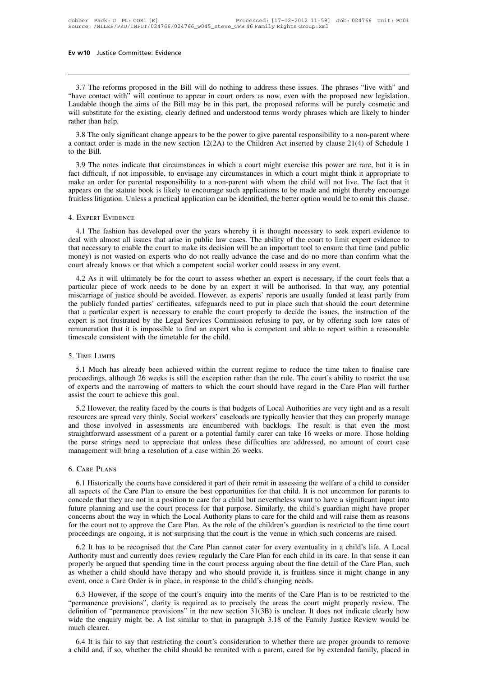3.7 The reforms proposed in the Bill will do nothing to address these issues. The phrases "live with" and<br>3.7 The reforms proposed in the Bill will do nothing to address these issues. The phrases "live with" and<br>ave contac **Ev w10** Justice Committee: Evidence<br> **Evaluation**<br>
3.7 The reforms proposed in the Bill will do nothing to address these issues. The phrases "live with" and<br>
"have contact with" will continue to appear in court orders as **EV W10** Justice Committee: Evidence<br> **EV W10** Justice Committee: Evidence<br> **EVALUATE:** The proposed in the Bill will do nothing to address these issues. The phrases "live with" and<br>
"have contact with" will continue to ap 3.7 The reforms proposed in the Bill will do nothing to address these issues. The phrases "live with" and "have contact with" will continue to appear in court orders as now, even with the proposed new legislation. Laudable 3.7 The reforms pr<br>"have contact with"  $v$ <br>Laudable though the  $v$ <br>will substitute for the<br>rather than help.<br>3.8 The only signifi 3.7 The reforms proposed in the Bill will do nothing to address these issues. The phrases "live with" and ave contact with" will continue to appear in court orders as now, even with the proposed new legislation. udable th 3.7 The reforms proposed in the Bill will do holding to addess these issues. The phrases Trie with and "have contact with" will continue to appear in court orders as now, even with the proposed new legislation. Laudable t rave contact w<br>Laudable though<br>will substitute for<br>a contact order is<br>a contact order is<br>to the Bill.<br>3.9 The notes

Il substitute for the existing, clearly defined and understood terms wordy phrases which are likely to hinder<br>her than help.<br>3.8 The only significant change appears to be the power to give parental responsibility to a non-

Fact difficult, if not impossible, to envisage any circumstances in which a court might exercise this power are rare, but it is in fact difficult, if not impossible, to envisage any circumstances in which a court might th 3.8 The only significant change appears to be the power to give parental responsibility to a non-parent where<br>a contact order is made in the new section  $12(2A)$  to the Children Act inserted by clause  $21(4)$  of Schedule 3.8 The only significant change appears to be the power to give parental responsibility to a non-parent where a contact order is made in the new section  $12(2A)$  to the Children Act inserted by clause  $21(4)$  of Schedule Fruitless litigation. Unless a practical application can be identified, the better option would be to omit this clause.<br>
4. Expect Evidence 1 appropriate that circumstances in which a court might exercise this power are r A. The fashion has developed over the years whereby it is thought necessary to seek expert evidence to galaxien. Unless a practical application can be identified, the better option would be to omit this clause.<br>EXPERT EVID

deal with almost all issues that arise in public law cases. The ability of the better option would be to omit this clause.<br>A. Experiment Evidence Interval application can be identified, the better option would be to omit t that the set of that necessary to the court already knows or that which a competent social worker could set of the court to make its decision will be an important tool to ensure that time (and public money) is not wasted o 4. EXPERT EVIDENCE<br>4. EXPERT EVIDENCE<br>4.1 The fashion has developed over the years whereby it is thought necessary to seek expert evidence to<br>deal with almost all issues that arise in public law cases. The ability of the c money) is not wasted on experts who do not really advance the case and do no more than confirm what the court already knows or that which a competent social worker could assess in any event.<br>4.2 As it will ultimately be fo 4.1 The fashion has developed over the years whereby it is thought necessary to seek expert evidence to al with almost all issues that arise in public law cases. The ability of the court to limit expert evidence to at nece 4.1 The fashion has developed over the years wheteby it is thought hecessary to seek expert evidence to deal with almost all issues that arise in public law cases. The ability of the court to limit expert evidence to that

dear with almost an issues that after in public law cases. The ability of the court to finit expert evidence to<br>that necessary to enable the court to make its decision will be an important tool to ensure that time (and pub that included particly funded particly funded by the Legal Services. Commission refusing to put the court already knows or that which a competent social worker could assess in any event.<br>
4.2 As it will ultimately be for t that a particular expert is necessary to enable the court already knows or that which a competent social worker could assess in any event.<br>
4.2 As it will ultimately be for the court to assess whether an expert is necessar court aneady knows of that which a competent social worker could assess in any event.<br>
4.2 As it will ultimately be for the court to assess whether an expert is necessary, if the court feels that a<br>
particular piece of wor 4.2 As it will ultimately be for the court to assess whether an expert is necessary, if the court feels that a particular piece of work needs to be done by an expert it will be authorised. In that way, any potential miscar particular piece of work needs to be done by an experentiscarriage of justice should be avoided. However, as expert that a particular expert is necessary to enable the court expert is not frustrated by the Legal Services C Free is not frustrated by the Legal Services Commission refusing to pay, or by offering such low rates of nuneration that it is impossible to find an expert who is competent and able to report within a reasonable nescale c

proceedings, although 26 weeks is still the exception rather than the rule. The court within a reasonable timescale consistent with the timetable for the child.<br>
5. TIME LIMITS<br>
5.1 Much has already been achieved within th The narrowing and the narrowing of matters to which the court should have regard in the Care Plan will further assist the court to achieved within the current regime to reduce the time taken to finalise care proceedings, a 5. TIME LIMITS<br>5.1 Much has already been achieved<br>proceedings, although 26 weeks is still the<br>of experts and the narrowing of matters<br>assist the court to achieve this goal.<br>5.2 However, the reality faced by the co TIME LIMITS<br>5.1 Much has already been achieved within the current regime to reduce the time taken to finalise care<br>oceedings, although 26 weeks is still the exception rather than the rule. The court's ability to restrict t 5.1 Much has already been achieved within the current regime to reduce the time taken to finalise care proceedings, although 26 weeks is still the exception rather than the rule. The court's ability to restrict the use of

3.1 Much has already been achieved whilm the current regime to reduce the time taken to mialise care<br>proceedings, although 26 weeks is still the exception rather than the rule. The court's ability to restrict the use<br>of ex proceedings, antiough 20 weeks is sum the exception radiier than the rule. The court's ability to restrict the use<br>of experts and the narrowing of matters to which the court should have regard in the Care Plan will further of experis and the hartowing of matters to winch the court should have regard in the Cate Fran win ruther assist the court to achieve this goal.<br>
5.2 However, the reality faced by the courts is that budgets of Local Author 5.2 However, the reality faced by the courts is that budgets of Locaresources are spread very thinly. Social workers' caseloads are typical and those involved in assessments are encumbered with backle straightforward asses alightforward assessment of a parent or a potential family carer can take 16 weeks or more. Those holding<br>
is purse strings need to appreciate that unless these difficulties are addressed, no amount of court case<br>
magement

The purse strings need to appreciate that unless these difficulties are addressed, no amount of court case management will bring a resolution of a case within 26 weeks.<br>
6. CARE PLANS<br>
6. I Historically the courts have con concerned that they are not in a position of a case within 26 weeks.<br>
6. CARE PLANS<br>
6. This counts have considered it part of their remit in assessing the welfare of a child to consider<br>
all aspects of the Care Plan to en for CARE PLANS<br>6. CARE PLANS<br>6.1 Historically the courts have considered it part of their remit in assessing the welfare of a child to consider<br>all aspects of the Care Plan to ensure the best opportunities for that child. 6. Care PLANS<br>6.1 Historically the courts have considered it part of their remit in assessing the welfare of a child to consider<br>all aspects of the Care Plan to ensure the best opportunities for that child. It is not uncom 6.1 Historically the courts have considered it part of their remit in assessing the welfare of a child to consider<br>all aspects of the Care Plan to ensure the best opportunities for that child. It is not uncommon for paren 6.1 Historically the courts have considered it part of their remit in assessing the welfare of a child to consider<br>all aspects of the Care Plan to ensure the best opportunities for that child. It is not uncommon for parent aspects of the Care Fran to ensure the best opportunities for that clind. It is not uncommon for parents to nocede that they are not in a position to care for a child but nevertheless want to have a significant input into Fulture planning and use the court process for that purpose. Similarly, the child's guardian might have proper concerns about the way in which the Local Authority plans to care for the child and will raise them as reasons

From the branch of the court process for that purpose. Similarly, the child and will raise them as reasons for the court not to approve the Care Plan. As the role of the children's guardian is restricted to the time court For the court not to approve the Care Plan. As the role of the children's guardian is restricted to the time court<br>proceedings are ongoing, it is not surprising that the court is the venue in which such concerns are raised properly be argued that spending time in the court process arguing about the fine detail of the Care Plan, such<br>as whether a child should have therapy and who should provide it, is fruitless since it might change in any<br>ev 6.2 It has to be recognised that the Care Plan cannot cater for every eventuality in a child's life. A Local uthority must and currently does review regularly the Care Plan for each child in its care. In that sense it can 0.2 It has to be recognised that the Cate Fian cannot cater for every eventually in a clind s file. A Local Authority must and currently does review regularly the Care Plan for each child in its care. In that sense it can

Authority must and christify does feview regularly the Cate Fian for each child in its cate. In that sellse it can<br>properly be argued that spending time in the court process arguing about the fine detail of the Care Plan, property be argued that spending time in the court process arguing about the line detail of the Cate Fran, such<br>as whether a child should have therapy and who should provide it, is fruitless since it might change in any<br>ev as whener a chine<br>event, once a Care<br>6.3 However, if<br>"permanence providefinition of "perm<br>wide the enquiry r<br>much clearer.<br>6.4 It is fair to s 6.3 However, if the scope of the court's enquiry into the merits of the Care Plan is to be restricted to the errmanence provisions", clarity is required as to precisely the areas the court might properly review. The finiti a child and, if so, whether the child should be reunited with a parent, cared for by extended family, placed in child and, if so, whether the child should be reunited with a parent, cared for by extended family, placed in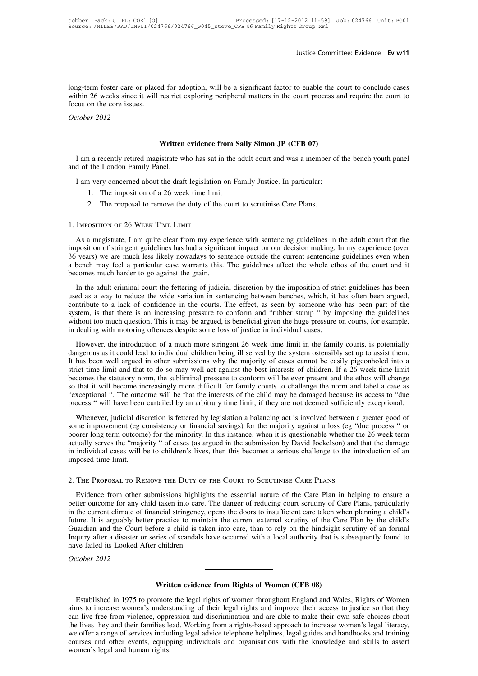Justice Committee: Evidence Ev w11<br>
long-term foster care or placed for adoption, will be a significant factor to enable the court to conclude cases<br>
within 26 weeks since it will restrict exploring peripheral matters in t Justice Committee: Evidence Ev w11<br>long-term foster care or placed for adoption, will be a significant factor to enable the court to conclude cases<br>within 26 weeks since it will restrict exploring peripheral matters in the long-term foster care or place<br>within 26 weeks since it will if<br>ocus on the core issues.<br>October 2012 **Dong-term foster care or within 26 weeks since it focus on the core issues.**<br>*October 2012* **Written evidence from Sally Simon JP (CFB 07)**<br>**Written evidence from Sally Simon JP (CFB 07)**<br>**Written evidence from Sally Simon JP (CFB 07)** 

Via am a recently retired magistrate who has sat in the adult court and was a member of the bench youth panel<br>
The London Family Panel. October 2012<br>
Written<br>
I am a recently retired magistrate wh<br>
and of the London Family Panel.<br>
I am very concerned about the draft Vien evidence from Sally Simon JP (CFB 07)<br>I am a recently retired magistrate who has sat in the adult court and was a member of<br>d of the London Family Panel.<br>I am very concerned about the draft legislation on Family Justi Written evidence from San a recently retired magistrate who has sat in the a the London Family Panel.<br>The imposition of a 26 week time limit<br>1. The imposition of a 26 week time limit<br>2. The proposal to remove the duty of t 2. The proposal to remove the duty of the court and was a member of the London Family Panel.<br>
2. The imposition of a 26 week time limit<br>
2. The proposal to remove the duty of the court to scrutinise Care Plans.<br>
2. The pro I am a recently retired magistrate who has sat is<br>and of the London Family Panel.<br>I am very concerned about the draft legislation<br>1. The imposition of a 26 week time limit<br>2. The proposal to remove the duty of the<br>1. IMPOS

- 
- 

1. The imposition of a 26 week time limit<br>
2. The proposal to remove the duty of the court to scrutinise Care Plans.<br>
IMPOSITION OF 26 WEEK TIME LIMIT<br>
As a magistrate, I am quite clear from my experience with sentencing g i. The imposition of a 26 week time limit<br>2. The proposal to remove the duty of the court to scrutinise Care Plans.<br>1. IMPOSITION OF 26 WEEK TIME LIMIT<br>4. As a magistrate, I am quite clear from my experience with sentencin 2. The proposal to remove the duty of the court to scrutinise Care Plans.<br>
1. IMPOSITION OF 26 WEEK TIME LIMIT<br>
As a magistrate, I am quite clear from my experience with sentencing guidelines in the adult court that the<br>
i 1. IMPOSITION OF 26 WEEK TIME LIMIT<br>As a magistrate, I am quite clear from my experience with sentencing guidelines in the adult court that the<br>imposition of stringent guidelines has had a significant impact on our decisio 1. IMPOSITION OF 26 WEEK TIME LIMIT<br>As a magistrate, I am quite clear from my exper<br>imposition of stringent guidelines has had a signific<br>36 years) we are much less likely nowadays to sen<br>a bench may feel a particular case As a magistrate, I am quite clear from my experience with sentencing guidelines in the adult court that the position of stringent guidelines has had a significant impact on our decision making. In my experience (over years It is a magistrate, T am quite eteat Hom my experience what sentencing guidelines in the data court that the<br>imposition of stringent guidelines has had a significant impact on our decision making. In my experience (over<br>36

miposition of stingthe guidelines has had a significant impact of our decision making. In my experience (over<br>36 years) we are much less likely nowadays to sentence outside the current sentencing guidelines even when<br>a ben so years) we are mean ress intery nowadays to sentence outside the carrent sentencing guidelines even when<br>a bench may feel a particular case warrants this. The guidelines affect the whole ethos of the court and it<br>becomes which must be a particular case warrants ans. The gatacimes arecel the whole clabs of the coart and R becomes much harder to go against the grain.<br>
In the adult criminal court the fettering of judicial discretion by the im In the adult criminal court the fettering of judicial discretion by the imposition of strused as a way to reduce the wide variation in sentencing between benches, which, it l contribute to a lack of confidence in the court In the aath criminal coal the lettering or judicial distriction by the imposition of stift guidelines has been<br>ed as a way to reduce the wide variation in sentencing between benches, which, it has often been argued,<br>stem, describitute to a lack of confidence in the courts. The effect, as seen by someone who has been part of the contribute to a lack of confidence in the courts. The effect, as seen by someone who has been part of the system,

It has been well argued in other submissions why the majority of cases cannot be ever peace that there is an increasing pressure to conform and "rubber stamp " by imposing the guidelines without too much question. This it strict time limit and that to do so may well act against the best interests of children. This it may be argued, is beneficial given the huge pressure on courts, for example, in dealing with motoring offences despite some l becomes the statutory norm, the subliminal pressure to conform will be ever pressure of courts, tor example, in dealing with motoring offences despite some loss of justice in individual cases.<br>However, the introduction of If we introduction of a much more stringent 26 week time limit in the family courts, is potentially dangerous as it could lead to individual children being ill served by the system ostensibly set up to assist them. It has However, the introduction of a much more stringent 26 week time limit in the family courts, is potentially dangerous as it could lead to individual children being ill served by the system ostensibly set up to assist them. dangerous as it could lead to individual children being ill served by the system ostensibly set up to assist them.<br>It has been well argued in other submissions why the majority of cases cannot be easily pigeonholed into a<br> In the limit and that to do so may well act against the best interests of children. If a 26 week time limit comes the statutory norm, the subliminal pressure to conform will be ever present and the ethos will change that i sinct time finit and that to do so may weri act against the osst interests or emident. It a 20 week time finite<br>becomes the statutory norm, the subliminal pressure to conform will be ever present and the ethos will change<br>

becomes the statuary norm, the submimian pressure to conform with our verty present and the ethos with change<br>so that it will become increasingly more difficult for family courts to challenge the norm and label a case as<br>" actually serves the "majority " of cases (as argued in the submission by David Jockelson) and the interests of the child may be damaged because its access to "due process " will have been curtailed by an arbitrary time lim Exceptional 1. The oatcome win of that the interests of the eind may be damaged occause its access to the<br>process " will have been curtailed by an arbitrary time limit, if they are not deemed sufficiently exceptional.<br>When in individual cases will be to children's lives, then this becomes a serious challenge to the introduction of an imposed time limit.<br>2. THE PROPOSAL TO REMOVE THE DUTY OF THE COURT TO SCRUTINISE CARE PLANS. Whenever, judicial discretion is fettered by legislation a balancing act is involved between a greater good of<br>some improvement (eg consistency or financial savings) for the majority against a loss (eg "due process " or<br>po

in individual cases will be to children's lives, then this becomes a serious challenge to the introduction of an<br>imposed time limit.<br>2. THE PROPOSAL TO REMOVE THE DUTY OF THE COURT TO SCRUTINISE CARE PLANS.<br>Evidence from o imposed time limit.<br>
2. THE PROPOSAL TO REMOVE THE DUTY OF THE COURT TO SCRUTINISE CARE PLANS.<br>
Evidence from other submissions highlights the essential nature of the Care Plan in helping to ensure a<br>
better outcome for an 2. The Proposal To Remove The DUTY OF The COURT TO SCRUTINISE CARE PLANS.<br>
Evidence from other submissions highlights the essential nature of the Care Plan in helping to ensure a<br>
better outcome for any child taken into ca 2. THE PROPOSAL TO REMOVE THE DUTY OF THE COURT TO SCRUTINISE CARE PLANS.<br>Evidence from other submissions highlights the essential nature of the Care Plan in helping to ensure a<br>better outcome for any child taken into care Evidence from other submissions highlights the essential nature of the Care Plan in helping to ensure a better outcome for any child taken into care. The danger of reducing court scrutiny of Care Plans, particularly in th Evidence from other submissions highlifeletter outcome for any child taken into care<br>in the current climate of financial stringency<br>future. It is arguably better practice to mai<br>Guardian and the Court before a child is ta<br> better outcome for any c<br>in the current climate of<br>future. It is arguably bet<br>Guardian and the Court<br>Inquiry after a disaster of<br>have failed its Looked A<br>*October 2012* Figure 2 and a state of scandals have occurred with a local authority that is s<br>reis of scandals have occurred with a local authority that is s<br>children.<br>Written evidence from Rights of Women (CFB 08)<br>pmote the legal right

Vertiliant and its Looked After children.<br> **Established in 1975 to promote the legal rights of women throughout England and Wales, Rights of Women**<br>
In the promote the legal rights of women throughout England and Wales, Ri Aim and Males, Rights of Women (CFB 08)<br>
aims to increase women's understanding of their legal rights and improve their access to justice so that they<br>
can live free from violence, oppression and discrimination and are abl **Exablished in 1975 to promote the legal rights of Women (CFB 08)**<br>Established in 1975 to promote the legal rights of women throughout England and Wales, Rights of Women<br>aims to increase women's understanding of their lega **Established in 1975 to promote the legal rights of Women (CFB 08)**<br>Established in 1975 to promote the legal rights of women throughout England and Wales, Rights of Women<br>aims to increase women's understanding of their leg **Written evidence from Rights of Women (CFB 08)**<br>Established in 1975 to promote the legal rights of women throughout England and Wales, Rights of Women<br>aims to increase women's understanding of their legal rights and impro Established in 1975 to promote the legal rights of women throughout England and Wales, Rights of Women<br>aims to increase women's understanding of their legal rights and improve their access to justice so that they<br>can live Established in 1975 to promote<br>aims to increase women's unders<br>can live free from violence, oppr<br>the lives they and their families le<br>we offer a range of services inclue<br>courses and other events, equipy<br>women's legal and h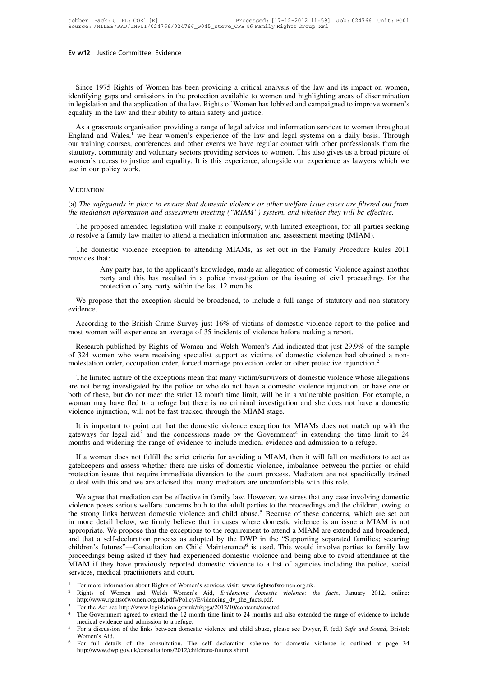w<sup>12</sup> Justice Committee: Evidence<br>Since 1975 Rights of Women has been providing a critical analysis of the law and its impact on women,<br>entifying gaps and omissions in the protection available to women and highlighting are **Ev w12** Justice Committee: Evidence<br>
Since 1975 Rights of Women has been providing a critical analysis of the law and its impact on women,<br>
identifying gaps and omissions in the protection available to women and highlight **Ev w12** Justice Committee: Evidence<br>
Since 1975 Rights of Women has been providing a critical analysis of the law and its impact on women,<br>
identifying gaps and omissions in the protection available to women and highlight Since 1975 Rights of Women has been providing a critical analy<br>identifying gaps and omissions in the protection available to women<br>in legislation and the application of the law. Rights of Women has lob<br>equality in the law Since 1975 Rights of Women has been providing a critical analysis of the law and its impact on women,<br>entifying gaps and omissions in the protection available to women and highlighting areas of discrimination<br>legislation a

Since 1975 Rights of Women has been providing a critical analysis of the law and its impact on women,<br>identifying gaps and omissions in the protection available to women and highlighting areas of discrimination<br>in legislat once 1975 Nights of Wolnen has been providing a efficient analysis of the faw and its impact on women,<br>identifying gaps and omissions in the protection available to women and highlighting areas of discrimination<br>in legisla statutory, community and voluntary sectors are provided and campaigning actes of discrimination<br>and the application of the law. Rights of Women has lobbied and campaigned to improve women's<br>equality in the law and their ab In registation and the application of the faw. Kights of Women has tooloca and campagned to improve women's equality in the law and their ability to attain safety and justice.<br>As a grassroots organisation providing a range equality in the law and their ability to attain safety and justice.<br>As a grassroots organisation providing a range of legal advice and information services to women throughout<br>England and Wales,<sup>1</sup> we hear women's experien Statutory, community and voluntary sectors providing services to women. This also gives us a broad picture of<br>women's access to justice and equality. It is this experience, alongside our experience as lawyers which we<br>use *the mediation information and equality. It is this experience, alongside our experience as lawyers which we use in our policy work.*<br>*MEDIATION*<br>*(a) The safeguards in place to ensure that domestic violence or other welfa* 

### **MEDIATION**

EDIATION<br>The safeguards in place to ensure that domestic violence or other welfare issue cases are filtered out from<br>*e* mediation information and assessment meeting ("MIAM") system, and whether they will be effective.<br>Th (a) The safeguards in place to ensure that domestic violence or other welfare issue cases are filtered out the mediation information and assessment meeting ("MIAM") system, and whether they will be effective<br>The proposed a The safeguards in place to ensure that domestic violence or other welfare issue cases are filtered out from<br>
remediation information and assessment meeting ("MIAM") system, and whether they will be effective.<br>
The proposed (a) The safeguards if<br>the mediation inform<br>The proposed am<br>to resolve a family<br>The domestic vie<br>provides that:<br>Any party<br>narty and

For *algo malited legislation* will make it compulsory, with limited exceptions, for all parties seeking a family law matter to attend a mediation information and assessment meeting (MIAM).<br>
mestic violence exception to at posed amended legislation will make it compulsory, with limited exceptions, for all parties seeking a family law matter to attend a mediation information and assessment meeting (MIAM).<br>mestic violence exception to attendin to resolve a family law matter to attend a mediation information and assessment meeting (MIAM).<br>The domestic violence exception to attending MIAMs, as set out in the Family Procedure Rules 2011<br>provides that:<br>Any party has The domestic violence exception to attending MIAMs, as set out in the Family Procedure Rules 2011<br>
wides that:<br>
Any party has, to the applicant's knowledge, made an allegation of domestic Violence against another<br>
party an Any party has, to the applicant's knowledge, made an allegation of domestic Violence against another<br>party and this has resulted in a police investigation or the issuing of civil proceedings for the<br>protection of any party

evidence.

We propose that the exception should be broadened, to include a full range of statutory and non-statutory<br>evidence.<br>According to the British Crime Survey just 16% of victims of domestic violence report to the police and<br>mo

We propose that the exception should be broadened, to include a full range of statutory and non-statutory<br>dence.<br>According to the British Crime Survey just 16% of victims of domestic violence report to the police and<br>ost w We propose that the exception should be broadened, to include a full range of statutory and non-statutory evidence.<br>
According to the British Crime Survey just 16% of victims of domestic violence report to the police and m

evidence.<br>
According to the British Crime Survey just 16% of victims of domestic violence report to the police and<br>
most women will experience an average of 35 incidents of violence before making a report.<br>
Research publis most women will experience an average of 35 incidents of violence before making a report.<br>
Research published by Rights of Women and Welsh Women's Aid indicated that just 29.9% of the sample<br>
of 324 women who were receivin Research published by Rights of Women and Welsh Women's Aid indicated that just 29.9% of the sample<br>of 324 women who were receiving specialist support as victims of domestic violence had obtained a non-<br>molestation order, We see the problem who were receiving specialist support as victims of domestic violence had obtained a non-<br>molestation order, occupation order, forced marriage protection order or other protective injunction.<sup>2</sup><br>The limi molestation order, occupation order, forced marriage protection order or other protective injunction.<sup>2</sup><br>The limited nature of the exceptions mean that many victim/survivors of domestic violence whose allegations<br>are not The limited nature of the exceptions mean that many victim/survivors of domestic violence whose allegations<br>
a not being investigated by the police or who do not have a domestic violence injunction, or have one or<br>
th of t are not being investigated by the police or who do not have a domestic violence injunction, or have one or both of these, but do not meet the strict 12 month time limit, will be in a vulnerable position. For example, a wom in extending to the time whose antigations<br>in extending to the time one or<br>vulnerable position. For example, a<br>and she does not have a domestic<br>IAMs does not match up with the<br>in extending the time limit to 24<br>d admission both of these, but do not meet the strict 12 month time limit, will be in a vulnerable position. For example, a<br>woman may have fled to a refuge but there is no criminal investigation and she does not have a domestic<br>violen

man may have fled to a refuge but there is no criminal investigation and she does not have a domestic<br>plence injunction, will not be fast tracked through the MIAM stage.<br>It is important to point out that the domestic viole violence injunction, will not be fast tracked through the MIAM stage.<br>It is important to point out that the domestic violence exception for MIAMs does not match up with the<br>gateways for legal aid<sup>3</sup> and the concessions mad It is important to point out that the domestic violence exception for MIAMs does not match up with the gateways for legal aid<sup>3</sup> and the concessions made by the Government<sup>4</sup> in extending the time limit to 24 months and wi protection issues that require immediate diversion to the court process. Mediators are not specifically trained<br>to deal with this and we are advised that many mediators are uncomfortable with this role.<br>We agree that media orthis and widening the range of evidence to include medical evidence and admission to a retuge.<br>If a woman does not fulfill the strict criteria for avoiding a MIAM, then it will fall on mediators to act as<br>tekeepers and a

If a woman does not fulfill the strict criteria for avoiding a MIAM, then it will fall on mediators to act as gatekeepers and assess whether there are risks of domestic violence, imbalance between the parties or child prot It a woman does not ranni are strict critical tof avoiding a MHM, then it win fail on includiors to det as<br>gatekeepers and assess whether there are risks of domestic violence, imbalance between the parties or child<br>protect gate the state is and assess whence there are fisks of domestic violence, implanted between the parties of emit<br>protection issues that require immediate diversion to the court process. Mediators are not specifically traine brocection issues that require immediate diversion to the coart process. Mediators are not specifically damed<br>to deal with this and we are advised that many mediators are uncomfortable with this role.<br>We agree that mediati be dear whit ans and we are advised that many mediadors are diffeombrable whit ans fore.<br>We agree that mediation can be effective in family law. However, we stress that any case involving domestic<br>violence poses serious we the strong links between domestic violence and child abuse.<sup>5</sup> Because of these concerns, which are set out in more detail below, we firmly believe that in cases where domestic violence is an issue a MIAM is not appropriat Iowever, we stress that any case involving domestic<br>arties to the proceedings and the children, owing to<br>se.<sup>5</sup> Because of these concerns, which are set out<br>ere domestic violence is an issue a MIAM is not<br>ent to attend a M violence poses serious welfare concerns both to the adult parties to the proceedings and the children, owing to the strong links between domestic violence and child abuse.<sup>5</sup> Because of these concerns, which are set out in the strong links between domestic violence and child abuse.<sup>5</sup> Because of these concerns, which are set out<br>in more detail below, we firmly believe that in cases where domestic violence is an issue a MIAM is not<br>appropriat in more detail below, we firmly believe that in cases where domestic violence is an issue a MIAM is not<br>appropriate. We propose that the exceptions to the requirement to attend a MIAM are extended and broadened,<br>and that a MIAM if they have previously reported domestic violence to a list of agen<br>services, medical practitioners and court.<br><sup>1</sup> For more information about Rights of Women's services visit: www.rightsofwomen.org.u<br><sup>2</sup> Rights of Wo

http://www.rightsofwomen.org.uk/pdfs/Policy/Evidencing\_dv\_the\_facts.pdf.

services, medical practitioners and court.<br>
<sup>1</sup> For more information about Rights of Women's services visit: www.rightsofwomen.org.uk.<br>
<sup>2</sup> Rights of Women and Welsh Women's Aid, *Evidencing domestic violence: the facts*, medical evidence: the facts, January 2012, online:<br>
<sup>2</sup> Rights of Women and Welsh Women's Aid, *Evidencing domestic violence: the facts*, January 2012, online:<br>
<sup>3</sup> For the Act see http://www.legislation.gov.uk/ukpga/2012/ Rights of Women and Welsh Women's Aid, *Evidencing domestic violence: the facts*, January 2012, online:<br>
http://www.rightsofwomen.org.uk/pdfs/Policy/Evidencing\_dv\_the\_facts.pdf.<br>
<sup>3</sup> For the Act see http://www.legislation

http://www.dwp.gov.uk/consultations/2012/childrens-futures.shtml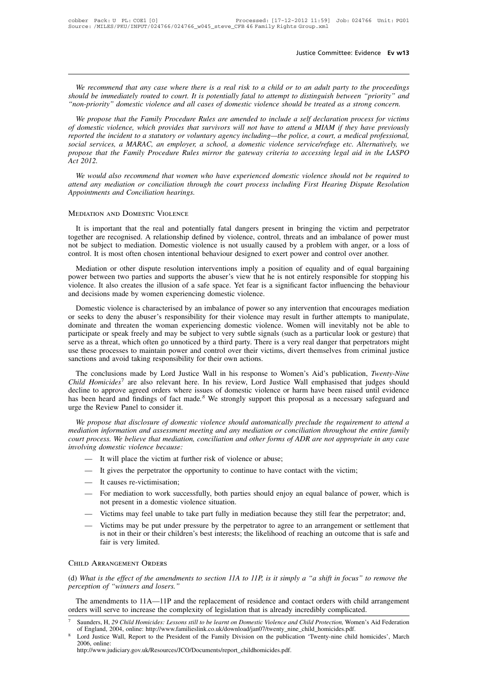*We recommend that any case where there is a real risk to a child or to an adult party to the proceedings*<br>*We recommend that any case where there is a real risk to a child or to an adult party to the proceedings*<br>*on-prio* **For the interpolar and that any case where there is a real risk to a child or to an adult party to the proceedings should be immediately routed to court. It is potentially fatal to attempt to distinguish between "priority The metallicary of the metallicity of the metallicity of the metallicity of the proceedings**<br>*We recommend that any case where there is a real risk to a child or to an adult party to the proceedings*<br>*should be immediatel We recommend that any case where there is a real risk to a child or to an adult party to the proceedings ould be immediately routed to court. It is potentially fatal to attempt to distinguish between "priority" and on-p* 

*We recommend that any case where there is a real risk to a child or to an adult party to the proceedings should be immediately routed to court. It is potentially fatal to attempt to distinguish between "priority" and "non Frequence incommend that any case where there is a real risk to a child or to an adult party to the proceedings*<br>*should be immediately routed to court. It is potentially fatal to attempt to distinguish between "priority" should be immediately routed to court. It is potentially fatal to attempt to distinguish between "priority" and "non-priority" domestic violence and all cases of domestic violence should be treated as a strong concern.*<br> *propose that the Family Procedure Rules are amended to include a self declaration process for victims*<br> *propose that the Family Procedure Rules are amended to include a self declaration process for victims*<br> *propose tha Action-provity*<br>*We propose*<br>*Act 2012.*<br>*Act 2012.*<br>*We would al We propose that the Family I roceaure Kules are amended to include a self declariation process for victims*<br>domestic violence, which provides that survivors will not have to attend a MIAM if they have previously<br>corted th *atterd any mediation or conciliation hearings.*<br>*atterd any mediation of a statutory or voluntary agency including—the police, a court, a medical professional,*<br>*social services, a MARAC, an employer, a school, a domestic Appoint and Incident to a statutory or voluntary associal services, a MARAC, an employer, a schood propose that the Family Procedure Rules mirror Act 2012.<br>We would also recommend that women who has attend any mediation o* 

We would also recommend that women who have experienced domestic violence should not be required to<br>
end any mediation or conciliation through the court process including First Hearing Dispute Resolution<br>
pointments and Co

attend any mediation or conciliation through the court process including First Hearing Dispute Resolution<br>Appointments and Conciliation hearings.<br>MEDIATION AND DOMESTIC VIOLENCE<br>It is important that the real and potentiall Appointments and Conciliation hearings.<br>
MEDIATION AND DOMESTIC VIOLENCE<br>
It is important that the real and potentially fatal dangers present in bringing the victim and perpetrator<br>
together are recognised. A relationship MEDIATION AND DOMESTIC VIOLENCE<br>It is important that the real and potentially fatal dangers present in bringing the victim and perpetrato<br>together are recognised. A relationship defined by violence, control, threats and an EDIATION AND DOMESTIC VIOLENCE<br>It is important that the real and potentially fatal dangers present in bringing the victim and perpetrator<br>gether are recognised. A relationship defined by violence, control, threats and an i

It is important that the real and potentially fatal dangers present in bringing the victim and perpetrator together are recognised. A relationship defined by violence, control, threats and an imbalance of power must not be via the important during the reationship defined by violence, control, threats and an imbalance of power must<br>not be subject to mediation. Domestic violence is not usually caused by a problem with anger, or a loss of<br>contr and the subject to mediation. Domestic violence is not usually cause<br>control. It is most often chosen intentional behaviour designed to exe<br>Mediation or other dispute resolution interventions imply a posit<br>power between tw ntrol. It is most often chosen intentional behaviour designed to exert power and control over another.<br>Mediation or other dispute resolution interventions imply a position of equality and of equal bargaining<br>wer between tw

Mediation or other dispute resolution interventions imply a position of equality and of equal bargaining<br>power between two parties and supports the abuser's view that he is not entirely responsible for stopping his<br>violenc Experience to verify and solution interventions in the verifies and support of equal of equal of equal of the absorber power between two parties and supports the abuser's view that he is not entirely responsible for stoppi prover between two parties and supports are absolved by the what it is not entirely responsible for stepping inside<br>violence. It also creates the illusion of a safe space. Yet fear is a significant factor influencing the b Fronchice. It also everate the intension of a state space. Tet feat is a significant rate of initiation and decisions made by women experiencing domestic violence.<br>
Domestic violence is characterised by an imbalance of pow Inductions induct by women experiencing domestic violence.<br>
Domestic violence is characterised by an imbalance of power so any intervention that encourages mediation<br>
or seeks to deny the abuser's responsibility for their Domestic violence is characterised by an imbalance of power so any intervention that encourages mediation or seeks to deny the abuser's responsibility for their violence may result in further attempts to manipulate, domina decline to approve agreed orders where issues of domestic violence. Wonter win incrudibly not be able to participate or speak freely and may be subject to very subtle signals (such as a particular look or gesture) that ser

Child Homicides<sup>7</sup> are also relevant here. In his review, Lord Justice Wall emphasised that judges should decline to approve agreed orders where issues of domestic violence or harm have been raised until evidence purely a a plant of speak incelly and may be stagged to very statue signation (stach as a particular look or gestart) and<br>serve as a threat, which often go unnoticed by a third party. There is a very real danger that perpe betwe as a mean, when other go unioneed by a unit party. There is a very lear analger had perpetuates inginual use these processes to maintain power and control over their victims, divert themselves from criminal justice s sanctions and avoid taking responsibility for<br>Sanctions and avoid taking responsibility for<br>The conclusions made by Lord Justice<br>Child Homicides<sup>7</sup> are also relevant here.<br>decline to approve agreed orders where is<br>has bee The conclusions made by Lord Justice Wall in his response to Women's Aid's publication, *Twenty-Nine*<br> *wild Homicides<sup>7</sup>* are also relevant here. In his review, Lord Justice Wall emphasised that judges should<br>
cline to ap *mediation information and assessment meeting and any mediation and other forms of ADR are not appropriate in any case involving domestic violence has been heard and findings of fact made.<sup>8</sup> We strongly support this propo* 

*chua Homiciaes* are also fictvant fict. In ins fever, Eord Justice wan emphasised that judges should decline to approve agreed orders where issues of domestic violence or harm have been raised until evidence has been hea decime to approve agreed otects where issues of unitselying this proposal as a necessary safeguard and<br>has been heard and indiangs of fact made.<sup>8</sup> We strongly support this proposal as a necessary safeguard and<br>urge the Re

- 
- 
- 
- 
- 
- It will place the victim at further risk of violence or abuse;<br>
 It will place the victim at further risk of violence or abuse;<br>
 It gives the perpetrator the opportunity to continue to have contact with the victim;<br>
 I It causes re-victimisation;<br>For mediation to work successfully, both parties should enjoy an equal balance of power, which is<br>not present in a domestic violence situation.<br>Victims may feel unable to take part fully in medi For mediation to work so<br>not present in a domestic<br>Victims may feel unable<br>Victims may be put unde<br>is not in their or their chi<br>fair is very limited. (d) *What is the effect of the amendments to section 11A to 11P, is it simply a "a shift in focus" to remove the perception of "winners and losers."*

### Child Arrangement Orders

*Fair is very limited.*<br> **CHILD ARRANGEMENT ORDERS**<br> **(d)** What is the effect of the amendments to section 11A to 11P, is it simply a "a shift in focus" to remove the perception of "winners and losers."<br>
The amendments to

THLD ARRANGEMENT ORDERS<br>
What is the effect of the amendments to section 11A to 11P, is it simply a "a shift in focus" to remove the<br>
reeption of "winners and losers."<br>
The amendments to 11A—11P and the replacement of resi CHILD ARRANGEMENT ORDERS<br>
(d) What is the effect of the amendments to section 11A to 11P, is it simply a "a shift in focus" to remove the<br>
perception of "winners and losers."<br>
The amendments to 11A—11P and the replacement perception of "winners and losers."<br>The amendments to 11A—11P and the replacement of residence and contact orders with child arrangement<br>orders will serve to increase the complexity of legislation that is already incredibl The amendments to 11A—11P and the replacement of residence and contact orders with child arrangement<br>ders will serve to increase the complexity of legislation that is already incredibly complicated.<br>Saunders, H, 29 Child H

http://www.judiciary.gov.uk/Resources/JCO/Documents/report\_childhomicides.pdf.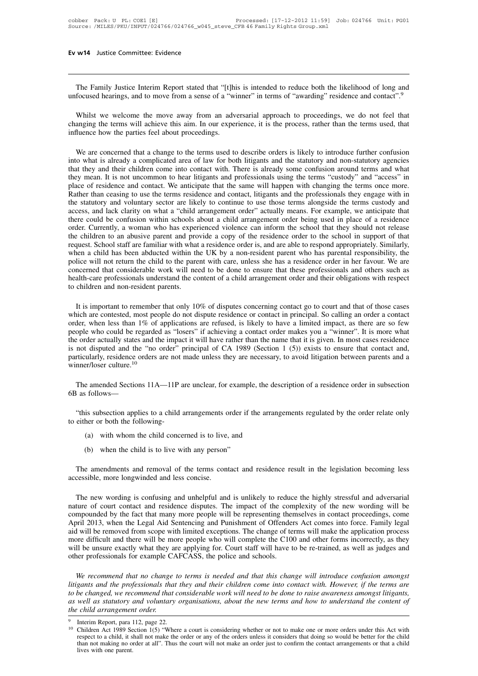**The Family Justice Interim Report stated that "[t]his is intended to reduce both the likelihood of long and focused hearings, and to move from a sense of a "winner" in terms of "awarding" residence and contact".<sup>9</sup>** 

**EV W14** Justice Committee: Evidence<br>
The Family Justice Interim Report stated that "[t]his is intended to reduce both the likelihood of long and<br>
unfocused hearings, and to move from a sense of a "winner" in terms of "awa The Family Justice Interim Report stated that "[t]his is intended to reduce both the likelihood of long and unfocused hearings, and to move from a sense of a "winner" in terms of "awarding" residence and contact".<sup>9</sup><br>Whils The Family Justice Interim Report stated that "[t]hi unfocused hearings, and to move from a sense of a "wi<br>Whilst we welcome the move away from an advertinging the terms will achieve this aim. In our experimence how the pa Whilst we welcome the move away from an adversarial approach to proceedings, we do not feel that anging the terms will achieve this aim. In our experience, it is the process, rather than the terms used, that duence how the

Whilst we welcome the move away from an adversarial approach to proceedings, we do not feel that changing the terms will achieve this aim. In our experience, it is the process, rather than the terms used, that influence ho Whilst we welcome the move away from an adversarial approach to proceedings, we do not feel that changing the terms will achieve this aim. In our experience, it is the process, rather than the terms used, that influence ho changing the terms will achieve this aim. In our experience, it is the process, rather than the terms used, that<br>influence how the parties feel about proceedings.<br>We are concerned that a change to the terms used to describ influence how the parties feel about proceedings.<br>We are concerned that a change to the terms used to describe orders is likely to introduce further confusion<br>into what is already a complicated area of law for both litigan We are concerned that a change to the terms used to describe orders is likely to introduce further confusion into what is already a complicated area of law for both litigants and the statutory and non-statutory agencies th We are concerned that a change to the terms used to describe orders is likely to introduce further confusion<br>into what is already a complicated area of law for both litigants and the statutory and non-statutory agencies<br>th into what is already a complicated area of law for both litigants and the statutory and non-statutory agencies<br>that they and their children come into contact with. There is already some confusion around terms and what<br>they that they and their children come into contact with. There is already some confusion around terms and what they mean. It is not uncommon to hear litigants and professionals using the terms "custody" and "access" in place o they mean. It is not uncommon to hear litigants and professionals using the terms "custody" and "access" in place of residence and contact. We anticipate that the same will happen with changing the terms once more. Rather place of residence and contact. We anticipate that the same will happen with changing the terms once more.<br>Rather than ceasing to use the terms residence and contact, litigants and the professionals they engage with in<br>the Rather than ceasing to use the terms residence and contact, litigants and the professionals they engage with in<br>the statutory and voluntary sector are likely to continue to use those terms alongside the terms custody and<br>a the statutory and voluntary sector are likely to continue to use those terms alongside the terms custody and access, and lack clarity on what a "child arrangement order" actually means. For example, we anticipate that ther access, and lack clarity on what a "child arrangement order" actually means. For example, we anticipate that<br>there could be confusion within schools about a child arrangement order being used in place of a residence<br>order. there could be confusion within schools about a child arrangement order being used in place of a residence order. Currently, a woman who has experienced violence can inform the school that they should not release the child order. Currently, a woman who has experienced violence can inform the school that they should not release the children to an abusive parent and provide a copy of the residence order to the school in support of that request the children to an abusive parent and provide a copy of the residence order to the school in support of that request. School staff are familiar with what a residence order is, and are able to respond appropriately. Similar level a child has been abducted within the UK by a non-resident parent who has parental responsibility, the lice will not return the child to the parent with care, unless she has a residence order in her favour. We are nor

police will not return the child to the parent with care, unless she has a residence order in her favour. We are concerned that considerable work will need to be done to ensure that these professionals and others such as h concerned that considerable work will need to be done to ensure that these professionals and others such as<br>health-care professionals understand the content of a child arrangement order and their obligations with respect<br>t health-care protessionals understand the content of a child arrangement order and their obligations with respect<br>to children and non-resident parents.<br>It is important to remember that only 10% of disputes concerning contac to children and non-resident parents.<br>It is important to remember that only 10% of disputes concerning contact go to court and that of those cases<br>which are contested, most people do not dispute residence or contact in pri It is important to remember that only 10% of disputes concerning contact go to court and that of those cases which are contested, most people do not dispute residence or contact in principal. So calling an order a contact It is important to remember that only 10% of disputes concerning contact go to court and that of those cases which are contested, most people do not dispute residence or contact in principal. So calling an order a contact which are contested, most people do not dispute residence or contact in principal. So calling an order a contact<br>order, when less than 1% of applications are refused, is likely to have a limited impact, as there are so few the order actually states and the impact<br>is not disputed and the "no order" pr<br>particularly, residence orders are not n<br>winner/loser culture.<sup>10</sup><br>The amended Sections 11A—11P ar<br>6B as follows—<br>"this subsection applies to a

The amended Sections 11A—11P are unclear, for example, the description of a residence order in subsection<br>as follows—<br>"this subsection applies to a child arrangements order if the arrangements regulated by the order relate The amended Sections 11A—11P and<br>6B as follows—<br>"this subsection applies to a child and<br>to either or both the following-<br>(a) with whom the child concerne e amended Sections 11A—11P are unclear, for example, the de<br>
is subsection applies to a child arrangements order if the arrar<br>
ther or both the following-<br>
(a) with whom the child concerned is to live, and<br>
(b) when the ch

(b) is subsection applies to a child arrangements order if the<br>
ther or both the following-<br>
(a) with whom the child concerned is to live, and<br>
(b) when the child is to live with any person"<br>
e amendments and removal of th

- 
- 

The amendments and removal of the terms contact and residence result in the legislation becoming less<br>
(a) when the child is to live with any person"<br>
The amendments and removal of the terms contact and residence result in (a) with whom the child concerned is to live,<br>
(b) when the child is to live with any person'<br>
The amendments and removal of the terms concessible, more longwinded and less concise.<br>
The new wording is confusing and unhelp

(b) when the child is to live with any person"<br>The amendments and removal of the terms contact and residence result in the legislation becoming less<br>cessible, more longwinded and less concise.<br>The new wording is confusing The amendments and removal of the terms contact and residence result in the legislation becoming less<br>accessible, more longwinded and less concise.<br>The new wording is confusing and unhelpful and is unlikely to reduce the h The amendments and removal of the terms contact and residence result in the legislation becoming less accessible, more longwinded and less concise.<br>The new wording is confusing and unhelpful and is unlikely to reduce the h The amendments and removal of the terms contact and residence result in the legislation becoming less<br>accessible, more longwinded and less concise.<br>The new wording is confusing and unhelpful and is unlikely to reduce the h accessible, more longwinded and less concise.<br>The new wording is confusing and unhelpful and is unlikely to reduce the highly stressful and adversarial<br>nature of court contact and residence disputes. The impact of the comp The new wording is confusing and unhelpful and is unlikely to reduce the highly stressful and adversarial nature of court contact and residence disputes. The impact of the complexity of the new wording will be compounded b The new wording is confusing and unhelpful and is unlikely to reduce the highly stressful and adversarial nature of court contact and residence disputes. The impact of the complexity of the new wording will be compounded b nature of court contact and residence disputes. The impact of the com<br>compounded by the fact that many more people will be representing then<br>April 2013, when the Legal Aid Sentencing and Punishment of Offender<br>aid will be *We recommend that no change to terms is needed and that this change will make the application process* ore difficult and there will be more people who will complete the C100 and other forms incorrectly, as they ll be unsu *laid will be removed from scope with limited exceptions. The change of terms will make the application process* more difficult and there will be more people who will complete the C100 and other forms incorrectly, as they

more difficult and there will be more people who will complete the C100 and other forms incorrectly, as they will be unsure exactly what they are applying for. Court staff will have to be re-trained, as well as judges and will be unsure exactly what they are applying for. Court staff will have to be re-trained, as well as judges and<br>other professionals for example CAFCASS, the police and schools.<br>*We recommend that no change to terms is nee* other professionals for example CAFCASS, the police and schools.<br> *We recommend that no change to terms is needed and that this change will introduce confusion amongst<br>
litigants and the professionals that they and their c* 

be changed, we recommend that considerable work will need to be done to raise awareness amongst litigants, well as statutory and voluntary organisations, about the new terms and how to understand the content of child arran well as statutory and voluntary organisations, about the new terms and how to understand the content of<br>child arrangement order.<br>Interim Report, para 112, page 22.<br>Children Act 1989 Section 1(5) "Where a court is consideri *child arrangemen*<br>Interim Report, para 1<br>Children Act 1989 Se<br>respect to a child, it s<br>than not making no of<br>lives with one parent.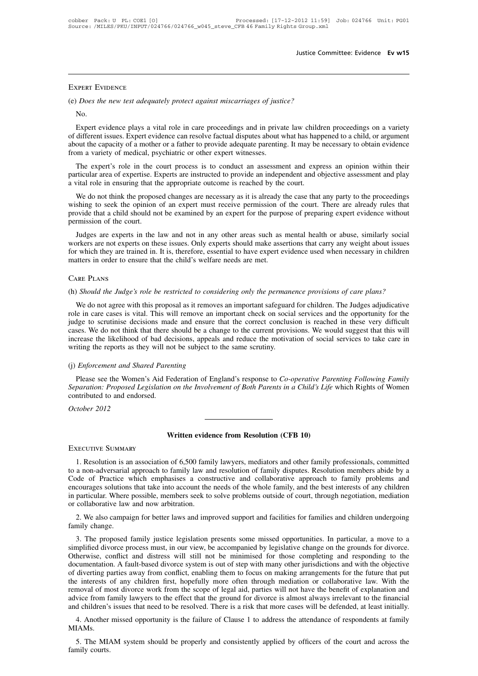### Expert Evidence

FIFRE SUIDENCE<br>
(e) *Does the new test adequately protect against miscarriages of justice?*<br>
No.

No.

EXPERT EVIDENCE<br>
Does the new test adequately protect against miscarriages of justice?<br>
No.<br>
Expert evidence plays a vital role in care proceedings and in private law children proceedings on a variety<br>
different issues. Ex EXPERT EVIDENCE<br>
(e) *Does the new test adequately protect against miscarriages of justice?*<br>
No.<br>
Expert evidence plays a vital role in care proceedings and in private law children proceedings on a variety<br>
of different i EXTERT EVIDENCE<br>
(e) *Does the new test adequately protect against miscarriages of justice?*<br>
No.<br>
Expert evidence plays a vital role in care proceedings and in private law children proceedings on a variety<br>
of different i (e) *Does the new test adequately protect against miscarriages of justi* No.<br>
So. Expert evidence plays a vital role in care proceedings and in priva<br>
of different issues. Expert evidence can resolve factual disputes about No.<br>Expert evidence plays a vital role in care proceedings and in private law children proceedings on a variety<br>different issues. Expert evidence can resolve factual disputes about what has happened to a child, or argument Expert evidence plays a vital role in care proceedings and in private law children proceedings on a variety of different issues. Expert evidence can resolve factual disputes about what has happened to a child, or argument Expert evidence plays a vital role in care proceedings and in private law child<br>of different issues. Expert evidence can resolve factual disputes about what has hap<br>about the capacity of a mother or a father to provide ade

out the capacity of a mother or a father to provide adequate parenting. It may be necessary to obtain evidence<br>om a variety of medical, psychiatric or other expert witnesses.<br>The expert's role in the court process is to co from a variety of medical, psychiatric or other expert witnesses.<br>The expert's role in the court process is to conduct an assessment and express an opinion within their<br>particular area of expertise. Experts are instructed The expert's role in the court process is to conduct an assessment and express an opinion within their particular area of expertise. Experts are instructed to provide an independent and objective assessment and play a vita The expert's fole in the contract<br>particular area of expertise. E<br>a vital role in ensuring that the<br>We do not think the propose<br>wishing to seek the opinion<br>provide that a child should no<br>permission of the court.<br>Judges are ital role in ensuring that the appropriate outcome is reached by the court.<br>We do not think the proposed changes are necessary as it is already the case that any party to the proceedings<br>shing to seek the opinion of an exp

We do not think the proposed changes are necessary as it is already the case that any party to the proceedings<br>wishing to seek the opinion of an expert must receive permission of the court. There are already rules that<br>pro We do not unik the proposed changes are necessary as it is an eady the case that any party to the proceedings<br>wishing to seek the opinion of an expert must receive permission of the court. There are already rules that<br>prov wishing to seek the opinion of all expert must receive permission of<br>provide that a child should not be examined by an expert for the purpo<br>permission of the court.<br>Judges are experts in the law and not in any other areas For the Should the Judge's in the Taw and not in any once areas such as finding included to abuse, similarly social workers are not experts on these issues. Only experts should make assertions that carry any weight about i

The notion of two notions are trained in. It is, therefore, essential to have expert evidence used when necessary in children atters in order to ensure that the child's welfare needs are met.<br>
NRE PLANS<br>
(Should the Judge' matters in order to ensure that the child's welfare needs are met.<br>CARE PLANS<br>(h) Should the Judge's role be restricted to considering only the permanence provisions of care plans?<br>We do not agree with this proposal as it CARE PLANS<br>(h) *Should the Judge's role be restricted to considering only the permanence provisions of care plans?*<br>We do not agree with this proposal as it removes an important safeguard for children. The Judges adjudicat CARE PLANS<br>(h) *Should the Judge's role be restricted to considering only the permanence provisions of care plans?*<br>We do not agree with this proposal as it removes an important safeguard for children. The Judges adjudicat (h) *Should the Judge's role be restricted to considering only the permanence provisions of care plans?*<br>We do not agree with this proposal as it removes an important safeguard for children. The Judges adjudicative<br>role in (i) *should the Judge's rote be restricted to considering only the permand*<br>We do not agree with this proposal as it removes an important safeguarc<br>role in care cases is vital. This will remove an important check on socia<br> role in care cases is vital. This will remove an in<br>judge to scrutinise decisions made and ensure t<br>cases. We do not think that there should be a chan<br>increase the likelihood of bad decisions, appeals<br>writing the reports a From the School of think that there should be a change to the current provisions. We would suggest that this will<br>crease the likelihood of bad decisions, appeals and reduce the motivation of social services to take care in

*Separation: Proposed Legislation on the Involvement of Both Parents in a Child's Life which Rights of Women* contributed to and endorsed.<br> *Separation: Proposed Legislation on the Involvement of Both Parents in a Child's* mercuse the intentional of older<br>the writing the reports as they will no<br>(j) *Enforcement and Shared Paren*<br>Please see the Women's Aid Fe<br>Separation: Proposed Legislation<br>contributed to and endorsed.<br>October 2012 (j) *Enforcement and Shai*<br>Please see the Women<br>*Separation: Proposed Le*<br>contributed to and endor:<br>*October 2012* Please see the Women's Aid Federation of England's response to *Co-operative Pars Separation: Proposed Legislation on the Involvement of Both Parents in a Child's Life contributed to and endorsed.<br>
<i>October 2012*<br> **Written** 

1. Resolution is an association of 6,500 family lawyers, mediators and other family professionals, committed<br>
1. Resolution is an association of 6,500 family lawyers, mediators and other family professionals, committed<br>
1. **EXECUTIVE SUMMARY**<br> **EXECUTIVE SUMMARY**<br>
1. Resolution is an association of 6,500 family lawyers, mediators and other family professionals, committed<br>
to a non-adversarial approach to family law and resolution of family d **EXECUTIVE SUMMARY**<br> **Configured SUMMARY**<br> **Configured All Assolution is an association of 6,500 family lawyers, mediators and other family professionals, committed<br>
to a non-adversarial approach to family law and resoluti EXECUTIVE SUMMARY**<br>
1. Resolution is an association of 6,500 family lawyers, mediators and other family professionals, committed<br>
to a non-adversarial approach to family law and resolution of family disputes. Resolution m EXECUTIVE SUMMARY<br>
1. Resolution is an association of 6,500 family lawyers, mediators and other family professionals, committed<br>
to a non-adversarial approach to family law and resolution of family disputes. Resolution mem EXECUTIVE SUMMARY<br>1. Resolution is an association of 6,500 family<br>to a non-adversarial approach to family law an<br>Code of Practice which emphasises a cons<br>encourages solutions that take into account the<br>in particular. Where 2. The solution is an association of 0,000 family lawyers, inediators and other family professionals, committed<br>a non-adversarial approach to family law and resolution of family disputes. Resolution members abide by a<br>de o Code of Practice which emphasises a constructive and collaborative approach to family problems and<br>encourages solutions that take into account the needs of the whole family, and the best interests of any children<br>in partic courages solutions that take into account the needs of the whole family, and the best interests of any children<br>particular. Where possible, members seek to solve problems outside of court, through negotiation, mediation<br>co

in particular. Where possible, members seek to solve problems outside of court, through negotiation, mediation<br>or collaborative law and now arbitration.<br>2. We also campaign for better laws and improved support and faciliti or collaborative law and now arbitration.<br>
2. We also campaign for better laws and improved support and facilities for families and children undergoing<br>
family change.<br>
3. The proposed family justice legislation presents s 2. We also campaign for better laws and improved support and facilities for families and children undergoing family change.<br>
3. The proposed family justice legislation presents some missed opportunities. In particular, a m 2. We also campaign for better faws and improved support and facturites for families and cindien undergoing family change.<br>
3. The proposed family justice legislation presents some missed opportunities. In particular, a mo The interests of any children first, hopefully more often through mediation and advice from fancical and distress must, in our view, be accompanied by legislative change on the grounds for divorce. Otherwise, conflict and 3. The proposed family justice legislation presents some missed opportunities. In particular, a move to a simplified divorce process must, in our view, be accompanied by legislative change on the grounds for divorce. Other simplified divorce process must, in our view, be accompanied by legislative change on the grounds for divorce.<br>Otherwise, conflict and distress will still not be minimised for those completing and responding to the documen Otherwise, conflict and distress will still not be minimised for those completing and responding to the documentation. A fault-based divorce system is out of step with many other jurisdictions and with the objective of div Example and the failure of Clause 1 to address the attendance of respondents at family and the failure that put<br>the interests of any children first, hopefully more often through mediation or collaborative law. With the<br>mov moval of most divorce work from the scope of legal aid, parties will not have the benefit of explanation and<br>vice from family lawyers to the effect that the ground for divorce is almost always irrelevant to the financial<br>d advice from family lawyers to the effect that the ground for divorce is almost always irrelevant to the financial<br>and children's issues that need to be resolved. There is a risk that more cases will be defended, at least i

MIAMs.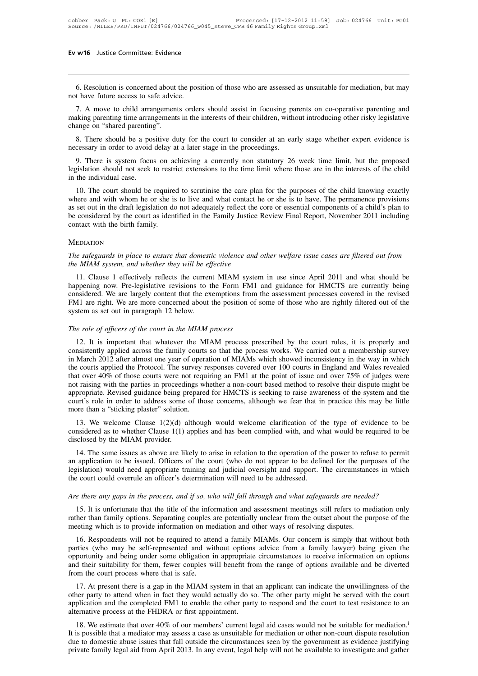16 Justice Committee: Evidence<br>6. Resolution is concerned about the position of those who are assessed as unsuitable for mediation, but may<br>thave future access to safe advice. Ev w16 Justice Committee: Evidence<br>
6. Resolution is concerned about the posi<br>
not have future access to safe advice.<br>
7. A move to child arrangements order

1. A move substract committed. Evidence<br>1. A sesolution is concerned about the position of those who are assessed as unsuitable for mediation, but may<br>1. A move to child arrangements orders should assist in focusing parent making parenting time arrangements orders should assist in focusing parents on co-operative parenting and making parenting time arrangements orders should assist in focusing parents on co-operative parenting and making par 6. Resolution is concerned about<br>not have future access to safe advic<br>7. A move to child arrangement<br>making parenting time arrangements<br>change on "shared parenting".<br>8. There should be a positive du 8. Resolution is concerned about the position of those who are assessed as unsuitable for mediation, but may<br>t have future access to safe advice.<br>7. A move to child arrangements orders should assist in focusing parents on not have future access to safe advice.<br>
7. A move to child arrangements orders should assist in focusing pa<br>
making parenting time arrangements in the interests of their children, with<br>
change on "shared parenting".<br>
8. Th 1. A move to child arrangements orders should assist in focusing parents on co-operative parenting and aking parenting time arrangements in the interests of their children, without introducing other risky legislative ange

making parenting time arrangements in the interests of their children, without introducing other risky legislative<br>change on "shared parenting".<br>8. There should be a positive duty for the court to consider at an early stag change on "shared parenting".<br>
8. There should be a positive duty for the court to consider at an early stage whether expert evidence is<br>
necessary in order to avoid delay at a later stage in the proceedings.<br>
9. There is 10. There should be a positive duty for the court to consider at an early stage whether expert evidence is cessary in order to avoid delay at a later stage in the proceedings.<br>
10. There is system focus on achieving a curr

necessary in order to avoid delay at a later stage in the proceedings.<br>
9. There is system focus on achieving a currently non statutory 26 week time limit, but the proposed<br>
legislation should not seek to restrict extensio 9. There is system focus on achieving a currently non statutory 26 week time limit, but the proposed legislation should not seek to restrict extensions to the time limit where those are in the interests of the child in the be considered by the court as identified in the Family Justice Review Final Report, November 2011 including<br>contact with the birth family. The court should be required to scrutinise the care plan for the purposes of the ch Equivalent should not seek to restrain the individual case.<br>
10. The court should be require<br>
where and with whom he or she is<br>
as set out in the draft legislation do<br>
be considered by the court as iden<br>
contact with the b *The safeguards in place to ensure that domestic violence and other welfare issue cases are filtered out from*<br>*The safeguards in place to ensure that domestic violence and other welfare issue cases are filtered out from*<br> *the MIAM system, and whether the current MIAM system, and whether the current MIAM system, and whether they will be effective*<br>11. Clause 1 effectively reflects the current MIAM system.

### **MEDIATION**

EDIATION<br> *EDIATION*<br> *e safeguards in place to ensure that domestic violence and other welfare issue cases are filtered out from*<br> *e MIAM system, and whether they will be effective*<br>
11. Clause 1 effectively reflects the MEDIATION<br>The safeguards in place to ensure that domestic violence and other welfare issue cases are filtered out from<br>the MIAM system, and whether they will be effective<br>11. Clause 1 effectively reflects the current MIAM MEDIATION<br>The safeguards in place to ensure that domestic violence and other welfare issue cases are filtered out from<br>the MIAM system, and whether they will be effective<br>11. Clause 1 effectively reflects the current MIAM The safeguards in place to ensure that domestic violence and other welfare issue cases are filtered out from<br>the MIAM system, and whether they will be effective<br>11. Clause 1 effectively reflects the current MIAM system in The sujeguaras in place to ensure that domest.<br>the MIAM system, and whether they will be effectively reflects the curren<br>happening now. Pre-legislative revisions to t<br>considered. We are largely content that the ex<br>FM1 are 11. Clause 1 effectively reflects the current MIAM system happening now. Pre-legislative revisions to the Form FM1 considered. We are largely content that the exemptions from FM1 are right. We are more concerned about the movement in the exemption of MIAM and guidance for Threets are darlengy long-<br>insidered. We are largely content that the exemptions from the assessment processes covered in the revised<br>11 are right. We are more concerned a

FM1 are right. We are more concerned about the position of some of those who are rightly filtered out of the system as set out in paragraph 12 below.<br>The role of officers of the court in the MIAM process<br>12. It is importan First are right; we are inference about the position of some of those who are rightly intered out of the system as set out in paragraph 12 below.<br>The role of officers of the court in the MIAM process<br>12. It is important th The role of officers of the court in the MIAM process<br>12. It is important that whatever the MIAM process prescribed by the court rules, it is properly and<br>consistently applied across the family courts so that the process w The role of officers of the court in the MIAM process<br>12. It is important that whatever the MIAM process prescribed by the court rules, it is properly and<br>consistently applied across the family courts so that the process w The rote of officers of the court in the MIAM process<br>12. It is important that whatever the MIAM process<br>consistently applied across the family courts so that the process works. We carried out a membership survey<br>in March 12. It is important that whatever the MIAM process prescribed by the court rules, it is properly and consistently applied across the family courts so that the process works. We carried out a membership survey in March 2012 consistently applied across the family courts so that the process works. We carried out a membership survey<br>in March 2012 after almost one year of operation of MIAMs which showed inconsistency in the way in which<br>the court in March 2012 after almost one year of operation of MIAMs which showed inconsistency in the way in which<br>the courts applied the Protocol. The survey responses covered over 100 courts in England and Wales revealed<br>that ove 21. We welcome Clause 1(2)(d) although would welcome clarification of the type of evidence to be exclused by the MIAM provider.<br>
13. We welcome Clause 1(1) applies and has been complied with the spiral of the system and th and over 40% of those courts were not requiring an FMT at the point of issue and over 75% of judges were<br>not raising with the parties in proceedings whether a non-court based method to resolve their dispute might be<br>approp

court's role in order to address some of those concerns, although we fear that in practice this may be little<br>more than a "sticking plaster" solution.<br>13. We welcome Clause 1(2)(d) although would welcome clarification of t

urt's role in order to address some of those concerns, although we fear that in practice this may be little<br>ore than a "sticking plaster" solution.<br>13. We welcome Clause 1(2)(d) although would welcome clarification of the more than a "sticking plaster" solution.<br>
13. We welcome Clause  $1(2)(d)$  although would welcome clarification of the type of evidence to be considered as to whether Clause  $1(1)$  applies and has been complied with, and wh 13. We welcome Clause  $1(2)(d)$  although would welcome clarification of the type of evidence to be considered as to whether Clause  $1(1)$  applies and has been complied with, and what would be required to be disclosed by th The court could be the court could be process. And if so, who will fall through and what safes are three any gaps in the process, and if so, who will fall through and what safes are there any gaps in the process, and if s *Are there any gaps in the process, and if so, who will fall through and what safeguards are needed?*<br> *Are there any gaps in the process, and if so, who will fall through and what safeguards are needed?*<br> *Are there any* 14. The same issues as above are intery to anse in ferancion to the operation of the power to feralse to permit<br>application to be issued. Officers of the court (who do not appear to be defined for the purposes of the<br>gisla

rather than family options. Separating and judicial oversight and support. The circumstances in which<br>the court could overrule an officer's determination will need to be addressed.<br>Are there any gaps in the process, and if mether court could overrule an officer's determination will need to be addressed.<br>Are there any gaps in the process, and if so, who will fall through and what safeguards are neede<br>15. It is unfortunate that the title of th

is there any gaps in the process, and if so, who will fall through and what safeguards are needed?<br>
15. It is unfortunate that the title of the information and assessment meetings still refers to mediation only<br>
her than f Are there any gaps in the process, and if so, who will fall through and what safeguards are needed?<br>15. It is unfortunate that the title of the information and assessment meetings still refers to mediation only<br>rather than 15. It is unfortunate that the title of the information and assessment meetings still refers to mediation only rather than family options. Separating couples are potentially unclear from the outset about the purpose of the and their suitability for them, fewer couples will benefit from the range of options available and benefiting which is to provide information on mediation and other ways of resolving disputes.<br>
16. Respondents will not be rather than family options. Separating couples are potentially unclear from the outset about the purpose of the<br>meeting which is to provide information on mediation and other ways of resolving disputes.<br>16. Respondents wil 16. Respondents will not be required to attend a family MIAMs. Our concern is simply that without both rties (who may be self-represented and without options advice from a family lawyer) being given the portunity and being For Responsive with not be required to attend a rainity MIANS. Our concern is simply that whilout both parties (who may be self-represented and without options advice from a family lawyer) being given the opportunity and b

parties (who may be sen-represented and whold options advice from a rainity rawyer) being given the opportunity and being under some obligation in appropriate circumstances to receive information on options and their suita opportunity and being under some obigation in appropriate<br>and their suitability for them, fewer couples will benefit fro<br>from the court process where that is safe.<br>17. At present there is a gap in the MIAM system in that<br>o 17. At present there is a gap in the MIAM system in that an applicant can indicate the unwillingness of the<br>other party to attend when in fact they would actually do so. The other party might be served with the court<br>appli

17. At present there is a gap in the MIAM system in that an applicant can indicate the unwillingness of the other party to attend when in fact they would actually do so. The other party might be served with the court appl application and the completed FM1 to enable the other party to respond and the court to test resistance to an alternative process at the FHDRA or first appointment.<br>
18. We estimate that over 40% of our members' current le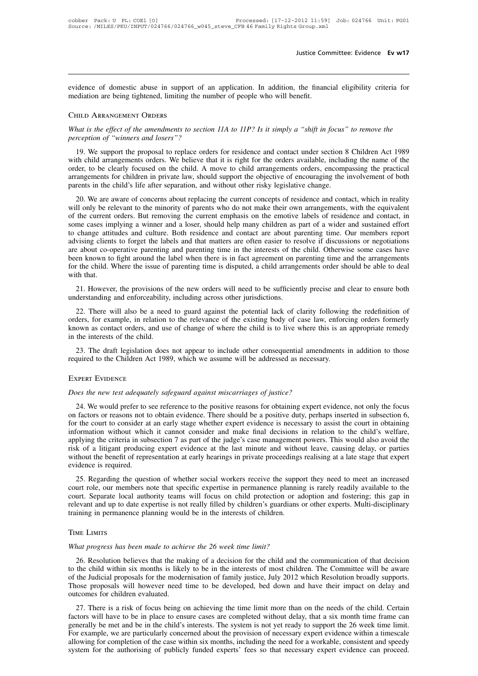Justice Committee: Evidence **Ev w17**<br>evidence of domestic abuse in support of an application. In addition, the financial eligibility criteria for<br>mediation are being tightened, limiting the number of people who will benefi Justice Con<br>evidence of domestic abuse in support of an application. In addition, the finance<br>mediation are being tightened, limiting the number of people who will benefit.<br>CHILD APPANGEMENT OPDEPS *What is the effect of the amendments to section 11A to 11P? Is it simply a "shift in focus" to remove the* perception of "winners and losers"? evidence of domestic abuse in support of an application. In addition, the financial eligibility criteria for<br>
mediation are being tightened, limiting the number of people who will benefit.<br>
CHILD ARRANGEMENT ORDERS<br>
What i

### Child Arrangement Orders

19. HILD ARRANGEMENT ORDERS<br>
hat is the effect of the amendments to section 11A to 11P? Is it simply a "shift in focus" to remove the<br>
rception of "winners and losers"?<br>
19. We support the proposal to replace orders for re CHILD ARRANGEMENT ORDERS<br>What is the effect of the amendments to section 11A to 11P? Is it simply a "shift in focus" to remove the<br>perception of "winners and losers"?<br>19. We support the proposal to replace orders for resid CHILD ARRANGEMENT ORDERS<br>What is the effect of the amendments to section 11A to 11P? Is it simply a "shift in focus" to remove the<br>perception of "winners and losers"?<br>19. We support the proposal to replace orders for resid What is the effect of the amendments to section 11A to 11P? Is it simply a "shift in focus" to remove the perception of "winners and losers"?<br>19. We support the proposal to replace orders for residence and contact under se parents in the child arrangements orders, encompassing the practical arrangements for children in private law, should support the objective of encouraging the involvement of both parents in the child's life after separatio 19. We support the proposal to replace orders for residence and contact under section 8 Children Act 1989 th child arrangements orders. We believe that it is right for the orders available, including the name of the der, t For we support the proposar to replact orders for residence and contact under section of emitted Act 1969 with child arrangements orders. We believe that it is right for the orders available, including the name of the orde

whit clind antalgements orders. We ocheve that it is right for the orders avariable, including the hande or the<br>order, to be clearly focused on the child. A move to child arrangements orders, encompassing the practical<br>arr Solutive of the children in private law, should support the objective of encouraging the involvement of both parents in the children in private law, should support the objective of encouraging the involvement of both paren attangements for emidlent in private faw, should support the objective of encodraging the involvement of both parents in the child's life after separation, and without other risky legislative change.<br>20. We are aware of co parents in the eima s included separation, and windout other risky registance enalge.<br>20. We are aware of concerns about replacing the current concepts of residence and contact, which in reality<br>will only be relevant to th 20. We are aware of concerns about replacing the current concepts of residence and contact, which in reality will only be relevant to the minority of parents who do not make their own arrangements, with the equivalent of t will only be relevant to the minority of parents who do not make their own arrangements, with the equivalent of the current orders. But removing the current emphasis on the emotive labels of residence and contact, in some for the current orders. But removing the current emphasis on the emotive labels of residence and contact, in some cases implying a winner and a loser, should help many children as part of a wider and sustained effort to ch some cases impto change attituding clients<br>advising clients<br>are about co-op<br>been known to<br>for the child. V<br>with that.<br>21. However action and the matters are often easier to resolve if discussions or negotiations<br>are about co-operative parenting and parenting time in the interests of the child. Otherwise some cases have<br>been known to fight around the Example 1.1 and the state of order the state of the same about co-operative parenting and parenting time in the interests of the been known to fight around the label when there is in fact agreement on p for the child. Wher

en known to fight around the label when there is in fact agreement on parenting time and the arrangements<br>
the child. Where the issue of parenting time is disputed, a child arrangements order should be able to deal<br>
th tha for the child. Where the issue of parenting time is disputed, a child arrangements order should be able to deal<br>with that.<br>21. However, the provisions of the new orders will need to be sufficiently precise and clear to ens with that.<br>
21. However, the provisions of the new orders will need to be sufficiently precise and clear to ensure both<br>
understanding and enforceability, including across other jurisdictions.<br>
22. There will also be a nee 21. However, the provisions of<br>understanding and enforceability,<br>22. There will also be a need<br>orders, for example, in relation t<br>known as contact orders, and use<br>in the interests of the child.<br>23. The draft legislation do derstanding and enforceability, including across other jurisdictions.<br>22. There will also be a need to guard against the potential lack of clarity following the redefinition of<br>ders, for example, in relation to the relevan required to the relation to the relevance of the existing body of case law, enforcing orders formerly known as contact orders, and use of change of where the child is to live where this is an appropriate remedy in the inte

*Does the new test adequately safeguard against miscarriages of justice?*<br>*Does the new test adequately safeguard against miscarriages of justice?*<br>24. We would prefer to see reference to the positive reasons for obtaining

### Expert Evidence

25. The dial registation does not appear to include other consequential amendments in addition to those<br>quired to the Children Act 1989, which we assume will be addressed as necessary.<br>REERT EVIDENCE<br>pes the new test adequ EXPERT EVIDENCE<br>
Does the new test adequately safeguard against miscarriages of justice?<br>
24. We would prefer to see reference to the positive reasons for obtaining expert evidence, not only the focus<br>
on factors or reason EXPERT EVIDENCE<br>
Does the new test adequately safeguard against miscarriages of justice?<br>
24. We would prefer to see reference to the positive reasons for obtaining expert evidence, not only the focus<br>
on factors or reason EXPERT EVIDENCE<br>
Does the new test adequately safeguard against miscarriages of justice?<br>
24. We would prefer to see reference to the positive reasons for obtaining expert evidence, not only the focus<br>
on factors or reason Does the new test adequately safeguard against miscarriages of justice?<br>24. We would prefer to see reference to the positive reasons for obtaining expert evidence, not only the focus<br>on factors or reasons not to obtain evi Does the new rest datequately sugglanta against misearriages of fastice:<br>24. We would prefer to see reference to the positive reasons for obtaining expert evidence, not only the focus<br>on factors or reasons not to obtain ev 24. We would prefer to see reference to the positive reasons for obtaining expert evidence, not only the focus<br>on factors or reasons not to obtain evidence. There should be a positive duty, perhaps inserted in subsection 6 on factors or reasons not to<br>for the court to consider a<br>information without whice<br>applying the criteria in sub-<br>risk of a litigant producir<br>without the benefit of repre<br>evidence is required.<br>25. Regarding the ques The count of consider at an early stage whether expert evidence is necessary to assist the court in obtaining<br>
Sormation without which it cannot consider and make final decisions in relation to the child's welfare,<br>
plying mormation whilout which it callude consider and make man decisions in relation to the emit s wentate, applying the criteria in subsection 7 as part of the judge's case management powers. This would also avoid the risk of a

applying the enterta in stosection 7 as part of the judge's case management powers. This would also avoid the<br>risk of a litigant producing expert evidence at the last minute and without leave, causing delay, or parties<br>wit relevant and up to date expertise is not really filled by children's guardian or other experts. Multi-disciplinary training in permanence planning state expert or experts. Multi-disciplinary child relevant and up to date e without the ocher of representation at early heatings in private proceedings<br>evidence is required.<br>25. Regarding the question of whether social workers receive the suppo<br>court role, our members note that specific expertise From Exercise is not really filled by child protection or adelevant and up to date expertise is not really filled by children's guardians containing in permanence planning would be in the interests of children.<br>TIME LIMITS

### Time Limits

26. Resolution believes that the making of a decision for the child and the communication of that decision<br>the child within six months is likely to be in the interests of most children.<br>The communication of that decision<br>t TIME LIMITS<br>TIME LIMITS<br>What progress has been made to achieve the 26 week time limit?<br>26. Resolution believes that the making of a decision for the child and the communication of that decision<br>to the child within six mont TIME LIMITS<br>What progress has been made to achieve the 26 week time limit?<br>26. Resolution believes that the making of a decision for the child and the communication of that decision<br>to the child within six months is likely The LIMITS<br>What progress has been made to achieve the 26 week time limit?<br>26. Resolution believes that the making of a decision for the child and the communication of that decision<br>to the child within six months is likely What progress has been made to achiection.<br>26. Resolution believes that the main to the child within six months is likeled to the Judicial proposals for the moder Those proposals will however need to outcomes for children 26. Resolution believes that the making of a decision for the child and the communication of that decision<br>the child within six months is likely to be in the interests of most children. The Committee will be aware<br>the Judi Factors will have to be in place to ensure cases are completed without delay, that a six month in a time space proposals for the modernisation of family justice, July 2012 which Resolution broadly supports.<br>Those proposals

generally be met and be in the child's interests. The system in the commuter. The commute with oc aware of the Judicial proposals for the modernisation of family justice, July 2012 which Resolution broadly supports. Those For example, we are particularly concerned the provision of necessary experiences for children evaluated.<br>
27. There is a risk of focus being on achieving the time limit more than on the needs of the child. Certain factors Filose proposals with nowever fieed third to be developed, bed down and nave then impact on detay and outcomes for children evaluated.<br>
27. There is a risk of focus being on achieving the time limit more than on the needs outcomes for children evaluated.<br>
27. There is a risk of focus being on achieving the time limit more than on the needs of the child. Certain<br>
factors will have to be in place to ensure cases are completed without delay, t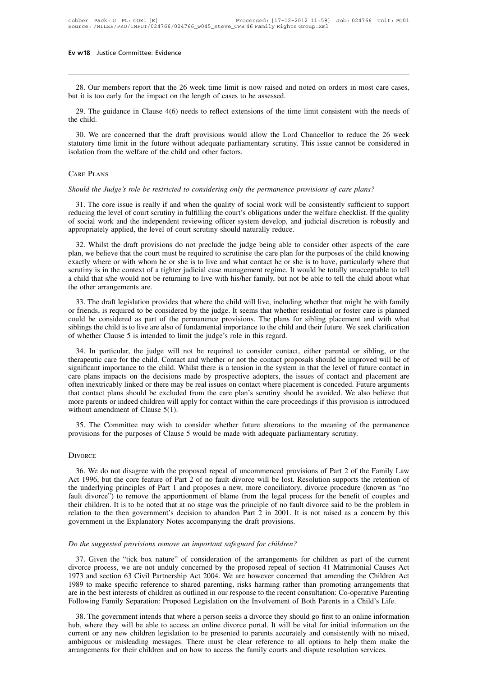28. Our members report that the 26 week time limit is now raised and noted on orders in most care cases,<br>t it is too early for the impact on the length of cases to be assessed. **EV W18** Justice Committee: Evidence<br>
28. Our members report that the 26 week time limit is now raised and n<br>
but it is too early for the impact on the length of cases to be assessed.<br>
29. The guidance in Clause 4(6) needs 28. Our members report that the 26 week time limit is now raised and noted on orders in most care cases, it it is too early for the impact on the length of cases to be assessed.<br>29. The guidance in Clause 4(6) needs to ref 28. Our mer<br>but it is too ear<br>29. The guid<br>the child.<br>30. We are

As the concerned that the 26 week time limit is now raised and noted on orders in most care cases,<br>
29. The guidance in Clause 4(6) needs to reflect extensions of the time limit consistent with the needs of<br>
29. The guidan statutory time limit in the future without adequate parliamentary scrutiny. This issue cannot be considered in isolation from the welfare of the child and other factors. but it is too early for the impact of the length of cases to be a<br>29. The guidance in Clause 4(6) needs to reflect extension<br>the child.<br>30. We are concerned that the draft provisions would allo<br>statutory time limit in the 30. We are concerned that the draft provisions would allow the Lord Chancellor to reduce the 26 week<br>statutory time limit in the future without adequate parliamentary scrutiny. This issue cannot be considered in<br>isolation

### Care Plans

Solution from the welfare of the child and other factors.<br>
ARE PLANS<br>
ould the Judge's role be restricted to considering only the permanence provisions of care plans?<br>
31. The core issue is really if and when the quality o Freducing the *Judge's role be restricted to considering only the permanence provisions of care plans?*<br>31. The core issue is really if and when the quality of social work will be consistently sufficient to support<br>reducin CARE PLANS<br>Should the Judge's role be restricted to considering only the permanence provisions of care plans?<br>31. The core issue is really if and when the quality of social work will be consistently sufficient to support<br>r Should the Judge's role be restricted to considering only the permanence provided.<br>
31. The core issue is really if and when the quality of social work will be coreducing the level of court scrutiny in fulfilling the court 32. Whilst the draft provisions do not preclude the judge being able to consistently sufficient to support thucing the level of court scrutiny in fulfilling the court's obligations under the welfare checklist. If the quali 31. The core issue is really if and when the quality of social work will be consistently sufficient to support reducing the level of court scrutiny in fulfilling the court's obligations under the welfare checklist. If the

reducing the level of court scrutiny in fulfilling the court's obligations under the welfare checklist. If the quality of social work and the independent reviewing officer system develop, and judicial discretion is robustl For social work and the independent reviewing officer system develop, and judicial discretion is robustly and<br>appropriately applied, the level of court scrutiny should naturally reduce.<br>32. Whilst the draft provisions do n appropriately applied, the level of court scrutiny should naturally reduce.<br>
32. Whilst the draft provisions do not preclude the judge being able to consider other aspects of the care<br>
plan, we believe that the court must appropriately applied, the level of court scrutiny should naturally reduce.<br>
32. Whilst the draft provisions do not preclude the judge being able to consider other aspects of the care<br>
plan, we believe that the court must So. The draft legislation provides that where the child will live, including whether that might be with sin the context of a tighter judicial case management regime. It would be totally unacceptable to tell thing is in the be exactly where or with whom he or she is to live and what contact he or she is to have, particularly where that scrutiny is in the context of a tighter judicial case management regime. It would be totally unacceptable to

Exertiny is in the context of a tighter judicial case management regime. It would be totally unacceptable to tell<br>a child that s/he would not be returning to live with his/her family, but not be able to tell the child abou Solution and the child that s/he would not be returning to live with his/her family, but not be able to tell the child about what the other arrangements are.<br>
33. The draft legislation provides that where the child will li The other arrangements are<br>the other arrangements are.<br>33. The draft legislation provides that where the child will live, including<br>or friends, is required to be considered by the judge. It seems that whether re<br>could be c 33. The draft legislation provides that where the child will live, including whether that might be with family friends, is required to be considered by the judge. It seems that whether residential or foster care is planned or friends, is required to be considered by the judge. It seems that whether residential or foster care is planned could be considered as part of the permanence provisions. The plans for sibling placement and with what sib

Similar in the considered as part of the permanence provisions. The plans for sibling placement and with what siblings the child is to live are also of fundamental importance to the child and their future. We seek clarific Sollings the child is to live are also of fundamental importance to the child and their future. We seek clarification<br>of whether Clause 5 is intended to limit the judge's role in this regard.<br>34. In particular, the judge w of whether Clause 5 is intended to limit the judge's role in this regard.<br>
34. In particular, the judge will not be required to consider contact, either parental or sibling, or the<br>
therapeutic care for the child. Contact 34. In particular, the judge will not be required to consider contact, either parental or sibling, or the therapeutic care for the child. Contact and whether or not the contact proposals should be improved will be of sign 34. In particular, the judge will not be required to consider contact, either parental or sibling, or the therapeutic care for the child. Contact and whether or not the contact proposals should be improved will be of sign the the child. Contact and whether or not the contact proposals should be improved will be of<br>significant importance to the child. Whilst there is a tension in the system in that the level of future contact in<br>care plans i 35. The Committee may wish to consider whether future alterations to the meaning of the permanent are then inextricably linked or there may be real issues on contact where placement is conceded. Future arguments at contact often inextricably linked or there may be real issues on contact where placement is conceded. Future arguments

### **DIVORCE**

35. The Committee may wish to consider whether future alterations to the meaning of the permanence<br>ovisions for the purposes of Clause 5 would be made with adequate parliamentary scrutiny.<br>NORCE<br>36. We do not disagree with 35. The Committee may wish to consider whether future alterations to the meaning of the permanence<br>provisions for the purposes of Clause 5 would be made with adequate parliamentary scrutiny.<br>Divorce<br> $\frac{36}{1996}$ , but the provisions for the purposes of Clause 5 would be made with adequate parliamentary scrutiny.<br>
DIVORCE<br>
36. We do not disagree with the proposed repeal of uncommenced provisions of Part 2 of the Family Law<br>
Act 1996, but the Brook and their children is to remove the proposed repeal of uncommenced provisions of Part 2 of the Family Law<br>Act 1996, but the core feature of Part 2 of no fault divorce will be lost. Resolution supports the retention o DIVORCE<br>36. We do not disagree with the proposed repeal of uncommenced provisions of Part 2 of the Family Law<br>Act 1996, but the core feature of Part 2 of no fault divorce will be lost. Resolution supports the retention of<br> 36. We do not disagree with the proposed repeal of uncommenced provisions of Part 2 of the Family Law Act 1996, but the core feature of Part 2 of no fault divorce will be lost. Resolution supports the retention of the unde 36. We do not disagree with the proposed repeal of uncommenced provision<br>Act 1996, but the core feature of Part 2 of no fault divorce will be lost. Reso<br>the underlying principles of Part 1 and proposes a new, more concilia In the underlying principles of Part 1 and proposes a new, more concritatory, divorce fault divorce") to remove the apportionment of blame from the legal process for the their children. It is to be noted that at no stage w

Similar the the means of the the means of the the proposed repeat of the arrangement in the Explanatory Notes accompanying the draft provisions.<br>
The suggested provisions remove an important safeguard for children?<br>
The su relation to the then government's decision to abandon Part 2 in 2001. It is not raised as a concern by this<br>government in the Explanatory Notes accompanying the draft provisions.<br>Do the suggested provisions remove an impor government in the Explanatory Notes accompanying the draft provisions.<br> *Do the suggested provisions remove an important safeguard for children?*<br>
37. Given the "tick box nature" of consideration of the arrangements for ch *Do the suggested provisions remove an important safeguard for children?*<br>37. Given the "tick box nature" of consideration of the arrangements for children as part of the current<br>divorce process, we are not unduly concerne Do the suggested provisions remove an important safeguard for children?<br>37. Given the "tick box nature" of consideration of the arrangements for children as part of the current<br>divorce process, we are not unduly concerned 37. Given the "tick box nature" of consideration of the arrangements for children as part of the current divorce process, we are not unduly concerned by the proposed repeal of section 41 Matrimonial Causes Act 1973 and sec From the government intends that where a person seeks a divorce process, we are not unduly concerned by the proposed repeal of section 41 Matrimonial Causes Act 73 and section 63 Civil Partnership Act 2004. We are however 1973 and section 63 Civil Partnership Act 2004. We are however concerned that amending the Children Act 1989 to make specific reference to shared parenting, risks harming rather than promoting arrangements that are in the

Figure 1989 to make specific reference to shared parenting, risks harming rather than promoting arrangements that are in the best interests of children as outlined in our response to the recent consultation: Co-operative P From the best interests of children as outlined in our response to the recent consultation: Co-operative Parenting<br>Following Family Separation: Proposed Legislation on the Involvement of Both Parents in a Child's Life.<br>38. are in the best interests of children as outlined in our response to the recent consultation: Co-operative Parenting Following Family Separation: Proposed Legislation on the Involvement of Both Parents in a Child's Life.<br>3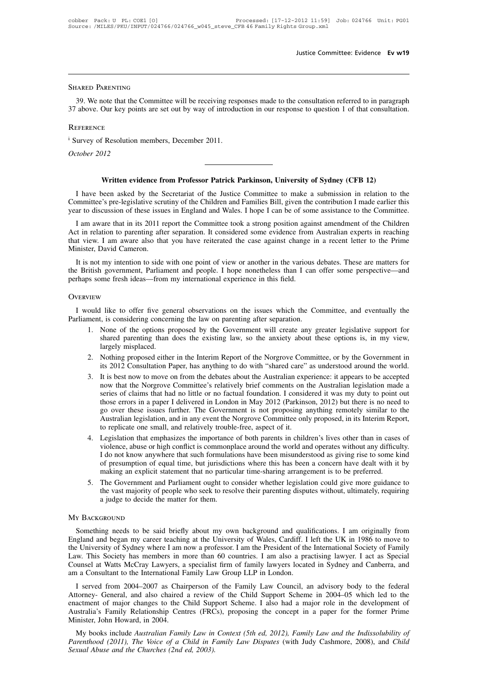### SHARED PARENTING

39. We note that the Committee will be receiving responses made to the consultation referred to in paragraph<br>39. We note that the Committee will be receiving responses made to the consultation referred to in paragraph<br>4 ab 37 SHARED PARENTING<br>39. We note that the Committee will be receiving responses made to the consultation referred to in paragraph<br>37 above. Our key points are set out by way of introduction in our response to question 1 of SHARED PARENTING<br>39. We note that the Committee will be receiving resp<br>37 above. Our key points are set out by way of introduce<br>REFERENCE<br>i Survey of Resolution members, December 2011.<br>*October 2012* 39. We note that the C<sub>1</sub><br>37 above. Our key points<br>REFERENCE<br><sup>i</sup> Survey of Resolution m<br>*October 2012* 

### **REFERENCE**

E<br>
F Resolution members, December 2011.<br> **Written evidence from Professor Patrick Parkinson, University of Sydney (CFB 12)**<br>
been asked by the Secretariat of the Justice Committee to make a submission in relation to I have been asked by the Secretariat of the Justice Committee to make a submission in relation to the Munited's pre-legislative scrutiny of the Children and Families Bill, given the contribution I made earlier this are to Committee is pre-legislative scrutiny of the Children and Families Bill, given the contribution I made earlier this year to discussion of these issues in England and Wales. I hope I can be of some assistance to the Committ Written evidence from Professor Patrick Parkinson, University of Sydney (CFB 12)<br>
I have been asked by the Secretariat of the Justice Committee to make a submission in relation to the<br>
Committee's pre-legislative scrutiny Written evidence from Professor Patrick Parkinson, University of Sydney (CFB 12)<br>I have been asked by the Secretariat of the Justice Committee to make a submission in relation to the<br>bmmittee's pre-legislative scrutiny of

Written evidence from Professor Patrick Parkinson, University of Sydney (CFB 12)<br>
I have been asked by the Secretariat of the Justice Committee to make a submission in relation to the<br>
Committee's pre-legislative scrutiny I have been asked by the Secretariat of the Justice Committee to make a submission in relation to the Committee's pre-legislative scrutiny of the Children and Families Bill, given the contribution I made earlier this year Thave been asked by the S<br>Committee's pre-legislative scru-<br>year to discussion of these issue<br>I am aware that in its 2011 re<br>Act in relation to parenting after<br>that view. I am aware also the<br>Minister, David Cameron.<br>It is ar to discussion of these issues in England and Wales. I hope I can be of some assistance to the Committee.<br>I am aware that in its 2011 report the Committee took a strong position against amendment of the Children<br>t in rel I am aware that in its 2011 report the Committee took a strong position against amendment of the Children<br>Act in relation to parenting after separation. It considered some evidence from Australian experts in reaching<br>that From aware that in its 2011 report the Committee took a strong position again<br>Act in relation to parenting after separation. It considered some evidence from<br>that view. I am aware also that you have reiterated the case aga

It is not my intention to side with one point of view or another in the various debates. These are matters for<br>
E British government, Parliament and people. I hope nonetheless than I can offer some perspective—and<br>
thaps s It is not my intention to side with one point of view or another in the various debates. These are matters for<br>the British government, Parliament and people. I hope nonetheless than I can offer some perspective—and<br>perhaps

### **OVERVIEW**

- THEW<br>
1. NONE THEW<br>
1. None of the options proposed by the Government will create any greater legislative support for<br>
1. None of the options proposed by the Government will create any greater legislative support for<br>
1. N I like to offer five general observations on the issues which the Committee, and eventually the the existing concerning the law on parenting after separation.<br>None of the options proposed by the Government will create any I like to offer five gen<br>t, is considering concerr<br>None of the options pr<br>shared parenting than a<br>largely misplaced.<br>Nothing proposed either<br>its 2012 Consultation P 2. Nothing proposed either in the Interim Report of the Australian experience; it annears to be accepted at it is best now to move on from the debates about the Australian experience; it annears to be accepted at it is bes It is considering concerning the law on parenting after separation.<br>
None of the options proposed by the Government will create any greater legislative support for<br>
shared parenting than does the existing law, so the anxie
- 
- 3. It is best now to move on from the debates about the Australian experience: it appears to be accepted now that the Norgrove Committee, or by the Government in its 2012 Consultation Paper, has anything to do with "shared Nothing proposed by the Government win create any greater legislative support for<br>shared parenting than does the existing law, so the anxiety about these options is, in my view,<br>largely misplaced.<br>Nothing proposed either i shared parenting than does the existing raw, so the anxiety about these options is, in my view, largely misplaced.<br>Nothing proposed either in the Interim Report of the Norgrove Committee, or by the Government in its 2012 C Those extints and paper in the Interim Report of the Norgrove Committee, or by the Government in<br>its 2012 Consultation Paper, has anything to do with "shared care" as understood around the world.<br>It is best now to move on Nothing proposed either in the Interim Report of the Norgrove Committee, or by the Government in<br>its 2012 Consultation Paper, has anything to do with "shared care" as understood around the world.<br>It is best now to move on its 2012 Consultation Paper, has anything to do with "shared care" as understood around the world.<br>It is best now to move on from the debates about the Australian experience: it appears to be accepted<br>now that the Norgrove It is best now to move on from the debates about the Australian expromous that the Norgrove Committee's relatively brief comments on t series of claims that had no little or no factual foundation. I conside those errors in now that the Norgrove Committee's relatively brief comments on the Australian legislation made a<br>series of claims that had no little or no factual foundation. I considered it was my duty to point out<br>those errors in a pape series of claims that had no little or no factual foundation. I considered it was my duty to point out those errors in a paper I delivered in London in May 2012 (Parkinson, 2012) but there is no need to go over these issue
- those errors in a paper I delivered in London in May 2012 (Parkinson, 2012) but there is no need to<br>go over these issues further. The Government is not proposing anything remotely similar to the<br>Australian legislation, and go over these issues further. The Government is not proposing anything remotely similar to the<br>Australian legislation, and in any event the Norgrove Committee only proposed, in its Interim Report,<br>to replicate one small, a Australian legislation, and in any event the Norgrove Committee only proposed, in its Interim Repto replicate one small, and relatively trouble-free, aspect of it.<br>Legislation that emphasizes the importance of both parents 1. Legislation that emphasizes the importance of both parents in children's lives other than in cases of violence, abuse or high conflict is commonplace around the world and operates without any difficulty.<br>
I do not know Legislation that emphasizes the importance of both parents in children's lives other than in cases of violence, abuse or high conflict is commonplace around the world and operates without any difficulty. I do not know anyw violence, abuse or high conflict is commonplace around the world and operates without any difficulty.<br>
I do not know anywhere that such formulations have been misunderstood as giving rise to some kind<br>
of presumption of eq
- 

### MY BACKGROUND

S. The Government and Parliament ought to consider whether legislation could give more guidance to<br>the vast majority of people who seek to resolve their parenting disputes without, ultimately, requiring<br>a judge to decide t England and began my career teaching at the University of Wales, Cardiff. I left the UK in 1986 to move to the University of Sydney where I am now a professor. I am the President of the International Society of Family from The University of Sydney where I am now a professor. I am difficultions. I am originally from<br>England and began my career teaching at the University of Wales, Cardiff. I left the UK in 1986 to move to<br>the University of Syd Law. This Society has members in more than 60 countries. I am originally from England and began my career teaching at the University of Wales, Cardiff. I left the UK in 1986 to move to the University of Sydney where I am n My BackGROUND<br>
Something needs to be said briefly about my own background and qualifications. I am originally from<br>
England and began my career teaching at the University of Wales, Cardiff. I left the UK in 1986 to move to Something needs to be said briefly about my own background and qualifications. I am originally from<br>England and began my career teaching at the University of Wales, Cardiff. I left the UK in 1986 to move to<br>the University Solieting lieeds to be said bitelly about hiy own background and qualifications. I am originary from gland and began my career teaching at the University of Wales, Cardiff. I left the UK in 1986 to move to University of Sy England and began my cateer teaching at the University of wares, Cardin: 1 left the UK in 1960 to move to the University of Sydney where I am now a professor. I am the President of the International Society of Family Law.

the University of Sydney where I am how a professor. I am the President of the International Society of Pamily Law. This Society has members in more than 60 countries. I am also a practising lawyer. I act as Special Counse Law. This society has members in more ulan ob countries. I am also a practising lawyer. I act as special<br>Counsel at Watts McCray Lawyers, a specialist firm of family lawyers located in Sydney and Canberra, and<br>am a Consult am a Consultant to the International Family Law Group LLP in London.<br>
I served from 2004–2007 as Chairperson of the Family Law Council, an advisory body to the federal<br>
Attorney- General, and also chaired a review of the C I served from 2004–2007 as Chairperson of the Family Law Council, an advisory body to the federal torney- General, and also chaired a review of the Child Support Scheme in 2004–05 which led to the actment of major changes *Parenthood (2011), The Voice of a Child in Family Law Disputes* (with Judy Cashmore, 2008), and *Child Support Scheme in 2004–05* which led to the enactment of major changes to the Child Support Scheme. I also had a major

*Australia's Family Relationship Centres (FRCs), proposing the concept in a paper for the former Prime Minister, John Howard, in 2004.*<br> *My books include Australian Family Law in Context (5th ed, 2012), Family Law and the*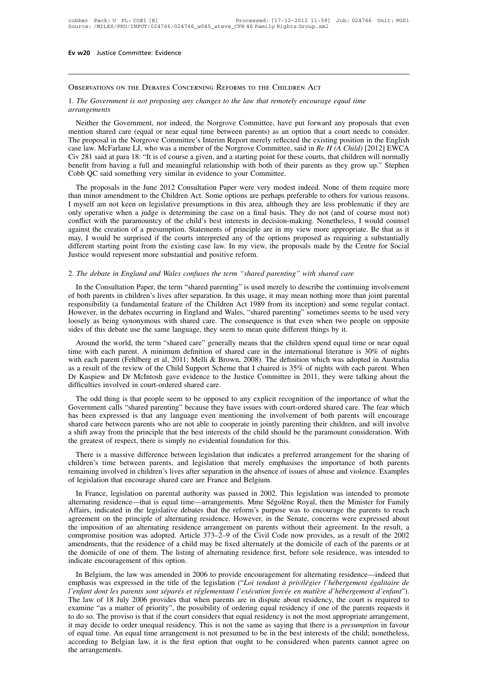# Observations on the Debates Concerning Reforms to the Children Act

### 1. **The Government is not proposing any changes to the law that remotely encourage equal time**<br>1. *The Government is not proposing any changes to the law that remotely encourage equal time*<br>arrangements *arrangements*

BSERVATIONS ON THE DEBATES CONCERNING REFORMS TO THE CHILDREN ACT<br>The Government is not proposing any changes to the law that remotely encourage equal time<br>nangements<br>Neither the Government, nor indeed, the Norgrove Commit **OBSERVATIONS ON THE DEBATES CONCERNING REFORMS TO THE CHILDREN ACT**<br>1. The Government is not proposing any changes to the law that remotely encourage equal time<br>arrangements<br>Neither the Government, nor indeed, the Norgrov OBSERVATIONS ON THE DEBATES CONCERNING REFORMS TO THE CHILDREN ACT<br>1. The Government is not proposing any changes to the law that remotely encourage equal time<br>arrangements<br>Neither the Government, nor indeed, the Norgrove 1. The Government is not proposing any changes to the law that remotely encourage equal time<br>arrangements<br>Neither the Government, nor indeed, the Norgrove Committee, have put forward any proposals that even<br>mention shared 1. The Government is not proposing any changes to the taw that remotely encourage equal time<br>arrangements<br>Neither the Government, nor indeed, the Norgrove Committee, have put forward any proposals that even<br>mention shared Neither the Government, nor indeed, the Norgrove Committee, have put forward any proposals that even<br>mention shared care (equal or near equal time between parents) as an option that a court needs to consider.<br>The proposal Neither the Government, nor indeed, the Norgrove Committee, have put forward any proposals that even<br>mention shared care (equal or near equal time between parents) as an option that a court needs to consider.<br>The proposal Ention stated care (equal of theat equal time between parents) as an option that a court needs to consider.<br>
Le proposal in the Norgrove Committee's Interim Report merely reflected the existing position in the English<br>
se The proposal in the Norgrove Committee's interim Report inerely renected the existing position in the English case law. McFarlane LJ, who was a member of the Norgrove Committee, said in Re H (A Child) [2012] EWCA Civ 281 s

Case faw. McFatalic L3, who was a included of the Norglove Committee, said in Re H (A Chila) [2012] EWCA Civ 281 said at para 18: "It is of course a given, and a starting point for these courts, that children will normally CIV 261 sale at paia 16. It is of course a given, and a stating point for these courts, that emident with hormary<br>benefit from having a full and meaningful relationship with both of their parents as they grow up." Stephen<br> Cobb QC said something very similar in evidence to your Committee.<br>
The proposals in the June 2012 Consultation Paper were very modest indeed. None of them require more<br>
than minor amendment to the Children Act. Some optio Coob QC sald solitenting very similar in evidence to your Committee.<br>The proposals in the June 2012 Consultation Paper were very modest indeed. None of them require more<br>than minor amendment to the Children Act. Some optio The proposals in the June 2012 Consultation Paper were very modest indeed. None of them require more than minor amendment to the Children Act. Some options are perhaps preferable to others for various reasons. I myself am than minor amendment to the Children Act. Some options are perhaps preferable to others for various reasons. I myself am not keen on legislative presumptions in this area, although they are less problematic if they are onl I myself am not keen on legislative presumptions in this area, alternally operative when a judge is determining the case on a final balconflict with the paramountcy of the child's best interests in decisions against the cr 2. The debate in England and Wales confuses the term "shared parenting" is used merely to describe the continuing involution. Statements of principle are in my view more appropriate. Be the may, I would be surprised if the In the Consultation Paper, the term "shared parenting" is used merely to describe the Centre for Social<br>The debate in England and Wales confuses the term "shared parenting" with shared care<br>In the Consultation Paper, the t

different starting point from the existing case law. In my view, the proposals made by the Centre for Social<br>Justice would represent more substantial and positive reform.<br>2. The debate in England and Wales confuses the ter Figure 1.1 The debate in England and Wales confuses the term "shared parenting" with shared care<br>
In the Consultation Paper, the term "shared parenting" is used merely to describe the continuing involvement<br>
of both parent 2. The debate in England and Wales confuses the term "shared parenting" with shared care<br>In the Consultation Paper, the term "shared parenting" is used merely to describe the continuing involvement<br>of both parents in child 2. The debate in England and Wales confuses the term "shared parenting" with shared care.<br>
In the Consultation Paper, the term "shared parenting" is used merely to describe the continuing involvement<br>
of both parents in ch simulate in England and wates conjuses the term shared parenting with shared care.<br>In the Consultation Paper, the term "shared parenting" is used merely to describe the continuin<br>of both parents in children's lives after s In the Constitution Faper, the term Strated patenting is used interty to describe the continuing involvement<br>both parents in children's lives after separation. In this usage, it may mean nothing more than joint parental<br>po of bour parents in cintuate is ives are separation. In this usage, it may mean noting inter than joint parentar<br>responsibility (a fundamental feature of the Children Act 1989 from its inception) and some regular contact.<br>H

Exponsionity (a fundamental readic of the Childrent Act 1969 from its inception) and some regular contact.<br>However, in the debates occurring in England and Wales, "shared parenting" sometimes seems to be used very loosely Frowever, in the debates occuring in England and wates, shared parenting somethies seems to be used very loosely as being synonymous with shared care. The consequence is that even when two people on opposite sides of this breaktion and the world, the term "shared care." In consequence is that even when two people on opposite sides of this debate use the same language, they seem to mean quite different things by it.<br>
Around the world, the te siacs of this acoate tise the same language, they seem<br>Around the world, the term "shared care" generally<br>time with each parent. A minimum definition of share<br>with each parent (Fehlberg et al, 2011; Melli & Brown<br>as a resu Ariound the world, the term shared care generally means that the cinturent spend equal time of heat equal<br>ne with each parent. A minimum definition of shared care in the international literature is 30% of nights<br>th each pa The win each parent. A minimum definition of stated care in the international inerative is 50% of ingliss<br>with each parent (Fehlberg et al, 2011; Melli & Brown, 2008). The definition which was adopted in Australia<br>as a res

whit each parent (reinberg et al, 2011, wient & Brown, 2006). The definition which was adopted in Adstranta as a result of the review of the Child Support Scheme that I chaired is 35% of nights with each parent. When Dr Ka as a result of the review of the clinic support scheme that I chanced is 3.3% of hights while each parent. When<br>Dr Kaspiew and Dr McIntosh gave evidence to the Justice Committee in 2011, they were talking about the<br>difficu Dr Kaspiew and Dr McIntosn gave evidence to the Justice Committee in 2011, they were tanking about the difficulties involved in court-ordered shared care.<br>The odd thing is that people seem to be opposed to any explicit rec difficulties involved in court-ordered shared care.<br>The odd thing is that people seem to be opposed to any explicit recognition of the importance of what the Government calls "shared parenting" because they have issues wit The odd umig is that poopte seem to be opposed to any explicit recognition of the importance of what the over-<br>interval of the seem expressed is that any language even mentioning the involvement of both parents will encour Covernment cans shared parenting occause they have issues while cour-ordered shared care. The ical which has been expressed is that any language even mentioning the involvement of both parents will encourage shared care be

remaining involved is that any language even including the involvement of both parents win cheolorage shared care between parents who are not able to cooperate in jointly parenting their children, and will involve a shift shared care between parents who are not able to cooperate in jointly para shift away from the principle that the best interests of the child should<br>the greatest of respect, there is simply no evidential foundation for this Exercise of respect, there is simply no evidential foundation for this.<br>
There is a massive difference between legislation that indicates a preferred arrangement for the sharing of<br>
ildren's time between parents, and legis

There is a massive difference between legislation that indicates a preferred arrangement for the sharing of children's time between parents, and legislation that merely emphasises the importance of both parents remaining i Finct is a massive untertince between registation that merely emphasises the importance of both parents remaining involved in children's lives after separation in the absence of issues of abuse and violence. Examples of le eminition is time between parents, and registation that incity emphasises the importance of both parents<br>remaining involved in children's lives after separation in the absence of issues of abuse and violence. Examples<br>of l the imposition that encourage shared care are France and Belgium.<br>
In France, legislation on parental authority was passed in 2002. This legislation was intended to promote<br>
alternating residence—that is equal time—arrange or legislation that chourage shared care are France and Belgium.<br>In France, legislation on parental authority was passed in 2002. This legislation was intended to promote<br>alternating residence—that is equal time—arrangemen In France, legislation on parental authority was passed in 2002. This legislation was intended to promote alternating residence—that is equal time—arrangements. Mme Ségolène Royal, then the Minister for Family Affairs, ind alternating residence—that is equal time—arrangements. Mme Ségolène Royal, then the Minister for Family Affairs, indicated in the legislative debates that the reform's purpose was to encourage the parents to reach agreemen Affairs, indicated in the legislative debates agreement on the principle of alternating residence the imposition of an alternating residence compromise position was adopted. Article immedments, that the residence of a chil In Belgium, the law was amended in 2006 to provide encouragement for alternating residence. The sense in the sense expressed about the interpretation of an alternating residence arrangement on parents without their agreeme the imposition of an atternating restaence arrangement on parents without their agreement. In the result, a<br>compromise position was adopted. Article 373–2–9 of the Civil Code now provides, as a result of the 2002<br>amendment

*l* enfant dont les parents sont séparés et réglementant l'exécution forcée en matière d'hébergement d'enfant dont les parents or at the domicile of one of them. The listing of alternating residence first, before sole resi anchanches, that the restance of a child hlay of hixed anchhately at the dominine of each of the parents of a<br>the domicile of one of them. The listing of alternating residence first, before sole residence, was intended to<br> In Belgium, the law was amended in 2006 to provide encouragement for alternating residence—indeed that emphasis was expressed in the title of the legislation ("*Loi tendant à privilégier l'hébergement égalitaire de l'enfan* In Belgium, the law was amended in 2006 to provide encouragement for alternating residence—indeed that<br>emphasis was expressed in the title of the legislation ("*Loi tendant à privilégier l'hébergement égalitaire de<br>l'enfa* In Belgium, the law was amended in 2006 to provide encouragement for alternating residence—indeed that<br>emphasis was expressed in the title of the legislation ("*Loi tendant à privilégier l'hébergement égalitaire de*<br>*l'enf* emphasis was expressed in the title of the legislation ("Loi tendant à privilégier l'hébergement égalitaire de<br>l'enfant dont les parents sont séparés et réglementant l'exécution forcée en matière d'hébergement d'enfant").<br> *l'enfant dont les parents sont séparés et réglementant l'exécution forcée en matière d'hébergement d'enfant''*). The law of 18 July 2006 provides that when parents are in dispute about residency, the court is required to The law of 18 July 2006 provides that when parents are in dispute about residency, the court is required to examine "as a matter of priority", the possibility of ordering equal residency if one of the parents requests it t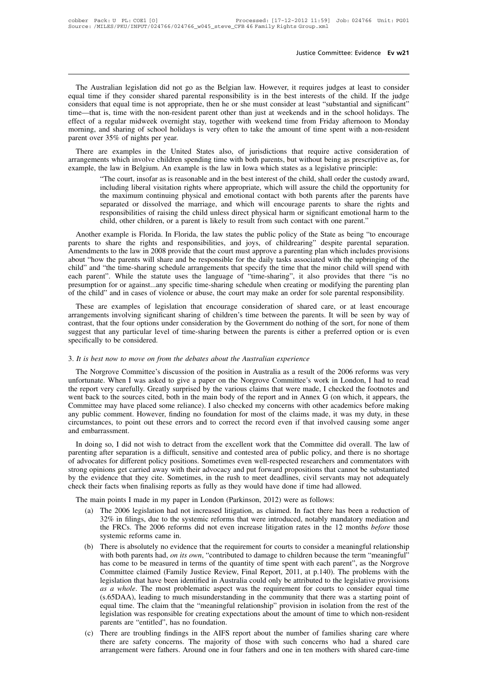Justice Committee: Evidence Ev w21<br>The Australian legislation did not go as the Belgian law. However, it requires judges at least to consider<br>ual time if they consider shared parental responsibility is in the best interest Justice Committee: Evidence Ev w21<br>Institute is the Australian legislation did not go as the Belgian law. However, it requires judges at least to consider<br>equal time if they consider shared parental responsibility is in th Justice Committee: Evidence **Ev w21**<br>
The Australian legislation did not go as the Belgian law. However, it requires judges at least to consider<br>
equal time if they consider shared parental responsibility is in the best in The Australian legislation did not go as the Belgian law. However, it requires judges at least to consider equal time if they consider shared parental responsibility is in the best interests of the child. If the judge cons The Australian legislation did not go as the Belgian law. However, it requires judges at least to consider equal time if they consider shared parental responsibility is in the best interests of the child. If the judge cons The Australian legislation did not go as the Belgian law. However, it requires judges at least to consider equal time if they consider shared parental responsibility is in the best interests of the child. If the judge cons The Australian legislation did not go<br>equal time if they consider shared pare<br>considers that equal time is not appropriation-<br>time—that is, time with the non-resident<br>effect of a regular midweek overnight s<br>morning, and sh and time it they constact stated parental responsionity is in the best interests of the child. It the judge<br>msiders that equal time is not appropriate, then he or she must consider at least "substantial and significant"<br>ne considers una equal time is not appropriate, then ne of she must consider at least substantial and significant<br>time—that is, time with the non-resident parent other than just at weekends and in the school holidays. The<br>eff the unit of a regular midweek overnight stay, together with weekend time from Friday afternoon to Mor<br>morning, and sharing of school holidays is very often to take the amount of time spent with a non-resi-<br>parent over 35%

The court, insofar as is reasonable and in the best interest of the custody parents are examples in the United States also, of jurisdictions that require active consideration of the which involve children spending time wit including liberal visitation rights where appropriate, which will encourage parents of share the rights and separated or dissolved the marriage, and which will encourage parents to share the child the opportunity for the m the maximum continuing physical and emotional contact with both parents, but without being as prescriptive as, for the law in Belgium. An example is the law in Iowa which states as a legislative principle: "The court, inso incert examples in the United States also, of jurisdictions that require active consideration of ints which involve children spending time with both parents, but without being as prescriptive as, for the law in Belgium. An nts which involve children spending time with both parents, but without being as prescriptive as, for<br>he law in Belgium. An example is the law in Iowa which states as a legislative principle:<br>"The court, insofar as is reas he law in Belgium. An example is the law in Iowa which states as a legislative principle:<br>
"The court, insofar as is reasonable and in the best interest of the child, shall order the custody awaincluding liberal visitation The court, insolar as is reasonable and in the best interest of the child, sharif order the custody award, including liberal visitation rights where appropriate, which will assure the child the opportunity for the maximum mention parent visitation rights where appropriate, which will assue the child the opportunity for the maximum continuing physical and emotional contact with both parents after the parents have separated or dissolved the m

Internation continuing physical and emotional contact with both patents arter the patents have<br>separated or dissolved the marriage, and which will encourage parents to share the rights and<br>responsibilities of raising the c separated of dissolved the marriage, and which will encourage parents to share the rights and<br>responsibilities of raising the child unless direct physical harm or significant emotional harm to the<br>child, other children, or responsibilities of raising the ciniu diness unect physical name of significant emotional name to the child, other children, or a parent is likely to result from such contact with one parent."<br>Another example is Florida. I end, other endurent, or a parent is inkery to result from such contact with one parent.<br>Another example is Florida. In Florida, the law states the public policy of the State as being "to encourage<br>parents to share the righ Another example is Florida. In Florida, the law states the public policy of the State as being "to encourage<br>parents to share the rights and responsibilities, and joys, of childrearing" despite parental separation.<br>Amendme parents to share the rights and responsibilities, and joys, of childrearing" despite parental separation.<br>Amendments to the law in 2008 provide that the court must approve a parenting plan which includes provisions<br>about " nentiments to the raw in 2006 provide that the court intist approve a parenting plan wincir includes provisions<br>out "how the parents will share and be responsible for the daily tasks associated with the upbringing of the<br>i about how the parents win share and be responsible for the dary tasks associated with the uporinging of the child" and "the time-sharing schedule arrangements that specify the time that the minor child will spend with each

chind and the time-sharing schedule analyements that specify the time that the filmot chind win spend with each parent". While the statute uses the language of "time-sharing", it also provides that there "is no presumption each parent. While the statute uses the language of thine-sharing, it also provides that there is no<br>presumption for or against...any specific time-sharing schedule when creating or modifying the parenting plan<br>of the chil performal formulation of the child" and in cases of violent These are examples of legisla<br>
arrangements involving significant<br>
contrast, that the four options unde<br>
suggest that any particular level c<br>
specifically to be c These are examples of legislation that encourage consideration of shared care, arrangements involving significant sharing of children's time between the parents. It we contrast, that the four options under consideration by The Norgrove Committee's discussion of the position in Australian experience<br>that the four options under consideration by the Government do nothing of the sort, for none of them<br>ggest that any particular level of time-shar

suggest that any particular level of time-sharing between the parents is either a preferred option or is even<br>specifically to be considered.<br>3. It is best now to move on from the debates about the Australian experience<br>The The report of the report of the report of the parameters is stated a preferred space of the set all specifically to be considered.<br>
3. It is best now to move on from the debates about the Australian experience<br>
The Norgrov 3. It is best now to move on from the debates about the Australian experience<br>The Norgrove Committee's discussion of the position in Australia as a result of the 2006 reforms was very<br>unfortunate. When I was asked to give 3. It is best now to move on from the debates about the Australian experience<br>The Norgrove Committee's discussion of the position in Australia as a result of the 2006 reforms was very<br>unfortunate. When I was asked to give 3. It is best now to move on from the debutes doold the Adstralian experience<br>The Norgrove Committee's discussion of the position in Australia as a result of the 2006 reforms was very<br>unfortunate. When I was asked to give The Norgrove Committee's discussion of the position in Australia as a result of the 2006 reforms was very unfortunate. When I was asked to give a paper on the Norgrove Committee's work in London, I had to read the report v unfortunate. When I was<br>the report very carefully.<br>went back to the sources<br>Committee may have plaa<br>any public comment. Ho<br>circumstances, to point c<br>and embarrassment.<br>In doing so, I did not Exercise the sources cited, both in the main body of the report and in Annex G (on which, it appears, the mmittee may have placed some reliance). I also checked my concerns with other academics before making y public comme went back to the sources cried, bout in the main body of the lepott and in Amex G (on which, it appears, the Committee may have placed some reliance). I also checked my concerns with other academics before making any publi

Columnities may have placed some renance). I also checked my colleens with other academics before making<br>any public comment. However, finding no foundation for most of the claims made, it was my duty, in these<br>circumstance strong opinions get carried away with their advocacy and put forward propositions for the caling some anger and embarrassment.<br>In doing so, I did not wish to detract from the excellent work that the Committee did overall. encumstances, to point out these errors and to correct the record even it that involved causing some anger<br>and embarrassment.<br>In doing so, I did not wish to detract from the excellent work that the Committee did overall. T In doing so, I did not wish to detract from the excellent work that the Committee did overall. T<br>parenting after separation is a difficult, sensitive and contested area of public policy, and there is no<br>of advocates for di In doing so, 1 did not wish to detact from the excellent work that the Committee did of renting after separation is a difficult, sensitive and contested area of public policy, and the advocates for different policy positi vocates for different policy positions. Sometimes even well-respected researchers and commentators with<br>g opinions get carried away with their advocacy and put forward propositions that cannot be substantiated<br>e evidence t

- in filings are carried away with their advocacy and put forward propositions that cannot be substantiated dence that they cite. Sometimes, in the rush to meet deadlines, civil servants may not adequately r facts when final dence that they cite. Sometimes, in the rush to meet deadlines, civil servants may not adequately<br>r facts when finalising reports as fully as they would have done if time had allowed.<br>in points I made in my paper in London by the evidence that they cite. Sometimes, in the rush to meet deadlines, civil servants may not adequately check their facts when finalising reports as fully as they would have done if time had allowed.<br>The main points I (a) The 2006 legislation had not increased litigation, as claimed. In fact there has been a reduction of 32% in filings, due to the systemic reforms that were introduced, notably mandatory mediation and the FRCs. The 2006
	- In points I made in my paper in London (Parkinson, 2012) were as follows:<br>The 2006 legislation had not increased litigation, as claimed. In fact there has been a reduction of<br>32% in filings, due to the systemic reforms tha The 2006 legislation had not increased litigation, as claimed. In fact there has been a reduction of 32% in filings, due to the systemic reforms that were introduced, notably mandatory mediation and the FRCs. The 2006 refo 32% in filings, due to the systemic reforms that were introduced, notably mandatory mediation and<br>the FRCs. The 2006 reforms did not even increase litigation rates in the 12 months *before* those<br>systemic reforms came in. the FRCs. The 2006 reforms did not even increase litigation rates in the 12 months *before* those systemic reforms came in.<br>There is absolutely no evidence that the requirement for courts to consider a meaningful relation systemic reforms came in.<br>There is absolutely no evidence that the requirement for courts to consider a meaningful relationship<br>with both parents had, *on its own*, "contributed to damage to children because the term "mean There is absolutely no evidence that the requirement for courts to consider a meaningful relationship with both parents had, *on its own*, "contributed to damage to children because the term "meaningful" has come to be mea with both parents had, *on its own*, "contributed to damage to children because the term "meaningful"<br>has come to be measured in terms of the quantity of time spent with each parent", as the Norgrove<br>Committee claimed (Fam has come to be measured in terms of the quantity of time spent with each parent", as the Norgrove<br>Committee claimed (Family Justice Review, Final Report, 2011, at p.140). The problems with the<br>legislation that have been id Committee claimed (Family Justice Review, F<br>legislation that have been identified in Australi<br>*as a whole*. The most problematic aspect wa<br>(s.65DAA), leading to much misunderstanding<br>equal time. The claim that the "meaning degislation that have been identified in Australia could only be attributed to the legislative provisions as a whole. The most problematic aspect was the requirement for courts to consider equal time  $(s.65DAA)$ , leading to as a whole. The most problematic aspect was the requirement for courts to consider equal time (s.65DAA), leading to much misunderstanding in the community that there was a starting point of equal time. The claim that the " (s.65DAA), leading to much misunderstanding in the community that there was a starting point of equal time. The claim that the "meaningful relationship" provision in isolation from the rest of the legislation was responsib
	-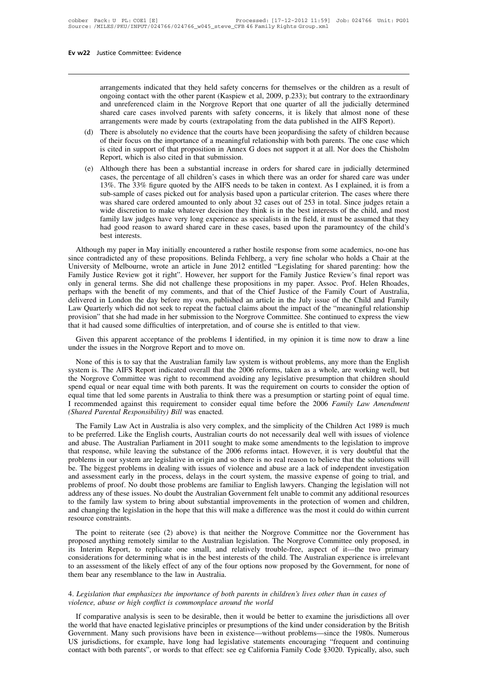arrangements indicated that they held safety concerns for themselves or the children as a result of ongoing contact with the other parent (Kaspiew et al, 2009, p.233); but contrary to the extraordinary and unreferenced cla arrangements indicated that they held safety concerns for themselves or the children as a result of<br>ongoing contact with the other parent (Kaspiew et al, 2009, p.233); but contrary to the extraordinary<br>and unreferenced cla and unreferenced claim in the Norgrow Report that one quarter of all the hildren as a result of ongoing contact with the other parent (Kaspiew et al, 2009, p.233); but contrary to the extraordinary and unreferenced claim i arrangements indicated that they held safety concerns for themselves or the children as a result of ongoing contact with the other parent (Kaspiew et al, 2009, p.233); but contrary to the extraordinary and unreferenced cla arrangements indicated that they held safety concerns for themselves or the children as a result of ongoing contact with the other parent (Kaspiew et al, 2009, p.233); but contrary to the extraordinary and unreferenced cla arrangements indicated that they held safety concerns for themselves or the children as a result of ongoing contact with the other parent (Kaspiew et al, 2009, p.233); but contrary to the extraordinary and unreferenced cla arrangements indicated that they held safety concerns for themselves or the children as a result of ongoing contact with the other parent (Kaspiew et al, 2009, p.233); but contrary to the extraordinary and unreferenced cla

- ongoing contact with the other parent (Kaspiew et al, 2009, p.233); but contrary to the extraordinary<br>and unreferenced claim in the Norgrove Report that one quarter of all the judicially determined<br>shared care cases involv and unreferenced claim in the Norgrove Report that one quarter of all the judicially determined<br>shared care cases involved parents with safety concerns, it is likely that almost none of these<br>arrangements were made by cour Stated care cases involved patents with sately concerns, it is fixely that almost note of these<br>arrangements were made by courts (extrapolating from the data published in the AIFS Report).<br>(d) There is absolutely no eviden arrangements were made by courts (extraporating from the data pubilisted in the Afr's Report).<br>There is absolutely no evidence that the courts have been jeopardising the safety of children because<br>of their focus on the imp
- There is absolutely no evidence that the courts have been jeopardising the safety of children because<br>of their focus on the importance of a meaningful relationship with both parents. The one case which<br>is cited in support of their focus on the importance of a meaningful relationship with both parents. The one case which<br>is cited in support of that proposition in Annex G does not support it at all. Nor does the Chisholm<br>Report, which is also is cited in support of that proposition in Annex G does not support it at all. Nor does the Chisholm<br>Report, which is also cited in that submission.<br>Although there has been a substantial increase in orders for shared care Report, which is also cited in that submission.<br>Although there has been a substantial increase in orders for shared care in judicially determined<br>cases, the percentage of all children's cases in which there was an order fo Although there has been a substantial increase in orders for shared care in judicially determined cases, the percentage of all children's cases in which there was an order for shared care was under 13%. The 33% figure quot cases, the percentage of all children's cases in which there was an order for shared care was under 13%. The 33% figure quoted by the AIFS needs to be taken in context. As I explained, it is from a sub-sample of cases pick 13%. The 33% figure quoted by the AIFS needs to be taken in context. As I explained, it is from a sub-sample of cases picked out for analysis based upon a particular criterion. The cases where there was shared care ordered sub-sample of cases picked out for anarysis based upon a particular efficion. The cases where there<br>was shared care ordered amounted to only about 32 cases out of 253 in total. Since judges retain a<br>wide discretion to make was shared care offered any offered any about 32 cases out of 253 in total. Since judges retain a wide discretion to make whatever decision they think is in the best interests of the child, and most family law judges have

which userstitution to make whatever decision they time is in the best interests of the chind, and most<br>family law judges have very long experience as specialists in the field, it must be assumed that they<br>had good reason Family Jaw Judges have very long experience as specialists in the field, it mast be assumed that they<br>had good reason to award shared care in these cases, based upon the paramountcy of the child's<br>best interests.<br>Although and good reason to award stract earc in these cases, based upon the paramountey of the emit s<br>best interests.<br>Although my paper in May initially encountered a rather hostile response from some academics, no-one has<br>since c Although my paper in May initially encountered a rather hostile response from some academics, no-one has since contradicted any of these propositions. Belinda Fehlberg, a very fine scholar who holds a Chair at the Universi Although my paper in May initially encountered a rather hostile response from some academics, no-one has since contradicted any of these propositions. Belinda Fehlberg, a very fine scholar who holds a Chair at the Universi since contradicted any of these propositions. Belinda Fehlberg, a very fine scholar who holds a Chair at the University of Melbourne, wrote an article in June 2012 entitled "Legislating for shared parenting: how the Family University of Melbourne, wrote an article in June 2012 entitled "Legislating for shared parenting: how the Family Justice Review got it right". However, her support for the Family Justice Review's final report was only in University of Melbourne, wrote an article in June 2012 entitled "Legislating for shared parenting: how the Family Justice Review got it right". However, her support for the Family Justice Review's final report was only in If the benefit of my comments, and that of the Chief Justice of the Family Court of Australia, alivered in London the day before my own, published an article in the July issue of the Child and Family w Quarterly which did provision" that she had made in her submission to the Norgrove Committee. She continued to express the view that it had caused some difficulties of interpretation, and of course she is entitled to that view.<br>
Given this ap

We Quarterly which did not seek to repeat the factual claims about the impact of the "meaningful relationship<br>ovision" that she had made in her submission to the Norgrove Committee. She continued to express the view<br>at it provision" that she had made in her submission to the Norgrove Committee. She continued to express the view<br>that it had caused some difficulties of interpretation, and of course she is entitled to that view.<br>Given this app that it had caused some difficulties of interpretation, and of course she is entitled to that view.<br>
Given this apparent acceptance of the problems I identified, in my opinion it is time now to draw a line<br>
under the issue Given this apparent acceptance of the problems I identified, in my opinion it is time now to draw a line under the issues in the Norgrove Report and to move on.<br>None of this is to say that the Australian family law system Equal time of this some parents in Australian family law system is without problems, any more than the English system is. The AIFS Report indicated overall that the 2006 reforms, taken as a whole, are working well, but the I Recommended against this requirement to consider equal time before the 2006 *Family Law System* is without problems, any more than the English system is. The AIFS Report indicated overall that the 2006 reforms, taken as *Shared Parental Responsibility) Bill* was enacted.<br>The simplicity of the Children About spend equal or near equal time with both parents. It was the requirement on courts to consider the option of equal time that led some Example The Family Committee was right to recommend avoiding any legislative presumption that children should<br>end equal or near equal time with both parents. It was the requirement on courts to consider the option of<br>ual t the Roughove Committee was right to recommend avoiding any registance presumption that emitter should spend equal tree that led some parents in Australia to think there was a presumption or starting point of equal time. I

spend equal time with bound parents. It was the requirement of courts to constant the option of<br>equal time that led some parents in Australia to think there was a presumption or starting point of equal time.<br>I recommended I recommended against this requirement to consider equal time before the 2006 *Family Law Amendment* (*Shared Parental Responsibility*) *Bill* was enacted.<br>The Family Law Act in Australia is also very complex, and the simp Frecommented against this requirement to consider equal time octore the 2000 Family Eaw Entertainment (Shared Parental Responsibility) Bill was enacted.<br>The Family Law Act in Australia is also very complex, and the simplic (Sharea Fareniai Responsionary) bin was chacted.<br>
The Family Law Act in Australia is also very complex, and the simplicity of the Children Act 1989 is much<br>
to be preferred. Like the English courts, Australian courts do no The Family Law Act in Australia is also very complex, and the simplicity of the Children Act 1989 is much<br>to be preferred. Like the English courts, Australian courts do not necessarily deal well with issues of violence<br>and to be preferred. Like the English courts, Australian courts do not necessarily deal well with issues of violence<br>and abuse. The Australian Parliament in 2011 sought to make some amendments to the legislation to improve<br>tha and abuse. The Australian Parliament in 2011 sought to make some amendments to the legislation to improve<br>that response, while leaving the substance of the 2006 reforms intact. However, it is very doubtful that the<br>problem that response, while leaving the substance of the 2006 reforms intact. However, it is very doubtful that the problems in our system are legislative in origin and so there is no real reason to believe that the solutions wil problems in our system are legislative in origin and so there is no real reason to believe that the solutions will<br>be. The biggest problems in dealing with issues of violence and abuse are a lack of independent investigati be. The biggest problems<br>and assessment early in t<br>problems of proof. No dou<br>address any of these issues<br>to the family law system<br>and changing the legislatic<br>resource constraints.<br>The point to reiterate a assessment early in the process, delays in the court system, the massive experise of going to that, and beloms of proof. No doubt those problems are familiar to English lawyers. Changing the legislation will not dress an and any of these issues. No doubt the Australian Government felt unable to commit any additional resources<br>to the family law system to bring about substantial improvements in the protection of women and children,<br>and chang

addicss any of these issues. No doubt the Australian Government rett unable to committ any additional resources<br>to the family law system to bring about substantial improvements in the protection of women and children,<br>and for the name of the transmit is in the hope that this will make a difference was the most it could do within current<br>resource constraints.<br>The point to reiterate (see (2) above) is that neither the Norgrove Committee nor t The point to reiterate (see (2) above) is that neither the Norgrove Committee nor the Government has proposed anything remotely similar to the Australian legislation. The Norgrove Committee only proposed, in its Interim Re The point to reiterate (see  $(2)$  above) is that neither<br>proposed anything remotely similar to the Australian leg<br>its Interim Report, to replicate one small, and rela<br>considerations for determining what is in the best int proposed anything remotely similar to the Australian legislation. The Norgrove Committee only proposed, it in the Figure of its Interim Report, to replicate one small, and relatively trouble-free, aspect of it—the two prim *Finally considerations* for determining what is in the best interests of the child. The Australian experience is irrelevant<br>
to an assessment of the likely effect of any of the four options now proposed by the Government,

If an assessment of the likely effect of any of the four options now proposed by the Government, for none of<br>
Im bear any resemblance to the law in Australia.<br> *Legislation that emphasizes the importance of both parents in* them bear any resemblance to the law in Australia.<br>4. Legislation that emphasizes the importance of both parents in children's lives other than in cases of<br>violence, abuse or high conflict is commonplace around the world<br>I 4. Legislation that emphasizes the importance of both parents in children's lives other than in cases of violence, abuse or high conflict is commonplace around the world<br>If comparative analysis is seen to be desirable, the 4. Legislation that emphasizes the importance of both parents in children's lives other than in cases of violence, abuse or high conflict is commonplace around the world<br>If comparative analysis is seen to be desirable, the Government. Many such provisions have been in existence—without problems—since the 1980s. Numerous US jurisdictions, for example, have long had legislative statements encouraging "frequent and continuing contact with both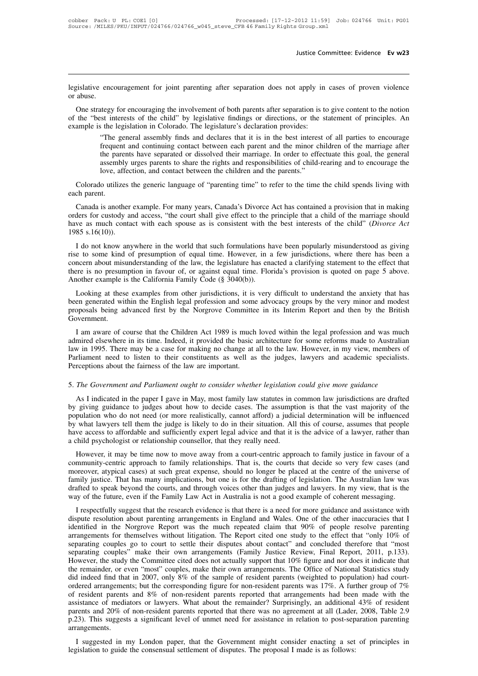Justice Committee: Evidence Ev w23<br>legislative encouragement for joint parenting after separation does not apply in cases of proven violence<br>or abuse. legislative encor abuse.<br>One strategy

The strategy for encouragement for joint parenting after separation does not apply in cases of proven violence<br>abuse.<br>One strategy for encouraging the involvement of both parents after separation is to give content to the degislative encouragement for joint parenting after separation does not apply in cases of proven violence<br>or abuse.<br>One strategy for encouraging the involvement of both parents after separation is to give content to the no legislative encouragement for joint parenting after separation does not apply in cases of proven violence<br>or abuse.<br>One strategy for encouraging the involvement of both parents after separation is to give content to the no encouragement for joint parenting after separation does not apply in cases of proven violence<br>tegy for encouraging the involvement of both parents after separation is to give content to the notion<br>st interests of the child

from the matrices of the continuing the involvement of both parents after separation is to give content to the notion<br>st interests of the child" by legislative findings or directions, or the statement of principles. An<br>sth the parents of the child" by legislative findings or directions, or the statement of principles. An sthe legislation in Colorado. The legislature's declaration provides:<br>"The general assembly finds and declares that it is the rights and contained the rights and responsibilities of child-rearing and to encourage the rights and declares that it is in the best interest of all parties to encourage "The general assembly finds and declares that i lost interests of the child" by legislative findings or directions, or the state<br>is the legislation in Colorado. The legislature's declaration provides:<br>"The general assembly finds and declares that it is in the best inter "The general assembly finds and declares that it is in the best interest of all parties to encourage frequent and continuing contact between each parent and the minor children of the marriage after the parents have separat Fine general the part assemb<br>
love, at<br>
Colorado utiliz<br>
each parent.<br>
Canada is another

the parents have separated or dissolved their marriage. In order to effectuate this goal, the general<br>assembly urges parents to share the rights and responsibilities of child-rearing and to encourage the<br>love, affection, a assembly urges parents to share the rights and responsibilities of child-rearing and to encourage the<br>love, affection, and contact between the children and the parents."<br>Colorado utilizes the generic language of "parenting have a much contact between the children and the parents."<br>Colorado utilizes the generic language of "parenting time" to refer to the time the child spends living with<br>each parent.<br>Canada is another example. For many years Colorado utilizes t<br>
each parent.<br>
Canada is another<br>
orders for custody an<br>
have as much conta<br>
1985 s.16(10)).<br>
I do not know any ch parent.<br>
Canada is another example. For many years, Canada's Divorce Act has contained a provision that in making<br>
ders for custody and access, "the court shall give effect to the principle that a child of the marriage Canada is another example. For many years, Canada's Divorce Act has contained a provision that in making<br>orders for custody and access, "the court shall give effect to the principle that a child of the marriage should<br>hav

Canada is another example. For many years, Canada is Divorce Act has contained a provision that in making orders for custody and access, "the court shall give effect to the principle that a child of the marriage should ha there is no presumption in favour of, or against equal time. Florida's provision is quoted on page 5 above.<br>There is no presumption in favour of equal time. However, in a few jurisdictions, where there has been a concern a have as finited contact with each spouse as is consistent with the 1985 s.16(10)).<br>
I do not know anywhere in the world that such formulations have the concern about misunderstanding of the law, the legislature has enable I do not know anywhere in the world that such formulations have been popularly misunderstood as giving<br>e to some kind of presumption of equal time. However, in a few jurisdictions, where there has been a<br>ncern about misund Fraction and within the two-film the world that such formulations have occur popularly insulately<br>stock as giving<br>rise to some kind of presumption of equal time. However, in a few jurisdictions, where there has been a<br>conc

proposals being advanced first by the Norgrove Committee in its Interim Report and then by the British Government.<br>
The Norganism of the Iaw, the legislature has enacted a clarifying statement to the effect that there is n Government. Another example is the California Family Code (§  $\overline{3040(b)}$ ).<br>
Looking at these examples from other jurisdictions, it is very difficult to understand the anxiety that has<br>
been generated within the English legal profess Looking at these examples from other jurisdictions, it is very difficult to understand the anxiety that has<br>been generated within the English legal profession and some advocacy groups by the very minor and modest<br>proposals

Looking at these examples from other jurisdictions, it is very difficult to understand the anxiety that has<br>been generated within the English legal profession and some advocacy groups by the very minor and modest<br>proposals bech generated whilm the English legal plotession and solite atvocaty groups by the very limit atta modest<br>proposals being advanced first by the Norgrove Committee in its Interim Report and then by the British<br>Government.<br> Proposals being advanced inst by the Norgrove Committed Government.<br>
I am aware of course that the Children Act 1989 is much<br>
admired elsewhere in its time. Indeed, it provided the basic at<br>
law in 1995. There may be a cas I am aware of course that the Children Act 1989 is much loved within the legal profession and was much admired elsewhere in its time. Indeed, it provided the basic architecture for some reforms made to Australian law in 19 w in 1995. There may be a case for making no change at all to the law. However, in my view, members of rliament need to listen to their constituents as well as the judges, lawyers and academic specialists.<br>reeptions about

Farliament need to listen to their constituents as well as the judges, lawyers and academic specialists.<br>Perceptions about the fairness of the law are important.<br>5. The Government and Parliament ought to consider whether l Perceptions about the fairness of the law are important.<br>
5. The Government and Parliament ought to consider whether legislation could give more guidance<br>
As I indicated in the paper I gave in May, most family law statutes 5. The Government and Parliament ought to consider whether legislation could give more guidance<br>As I indicated in the paper I gave in May, most family law statutes in common law jurisdictions are drafted<br>by giving guidance 5. The Government and Parliament ought to consider whether legislation could give more guidance<br>As I indicated in the paper I gave in May, most family law statutes in common law jurisdictions are drafted<br>by giving guidance a child psychologist or relationship counsels are above away from a court-centric approach.<br>However, it may be the paper I gave in May, most family law statutes in cost by giving guidance to judges about how to decide case As I indicated in the paper 1 gave in May, most rainity raw statutes in common raw jurisdictions are drafted<br>giving guidance to judges about how to decide cases. The assumption is that the vast majority of the<br>pulation who by giving guidance to judges about now to decide cases. The assumption is that the vast majority of the population who do not need (or more realistically, cannot afford) a judicial determination will be influenced by what

by what lawyers tell them the judge is likely to do in their situation. All this of course, assumes that people<br>have access to affordable and sufficiently expert legal advice and that it is the advice of a lawyer, rather t by what lawyers ten then the judge is likely to do in their situation. An this of course, assumes that people<br>have access to affordable and sufficiently expert legal advice and that it is the advice of a lawyer, rather tha and the speak beyond the speak beyond the courts, and through voices of the court of a community-centric approach to family relationship counsellor, that they really need.<br>
However, it may be time now to move away from a c However, it may be time now to move away from a court-centric approach to family justice in favour of a community-centric approach to family relationships. That is, the courts that decide so very few cases (and moreover, a In the respective and state is that the research evidence is that there is a need for more perfection. The Australian law was fired to speak beyond the courts, and through voices other than judges and lawyers. In my view, community-centric approach to family relationships. That is, the courts that decide so very few cases (and<br>moreover, atypical cases) at such great expense, should no longer be placed at the centre of the universe of<br>family

separating couples go to court to settle their disputes about contact" and concluded therefore that "most Farrangements for themselves without litigation. The Report cited one study of the future, even if the Family Law Act in Australia is not a good example of coherent messaging.<br>I respectfully suggest that the research evide and the future, even if the Family Law Act in Australia is not a good example of coherent messaging.<br>I respectfully suggest that the research evidence is that there is a need for more guidance and assistance with<br>dispute r way of the future, even if the Family Law Act in Australia is not a good example of conerent inessaging.<br>I respectfully suggest that the research evidence is that there is a need for more guidance and assistance with<br>dispu I respectfully suggest that the research evidence is that there is a need for more guidance and assistance with dispute resolution about parenting arrangements in England and Wales. One of the other inaccuracies that I ide dispute resolution about parenting arrangements in England and Wales. One of the other inaccuracies that I identified in the Norgrove Report was the much repeated claim that 90% of people resolve parenting arrangements for identified in the Norgrove Report was the much repeated claim that 90% of people resolve parenting<br>arrangements for themselves without litigation. The Report cited one study to the effect that "only 10% of<br>separating coupl arrangements for themselves without litigation. The Report cited one study to the effect that "only 10% of<br>separating couples go to court to settle their disputes about contact" and concluded therefore that "most<br>separati separating couples go to court to settle their disputes about contact" and concluded therefore that "most<br>separating couples" make their own arrangements (Family Justice Review, Final Report, 2011, p.133).<br>However, the stu separating couples" make their own arrangements (Family Justice Review, Final Report, 2011, p.133).<br>However, the study the Committee cited does not actually support that 10% figure and nor does it indicate that<br>the remaind However, the study the Committee cited does not actually support that 10% figure and nor does it indicate that the remainder, or even "most" couples, make their own arrangements. The Office of National Statistics study did the remainder, or even "most" couples, make their own arrangements. The Office of National Statistics study<br>did indeed find that in 2007, only 8% of the sample of resident parents (weighted to population) had court-<br>ordere arrangements. I suggested in my London paper, that the Government might consider enacting a set of principles in discussion to guide the consensual settlement of disputes. The proposal I made is as follows:<br>
I suggested in my London pap or resident patents and  $\delta$ % or non-resident patents reported that arrangements had been<br>assistance of mediators or lawyers. What about the remainder? Surprisingly, an additional<br>parents and 20% of non-resident parents re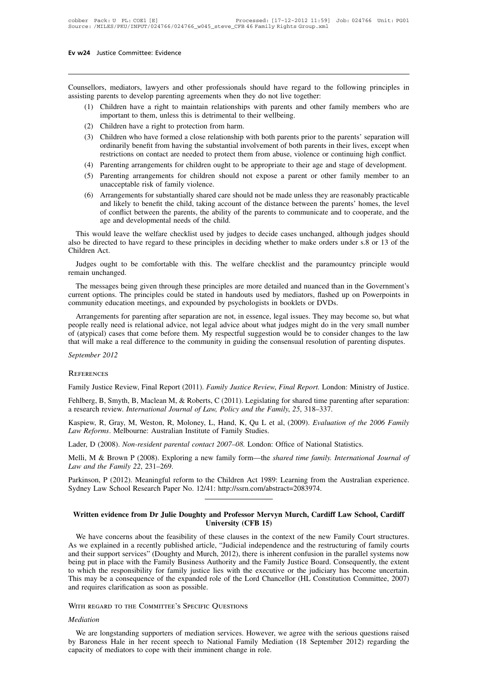Ev w24 Justice Committee: Evidence<br>
Counsellors, mediators, lawyers and other professionals should have regard to the following principles in<br>
assisting parents to develop parenting agreements when they do not live togethe **Ev w24** Justice Committee: Evidence<br>
Counsellors, mediators, lawyers and other professionals should have regard to the forest<br>
assisting parents to develop parenting agreements when they do not live together:<br>
(1) Childre

- (1) Children have a right to protection from harm<br>
(1) Children have a right to maintain relationships with parents and other family members who are<br>
(1) Children have a right to maintain relationships with parents and oth Important to develop parenting agreements when they do not live regard<br>arents to develop parenting agreements when they do not live togeth<br>Children have a right to maintain relationships with parents and comportant to them sellors, mediators, lawyers and other professionals show<br>ing parents to develop parenting agreements when they d<br>(1) Children have a right to maintain relationships wi<br>important to them, unless this is detrimental to their
- 
- Sullors, mediators, lawyers and other professionals should have regard to the following principles in<br>
ing parents to develop parenting agreements when they do not live together:<br>
(1) Children have a right to maintain rela arents to develop parenting agreements when they do not live together:<br>Children have a right to maintain relationships with parents and other family members who are<br>important to them, unless this is detrimental to their we Children have a right to maintain relationships with parents and other family members who are<br>important to them, unless this is detrimental to their wellbeing.<br>Children have a right to protection from harm.<br>Children who ha important to them, unless this is detrimental to their wellbeing.<br>
(2) Children have a right to protection from harm.<br>
(3) Children who have formed a close relationship with both parents prior to the parents' separation wi (2) Children have a right to protection from harm.<br>
(3) Children who have formed a close relationship with both parents prior to the parents' separation will<br>
ordinarily benefit from having the substantial involvement of b (2) Children have a right to protection from harm.<br>
(3) Children who have formed a close relationship with both parents prior to the parents' separation will<br>
ordinarily benefit from having the substantial involvement of b
- 
- 
- ordinarily benefit from having the substantial involvement of both parents in their lives, except when restrictions on contact are needed to protect them from abuse, violence or continuing high conflict.<br>
(4) Parenting arr restrictions on contact are needed to protect them from abuse, violence or continuing high conflict.<br>Parenting arrangements for children ought to be appropriate to their age and stage of development.<br>Parenting arrangements Parenting arrangements for children ought to be appropriate to their age and stage of development.<br>Parenting arrangements for children should not expose a parent or other family member to an unacceptable risk of family vio Parenting arrangements for children ought to be<br>Parenting arrangements for children should needs of family violence.<br>Arrangements for substantially shared care shoul<br>and likely to benefit the child, taking account of<br>confl unacceptable risk of family violence.<br>
(6) Arrangements for substantially shared care should not be made unless they are reasonably practicable<br>
and likely to benefit the child, taking account of the distance between the p (6) Arrangements for substantially shared care should not be made unless they are reasonably practicable and likely to benefit the child, taking account of the distance between the parents' homes, the level of conflict bet

(b) Arianger<br>and likel<br>of conflicit<br>age and<br>This would leave<br>also be directed to<br>Children Act.<br>Judges ought to of conflict between the parents, the ability of the parents to communicate and to cooperate, and the age and developmental needs of the child.<br>This would leave the welfare checklist used by judges to decide cases unchanged age and develant and several to have<br>also be directed to have<br>Children Act.<br>Judges ought to be a<br>remain unchanged.<br>The messages being g This would leave the welfare checklist used by judges to decide cases unchanged, although judges should<br>to be directed to have regard to these principles in deciding whether to make orders under s.8 or 13 of the<br>ildren Act

also be directed to have regard to these principles in deciding whether to make orders under s.8 or 13 of the<br>Children Act.<br>Judges ought to be comfortable with this. The welfare checklist and the paramountcy principle woul Children Act.<br>
Judges ought to be comfortable with this. The welfare checklist and the paramountcy principle would<br>
remain unchanged.<br>
The messages being given through these principles are more detailed and nuanced than in Judges ought to be comfortable with this. The welfare checklist and the paramountcy principle would<br>nain unchanged.<br>The messages being given through these principles are more detailed and nuanced than in the Government's<br>r

remain unchanged.<br>
The messages being given through these principles are more detailed and nuanced than in the Government's<br>
current options. The principles could be stated in handouts used by mediators, flashed up on Powe The messages being given through these principles are more detailed and nuanced than in the Government's current options. The principles could be stated in handouts used by mediators, flashed up on Powerpoints in community The messages being given unough these principles are more detailed and mainced than in the Oovermient's current options. The principles could be stated in handouts used by mediators, flashed up on Powerpoints in community people really need is relational advice, not legal advice about what judges might do in the very small number of (atypical) cases that come before them. My respectful suggestion would be to consider changes to the law that of (atypical) cases that come before them. My respectful suggestion would be to consider changes to the law<br>that will make a real difference to the community in guiding the consensual resolution of parenting disputes.<br>Sept

### **REFERENCES**

September 2012<br>
REFERENCES<br>
Family Justice Review, Final Report (2011). *Family Justice Review, Final Report*. London: Ministry of Justice.<br>
Fehlberg, B, Smyth, B, Maclean M, & Roberts, C (2011). Legislating for shared tim Family Justice Review, Final Report (2011). *Family Justice Review, Final Report*. London: Ministry of Justice.<br>Fehlberg, B, Smyth, B, Maclean M, & Roberts, C (2011). Legislating for shared time parenting after separation: REFERENCES<br>Family Justice Review, Final Report (2011). *Family Justice Review, Final Report*. London: Ministry of Justice.<br>Fehlberg, B, Smyth, B, Maclean M, & Roberts, C (2011). Legislating for shared time parenting after Family Justice Review, Final Report (2011). *Family Justice Review*, *Filenderg*, *B*, Smyth, *B*, Maclean *M*, & Roberts, *C* (2011). Legislating for a research review. *International Journal of Law, Policy and the Family* Fehlberg, B, Smyth, B, Maclean M, & Roberts, C (2011). Legislating for shared time parenting after sea research review. *International Journal of Law, Policy and the Family, 25, 318–337.*<br>Kaspiew, R, Gray, M, Weston, R, Mo

Melli, M & Brown P (2008). Exploring a new family form—the *shared time family.* Determines a research review. *International Journal of Law*, *Policy and the Family*, 25, 318–337.<br>
Kaspiew, R, Gray, M, Weston, R, Moloney, *Law Reforms. Methanoma souma*<br>*Law Reforms. Melbourne: Australian In*<br>*Lader, D (2008). Non-resident parental*<br>*Melli, M & Brown P (2008). Exploring<br><i>Law and the Family 22, 231–269.*<br>Parkinson, P (2012). Meaningful reform

Law Reforms. Melbourne: Australian Institute of Family Studies.<br>Lader, D (2008). Non-resident parental contact 2007–08. London: Office of National Statistics.<br>Melli, M & Brown P (2008). Exploring a new family form—the *sha* Lader, D (2008). *Non-resident parental contact 2007–08*. London: Office of National S<br>Melli, M & Brown P (2008). Exploring a new family form—the *shared time family. In*<br>Law and the Family 22, 231–269.<br>Parkinson, P (2012) Ethi, *M* & Brown 1 (2003). Exploring a new family form the *shared time jamay. International sournal by* aw and the Family 22, 231–269.<br>
written evidence from Dr Julie Doughty and Professor Mervyn Murch, Cardiff Law Schoo Parkinson, P (2012). Meaningful reform to the Children Act 1989: Learning from the Australian experience.<br>
Sydney Law School Research Paper No. 12/41: http://ssrn.com/abstract=2083974.<br> **Written evidence from Dr Julie Doug** 

Written evidence from Dr Julie Doughty and Professor Mervyn Murch, Cardiff Law School, Cardiff<br>Written evidence from Dr Julie Doughty and Professor Mervyn Murch, Cardiff Law School, Cardiff<br>We have concerns about the feasi Written evidence from Dr Julie Doughty and Professor Mervyn Murch, Cardiff Law School, Cardiff<br>University (CFB 15)<br>We have concerns about the feasibility of these clauses in the context of the new Family Court structures.<br> Written evidence from Dr Julie Doughty and Professor Mervyn Murch, Cardiff Law School, Cardiff<br>University (CFB 15)<br>We have concerns about the feasibility of these clauses in the context of the new Family Court structures.<br> **Written evidence from Dr Julie Doughty and Professor Mervyn Murch, Cardiff Law School, Cardiff<br>University (CFB 15)**<br>We have concerns about the feasibility of these clauses in the context of the new Family Court structures This may be a consequence of the expanded role of the Lord Chancellor (HL Constitution Committee, 2007) and requires clarification as soon as possible. **EXECTS TESTS**<br>
We have concerns about the feasibility of these clauses in the context of the new Family Court structures.<br>
As we explained in a recently published article, "Judicial independence and the restructuring of f We have concerns about the feasibility of these clauses in the cc<br>As we explained in a recently published article, "Judicial independe<br>and their support services" (Doughty and Murch, 2012), there is inhe<br>being put in place

### *Mediation*

IS may be a consequence of the expanded role of the Lord Chancellor (HL Constitution Committee, 2007)<br>d requires clarification as soon as possible.<br>THE REGARD TO THE COMMITTEE'S SPECIFIC QUESTIONS<br>ediation<br>We are longstand and requires clarification as soon as possible.<br>
WITH REGARD TO THE COMMITTEE's SPECIFIC QUESTIONS<br>
Mediation<br>
We are longstanding supporters of mediation services. However, we agree with the serious questions raised<br>
by B WITH REGARD TO THE COMMITTEE'S SPECIFIC QUESTIONS<br>
Mediation<br>
We are longstanding supporters of mediation services. Howeve<br>
by Baroness Hale in her recent speech to National Family Me<br>
capacity of mediators to cope with th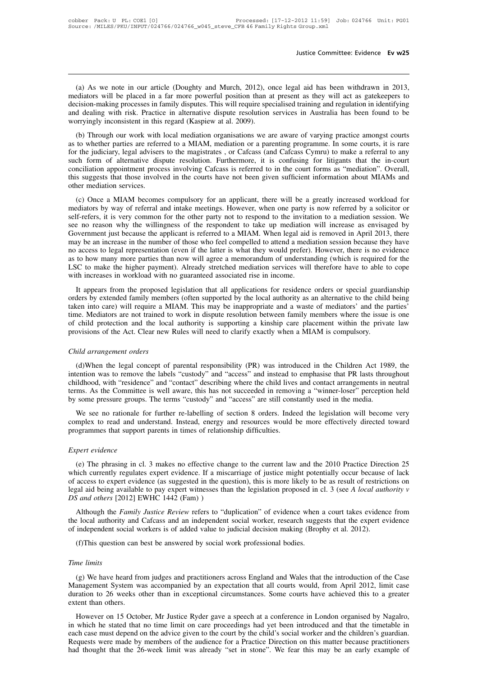Justice Committee: Evidence Ev w25<br>
(a) As we note in our article (Doughty and Murch, 2012), once legal aid has been withdrawn in 2013,<br>
ediators will be placed in a far more powerful position than at present as they will Justice Committee: Evidence Ev w25<br>
(a) As we note in our article (Doughty and Murch, 2012), once legal aid has been withdrawn in 2013,<br>
mediators will be placed in a far more powerful position than at present as they will Justice Committee: Evidence Evizual<br>
(a) As we note in our article (Doughty and Murch, 2012), once legal aid has been withdrawn in 2013,<br>
mediators will be placed in a far more powerful position than at present as they wil (a) As we note in our article (Doughty and Murch, 2012), once legal aid has been withdrawn in 2013, mediators will be placed in a far more powerful position than at present as they will act as gatekeepers to decision-makin (a) As we note in our article (Doughty and Murch, 2012), of mediators will be placed in a far more powerful position than a decision-making processes in family disputes. This will require spe and dealing with risk. Practic (a) As we note in our article (Doughty and Murch, 2012), once legal aid has been withdrawn in 2013, ediators will be placed in a far more powerful position than at present as they will act as gatekeepers to cision-making p (a) As we note in our article (boughty and Mirlei, 2012), once legar and has been windiawn in 2015, mediators will be placed in a far more powerful position than at present as they will act as gatekeepers to decision-makin

for the judiciary, legal advisers in family disputes. This will require specialised training and regulation in identifying and dealing with risk. Practice in alternative dispute resolution services in Australia has been fo succision-making processes in rainity disputes. This will require specialised training and regulation in identitying<br>and dealing with risk. Practice in alternative dispute resolution services in Australia has been found to and dealing with risk. Fractice in ancihative displue resolution services in Australia has been found to be<br>worryingly inconsistent in this regard (Kaspiew at al. 2009).<br>(b) Through our work with local mediation organisati woriyingly inconsistent in this regard (Kaspiew at al. 2009).<br>
(b) Through our work with local mediation organisations we are aware of varying practice amongst courts<br>
as to whether parties are referred to a MIAM, mediatio (b) Through our work with<br>as to whether parties are refer-<br>for the judiciary, legal advisers<br>such form of alternative dis-<br>conciliation appointment proce-<br>this suggests that those involv-<br>other mediation services.<br>(c) Once for the judiciary, legal advisers to the magistrates, or Cafcass (and Cafcass Cymru) to make a referral to any<br>such form of alternative dispute resolution. Furthermore, it is confusing for litigants that the in-court<br>conci mediators by way of referral and intake meetings. However, when one party is now referred by a solicitor or enciliation spointment process involving Cafcass is referred to in the court forms as "mediation". Overall, this s

self-refers, it is very common for the other party not to respond to the court forms as "mediation". Overall, this suggests that those involved in the courts have not been given sufficient information about MIAMs and other seem and appointment process involving carcass is referred to in the court forms as incuration. Coverant, this suggests that those involved in the courts have not been given sufficient information about MIAMs and other med The applicant interval in the course have not been given sumerient information about MENNS and<br>other mediation services.<br>(c) Once a MIAM becomes compulsory for an applicant, there will be a greatly increased workload for<br>m (c) Once a MIAM becomes compulsory for an applicant, there will be a greatly increased workload for mediators by way of referral and intake meetings. However, when one party is now referred by a solicitor or self-refers, i (c) Once a MIAM becomes compulsory for an applicant, there will be a greatly increased workload for mediators by way of referral and intake meetings. However, when one party is now referred by a solicitor or self-refers, i mediators by way of referral and intake meetings. However, when one party is now referred by a solicitor or self-refers, it is very common for the other party not to respond to the invitation to a mediation session. We see self-refers, it is very common for the other party not to respond to the invitation to a mediation session. We<br>see no reason why the willingness of the respondent to take up mediation will increase as envisaged by<br>Governme see no reason why the willingness of the respondent to take up mediation Government just because the applicant is referred to a MIAM. When legal aid may be an increase in the number of those who feel compelled to attend a Government just because the applicant is referred to a MIAM. When legal aid is removed in April 2013, there may be an increase in the number of those who feel compelled to attend a mediation session because they have no ac no access to legal representation (even if the latter is what they would prefer). However, there is no evidence<br>as to how many more parties than now will agree a memorandum of understanding (which is required for the<br>LSC t

the access to regal representation (even if the fatter is what they would prefer). However, there is no evidence as to how many more parties than now will agree a memorandum of understanding (which is required for the LSC as to now many more parties than now win agree a memorantum or understanding (winen is required to the LSC to make the higher payment). Already stretched mediation services will therefore have to able to cope with increase Local comake the inghet payment). All also succeded included in services with increases in workload with no guaranteed associated rise in income.<br>It appears from the proposed legislation that all applications for residence It appears from the proposed legislation that all applications for residence orders or special guard orders by extended family members (often supported by the local authority as an alternative to the child taken into care) orders by extended family member<br>taken into care) will require a ML<br>time. Mediators are not trained to<br>of child protection and the local<br>provisions of the Act. Clear new R<br>*Child arrangement orders*<br>(d)When the legal conce The Mediators are not trained to work in dispute resolution between family members where the issue is one child protection and the local authority is supporting a kinship care placement within the private law ovisions of t

of child protection and the local authority is supporting a kinship care placement within the private law<br>provisions of the Act. Clear new Rules will need to clarify exactly when a MIAM is compulsory.<br>Child arrangement ord provisions of the Act. Clear new Rules will need to clarify exactly when a MIAM is compulsory.<br>
Child arrangement orders<br>
(d)When the legal concept of parental responsibility (PR) was introduced in the Children Act 1989, t Child arrangement orders<br>
(d)When the legal concept of parental responsibility (PR) was introduced in the Children Act 1989, the<br>
intention was to remove the labels "custody" and "access" and instead to emphasise that PR l Child arrangement orders<br>
(d)When the legal concept of parental responsibility (PR) was introduced in the Children Act 198<br>
intention was to remove the labels "custody" and "access" and instead to emphasise that PR lasts t (d)When the legal concept of parental responsibility (PR) was introduced in the Children Act 1989, the ention was to remove the labels "custody" and "access" and instead to emphasise that PR lasts throughout ildhood, with (i) which the legal concept of patential responsibility (FR) was intoduced in the emitated Ret 1969, the intention was to remove the labels "custody" and "access" and instead to emphasise that PR lasts throughout childhood childhood, with "residence" and "contact" describing where the child lives and contact arrangements in neutral<br>terms. As the Committee is well aware, this has not succeeded in removing a "winner-loser" perception held<br>by s

by some pressure groups. The terms "custody" and "access" are still constantly used in the media.<br> *We* see no rationale for further re-labelling of section 8 orders. Indeed the legislation will become very complex to read

We see no rationale for further re-labelling of section 8 orders. Indeed the legislation will become very<br>mplex to read and understand. Instead, energy and resources would be more effectively directed toward<br>ogrammes that complex to read and understand. Instead, energy and resources would be more effectively directed toward<br>programmes that support parents in times of relationship difficulties.<br>Expert evidence<br>(e) The phrasing in cl. 3 makes programmes that support parents in times of relationship difficulties.<br> *Expert evidence*<br>
(e) The phrasing in cl. 3 makes no effective change to the current law and the 2010 Practice Direction 25<br>
which currently regulate Expert evidence<br>
(e) The phrasing in cl. 3 makes no effective change to the current law and the 2010 Practice Direction 25<br>
which currently regulates expert evidence. If a miscarriage of justice might potentially occur bec *Expert evidence*<br>
(e) The phrasing in cl. 3 makes no effective change which currently regulates expert evidence. If a mist<br>
of access to expert evidence (as suggested in the quartiled legal aid being available to pay expe (e) The phrasing in cl. 3 makes no effective change to the current law and the 2010 Practice Direction 25 inch currently regulates expert evidence. If a miscarriage of justice might potentially occur because of lack access (c) The phrasmig in ci. 3 makes no checuve enange to the carrelia raw and the 2010 Fractice Direction 25 which currently regulates expert evidence. If a miscarriage of justice might potentially occur because of lack of ac which currently regulates expert evidence. It a imsealing of justice imgit potentially occur occause<br>of access to expert evidence (as suggested in the question), this is more likely to be as result of restrict<br>legal aid be

gal aid being available to pay expert witnesses than the legislation proposed in c<br>
S and others [2012] EWHC 1442 (Fam) )<br>
Although the *Family Justice Review* refers to "duplication" of evidence when<br>
e local authority an the local authority and Cafcass and an independent social worker, research suggests that the expert evidence<br>of independent social workers is of added value to judicial decision making (Brophy et al. 2012).<br>(f)This questio

(f)This question can best be answered by social work professional bodies.<br>
(f)This question can best be answered by social work professional bodies.<br> *ne limits*<br>
(g) We have heard from judges and practitioners across Engl (f)This question can best be answered by social work professional bodies.<br>
Time limits<br>
(g) We have heard from judges and practitioners across England and Wales that the introduction of the Case<br>
Management System was acco (f)This question can best be answered by social work professional bodies.<br>
Time limits<br>
(g) We have heard from judges and practitioners across England and Wales that the introduction of the Case<br>
Management System was acco Management System was accompanied by an expectation that all courts would, from April 2012, limit case<br>duration to 26 weeks other than in exceptional circumstances. Some courts have achieved this to a greater<br>extent than o me limits<br>(g) We have heard from judges and practitioners across England and Wales that the introduction of the Case<br>anagement System was accompanied by an expectation that all courts would, from April 2012, limit case<br>rat

(g) We have heard from judges and practitioners across England and Wales that the introduction of the Case<br>Management System was accompanied by an expectation that all courts would, from April 2012, limit case<br>duration to If you have head from judges and practitioners across England and wates that the infoduction of the case<br>Management System was accompanied by an expectation that all courts would, from April 2012, limit case<br>duration to 26 Management system was accompanied by an expectation that an courts wound, from Apm 2012, mint case<br>duration to 26 weeks other than in exceptional circumstances. Some courts have achieved this to a greater<br>extent than other each case must depend on the advice given to the court by the child's social worker and the children's guardian.<br>Requests were made by members of the audience for a Practice Direction on this matter because practitioners<br>h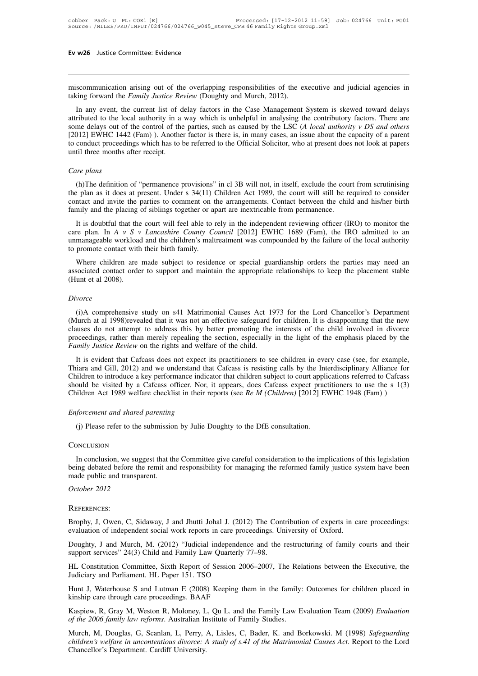Ev w26 Justice Committee: Evidence<br>
Iniscommunication arising out of the overlapping responsibilities of the executive and judicial agencies in<br>
taking forward the *Family Justice Review* (Doughty and Murch, 2012). **Ev w26** Justice Committee: Evidence<br>miscommunication arising out of the overlapping responsibilities of the ex<br>taking forward the *Family Justice Review* (Doughty and Murch, 2012).<br>In any event, the current list of delay

In any event, the current list of delay factors in the Case Management System is skewed toward delays<br>In any event, the current list of delay factors in the Case Management System is skewed toward delays<br>ributed to the loc miscommunication arising out of the overlapping responsibilities of the executive and judicial agencies in taking forward the *Family Justice Review* (Doughty and Murch, 2012).<br>In any event, the current list of delay facto miscommunication arising out of the overlapping responsibilities of the executive and judicial agencies in taking forward the *Family Justice Review* (Doughty and Murch, 2012).<br>In any event, the current list of delay facto miscommunication arising out of the overlapping responsibilities of the executive and judicial agencies in taking forward the *Family Justice Review* (Doughty and Murch, 2012).<br>In any event, the current list of delay facto Inscommunication arising out of the overlapping responsionities of the executive and judicial agencies in taking forward the *Family Justice Review* (Doughty and Murch, 2012).<br>In any event, the current list of delay factor taking forward the *Family Justice Review* (Doughty and Murch, 2012).<br>In any event, the current list of delay factors in the Case Management System is skewed toward delays<br>attributed to the local authority in a way which Figure 2012] EWHC 1442 (Fam) ). Another factor is there is, in many cases, an issue about the capacity of a parent [2012] EWHC 1442 (Fam) ). Another factor is there is, in many cases, an issue about the capacity of a paren (h)The definition of "permanence provisions" in cl 3B will not, in itself, exclude the court from scrutinising the months after receipt.<br> *Ree plans*<br>
(h)The definition of "permanence provisions" in cl 3B will not, in itse

the plan as it does at present. Under s 34(11) Children Act 1989, the court will still be required to consider<br>
Care plans<br>
(h)The definition of "permanence provisions" in cl 3B will not, in itself, exclude the court from care plans<br>
Care plans<br>
(h)The definition of "permanence provisions" in cl 3B will not, in itself, exclude the court from scrutinising<br>
the plan as it does at present. Under s 34(11) Children Act 1989, the court will still (h)The definition of "permanence provisions" in cl 3B will not, in itself, exclude the court from scrutinising<br>the plan as it does at present. Under s 34(11) Children Act 1989, the court will still be required to consider<br> It is doubtful that the court will feel able to rely in the independent reviewing the feel all the court from scrutinising e plan as it does at present. Under s 34(11) Children Act 1989, the court will still be required t (h)The definition of "permanence provisions" in cl 3B will not, in itself, exclude the court from scrutinising<br>the plan as it does at present. Under s 34(11) Children Act 1989, the court will still be required to consider

(ii) The definition of permanente provisions in cf 3B will not, in itself, exclude the court from setudinsing<br>the plan as it does at present. Under s 34(11) Children Act 1989, the court will still be required to consider<br> the part as it does at present. Onder s  $34(11)$  contact and invite the parties to comment on t<br>family and the placing of siblings together or a It is doubtful that the court will feel able to i<br>care plan. In A v S v Lanc mily and the placing of siblings together or apart are inextricable from permanence.<br>It is doubtful that the court will feel able to rely in the independent reviewing officer (IRO) to monitor the<br>re plan. In A v S v *Lanc* It is doubtful that the court will feel able to rely in the independent reviewing officer (IRO) to monitor the care plan. In  $A \vee S \vee$  *Lancashire County Council* [2012] EWHC 1689 (Fam), the IRO admitted to an unmanageab It is doubt<br>to read that we care plan. In  $A \vee S \vee$ <br>to promote contact with<br>Where children are<br>associated contact orde<br>(Hunt et al 2008).<br>Divorce

Where children are made subject to residence or special guardianship orders the parties may need an sociated contact order to support and maintain the appropriate relationships to keep the placement stable unt et al 2008).

### *Divorce*

associated contact order to support and maintain the appropriate relationships to keep the placement stable<br>(Hunt et al 2008).<br>*Divorce*<br>(i)A comprehensive study on s41 Matrimonial Causes Act 1973 for the Lord Chancellor's (Hunt et al 2008).<br> *Divorce*<br>
(i)A comprehensive study on s41 Matrimonial Causes Act 1973 for the Lord Chancellor's Department<br>
(Murch at al 1998)revealed that it was not an effective safeguard for children. It is disappo Divorce<br>(i)A comprehensive study on s41 Matrimonial Causes Act 1973 for the Lord Chancellor's Department<br>(Murch at al 1998)revealed that it was not an effective safeguard for children. It is disappointing that the new<br>clau (i)A comprehensive study on s41 Matrimonial Causes Act 1973 for the Lord Chancellor's Department (Murch at al 1998)revealed that it was not an effective safeguard for children. It is disappointing that the new clauses do n (i)A comprehensive study on s41 Matrimonial Causes Act 1973 for the Lord Chancellor's Department<br>Iurch at al 1998)revealed that it was not an effective safeguard for children. It is disappointing that the new<br>uuses do not (I) A complement study on s41 Mathmonian Causes Act 1975 for the Eord Chalcentor's Department<br>(Murch at al 1998) revealed that it was not an effective safeguard for children. It is disappointing that the new<br>clauses do not

(which at a 1996) evcalculated that it was not an enceduve saleguard for emident. It is usappointing that the new clauses do not attempt to address this by better promoting the interests of the child involved in divorce p clauses do not attempt to addets this by better promoting the metests of the emphasis placed by the proceedings, rather than merely repealing the section, especially in the light of the emphasis placed by the *Family Just* proceedings, rather than merety repeating the section, espectarly in the fight of the emphasis placed by the *Family Justice Review* on the rights and welfare of the child.<br>It is evident that Cafcass does not expect its pr It is evident that Cafcass does not expect<br>Thiara and Gill, 2012) and we understand th<br>Children to introduce a key performance indic<br>should be visited by a Cafcass officer. Nor,<br>Children Act 1989 welfare checklist in their (i) Please refer to the submission by Julie Doughty to the DfE consultation.<br>
Should be visited by a Cafcass officer. Nor, it appears, does Cafcass expect practitioners to use the s 1(3)<br>
Children Act 1989 welfare checklis

### **CONCLUSION**

In Chinage enter to the submission by Julie Doughty to the DfE consultation.<br>
In conclusion<br>
In conclusion, we suggest that the Committee give careful consideration to the implications of this legislation<br>
ing debated befo (j) Please refer to the submission by Julie Doughty to the DfE consultation.<br>
CONCLUSION<br>
In conclusion, we suggest that the Committee give careful consideration to the implications of this legislation<br>
being debated befo (j) Please refer to the submissio<br>Conclusion<br>In conclusion, we suggest that the<br>being debated before the remit and<br>made public and transparent.<br>October 2012 Conclusion, we suggeneed before the<br> *Designeed before* the<br> *October 2012*<br> *REFERENCES*:

### References:

being debated before the remit and responsibility for managing the reformed family justice system have been<br>made public and transparent.<br>October 2012<br>REFERENCES:<br>Brophy, J, Owen, C, Sidaway, J and Jhutti Johal J. (2012) Th Process Corober 2012<br>
REFERENCES:<br>
Brophy, J, Owen, C, Sidaway, J and Jhutti Johal J. (2012) The Contribution of experts in care<br>
evaluation of independent social work reports in care proceedings. University of Oxford.<br>
Do

REFERENCES:<br>Brophy, J, Owen, C, Sidaway, J and Jhutti Johal J. (2012) The Contribution of experts in care proceedings:<br>evaluation of independent social work reports in care proceedings. University of Oxford.<br>Doughty, J and REFERENCES:<br>Brophy, J, Owen, C, Sidaway, J and Jhutti Johal J. (2012) The Contevaluation of independent social work reports in care proceedings. Un<br>Doughty, J and Murch, M. (2012) "Judicial independence and the support ser Brophy, J, Owen, C, Sidaway, J and Jhutti Johal J. (2012) T<br>evaluation of independent social work reports in care proceedi<br>Doughty, J and Murch, M. (2012) "Judicial independence a<br>support services" 24(3) Child and Family L

Brophy, J, Owen, C, Sidaway, J and Jhutti Johal J. (2012) The Contribution of experts in care proceedings:<br>evaluation of independent social work reports in care proceedings. University of Oxford.<br>Doughty, J and Murch, M. ( Doughty, J and Murch, M. (2012) "Judicial independences support services" 24(3) Child and Family Law Quarterly 7 HL Constitution Committee, Sixth Report of Session 200 Judiciary and Parliament. HL Paper 151. TSO Hunt J, Wa *HL* Constitution Committee, Sixth Report of Session 2006–2007, The Rel Judiciary and Parliament. HL Paper 151. TSO<br>*Hunt J, Waterhouse S and Lutman E (2008)* Keeping them in the family:<br>kinship care through care proceedin

Doughty, J and Murch, M. (2012) "Judicial independence and the restructuring of family courts and their<br>support services" 24(3) Child and Family Law Quarterly 77–98.<br>HL Constitution Committee, Sixth Report of Session 2006– HL Constitution Committee, Sixth Report of Session 2006–2007, The Relations between the Executive, the Judiciary and Parliament. HL Paper 151. TSO<br>Hunt J, Waterhouse S and Lutman E (2008) Keeping them in the family: Outcom

Hunt J, Waterhouse S and Lutman E (2008) Keeping them in the family: Outcomes for children placed in kinship care through care proceedings. BAAF<br>Kaspiew, R, Gray M, Weston R, Moloney, L, Qu L. and the Family Law Evaluation *Francy Bare in a term in the family:* Outcomes for children placed in kinship care through care proceedings. BAAF<br>*Kaspiew, R, Gray M, Weston R, Moloney, L, Qu L. and the Family Law Evaluation Team (2009) <i>Evaluation* of kinship care through care proceedings. BAAl<br>Kaspiew, R, Gray M, Weston R, Moloney, L<br>of the 2006 family law reforms. Australian In<br>Murch, M, Douglas, G, Scanlan, L, Perry, .<br>children's welfare in uncontentious divorce: A<br>C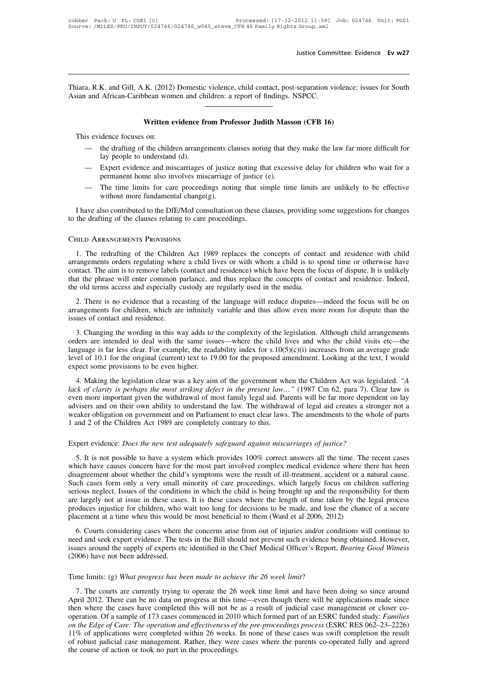Justice Committee: Evidence Ev w27<br>Thiara, R.K. and Gill, A.K. (2012) Domestic violence, child contact, post-separation violence: issues for South<br>Asian and African-Caribbean women and children: a report of findings. NSPCC Justice Comm<br>
Thiara, R.K. and Gill, A.K. (2012) Domestic violence, child contact, post-separation vi<br>
Asian and African-Caribbean women and children: a report of findings. NSPCC. **EXACTE ACTS:** We are used to the contact, post-separation violence bean women and children: a report of findings. NSPCC.<br> **Written evidence from Professor Judith Masson (CFB 16)**<br>
on: This evidence focuses on:<br>
This evidence focuses on:<br>
This evidence focuses on:<br>
This evidence focuses on:<br>
This evidence focuses on:<br>
This evidence focuses on:<br>
This evidence focuses on:<br>
This evidence focuses on:<br>
This e

- 
- Written evidence from Professor Judith Masson (CFB 16)<br>
is evidence focuses on:<br>
 the drafting of the children arrangements clauses noting that they make the law far more difficult for<br>
lay people to understand (d).<br>
 Ex **Example 19 Set with the evidence from Protessor Judith Masson (CFB 16)**<br>
— the drafting of the children arrangements clauses noting that they make the law far more difficult for<br>
lay people to understand (d).<br>
— Expert e — the drafting of the children arrangements clauses noting that they make the law far more difficult for<br>lay people to understand (d).<br>— Expert evidence and miscarriages of justice noting that excessive delay for children I have also contributed to the DfE/MoJ consultation on these clauses, providing some suggestions for changes the drafting of the clauses relating to care proceedings noting that simple time limits are unlikely to be effect
	-

- Expert evidence and miscarriages of justice noting the permanent home also involves miscarriage of justice - The time limits for care proceedings noting that si without more fundamental change(g).<br>I have also contributed to the drafting of the clauses relating to care proceedings.<br>CHILD ARRANGEMENTS PROVISIONS

1. Thave also contributed to the DfE/MoJ consultation on these clauses, providing some suggestions for changes<br>the drafting of the clauses relating to care proceedings.<br>THED ARRANGEMENTS PROVISIONS<br>1. The redrafting of the I have also contributed to the DfE/MoJ consultation on these clauses, providing some suggestions for changes<br>to the drafting of the clauses relating to care proceedings.<br>CHILD ARRANGEMENTS PROVISIONS<br>1. The redrafting of t contact. The aim is to remove labels (contact and residence) which have been the focus of contact and residence with child arrangements orders regulating where a child lives or with whom a child is to spend time or otherwi CHILD ARRANGEMENTS PROVISIONS<br>1. The redrafting of the Children Act 1989 replaces the concepts of contact and residence with child<br>arrangements orders regulating where a child lives or with whom a child is to spend time or CHILD ARRANGEMENTS PROVISIONS<br>1. The redrafting of the Children Act 1989 replaces the concepts of conta<br>arrangements orders regulating where a child lives or with whom a child is to s<br>contact. The aim is to remove labels ( 1. The redrafting of the Children Act 1989 replaces the concepts of contact and residence with child cangements orders regulating where a child lives or with whom a child is to spend time or otherwise have that at. The aim arrangements orders regulating where a child lives or with whom a child is to spend time or otherwise have contact. The aim is to remove labels (contact and residence) which have been the focus of dispute. It is unlikely t ariangements offers regulating where<br>contact. The aim is to remove labels (<br>that the phrase will enter common p<br>the old terms access and especially c<br>2. There is no evidence that a reca<br>arrangements for children, which are

12. There is no evidence that a recasting of the language will reduce disputes—indeed the focus will be on angements for children, which are infinitely variable and thus allow even more room for dispute than the use of con

The old terms access and especially custody are regularly used in the media.<br>
2. There is no evidence that a recasting of the language will reduce disputes—indeed the focus will be on<br>
arrangements for children, which are 2. There is no evidence that a recasting of the language will reduce disputes—indeed the focus will be on arrangements for children, which are infinitely variable and thus allow even more room for dispute than the issues Level of 10.1 for the original (current) text to 19.00 for the proposed amendment. Looking at the text, I would expect some provisions to be even higher.<br>
Although child arrangements orders are intended to deal with the s Experience sometries of contact and residence.<br>
3. Changing the wording in this way adds to<br>
orders are intended to deal with the same issues<br>
language is far less clear. For example, the read<br>
level of 10.1 for the origin 3. Changing the wording in this way adds to the complexity of the legislation. Although child arrangements<br>ders are intended to deal with the same issues—where the child lives and who the child visits etc—the<br>nguage is fa 3. Changing the wording in this way adds to the complexity of the registation. Antiough chira antalgements orders are intended to deal with the same issues—where the child lives and who the child visits etc—the language i

danguage is far less clear. For example, the readability index for s.10(5)(c)(i) increases from an average grade level of 10.1 for the original (current) text to 19.00 for the proposed amendment. Looking at the text, I wo anguage is far fess clear. For example, the readability muck for strotopic for mercases from an average grade<br>level of 10.1 for the original (current) text to 19.00 for the proposed amendment. Looking at the text, I would<br> extra of 10.1 for the original (cartent) text to 19.00 for the proposed anticharment. Ecoking at the text, I would<br>expect some provisions to be even higher.<br>4. Making the legislation clear was a key aim of the government w 2. And 2 of the provisions to be even ingited.<br>
4. Making the legislation clear was a key aim of the government wh<br>
lack of clarity is perhaps the most striking defect in the present law.<br>
even more important given the wit lack of clarity is perhaps the most striking defect in the present law..." (1987 Cm 62, para 7). Cle<br>even more important given the withdrawal of most family legal aid. Parents will be far more depende<br>advisers and on their visers and on their own ability to understand the law. The withdrawal of legal aid creates a stronger not a eaker obligation on government and on Parliament to enact clear laws. The amendments to the whole of parts and 2 o

weaker obligation on government and on Parliament to enact clear laws. The amendments to the whole of parts<br>
1 and 2 of the Children Act 1989 are completely contrary to this.<br>
Expert evidence: *Does the new test adequately* 1 and 2 of the Children Act 1989 are completely contrary to this.<br>
Expert evidence: *Does the new test adequately safeguard against miscarriages of justice?*<br>
5. It is not possible to have a system which provides 100% corr Expert evidence: *Does the new test adequately safeguard against miscarriages of justice?*<br>5. It is not possible to have a system which provides 100% correct answers all the time. The recent cases<br>which have causes concern Expert evidence: *Does the new test adequately safeguard against miscarriages of justice?*<br>5. It is not possible to have a system which provides 100% correct answers all the time. The recent cases<br>which have causes concern Expert evidence. *Boes the hew lest datequately sagegiana against misearriages of jastice*.<br>5. It is not possible to have a system which provides 100% correct answers all the time. The recent cases<br>which have causes conce 5. It is not possible to have a system which provides 100% correct answers all the time. The recent cases which have causes concern have for the most part involved complex medical evidence where there has been disagreement which have causes concern have for the most part involved complex medical evidence where the disagreement about whether the child's symptoms were the result of ill-treatment, accident or a Such cases form only a very small deplement about whether the entit is symptoms were the result of in-tretatinent, accluded of a hattara classe.<br>
ch cases form only a very small minority of care proceedings, which largely focus on children suffering<br>
rious Buch cases form only a very sinant innority of eare proceedings, which targery locus on einfactor saticiting<br>serious neglect. Issues of the conditions in which the child is being brought up and the responsibility for them<br>

serious hegiect. Issues of the conductions in which the clind is being brought up and the responsibility for the<br>are largely not at issue in these cases. It is these cases where the length of time taken by the legal proces are targery not at issue in these cases<br>produces injustice for children, who v<br>placement at a time when this would<br>6. Courts considering cases where t<br>need and seek expert evidence. The tes<br>issues around the supply of expe The Courts considering cases where the concerns arise from out of injuries and/or conced and seek expert evidence. The tests in the Bill should not prevent such evidence between issues around the supply of experts etc iden

ed and seek expert evidence. The tests in the Bill should not prevent such evidence being obtained. However,<br>ues around the supply of experts etc identified in the Chief Medical Officer's Report, *Bearing Good Witness*<br>006 issues around the supply of experts etc identified in the Chief Medical Officer's Report, *Bearing Good Witness*<br>(2006) have not been addressed.<br>Time limits: (g) *What progress has been made to achieve the* 26 *week limit* (2006) have not been addressed.<br>
Time limits: (g) What progress has been made to achieve the 26 week limit?<br>
7. The courts are currently trying to operate the 26 week time limit and have been doing so since around<br>
April Time limits: (g) What progress has been made to achieve the 26 week limit?<br>
7. The courts are currently trying to operate the 26 week time limit and have been doing so since around<br>
April 2012. There can be no data on prog Time limits: (g) *What progress has been made to achieve the 26 week limit?*<br> *7.* The courts are currently trying to operate the 26 week time limit and have been doing so since around<br> *April 2012.* There can be no data o 11. The courts are currently trying to operate the 26 week time limit and have been doing so since around April 2012. There can be no data on progress at this time—even though there will be applications made since then wh 7. The courts are currently trying to operate the 26 week time limit and have been doing so since around April 2012. There can be no data on progress at this time—even though there will be applications made since then wher April 2012. There can be no data on progress at this tin then where the cases have completed this will not be operation. Of a sample of 173 cases commenced in 2010 *on the Edge of Care: The operation and effectiveness of*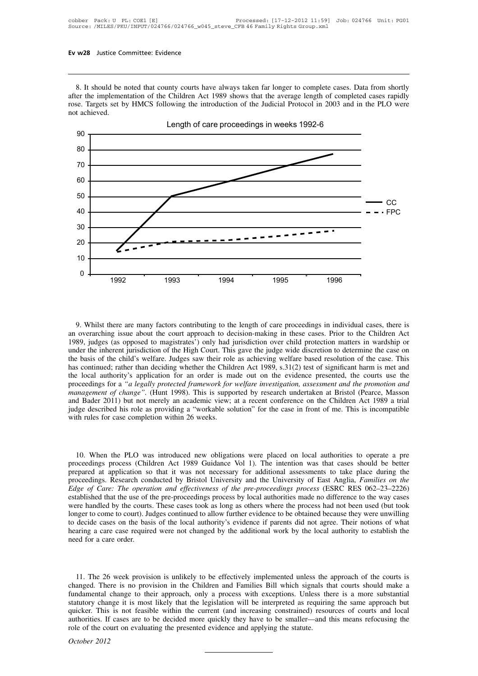8. It should be noted that county courts have always taken far longer to complete cases. Data from shortly<br>er the implementation of the Children Act 1989 shows that the average length of completed cases rapidly<br>se. Targets after the implementation of the Children Act 1989 shows that the average length of complete cases. Data from shortly after the implementation of the Children Act 1989 shows that the average length of completed cases rapidl **Ev w28** Justice Committee: Evidence<br>
8. It should be noted that county courts have always taken far longer to complete cases. Data from shortly<br>
after the implementation of the Children Act 1989 shows that the average len 8. It should be r<br>after the implement<br>rose. Targets set by<br>not achieved.



1992 1993 1994 1995 1996<br>
9. Whilst there are many factors contributing to the length of care proceedings in individual cases, there is<br>
an overarching issue about the court approach to decision-making in these cases. Prio 9. Whilst there are many factors contributing to the length of care proceedings in individual cases, there is<br>an overarching issue about the court approach to decision-making in these cases. Prior to the Children Act<br>1989, 9. Whilst there are many factors contributing to the length of care proceedings in individual cases, there is<br>an overarching issue about the court approach to decision-making in these cases. Prior to the Children Act<br>1989, 9. Whilst there are many factors contributing to the length of care proceedings in individual cases, there is<br>an overarching issue about the court approach to decision-making in these cases. Prior to the Children Act<br>1989, 9. Whilst there are many factors contributing to the length of care proceedings in individual cases, there is an overarching issue about the court approach to decision-making in these cases. Prior to the Children Act 1989, 9. Whilst there are many factors contributing to the length of care proceedings in individual cases, there is an overarching issue about the court approach to decision-making in these cases. Prior to the Children Act 1989 an overarching issue about the court approach to decision-making in these cases. Prior to the Children Act 1989, judges (as opposed to magistrates') only had jurisdiction over child protection matters in wardship or under 1989, judges (as opposed to magistrates') only had jurisdiction over child protection matters in wardship or under the inherent jurisdiction of the High Court. This gave the judge wide discretion to determine the case on t under the inherent jurisdiction of the High Court. This gave the judge wide discretion to determine the case on<br>the basis of the child's welfare. Judges saw their role as achieving welfare based resolution of the case. Thi the basis of the child's welfare. Judges saw their role as achieving welfare based resolution of the case. This has continued; rather than deciding whether the Children Act 1989, s.31(2) test of significant harm is met and has continued; rather than deciding whether the Child<br>the local authority's application for an order is ma<br>proceedings for a "*a legally protected framework for*<br>*management of change*". (Hunt 1998). This is suppo<br>and Bade

10. When the PLO was introduced new obligations were placed on local authorities to operate a precedings process (Children Act 1989 Guidance Vol 1). The intention was that cases should be better pared at application so tha proceedings process (Children Act 1989 Guidance Vol 1). The intention was that cases should be better<br>proceedings process (Children Act 1989 Guidance Vol 1). The intention was that cases should be better<br>prepared at applic 10. When the PLO was introduced new obligations were placed on local authorities to operate a pre<br>proceedings process (Children Act 1989 Guidance Vol 1). The intention was that cases should be better<br>prepared at applicatio 10. When the PLO was introduced new obligations were placed on local authorities to operate a pre<br>proceedings process (Children Act 1989 Guidance Vol 1). The intention was that cases should be better<br>prepared at applicatio 10. When the PLO was introduced new obligations were placed on local authorities to operate a pre<br>proceedings process (Children Act 1989 Guidance Vol 1). The intention was that cases should be better<br>prepared at applicatio 10. When the PLO was introduced new obligations were placed on local authorities to operate a pre<br>proceedings process (Children Act 1989 Guidance Vol 1). The intention was that cases should be better<br>prepared at applicatio 10. When the PLO was introduced new obligations were placed on local authorities to operate a pre<br>proceedings process (Children Act 1989 Guidance Vol 1). The intention was that cases should be better<br>prepared at applicatio proceedings process (Children Act 1989 Guidance Vol 1). The intention was that cases should be better<br>prepared at application so that it was not necessary for additional assessments to take place during the<br>proceedings. Re prepared at application so that it was not necessary for additional assessments to take place during the proceedings. Research conducted by Bristol University and the University of East Anglia, Families on the Edge of Care proceedings. Research conducted by Bristol University and the University of East Anglia, Families on the Edge of Care: The operation and effectiveness of the pre-proceedings process (ESRC RES 062–23–2226) established that *Edge of Care: The operat*<br>established that the use of t<br>were handled by the courts<br>longer to come to court). Ju<br>to decide cases on the bas<br>hearing a care case require<br>need for a care order.

decide cases on the basis of the local authority's evidence if parents did not agree. Their notions of what<br>aring a care case required were not changed by the additional work by the local authority to establish the<br>ed for nearing a care case required were not changed by the additional work by the local authority to establish the<br>need for a care order.<br>11. The 26 week provision is unlikely to be effectively implemented unless the approach of 11. The 26 week provision is unlikely to be effectively implemented unless the approach of the courts is<br>changed. There is no provision in the Children and Families Bill which signals that courts should make a<br>fundamental 11. The 26 week provision is unlikely to be effectively implemented unless the approach of the courts is changed. There is no provision in the Children and Families Bill which signals that courts should make a fundamental 11. The 26 week provision is unlikely to be effectively implemented unless the approach of the courts is changed. There is no provision in the Children and Families Bill which signals that courts should make a fundamental 11. The 26 week provision is unlikely to be effectively implemented unless the approach of the courts is changed. There is no provision in the Children and Families Bill which signals that courts should make a fundamental 11. The 26 week provision is unlikely to be effectively implemented unless the changed. There is no provision in the Children and Families Bill which signals the fundamental change to their approach, only a process with ex Exampled. The fundamental of<br>
statutory char<br>
quicker. This<br>
authorities. If<br>
role of the condensation<br> *October* 2012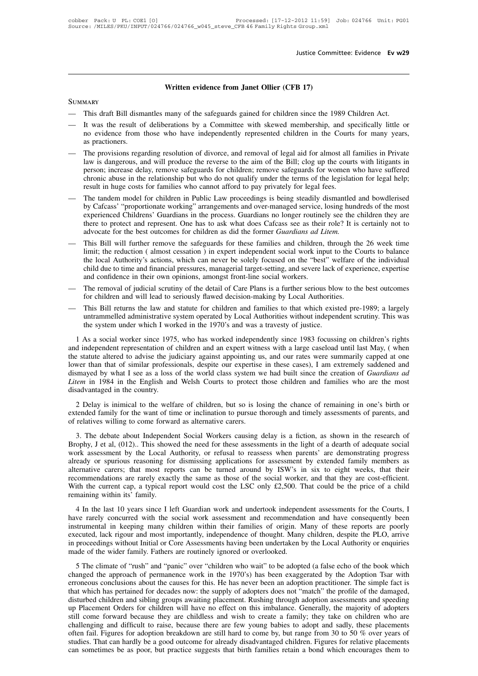# **Written evidence from Janet Ollier (CFB 17)**

### **SUMMARY**

- 
- Written evidence from Janet Ollier (CFB 17)<br>
 This draft Bill dismantles many of the safeguards gained for children since the 1989 Children Act.<br>
 It was the result of deliberations by a Committee with skewed membership, Written evidence from Janet Ollier (CFB 17)<br>
— This draft Bill dismantles many of the safeguards gained for children since the 1989 Children Act.<br>
— It was the result of deliberations by a Committee with skewed membership, Written evidence from Janet Ollier (CFB 17)<br>This draft Bill dismantles many of the safeguards gained for children since the 1989 Children Act.<br>It was the result of deliberations by a Committee with skewed membership, and s MARY<br>This draft Bill dism<br>It was the result of<br>no evidence from the<br>as practioners.<br>The provisions rega SUMMARY<br>
— This draft Bill dismantles many of the safeguards gained for children since the 1989 Children Act.<br>
— It was the result of deliberations by a Committee with skewed membership, and specifically little or<br>
no evid
- This draft Bill dismantles many of the safeguards gained for children since the 1989 Children Act.<br>It was the result of deliberations by a Committee with skewed membership, and specifically little or<br>no evidence from those It was the result of deliberations by a Committee with skewed membership, and specifically little or no evidence from those who have independently represented children in the Courts for many years, as practioners.<br>The prov It was the result of deliberations by a Committee with skewed membership, and specifically little or<br>no evidence from those who have independently represented children in the Courts for many years,<br>as practioners.<br>The prov as practioners.<br>The provisions regarding resolution of divorce, and removal of legal aid for almost all families in Private<br>law is dangerous, and will produce the reverse to the aim of the Bill; clog up the courts with lit — The provisions regarding resolution of divorce, and removal of legal aid for almost all families in Private<br>law is dangerous, and will produce the reverse to the aim of the Bill; clog up the courts with litigants in<br>pers The provisions regarding resolution of divorce, and removal of legal aid for almost all families in Private<br>law is dangerous, and will produce the reverse to the aim of the Bill; clog up the courts with litigants in<br>person
- law is dangerous, and will produce the reverse to the aim of the Bill; clog up the courts with litigants in<br>person; increase delay, remove safeguards for children; remove safeguards for women who have suffered<br>chronic abus person; increase delay, remove sateguards for children; remove sateguards for women who have suftered<br>chronic abuse in the relationship but who do not qualify under the terms of the legislation for legal help;<br>result in hu chronic abuse in the relationship but who do not qualify under the terms of the legislation result in huge costs for families who cannot afford to pay privately for legal fees.<br>The tandem model for children in Public Law p — This Bill will further remove the safeguards for these families and children, through the safety dismantled and bowdlerised<br>
by Cafcass' "proportionate working" arrangements and over-managed service, losing hundreds of t The tandem model for children in Public Law proceedings is being steadily dismantled and bowdlerised<br>by Cafcass' "proportionate working" arrangements and over-managed service, losing hundreds of the most<br>experienced Childr
- by Catcass' "proportionate working" arrangements and over-managed service, losing hundreds of the most experienced Childrens' Guardians in the process. Guardians no longer routinely see the children they are there to prote experienced Childrens' Guardians in the process. Guardians no longer routinely see the children they are there to protect and represent. One has to ask what does Cafcass see as their role? It is certainly not to advocate f there to protect and represent. One has to ask what does Cafcass see as their advocate for the best outcomes for children as did the former *Guardians ad L*. This Bill will further remove the safeguards for these families — This Bill will further remove the safeguards for children and children, through the 26 week time<br>
limit; the reduction (almost cessation) in expert independent social work input to the Courts to balance<br>
the local Author This Bill will turther remove the sateguards for these families and children, through the limit; the reduction (almost cessation) in expert independent social work input to the Cothe local Authority's actions, which can ne man, the redaction (almost cessation) in expert inteperation social work liptation the courts to batalice<br>the local Authority's actions, which can never be solely focused on the "best" welfare of the individual<br>child due t
- 
- untrammelled administrative system operated by Local Authorities with the best vertility of the method of indicated in their own opinions, amongst front-line social workers.<br>The removal of judicial scrutiny of the detail o emia due to time and miantena pressures, managerian target-setting, and severe next and confidence in their own opinions, amongst front-line social workers.<br>The removal of judicial scrutiny of the detail of Care Plans is a The removal of judicial scrutiny of the detail of Care Plans is a further serious blow to the best outcomes<br>for children and will lead to seriously flawed decision-making by Local Authorities.<br>This Bill returns the law and

for children and will lead to seriously flawed decision-making by Local Authorities.<br>
— This Bill returns the law and statute for children and families to that which existed pre-1989; a largely<br>
untrammelled administrative the statute altered to advise the judiciary against appointing us, and our rates were summarily capped at one Ins Din Tetanis the Taw and statute for einfaten and families to that which existed pre-1505, a fargery untrammelled administrative system operated by Local Authorities without independent scrutiny. This was the system und distributed a dismayed by the system operated by Eocal Adultorius whilout intelpendent seritany. This was the system under which I worked in the 1970's and was a travesty of justice.<br>
1 As a social worker since 1975, who h *Litem* in 1984 in the English and Welsh Courts to protect those children and families who are the most disadvantaged in the country. 1 As a social worker since 1975<br>and independent representation of<br>the statute altered to advise the jun<br>lower than that of similar professi<br>dismayed by what I see as a loss<br>*Litem* in 1984 in the English and<br>disadvantaged 2 Delay is inimical to the welfare of children, but so is losing the chance of remaining in one's birth or than that of similar professionals, despite our expertise in these cases), I am extremely sapeded and smayed by wha the static anticle is dayist the judicially against appointing as, and our rates were sainmany capped at one thorough or than that of similar professionals, despite our expertise in these cases), I am extremely saddened an of relationships when I see as a loss of the world class system w<br> *Litem* in 1984 in the English and Welsh Courts to protect t<br>
disadvantaged in the country.<br>
2 Delay is inimical to the welfare of children, but so is lock

Litem in 1984 in the English and Welsh Courts to protect those children and families who are the most disadvantaged in the country.<br>
2 Delay is inimical to the welfare of children, but so is losing the chance of remaining

2 Delay is inimical to the welfare of children, but so is losing the chance of remaining in one's birth or<br>extended family for the want of time or inclination to pursue thorough and timely assessments of parents, and<br>of re 2 Delay is inimical to the welfare of children, but so is losing the chance of remaining in one's birth or extended family for the want of time or inclination to pursue thorough and timely assessments of parents, and of re already or spurious reasoning for dismissing applications for assessments of parents, and of relatives willing to come forward as alternative carers.<br>3. The debate about Independent Social Workers causing delay is a fictio alternative care is that most reports can be turned around by ISW's in six to eight weeks, that their most assessment by the Local Authority, or refusal to reassessments in the light of a dearth of adequate social work ass 3. The debate about Independent Social Workers causing delay is a fiction, as shown in the research of Brophy, J et al, (012).. This showed the need for these assessments in the light of a dearth of adequate social work as 3. The debate about Independent Social Workers causing delay is a fiction, as shown in the research of Brophy, J et al, (012).. This showed the need for these assessments in the light of a dearth of adequate social work as Brophy, J et al, (012).. This show<br>work assessment by the Local A<br>already or spurious reasoning fo<br>alternative carers; that most rep<br>recommendations are rarely exact<br>With the current cap, a typical re<br>remaining within its' The discussion of the Bocal Addority, or Ferasar to reassessment by extended family members as<br>eady or spurious reasoning for dismissing applications for assessment by extended family members as<br>commendations are rarely ex and the social work assessment of different within the social worker, and that they are cost-efficient.<br>
alternative carers; that most reports can be turned around by ISW's in six to eight weeks, that their<br>
recommendation

incommendations are rarely exactly the same as those of the social worker, and that they are cost-efficient.<br>With the current cap, a typical report would cost the LSC only £2,500. That could be the price of a child<br>remaini Executed, lack rigour and most importantly, independence of the social worke, and that they are lost effective.<br>
With the current cap, a typical report would cost the LSC only £2,500. That could be the price of a child<br>
r in the last 10 years since I left Guardian work and undertook independent assessments for the Courts, I have rarely concurred with the social work assessment and recommendation and have consequently been instrumental in ke 4 In the last 10 years since I left Guardian work and undertook independence rarely concurred with the social work assessment and recommendat instrumental in keeping many children within their families of origin. Mexecuted 4 In the last 10 years since I left Guardian work and undertook independent assessments for the Courts, I have rarely concurred with the social work assessment and recommendation and have consequently been instrumental in Instrumental in keeping many children with their families of origin. Many of these reports are poorly exercited, lack rigour and most importantly, independence of thought. Many children, despite the PLO, arrive executed, l

Instrumentian in Reeping many emitied whilm then fallmies of origin. Many of these reports are poorly executed, lack rigour and most importantly, independence of thought. Many children, despite the PLO, arrive in proceedin That which has pertained for decades now: the supply of adopters does not "match" the majority or enquiries made of the wider family. Fathers are routinely ignored or overlooked.<br>
5 The climate of "rush" and "panic" over " In proceedings without antial of exceptions and ving ocen and children by the Excel Framitority of enquiries<br>made of the wider family. Fathers are routinely ignored or overlooked.<br>5 The climate of "rush" and "panic" over " and the whole rainmy. Tamers are roadinery failored or overlooked.<br>
The climate of "rush" and "panic" over "children who wait" to be adopted (a false echo of the book which<br>
changed the approach of permanence work in the 1 5 The climate of "rush" and "panic" over "children who wait" to be adopted (a false echo of the book which changed the approach of permanence work in the 1970's) has been exaggerated by the Adoption Tsar with erroneous co changed the approach of permanence work in the 1970's) has been exaggerated by the Adoption Tsar with<br>erroneous conclusions about the causes for this. He has never been an adoption practitioner. The simple fact is<br>that whi erroneous conclusions about the causes for this. He has never been an adoption practitioner. The simple fact is<br>that which has pertained for decades now: the supply of adopters does not "match" the profile of the damaged,<br> that which has pertained for decades now: the supply of adopters does not "match" the profile of the damaged, disturbed children and sibling groups awaiting placement. Rushing through adoption assessments and speeding up P disturbed children and sibling groups awaiting placement. Rushing through adoption assessments and speeding up Placement Orders for children will have no effect on this imbalance. Generally, the majority of adopters still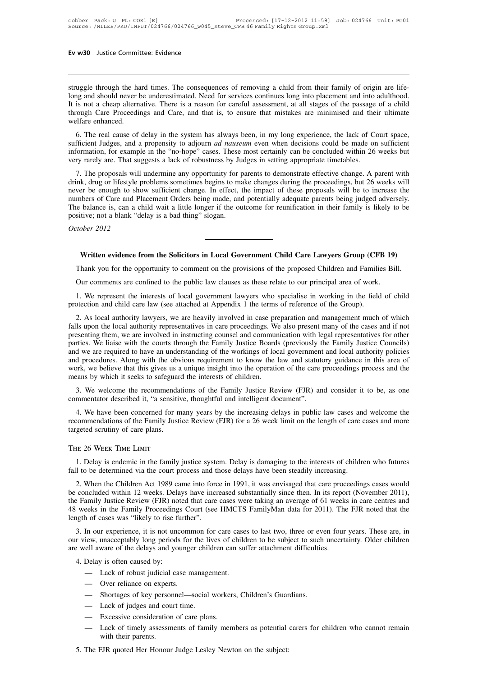**Ev w30** Justice Committee: Evidence<br>struggle through the hard times. The consequences of removing a child from their family of origin are life-<br>long and should never be underestimated. Need for services continues long int **Ev w30** Justice Committee: Evidence<br>
struggle through the hard times. The consequences of removing a child from their family of origin are life-<br>
long and should never be underestimated. Need for services continues long i Ev w30 Justice Committee: Evidence<br>
Intruggle through the hard times. The consequences of removing a child from their family of origin are life-<br>
Iong and should never be underestimated. Need for services continues long in struggle through the hard times. The consequences of removing a child from their family of origin are life-<br>long and should never be underestimated. Need for services continues long into placement and into adulthood.<br>It is struggle through the halong and should never the long and should never the line of the shorter of the shorter enhanced.<br>Welfare enhanced.<br>6. The real cause of uggle through the hard times. The consequences of removing a child from their family of origin are life-<br>ng and should never be underestimated. Need for services continues long into placement and into adulthood.<br>is not a c struggle through the hard times. The consequences or removing a child from their ramily or origin are life-<br>long and should never be underestimated. Need for services continues long into placement and into adulthood.<br>It is

It is not a cheap alternative. There is a reason for careful assessment, at all stages of the passage of a child<br>through Care Proceedings and Care, and that is, to ensure that mistakes are minimised and their ultimate<br>welf It is not a cheap atentiative. There is a reason for careful assessment, at an stages of the passage through Care Proceedings and Care, and that is, to ensure that mistakes are minimised and their welfare enhanced.<br>
6. The Frare enhanced.<br>
6. The real cause of delay in the system has always been, in my long experience, the lack of Court space,<br>
fficient Judges, and a propensity to adjourn *ad nauseum* even when decisions could be made on suf

6. The real cause of delay in the system has always been, in my long experience, the lack of Court space, sufficient Judges, and a propensity to adjourn *ad nauseum* even when decisions could be made on sufficient informat o. The real cause of delay in the system has always been, in my long experience, the fack of Court space, sufficient Judges, and a propensity to adjourn *ad nauseum* even when decisions could be made on sufficient informat Suncient Judges, and a propensity to adjount *du hauseum* even when decisions collude of sumcerned information, for example in the "no-hope" cases. These most certainly can be concluded within 26 weeks but very rarely are. Information, to example in the no-hope cases. These most certainty can be concluded whilm 20 weeks but<br>very rarely are. That suggests a lack of robustness by Judges in setting appropriate timetables.<br>7. The proposals will For a branch weight of the proposals will undermine any opportunity for p<br>drink, drug or lifestyle problems sometimes begins to ma<br>never be enough to show sufficient change. In effect, t<br>numbers of Care and Placement Order *Correlation 1.* The proposals will defink, drug or lifestyle prover be enough to show numbers of Care and Plance is, can a chapositive; not a blank "de October 2012 belance is, can a child wait a little longer if the outcome for reunification in their family is likely to be tive; not a blank "delay is a bad thing" slogan.<br> *ober* 2012<br> **Written evidence from the Solicitors in Local Go** 

# Sitive; not a blank "delay is a bad thing" slogan.<br>
Thank you for the opportunity to comment on the provisions of the proposed Children and Families Bill.<br>
Our comments are confined to the public law clauses as these relat

Via 12012<br>
Thank you for the opportunity to comment on the provisions of the proposed Children and Families Bil<br>
Our comments are confined to the public law clauses as these relate to our principal area of work.<br>
1. We rep Written evidence from the Solicitors in Local Government Child Care Lawyers Group (CFB 19)<br>Thank you for the opportunity to comment on the provisions of the proposed Children and Families Bill.<br>Our comments are confined to Written evidence from the Solicitors in Local Government Child Care Lawyers Group (CFI<br>Thank you for the opportunity to comment on the provisions of the proposed Children and Familie<br>Our comments are confined to the public

Thank you for the opportunity to comment on the provisions of the proposed Children and Families Bill.<br>Our comments are confined to the public law clauses as these relate to our principal area of work.<br>1. We represent the Falls upon the local authority representatives in care provided in working in the field of child<br>protection and child care law (see attached at Appendix 1 the terms of reference of the Group).<br>2. As local authority lawyers Our comments are confined to the public law clauses as these relate to our principal area of work.<br>
1. We represent the interests of local government lawyers who specialise in working in the field of child<br>
protection and 1. We represent the interests of local government lawyers who specialise in working in the field of child protection and child care law (see attached at Appendix 1 the terms of reference of the Group).<br>2. As local authorit and we are required to have an understanding of the workings of the acceptance in working in the local of climal protection and child care law (see attached at Appendix 1 the terms of reference of the Group).<br>
2. As local protection and clind care faw (see attactied at Appendix 1 the terms of reference of the Group).<br>
2. As local authority lawyers, we are heavily involved in case preparation and management much of which<br>
falls upon the loca 2. As local authority lawyers, we are heavily involved in case preparation and management much of which falls upon the local authority representatives in care proceedings. We also present many of the cases and if not prese falls upon the local authority representatives in care proceedings. We also present many of the cases and if not presenting them, we are involved in instructing counsel and communication with legal representatives for othe Senting them, we are mvolved in instructing counser and communication what legal representatives for other<br>tries. We liaise with the courts through the Family Justice Boards (previously the Family Justice Councils)<br>d we ar work, we believe that this gives us a unique insight into the operation of the care proceedings process and the means by which it seeks to safeguard the interests of children.<br>3. We welcome the recommendations of the Famil

d procedures. Along with the obvious requirement to know the law and statutory guidance in this area of ork, we believe that this gives us a unique insight into the operation of the care proceedings process and the ears by work, we believe that this gives us a unique insight into the operation of the care proceedings process and the means by which it seeks to safeguard the interests of children.<br>3. We welcome the recommendations of the Famil means by which it seeks to safeguar<br>3. We welcome the recommenda<br>commentator described it, "a sensitiv<br>4. We have been concerned for m<br>recommendations of the Family Justi<br>targeted scrutiny of care plans.<br>THE 26 WEEK TIME L 1. We have been concerned for many years by the increasing delays in public law cases and welcome the commendations of the Family Justice Review (FJR) for a 26 week limit on the length of care cases and more geted scrutiny Fall to be determined via the court process and those delays have been steadily increased accruing of care plans.<br>The 26 Week TIME LIMIT<br>1. Delay is endemic in the family justice system. Delay is damaging to the interests

E 26 WEEK TIME LIMIT<br>
1. Delay is endemic in the family justice system. Delay is damaging to the interests of children who futures<br>
1 to be determined via the court process and those delays have been steadily increasing.<br> THE 26 WEEK TIME LIMIT<br>1. Delay is endemic in the family justice system. Delay is damaging to the interests of children who futures<br>fall to be determined via the court process and those delays have been steadily increasing THE 26 WEEK TIME LIMIT<br>1. Delay is endemic in the family justice system. Delay is damaging to the interests of children who futures<br>fall to be determined via the court process and those delays have been steadily increasing 1. Delay is endemic in the family justice system. Delay is damaging to the interests of children who futures fall to be determined via the court process and those delays have been steadily increasing.<br>
2. When the Children 1. Delay is endemic in the family justice system. Delay is damaging to the interests of children who futures fall to be determined via the court process and those delays have been steadily increasing.<br>
2. When the Children 2. When the Children Act 1989 came into force in 1991, it was envisaged that care proceedings cases would concluded within 12 weeks. Delays have increased substantially since then. In its report (November 2011), e Family J 2. When the Children Act 1989 canne mto force in 1991, it was chrysaged that care proceedings cases would<br>be concluded within 12 weeks. Delays have increased substantially since then. In its report (November 2011),<br>the Fam

our view, unacceptably long periods for the lives of children to be subject to such uncertainty. Older children are well aware of the delays and younger children can suffer attachment difficulties.<br>4. Delay is often caused weeks in the Family Proceedings Court (see HMCTS FamilyMan data for 2011). The FJR noted that the<br>gth of cases was "likely to rise further".<br>3. In our experience, it is not uncommon for care cases to last two, three or eve

- 
- 
- 
- 
- 
- Over reliance on experts.<br>
 Shortages of key personnel—social workers, Children's Guardians.<br>
 Lack of judges and court time.<br>
 Excessive consideration of care plans.<br>
 Lack of timely assessments of family members as 5. The FJR quoted Her Honour Judge Lesley Newton on the subject:<br>
The FJR quoted Her Honour Judge Lesley Newton on the subject:
-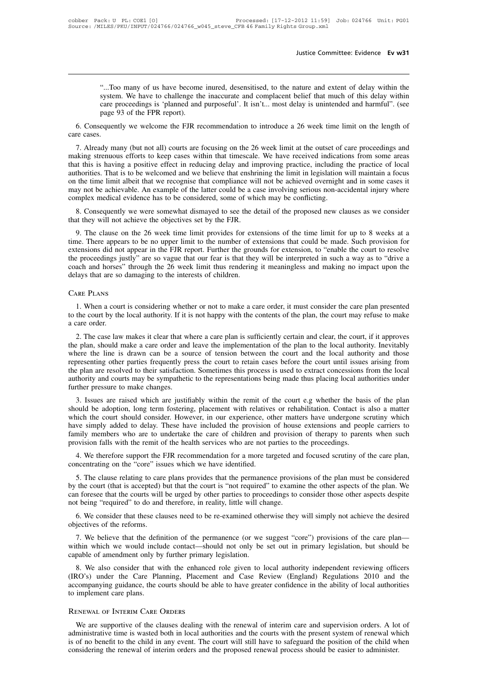Justice Committee: Evidence Ev w31<br>"...Too many of us have become inured, desensitised, to the nature and extent of delay within the<br>system. We have to challenge the inaccurate and complacent belief that much of this delay Sustice Committee: Evidence Ev w31<br>Sustice Committee: Evidence Ev w31<br>Sustem. We have to challenge the inaccurate and complacent belief that much of this delay within<br>care proceedings is 'planned and purposeful'. It isn't. Justice Committee: Evidence Ev w31<br>
"...Too many of us have become inured, desensitised, to the nature and extent of delay within the<br>
system. We have to challenge the inaccurate and complacent belief that much of this del "...Too many of us have become inured, desensitised, to the nature and extent of delay within the system. We have to challenge the inaccurate and complacent belief that much of this delay within care proceedings is 'planne 6. Consequently we welcome inured, desensitised, to the nature and extent of delay within the system. We have to challenge the inaccurate and complacent belief that much of this delay within care proceedings is 'planned an

care proceedings is 'planned and purposeful'. It isn't... most delay is unintended and harmful". (see<br>page 93 of the FPR report).<br>6. Consequently we welcome the FJR recommendation to introduce a 26 week time limit on the l page 93 of the FPR report).<br>6. Consequently we welcome the FJR recommendation to introduce a 26 week time limit on the length of<br>care cases.<br>7. Already many (but not all) courts are focusing on the 26 week limit at the out 6. Consequently we welcome the FJR recommendation to introduce a 26 week time limit on the length of care cases.<br>7. Already many (but not all) courts are focusing on the 26 week limit at the outset of care proceedings and on the time limit albeit that we recognise that compliance. We have received indications from some areas.<br>The time strenuous efforts to keep cases within that timescale. We have received indications from some areas<br>that th 7. Already many (but not all) courts are focusing on the 26 week limit at the outset of care proceedings and making strenuous efforts to keep cases within that timescale. We have received indications from some areas that t 7. Already many (but not all) courts are focusing on the 26 week limit at the outset of care proceedings and making strenuous efforts to keep cases within that timescale. We have received indications from some areas that t Solution and the *S* consequently we were somewhat dismayed to see the detail of the proposed new clauses as we considered the Theorem and the proposed new clauses as we consider that the proposed in the proposed in the de that this is having a positive effect in reducing delay and in<br>authorities. That is to be welcomed and we believe that enshri<br>on the time limit albeit that we recognise that compliance wil<br>may not be achievable. An example the time limit albeit that we recognise that compliance will not be achieved overnight and in some cases it<br>ay not be achievable. An example of the latter could be a case involving serious non-accidental injury where<br>mplex

the appears to be achievable. An example of the latter could be a case involving serious non-accidental injury where<br>complex medical evidence has to be considered, some of which may be conflicting.<br>8. Consequently we were complex medical evidence has to be considered, some of which may be conflicting.<br>
8. Consequently we were somewhat dismayed to see the detail of the proposed new clauses as we consider<br>
that they will not achieve the objec 8. Consequently we were somewhat dismayed to see the detail of the proposed new clauses as we consider that they will not achieve the objectives set by the FJR.<br>9. The clause on the 26 week time limit provides for extensio o. Consequently we were somewhat distributed to see the detail of the proposed hew clauses as we consider that they will not achieve the objectives set by the FJR.<br>
9. The clause on the 26 week time limit provides for exte delays that are so damaging to the interests of children.<br>Care Plans Care Plans and the interest of children. There appears to be no upper limit to the number of exertensions did not appear in the FJR report. Further the g 1. When a court is considering whether or not to make a care order, it must consider the care plan presented the court is considering whether or not to make a care order, it must consider the care plan presented the court

to the court by the court by the court by the court by the court by the court by the delays that are so damaging to the interests of children.<br>CARE PLANS<br>1. When a court is considering whether or not to make a care order, coach and horses" through the 26 week limit thus rendering it meaningless and making no impact upon the delays that are so damaging to the interests of children.<br>CARE PLANS<br>1. When a court is considering whether or not to

EXTERT PLANS<br>
2. When a court is considering whether or not to make a care order, it must consider the care plan presented<br>
the court by the local authority. If it is not happy with the contents of the plan, the court may CARE PLANS<br>
1. When a court is considering whether or not to make a care order, it must consider the care plan presented<br>
to the court by the local authority. If it is not happy with the contents of the plan, the court may 1. When a court is considering whether or not to make a care order, it must consider the care plan presented to the court by the local authority. If it is not happy with the contents of the plan, the court may refuse to ma represent to the local authority. If it is not happy with the contents of the plan, the court may refuse to make a care order.<br>
2. The case law makes it clear that where a care plan is sufficiently certain and clear, the c to the court by the local authority. It it is not happy with the contents of the plan, the court may refuse to make<br>a care order.<br>2. The case law makes it clear that where a care plan is sufficiently certain and clear, the 2. The case law makes it clear that where a care plan is sufficiently certain and clear, the court, if it approves the plan, should make a care order and leave the implementation of the plan to the local authority. Inevita the plan, should make a care order and leave the implementation of the plan to the local authority. Inevitably<br>where the line is drawn can be a source of tension between the court and the local authority and those<br>represen show the adoption, long term fostering, placement with relatives or rehabilitation. Contact is also a matter pressure to make changes.<br>
3. Issues are raised which are justifiably within the remit of the court e.g whether t

should be adoption, long term fostering, placement with relatives or rehabilitation. Contact is also a matter<br>which the court should consider. However, in our experience, other matters have undergone scrutiny which representing offer parties riequently press the court to retain cases before the court than issues arising from<br>the plan are resolved to their satisfaction. Sometimes this process is used to extract concessions from the lo The plan are resolved to their satisfaction. Solutions in plocess is used to extract concessions from the local<br>authority and courts may be sympathetic to the representations being made thus placing local authorities under aturiority and courts may be sympanient to the representations being made thus placing local aturiorities under<br>further pressure to make changes.<br>3. Issues are raised which are justifiably within the remit of the court e.g Further pressure to make changes.<br>
3. Issues are raised which are justifiably within the remit of the court e.g whether the base<br>
should be adoption, long term fostering, placement with relatives or rehabilitation. Contact 5. Issues are taised which are justinably whilm the fellit of the court e.g whether the basis of the plantical<br>could be adoption, long term fostering, placement with relatives or rehabilitation. Contact is also a matter<br>ti should be adoption, long term fostering, placement with relative<br>which the court should consider. However, in our experience, ot<br>have simply added to delay. These have included the provision<br>family members who are to under The comply added to delay. These have included the provision of house extensions and people carriers to mily members who are to undertake the care of children and provision of therapy to parents when such position falls wi

family members who are to undertake the care of children and provision of therapy to parents when such<br>provision falls with the remit of the health services who are not parties to the proceedings.<br>4. We therefore support t provision falls with the remit of the health services who are not parties to the proceedings.<br>
4. We therefore support the FJR recommendation for a more targeted and focused scrutiny of the care plan,<br>
concentrating on the 4. We therefore support the FJR recommendation for a more targeted an concentrating on the "core" issues which we have identified.<br>5. The clause relating to care plans provides that the permanence provisity the court (that ncentrating on the "core" issues which we have identified.<br>
5. The clause relating to care plans provides that the permanence provisions of the plan must be considered<br>
the court (that is accepted) but that the court is "n 5. The clause relating to care<br>by the court (that is accepted) l<br>can foresee that the courts will<br>not being "required" to do and<br>6. We consider that these cla<br>objectives of the reforms.<br>7. We believe that the defin the court (that is accepted) but that the court is "not required" to examine the other aspects of the plan. We<br>in foresee that the courts will be urged by other parties to proceedings to consider those other aspects despit

can foresee that the courts will be urged by other parties to proceedings to consider those other aspects despite<br>not being "required" to do and therefore, in reality, little will change.<br>6. We consider that these clauses not being "required" to do and therefore, in reality, little will ch<br>6. We consider that these clauses need to be re-examined other<br>objectives of the reforms.<br>7. We believe that the definition of the permanence (or we<br>with

8. We consider that these clauses need to be re-examined otherwise they will simply not achieve the desired<br>jectives of the reforms.<br>7. We believe that the definition of the permanence (or we suggest "core") provisions of (IRO's) objectives of the reforms.<br>
T. We believe that the definition of the permanence (or we suggest "core") provisions of the care plan—<br>
within which we would include contact—should not only be set out in primary legis 7. We believe that the definition of the permanence (or we suggest "core") provisions of the care plan—<br>within which we would include contact—should not only be set out in primary legislation, but should be<br>capable of amen 7. we believe that the definition of the perinvithin which we would include contact—shot capable of amendment only by further primary<br>8. We also consider that with the enhanced (IRO's) under the Care Planning, Placemen<br>acc We are supportive of the clauses dealing with the renewal of interim care and supervisions 2010 and the companying guidance, the courts should be able to have greater confidence in the ability of local authorities implemen

accompanying guidance, the courts should be able to have greater confidence in the ability of local authorities<br>to implement care plans.<br>RENEWAL OF INTERIM CARE ORDERS<br>We are supportive of the clauses dealing with the rene Interest of no benefit to the child in any event. The court will still have to safeguard community of focult databased to implement care plans.<br>
We are supportive of the clauses dealing with the renewal of interim care and to implement care plans.<br>
RENEWAL OF INTERIM CARE ORDERS<br>
We are supportive of the clauses dealing with the renewal of interim care and supervision orders. A lot of<br>
administrative time is wasted both in local authorities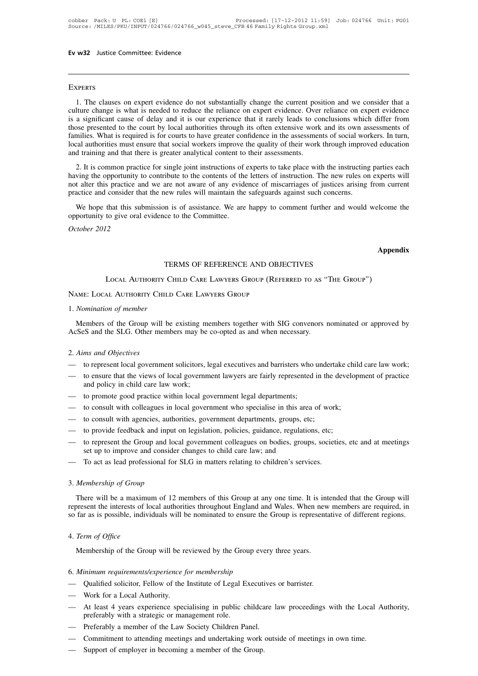### **EXPERTS**

VERTS<br>1. The clauses on expert evidence do not substantially change the current position and we consider that a<br>1. The clauses on expert evidence do not substantially change the current position and we consider that a<br>1. T EXPERTS<br>1. The clauses on expert evidence do not substantially change the current position and we consider that a<br>culture change is what is needed to reduce the reliance on expert evidence. Over reliance on expert evidence EXPERTS<br>1. The clauses on expert evidence do not substantially change the current position and we consider that a<br>culture change is what is needed to reduce the reliance on expert evidence. Over reliance on expert evidence EXPERTS<br>1. The clauses on expert evidence do not substantially change the current position and we consider that a<br>culture change is what is needed to reduce the reliance on expert evidence. Over reliance on expert evidence EXPERTS<br>1. The clauses on expert evidence do not substantially change the current position and we consider that a<br>culture change is what is needed to reduce the reliance on expert evidence. Over reliance on expert evidence Local authorities must ensure that in ended to reduce the reliance on expert evidence. Over reliance on expert evidence is a significant cause of delay and it is our experience that it rarely leads to conclusions which dif 1. The clauses on expert evidence do not substantially change the current poseulture change is what is needed to reduce the reliance on expert evidence. Over is a significant cause of delay and it is our experience that it The significant cause of delay and it is our experience that it rarely leads to conclusions which differ from<br>a significant cause of delay and it is our experience that it rarely leads to conclusions which differ from<br>pose Favorial contribute to the court by local authorities through its offen extensive work and its own assessments of those presented to the court by local authorities through is offer extensive work and its own assessments of

not alter this practice and we are not aware of any evidence of miscarriages of justices arising in the assessments of social workers. In turn, local authorities must ensure that social workers improve the quality of their Families. What is required is for courts to have greater confidence in the assessments of social workers. In turn, local authorities must ensure that social workers improve the quality of their work through improved educat 2. It is common practice for single joint instructions of experts to take place with the instructing parties each ving the opportunity to contribute to the contents of the letters of instruction. The new rules on experts w 2. It is common practice for single joint instructions of having the opportunity to contribute to the contents of the not alter this practice and we are not aware of any evide practice and consider that the new rules will *Charaction the opportunity to* not alter this practice and consider tha<br>practice and consider tha<br>We hope that this sub<br>opportunity to give oral of<br>*October 2012* 

that this submission is of assistance. We are happy to comment further and would welcome<br>to give oral evidence to the Committee.<br>
12<br>
TERMS OF REFERENCE AND OBJECTIVES<br>
Local Authority Child Care Lawyers Group (Referred to

### **Appendix**

### TERMS OF REFERENCE AND OBJECTIVES<br>Local Authority Child Care Lawyers Group (Referred to as "The Group") October 2012<br>TERMS OF REFERENCE AND OB.<br>Local Authority Child Care Lawyers Group (Rei<br>Name: Local Authority Child Care Lawyers Group

TE<br>
LOCAL AUTHORITY CF<br>
NAME: LOCAL AUTHORITY CHILD<br>
1. *Nomination of member*<br>
Members of the Group will be LOCAL AUTHORITY CHILD CARE LAWYERS GROUP (REFERRED TO AS "THE GROUP")<br>Members LOCAL AUTHORITY CHILD CARE LAWYERS GROUP<br>Members of the Group will be existing members together with SIG convenors nominated or approved by<br>:SeS LOCAL AUTHORITY CHILD CARE LAWYERS GROUP (REFERRED TO AS "<br>NAME: LOCAL AUTHORITY CHILD CARE LAWYERS GROUP<br>1. *Nomination of member*<br>Members of the Group will be existing members together with SIG convenors i<br>AcSeS and the 2. *Nomination of member*<br>
Members of the Group will<br>
AcSeS and the SLG. Other mer<br>
2. *Aims and Objectives*<br>
— to represent local government Members of the Group will be existing members together with SIG convenors nominated or approved by<br>AcSeS and the SLG. Other members may be co-opted as and when necessary.<br>2. Aims and Objectives<br>— to represent local governm

- 
- Members of the Group will be existing members together with SIG convenors nominated or approved by<br>AcSeS and the SLG. Other members may be co-opted as and when necessary.<br>2. Aims and Objectives<br>— to enpresent local governm AcSeS and the SLG. Other members may be co-opted as and when necessary.<br>
2. Aims and Objectives<br>
— to represent local government solicitors, legal executives and barristers who undertake child care law work;<br>
— to ensure t 2. Aims and Objectives<br>
— to represent local government solicitors, legal executives and barristers who is<br>
— to ensure that the views of local government lawyers are fairly represented if<br>
and policy in child care law wor 2. Atms and Objectives<br>
— to represent local government solicitors, legal executives and barristers who undertake chile<br>
— to ensure that the views of local government lawyers are fairly represented in the develop<br>
and pol — to represent local government solicitors, legal executives and barristers who under<br>
— to ensure that the views of local government lawyers are fairly represented in the<br>
and policy in child care law work;<br>
— to promote — to ensure that the views of local government lawyers are fairly represented in the devel-<br>and policy in child care law work;<br>— to promote good practice within local government legal departments;<br>— to consult with agencie
- 
- 
- 
- 
- to promote good practice within local government legal departments;<br>
 to consult with colleagues in local government who specialise in this area of work;<br>
 to consult with agencies, authorities, government departments, to promote good practice within local government legal departments;<br>to consult with colleagues in local government who specialise in this area<br>to consult with agencies, authorities, government departments, groups, et<br>to pr — to consult with colleagues in local government who specialise in this area or work<br>
— to consult with agencies, authorities, government departments, groups, etc;<br>
— to provide feedback and input on legislation, policies, - to provide feedback and input<br>
- to represent the Group and loc<br>
set up to improve and consider<br>
- To act as lead professional for<br>
3. *Membership of Group*<br>
There will be a maximum of 12
- 

There will be a maximum of 12 members of this Group at any one time. It is intended that the Group will<br>There will be a maximum of 12 members of this Group at any one time. It is intended that the Group will<br>present the in To act as lead professional for SLG in matters relating to children's services.<br>
3. *Membership of Group*<br>
There will be a maximum of 12 members of this Group at any one time. It is intended that the Group will<br>
represent To act as lead professional for SLG in matters relating to children's services.<br>
3. Membership of Group<br>
There will be a maximum of 12 members of this Group at any one time. It is intended that the Group will<br>
represent th 3. *Membership of Group*<br>There will be a maximu<br>represent the interests of lc<br>so far as is possible, indivi<br>4. *Term of Office*<br>Membership of the Grou There will be a maximum of 12 members of this Group at any one time. It is interest the interests of local authorities throughout England and Wales. When new far as is possible, individuals will be nominated to ensure the

- 6. *Herm of Office*<br>4. *Term of Office*<br>Membership of the Group will be reviewed by the Group eve<br>6. *Minimum requirements/experience for membership*<br>— Qualified solicitor, Fellow of the Institute of Legal Executiv 4. *Term of Office*<br>
Membership of the Group will be reviewed by the Group every three years.<br>
6. *Minimum requirements/experience for membership*<br>
— Qualified solicitor, Fellow of the Institute of Legal Executives or barr
- 
- 4. *Term of Office*<br>
Membership of the Group will be reviewed by the Group every three years.<br>
6. *Minimum requirements/experience for membership*<br>
→ Qualified solicitor, Fellow of the Institute of Legal Executives or bar Methodship of the Group with the Evidence of the Group every time years.<br>
6. Minimum requirements/experience for membership<br>
— Qualified solicitor, Fellow of the Institute of Legal Executives or barrister.<br>
— Nork for a Lo Framilian *in the equirements/experience for membership*<br>Qualified solicitor, Fellow of the Institute of Legal E<br>Work for a Local Authority.<br>At least 4 years experience specialising in public c<br>preferably with a strategic 6. Minimum requirements/experience for membership<br>
— Qualified solicitor, Fellow of the Institute of Legal Executives<br>
— Work for a Local Authority.<br>
— At least 4 years experience specialising in public childcare 1<br>
prefer — Vuanned solicitor, reliow of the Institute of Legal Executives or barrister.<br>
— Work for a Local Authority.<br>
— At least 4 years experience specialising in public childcare law proceedings with the Local A<br>
preferably wit — WORK TOT a LOCAL Authority.<br>
— At least 4 years experience specialising in public childca<br>
preferably with a strategic or management role.<br>
— Preferably a member of the Law Society Children Panel.<br>
— Commitment to attend
- 
- 
-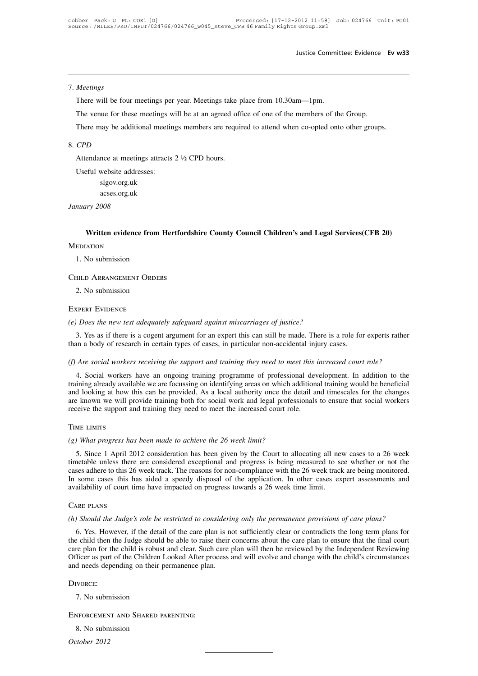# 7. *Meetings*

Justice Commit<br>Meetings<br>There will be four meetings per year. Meetings take place from 10.30am—1pm.<br>The venue for these meetings will be at an agreed office of one of the members of the

Meetings<br>There will be four meetings per year. Meetings take place from 10.30am—1pm.<br>The venue for these meetings will be at an agreed office of one of the members of the Group.<br>There may be additional meetings members are Meetings<br>There will be four meetings per year. Meetings take place from 10.30am—1pm.<br>The venue for these meetings will be at an agreed office of one of the members of the Group.<br>There may be additional meetings members are The venue for these meetings will be at an agreed off<br>There may be additional meetings members are requin<br>CPD<br>Attendance at meetings attracts 2 ½ CPD hours.<br>Useful website addresses: The venue for these meetings will be at an agreed office of one of the members of the Group.<br>There may be additional meetings members are required to attend when co-opted onto other groups.<br> $CPD$ <br>Attendance at meetings att

# 8. *CPD*

slgov.org.uk acses.org.uk Attendance at meeting<br>Useful website address<br>slgov.org.uk<br>acses.org.uk<br>January 2008

**Written evidence from Hertfordshire County Council Children's and Legal Services(CFB 20)** nuary 2008<br>
Written evidence from 1<br>
EDIATION<br>
1. No submission<br>
HILD ARRANGEMENT ORDER

# **MEDIATION**

Child Arrangement Orders EDIATION<br>1. No submission<br>HILD ARRANGEMENT ORDER<br>2. No submission<br>KPERT EVIDENCE

### Expert Evidence

FILLD ARRANGEMENT ORDERS<br>
2. No submission<br> *(e) Does the new test adequately safeguard against miscarriages of justice?*<br>
3. Yes as if there is a cogent argument for an expert this can still be made. There is a 3. No submission<br>3. Yes as if there is a cogent argument for an expert this can still be made. There is a role for experts rather<br>3. Yes as if there is a cogent argument for an expert this can still be made. There is a rol 2. No submission<br>
EXPERT EVIDENCE<br>
(e) Does the new test adequately safeguard against miscarriages of justice?<br>
3. Yes as if there is a cogent argument for an expert this can still be made. There is a role for<br>
than a body *(e) Does the new test adequately safeguard against miscarriages of justice?*<br>
3. Yes as if there is a cogent argument for an expert this can still be made. There is a role for experts rather<br>
than a body of research in ce

9. Does the new test adequately safeguard against miscarriages of justice?<br>
1. Yes as if there is a cogent argument for an expert this can still be made. There is a role for experts rather<br>
1. There is a role for experts r 3. Yes as if there is a cogent argument for an expert this can still be made. There is a role for experts rather than a body of research in certain types of cases, in particular non-accidental injury cases.<br>
(f) Are social and a body of research in certain types of cases, in particular non-accidental injury cases.<br>
(f) Are social workers receiving the support and training they need to meet this increased court role?<br>
4. Social workers have a (f) Are social workers receiving the support and training they need to meet this increased court role?<br>4. Social workers have an ongoing training programme of professional development. In addition to the training already a (f) Are social workers receiving the support and training they need to meet this i<br>4. Social workers have an ongoing training programme of professional dev<br>training already available we are focussing on identifying areas o training already available we are focussing on identifying areas on which additional training would be beneficial<br>
and looking at how this can be provided. As a local authority once the detail and timescales for the change

Exercise the support and training both for social work and legal professionals to ensure that social workers<br>
Exercise the support and training they need to meet the increased court role.<br>
ME LIMITS<br>
The LIMITS<br>
S. Since 1 TIME LIMITS<br>
(g) What progress has been made to achieve the 26 week limit?<br>
5. Since 1 April 2012 consideration has been given by the Court to allocating all new cases to a 26 week<br>
timetable unless there are considered ex TIME LIMITS<br>(g) What progress has been made to achieve the 26 week limit?<br>5. Since 1 April 2012 consideration has been given by the Court to allocating all new cases to a 26 week<br>timetable unless there are considered excep TIME LIMITS<br>
(g) What progress has been made to achieve the 26 week limit?<br>
5. Since 1 April 2012 consideration has been given by the Court to allocating all new cases to a 26 week<br>
timetable unless there are considered ex (g) What progress has been made to achieve the 26 week limit?<br>
5. Since 1 April 2012 consideration has been given by the Court to allocating all ne<br>
timetable unless there are considered exceptional and progress is being *(h) Should the Judge's role be restricted to considering only the permanence provisions of care plans?*<br>*(h) Should the Judge's role be restricted to considering only the permanence provisions of care plans?*<br>*(h) Should* 

Some cases this has aided a speedy disposal of the application. In other cases expert assessments and<br>ailability of court time have impacted on progress towards a 26 week time limit.<br>NEC PLANS<br>(S. Yes. However, if the deta The child the *sude* on progress towards a 26 week time limit.<br>
CARE PLANS<br>
(h) Should the Judge's role be restricted to considering only the permanence provisions of care plans?<br>
6. Yes. However, if the detail of the care CARE PLANS<br>(h) Should the Judge's role be restricted to considering only the permanence provisions of care plans?<br>6. Yes. However, if the detail of the care plan is not sufficiently clear or contradicts the long term plans CARE PLANS<br>
(h) Should the Judge's role be restricted to considering only the permanence provisions of care plans?<br>
6. Yes. However, if the detail of the care plan is not sufficiently clear or contradicts the long term pla (*h*) Should the Judge's role be restricted to considerin<br>6. Yes. However, if the detail of the care plan is no<br>the child then the Judge should be able to raise their care plan for the child is robust and clear. Such care The canter and the many states and the case<br>care plan for the child is robust and clear. Such<br>Officer as part of the Children Looked After pro<br>and needs depending on their permanence plan<br>DIVORCE:<br>7. No submission<br>ENFORCEM

### Divorce:

# TRIVORCE:<br>1. No submission<br>NEORCEMENT AND SHARED P.<br>8. No submission<br>tober 2012 7. No subm<br>**ENFORCEMEN**<br>8. No subm<br>*October 2012*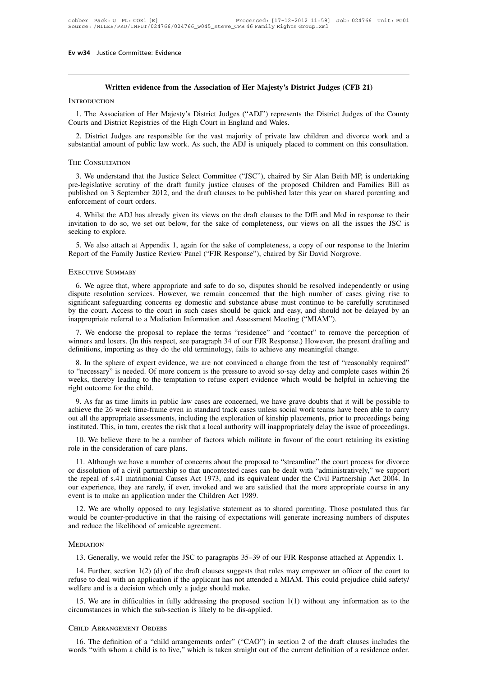# **Written evidence from the Association of Her Majesty's District Judges (CFB 21)**<br>Mondon<br>Witten evidence from the Association of Her Majesty's District Judges (CFB 21)

# **INTRODUCTION**

1. The Association of Her Majesty's District Judges (CFB 21)<br>
1. The Association of Her Majesty's District Judges ("ADJ") represents the District Judges of the County<br>
2. District Registries of the High Court in England an Written evidence from the Association of Her Majesty's District Index ("ADJ") represents that<br>Courts and District Registries of the High Court in England and Wales.<br>2. District Judges are responsible for the vast majority

Written evidence from the Association of Her Majesty's District Judges (CFB 21)<br>
1. The Association of Her Majesty's District Judges ("ADJ") represents the District Judges of the County<br>
2. District Judges are responsible SUBSTANT INTRODUCTION<br>1. The Association of Her Majesty's District Judges ("ADJ") represents the District Judges of the County<br>Courts and District Registries of the High Court in England and Wales.<br>2. District Judges are r

# The Consultation

Surts and District Registries of the High Court in England and Wales.<br>
2. District Judges are responsible for the vast majority of private law children and divorce work and a<br>
bstantial amount of public law work. As such, 2. District Judges are responsible for the vast majority of private law children and divorce work and a substantial amount of public law work. As such, the ADJ is uniquely placed to comment on this consultation.<br>THE CONSUL published on 3 September 2012, and the draft clauses to be published later this year on shared parenting and enforcement of court orders.<br>
A Will calculate Select Committee ("JSC"), chaired by Sir Alan Beith MP, is underta THE CONSULTATION<br>3. We understand that the Justice<br>pre-legislative scrutiny of the dr<br>published on 3 September 2012, a<br>enforcement of court orders.<br>4. Whilst the ADJ has already HE CONSULTATION<br>
3. We understand that the Justice Select Committee ("JSC"), chaired by Sir Alan Beith MP, is undertaking<br>
blished on 3 September 2012, and the draft clauses to be published later this year on shared parent 3. We understand that the Justice Select Committee ("JSC"), chaired by Sir Alan Beith MP, is undertaking pre-legislative scrutiny of the draft family justice clauses of the proposed Children and Families Bill as published s. we understand that<br>pre-legislative scrutiny<br>published on 3 Septemb<br>enforcement of court orc<br>4. Whilst the ADJ has<br>invitation to do so, we<br>seeking to explore.<br>5. We also attach at A

blished on 3 September 2012, and the draft clauses to be published later this year on shared parenting and forcement of court orders.<br>4. Whilst the ADJ has already given its views on the draft clauses to the DfE and MoJ in From the Family Justice Review Panel ("FJR Response"), chaired by Sir David Norgrove.<br>
The Family Justice Review Panel ("FJR Response"), chaired by Sir David Norgrove.<br>
The Family Justice Review Panel ("FJR Response"), cha

# Executive Summary

Exing to explore.<br>
5. We also attach at Appendix 1, again for the sake of completeness, a copy of our response to the Interim<br>
port of the Family Justice Review Panel ("FJR Response"), chaired by Sir David Norgrove.<br>
KECUT 5. We also attach at Appendix 1, again for the sake of completeness, a copy of our response to the Interim<br>Report of the Family Justice Review Panel ("FJR Response"), chaired by Sir David Norgrove.<br>EXECUTIVE SUMMARY<br>6. We Significant safeguarding concerns eg domestic and safeguarding concerns eggs of substance.<br>EXECUTIVE SUMMARY<br>6. We agree that, where appropriate and safeguarding concerned that the high number of cases giving rise to<br>signi EXECUTIVE SUMMARY<br>
6. We agree that, where appropriate and safe to do so, disputes should be resolved independently or using<br>
dispute resolution services. However, we remain concerned that the high number of cases giving r 6. We agree that, where appropriate and safe to do so, disputes should be resolved independently or using dispute resolution services. However, we remain concerned that the high number of cases giving rise to significant s 6. We agree that, where appropriate and safe to do so, disputes should be resolved independently or using spute resolution services. However, we remain concerned that the high number of cases giving rise to mificant safegu of winners and losers. (In this respect, see paragraph 34 of our FJR Response.) However, the present drafting and definitions, importing as they do the coluct importance abuse must continue to be carefully scrutinised by t significant safeguarding concerns eg domestic and substance abuse must continue to be carefully scrutinised<br>by the court. Access to the court in such cases should be quick and easy, and should not be delayed by an<br>inapprop

the court. Access to the court in such cases should be quick and easy, and should not be delayed by an appropriate referral to a Mediation Information and Assessment Meeting ("MIAM").<br>
7. We endorse the proposal to replace inappropriate referral to a Mediation Information and Assessment Meeting ("MIAM").<br>
7. We endorse the proposal to replace the terms "residence" and "contact" to remove the perception of<br>
winners and losers. (In this respec 7. We endorse the proposal to replace the terms "residence" and "contact" to remove the perception of winners and losers. (In this respect, see paragraph 34 of our FJR Response.) However, the present drafting and definitio to "necessary" is needed. Of more concern is the pressure to avoid so-say delay and complete cases within 26 weeks, thereby leading to the temptation to refuse expert evidence which would be helpful in achieving the right finitions, importing as they do the old terminology, fails to achieve any meaningful change.<br>
8. In the sphere of expert evidence, we are not convinced a change from the test of "reasonably required"<br>
"necessary" is needed 8. In the sphere of expert evidence, we are not convinced a change from the test of "reasonably required"<br>to "necessary" is needed. Of more concern is the pressure to avoid so-say delay and complete cases within 26<br>weeks,

o. In the sphere of expert evidence, we are not convinced a change from the test of reasonably required to "necessary" is needed. Of more concern is the pressure to avoid so-say delay and complete cases within 26 weeks, th In the recessary is needed. Or more concern is the pressure to avoid so-say delay and complete cases whim 20 weeks, thereby leading to the temptation to refuse expert evidence which would be helpful in achieving the right 10. We believe there to be a number of factors which militate in favour of the court retaining its existing the control and the control and the appropriate assessments, including the exploration of kinship placements, prio 9. As far as time limits in public law cases achieve the 26 week time-frame even in star out all the appropriate assessments, including instituted. This, in turn, creates the risk that a 10. We believe there to be a number The a number of concerns about the proposal to "streamline" the court proceedings being titluted. This, in turn, creates the risk that a local authority will inappropriately delay the issue of proceedings.<br>10. We believe t

out all the appropriate assessments, including the exploration of kinship placements, prior to proceedings being<br>instituted. This, in turn, creates the risk that a local authority will inappropriately delay the issue of pr instituted. This, in turn, creates the risk that a local authority will inappropriately delay the issue of proceedings.<br>
10. We believe there to be a number of factors which militate in favour of the court retaining its ex 10. We believe there to be a number of factors which militate in favour of the court retaining its existing role in the consideration of care plans.<br>
11. Although we have a number of concerns about the proposal to "streaml From the consideration of care plans.<br>
11. Although we have a number of concerns about the proposal to dissolution of a civil partnership so that uncontested cases can be repeal of s.41 matrimonial Causes Act 1973, and its 11. Although we have a number of concerns about the proposal to "streamline" the court process for divorce dissolution of a civil partnership so that uncontested cases can be dealt with "administratively," we support repea 11. Almough we have a humber of concerns about the proposal to streamline the court process for divorce or dissolution of a civil partnership so that uncontested cases can be dealt with "administratively," we support the r the repeal of s.41 matrimonial Causes Act 1973, and its equivalent under the Civil Partnership Act 2004. In<br>our experience, they are rarely, if ever, invoked and we are satisfied that the more appropriate course in any<br>eve

12. We are wholly opposed to any legislative statement as to shared parenting. Those postulated thus far ould be counter-productive in that the raising of expectations will generate increasing numbers of disputes d reduce

# **MEDIATION**

build be counter-productive in that the raising of expectations will generate increasing numbers of disputes<br>d reduce the likelihood of amicable agreement.<br>EDIATION<br>13. Generally, we would refer the JSC to paragraphs 35–39 refuse to deal with an application if the applicant has not attended a MIAM. This could prejudice child safety<br>welfare and is a decision which only a judge should make. MEDIATION<br>13. Generally, we would refer the JSC to paragraphs 35–39 of<br>14. Further, section 1(2) (d) of the draft clauses suggests that<br>refuse to deal with an application if the applicant has not attende<br>welfare and is a d 13. Generally, we would refer the JSC to paragraphs 35–39 of our FJR Response attached at Appendix 1.<br>14. Further, section 1(2) (d) of the draft clauses suggests that rules may empower an officer of the court to<br>tise to d 13. Generally, we would refer the JSC to paragraphs 35–39 of our F.<br>14. Further, section 1(2) (d) of the draft clauses suggests that rules n<br>refuse to deal with an application if the applicant has not attended a MI<br>welfare

15. We are in difficulties in fully addressing the proposed section 1(1) without any information as to the circumstances in which the sub-section is likely to be dis-applied.<br>CHILD ARRANGEMENT ORDERS<br>16. The definition of

### Child Arrangement Orders

21. The definition of a "child arrangements order" ("CAO") in section 1(1) without any information as to the cumstances in which the sub-section is likely to be dis-applied.<br>THED ARRANGEMENT ORDERS<br>16. The definition of a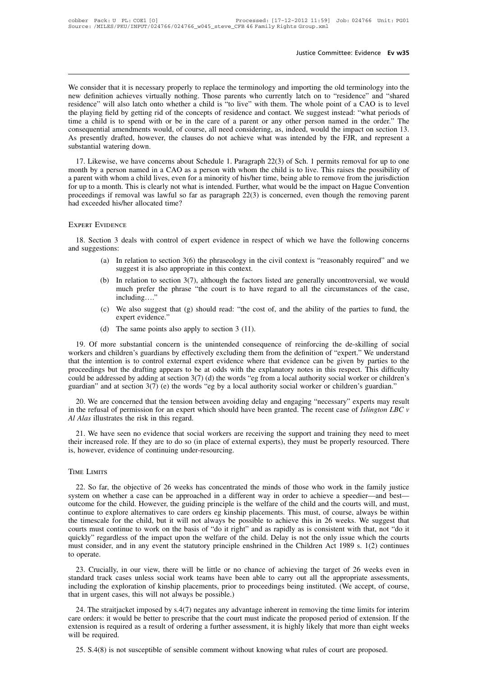Justice Committee: Evidence Ev w35<br>We consider that it is necessary properly to replace the terminology and importing the old terminology into the<br>new definition achieves virtually nothing. Those parents who currently latc Iustice Committee: Evidence Ev w35<br>
We consider that it is necessary properly to replace the terminology and importing the old terminology into the<br>
new definition achieves virtually nothing. Those parents who currently la Justice Committee: Evidence Ev w35<br>We consider that it is necessary properly to replace the terminology and importing the old terminology into the<br>new definition achieves virtually nothing. Those parents who currently latc We consider that it is necessary properly to replace the terminology and importing the old terminology into the new definition achieves virtually nothing. Those parents who currently latch on to "residence" and "shared res We consider that it is necessary properly to replace the terminology and importing the old terminology into the new definition achieves virtually nothing. Those parents who currently latch on to "residence" and "shared res We consider that it is necessary properly to replace the terminology and importing the old terminology into the<br>new definition achieves virtually nothing. Those parents who currently latch on to "residence" and "shared<br>res We consider that it is necessary properly to replace the terminology and importing the old terminology into the new definition achieves virtually nothing. Those parents who currently latch on to "residence" and "shared res new definition achieves virtuall<br>residence" will also latch onto v<br>the playing field by getting rid c<br>time a child is to spend with c<br>consequential amendments woul<br>As presently drafted, however,<br>substantial watering down.<br> 17. Likewise, we have concerns about Schedule 1. Paragraph 22(3) of Sch. 1 permits removal for up to one prior by elaying field by getting rid of the concepts of residence and contact. We suggest instead: "what periods of month by a person named in a CAO as a person with whom the child is to live. The consequential amendments would, of course, all need considering, as, indeed, would the impact on section 13.<br>As presently drafted, however, t

a consequential amendments would, of course, all need considering, as, indeed, would the impact on section 13.<br>As presently drafted, however, the clauses do not achieve what was intended by the FJR, and represent a<br>substan For up to a month. This is clearly not what is intended. Further, what was intended by the FJR, and represent a substantial watering down.<br>17. Likewise, we have concerns about Schedule 1. Paragraph 22(3) of Sch. 1 permits proceeding in the causes of the dame to what was intended by the 131, and represent a substantial watering down.<br>
17. Likewise, we have concerns about Schedule 1. Paragraph 22(3) of Sch. 1 permits removal for up to one mon 17. Likewise, we have concerns about Schemonth by a person named in a CAO as a pers<br>a parent with whom a child lives, even for a mi<br>for up to a month. This is clearly not what is in<br>proceedings if removal was lawful so far 18. Section 3 deals with control of expert evidence in respect of which we have the following parent had exceeded his/her allocated time?<br>
EXPERT EVIDENCE<br>
18. Section 3 deals with control of expert evidence in respect of

# Expert Evidence

proceedings if remova<br>had exceeded his/her a<br>Expert EVIDENCE<br>18. Section 3 deals<br>and suggestions:<br>(a) In relat<br>suggesti WIDENCE<br>
(a) In relation to section 3(6) the phraseology in the civil context is "reasonably required" and we<br>
(a) In relation to section 3(6) the phraseology in the civil context is "reasonably required" and we<br>
(b) In r 18. Section 3 deals with control of expert evidence in respect of which we have the following concerns d suggestions:<br>
(a) In relation to section 3(6) the phraseology in the civil context is "reasonably required" and we su

- 
- (a) In relation to section 3(6) the phraseology in the civil context is "reasonably required" and we suggest it is also appropriate in this context.<br>
(b) In relation to section 3(7), although the factors listed are general 3 deals with control of expert evidence in respect of which we have the following concerns<br>  $\therefore$ <br>
In relation to section 3(6) the phraseology in the civil context is "reasonably required" and we<br>
suggest it is also appro including…." (a) In relation to section 3(6) the phraseology in the civil context is "reasonably required" and we suggest it is also appropriate in this context.<br>
(b) In relation to section 3(7), although the factors listed are genera In relation to section  $3(7)$ , suggest it is also appropriate<br>In relation to section  $3(7)$ , much prefer the phrase "tincluding...."<br>We also suggest that (g) slexpert evidence."<br>The same points also apply (b) In relation to section 3(7), although the factors listed are generally uncontroversial, we would much prefer the phrase "the court is to have regard to all the circumstances of the case, including...."<br>
(c) We also su
	-
	-

19. Of more substantial concern is the unintended consequence of reinforcing the de-skilling of social<br>19. Of more substantial concern is the unintended consequence of reinforcing the de-skilling of social<br>19. Of more subs (c) We also suggest that (g) should read: "the cost of, and the ability of the parties to fund, the expert evidence."<br>
(d) The same points also apply to section 3 (11).<br>
19. Of more substantial concern is the unintended co (c) We also suggest that (g) should read: "the cost of, and the ability of the parties to fund, the expert evidence."<br>
(d) The same points also apply to section 3 (11).<br>
19. Of more substantial concern is the unintended c expert evidence."<br>
(d) The same points also apply to section 3 (11).<br>
19. Of more substantial concern is the unintended consequence of reinforcing the de-skilling of social<br>
workers and children's guardians by effectively (d) The same points also apply to section 3 (11).<br>19. Of more substantial concern is the unintended consequence of reinforcing the de-skilling of social<br>workers and children's guardians by effectively excluding them from 19. Of more substantial concern is the unintended consequence of reinforcing the de-skilling of social workers and children's guardians by effectively excluding them from the definition of "expert." We understand that the Extract the intention is to control external expert evidence where that evidence can be given by parties to the occedings but the drafting appears to be at odds with the explanatory notes in this respect. This difficulty workers and emation is to control external expert evidence where that evidence or be given by parties to the thret have the intervel of the order where that evidence where that evidence or be given by parties to the proce *Alas* illustrates the drafting appears to be at could be addressed by adding at section 3(7) (dyuardian" and at section 3(7) (e) the words "e 20. We are concerned that the tension between the refusal of permission for an

21. We have seen no evidence that social workers are receiving the support and training they need to meet have support and training they need to meet  $Alas$  illustrates the risk in this regard.<br>
21. We have seen no evidence 20. We are concerned that the tension between avoiding delay and engaging "necessary" experts may result<br>in the refusal of permission for an expert which should have been granted. The recent case of *Islington LBC*  $\nu$ <br> 20. We are concerned that the tension between avoiding<br>in the refusal of permission for an expert which should hav<br>*Al Alas* illustrates the risk in this regard.<br>21. We have seen no evidence that social workers are re<br>thei

# TIME LIMITS

21. We have seen no evidence that social workers are receiving the support and training they need to meet<br>eir increased role. If they are to do so (in place of external experts), they must be properly resourced. There<br>howe their increased role. If they are to do so (in place of external experts), they must be properly resourced. There is, however, evidence of continuing under-resourcing.<br>TIME LIMITS<br>22. So far, the objective of 26 weeks has IS, however, evidence of continuing under-resourcing.<br>TIME LIMITS<br>22. So far, the objective of 26 weeks has concentrated the minds of those who work in the family justice<br>system on whether a case can be approached in a dif TIME LIMITS<br>22. So far, the objective of 26 weeks has concentrated the minds of those who work in the family justice<br>system on whether a case can be approached in a different way in order to achieve a speedier—and best—<br>ou TIME LIMITS<br>22. So far, the objective of 26 weeks has concentrated the minds of those who work in the family justice<br>system on whether a case can be approached in a different way in order to achieve a speedier—and best—<br>ou 22. So far, the objective of 26 weeks has concentrated the minds of those who work in the family justice system on whether a case can be approached in a different way in order to achieve a speedier—and best—outcome for the 22. So far, the objective of 26 weeks has concentrated the minds of those who work in the family justice system on whether a case can be approached in a different way in order to achieve a speedier—and best—outcome for the system on whether a case can be approached in a different way in order to achieve a speedier—and best—<br>outcome for the child. However, the guiding principle is the welfare of the child and the courts will, and must,<br>contin outcome for the child. However, the guiding principle is the welfare of the child and the courts will, and must,<br>continue to explore alternatives to care orders eg kinship placements. This must, of course, always be within Ethins are the child, but it will not always be possible to achieve this in 26 weeks. We suggest that urts must continue to work on the basis of "do it right" and as rapidly as is consistent with that, not "do it ickly" re standard track cases unless of "do it right" and as rapidly as is consistent with that, not "do it quickly" regardless of the impact upon the welfare of the child. Delay is not the only issue which the courts must consider

including the exploration of kinship placements, prior to proceedings being instituted. (We accept, of course, that in urgent cases, this will not always be possible.) must consider, and in any event the statutory principle enshrined in the Children Act 1989 s. 1(2) continues<br>to operate.<br>23. Crucially, in our view, there will be little or no chance of achieving the target of 26 weeks eve 23. Crucially, in our view, there will be little or no chance of achieving the target of 26 weeks even in mdard track cases unless social work teams have been able to carry out all the appropriate assessments, cluding the 23. Crucially, in our view, there will be little or no chance of achieving the target of 26 weeks even in standard track cases unless social work teams have been able to carry out all the appropriate assessments, including

extending the exploration of kinship placements, prior to proceedings being instituted. (We accept, of course, including the exploration of kinship placements, prior to proceedings being instituted. (We accept, of course, including the exploration of kinship placements, prior to proceedings being instituted. (We accept, of course, that in urgent cases, this will not always be possible.)<br>
24. The straitjacket imposed by  $s.4(7)$  negates any 24. The straitjacket imposed by s.4(7) negates any advantage inherent in removing the time limits for re orders: it would be better to prescribe that the court must indicate the proposed period of extension tension is requ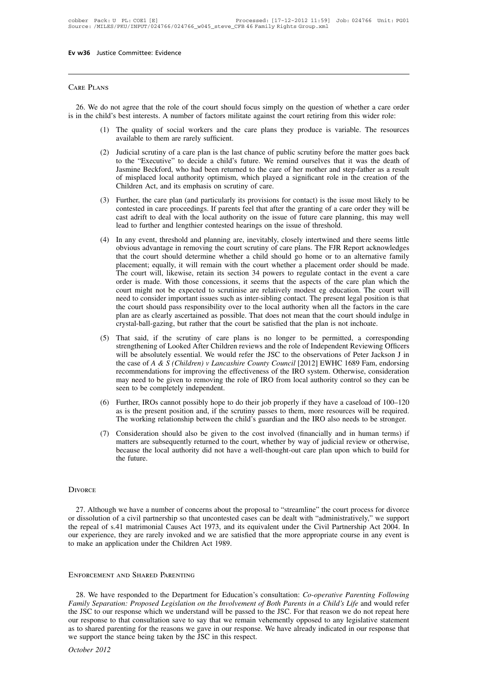# Care Plans

RE PLANS<br>26. We do not agree that the role of the court should focus simply on the question of whether a care order<br>in the child's best interests. A number of factors militate against the court retiring from this wider rol CARE PLANS<br>
26. We do not agree that the role of the court should focus simply on the question of whether a care order<br>
is in the child's best interests. A number of factors militate against the court retiring from this wi (1) The quality of social workers and the care plans they produce is variable. The resources<br>(1) The quality of social workers and the care plans they produce is variable. The resources<br>(2) The quality of social workers an 26. We do not agree that the role of the court should focus simply on the question of whether a care order<br>is in the child's best interests. A number of factors militate against the court retiring from this wider role:<br>(1)

- 
- (2) do not agree that the role of the court should focus simply on the question of whether a care order hild's best interests. A number of factors militate against the court retiring from this wider role:<br>
(1) The quality of the role of the court should focus simply on the question of whether a care order<br>best interests. A number of factors militate against the court retiring from this wider role:<br>The quality of social workers and the care best interests. A number of factors militate against the court retiring from this wider role:<br>The quality of social workers and the care plans they produce is variable. The resources<br>available to them are rarely sufficient The quality of social workers and the care plans they produce is variable. The resources available to them are rarely sufficient.<br>Judicial scrutiny of a care plan is the last chance of public scrutiny before the matter goe The quality of social workers and the care plans the available to them are rarely sufficient.<br>
Judicial scrutiny of a care plan is the last chance of publit<br>
to the "Executive" to decide a child's future. We remi<br>
Jasmine (2) Judicial scrutiny of a care plan is the last chance of public scrutiny before the matter goes back<br>to the "Executive" to decide a child's future. We remind ourselves that it was the death of<br>Jasmine Beckford, who had b but the "Executive" to decide a child's future. We remind ourselves that it was the death of Jasmine Beckford, who had been returned to the care of her mother and step-father as a result of misplaced local authority optimi
- Jasmine Beckford, who had been returned to the care of her mother and step-father as a result of misplaced local authority optimism, which played a significant role in the creation of the Children Act, and its emphasis on Designation beckford, who had occurricated to the care of her hother and step-<br>of misplaced local authority optimism, which played a significant role in the<br>Children Act, and its emphasis on scrutiny of care.<br>Further, the (3) Further, the care plan (and particularly its provisions for contact) is the issue most likely to be contested in care proceedings. If parents feel that after the granting of a care order they will be cast adrift to dea
- Further, the care plan (and particularly its provisions for contact) is the issue most likely to be contested in care proceedings. If parents feel that after the granting of a care order they will be cast adrift to deal wi That the care plant dum particularly its provisions for contact) is the issue most incry to be contested in care proceedings. If parents feel that after the granting of a care order they will be cast adrift to deal with th be concert in each proceedings. In parents rect that after the granting or a care order they win occast adrift to deal with the local authority on the issue of future care planning, this may well lead to further and length Least add to further and lengthier contested hearings on the issue of thuck care planning, this may well<br>lead to further and lengthier contested hearings on the issue of threshold.<br>In any event, threshold and planning are, Lead to futurer and enguiner contested nearings on the sisate of threshold.<br>In any event, threshold and planning are, inevitably, closely intertwined and there seems little<br>obvious advantage in removing the court scrutiny In any event, threshold and planning are, inevitably, closely intertwined and there seems little obvious advantage in removing the court scrutiny of care plans. The FJR Report acknowledges that the court should determine w obvious advantage in removing the court scrutiny of care plans. The FJR Report acknowledges that the court should determine whether a child should go home or to an alternative family placement; equally, it will remain with that the court should determine whether a child should go home or to an alternative family placement; equally, it will remain with the court whether a placement order should be made. The court will, likewise, retain its se placement; equally, it will remain with the court whether a placement order should be made.<br>The court will, likewise, retain its section 34 powers to regulate contact in the event a care<br>order is made. With those concessio The court will, likewise, retain its section 34 powers to regulate contact in the event a order is made. With those concessions, it seems that the aspects of the care plan which court might not be expected to scrutinise ar (5) That said, if the scrutiny of care plans is no longer to be permitted, a corresponding strengthening of Looked After Children reviews and the role of Independent Reviewing Officers will be absolutely essential. We woul strengthening of Looked After Children reviews and the role of Independent Reviewing Officers of A & S (Children) v Lancashire County Council [2012] EWHC 1689 Fam, endorsing the case of A & S (Children) v Lancashire Count
- he court should pass responsibility over to the local authority when all the factors in the care<br>plan are as clearly ascertained as possible. That does not mean that the court should indulge in<br>crystal-ball-gazing, but rat the court should pass responsionity over to the focar authority when an the ractors in the care<br>plan are as clearly ascertained as possible. That does not mean that the court should indulge in<br>crystal-ball-gazing, but rath plan are as clearly ascertained as possible. That does not mean that the court should multige in<br>crystal-ball-gazing, but rather that the court be satisfied that the plan is not inchoate.<br>That said, if the scrutiny of care erystar-bari-gazing, but ratific that the court of satisfied that the plant is not inclided.<br>
That said, if the scrutiny of care plans is no longer to be permitted, a corresponding<br>
strengthening of Looked After Children r (5) That said, if the scrutiny of care plans is no longer to be permitted, a corresponding strengthening of Looked After Children reviews and the role of Independent Reviewing Officers will be absolutely essential. We wou Such the absolutely essential. We would refer the JSC to the observations of Peter Jackson J in<br>the case of A & S (Children) v Lancashire County Council [2012] EWHC 1689 Fam, endorsing<br>recommendations for improving the ef which cases of A & S (Children) v Lancashire County Council [2012] EWHC 1689 Fam, endorsing<br>the case of A & S (Children) v Lancashire County Council [2012] EWHC 1689 Fam, endorsing<br>recommendations for improving the effect The working relationship between the complete of the IRO system. Otherwise, consideration may need to be given to removing the reflectiveness of the IRO system. Otherwise, consideration may need to be given to removing the
- 
- may need to be given to removing the role of IRO from local authority control so they can be<br>seen to be completely independent.<br>(6) Further, IROs cannot possibly hope to do their job properly if they have a caseload of 100 seen to be completely independent.<br>Further, IROs cannot possibly hope to do their job properly if they have a caseload of 100–120<br>as is the present position and, if the scrutiny passes to them, more resources will be requi Further, IROs cannot possibly hope to do their job properly if they have a caseload of 100–120 as is the present position and, if the scrutiny passes to them, more resources will be required. The working relationship betwe The working relationship between the child's guardian and the IRO also needs to be stronger.<br>(7) Consideration should also be given to the cost involved (financially and in human terms) if matters are subsequently returned

# **DIVORCE**

EXTERT WORCE<br>27. Although we have a number of concerns about the proposal to "streamline" the court process for divorce<br>dissolution of a civil partnership so that uncontested cases can be dealt with "administratively," we DIVORCE<br>
27. Although we have a number of concerns about the proposal to "streamline" the court process for divorce<br>
or dissolution of a civil partnership so that uncontested cases can be dealt with "administratively," we DIVORCE<br>27. Although we have a number of concerns about the proposal to "streamline" the court process for divorce<br>or dissolution of a civil partnership so that uncontested cases can be dealt with "administratively," we su DIVORCE<br>27. Although we have a number of concerns about the proposal to "streamline" the court process for divorce<br>or dissolution of a civil partnership so that uncontested cases can be dealt with "administratively," we su DIVORCE<br>27. Although we have a number of concerns about the p<br>or dissolution of a civil partnership so that uncontested ca:<br>the repeal of s.41 matrimonial Causes Act 1973, and its or<br>our experience, they are rarely invoked 27. Although we have a number of concerns about<br>or dissolution of a civil partnership so that unconteste<br>the repeal of s.41 matrimonial Causes Act 1973, and<br>our experience, they are rarely invoked and we are s<br>to make an a

28. We have responded to the Department for Education's consultation: *Co-operative Parenting Following*<br>28. We have responded to the Department for Education's consultation: *Co-operative Parenting Following*<br>28. We have *FAMILY ENFORCEMENT AND SHARED PARENTING*<br>
28. We have responded to the Department for Education's consultation: *Co-operative Parenting Following*<br> *Family Separation: Proposed Legislation on the Involvement of Both Paren* ENFORCEMENT AND SHARED PARENTING<br>28. We have responded to the Department for Education's consultation: *Co-operative Parenting Following*<br>*Family Separation: Proposed Legislation on the Involvement of Both Parents in a Chi* ENFORCEMENT AND SHARED PARENTING<br>28. We have responded to the Department for Education's consultation: *Co-operative Parenting Following*<br>*Family Separation: Proposed Legislation on the Involvement of Both Parents in a Chi* ENFORCEMENT AND SHARED PARENTING<br>28. We have responded to the Department for Education's consultation: *Co-operative Parenting Following*<br>*Family Separation: Proposed Legislation on the Involvement of Both Parents in a Chi* 28. We have responded to the Department for Education's cons<br>Family Separation: Proposed Legislation on the Involvement of Bo<br>the JSC to our response which we understand will be passed to the<br>our response to that consultat *Z8.* We have Family Separation 2012<br>*Family Separation* 2012<br>as to shared p<br>we support the *October 2012*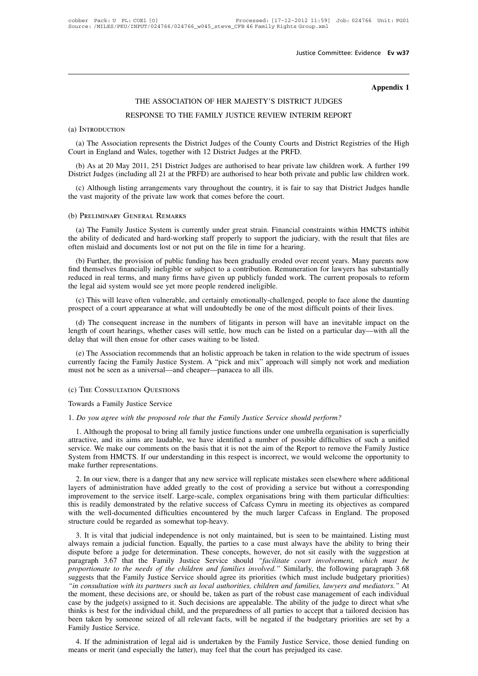# **Ev w37**<br>**Appendix 1**

# Justice Committee: Evidence<br>
Martin Committee: Evidence<br>
THE ASSOCIATION OF HER MAJESTY'S DISTRICT JUDGES<br>
SPONSE TO THE FAMILY JUSTICE REVIEW INTERIM REPORT Appenties ASSOCIATION OF HER MAJESTY'S DISTRICT JUDGES<br>RESPONSE TO THE FAMILY JUSTICE REVIEW INTERIM REPORT

## (a) Introduction

(a) The Association represents the District Judges of the County Courts and District Registries of the High varit in England and Wales, together with 12 District Judges at the PRFD. THE ASSOCIATION OF HER MAJESTY'S DISTRICT JUNISTION RESPONSE TO THE FAMILY JUSTICE REVIEW INTERIM<br>
(a) INTRODUCTION<br>
(a) The Association represents the District Judges of the County Courts and D<br>
Court in England and Wales RESPONSE TO THE FAMILY JUSTICE REVIEW INTERIM REPORT<br>
(a) The Association represents the District Judges of the County Courts and District Registries of the High<br>
unt in England and Wales, together with 12 District Judges (a) INTRODUCTION<br>
(a) The Association represents the District Judges of the County Courts and District Registries of the High<br>
Court in England and Wales, together with 12 District Judges at the PRFD.<br>
(b) As at 20 May 201 (a) The Association represents the District Judges of the County Courts and District Registries of the High uurt in England and Wales, together with 12 District Judges at the PRFD.<br>(b) As at 20 May 2011, 251 District Judge

(a) The Association represents the District Judges of the County Courts<br>Court in England and Wales, together with 12 District Judges at the PRFD.<br>(b) As at 20 May 2011, 251 District Judges are authorised to hear private<br>Di

(c) Although listing arrangements vary throughout the country, it is fair to say that District Judges handle<br>
E vast majority of the private law work that comes before the court.<br>
The Family Justice System is currently und The ability of dedicated and hard-working staff properly to support the judiciary, with the result that files are<br>(a) The Family Justice System is currently under great strain. Financial constraints within HMCTS inhibit<br>th The vast majority of the private law work that comes before the court.<br>
(b) PRELIMINARY GENERAL REMARKS<br>
(a) The Family Justice System is currently under great strain. Financial constrate<br>
the ability of dedicated and hard

(a) The Family Justice System is currently under great strain. Financial constraints within HMCTS inhibit e ability of dedicated and hard-working staff properly to support the judiciary, with the result that files are ten Find the ability of dedicated and hard-working staff properly to support the judiciary, with the result that files are often mislaid and documents lost or not put on the file in time for a hearing.<br>
(b) Further, the provis (a) The Family Justice System is currently under great strain. Financial constraints within HMCTS inhibit the ability of dedicated and hard-working staff properly to support the judiciary, with the result that files are of (a) The Fanny Justice system is curreliny under great strain. Fritanci the ability of dedicated and hard-working staff properly to support the just<br>often mislaid and documents lost or not put on the file in time for a hear (b) Further, the provision of public funding has been gradually eroded over recent years. Many parents now d themselves financially ineligible or subject to a contribution. Remuneration for lawyers has substantially luced (b) Further, the provision of public funding has been gradually eroded over recent years. Many parents now<br>find themselves financially ineligible or subject to a contribution. Remuneration for lawyers has substantially<br>red

d themselves financially ineligible or subject to a contribution. Remuneration for lawyers has substantially luced in real terms, and many firms have given up publicly funded work. The current proposals to reform  $e$  legal reduced in real terms, and many firms have given up publicly funded work. The current proposals to reform<br>the legal aid system would see yet more people rendered ineligible.<br>(c) This will leave often vulnerable, and certai the legal aid system would see yet more people rendered ineligible.<br>
(c) This will leave often vulnerable, and certainly emotionally-ch<br>
prospect of a court appearance at what will undoubtedly be one of<br>
(d) The consequent (c) This will leave often vulnerable, and certainly emotionally-challenged, people to face alone the daunting<br>ospect of a court appearance at what will undoubtedly be one of the most difficult points of their lives.<br>(d) Th prospect of a court appearance at what will undoubtedly be one of the most difficult points of their lives.<br>
(d) The consequent increase in the numbers of litigants in person will have an inevitable impact on the<br>
length o (d) The consequent increase in the numbers of litigants in person v<br>length of court hearings, whether cases will settle, how much can be li<br>delay that will then ensue for other cases waiting to be listed.<br>(e) The Associati

(e) The Association recommends that an holistic approach be taken in relation to the wide spectrum of issues<br>currently facing the Family Justice System. A "pick and mix" approach will simply not work and mediation<br>must no

1. Although the proposal to bring all family justice functions under one umbrella organisation is superficially attractive, and its aims are laudable, we have identified a number of possible difficulties of such a unified 1. The Consultation Questions<br>
1. Although the proposal to bring all family justice *Service should perform?*<br>
1. Although the proposal to bring all family justice functions under one umbrella organisation is superficially (c) THE CONSULTATION QUESTIONS<br>Towards a Family Justice Service<br>1. *Do you agree with the proposed role that the Family Justice Service should perform?*<br>1. Although the proposal to bring all family justice functions under Service Service Service<br>1. *Do you agree with the proposed role that the Family Justice Service should perform?*<br>1. Although the proposal to bring all family justice functions under one umbrella organisation is superficial Towards a Family Justice Service<br>
1. *Do you agree with the proposed role that the Family Justice Service should perform?*<br>
1. Although the proposal to bring all family justice functions under one umbrella organisation is service. We make our comments on the basis that it is not the aim of the Report to remove the Family Justice<br>System from HMCTS. If our understanding in this respect is incorrect, we would welcome the opportunity to<br>make fu It Anthough the proposal to oring an rannity justice functions under one unforcina organisation is superficially<br>attractive, and its aims are laudable, we have identified a number of possible difficulties of such a unified

layers of administration have added greatly to the cost of providing a service but without a corresponding improvement to the service itself. Large-scale, complex organisations bring with them particular difficulties: In the service. We make our comments on the basis that it is not the aim of the Report to remove the Family Justice System from HMCTS. If our understanding in this respect is incorrect, we would welcome the opportunity to System from HMCTS. If our understanding in this respect is incorrect, we would welcome the opportunity to make further representations.<br>
2. In our view, there is a danger that any new service will replicate mistakes seen e System from Five 15. It out and existancing in this respect is incorrect, we would wereome the opportunity to make further representations.<br>
2. In our view, there is a danger that any new service will replicate mistakes se 2. In our view, there is a danger that any new service wilayers of administration have added greatly to the cost improvement to the service itself. Large-scale, complex this is readily demonstrated by the relative success 2. In our view, there is a danger that any new service win replicate instances seen elsewhere where additional<br>vers of administration have added greatly to the cost of providing a service but without a corresponding<br>provem always of administration have added greatly to the cost of providing a service out whilout a corresponding<br>improvement to the service itself. Large-scale, complex organisations bring with them particular difficulties:<br>this

dispute before a judge for determination. These concepts, however, do not sit easily allows as compared with the well-documented difficulties encountered by the much larger Cafcass in England. The proposed structure could It is is readily demonstrated by the relative success of Carcass Cyllifu in meeting its objectives as compared<br>with the well-documented difficulties encountered by the much larger Cafcass in England. The proposed<br>structure *proportionate to the needs of the children and families, children and families, lawyers and mediators.* <sup>2</sup> At *i proposed structure could be regarded as somewhat top-heavy.*<br>
3. It is vital that judicial independence i Succial collid be regaliced as solitewiat top-heavy.<br>3. It is vital that judicial independence is not only maintained, but is seen to be maintained. Listing must<br>always remain a judicial function. Equally, the parties to a 3. It is vital that judicial independence is not only maintained, but is seen to be maintained. Listing must always remain a judicial function. Equally, the parties to a case must always have the ability to bring their dis always remain a judicial function. Equally, the parties to a case must always have the ability to bring their dispute before a judge for determination. These concepts, however, do not sit easily with the suggestion at para dispute before a judge for determination. These concepts, however, do not sit easily with the suggestion at paragraph 3.67 that the Family Justice Service should *"facilitate court involvement, which must be* proportionate paragraph 3.67 that the Family Justice Service should "facilitate court involvement, which must be<br>proportionate to the needs of the children and families involved." Similarly, the following paragraph 3.68<br>suggests that th proportionate to the needs of the children and families involved." Similarly, the following paragraph 3.68 suggests that the Family Justice Service should agree its priorities (which must include budgetary priorities) "in suggests that the Family Jus<br>"in consultation with its part<br>the moment, these decisions<br>case by the judge(s) assignee<br>thinks is best for the individuation<br>been taken by someone seiz<br>Family Justice Service.<br>4. If the admini 4. If the administration of legal aid is undertaken by the Family Justice Service, those denied funding on cans or merit (and especially the latter), may feel that the court has prejudged its case. means or merit (and especially the latter), may feel that the court has prejudged its case.<br>The ability of the judge(s) assigned to it. Such decisions are appealable. The ability of the judgethinks is best for the individu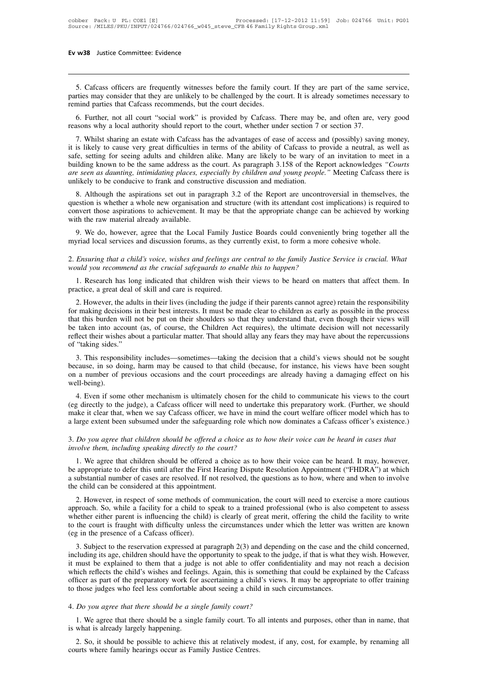15. Cafcass officers are frequently witnesses before the family court. If they are part of the same service,<br>15. Cafcass officers are frequently witnesses before the family court. If they are part of the same service,<br>15. **EXECUTE:**<br> **EXECUTE:**<br> **EXECUTE:**<br> **EXECUTE:**<br> **EXECUTE:**<br> **EXECUTE:**<br> **EXECUTE:**<br> **EXECUTE:**<br> **EXECUTE:**<br> **EXECUTE:**<br> **EXECUTE:**<br> **EXECUTE:**<br> **EXECUTE:**<br> **EXECUTE:**<br> **EXECUTE:**<br> **EXECUTE:**<br> **EXECUTE:**<br> **EXECUTE:**<br> **EXECU Ev w38** Justice Committee: Evidence<br>
5. Cafcass officers are frequently witnesses before the family co<br>
parties may consider that they are unlikely to be challenged by the core<br>
remind parties that Cafcass recommends, but 5. Cafcass officers are frequently witnesses before the family court. If they are part of the same service, the may consider that they are unlikely to be challenged by the court. It is already sometimes necessary to mind p 5. Cafcass officers are frequently witnesses before the family court. If they are part of the same service, parties may consider that they are unlikely to be challenged by the court. It is already sometimes necessary to re 5. Cafcass officers are frequently witnesses before the family court. If they are part of the same service, rities may consider that they are unlikely to be challenged by the court. It is already sometimes necessary to min

parties may consider that they are unlikely to be challenged by the court. It is already sometimes necessary to<br>remind parties that Cafcass recommends, but the court decides.<br>6. Further, not all court "social work" is prov remind parties that Cafcass recommends, but the court decides.<br>
6. Further, not all court "social work" is provided by Cafcass. There may be, and often are, very good<br>
reasons why a local authority should report to the cou 6. Further, not all court "social work" is provided by Cafcass. There may be, and often are, very good reasons why a local authority should report to the court, whether under section 7 or section 37.<br>7. Whilst sharing an e **b**, Further, not all court "social work" is provided by Carcass. There may be, and often are, very good reasons why a local authority should report to the court, whether under section 7 or section 37.<br>
7. Whilst sharing a The counties with a conductive should report to the court, whether thiner section 7 C<br>7. Whilst sharing an estate with Cafcass has the advantages of ease of access and<br>the simulation of the ability of Cafcass to p<br>safe, se F. Wintst sharing an estate with Carcass has the advantages of ease of access and (possibly) saving indicy, is likely to cause very great difficulties in terms of the ability of Cafcass to provide a neutral, as well as le, It is intery to cause very great difficulties in terms of the ability of Catcass to provide a heutiat, as wen as safe, setting for seeing adults and children alike. Many are likely to be wary of an invitation to meet in a

sale, setting tor seeing adults and clindren alike. Many are likely to be wary of all invitation to meet in a<br>building known to be the same address as the court. As paragraph 3.158 of the Report acknowledges "*Courts*<br>are building known to be the same address as the court. As paragraph 3.158 of the Report acknowledges "Courts are seen as daunting, intimidating places, especially by children and young people." Meeting Cafcass there is unlike likely to be conducive to frank and constructive discussion and mediation.<br>
8. Although the aspirations set out in paragraph 3.2 of the Report are uncontroversial in themselves, the<br>
estion is whether a whole new organisat question is whether a whole new organisation and structure (with its attendant cost implications) is required to convert those aspirations to achievement. It may be that the appropriate change can be achieved by working wi 2. *Ensuring that a child's voice, wishes and feelings are central to the family Justice Service is crucial. What*<br>2. *Ensuring that a child's voice, wishes and feelings are central to the family Justice Service is crucial* 

Figure 1 and the raw material already available.<br>
9. We do, however, agree that the Local Family Justice Boards could convenient<br>
myriad local services and discussion forums, as they currently exist, to form a more contrac 1. Research has long indicated that children wish their views to be heard on matters that affect them. In a more consider that a child's voice, wishes and feelings are central to the family Justice Service is crucial. What

provided in the Ebecar Family 3d myriad local services and discussion forums, as they contract and the skill and care is required.<br>
2. Ensuring that a child's voice, wishes and feelings and would you recommend as the cruc

Ensuring that a child's voice, wishes and feelings are central to the family Justice Service is crucial. What<br>vuld you recommend as the crucial safeguards to enable this to happen?<br>1. Research has long indicated that child For making that a child's voice, wishes and feelings are central to the family Justice Service is crucial. What<br>the would you recommend as the crucial safeguards to enable this to happen?<br>1. Research has long indicated tha that this that this burden wish their views to be heard on matters that affect them. In practice, a great deal of skill and care is required.<br>
2. However, the adults in their lives (including the judge if their parents can 1. Research has long indicated that children wish their views to be heard on matters that affect them. In practice, a great deal of skill and care is required.<br>
2. However, the adults in their lives (including the judge if r. Research has long indicated that children wish their views to be heard on matters that affect them. In practice, a great deal of skill and care is required.<br>
2. However, the adults in their lives (including the judge if practice, a great deal of skill and care is required.<br>
2. However, the adults in their lives (including the judge if their parents cannot agree) retain the responsibility<br>
for making decisions in their best interests. It m 2. However, the adults in their lives (including the judge if their parents cannot agree) retain the responsibility making decisions in their best interests. It must be made clear to children as early as possible in the pr because, in so doing, harm may be caused to that child (because, for instance, his views hough their views will be taken into account (as, of course, the Children Act requires), the ultimate decision will not necessarily r

on a number of previous occasions and the court proceedings are already having a damaging effect on his well be court (as, of course, the Children Act requires), the ultimate decision will not necessarily reflect their wis well-being). "taking sides."<br>
3. This responsibility includes—sometimes—taking the decision that a child's views should not be sought<br>
cause, in so doing, harm may be caused to that child (because, for instance, his views have been sou (eg directly to the judge), a Cafcass officer, we have in middled not be sought because, in so doing, harm may be caused to that child (because, for instance, his views have been sought on a number of previous occasions an

5. This responsionly includes—sometimes—taking the decision that a child s views should not be sought because, in so doing, harm may be caused to that child (because, for instance, his views have been sought on a number of because, in so doing, harm may be caused to that chird (because, for instance, ins views have been sought<br>on a number of previous occasions and the court proceedings are already having a damaging effect on his<br>well-being). 4. Even if some other mechanism is ultimately chosen for the child to communicate his views to the court (eg directly to the judge), a Cafcass officer will need to undertake this preparatory work. (Further, we should make 4. Even if some other mechanism is ultimately chosen for the (eg directly to the judge), a Cafcass officer will need to undertak make it clear that, when we say Cafcass officer, we have in mind a large extent been subsumed

1. We agree that children should be offered a choice as to how their voice can be heard in cases that or any care that children should be offered a choice as to how their voice can be heard in cases that volve them, includ be appropriate to defer this until after the First Hearing Dispute Resolution Appointment and the court and a cafease officer's existence.)<br>
3. Do you agree that children should be offered a choice as to how their voice ca a substantial number of cases are resolved. If not resolved, the questions are resolved.<br>
The agree that children should be offered a choice as to how their voice can be heard in cases that<br>
involve them, including speakin 3. Do you agree that children should be offered a cho<br>involve them, including speaking directly to the court<br>1. We agree that children should be offered a choi<br>be appropriate to defer this until after the First Hearin<br>a su volve them, including speaking directly to the court?<br>
1. We agree that children should be offered a choice as to how their voice can be heard. It may, however,<br>
appropriate to defer this until after the First Hearing Disp

1. We agree that children should be offered a choice as to how their voice can be heard. It may, however, be appropriate to defer this until after the First Hearing Dispute Resolution Appointment ("FHDRA") at which a subst F. We agree that children should be oliered a choice as to how their voice can be heard. It may, however, be appropriate to defer this until after the First Hearing Dispute Resolution Appointment ("FHDRA") at which a subst to appropriate to defer this until atter the First riearing Dispute Resolution Appointment (FHDRA) at which<br>a substantial number of cases are resolved. If not resolved, the questions as to how, where and when to involve<br>th the child can be considered at this appointment.<br>
2. However, in respect of some methods of communication, the court will need to exercise a more cautious<br>
approach. So, while a facility for a child to speak to a trained p 2. However, in respect of some methods of communication, the court will need to exercise a more cautious<br>proach. So, while a facility for a child to speak to a trained professional (who is also competent to assess<br>nether e 2. However, in respect of some memods of communication, the court win need to exercise a more cautious approach. So, while a facility for a child to speak to a trained professional (who is also competent to assess whether

implyioach. So, will easilicatly for a cillud to speak to a trained professional (who is also competent to assess whether either parent is influencing the child) is clearly of great merit, offering the child the facility t whether enther patent is inhuelicing the child) is clearly of great hierit, onering the child the ractiny to write<br>to the court is fraught with difficulty unless the circumstances under which the letter was written are kno of the presence of a Cafcass officer).<br>
3. Subject to the reservation expressed at paragraph 2(3) and depending on the case and the child concerned,<br>
including its age, children should have the opportunity to speak to the 3. Subject to the reservation expressed at paragraph  $2(3)$  and depending on the case and the including its age, children should have the opportunity to speak to the judge, if that is what the interval including its age, including its age, children should have the opportunity to speak to the just must be explained to them that a judge is not able to offer confid which reflects the child's wishes and feelings. Again, this is something offic 1. We agree that there should be a single family court. To all intents and purposes, other than in name, that what is already largely happening.<br>
2. So it doesn't be a single family court. To all intents and purposes, othe which reflects the eind s wishes and reem<br>officer as part of the preparatory work for<br>to those judges who feel less comfortable<br>4. Do you agree that there should be a singl<br>1. We agree that there should be a singl<br>is what

those judges who feel less comfortable about seeing a child in such circumstances.<br> *Do you agree that there should be a single family court?*<br>
1. We agree that there should be a single family court. To all intents and pur

4. *Do you agree that there should be a single family court?*<br>1. We agree that there should be a single family court. To a<br>is what is already largely happening.<br>2. So, it should be possible to achieve this at relatively mc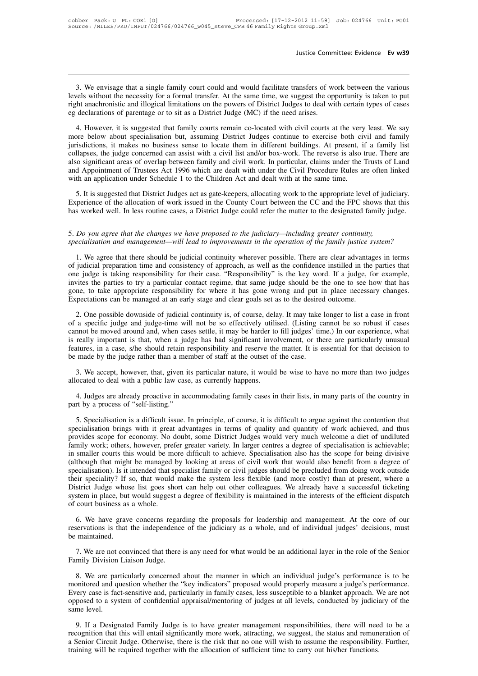3. We envisage that a single family court could and would facilitate transfers of work between the various vels without the necessity for a formal transfer. At the same time, we suggest the opportunity is taken to put the Justice Committee: Evidence Ev w39<br>
3. We envisage that a single family court could and would facilitate transfers of work between the various<br>
levels without the necessity for a formal transfer. At the same time, we sugge Iustice Committee: Evidence Ev w39<br>3. We envisage that a single family court could and would facilitate transfers of work between the various<br>levels without the necessity for a formal transfer. At the same time, we suggest 3. We envisage that a single family court could and would facilitate transfers of we<br>levels without the necessity for a formal transfer. At the same time, we suggest the op<br>right anachronistic and illogical limitations on 3. We envisage that a single family court could and would facilitate transfers of work between the various<br>vels without the necessity for a formal transfer. At the same time, we suggest the opportunity is taken to put<br>the 3. We envisage that a single family court could and would facilitate transfers of work between the various<br>levels without the necessity for a formal transfer. At the same time, we suggest the opportunity is taken to put<br>ri

jurisdictions, it makes no business sense to locate them in different buildings. At present in the proof cases<br>eg declarations of parentage or to sit as a District Judge (MC) if the need arises.<br>4. However, it is suggested Fight anachronistic and illogical limitations on the powers of District Judges to deal with certain types of cases<br>eg declarations of parentage or to sit as a District Judge (MC) if the need arises.<br>4. However, it is sugge also significant areas of overlap between family and civil work. In particular, claims under the New Peast. We say<br>also declarations of parentage or to sit as a District Judge (MC) if the need arises.<br>4. However, it is sug and Appointment of paramige of the state and are activated with civil courts at the very least. We say more below about specialisation but, assuming District Judges continue to exercise both civil and family jurisdictions, 4. However, it is suggested that family courts remain co-located with civil courts at the very more below about specialisation but, assuming District Judges continue to exercise both civil intrisdictions, it makes no busin Solicitions, it makes no business sense to locate them in different buildings. At present, if a family list<br>Illapses, the judge concerned can assist with a civil list and/or box-work. The reverse is also true. There are<br>to Experience of the allocation of work issued in the County Court between the also significant areas of overlap between family and civil list and/or box-work. The reverse is also true. There are also significant areas of ove also significant areas of overlap between family and civil work. In particular, claims under the Trusts of Land<br>and Appointment of Trustees Act 1996 which are dealt with under the Civil Procedure Rules are often linked<br>wit

with an application under Schedule 1 to the Children Act and dealt with at the same time.<br>
5. It is suggested that District Judges act as gate-keepers, allocating work to the appropriate level of judiciary.<br>
Experience of *S.* It is suggested that District Judges act as gate-keepers, allocating work to the appropriate level of judiciary.<br>Experience of the allocation of work issued in the County Court between the CC and the FPC shows that th

perience or the allocation or work issued in the County Court between the CC and the FPC shows that this<br>s worked well. In less routine cases, a District Judge could refer the matter to the designated family judge.<br>Do you of *no you agree that the changes we have proposed to the judiciary—including greater continuity,*<br>S. *Do you agree that the changes we have proposed to the judiciary—including greater continuity,*<br>specialisation and manag 5. Do you agree that the changes we have proposed to the judiciary—including greater continuity, specialisation and management—will lead to improvements in the operation of the family justice system?<br>1. We agree that there 5. Do you agree that the changes we have proposed to the judiciary—including greater continuity, specialisation and management—will lead to improvements in the operation of the family justice system?<br>1. We agree that there specialisation and management—will lead to improvements in the operation of the family justice system?<br>1. We agree that there should be judicial continuity wherever possible. There are clear advantages in terms<br>of judicial Expectations can be managed at an early stage and clear goals set as to the desired outcome.<br>
2. One possible downside of judicial continuity wherever possible. There are clear advantage of judicial preparation time and co 2. One possible downside of judicial continuity is, of course, delay. It may take longer of contidence instilled in the parties that e judge is taking responsibility for their case. "Responsibility" is the key word. If a j of a specific judge is taking responsibility for their case. "Responsibility" is the key word. If a judge, for example, invites the parties to try a particular contact regime, that same judge should be the one to see how t

Expectations can be marged around and, when cases settle, it may be have the moved be the one to see how that has gone, to take appropriate responsibility for where it has gone wrong and put in place necessary changes. Exp is gone, to take appropriate responsibility for where it has gone wrong and put in place necessary changes.<br>Expectations can be managed at an early stage and clear goals set as to the desired outcome.<br>2. One possible downs Expectations can be managed at an early stage and clear goals set as to the desired outcome.<br>
2. One possible downside of judicial continuity is, of course, delay. It may take longer to list a case in front<br>
of a specific 2. One possible downside of judicial continuity is, of course, delay. It may take of a specific judge and judge-time will not be so effectively utilised. (Listing c cannot be moved around and, when cases settle, it may be 2. a specific judge and judge-time will not be so effectively utilised. (Listing cannot be so robust if cases annot be moved around and, when cases settle, it may be harder to fill judges' time.) In our experience, what re cannot be moved around and, when cases settle, it may be harder to is really important is that, when a judge has had significant invo features, in a case, s/he should retain responsibility and reserve the made by the judge is really important is that, when a judge has had significant involvement, or there are particularly unusual features, in a case, s/he should retain responsibility and reserve the matter. It is essential for that decision

be made by the judge rather than a member of staff at the outset of the case.<br>
3. We accept, however, that, given its particular nature, it would be wise to have no more than two judges<br>
allocated to deal with a public law

1. Specialisation is a difficult issue, as currently happens.<br>
1. Judges are already proactive in accommodating family cases in their lists, in many parts of the country in<br>
1. Judges are already proactive in accommodating specialisation brings with it greater with its particular matter. The work of the motion bring than two judges allocated to deal with a public law case, as currently happens.<br>
4. Judges are already proactive in accommodati Figure 3.1 and the scope for economy. As called the scope in their lists, in many parts of the country in part by a process of "self-listing."<br>
5. Specialisation is a difficult issue. In principle, of course, it is difficu 4. Judges are already proactive in accommodating family cases in their lists, in many parts of the country in part by a process of "self-listing."<br>5. Specialisation is a difficult issue. In principle, of course, it is diff part by a process of "self-listing."<br>
5. Specialisation is a difficult issue. In principle, of course, it is difficult to argue against the contention that<br>
specialisation brings with it great advantages in terms of qualit 5. Specialisation is a difficult issue. In principle, of course, it is difficult to argue against the contention that specialisation brings with it great advantages in terms of quality and quantity of work achieved, and th 5. Specialisation is a difficult issue. In principle, of course, it is difficult to argue against the contention that specialisation brings with it great advantages in terms of quality and quantity of work achieved, and th specialisation brings with it great advantages in terms of quality and quantity of work achieved, and thus<br>provides scope for economy. No doubt, some District Judges would very much welcome a diet of undiluted<br>family work; provides scope for economy. No doubt, some District Judges would very much welcome a diet of undiluted family work; others, however, prefer greater variety. In larger centres a degree of specialisation is achievable; in sm family work; others, however, prefer greater variety. In larger centres a degree of specialisation is achievable; in smaller courts this would be more difficult to achieve. Specialisation also has the scope for being divis in smaller courts this would be more difficult to achieve. Specialisation also has the scope for being divisive (although that might be managed by looking at areas of civil work that would also benefit from a degree of spe ecialisation). Is it intended that specialist family or civil judges should be precluded from doing work outside<br>eir speciality? If so, that would make the system less flexible (and more costly) than at present, where a<br>st reservations is that would make the system less flexible (and more costly) than at present, where a District Judge whose list goes short can help out other colleagues. We already have a successful ticketing system in place District Judge whose list goes short can help out other colleagues. We already have a successful ticketing<br>system in place, but would suggest a degree of flexibility is maintained in the interests of the efficient dispatch

1. We have grave concerns regarding the proposals for leadership and management. At the core of our servations is that the independence of the judiciary as a whole, and of individual judges' decisions, must maintained.<br>7. Family Division Liaison Judge.<br>8. We have grave concerns regares<br>treservations is that the independence<br>be maintained.<br>7. We are not convinced that there<br>Family Division Liaison Judge.<br>8. We are particularly concerned

8. We are particularly concerned about the manner in which an individual judges' decisions, must maintained.<br>
1. We are not convinced that there is any need for what would be an additional layer in the role of the Senio<br>
1 monitored and question whether the "key indicators" proposed would be an additional layer in the role of the Senior<br>Family Division Liaison Judge.<br>8. We are particularly concerned about the manner in which an individual ju Family Division Liaison Judge.<br>
The are not convinced that there is any need for what would be an additional layer in the role of the Senior<br>
Family Division Liaison Judge.<br>
8. We are particularly concerned about the manne 7. We are not convinced that there is any need for what would be an additional layer in the role of the Senior<br>Family Division Liaison Judge.<br>8. We are particularly concerned about the manner in which an individual judge's Family Division<br>8. We are par<br>monitored and qu<br>Every case is face<br>opposed to a sys<br>same level.<br>9. If a Design 8. We are particularly concerned about the manner in which an individual judge's performance is to be onitored and question whether the "key indicators" proposed would properly measure a judge's performance.<br>
ery case is f monitored and question whether the "key indicators" proposed would properly measure a judge's performance.<br>Every case is fact-sensitive and, particularly in family cases, less susceptible to a blanket approach. We are not

Every case is fact-sensitive and, particularly in family cases, less susceptible to a blanket approach. We are not opposed to a system of confidential appraisal/mentoring of judges at all levels, conducted by judiciary of Every case is fact-sensitive and, particularly in family cases, less susceptible to a blanket approach. We are not opposed to a system of confidential appraisal/mentoring of judges at all levels, conducted by judiciary of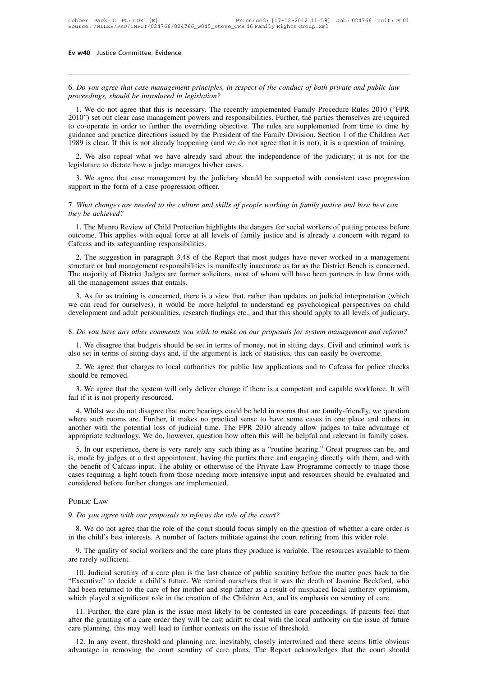**Ev w40** Justice Committee: Evidence<br>
6. *Do you agree that case management principles, in respect of the conduct of both private and public law*<br>
proceedings, should be introduced in legislation? **Figure 40** Justice Committee: Evidence<br>**6.** Do you agree that case management principles, in respect<br>proceedings, should be introduced in legislation?<br>1. We do not agree that this is necessary. The recently in

1. We do not agree that case management principles, in respect of the conduct of both private and public law<br>oceedings, should be introduced in legislation?<br>1. We do not agree that this is necessary. The recently implement 2010") set out clear case management principles, in respect of the conduct of both private and public law proceedings, should be introduced in legislation?<br>
1. We do not agree that this is necessary. The recently implement The co-<br>
6. Do you agree that case management principles, in respect of the conduct of both private and public law<br>
proceedings, should be introduced in legislation?<br>
1. We do not agree that this is necessary. The recently 6. Do you agree that case management principles, in respect of the conduct of both private and public law proceedings, should be introduced in legislation?<br>
1. We do not agree that this is necessary. The recently implement 1989 is clear. If this is not already happening (and we do not agree that it is not), it is not for the particle of both procedure Rules 2010 ("FPR 2010") set out clear case management powers and responsibilities. Further, 1. We do not agree that this is necessary. The recently implemented Family Procedure Rules 2010 ("FPR 10") set out clear case management powers and responsibilities. Further, the parties themselves are required co-operate 2010") set out clear case management powers and responsibilities. Further, the parties themselves are required to co-operate in order to further the overriding objective. The rules are supplemented from time to time by gui co-operate in order to further the overriding objective. The rules are supplemented from time to time by idance and practice directions issued by the President of the Family Division. Section 1 of the Children Act 89 is cl 1989 is clear. If this is not already happening (and we do not agree that it is not), it is a question of training.

2. We also repeat what we have already said about the independence of the judiciary; it is not for the legislature to dictate how a judge manages his/her cases.<br>3. We agree that case management by the judiciary should be s

*the also repear what we degislature to dictate how a jump 3. We agree that case may support in the form of a case*<br>7. *What changes are needed they be achieved?*<br>1. The Munro Review of C

1. We agree that case management by the judiciary should be supported with consistent case progression<br>pport in the form of a case progression officer.<br>What changes are needed to the culture and skills of people working in support in the form of a case progression officer.<br>
T. What changes are needed to the culture and skills of people working in family justice and how best can<br>
they be achieved?<br>
1. The Munro Review of Child Protection high T. What changes are needed to the culture and skittey be achieved?<br>1. The Munro Review of Child Protection highliquation. This applies with equal force at all leve Cafcass and its safeguarding responsibilities.<br>2. The sugg What changes are needed to the culture and skills of people working in family justice and how best can<br>explore achieved?<br>1. The Munro Review of Child Protection highlights the dangers for social workers of putting process

Structure or had management responsibilities is manifestly inaccurate as far as the Districture or had management responsibilities.<br>
2. The suggestion in paragraph 3.48 of the Report that most judges have never worked in a 1. The Munro Review of Child Protection highlights the dangers for social workers of putting process before outcome. This applies with equal force at all levels of family justice and is already a concern with regard to Caf 1. The Munro Review of Child Protection highlights the dangers for social workers of putting process before outcome. This applies with equal force at all levels of family justice and is already a concern with regard to Caf 1. The suggestion in paragraph 3.48 of the Report that most judges have never worked in a management<br>
1. The suggestion in paragraph 3.48 of the Report that most judges have never worked in a management<br>
1. The suggestion 2. The suggestion in paragraph 3.48 of the Report that most judges have never worked in a management structure or had management responsibilities is manifestly inaccurate as far as the District Bench is concerned. The majo 2. The suggestion in paragraph 3.46 of the Report that most judges have hever worked in a management structure or had management responsibilities is manifestly inaccurate as far as the District Bench is concerned. The majo

1. We disagree that budgets should be set in terms of money, not in sitting days. Civil and criminal work is a new that budgets should be more helpful to understand eg psychological perspectives on child development and ad 1. As far as training is concerned, there is a view that, rather than updates on judicial interpretation (which e can read for ourselves), it would be more helpful to understand eg psychological perspectives on child velop

development and adult personalities, research findings etc., and that this should apply to all levels of judiciary.<br>
8. Do you have any other comments you wish to make on our proposals for system management and reform?<br>
1. 2. We agree that charges to local authorities for public law applications and to Cafcass for public law applications and the charges to local authorities for public law applications and to Cafcass for police checks out be 8. *Do you have any other*<br>1. We disagree that buords also set in terms of sitting<br>2. We agree that charges should be removed. 3. We agree that the system will only deliver change if there is a competent and capable workforce. It will all the system will only deliver change if there is a competent and capable workforce. It will all if it is not pr Fail if it is not property and the same of sitting days and, if it is not proved.<br>
2. We agree that charges to local aushould be removed.<br>
3. We agree that the system will only fail if it is not properly resourced.<br>
4. Whi

2. We agree that charges to local authorities for public law applications and to Cafcass for police checks ould be removed.<br>3. We agree that the system will only deliver change if there is a competent and capable workforce 2. We agree that charges to local authorities for public law applications and to Cafcass for police checks should be removed.<br>
3. We agree that the system will only deliver change if there is a competent and capable workfo and the removed.<br>
3. We agree that the system will only deliver change if there is a competent and capable workforce. It will<br>
fail if it is not properly resourced.<br>
4. Whilst we do not disagree that more hearings could be 3. We agree that the system will only deliver change if there is a competent and capable workforce. It will fail if it is not properly resourced.<br>4. Whilst we do not disagree that more hearings could be held in rooms that 1 if it is not properly resourced.<br>
4. Whilst we do not disagree that more hearings could be held in rooms that are family-friendly, we question<br>
here such rooms are. Further, it makes no practical sense to have some cases

4. Whilst we do not disagree that more hearings could be held in rooms that are family-friendly, we question where such rooms are. Further, it makes no practical sense to have some cases in one place and others in another 4. Whist we do not disagree that note hearings could be held in foons that are failiny-fifeliny, we question<br>where such rooms are. Further, it makes no practical sense to have some cases in one place and others in<br>another where such foolis are. Funder, it makes no plactical selise to have some cases in one place and oners in<br>another with the potential loss of judicial time. The FPR 2010 already allow judges to take advantage of<br>appropriate abouter with the potential loss of judicial time. The Frappropriate technology. We do, however, question how of 5. In our experience, there is very rarely any such thin is, made by judges at a first appointment, having the 9. It is, made by judges at a first appointment, having the parties there and engaging directly with them, and with<br>the benefit of Cafcass input. The ability or otherwise of the Private Law Programme correctly to triage th

# PUBLIC LAW

Ses requiring a light touch from those needing more intensive input and resources should be evaluated and insidered before further changes are implemented.<br>
Due ILM Do you agree with our proposals to refocus the role of th 9. The quality of social workers and the care plans they produce is variable. The resources available to them<br>19. The quality of social workers and the care plans they produce is variable. The resources available to them<br>1 9. *Do you agree with our*<br>8. We do not agree that<br>in the child's best interest<br>9. The quality of social<br>are rarely sufficient.<br>10. Judicial scrutiny of

9. The quality of social workers and the care plans they produce is variable. The resources available to them are rarely sufficient.

10. Judicial scrutiny of a care plan is the last chance of public scrutiny before the matter a care order is the child's best interests. A number of factors militate against the court retiring from this wider role.<br>
10. Th 8. We do not agree that the role of the court should focus simply on the question of whether a care order is<br>in the child's best interests. A number of factors militate against the court retiring from this wider role.<br>9. T in the child's best interests. A number of factors militate against the court retiring from this wider role.<br>
9. The quality of social workers and the care plans they produce is variable. The resources available to them<br>
a 9. The quality of social workers and the care plans they produce is variable. The resources available to them<br>are rarely sufficient.<br>10. Judicial scrutiny of a care plan is the last chance of public scrutiny before the mat Exercise to the care plan is the last chance of public scrutiny before the matter goes back to the vecutive" to decide a child's future. We remind ourselves that it was the death of Jasmine Beckford, who d been returned to 10. Judicial scrutiny of a care plan is the last chance of public scrutiny before the matter goes back to the<br>
"Executive" to decide a child's future. We remind ourselves that it was the death of Jasmine Beckford, who<br>
had For the strainery of a care plan is the fast chance of public scrudity before the "Executive" to decide a child's future. We remind ourselves that it was the death had been returned to the care of her mother and step-fathe

d been returned to the care of her mother and step-father as a result of misplaced local authority optimism, <br>iich played a significant role in the creation of the Children Act, and its emphasis on scrutiny of care.<br>11. Fu which played a significant role in the creation of the Children Act, and its emphasis on scrutiny of care.<br>
11. Further, the care plan is the issue most likely to be contested in care proceedings. If parents feel that<br>
aft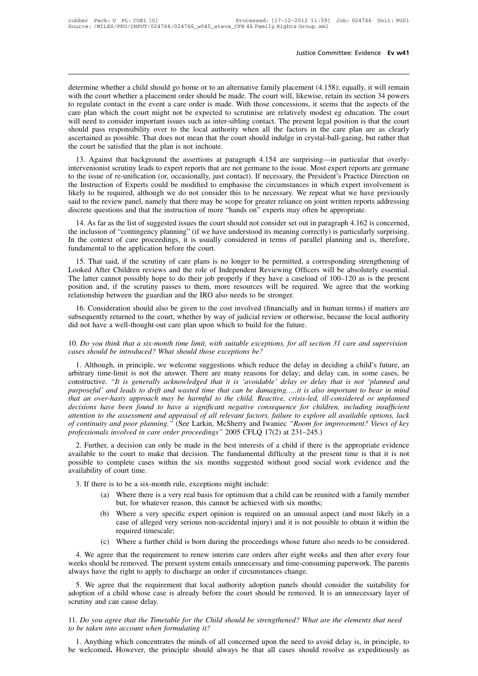Justice Committee: Evidence Ev w41<br>determine whether a child should go home or to an alternative family placement (4.158); equally, it will remain<br>with the court whether a placement order should be made. The court will, li Justice Committee: Evidence Ev w41<br>determine whether a child should go home or to an alternative family placement (4.158); equally, it will remain<br>with the court whether a placement order should be made. The court will, li Justice Committee: Evidence **Ev w41**<br>determine whether a child should go home or to an alternative family placement (4.158); equally, it will remain<br>with the court whether a placement order should be made. The court will, determine whether a child should go home or to an alternative family placement (4.158); equally, it will remain with the court whether a placement order should be made. The court will, likewise, retain its section 34 power determine whether a child should go home or to an alternative family placement (4.158); equally, it will remain with the court whether a placement order should be made. The court will, likewise, retain its section 34 power determine whether a child should go home or to an alternative family placement (4.158); equally, it will remain with the court whether a placement order should be made. The court will, likewise, retain its section 34 power determine whether a child should go home or to an alternative family placement (4.158); equally, it will remain with the court whether a placement order should be made. The court will, likewise, retain its section 34 power with the court whether a placement order should be made. The court will, likewise, retain its section 34 powers<br>to regulate contact in the event a care order is made. With those concessions, it seems that the aspects of th regulate contact in the event a care order is made. With those concessions, it seems that the aspects of the<br>re plan which the court might not be expected to scrutinise are relatively modest eg education. The court<br>Il need care pian which the court might not be expected to scrutinise are relatively modest eg education. The court will need to consider important issues such as inter-sibling contact. The present legal position is that the court

whi need to consider important issues such as inter-sioning contact. The present legal position is that the court<br>should pass responsibility over to the local authority when all the factors in the care plan are as clearly<br> Should pass responsionly over to the local attitutionly when an the ractors in the care plan are as clearly<br>ascertained as possible. That does not mean that the court should indulge in crystal-ball-gazing, but rather that<br> ascertained as possible. That does not mean that the court should multge in crystar-ban-gazing, but rathet that<br>the court be satisfied that the plan is not inchoate.<br>13. Against that background the assertions at paragraph ine court be saits that background the assertions at paragraph 4.154 are surprising—in particular that overly-<br>intervenionist scrutiny leads to expert reports that are not germane to the issue. Most expert reports are germ 13. Against that background the assertions at paragraph 4.154 are surprising—in particular that intervenionist scrutiny leads to expert reports that are not germane to the issue. Most expert reports are to the issue of re-Eveniomst scrumy leads to expert reports that are not germane to the issue. Most expert reports are germane<br>the issue of re-unification (or, occasionally, just contact). If necessary, the President's Practice Direction on<br> to the instruction of Experts could be modified to emphasise the circumstances in which expert involvement is<br>likely to be required, although we do not consider this to be necessary. We repeat what we have previously<br>said

In the context of care proceedings, it is usually considered in terms of parameterial at the review parallel planning of context of the context of care proceedings, it is usually considered in terms of parallel planning an likely to be required, although we do not consider this to be necessary. We repeat what we have previously said to the review panel, namely that there may be scope for greater reliance on joint written reports addressing d screte questions and that the instruction of more "hands on" experts may often be appropriate.<br>
14. As far as the list of suggested issues the court should not consider set out in paragraph 4.162 is concerned,<br>
2 inclusion

14. As far as the list of suggested issues the court should not consider set out in paragraph 4.162 is concerned, the inclusion of "contingency planning" (if we have understood its meaning correctly) is particularly surpri T4. As far as the latter of suggested issues the court should not consider set out in paragraph 4.102 is concerned, the inclusion of "contingency planning" (if we have understood its meaning correctly) is particularly surp In the context of care proceedings, it is usually considered in terms of parallel planning and is, therefore, fundamental to the application before the court.<br>
15. That said, if the scrutiny of care plans is no longer to b Looked After Children reviews and the role of Independent Reviewing Officers will be absolutely essential.<br>The latter cannot possibly hope to do their job properly if they have a caseload of 100–120 as is the present<br>posit 15. That said, if the scrutiny of care plans is no longer to be permitted, a corresponding strengthening of ooked After Children reviews and the role of Independent Reviewing Officers will be absolutely essential. In elect 13. That sald, it the scrutiny of care plans is no longer to be perintied, a corresponding strengthering or Looked After Children reviews and the role of Independent Reviewing Officers will be absolutely essential. The lat Looked Arter Chriden reviews and the fole of independent Reviewing Officers The latter cannot possibly hope to do their job properly if they have a caseload o position and, if the scrutiny passes to them, more resources wi

10. *Do you think that a six-month time limit, with suitable exceptions, for all section* 31 care and supervision<br>10. *Do you think that a six-month time limit, with suitable exceptions, for all section* 31 care and superv

# *cases should be introduced? What should those exceptions, for all section 31 care and supervision*<br>*cases should be introduced? What should those exceptions be?*<br>1. Although, in principle, we welcome suggestions which red

1. Although, in principle, we welcome suggestions which reduce the delay in deciding a child's future, and supervision of the future.<br>
1. Do you think that a six-month time limit, with suitable exceptions, for all section arbitrary time-limit is not the answer. There are many reasons for all section 31 care and supervision<br>asses should be introduced? What should those exceptions, for all section 31 care and supervision<br>cases should be intro and not have a wen-uloughi-out eare plan upon which to build for the future.<br>
10. *Do you think that a six-month time limit, with suitable exceptions, for all section 31 care and supervision*<br>
cases should be introduced? W *purposeful'* and *purposeful'* and *purposeful* and *purposeful and those exceptions pse?*<br>
1. Although, in principle, we welcome suggestions which reduce the delay in deciding a child's future, an<br>
arbitrary time-limit *to. Do you think that a six-month time timit, with suitable exceptions, for all section 31 care and supervision* cases should be introduced? What should those exceptions be?<br>
1. Although, in principle, we welcome suggesti *decisions have introduced?* What should those exceptions be?<br>
1. Although, in principle, we welcome suggestions which reduce the delay in deciding a child's future, an<br>
arbitrary time-limit is not the answer. There are ma 1. Although, in principle, we welcome suggestions which reduce the delay in deciding a child's future, an arbitrary time-limit is not the answer. There are many reasons for delay; and delay can, in some cases, be construct arbitrary time-limit is not the answer. There are many reasons for delay; and delay can, in some cases, be constructive. "*It is generally acknowledged that it is 'avoidable' delay or delay that is not 'planned and purpose professionals involved in a tend in the serial professions.* The serial professions have been found to have a significant negative consequence for children, in attention to the assessment and approach provide a significan reposejut and leads to argu and wasted time indicant be damaging......it is disomportant to bear in mind<br>at an over-hasty approach may be harmful to the child. Reactive, crisis-led, ill-considered or unplanned<br>cisions have and an over-nasty approach may be narmful to the child. Reactive, crists-teat, ili-considered or unplanned decisions have been found to have a significant negative consequence for children, including insufficient attention

decisions have been jound to have a significant negative consequence for children, including insufficient attention to the assessment and appraisal of all relevant factors, failure to explore all available options, lack of attention to the assessment and<br>of continuity and poor planning<br>professionals involved in care of<br>2. Further, a decision can or<br>available to the court to make<br>possible to complete cases w<br>availability of court time.<br>3. If Spessionals involved in care order proceedings" 2005 CFLQ 17(2) at the asset of a chailable to the court to make that decision. The fundamental difficus sible to complete cases within the six months suggested withou allabi (a) experience in the best interests of a child if there is the appropriate evidence<br>o the court to make that decision. The fundamental difficulty at the present time is that it is not<br>of court time.<br>The cases within the s but, for what what decision. The fundamental difficulty at the present<br>mplete cases within the six months suggested without good social we<br>court time.<br>to be a six-month rule, exceptions might include:<br>Where there is a very

- 
- (b) or complete cases within the six months suggested without good social work evidence and the very of court time.<br>
The is to be a six-month rule, exceptions might include:<br>
(a) Where there is a very real basis for optimi case of alleged very serious might include:<br>
Where there is a very real basis for optimism that a child can be reunited with a family member<br>
but, for whatever reason, this cannot be achieved with six months;<br>
Where a very 3. If there is to be a six-month rule, exceptions might include:<br>
(a) Where there is a very real basis for optimism that a child can be reunited with a family member<br>
but, for whatever reason, this cannot be achieved with (a) Where there is a very real basis for optimism that a child can be reunited with a family member<br>but, for whatever reason, this cannot be achieved with six months;<br>(b) Where a very specific expert opinion is required on
	-

but, for whatever reason, this cannot be achieved with six months;<br>
(b) Where a very specific expert opinion is required on an unusual aspect (and most likely in a<br>
case of alleged very serious non-accidental injury) and i where a very specific expert opinion is required on an unusual aspect (and most likely in a<br>case of alleged very serious non-accidental injury) and it is not possible to obtain it within the<br>required timescale;<br>(c) Where a always have the right to apply to discharge an order if circumstances change.<br>
So the right to apply to discharge an order if circumstances change.<br>
The present system entails unnecessary and time-consum always have the ri 5. We agree that the requirement to renew interim care orders after eight weeks and then after every four exis should be removed. The present system entails unnecessary and time-consuming paperwork. The parents ways have t (c) Where a further child is born during the proceedings whose future also needs to be considered.<br>4. We agree that the requirement to renew interim care orders after eight weeks and then after every four<br>weeks should be r 4. We agree that the requirement<br>weeks should be removed. The pres<br>always have the right to apply to d<br>5. We agree that the requireme<br>adoption of a child whose case is<br>scrutiny and can cause delay.<br>11. Do you agree that th

11. *Do you agree that the Timetable for the Child should be strengthened?* What are the elements that need to be taken into account when formulating it? *to account when formulating it?*<br> *to we are that the requirement that local authority adoption panels should consider the suitability for adoption of a child whose case is already before the court should be removed. It i* 1. The ugles and the requirement that focal dialomity deepeth patels should consider the sandomity for option of a child whose case is already before the court should be removed. It is an unnecessary layer of utiny and can

# 11. Do you agree that the Timetable for the Child should be strengthened? What are the elements that need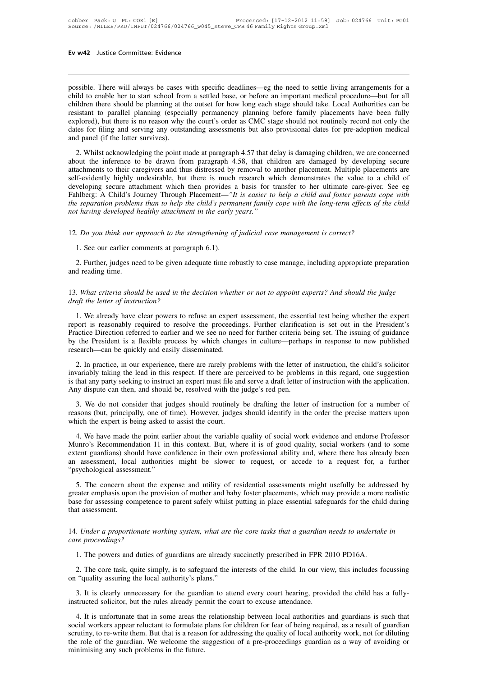**EV W42** Justice Committee: Evidence<br>
possible. There will always be cases with specific deadlines—eg the need to settle living arrangements for a<br>
child to enable her to start school from a settled base, or before an impo **EV W42** Justice Committee: Evidence<br>
possible. There will always be cases with specific deadlines—eg the need to settle living arrangements for a<br>
child to enable her to start school from a settled base, or before an impo Ev w42 Justice Committee: Evidence<br>
possible. There will always be cases with specific deadlines—eg the need to settle living arrangements for a<br>
child to enable her to start school from a settled base, or before an import possible. There will always be cases with specific deadlines—eg the need to settle living arrangements for a<br>child to enable her to start school from a settled base, or before an important medical procedure—but for all<br>chi possible. There will always be cases with specific deadlines—eg the need to settle living arrangements for a child to enable her to start school from a settled base, or before an important medical procedure—but for all chi possible. There will always be cases with specific deadlines—eg the need to settle living arrangements for a child to enable her to start school from a settled base, or before an important medical procedure—but for all chi possible. There will always be cases with specific deadlines—eg the need to settle living arrangements for a<br>child to enable her to start school from a settled base, or before an important medical procedure—but for all<br>chi 2. Whilst acknowledging the point made at paragraph 4.57 that delay is damaging children, we are concerned bildren there is no reason why the court's order as CMC stage should take. Local Authorities can be pistant to para Existant to parallel planning (enecially permanency planning before family placements have been fully explored), but there is no reason why the court's order as CMC stage should not routinely record not only the dates for

responsed to planner planning (especially perminelity planning ecrocy rainity placements interested inty<br>explored), but there is no reason why the court's order as CMC stage should not routinely record not only the<br>dates f Suppose the filing and serving any outstanding assessments but also provisional det rotatinely record not only the dates for filing and serving any outstanding assessments but also provisional dates for pre-adoption medic 2. Whilst acknowledging the point made at paragraph 4.57 that delay is damaging children, we are concerned about the inference to be drawn from paragraph 4.57 that delay is damaging children, we are concerned about the inf 2. Whilst acknowledging the point made at paragraph 4.57 that delay is damaging children, we are concerned about the inference to be drawn from paragraph 4.58, that children are damaged by developing secure attachments to 2. Whilst acknowledging the point made at paragraph 4.57 that delay is damaging children, we are concerned about the inference to be drawn from paragraph 4.58, that children are damaged by developing secure attachments to about the inference to be drawn from paragraph 4.58, that children attachments to their caregivers and thus distressed by removal to another self-evidently highly undesirable, but there is much research which developing se 12. *Do you think our approach to the strengthening of judicial case management is correct?*<br>
12. See our earlier comments which then provides a basis for transfer to her ultimate care-giver. Searling: A Child's Journey Th hlberg: A Child's Journey Through Placement—"*It*<br> *e* separation problems than to help the child's permet<br> *t* having developed healthy attachment in the early y<br>
. Do you think our approach to the strengthening of<br>
1. Se

2. Further, judges need to the strengthening of judicial case management is correct?<br>
2. See our earlier comments at paragraph 6.1).<br>
2. Further, judges need to be given adequate time robustly to case manage, including app 12. Do you think our approach to the strengthening of judicial case management is correct?<br>1. See our earlier comments at paragraph 6.1).<br>2. Further, judges need to be given adequate time robustly to case manage, including 1. See our earlier comments at paragraph 6.1).<br>
2. Further, judges need to be given adequate time robustly to case manage, including appropriate preparation<br>
13. What criteria should be used in the decision whether or not

13. What criteria should be used in the decision whether or not to appoint experts? And should the judge draft the letter of instruction?<br> **1.** We already have clear powers to refuse an expert assessment, the essential tes

2. Further, judges need to be given adequate time robustly to case manage, including appropriate preparation<br>d reading time.<br>What criteria should be used in the decision whether or not to appoint experts? And should the ju and reading time.<br>
13. What criteria should be used in the decision whether or not to appoint experts? And should the judge<br>
draft the letter of instruction?<br>
1. We already have clear powers to refuse an expert assessment, 13. What criteria should be used in the decision whether or not to appoint experts? And should the judge draft the letter of instruction?<br>
1. We already have clear powers to refuse an expert assessment, the essential test 13. What criteria should be used in the decision whether or not to appoint experts? And should the judge draft the letter of instruction?<br>
1. We already have clear powers to refuse an expert assessment, the essential test report is reasonably required to resolve the proceedings. Further clarification is set out in the President's<br>Practice Direction referred to earlier and we see no need for further criteria being set. The issuing of guidanc 1. We already have clear powers to refuse an expert assessment, the essential test being whether the expert<br>orot is reasonably required to resolve the proceedings. Further clarification is set out in the President's<br>actice invariably required to resolve the procedings. Further clarification is set out in the President's<br>Practice Direction referred to earlier and we see no need for further criteria being set. The issuing of guidance<br>by the Pr

Fractice Direction referred to earlier and we see no need for further criteria being set. The issuing of guidance by the President is a flexible process by which changes in culture—perhaps in response to new published rese Any object the President is a flexible process by which changes in culture—perhap research—can be quickly and easily disseminated.<br>
2. In practice, in our experience, there are rarely problems with the letter of invariably Search—can be quickly and easily disseminated.<br>
2. In practice, in our experience, there are rarely problems with the letter of instruction, the child's solicitor<br>
variably taking the lead in this respect. If there are per 2. In practice, in our experience, there are rarely problems with the letter of instruction, the child's solicitor invariably taking the lead in this respect. If there are perceived to be problems in this regard, one sugge 2. In plactice, in our experience, there are interly prob-<br>invariably taking the lead in this respect. If there are pe<br>is that any party seeking to instruct an expert must file an<br>Any dispute can then, and should be, resol

The matter of instruction with the point earlier of instruction with the application.<br>
The point of the point can then, and should be, resolved with the judge's red pen.<br>
3. We do not consider that judges should routinely

Any aispute can then, and should be, resolved with the judge s red pen.<br>
3. We do not consider that judges should routinely be drafting the letter of instruction for a number of<br>
reasons (but, principally, one of time). Ho 3. We do not consider that judges should routinely be drafting the letter of instruction for a number of reasons (but, principally, one of time). However, judges should identify in the order the precise matters upon which Frassons (but, principally, one of time). However, judges should identify in the order the precise matters upon<br>which the expert is being asked to assist the court.<br>4. We have made the point earlier about the variable qual Exasons (bat, principality, one of almot)<br>which the expert is being asked to ass<br>4. We have made the point earlier a<br>Munro's Recommendation 11 in this<br>extent guardians) should have confide<br>an assessment, local authorities 4. We have made the point earlier about the variable quality of social work evidence and endorse Professor unro's Recommendation 11 in this context. But, where it is of good quality, social workers (and to some tent guardi Munro's Recommendation 11 in this context. But, where it is of good quality, social workers (and to some extent guardians) should have confidence in their own professional ability and, where there has already been an asses

bestent guardians) should have confidence in their own professional ability and, where there has already been<br>an assessment, local authorities might be slower to request, or accede to a request for, a further<br>"psychologica Extern guarantis) she<br>an assessment, loca<br>"psychological assess<br>5. The concern ab<br>greater emphasis upor<br>base for assessing contact assessment. 5. The concern about the expense and utility of residential assessments might usefully be addressed by greater emphasis upon the provision of mother and baby foster placements, which may provide a more realistic base for a 5. The concern about the expense and utility of residential assessments might usefully be addressed by greater emphasis upon the provision of mother and baby foster placements, which may provide a more realistic base for a

1. Under a proportionate working system, what are the core tasks that a guardian needs to undertak<br>
1. Under a proportionate working system, what are the core tasks that a guardian needs to undertak<br>
1. The powers and duti

2. *Under a proportionate working system, what are the core tasks that a guardian needs to undertake in* the proceedings?<br>
1. The powers and duties of guardians are already succinctly prescribed in FPR 2010 PD16A.<br>
2. The 14. Under a proportionate working system, what are the c<br>care proceedings?<br>1. The powers and duties of guardians are already succi<br>2. The core task, quite simply, is to safeguard the intere<br>on "quality assuring the local a The powers and duties of guardians are already succinctly prescribed in FPR 2010 PD16A.<br>
2. The core task, quite simply, is to safeguard the interests of the child. In our view, this includes focussing<br>
"quality assuring t in the rules already succinctly prescribed in FPR 20<br>
2. The core task, quite simply, is to safeguard the interests of the child. In our vie<br>
on "quality assuring the local authority's plans."<br>
3. It is clearly unnecessary

4. It is clearly unnecessary for the guardian to attend every court hearing, provided the child has a fully-<br>3. It is clearly unnecessary for the guardian to attend every court hearing, provided the child has a fully-<br>5. I social workers appear reluctant to formulate plans for the children for fear of being reproducts and guardian is such that social workers appear reluctant to formulate plans for children for fear of being required, as a re Solution, the scrutiny is plants.<br>
3. It is clearly unnecessary for the guardian to attend every court hearing, provided the child has a fully-<br>
instructed solicitor, but the rules already permit the court to excuse attend 3. It is clearly unnecessary for the guardian to attend every court hearing, provided the child has a fully-instructed solicitor, but the rules already permit the court to excuse attendance.<br>4. It is unfortunate that in so instructed solicitor, but the rules already permit the court to excuse attendance.<br>4. It is unfortunate that in some areas the relationship between local authorities and guardians is such that<br>social workers appear relucta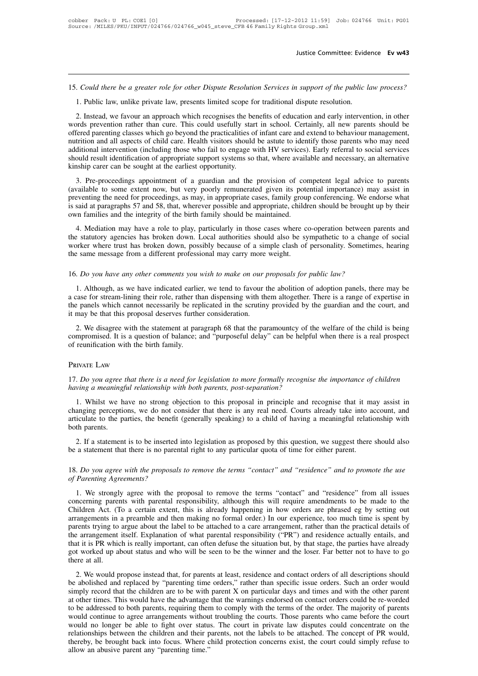15. *Could there be a greater role for other Dispute Resolution Services in support of the public law process?* 31. Is Could there be a greater role for other Dispute Resolution Services in support of the public law process?<br>1. Public law, unlike private law, presents limited scope for traditional dispute resolution.<br>2. Instead, we

2. Could there be a greater role for other Dispute Resolution Services in support of the public law process?<br>
1. Public law, unlike private law, presents limited scope for traditional dispute resolution.<br>
2. Instead, we fa Asset 15. Could there be a greater role for other Dispute Resolution Services in support of the public law process?<br>
1. Public law, unlike private law, presents limited scope for traditional dispute resolution.<br>
2. Instead 15. Could there be a greater role for other Dispute Resolution Services in support of the public law process?<br>1. Public law, unlike private law, presents limited scope for traditional dispute resolution.<br>2. Instead, we fav 15. Could there be a greater role for other Dispute Resolution Services in support of the public law process?<br>
1. Public law, unlike private law, presents limited scope for traditional dispute resolution.<br>
2. Instead, we f 1. Public law, unlike private law, presents limited scope for traditional dispute resolution.<br>
2. Instead, we favour an approach which recognises the benefits of education and early intervention, in other<br>
words prevention 1. The fact, we favour an approach which recognises the benefits of education and early intervention, in other<br>words prevention rather than cure. This could usefully start in school. Certainly, all new parents should be<br>of 2. Instead, we favour an approach which recognises the be words prevention rather than cure. This could usefully sta offered parenting classes which go beyond the practicalities contrition and all aspects of child care. He 3. Pre-proceedings appointment of a guardian and the provision of competent legal advice to parents who may need ditional intervention (including those who fail to engage with HV services). Early referral to social service offered patenting erasses winen go ocyone the practicanties of mant care and extend to behaviour management, nutrition and all aspects of child care. Health visitors should be astute to identify those parents who may need

muthion and an aspects of entit cate. Heath visitors should be astate to identify those parents who may need<br>additional intervention (including those who fail to engage with HV services). Early referral to social services<br> is should result identification of appropriate support systems so that, where available and necessary, an alternative kinship carer can be sought at the earliest opportunity.<br>
3. Pre-proceedings appointment of a guardian a Solid First Refinited on or appropriate support systems so that, where available to some extent now, but very poorly remunerated given its pote preventing the need for proceedings, as may, in appropriate cases, family grou 3. Pre-proceedings appointment of a guardian and the provision of competent legal advice to parents vailable to some extent now, but very poorly remunerated given its potential importance) may assist in eventing the need f The proceedings appointment of a guardian and the provision of completent legal advice to parents (available to some extent now, but very poorly remunerated given its potential importance) may assist in preventing the need

Extent how, out very poorly remanctated given its potential importance) may assist in<br>preventing the need for proceedings, as may, in appropriate cases, family group conferencing. We endorse what<br>is said at paragraphs 57 a the same message from a different professional may carry more weight.<br>
The same message from a different professional may carry more cases, tailing<br>
4. Mediation may have a role to play, particularly in those cases where c 16. Mediation may have a role to play, particularly in those cases where co-operation between particularly agencies has broken down. Local authorities should also be sympathetic to a change worker where trust has broken do

1. Although, as we have indicated earlier, we tend to favour the abolition of adoption panels, hearing the same message from a different professional may carry more weight.<br>
16. Do you have any other comments you wish to m worker where trust has broken down, possibly because of a simple clash of personality. Sometimes, hearing<br>the same message from a different professional may carry more weight.<br>16. Do you have any other comments you wish to the same message from a different professional may carry more weight.<br>
16. Do you have any other comments you wish to make on our proposals for public law?<br>
1. Although, as we have indicated earlier, we tend to favour the 16. *Do you have any other comments you wish to make on our p* 1. Although, as we have indicated earlier, we tend to favour to a case for stream-lining their role, rather than dispensing with the panels which cannot necess 2. Do you have any other comments you wish to make on our proposals for public law?<br>
1. Although, as we have indicated earlier, we tend to favour the abolition of adoption panels, there may be<br>
1. Although, as we have indi 1. Although, as we have indicated earlier, we tend to favour the abolition of adoption panels, there may be a case for stream-lining their role, rather than dispensing with them altogether. There is a range of expertise in I. Almough, as we have multaded can<br>a case for stream-lining their role, rather the<br>the panels which cannot necessarily be rep<br>it may be that this proposal deserves furthe<br>2. We disagree with the statement at par<br>compromis

2. We disagree with the statement at paragraph 68 that the paramountcy of the welfare of the child is being compromised. It is a question of balance; and "purposeful delay" can be helpful when there is a real prospect of r *compromised.* It is a question of balance; and "purposeful delay" can be helpful of reunification with the birth family.<br> **PRIVATE LAW**<br>
17. Do you agree that there is a need for legislation to more formally recognise hav

# Private Law

1. IVATE LAW<br>
1. Do you agree that there is a need for legislation to more formally recognise the importance of children<br>
1. Whilst we have no strong objection to this proposal in principle and recognise that it may assist PRIVATE LAW<br>
17. Do you agree that there is a need for legislation to more formally recognise the importance of children<br>
having a meaningful relationship with both parents, post-separation?<br>
1. Whilst we have no strong ob PRIVATE LAW<br>
17. Do you agree that there is a need for legislation to more formally recognise the importance of children<br>
having a meaningful relationship with both parents, post-separation?<br>
1. Whilst we have no strong ob 17. *Do you agree*<br>having a meaning<br>1. Whilst we h<br>changing perceptic<br>articulate to the ps<br>both parents.<br>2. If a statement ving a meaningful relationship with both parents, post-separation?<br>
1. Whilst we have no strong objection to this proposal in principle and recognise that it may assist in<br>
anging perceptions, we do not consider that there 1. Whilst we have no strong objection to this proposal in principle and recognise that it m<br>changing perceptions, we do not consider that there is any real need. Courts already take into a<br>articulate to the parties, the be It is to the parties, the benefit (generally speaking) to a child of having a meaningful relationship with<br>both parents.<br>2. If a statement is to be inserted into legislation as proposed by this question, we suggest there s

**of Parents.**<br> **2.** If a statement is to be inserted if the a statement that there is no parent<br> **18.** Do you agree with the proposals of Parenting Agreements?<br> **1.** We strongly agree with the proposals

1. If a statement is to be inserted into legislation as proposed by this question, we suggest there should also<br>
2. Do you agree with the proposals to remove the terms "contact" and "residence" and to promote the use<br>
Pare be a statement that there is no parental right to any particular quota of time for either parent.<br>
18. Do you agree with the proposals to remove the terms "contact" and "residence" and to promote the use<br>
of Parenting Agre 18. Do you agree with the proposals to remove the terms "contact" and "residence" and to promote the use of Parenting Agreements?<br>
1. We strongly agree with the proposal to remove the terms "contact" and "residence" from a 18. Do you agree with the proposals to remove the terms "contact" and "residence" and to promote the use of Parenting Agreements?<br>
1. We strongly agree with the proposal to remove the terms "contact" and "residence" from a parenting Agreements?<br>
1. We strongly agree with the proposals to remove the terms "contact" and "residence" from all issues<br>
concerning parents with parental responsibility, although this will require amendments to be mad the arrangement stelf. Explanation of what parental responsibility, although this will require amendments to be made to the Children Act. (To a certain extent, this is already happening in how orders are phrased eg by sett 1. We strongly agree with the proposal to remove the terms "contact" and "residence" from all issues concerning parents with parental responsibility, although this will require amendments to be made to the Children Act. (T concerning parents with parental responsibility, although this will require amendments to be made to the Children Act. (To a certain extent, this is already happening in how orders are phrased eg by setting out arrangement Children Act. (Tutter arrangements in<br>parents trying to<br>the arrangement<br>that it is PR which<br>got worked up al<br>there at all.<br>2. We would p and a prease in the label to be attached to a care arrangement, rather than the practical details of e arrangement itself. Explanation of what parental responsibility ("PR") and residence actually entails, and it it is PR parents a ying to argue about the facer to be attacted to a care arrangement, rather than the practical details of<br>the arrangement itself. Explanation of what parental responsibility ("PR") and residence actually entails,

Simple that it is PR which is really important, can often defive the situation but, by that stage, the parties have already got worked up about status and who will be seen to be the winner and the loser. Far better not to at a set of worked up about status and who will be seen to be the winner and the loser. Far better not to have to go<br>there at all.<br>2. We would propose instead that, for parents at least, residence and contact orders of all 2. We would propose instead that, for parents at least, residence and contact orders of all descriptions should<br>be abolished and replaced by "parenting time orders," rather than specific issue orders. Such an order would<br>s 2. We would propose instead that, for parents at least, residence and contact orders of all descriptions should<br>be abolished and replaced by "parenting time orders," rather than specific issue orders. Such an order would<br>s 2. We would propose instead that, for parents at least, residence and contact orders of all descriptions should be abolished and replaced by "parenting time orders," rather than specific issue orders. Such an order would s be abolished and replaced by "parenting time orders," rather than specific issue orders. Such an order would simply record that the children are to be with parent X on particular days and times and with the other parent at simply record that the children are to be with parent X on particular days and times and with the other parent<br>at other times. This would have the advantage that the warnings endorsed on contact orders could be re-worded<br>t would no longer be able to fight over status. The court in private law disputes could concentrate on the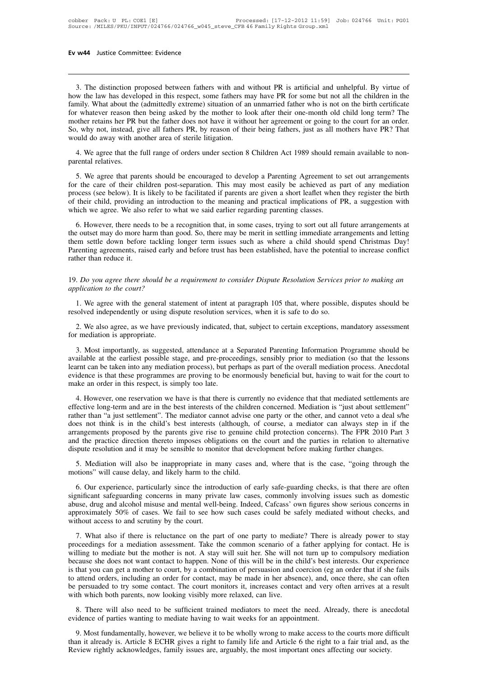3. The distinction proposed between fathers with and without PR is artificial and unhelpful. By virtue of w the law has developed in this respect, some fathers may have PR for some but not all the children in the mily. Wha **Ev w44** Justice Committee: Evidence<br>
3. The distinction proposed between fathers with and without PR is artificial and unhelpful. By virtue of<br>
how the law has developed in this respect, some fathers may have PR for some **Ev w44** Justice Committee: Evidence<br> **Family.** What about the (admittedly extreme) situation of an unmarried father who is not on the birth certificate<br>
family. What about the (admittedly extreme) situation of an unmarrie 3. The distinction proposed between fathers with and without PR is artificial and unhelpful. By virtue of how the law has developed in this respect, some fathers may have PR for some but not all the children in the family. 3. The distinction proposed between fathers with and without PR is artificial and unhelpful. By virtue of how the law has developed in this respect, some fathers may have PR for some but not all the children in the family. 3. The distinction proposed between fathers with and without PR is artificial and unhelpful. By virtue of how the law has developed in this respect, some fathers may have PR for some but not all the children in the family. 3. The distinction proposed between fathers with and v<br>how the law has developed in this respect, some fathers m<br>family. What about the (admittedly extreme) situation of an<br>for whatever reason then being asked by the mothe 1. We agree that the full range of orders under section 8 Children Act 1989 should remain to set out arrangements of what aperts are the family. What about the (admittedly extreme) situation of an unmarried father who is n raining. What about the<br>for whatever reason the<br>mother retains her PR l<br>So, why not, instead, g<br>would do away with ar<br>4. We agree that the<br>parental relatives.<br>5. We agree that par

S. We agree that the full range of orders under the being fathers, just as all mothers have PR? That will do away with another area of sterile litigation.<br>
4. We agree that the full range of orders under section 8 Children So, why not, instead, give an famely FR, by feason of their being famely, just as an inothers have FR? That would do away with another area of sterile litigation.<br>4. We agree that the full range of orders under section 8 C would do away with aholier area of sterile hugation.<br>4. We agree that the full range of orders under section 8 Children Act 1989 should remain available to non-<br>parental relatives.<br>5. We agree that parents should be encour 4. We agree that the full range of orders under section 8 Children Act 1989 should remain available to non-<br>parental relatives.<br>5. We agree that parents should be encouraged to develop a Parenting Agreement to set out arra which we agree that parents should be encouraged to develop a Parenting Agreement to for the care of their children post-separation. This may most easily be achieved as process (see below). It is likely to be facilitated i 5. We agree that parents should be encouraged to develop a Parenting Agreement to set out arrangements<br>
the care of their children post-separation. This may most easily be achieved as part of any mediation<br>
ocess (see belo or the care of their children post-separation. This may most easily be achieved as part of any mediation process (see below). It is likely to be facilitated if parents are given a short leaflet when they register the birth

The metal of their child, providing an introduction to the meaning and practical implications of PR, a suggestion with of their child, providing an introduction to the meaning and practical implications of PR, a suggestion process (see correlation of their child, providing an introduction to the meaning and practical implications of PR, a suggestion with which we agree. We also refer to what we said earlier regarding parenting classes.<br>6. Ho or than emit, providing a<br>which we agree. We also to<br>the outset may do more had<br>them settle down before<br>Parenting agreements, raise<br>rather than reduce it. 19. However, there needs to be a recognition that, in some cases, trying to sort out all ruture arrangements at<br>the outset may do more harm than good. So, there may be merit in settling immediate arrangements and letting<br>t the outset may do more narm than g<br>them settle down before tackling 1<br>Parenting agreements, raised early a<br>rather than reduce it.<br>19. Do you agree there should be a<br>application to the court?<br>1. We agree with the general st

1. The general statement of intent at paragraph and services prior to making an application to the court?<br>
1. We agree there should be a requirement to consider Dispute Resolution Services prior to making an plication to t rather than reduce it.<br>
19. Do you agree there should be a requirement to consider Dispute Resolution Services prior to making an<br>
application to the court?<br>
1. We agree with the general statement of intent at paragraph 10 2. Do you agree there should be a requirement to consider Dispute Resolution Services prior to making an plication to the court?<br>1. We agree with the general statement of intent at paragraph 105 that, where possible, dispu

resolved independently or using dispute resolution services, when it is safe to do so.<br>
2. We also agree, as we have previously indicated, that, subject to certain exceptions, mandatory assessment<br>
for mediation is appropr

1. We agree with the general statement of intent at paragraph 105 that, where possible, disputes should be solved independently or using dispute resolution services, when it is safe to do so.<br>2. We also agree, as we have p assement at the earliest possible stage, and pre-proceedings, sensibly prior to mediation process. We also agree, as we have previously indicated, that, subject to certain exceptions, mandatory assessment for mediation is Learnt can be taken into any mediation process, when it is safe to do so.<br>
2. We also agree, as we have previously indicated, that, subject to certain exceptions, mandatory assessment<br>
5. Most importantly, as suggested, at 2. We also agree, as we have previously indicated, that, subject to certain exceptions, mandatory assessment<br>for mediation is appropriate.<br>3. Most importantly, as suggested, attendance at a Separated Parenting Information available at the earliest possible stage, and pre-proceedings, sensibly prior to mediation (so that the lessons<br>learnt can be taken into any mediation process), but perhaps as part of the overall mediation process. Anecdot 3. Most importantly, as suggested, attendance at a Separated Parenting Information Programme should be ailable at the earliest possible stage, and pre-proceedings, sensibly prior to mediation (so that the lessons urnt can explanary, as suggeted, and the proceedings, sensibly prior to mediation (so that the lessons learnt can be taken into any mediation process), but perhaps as part of the overall mediation process. Anecdotal evidence is tha

rather than "a just settlement". The mediator cannot advise one party or the overall mediation process. Anecdotal evidence is that these programmes are proving to be enormously beneficial but, having to wait for the court best in the child is in the child is best interests (although, of course, a mediator process). The court to make an order in this respect, is simply too late.<br>4. However, one reservation we have is that there is currently and the practice direction we have is that there is currently no evidence that that mediated settlements are effective long-term and are in the best interests of the children concerned. Mediation is "just about settlement" and the practice direction we have is that there is currently no evidence that that mediated settlements are effective long-term and are in the best interests of the children concerned. Mediation is "just about settlement" 4. However, one reservation we have is that there is currently no evidence that that mediated settlements affective long-term and are in the best interests of the children concerned. Mediation is "just about settlement aft From the sign will also be interests of the other, and cannot verto a deal s/he es not think is in the child's best interests (although, of course, a mediator can always step in if the cangements proposed by the parents gi motions in the child's best interests (although, order and the practice direction the child's best interests (although, order and the practice direction thereto imposes obligations on the dispute resolution and it may be s

Experience, particularly since the introduction of early safe-guarding checks, is that there are often intensive spute resolution and it may be sensible to monitor that development before making further changes.<br>
5. Mediat Solution and it may be sensible to monitor that development before making further changes.<br>
5. Mediation will also be inappropriate in many cases and, where that is the case, "going through the<br>
motions" will cause delay, abuse it is a many be sensible to monitor that development before making further changes.<br>
5. Mediation will also be inappropriate in many cases and, where that is the case, "going through the<br>
motions" will cause delay, a 5. Mediation will also be inappropriate in many cases and, where that is the case, "going through the motions" will cause delay, and likely harm to the child.<br>6. Our experience, particularly since the introduction of early 9. Mediator with diso be imappropriate in immotions" will cause delay, and likely harm to the<br>6. Our experience, particularly since the introd<br>significant safeguarding concerns in many priva<br>abuse, drug and alcohol misuse 6. Our experience, particularly since the introduction of early safe-guarding checks, is that there are often pinficant safeguarding concerns in many private law cases, commonly involving issues such as domestic use, drug between the statement in many private law cases, commonly involving issues such as domestic abuse, drug and alcohol misuse and mental well-being. Indeed, Cafcass' own figures show serious concerns in approximately 50% of c

whilling to mediate but the mother is not. A stay will suit her. She will not turn be approximately 50% of cases. We fail to see how such cases could be safely mediated without checks, and without access to and scrutiny by able approximately 50% of cases. We fail to see how such cases could be safely mediated without checks, and without access to and scrutiny by the court.<br>
7. What also if there is reluctance on the part of one party to medi is that you can get a mother to court, by a combination of persuasion of a father applying for contact enters, and proceedings for a mediation assessment. Take the common scenario of a father applying for contact. He is wi The attend orders, including and order for contact, may be madiate? There is already power to stay proceedings for a mediation assessment. Take the common scenario of a father applying for contact. He is willing to mediate 7. What also if there is reluctance on the part of one party to mediate? There is already power to stay proceedings for a mediation assessment. Take the common scenario of a father applying for contact. He is willing to me proceedings for a mediation assessment. Take the common scenario of a willing to mediate but the mother is not. A stay will suit her. She will no because she does not want contact to happen. None of this will be in the c i Frame of this will be in the child's best interests. Our experience that you can get a mother to court, by a combination of persuasion and coercion (eg an order that if she fails attend orders, including an order for conta because she does not want contact to happen. None of this will be in the child's best interests. Our experience<br>is that you can get a mother to court, by a combination of persuasion and coercion (eg an order that if she fa

Figure 1.1 Most fundamentally, however, we believe it to be wholly wrong to make access to the courts more is anecdotal<br>dence of parties wanting to mediate having to wait weeks for an appointment.<br>There will also need to b be persuaded to try some contact. The court momtors it, increases contact and very otten arrives at a result<br>with which both parents, now looking visibly more relaxed, can live.<br>8. There will also need to be sufficient tra 9. Most fundamentally, however, we believe it to be wholly wrong to make access to the courts more difficult than it already is. Article 8 ECHR gives a right to family life and Article 6 the right to a fair trial and, as t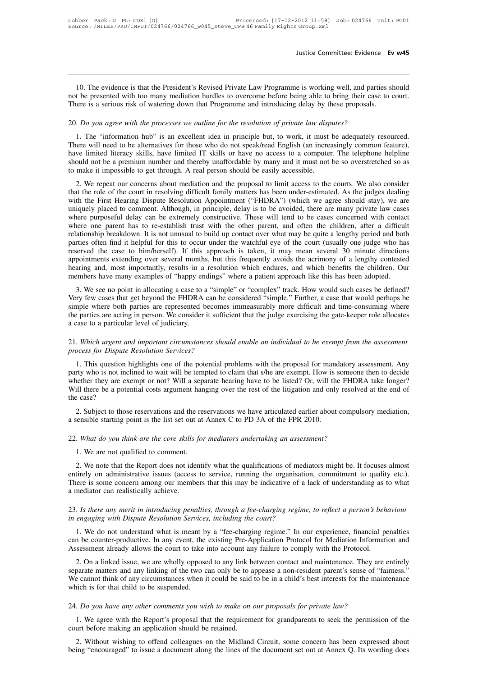In the evidence is that the President's Revised Private Law Programme is working well, and parties should<br>t be presented with too many mediation hurdles to overcome before being able to bring their case to court.<br>Interesti notice Committee: Evidence **Ev w45**<br>IO. The evidence is that the President's Revised Private Law Programme is working well, and parties should<br>not be presented with too many mediation hurdles to overcome before being able Justice Committee: Evidence **Ev**<br>10. The evidence is that the President's Revised Private Law Programme is working well, and parties sl<br>not be presented with too many mediation hurdles to overcome before being able to brin 20. The evidence is that the President's Revised Private Law Programme is working well, and parties and the presented with too many mediation hurdles to overcome before being able to bring their case.<br>There is a serious ri

10. The evidence is that the President's Revised Private Law Programme is working well, and parties should<br>t be presented with too many mediation hurdles to overcome before being able to bring their case to court.<br>ere is a There is a serious risk of watering down that Programme and introducing delay by these proposals.<br>There is a serious risk of watering down that Programme and introducing delay by these proposals.<br>20. Do you agree with the have limited literacy skills, have limited IT skills or have no access to a computer. There is a serious risk of watering down that Programme and introducing delay by these proposals.<br>
20. *Do you agree with the processes* show a premium of material not be a premium and thereby unafform of private law disputes?<br>
1. The "information hub" is an excellent idea in principle but, to work, it must be adequately resourced.<br>
There will need to be al 20. *Do you agree with the processes we outline for the resolution of private law disp* 1. The "information hub" is an excellent idea in principle but, to work, it must There will need to be alternatives for those who do n 1. The "information hub" is an excellent idea in principle but, to work, it must be adequately resourced.<br>
here will need to be alternatives for those who do not speak/read English (an increasingly common feature),<br>
we lim The role of the court in resolving difficult family matters has been under-estimated. The role of the courts in the role of the courts wills, have limited IT skills or have no access to a computer. The telephone helpline s

There will need to be antentatives for those who do not speak/read English (an increasingly common reature), have limited literacy skills, have limited IT skills or have no access to a computer. The telephone helpline shou nave initial iteracy skins, have initied 11 skins of have no access to a computer. The telephone neiphile<br>should not be a premium number and thereby unaffordable by many and it must not be so overstretched so as<br>to make it Should hot be a plemium number and thereby unaffordable by many and it must not be so oversueded so as<br>to make it impossible to get through. A real person should be easily accessible.<br>2. We repeat our concerns about mediat where the mpossible to get unough. A real person should be easily accessible.<br>
2. We repeat our concerns about mediation and the proposal to limit access to the courts. We also consider<br>
that the role of the court in resol 2. We repeat our concerns about mediation and the proposal to limit access to the courts. We also consider that the role of the court in resolving difficult family matters has been under-estimated. As the judges dealing wi that the role of the court in resolving difficult family matters has been under-estimated. As the judges dealing<br>with the First Hearing Dispute Resolution Appointment ("FHDRA") (which we agree should stay), we are<br>uniquely with the First Hearing Dispute Resolution Appointment ("FHDRA") (which we agree should stay), we are uniquely placed to comment. Although, in principle, delay is to be avoided, there are many private law cases where purpos uniquely placed to comment. Although, in principle, delay is to be avoided, there are many private law cases<br>where purposeful delay can be extremely constructive. These will tend to be cases concerned with contact<br>where on where purposeful delay can be extremely constructive. These will tend to be cases concerned with contact where one parent has to re-establish trust with the other parent, and often the children, after a difficult relations where one parent has to re-establish trust with the other parent, and often the children, after a difficult relationship breakdown. It is not unusual to build up contact over what may be quite a lengthy period and both par ationship breakdown. It is not dinustant to bund up contact over what inay be quite a lengthy period and both<br>rities often find it helpful for this to occur under the watchful eye of the court (usually one judge who has<br>se parties often intia it helptur for this to occur under the watchfur eye of the court (usually one judge who has<br>reserved the case to him/herself). If this approach is taken, it may mean several 30 minute directions<br>appoint

simple where the tase to immersent). It this approach is taken, it may mean several 50 immute unections appointments extending over several months, but this frequently avoids the acrimony of a lengthy contested hearing and appointments extending over severar months, out this nequently avoids the actifioly of a feiginy contested hearing and, most importantly, results in a resolution which endures, and which benefits the children. Our members members have many examples of "happy endings" where a patient approach like this has been adopted.<br>
3. We see no point in allocating a case to a "simple" or "complex" track. How would such cases be defined?<br>
Very few cases 21. Which urgent and important circumstances should enable an individual to be exempt from the assessment of the matter of the parties are represented becomes immeasurably more difficult and time-consuming where the partie Figure 1. This question highlights one of the potential problems with the proposal for mandatory assessment. Any<br>
1. This question highlights one of the potential problems with the proposal for mandatory assessment. Any<br>
1

1. This question highlights one of the potential problems with the pudge exercising the gate-keeper role allocates<br>
2. Which urgent and important circumstances should enable an individual to be exempt from the assessment<br> particular level of judiciary.<br>
21. Which urgent and important circumstances should enable an individual to be exempt from the assessment<br>
process for Dispute Resolution Services?<br>
1. This question highlights one of the po Which urgent and important circumstances should enable an individual to be exempt from the assessment<br>process for Dispute Resolution Services?<br>1. This question highlights one of the potential problems with the proposal for 21. Which urgent and important circumstances should enable an individual to be exempt from the assessment process for Dispute Resolution Services?<br>
1. This question highlights one of the potential problems with the proposa 21. Which urgent a<br>process for Dispute<br>1. This question<br>party who is not im<br>whether they are ex<br>Will there be a pot<br>the case?<br>2. Subject to tho 1. This question highlights one of the potential problems with the proposal for mandatory assessment. Any<br>try who is not inclined to wait will be tempted to claim that s/he are exempt. How is someone then to decide<br>either a sensible starting point is the list set out at Annex C to PD 3A of the FPR 2010.<br>
The list set out at Annex C to PD 3A of the FPR 2010.<br>
2. Subject to those reservations and the reservations we have articulated earlier a 22. What do you think are the core skills for mediators undertaking an assessment?<br>
2. *What do you think are the core skills for mediators undertaking an assessment?*<br>
2. *What do you think are the core skills for mediato* 

1. We are not qualified to comment.<br>
2. What *do you think are the core skills for mediators undertaking an assessment?*<br>
1. We are not qualified to comment.<br>
2. We note that the Report does not identify what the qualifica

2. Subject to those reservations and the reservations we have articulated earlier about compulsory mediation,<br>ensible starting point is the list set out at Annex C to PD 3A of the FPR 2010.<br>What do you think are the core s entiated a sensible starting point is the list set out at Annex C to PD 3A of the FPR 2010.<br>
22. What do you think are the core skills for mediators undertaking an assessment?<br>
1. We are not qualified to comment.<br>
2. We no There is some concern among our members that this may be indications of mediators might be. It focuses almost entirely on administrative issues (access to service, running the organisation, commitment to quality etc.). The 22. What do you think are the core skills 1. We are not qualified to comment.<br>
2. We note that the Report does not ide<br>
entirely on administrative issues (access<br>
There is some concern among our memb<br>
a mediator can reali 23. *Is there any merit in introducing penalties, through a fee-charging regime, to reflect a person's behaviour* in *engaging with Dispute Resolution Services, including the court?*<br>
23. *Is there any merit in introducing* 2. We note that the Report does not identify what the qualifications of mediatentirely on administrative issues (access to service, running the organisation There is some concern among our members that this may be indicati

The sixtem concern among our members that this may be indicative of a lack of understanding as to what<br>mediator can realistically achieve.<br>In the mediator can realistically achieve.<br>In the meant of the experime, to reflect a mediator can realistically achieve.<br>
23. Is there any merit in introducing penalties, through a fee-charging regime, to reflect a person's behaviour<br>
in engaging with Dispute Resolution Services, including the court?<br>
1. As there any merit in introducing penalties, through a fee-charging regime, to reflect a person's behind engaging with Dispute Resolution Services, including the court?<br>
1. We do not understand what is meant by a "fee-char

2. Is there any merit in introducing penalties, through a fee-charging regime, to reflect a person's behaviour<br>
engaging with Dispute Resolution Services, including the court?<br>
1. We do not understand what is meant by a "f in engaging with Dispute Resolution Services, including the court?<br>
1. We do not understand what is meant by a "fee-charging regime." In our experience, financial penalties<br>
can be counter-productive. In any event, the exi 1. We do not understand what is meant by a "fee-charging regime." In our experience, financial penalties can be counter-productive. In any event, the existing Pre-Application Protocol for Mediation Information and Assessme The sum of the counter-productive. In any event, the Assessment already allows the court to take is 2. On a linked issue, we are wholly oppose separate matters and any linking of the two components when if which is for th Assessment already allows the court to take into account any failure to comply with the Protocol.<br>
2. On a linked issue, we are wholly opposed to any link between contact and maintenance. They are entirely separate matters 2. We all the Report's proposal that the requirement for grandparents to seek the permission of the reduction in the Report's proposal that the requirement for grandparents to seek the permission of the parties for the mai

24. Do you have any other comments you wish to make on our proposals for private law?<br>
1. We agree with the Report's proposal that the requirement for grandparents to seek the permission of the<br>
court before making an appl 1. We agree with the Report's proposal that the requirement for grandparents to seek the permission of the

2. *Do you have any other comments you wish to make on our proposals for private law?*<br>
1. We agree with the Report's proposal that the requirement for grandparents to seek the permission of the<br>
1. We agree with the Repor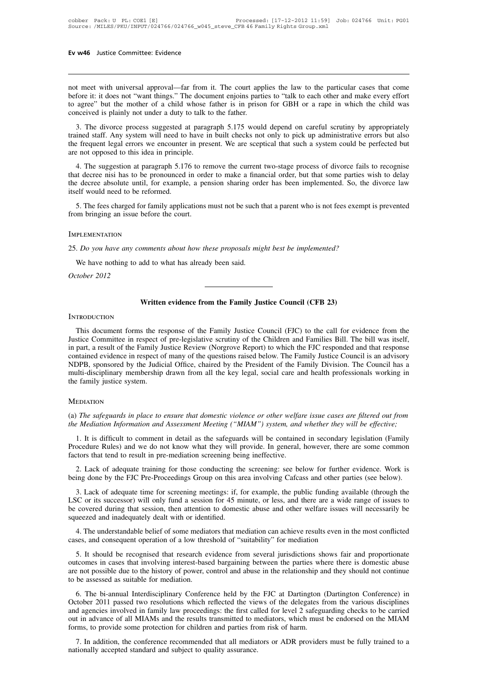**Ev w46** Justice Committee: Evidence<br>
not meet with universal approval—far from it. The court applies the law to the particular cases that come<br>
before it: it does not "want things." The document enjoins parties to "talk t **Ev w46** Justice Committee: Evidence<br>
not meet with universal approval—far from it. The court applies the law to the particular cases that come<br>
before it: it does not "want things." The document enjoins parties to "talk t Ev w46 Justice Committee: Evidence<br>
not meet with universal approval—far from it. The court applies the law to the particular cases that come<br>
before it: it does not "want things." The document enjoins parties to "talk to not meet with universal approval—far from it. The court approbe<br>fore it: it does not "want things." The document enjoins partito<br>to agree" but the mother of a child whose father is in priso<br>conceived is plainly not under a 1. The dividend metal approval—far from it. The court applies the law to the particular cases that come fore it: it does not "want things." The document enjoins parties to "talk to each other and make every effort agree" b not meet with universal approval—far from it. The court applies the law to the particular cases that come<br>before it: it does not "want things." The document enjoins parties to "talk to each other and make every effort<br>to a

the frequent legal errors we encounter in present. We are sceptical that such a system could be perfected but are not opposed to this idea in principle. before it. It does not want ultigs. The docum-<br>to agree" but the mother of a child whose is<br>conceived is plainly not under a duty to talk to<br>3. The divorce process suggested at paragr<br>trained staff. Any system will need to nceived is plainly not under a duty to talk to the tather.<br>
3. The divorce process suggested at paragraph 5.175 would depend on careful scrutiny by appropriately<br>
ined staff. Any system will need to have in built checks no 3. The divorce process suggested at paragraph 5.175 would depend on careful scrutiny by appropriately trained staff. Any system will need to have in built checks not only to pick up administrative errors but also the frequ

The divorce process suggested at paragraph 5.175 would depend on careful setarity by appropriately trained staff. Any system will need to have in built checks not only to pick up administrative errors but also the frequen trained start. Any system win need to<br>the frequent legal errors we encounter<br>are not opposed to this idea in principl<br>4. The suggestion at paragraph 5.17<br>that decree nisi has to be pronounced<br>the decree absolute until, for Exercise at decree in the idea in principle.<br>
4. The suggestion at paragraph 5.176 to remove the current two-stage process of divorce fails to recognise<br>
at decree nisi has to be pronounced in order to make a financial ord 4. The suggestion at paragraph 5.176 to re<br>that decree nisi has to be pronounced in order<br>the decree absolute until, for example, a per<br>itself would need to be reformed.<br>5. The fees charged for family applications is<br>from

25. The fees charged for family applications must not be such that a parent who is not fees exempt if from bringing an issue before the court.<br>
IMPLEMENTATION<br>
25. *Do you have any comments about how these proposals might* S. The rees enarged for falling approaches like here of seeds of the proposals might be<br>m bringing an issue before the court.<br>PLEMENTATION<br>. Do you have any comments about how these proposals mig<br>We have nothing to add to

## Implementation

*COMPLEMENTATION*<br>25. *Do you have any con*<br>We have nothing to ad<br>*October 2012* 

# mments about how these proposals might best be implemented?<br>
Add to what has already been said.<br> **Written evidence from the Family Justice Council (CFB 23)**

# **INTRODUCTION**

Written evidence from the Family Justice Council (CFB 23)<br>TRODUCTION<br>This document forms the response of the Family Justice Council (FJC) to the call for evidence from the<br>stice Committee in respect of pre-legislative scru VECTION<br>
JUSTICE COUNCILY (CFB 23)<br>
THIS document forms the response of the Family Justice Council (FJC) to the call for evidence from the<br>
Justice Committee in respect of pre-legislative scrutiny of the Children and Famil **INTRODUCTION**<br>INTRODUCTION<br>This document forms the response of the Family Justice Council (FJC) to the call for evidence from the<br>Justice Committee in respect of pre-legislative scrutiny of the Children and Families Bill. Written evidence from the Family Justice Council (CFB 23)<br>INTRODUCTION<br>This document forms the response of the Family Justice Council (FJC) to the call for evidence from the<br>Justice Committee in respect of pre-legislative INTRODUCTION<br>This document forms the response of the Family Justice Council (FJC) to the call for evidence from the<br>Justice Committee in respect of pre-legislative scrutiny of the Children and Families Bill. The bill was i This document forms the response of the Family Justice Council (FJC) to the call for evidence from the Justice Committee in respect of pre-legislative scrutiny of the Children and Families Bill. The bill was itself, in par This document forms the re<br>Justice Committee in respect of<br>in part, a result of the Family Ju<br>contained evidence in respect of<br>NDPB, sponsored by the Judic<br>multi-disciplinary membership<br>the family justice system. (a) *The sponsored by the Judicial Office, chaired by the President of the Family Division. The Council has a multi-disciplinary membership drawn from all the key legal, social care and health professionals working in the the family justice system.*<br> *the family justice system.*<br> *the family justice system.*<br> *ta) The safeguards in place to ensure that domestic violence or other welfare issue cases are filtered out from*<br> *the Mediation In* 

# **MEDIATION**

1. It is difficult to comment in detail as the safeguards will be contained in secondary legislation *Information* and Assessment *Meeting* ("*MIAM*") system, and whether they will be effective;<br>1. It is difficult to comme MEDIATION<br>
(a) The safeguards in place to ensure that domestic violence or other welfare issue cases are filtered out from<br>
the Mediation Information and Assessment Meeting ("MIAM") system, and whether they will be effecti (a) The safeguards in place to ensure that domestic violence or other welfare issue cases are filtered out from<br>the Mediation Information and Assessment Meeting ("MIAM") system, and whether they will be effective;<br>1. It is 2. Lack of adequate training for those conducting ("MIAM") system, and whether they will be effective;<br>
1. It is difficult to comment in detail as the safeguards will be contained in secondary legislation (Family<br>
2. Lack the Mediation Information and Assessment Meeting ("MIAM") system, and whether they will be effective;<br>
1. It is difficult to comment in detail as the safeguards will be contained in secondary legislation (Family<br>
Procedure

1. It is difficult to comment in detail as the sateguards will be contained in secondary legislation (Family ocedure Rules) and we do not know what they will provide. In general, however, there are some common ctors that t Procedure Rules) and we do not know what they will provide. In general, however, there are some common factors that tend to result in pre-mediation screening being ineffective.<br>
2. Lack of adequate training for those condu tactors that tend to result in pre-mediation screening being ineffective.<br>
2. Lack of adequate training for those conducting the screening: see below for further evidence. Work is<br>
being done by the FJC Pre-Proceedings Gro 2. Lack of adequate training for those conducting th<br>being done by the FJC Pre-Proceedings Group on this a<br>3. Lack of adequate time for screening meetings: if, f<br>LSC or its successor) will only fund a session for 45 m<br>be c ing done by the FJC Pre-Proceedings Group on this area involving Catcass and other parties (see below).<br>
3. Lack of adequate time for screening meetings: if, for example, the public funding available (through the<br>
iC or it 3. Lack of adequate time for screening meetings: if, for example, the public funding avai<br>LSC or its successor) will only fund a session for 45 minute, or less, and there are a wide<br>be covered during that session, then att

SC or its successor) will only fund a session for 45 minute, or less, and there are a wide range of issues to covered during that session, then attention to domestic abuse and other welfare issues will necessarily be ueeze be covered during that session, then attention to domestic abuse and other welfare issues will necessarily be<br>squeezed and inadequately dealt with or identified.<br>4. The understandable belief of some mediators that mediatio squeezed and madequately dealt with or identified.<br>
4. The understandable belief of some mediators that mediation can achieve results even in the most conflicted<br>
cases, and consequent operation of a low threshold of "suit 4. The understandable belief of some mediators that mediation can achieve results even in the most conflicted<br>cases, and consequent operation of a low threshold of "suitability" for mediation<br>5. It should be recognised tha Ses, and consequent operation of a low threshold of "suitability" for mediation<br>
5. It should be recognised that research evidence from several jurisdictions shows fair and proportionate<br>
tormes in cases that involving int

5. It should be recognised that research evidence from several jurisdictions shows fair and proportionate outcomes in cases that involving interest-based bargaining between the parties where there is domestic abuse are not and agencies involved in family law proceedings: the first called for level 2 safeguarding checks to be carried to the history of power, control and abuse in the relationship and they should not continue to be assessed as outcomes in cases that involving intects to stagging between the parties where there is domestic ables<br>are not possible due to the history of power, control and abuse in the relationship and they should not continue<br>to be forms, to provide some protection for children and parties from risk of harm.<br>The bi-annual Interdisciplinary Conference held by the FJC at Dartington October 2011 passed two resolutions which reflected the views of the de 6. The bi-annual Interdisciplinary Conference held by the FJC at Dartington (Dartington Conference) in tober 2011 passed two resolutions which reflected the views of the delegates from the various disciplines d agencies in of the b-all and intertance prints of contracted the viesture of the control passed two resolutions which reflected the viesture and agencies involved in family law proceedings: the first calculu in advance of all MIAMs an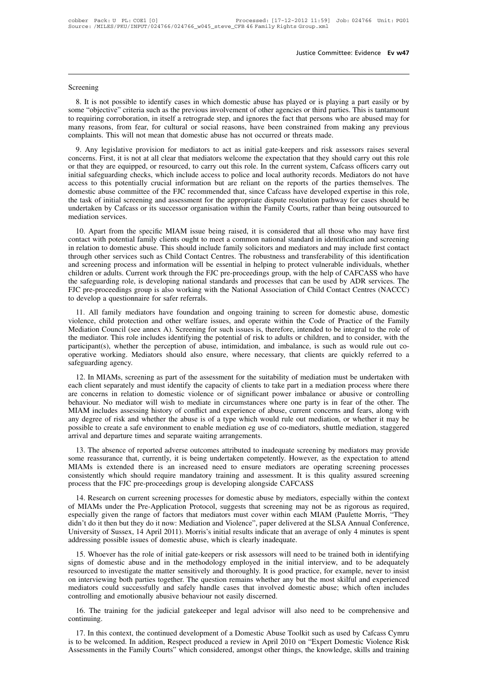# Screening

Sustice Committee: Evidence Ev w47<br>
1991<br>
8. It is not possible to identify cases in which domestic abuse has played or is playing a part easily or by<br>
1992<br>
1993 The "objective" criteria such as the previous involvement o Screening<br>8. It is not possible to identify cases in which domestic abuse has played or is playing a part easily or by<br>8. It is not possible to identify cases in which domestic abuse has played or is playing a part easily Screening<br>8. It is not possible to identify cases in which domestic abuse has played or is playing a part easily or by<br>8. It is not possible to identify cases in which domestic abuse has played or is playing a part easily Screening<br>
8. It is not possible to identify cases in which domestic abuse has played or is playing a part easily or by<br>
some "objective" criteria such as the previous involvement of other agencies or third parties. This i 8. It is not possible to identify cases in which domestic abuse has played or is playing a part easily or by some "objective" criteria such as the previous involvement of other agencies or third parties. This is tantamount 8. It is not possible to identify cases in which domestic abuse has played or is playing a part easily or by<br>me "objective" criteria such as the previous involvement of other agencies or third parties. This is tantamount<br>r o. It is not possible to identify cases in which domestic abuse has played of is playing a part casity of by<br>some "objective" criteria such as the previous involvement of other agencies or third parties. This is tantamount

some objective efficial asterial as the previous involvement of other agencies of time parties. This is tantamount<br>to requiring corroboration, in itself a retrograde step, and ignores the fact that persons who are abused m include the FIC recommended that, since Cafcass have developed expertise in this role, and profile and profile<br>and profile and the mean that domestic abuse has not occurred or threats made.<br>9. Any legislative provision for many reasons, non-rear, toritually of social reasons, nave occurred or threats made.<br>
9. Any legislative provision for mediators to act as initial gate-keepers and risk assessors raises several<br>
concerns. First, it is not Example 1. This win not mean that domestic abuse has not occurred of threats made.<br>
9. Any legislative provision for mediators to act as initial gate-keepers and risk assessors raises several<br>
concerns. First, it is not at 9. Any legislative provision for mediators to act as initial gate-keepers and risk assessors raises several concerns. First, it is not at all clear that mediators welcome the expectation that they should carry out this rol concerns. First, it is not at all clear that mediators welcome the expectation that they should carry out this role or that they are equipped, or resourced, to carry out this role. In the current system, Cafcass officers c or that they are equipped, or resourced, to carry out this role. In the current system, Cafcass officers carry out initial safeguarding checks, which include access to police and local authority records. Mediators do not h The specific MIAM issue being raised, it is considered that all those who may have first church the specific abuse committee of the FJC recommended that, since Cafcass have developed expertise in this role, task of initial Exercise to this potentially cludar information out are reliant on the reports of the parties differences. The<br>domestic abuse committee of the FJC recommended that, since Cafcass have developed expertise in this role,<br>the

in the task of initial screening and assessment for the appropriate dispute resolution pathway for cases should be undertaken by Cafcass or its successor organisation within the Family Courts, rather than being outsourced the task of initial servering and assessment for the appropriate trispant resolution pailway for cases should be<br>undertaken by Cafcass or its successor organisation within the Family Courts, rather than being outsourced to and screening process and information will be tailing courts, rather than being but soluted to mediation services.<br>
10. Apart from the specific MIAM issue being raised, it is considered that all those who may have first<br>
c 10. Apart from the specific MIAM issue being raised, it is considered that all those who may have first contact with potential family clients ought to meet a common national standard in identification and screening in rela 10. Apart from the specific MIAM issue being raised, it is considered that all those who may have first contact with potential family clients ought to meet a common national standard in identification and screening in rela contact with potential family clients ought to meet a common national standard in identification and screening<br>in relation to domestic abuse. This should include family solicitors and mediators and may include first contac in relation to domestic abuse. This should include through other services such as Child Contact Cent and screening process and information will be essentildren or adults. Current work through the FJC p the safeguarding rol ough other services steen as China Contact Centes. The tootastiess and uatisteration of streaming process and information will be essential in helping to protect vulnerable individuals, whether ildern or adults. Current wo children or adults. Current work through the FJC pre-proceedings group, with the help of CAFCASS who have the safeguarding role, is developing national standards and processes that can be used by ADR services. The FJC pre-

ematical or adatis. Current work unough the 13C pre-proceedings group, with the help of CATCA33 who lave the safeguarding role, is developing national standards and processes that can be used by ADR services. The FJC pre-p The mediator. This role includes identifying the potential of risk to adults or child Contact Centres (NACCC) to develop a questionnaire for safer referrals.<br>
11. All family mediators have foundation and ongoing training t Foc pre-proceedings group is also working with the Evaludian Association of Cinta Contact Centes (EVACCC) to develop a questionnaire for safer referrals.<br>
11. All family mediators have foundation and ongoing training to sc operative working. Mediators have foundation and ongoing training to screen for domestic abuse, domestic violence, child protection and other welfare issues, and operate within the Code of Practice of the Family Mediation 11. All family mediato<br>violence, child protection<br>Mediation Council (see an<br>the mediator. This role inc<br>participant(s), whether the<br>operative working. Media<br>safeguarding agency.<br>12. In MIAMs, screenin Selection and other weitare issues, and operate within the code of Fractice of the Falling ediation Council (see annex A). Screening for such issues is, therefore, intended to be integral to the role of emediator. This rol experience of separately and must dentify the protection, and included by the mediator. This role includes identifying the potential of risk to adults or children, and to consider, with the participant(s), whether the perc

are incurator. This for includes accuring the potential of fisk to addits of emitted, and to consider, whit the participant(s), whether the perception of abuse, intimidation, and imbalance, is such as would rule out co-<br>op participant(s), whence the perception of abdse, minimation, and misdiatec, is such as would rule out co-<br>operative working. Mediators should also ensure, where necessary, that clients are quickly referred to a<br>safeguarding betanding agency.<br>
12. In MIAMs, screening as part of the assessment for the suitability of mediation must be undertaken with<br>
each client separately and must identify the capacity of clients to take part in a mediation pr ancy.<br>
12. In MIAMs, screening as part of the assessment for the suitability of mediation must be undertaken with<br>
each client separately and must identify the capacity of clients to take part in a mediation process where 12. In MIAMs, screening as part of the assessment for the suitability of mediation must be undertaken with each client separately and must identify the capacity of clients to take part in a mediation process where there ar each client separately and must identify the capacity of clients to take part in a mediation process where there are concerns in relation to domestic violence or of significant power imbalance or abusive or controlling beh 22. Concerns in relation to domestic violence of of significant power imbatance of abasive of controming<br>haviour. No mediator will wish to mediate in circumstances where one party is in fear of the other. The<br>IAM includes Somavious. Two mediator will wish to mediate in enclumentations where one party is in real of the other. The MIAM includes assessing history of conflict and experience of abuse, current concerns and fears, along with any d

MIAM includes assessing instory of conflict and experience of abuse, current concerns and rears, along white<br>any degree of risk and whether the abuse is of a type which would rule out mediation, or whether it may be<br>possib Example to risk and whether the abuse is of a type which would rue out included), or whether it inty of<br>possible to create a safe environment to enable mediation eg use of co-mediators, shuttle mediation, staggered<br>arrival MIAMs is extended there is an increased need to ensure mediators are operating screening processes consistently which should require mandatory training and assessment. It is this quality assured screening process that the For the absence of reported adverse outcomes attributed to matedpate series by methators may provide<br>some reassurance that, currently, it is being undertaken competently. However, as the expectation to attend<br>MIAMs is exte

of MIAMs under the Pre-Application Protocol, suggests that screening may not be as rigorous as required, especially given the range of factors that mediators must cover within each MIAM (Paulette Morris, "They Solid Eassurance that, currently, it is being undertaken completently. However, as the expectation to attent MIAMs is extended there is an increased need to ensure mediators are operating screening processes consistently w MERING IS EXIGNICE there is an included incert to this dual to metallators are operating series are consistently which should require mandatory training and assessment. It is this quality assured screening process that the From Sistema when should require mandatory training and assessment. It is this quanty assured series process that the FJC pre-proceedings group is developing alongside CAFCASS<br>14. Research on current screening processes fo 14. Research on current screening processes for domestic abuse by mediators of MIAMs under the Pre-Application Protocol, suggests that screening may nespecially given the range of factors that mediators must cover within e 14. Research of current screening processes for domestic abdse by mediators, especially whant the context MIAMs under the Pre-Application Protocol, suggests that screening may not be as rigorous as required, precially give of MERINS affect the Tre-Application Trotocol, suggests that servering may not be as rigorous as required, especially given the range of factors that mediators must cover within each MIAM (Paulette Morris, "They didn't do

respection of the matter of the matter sensitively and Violence", paper delivered at the SLSA Annual Conference, University of Sussex, 14 April 2011). Morris's initial results indicate that an average of only 4 minutes is diators on interviewing both parties together. The question remains whether and the most skilful and experiment<br>addressing possible issues of domestic abuse, which is clearly inadequate.<br>15. Whoever has the role of initial entity of bussex, 147 (pm 2011). Morths s hindi results indeducted that an average of only 4 hindes is spent addressing possible issues of domestic abuse, which is clearly inadequate.<br>
15. Whoever has the role of initial g addressing possible issues of domestic abuse, which is clearly inadequate.<br>
15. Whoever has the role of initial gate-keepers or risk assessors will need to be trained both in identifying<br>
signs of domestic abuse and in the 16. Whocver has the fole of initial gate-secepts of risk assessors will ficed to be trained both in identitying<br>the sourced to investigate the matter sensitively and thoroughly. It is good practice, for example, never to i

continuing.

Interviewing both parties together. The question remains whether any but the most skill and experienced<br>ediators could successfully and safely handle cases that involved domestic abuse; which often includes<br>ntrolling and e mediators could successfully and safely handle cases that involved domestic abuse; which often includes<br>controlling and emotionally abusive behaviour not easily discerned.<br>16. The training for the judicial gatekeeper and l 16. The training for the judicial gatekeeper and legal advisor will also need to be comprehensive and continuing.<br>17. In this context, the continued development of a Domestic Abuse Toolkit such as used by Cafcass Cymru is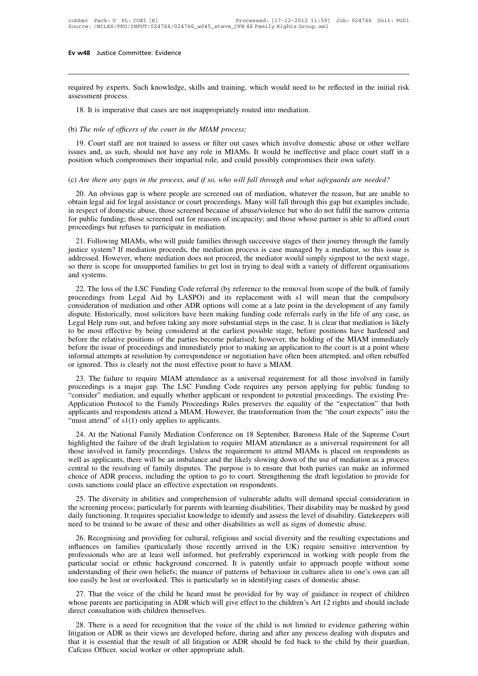**EV W48** Justice Committee: Evidence<br>required by experts. Such knowledge, skills and training, which would need to be reflected in the initial risk<br>assessment process. Ev w48 Justice Committe<br>required by experts. Such<br>assessment process.<br>18. It is imperative tha 18. It is versets. Such knowledge, skills and training, which would need to be<br>sessment process.<br>18. It is imperative that cases are not inappropriately routed into mediation.<br>18. It is imperative that cases are not imappr Frequired by experts. Such knowledge, skills and training, which assessment process.<br>18. It is imperative that cases are not inappropriately routed in (b) *The role of officers of the court in the MIAM process*;<br>19. Court

19. It is imperative that cases are not inappropriately routed into mediation.<br>
19. It is imperative that cases are not inappropriately routed into mediation.<br>
19. Court staff are not trained to assess or filter out cases issues and, as imperative that cases are not inappropriately routed into mediation.<br>
(b) The role of officers of the court in the MIAM process;<br>
19. Court staff are not trained to assess or filter out cases which involve d 18. It is imperative that cases are not inappropriately routed into mediation.<br>
(b) The role of officers of the court in the MIAM process;<br>
19. Court staff are not trained to assess or filter out cases which involve domest (b) The role of officers of the court in the MIAM process;<br>19. Court staff are not trained to assess or filter out cases which involve domestic abuse or other welfare<br>issues and, as such, should not have any role in MIAMs. 19. Court staff are not trained to assess or filter out cases which involve domestic abuse or other welfare<br>ues and, as such, should not have any role in MIAMs. It would be ineffective and place court staff in a<br>sition whi

issues and, as such, should not have any role in MIAMs. It would be ineffective and place court staff in a position which compromises their impartial role, and could possibly compromises their own safety.<br>
(c) *Are there a* in position which compromises their impartial role, and could possibly compromises their own safety.<br>
(c) *Are there any gaps in the process, and if so, who will fall through and what safeguards are needed?*<br>
20. An obviou for the the carry and if so, who will fall through and what safeguards are needed?<br>
20. An obvious gap is where people are screened out of mediation, whatever the reason, but are unable to obtain legal aid for legal assist 20. An obvious gap is where people are screened out of mediation, whatever the reason, but are unable to obtain legal aid for legal assistance or court proceedings. Many will fall through this gap but examples include, in 20. An obvious gap is where people are screened out of mediation, whatever the reason, but are unable to tain legal aid for legal assistance or court proceedings. Many will fall through this gap but examples include, respe 20. An obvious gap is where people are servented out of included., whatever the reason, out are unable to obtain legal aid for legal assistance or court proceedings. Many will fall through this gap but examples include, in

bodain regar and for legar assistance of court proceedings. Many will fail unodgit differed to camples include, in respect of domestic abuse, those screened because of abuse/violence but who do not fulfil the narrow criter in respect of domestic abuse, those serectived occalise of abuse/violence but who do not runn the hardwethera<br>for public funding; those screened out for reasons of incapacity; and those whose partner is able to afford cour proceedings but refuses to participate in mediation.<br>
21. Following MIAMs, who will guide families through successive stages of their journey through the family<br>
justice system? If mediation proceeds, the mediation process 21. Following MIAIWs, who will guide families dilough successive stages of their journey unough the family justice system? If mediation proceeds, the mediation process is case managed by a mediator, so this issue is addres

proceedings from Legal Aid by LASPO) and its replacement with s1 will mean that the compulsory consideration of mediation and other ADR options will come at a late point in the development of any family distict system: It incuration process, the incuration process is ease managed by a incurator, so this issue is<br>addressed. However, where mediation does not proceed, the mediator would simply signpost to the next stage,<br>so addicssed. However, where mediaton does not proceed, the mediator would simply signpost to the hext stage, so there is scope for unsupported families to get lost in trying to deal with a variety of different organisations So thete is stope for disapported rannics to get lost in trying to dear with a variety or directin organisations<br>and systems.<br>22. The loss of the LSC Funding Code referral (by reference to the removal from scope of the bul 22. The loss of the LSC Funding Code referral (by reference to the removal from scope of the bulk of family proceedings from Legal Aid by LASPO) and its replacement with s1 will mean that the compulsory consideration of me 22. The loss of the LSC Funding Code referral (by reference to the removal from scope of the bulk of family proceedings from Legal Aid by LASPO) and its replacement with s1 will mean that the compulsory consideration of me proceedings from Legal Aid by LASPO) and its replacement with s1 will mean that the compulsory consideration of mediation and other ADR options will come at a late point in the development of any family dispute. Historical consideration of mediation and other ADR options will come at a late point in the development of any family dispute. Historically, most solicitors have been making funding code referrals early in the life of any case, as L dispute. Historically, most solicitors have been making funding code referrals Legal Help runs out, and before taking any more substantial steps in the case. It to be most effective by being considered at the earliest poss gat Help runs out, and octore taking any more substantial steps in the case. It is creat that inculation is fikely<br>be most effective by being considered at the earliest possible stage, before positions have hardened and<br>fo before the relative by being considered at the caribist possible stage, before positions have nationed and before the relative positions of the parties become polarised; however, the holding of the MIAM immediately before

before the issue of proceedings and immediately prior to making an application to the court is at a point where<br>informal attempts at resolution by correspondence or negotiation have often been attempted, and often rebuffed From the Family Protocol to the Family Protocol to the Family and application of the Court is at a point where<br>informal attempts at resolution by correspondence or negotiation have often been attempted, and often rebuffed<br> applicants and respondents attend a MIAM.<br>
23. The failure to require MIAM attendance as a universal requirement for all those involved in family<br>
proceedings is a major gap. The LSC Funding Code requires any person applyi 23. The failure to require MIAM attendance as a proceedings is a major gap. The LSC Funding Code "consider" mediation, and equally whether applicant of Application Protocol to the Family Proceedings Rules applicants and re 25. The Tantic to Equite MIAM attendance as a universal Equitement for an those involved in family occeedings is a major gap. The LSC Funding Code requires any person applying for public funding to onsider" mediation, and proceedings is a major gap. The ESC Funding Code requires any person applying to public funding to<br>
"consider" mediation, and equally whether applicant or respondent to potential proceedings. The existing Pre-<br>
Application

The Consider Included in family whence applicant of responsent to potential proceedings. The existing Fre-Application Protocol to the Family Proceedings Rules preserves the equality of the "expectation" that both applicant Exploration Trotocol to the Talling Troceculings Kates preserves the equality of the expectation that both applicants and respondents attend a MIAM. However, the transformation from the "the court expects" into the "must a applicants and respondents attend a MIAM. However, the datisformation from the the court expects this die "must attend" of s1(1) only applies to applicants.<br>
24. At the National Family Mediation Conference on 18 September, 24. At the National Family Mediation Conference on 18 September, Baroness Hale of the Supreme Court highlighted the failure of the draft legislation to require MIAM attendance as a universal requirement for all those invol 24. At the National Family Mediation Conference on 18 September, Highlighted the failure of the draft legislation to require MIAM attendan those involved in family proceedings. Unless the requirement to attend well as appl Example in a family proceedings. Unless the requirement to attend MIAMs is placed on respondents as a linversar includent to an information as a process ill as applicants, there will be an imbalance and the likely slowing the screening procedurings. Oness the requirement to attent MEANS is placed on respondents as<br>well as applicants, there will be an imbalance and the likely slowing down of the use of mediation as a process<br>central to the r

wen as appreasing, there will be an imbatance and the fixely slowing down of the use of inculation as a process<br>central to the resolving of family disputes. The purpose is to ensure that both parties can make an informed<br>c central to the resolving of family disputes. The purpose is to ensure that both parties can make an informed<br>choice of ADR process, including the option to go to court. Strengthening the draft legislation to provide for<br>co sts sanctions could place an effective expectation on respondents.<br>
25. The diversity in abilities and comprehension of vulnerable adults will demand special consideration in<br>
screening process; particularly for parents wi 25. The diversity in abilities and comprehension of vulnerable adults will demand special consideration in<br>the screening process; particularly for parents with learning disabilities. Their disability may be masked by good<br>

25. The diversity in abilities and complements of or vulnerable addits win definal special consideration in<br>the screening process; particularly for parents with learning disabilities. Their disability may be masked by good In the settemng process, particularly for parties whil it can all all all all all sability. The masked by good<br>daily functioning. It requires specialist knowledge to identify and assess the level of disability. Gatekeepers unity including. It requires specialist knowledge to definity and assess the rever of disability. Oattkeepers win<br>need to be trained to be aware of these and other disabilities as well as signs of domestic abuse.<br>26. Recog 26. Recognising and providing for cultural, religious and social diversity and the resulting expect influences on families (particularly those recently arrived in the UK) require sensitive interventify professionals who ar 20. Recognising and providing for cultural, rengious and social diversity and the resulting expectations and<br>duences on families (particularly those recently arrived in the UK) require sensitive intervention by<br>ofessionals mindences on rannines (particularly mose recently arrived in the CK) require sensitive intervention by<br>professionals who are at least well informed, but preferably experienced in working with people from the<br>particular soc particular social or ethnic background concerned. It is patently unfair to approach people without some understanding of their own beliefs; the nuance of patterns of behaviour in cultures alien to one's own can all too eas

derstanding of their own beliefs; the nuance of patterns of behaviour in cultures alien to one's own can all<br>
be assily be lost or overlooked. This is particularly so in identifying cases of domestic abuse.<br>
27. That the v too easily be lost or overlooked. This is particularly so in identifying cases of domestic abuse.<br>
27. That the voice of the child be heard must be provided for by way of guidance in respect of children<br>
whose parents are 27. That the voice of the child be heard must be provided for by way of guidance in respect of children whose parents are participating in ADR which will give effect to the children's Art 12 rights and should include direc whose parents are participating in ADR which will give effect to the children's Art 12 rights and should include direct consultation with children themselves.<br>28. There is a need for recognition that the voice of the child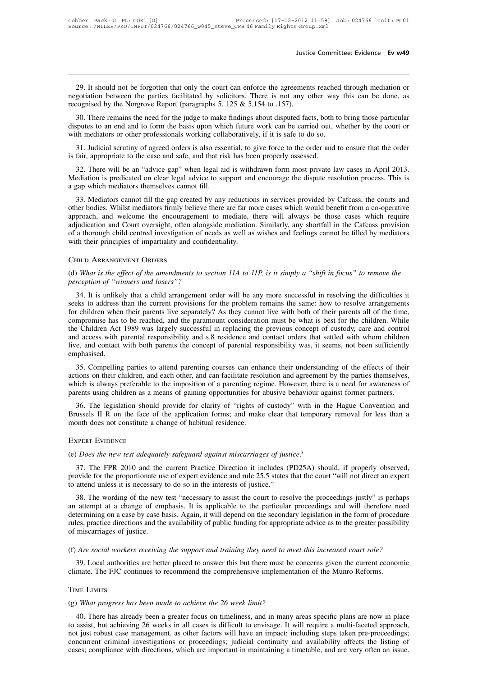29. It should not be forgotten that only the court can enforce the agreements reached through mediation or gotiation between the parties facilitated by solicitors. There is not any other way this can be done, as cognised b 29. It should not be forgotten that only the court can enforce the agreements reached through mediation or megotiation between the parties facilitated by solicitors. There is not any other way this can be done, as recogni Justice<br>29. It should not be forgotten that only the court can enforce the agreemen<br>negotiation between the parties facilitated by solicitors. There is not any c<br>recognised by the Norgrove Report (paragraphs 5. 125 & 5.154 29. It should not be forgotten that only the court can enforce the agreements reached through mediation or gotiation between the parties facilitated by solicitors. There is not any other way this can be done, as cognised 29. It should not be forgotten that only the court can enforce the agreements reached through mediation or megotiation between the parties facilitated by solicitors. There is not any other way this can be done, as recognis 29. It should not be forgotten that only the court can enforce the agreements reached negotiation between the parties facilitated by solicitors. There is not any other way recognised by the Norgrove Report (paragraphs 5.

31. Judicial scrutiny of agreed orders is also essential, to give force to the order and to ensure that the order professionals working collaboratively, if it is safe to do so.<br>31. Judicial scrutiny of agreed orders is al recognised by the Norgrove Report (paragraphs 5. 125 & 5.154 to .157).<br>
30. There remains the need for the judge to make findings about disputed facts, both<br>
disputes to an end and to form the basis upon which future work 30. There remains the need for the judge to make findings about disputed facts, both to bring those particular<br>sputes to an end and to form the basis upon which future work can be carried out, whether by the court or<br>th me

disputes to an end and to form the basis upon which future work can be carried out, whether by the court or with mediators or other professionals working collaboratively, if it is safe to do so.<br>31. Judicial scrutiny of ag with mediators or other professionals working collaboratively, if it is safe to do so.<br>
31. Judicial scrutiny of agreed orders is also essential, to give force to the order and to ensure that the order<br>
is fair, appropriat

31. Judicial scrutiny of agreed orders is also essential, to give force to the order and to ensure that the order<br>fair, appropriate to the case and safe, and that risk has been properly assessed.<br>32. There will be an "advi is fair, appropriate to the case and safe, and that risk has been properly assessed.<br>
32. There will be an "advice gap" when legal aid is withdrawn form most private law cases in April 2013.<br>
Mediation is predicated on cle 32. There will be an "advice gap" when legal aid is withdrawn form most private law cases in April 2013.<br>Mediation is predicated on clear legal advice to support and encourage the dispute resolution process. This is<br>a gap Figure 12013. Mediation is predicated on clear legal advice to support and encourage the dispute resolution process. This is a gap which mediators themselves cannot fill.<br>
33. Mediators cannot fill the gap created by any r Mediation is predicated on clear legal advice to support and encourage the dispute resolution process. This is<br>a gap which mediators themselves cannot fill.<br>33. Mediators cannot fill the gap created by any reductions in se approach, and welcome the encouragement to mediate, there will always be those cases which require adjudication and Court oversight, often alongside mediation. Similarly, any shortfall in the Cafcass provision of a thoroug (d) *What is the effect of the amendments to section 11A to 11P, is it simply a "shift in focus" to remove the*<br>
(d) *What is the effect of the amendments to section 11A to 11P, is it simply a "shift in focus" to remove th* 

# Child Arrangement Orders

*(d) What is the effect of the amendments to section 11A to 11P, is it simply a "shift in focus" to remove the perception of "winners and losers"?*<br>34. It is unlikely that a child arrangement order will be any more success 34. It is unlikely that a child arrangement order will be any more successful in focus" to remove the meption of "winners and losers"?<br>34. It is unlikely that a child arrangement order will be any more successful in resolv CHILD ARRANGEMENT ORDERS<br>(d) What is the effect of the amendments to section 11A to 11P, is it simply a "shift in focus" to remove the<br>perception of "winners and losers"?<br>34. It is unlikely that a child arrangement order w CHILD ARRANGEMENT ORDERS<br>(d) What is the effect of the amendments to section 11A to 11P, is it simply a "shift in focus" to remove the<br>perception of "winners and losers"?<br>34. It is unlikely that a child arrangement order w (d) What is the effect of the amendments to section 11A to 11P, is it simply a "shift in focus" to remove the perception of "winners and losers"?<br>34. It is unlikely that a child arrangement order will be any more successfu (a) what is the effect of the amendments to section 11A to 11P, is it simply a shift in jocus to remove the perception of "winners and losers"?<br>34. It is unlikely that a child arrangement order will be any more successful perception of winners and tosers ?<br>34. It is unlikely that a child arrangement order will be any more successful in resolving the difficulties it<br>seeks to address than the current provisions for the problem remains the sam 34. It is unlikely that a child arrangement order will be any more successful in resolving the difficulties it<br>seeks to address than the current provisions for the problem remains the same: how to resolve arrangements<br>for emphasised. 35. Compelling parties to attend parenting courses can enhance their understanding of the children. While the Children Act 1989 was largely successful in replacing the previous concept of custody, care and control d access compounse has to be reached, and the paramount consideration must be what is best for the children. While<br>the Children Act 1989 was largely successful in replacing the previous concept of custody, care and control<br>and acce

the United Act 1989 was ratgely successium in replacing the previous concept of custody, care and control<br>and access with parental responsibility and s.8 residence and contact orders that settled with whom children<br>live, a and access with parental responsionity and s.b residence and contact otders that settled with whold children live, and contact with both parents the concept of parental responsibility was, it seems, not been sufficiently e phasised.<br>35. Compelling parties to attend parenting courses can enhance their understanding of the effects of their<br>tions on their children, and each other, and can facilitate resolution and agreement by the parties thems 35. Compelling parties to attend parenting courses can enhance their understanding of the effects of their actions on their children, and each other, and can facilitate resolution and agreement by the parties themselves, w 35. Compening parties to attend parenting courses can email actions on their children, and each other, and can facilitate reso which is always preferable to the imposition of a parenting reg parents using children as a mea

(e) 36. The legislation should provide for clarity of "rights of custody" with in the D<br>Brussels II R on the face of the application forms; and make clear that temporary r<br>month does not constitute a change of habitual res

# Expert Evidence

STERT EVIDENCE<br>37. The FPR 2010 and the current Practice Direction it includes (PD25A) should, if properly observed,<br>37. The FPR 2010 and the current Practice Direction it includes (PD25A) should, if properly observed,<br>37. month does not constitute a change of habitual residence.<br>
EXPERT EVIDENCE<br>
(e) *Does the new test adequately safeguard against miscarriages of justice?*<br>
37. The FPR 2010 and the current Practice Direction it includes (PD The state attend unless it is necessary to do so in the interests of justice?<br>
The FPR 2010 and the current Practice Direction it includes (PD25A) should, if properly observed,<br>
provide for the proportionate use of expert 37. The FPR 2010 and the current Practice Direction it includes (PD25A) should, if properly observed,<br>37. The FPR 2010 and the current Practice Direction it includes (PD25A) should, if properly observed,<br>38. The proportion

(e) *Does the new test adequately safeguard against miscarriages of justice?*<br>37. The FPR 2010 and the current Practice Direction it includes (PD25A) should, if properly observed,<br>provide for the proportionate use of exper 37. The FPR 2010 and the current Practice Direction it includes (PD25A) should, if properly observed, provide for the proportionate use of expert evidence and rule 25.5 states that the court "will not direct an expert to a For the FFR 2010 and the current Practice Difection it includes (PD25A) should, it properly observed, provide for the proportionate use of expert evidence and rule 25.5 states that the court "will not direct an expert to to attend unless it is necessary to do so in the interests of justice."<br>38. The wording of the new test "necessary to assist the court to resolve the proceedings justly" is perhaps<br>an attempt at a change of emphasis. It is It is applicable to the particular proceedings and will therefore need<br>determining on a case by case basis. Again, it will depend on the secondary legislation in the form of procedure<br>rules, practice directions and the ava 39. Local authorities are better placed to answer this but there must be concerns given the form of procedure<br>tes, practice directions and the availability of public funding for appropriate advice as to the greater possibi climate. The FJC continues to recommend the comprehensive implementation of the Munro Reforms.<br>The FJC continues of justice.<br>(f) *Are social workers receiving the support and training they need to meet this increased court* 

(f) *Are social workers receiving the support and training they need to meer*<br>39. Local authorities are better placed to answer this but there must be colimate. The FJC continues to recommend the comprehensive implementat<br>

# Time Limits

40. There has already been a greater placed to answer this but there must be concerns given the current economic mate. The FJC continues to recommend the comprehensive implementation of the Munro Reforms.<br>ME LIMITS<br>What pr climate. The FJC continues to recommend the comprehensive implementation of the Munro Reforms.<br>TIME LIMITS<br>(g) What progress has been made to achieve the 26 week limit?<br>40. There has already been a greater focus on timelin TIME LIMITS<br>(g) What progress has been made to achieve the 26 week limit?<br>40. There has already been a greater focus on timeliness, and in many areas specific plans are now in place<br>to assist, but achieving 26 weeks in all TIME LIMITS<br>(g) What progress has been made to achieve the 26 week limit?<br>40. There has already been a greater focus on timeliness, and in many areas specific plans are now in place<br>to assist, but achieving 26 weeks in all (g) What progress has been made to achieve the 26 week limit?<br>40. There has already been a greater focus on timeliness, and in many areas specific plans are now in place<br>to assist, but achieving 26 weeks in all cases is di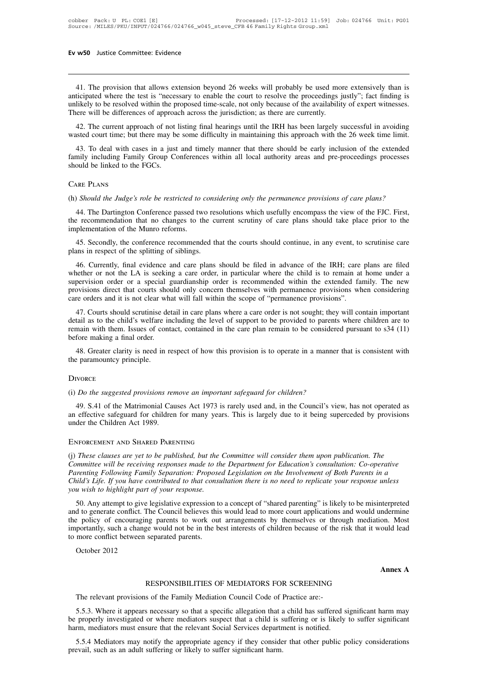w50 Justice Committee: Evidence<br>41. The provision that allows extension beyond 26 weeks will probably be used more extensively than is<br>ticipated where the test is "necessary to enable the court to resolve the proceedings j **EV W50** Justice Committee: Evidence<br> **anticipated where the test is "necessary to enable the court to resolve the proceedings justly"; fact finding is<br>
unlikely to be resolved within the proposed time-scale, not only beca** Ev w50 Justice Committee: Evidence<br>
11. The provision that allows extension beyond 26 weeks will probably be used more extensively than is<br>
anticipated where the test is "necessary to enable the court to resolve the procee 41. The provision that allows extension beyond 26 weeks will probably be used mo<br>anticipated where the test is "necessary to enable the court to resolve the proceedings junlikely to be resolved within the proposed time-sca 41. The provision that allows extension beyond 26 weeks will probably be used more extensively than is ticipated where the test is "necessary to enable the court to resolve the proceedings justly"; fact finding is likely t 41. The provision that allows extension beyond 26 weeks will probably be used more extensively than is anticipated where the test is "necessary to enable the court to resolve the proceedings justly"; fact finding is unlike

ticipated where the test is "necessary to enable the court to resolve the proceedings justly"; fact finding is likely to be resolved within the proposed time-scale, not only because of the availability of expert witnesses. unlikely to be resolved within the proposed time-scale, not only because of the availability of expert witnesses.<br>There will be differences of approach across the jurisdiction; as there are currently.<br>42. The current appro There will be differences of approach 42. The current approach of not l<br>wasted court time; but there may be<br>43. To deal with cases in a just<br>family including Family Group Cc<br>should be linked to the FGCs.<br>CARE PLANS 43. To deal with cases in a just and timely manner that there should be early inclusion of the extended family including Family Group Conferences within all local authority areas and pre-proceedings processes should be lin

The Dartington Conferences within an local authority areas and pre-proceedings processes<br>
NRE PLANS<br>
(Should the Judge's role be restricted to considering only the permanence provisions of care plans?<br>
44. The Dartington C Should be linked to the FOCs.<br>
CARE PLANS<br>
(h) Should the Judge's role be restricted to considering only the permanence provisions of care plans?<br>
44. The Dartington Conference passed two resolutions which usefully encompa CARE PLANS<br>
(h) Should the Judge's role be restricted to considering only the permanence provisions of care plans?<br>
44. The Dartington Conference passed two resolutions which usefully encompass the view of the FJC. First,<br> Should the Judge's role be restricted to considering only the permanence provisions of care plans?<br>
44. The Dartington Conference passed two resolutions which usefully encompass the view of the FJC. First,<br>
25. Secondly, t the recommendation that no changes to the current scrutiny of care plans should take place prior to the implementation of the Munro reforms.<br>45. Secondly, the conference recommended that the courts should continue, in any

44. The Dartington Conference passed two resolutions which usefully encompass the view of the FJC. First,<br>
a recommendation that no changes to the current scrutiny of care plans should take place prior to the<br>
plementation the recommendation that no changes to the current scrutiny of care plans should take place prior to the<br>implementation of the Munro reforms.<br>45. Secondly, the conference recommended that the courts should continue, in any implementation of the Munro reforms.<br>45. Secondly, the conference recommended that the courts should continue, in any event, to scrutinise care<br>plans in respect of the splitting of siblings.<br>46. Currently, final evidence a 45. Secondly, the conference recommended that the courts should continue, in any event, to scrutinise care plans in respect of the splitting of siblings.<br>46. Currently, final evidence and care plans should be filed in adva whether or not the LA is seeking a care order, in particular where the child is to remain at home under a supervision order or a special guardianship order is recommended within the extended family. The new provisions dire 46. Currently, final evidence and care plans should be filed in advance of the IRH; care plans are filed nether or not the LA is seeking a care order, in particular where the child is to remain at home under a pervision or 40. Currently, mal evidence and care plans should be fired in advance of the ERT, care plans are fired whether or not the LA is seeking a care order, in particular where the child is to remain at home under a supervision o

whether of not the EA is seeking a care ofder, in particular where the clind is to remain at none under a supervision order or a special guardianship order is recommended within the extended family. The new provisions dire supervision offer of a special generation<br>provisions direct that courts should<br>care orders and it is not clear what<br>47. Courts should scrutinise de<br>detail as to the child's welfare in<br>remain with them. Issues of cont<br>befor re orders and it is not clear what will fall within the scope of "permanence provisions".<br>47. Courts should scrutinise detail in care plans where a care order is not sought; they will contain important<br>tail as to the child 47. Courts should scrutinise d<br>detail as to the child's welfare i<br>remain with them. Issues of cor<br>before making a final order.<br>48. Greater clarity is need in<br>the paramountcy principle.<br>DIVORCE

(48. Greater clarity is need in respect of how this provision is to operate in a manner<br>the paramountcy principle.<br>DIVORCE<br>(i) *Do the suggested provisions remove an important safeguard for children?*<br>49. S.41 of the Matri

### **DIVORCE**

48. Greater clarity is need in respect of now this provision is to operate in a manner that is consistent with<br>
29. paramountcy principle.<br> *Do the suggested provisions remove an important safeguard for children?*<br>
49. S.4 The paramountcy principle.<br>
Supervolved and the suggested provisions remove an important safeguard for children?<br>
49. S.41 of the Matrimonial Causes Act 1973 is rarely used and, in the Council's view, has not operated as<br> DIVORCE<br>
(i) *Do the suggested provisions remove an important*<br>
49. S.41 of the Matrimonial Causes Act 1973 is ra<br>
an effective safeguard for children for many years.<br>
Under the Children Act 1989.<br>
ENFORCEMENT AND SHARED P 49. S.41 of the Matrimonial Causes Act 1973 is rarely used and, in the Council's view, has not operated as<br>an effective safeguard for children for many years. This is largely due to it being superceded by provisions<br>under

*Committee will be receiving Family Separation:* This is largely due to it being superceded by provisions under the Children Act 1989.<br> **Committee will be receiving PARENTING**<br>
(*i*) *These clauses are yet to be published, Parenting Following Family Search Times is hargery did to a being suppressed by provisions*<br>
PARFORCEMENT AND SHARED PARENTING<br>
(*j) These clauses are yet to be published, but the Committee will consider them upon publica* **CHILD:** These clauses are yet to be published, but the Committee will consider them upon publication. The Committee will be receiving responses made to the Department for Education's consultation: Co-operative Parenting F ENFORCEMENT AND SHARED PARENTING<br>
(j) These clauses are yet to be published, but the Committee will consider them upon publication. The<br>
Committee will be receiving responses made to the Department for Education's consulta These clauses are yet to be published, but the Committee will consider them upon publication. The<br>mumittee will be receiving responses made to the Department for Education's consultation: Co-operative<br>vertenting Following (i) These clauses are yet to be published, but the Committee with consider them upon publication. The<br>Committee will be receiving responses made to the Department for Education's consultation: Co-operative<br>Parenting Follow

Committee with be receiving responses made to the Department for Education's consultation. Co-operative Parenting Following Family Separation: Proposed Legislation on the Involvement of Both Parents in a Child's Life. If y Farenting Following Fullmy separation. Froposed Legislation on the involvement of Bont Farents in a Child's Life. If you have contributed to that consultation there is no need to replicate your response unless you wish to Fig. 1) you have contributed to that constrained by the contributed of the constrained with to highlight part of your response.<br>50. Any attempt to give legislative expression to and to generate conflict. The Council believ 50. Any attempt to give led to generate conflict. The policy of encouraging<br>portantly, such a change<br>more conflict between se<br>October 2012 on. Most<br>
could lead<br> **Annex A** ge would not be in the best interests of children because of the risk that it we<br>separated parents.<br>RESPONSIBILITIES OF MEDIATORS FOR SCREENING<br>s of the Family Mediation Council Code of Practice are:-

The relevant provisions of the Family Mediation Council Code of Practice are:-<br>5.5.3. Where it appears necessary so that a specific allegation that a child has suffered significant harm may Annex A<br>
RESPONSIBILITIES OF MEDIATORS FOR SCREENING<br>
The relevant provisions of the Family Mediation Council Code of Practice are:-<br>
5.5.3. Where it appears necessary so that a specific allegation that a child has suffere **be a properly investigated or where mediators suspect that a child is suffered significant harm may**<br>be properly investigated or where mediators suspect that a child is suffering or is likely to suffer significant<br>harm, m RESPONSIBILITIES OF MEDIATORS FOR SCREENING<br>The relevant provisions of the Family Mediation Council Code of Practice are:-<br>5.5.3. Where it appears necessary so that a specific allegation that a child has suffered si<br>be pro The relevant provisions of the Family Mediation Council Code of Practice are:-<br>5.5.3. Where it appears necessary so that a specific allegation that a child has suffered significant harm may<br>properly investigated or where m The relevant provisions of the Family Mediation Council Code of 1<br>5.5.3. Where it appears necessary so that a specific allegation that a<br>be properly investigated or where mediators suspect that a child is s<br>harm, mediators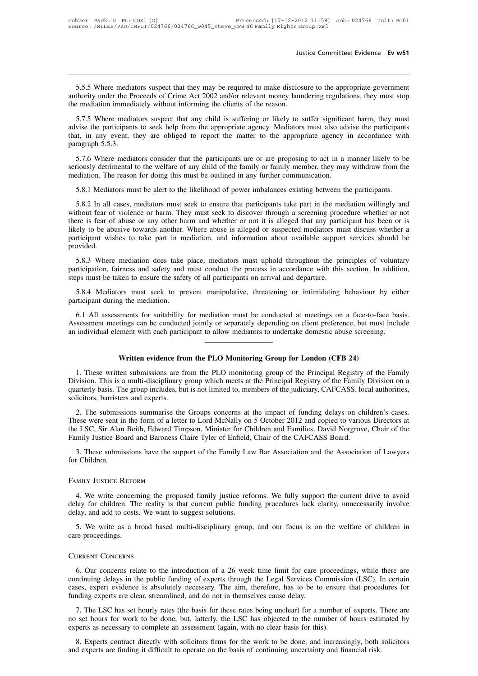Justice Committee: Evidence Ev w51<br>5.5.5 Where mediators suspect that they may be required to make disclosure to the appropriate government<br>thority under the Proceeds of Crime Act 2002 and/or relevant money laundering regu Justice Committee: Evidence Ev w51<br>
5.5.5 Where mediators suspect that they may be required to make disclosure to the appropriate government<br>
authority under the Proceeds of Crime Act 2002 and/or relevant money laundering Jus<br>
5.5.5 Where mediators suspect that they may be required to make disclose<br>
authority under the Proceeds of Crime Act 2002 and/or relevant money laun<br>
the mediation immediately without informing the clients of the reaso

5.5.5 Where mediators suspect that they may be required to make disclosure to the appropriate government<br>thority under the Proceeds of Crime Act 2002 and/or relevant money laundering regulations, they must stop<br>rediation i 5.5.5 Where mediators suspect that they may be required to make disclosure to the appropriate government authority under the Proceeds of Crime Act 2002 and/or relevant money laundering regulations, they must stop the media 5.5.5 Where mediators suspect that they may be required to make disclosure to the appropriate government<br>authority under the Proceeds of Crime Act 2002 and/or relevant money laundering regulations, they must stop<br>the media 5.5.5 Where mediators suspect that they may be required to make disclosure to the appropriate government authority under the Proceeds of Crime Act 2002 and/or relevant money laundering regulations, they must stop the media Example in mediately without informing the clients of the reason.<br>
5.7.5 Where mediators suspect that any child is suffering or likely to suffer significant harm, they must<br>
vise the participants to seek help from the appr S.7.5 Where mediators suspect that any child is suffering or likely to suffer significant harm, they must<br>advise the participants to seek help from the appropriate agency. Mediators must also advise the participants<br>that, mediation. The reason for doing this must be outlined in any furthermometric agency. Mediators must also advise the participants to seek help from the appropriate agency. Mediators must also advise that, in any event, they

It, in any event, they are obliged to report the matter to the appropriate agency in accordance with ragraph 5.5.3.<br>5.7.6 Where mediators consider that the participants are or are proposing to act in a manner likely to be<br> 5.7.6 Where mediators consider that the participants are or are proposing to act in a manner likely to be riously detrimental to the welfare of any child of the family or family member, they may withdraw from the ediation.

1.6 Where mediators consider that the participants are or are proposing to act in a manner likely to be seriously detrimental to the welfare of any child of the family or family member, they may withdraw from the mediation Seriously detrimental to the welfare of any child of the family or family member, they may withdraw from the mediation. The reason for doing this must be outlined in any further communication.<br>5.8.1 Mediators must be alert mediation. The reason for doing this must be outlined in any further communication.<br>
5.8.1 Mediators must be alert to the likelihood of power imbalances existing between the participants.<br>
5.8.2 In all cases, mediators mus 5.8.1 Mediators must be alert to the likelihood of power imbalances existing between the participants.<br>5.8.2 In all cases, mediators must seek to ensure that participants take part in the mediation willingly and<br>without fe provided. 5.6.2 In an eases, mediators mast seek to ensure that participants date part in the includitor winningly and<br>thout fear of violence or harm. They must seek to discover through a screening procedure whether or not<br>ret is fe matricipation, fairness and safety and must conduct the process in accordance with this been or is there is fear of abuse or any other harm and whether or not it is alleged that any participant has been or is likely to be ikely to be abusive towards another. Where abuse is alleged or suspected mediators must discuss whether a participant wishes to take part in mediation, and information about available support services should be provided.<br>5

rticipant wisnes to take part in mediation, and information about available support services should be ovided.<br>
5.8.3 Where mediation does take place, mediators must uphold throughout the principles of voluntary<br>
rticipati provided.<br>5.8.3 Where mediation does take<br>participation, fairness and safety and<br>steps must be taken to ensure the safet<br>5.8.4 Mediators must seek to pro<br>participant during the mediation.<br>6.1 All assessments for suitabilit

5.8.3 Where mediation does take place, mediators must uphold throughout the principles or voluntary ritcipation, fairness and safety and must conduct the process in accordance with this section. In addition, pps must be ta participation, raimess and sarety and must conduct the process in accordance with this section. In addition, steps must be taken to ensure the safety of all participants on arrival and departure.<br>
5.8.4 Mediators must seek Assessment meetings can be conducted jointly or separately depending on client preference, but must include an individual element with each participant to allow mediators to undertake domestic abuse screening. 1. These written submissions are from the PLO monitoring group of the Principal Registry of the Family<br>
1. These written submissions are from the PLO monitoring group for London (CFB 24)<br>
1. These written submissions are f

1. These written submissions are from the PLO monitoring Group for London (CFB 24)<br>
1. These written submissions are from the PLO monitoring Group for London (CFB 24)<br>
1. These written submissions are from the PLO monitori Division. This is a multi-disciplinary group which meets at the Principal Registry of the Family Division. This is a multi-disciplinary group which meets at the Principal Registry of the Family Division. This is a multi-di Written evidence from the PLO Monitoring Group for London (CFB 24)<br>1. These written submissions are from the PLO monitoring group of the Principal Registry of the Family<br>Division. This is a multi-disciplinary group which m **Solution Written evidence from 1.** These written submissions are find privision. This is a multi-disciplinary quarterly basis. The group includes, busolicitors, barristers and experts. 2. The submissions summarise the Written evidence from the PLO Monitoring Group for London (CFB 24)<br>1. These written submissions are from the PLO monitoring group of the Principal Registry of the Family<br>vision. This is a multi-disciplinary group which mee 1. These written submissions are from the PLO monitoring group of the Principal Registry of the Family Division. This is a multi-disciplinary group which meets at the Principal Registry of the Family Division on a quarterl

The LSC, Sir Alan Beith, Edward Timpson, Minister for Children and Family Division. This is a multi-disciplinary group which meets at the Principal Registry of the Family Division on a quarterly basis. The group includes, Family Board and Baroness Claire Tyler of Enfield, Chair of the CAFCASS, localistics, barristers and experts.<br>
2. The submissions summarise the Groups concerns at the impact of funding delays on chi<br>
These were sent in the 3. The submissions summarise the Groups concerns at the impact of funding delays on children's cases.<br>
These were sent in the form of a letter to Lord McNally on 5 October 2012 and copied to various Directors at<br>
the LSC, 2. The submissions summarise the C<br>These were sent in the form of a letter t<br>the LSC, Sir Alan Beith, Edward Timps<br>Family Justice Board and Baroness Clai<br>3. These submissions have the suppo<br>for Children.<br>FAMILY JUSTICE REF

4. These submissions have the support of the Family Law Bar Association and the Association of Lawyers<br>
1. Children.<br>
1. We write concerning the proposed family justice reforms. We fully support the current drive to avoid<br> 3. These submissions have the support of the Family Law Bar Association and the Association of Lawyers<br>for Children.<br>FAMILY JUSTICE REFORM<br>4. We write concerning the proposed family justice reforms. We fully support the cu FAMILY JUSTICE REFORM<br>
4. We write concerning the proposed family justice reforms. We fully support the current drive to avoid<br>
delay for children. The reality is that current public funding procedures lack clarity, unnece Solution A. We write concerning the proposed family justice reforms. We fully support the current drive to avoid lay for children. The reality is that current public funding procedures lack clarity, unnecessarily involve l delay, and add to costs. We want to suggest solutions.

### Current Concerns

5. We write as a broad based multi-disciplinary group, and our focus is on the welfare of children in<br>re proceedings.<br>6. Our concerns relate to the introduction of a 26 week time limit for care proceedings, while there are 5. We write as a broad based multi-disciplinary group, and our focus is on the welfare of children in care proceedings.<br>CURRENT CONCERNS<br>6. Our concerns relate to the introduction of a 26 week time limit for care proceedin CURRENT CONCERNS<br>
6. Our concerns relate to the introduction of a 26 week time limit for care proceedings, while there are<br>
continuing delays in the public funding of experts through the Legal Services Commission (LSC). In FURENT CONCERNS<br>6. Our concerns relate to the introduction of a 26 week time limit for care p<br>continuing delays in the public funding of experts through the Legal Services Co<br>cases, expert evidence is absolutely necessary. TREENT CONCERNS<br>6. Our concerns relate to the introduction of a 26 week time limit for care proceedings, while there are<br>ntinuing delays in the public funding of experts through the Legal Services Commission (LSC). In cert 6. Our concerns relate to the introduction of a 26 week time limit for care proceedings, while there are continuing delays in the public funding of experts through the Legal Services Commission (LSC). In certain cases, exp experience is absolutely necessary. The aim, therefore, has to be to ensure funding experts are clear, streamlined, and do not in themselves cause delay.<br>The LSC has set hourly rates (the basis for these rates being unclea

ses, expert evidence is absolutely necessary. The aim, therefore, has to be to ensure that procedures for ding experts are clear, streamlined, and do not in themselves cause delay.<br>
7. The LSC has set hourly rates (the bas Funding experts are clear, streamlined, and do not in themselves cause delay.<br>
7. The LSC has set hourly rates (the basis for these rates being unclear) for a number of experts. There are<br>
no set hours for work to be done,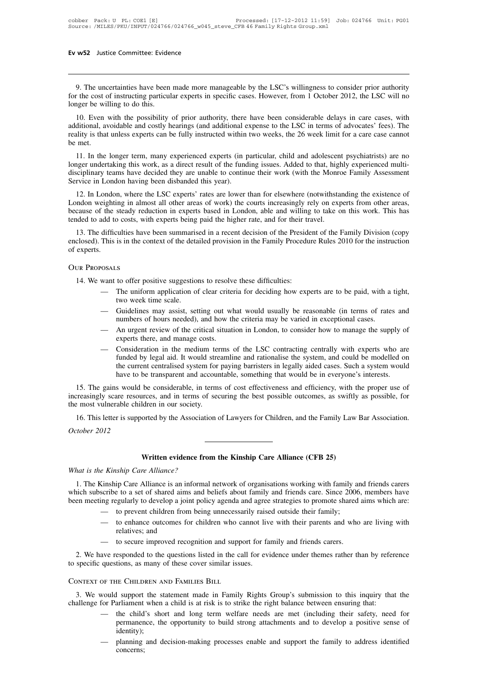9. The uncertainties have been made more manageable by the LSC's willingness to consider prior authority<br>of the cost of instructing particular experts in specific cases. However, from 1 October 2012, the LSC will no<br>nger b For the cost of instructing particular experts in specific cases. However, from 1 October 2012, the LSC will no longer be willing to do this. Ev w52 Justice Committee: Evide<br>
<br>
9. The uncertainties have been<br>
for the cost of instructing particul<br>
longer be willing to do this.<br>
10. Even with the possibility<br>
additional multiple and particular

10. The uncertainties have been made more manageable by the LSC's willingness to consider prior authority of the cost of instructing particular experts in specific cases. However, from 1 October 2012, the LSC will no ager 9. The uncertainties have been made more manageable by the LSC's willingness to consider prior authority for the cost of instructing particular experts in specific cases. However, from 1 October 2012, the LSC will no longe 9. The uncertainties have been made more manageable by the LSC's willingness to consider prior authority for the cost of instructing particular experts in specific cases. However, from 1 October 2012, the LSC will no longe 9. The uncode state of the cost contains the met.<br>
10. Even<br>
additional, averality is that<br>
be met.<br>
11. In the beauting the process of the process of the process of the process of the process of the process of the proces 10. Even with the possibility of prior authority, there have been considerable delays in care cases, with<br>
10. Even with the possibility of prior authority, there have been considerable delays in care cases, with<br>
11. In t 10. Even with the possibility of prior authority, there have been considerable delays in care cases, with additional, avoidable and costly hearings (and additional expense to the LSC in terms of advocates' fees). The reali

10. Even with the possibility of prior authority, there have been considerable delays in care cases, with additional, avoidable and costly hearings (and additional expense to the LSC in terms of advocates' fees). The reali Service in London having been disbanded this year).<br>
11. In the longer term, many experienced experts (in p<br>
11. In the longer term, many experienced experts (in p<br>
12. In London having been disbanded this year).<br>
12. In L met.<br>
11. In the longer term, many experienced experts (in particular, child and adolescent psychiatrists) are no<br>
12. In dependent are decided they are unable to continue their work (with the Monroe Family Assessment<br>
12. 11. In the longer term, many experienced experts (in particular, child and adolescent psychiatrists) are no<br>longer undertaking this work, as a direct result of the funding issues. Added to that, highly experienced multi-<br>d

Fit. In the following the steady reduction in experienced experts (in particular, clind and adolescent psychiatrists) are no<br>longer undertaking this work, as a direct result of the funding issues. Added to that, highly exp the discriptionary teams have decided they are unable to continue their work (with the Monro<br>Service in London having been disbanded this year).<br>12. In London, where the LSC experts' rates are lower than for elsewhere (not rvice in London having been disbanded this year).<br>
12. In London, where the LSC experts' rates are lower than for elsewhere (notwithstanding the existence of<br>
indon weighting in almost all other areas of work) the courts i 12. In London, where the LSC experts' rates are lower than for elsewhere (notwithstanding the existence of London weighting in almost all other areas of work) the courts increasingly rely on experts from other areas, becau London weighting in almost all other areas of work) the courts increasingly rely on experts from other areas, because of the steady reduction in experts based in London, able and willing to take on this work. This has tend

13. The difficulties have been summarised in a recent decision of the President of the Family Division (copy<br>closed). This is in the context of the detailed provision in the Family Procedure Rules 2010 for the instruction<br>

# Our Proposals

- the may assist of these difficulties:<br>
The uniform application of clear criteria for deciding how experts are to be paid, with a tight,<br>
two week time scale.<br>
 Guidelines may assist, setting out what would usually be reas numbers of hours and thours are difficulties:<br>
The uniform application of clear criteria for deciding how experts are to be paid, with a tight,<br>
two week time scale.<br>
— Guidelines may assist, setting out what would usually
- 
- 
- experience there is and manufacture in the medium terms of clear criteria for deciding how experts are to be paid, with a tight,<br>
 Guidelines may assist, setting out what would usually be reasonable (in terms of rates and Funded by assist, setting out what would usually be reasonable (in terms of rates and numbers of hours needed), and how the criteria may be varied in exceptional cases.<br>An urgent review of the critical situation in London, Guidelines may assist, setting out what would usually be reasonable (in terms of rates and<br>numbers of hours needed), and how the criteria may be varied in exceptional cases.<br>An urgent review of the critical situation in Lo have the criteria may be varied in exceptional cases.<br>
— An urgent review of the critical situation in London, to consider how to manage the supply of<br>
experts there, and manage costs.<br>
— Consideration in the medium terms 15. The gains would be considerable, in terms of the LSC contracting centrally with experts who are funded by legal aid. It would streamline and rationalise the system, and could be modelled on the current centralised syst increasingly scare resources, and in terms of the LSC contracting centrally with experts who are funded by legal aid. It would streamline and rationalise the system, and could be modelled on the current centralised system

— Consideration in the medium tendent of the most vulnerable children in our society.<br>
the current centralised system for have to be transparent and accour<br>
15. The gains would be considerable, in terms<br>
increasingly scare the current centralised system for paying barristers in legally aided cases. Such a system would<br>have to be transparent and accountable, something that would be in everyone's interests.<br>15. The gains would be considerable, Figure 15. The gains would be<br>increasingly scare resour<br>the most vulnerable child<br>16. This letter is suppo<br>*October 2012* 

Idren in our society.<br>
orted by the Association of Lawyers for Children, and the Family Law<br> **Written evidence from the Kinship Care Alliance (CFB 25)**<br> *Written evidence from the Kinship Care Alliance (CFB 25)* 

16. This letter is supported by the Associatio<br>*October 2012*<br>**Written evidence from**<br>*What is the Kinship Care Alliance?*<br>1. The Kinship Care Alliance is an informal 1. The Kinship Care Alliance is an informal network of organisations working with family and friends carers<br>
1. The Kinship Care Alliance is an informal network of organisations working with family and friends carers<br>
1. T What is the Kinship Care Alliance?<br>
What is the Kinship Care Alliance?<br>
1. The Kinship Care Alliance is an informal network of organisations working with family and friends carers<br>
which subscribe to a set of shared aims a Written evidence from the Kinship Care Alliance (CFB 25)<br>
What is the Kinship Care Alliance?<br>
1. The Kinship Care Alliance is an informal network of organisations working with family and friends carers<br>
which subscribe to External informal network of organisations working with family and secribe to a set of shared aims and beliefs about family and friends care. Since 2006 ing regularly to develop a joint policy agenda and agree strategies t

- 
- 
- 

2. We have responded to the questions listed in the call for evidence under themes rather than by reference specific questions, as many of these cover similar issues. - to prevent children from being unnecessarily raise<br>
- to enhance outcomes for children who cannot liv<br>
relatives; and<br>
- to secure improved recognition and support for fa<br>
2. We have responded to the questions listed in

3. We have responded to the questions listed in the call for evidence under themes rather than by reference<br>specific questions, as many of these cover similar issues.<br>DNTEXT OF THE CHILDREN AND FAMILIES BILL<br>3. We would su

- challenge for Parliament when a child is at risk is to strike the right balance between ensuring that:<br>  $\frac{1}{2}$  at we would support the statement made in Family Rights Group's submission to this inquiry that the challeng E CHILDREN AND FAMILIES BILL<br>
1 support the statement made in Family Rights Group's submission to this inquiry that the<br>
arliament when a child is at risk is to strike the right balance between ensuring that:<br>
the child's identity); would support the statement made in Family Rights Group's submission to this inquiry that the for Parliament when a child is at risk is to strike the right balance between ensuring that:<br>— the child's short and long term w
	- concerns;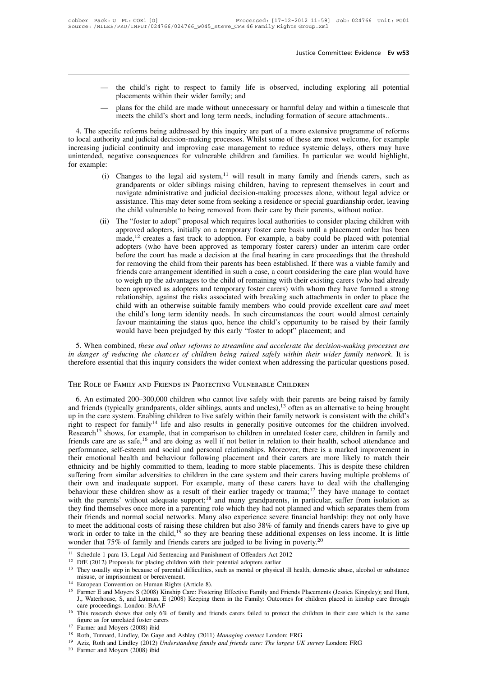- Justice Committee: Evidence Ev w53<br>— the child's right to respect to family life is observed, including exploring all potential<br>placements within their wider family; and<br>plans for the child are made without unnecessary or placements within their wider family life is observed, including exploring all potential placements within their wider family; and  $-$  plans for the child are made without unnecessary or harmful delay and within a timescal
- 

meets the child's right to respect to family life is observed, including exploring all potential<br>placements within their wider family; and<br>meets the child are made without unnecessary or harmful delay and within a timescal - the child's right to respect to family life is observed, including exploring all potential<br>placements within their wider family; and<br>- plans for the child are made without unnecessary or harmful delay and within a timesc to family life is observed, including exploring all potential<br>placements within their wider family; and<br>— plans for the child are made without unnecessary or harmful delay and within a timescale that<br>meets the child's shor placements within their wider family; and<br>
increases many or harmful delay and within a timescale that<br>
meets the child's short and long term needs, including formation of secure attachments..<br>
4. The specific reforms bein - plans for the child are made without unnecessary or harmful delay and within a timescale that<br>meets the child's short and long term needs, including formation of secure attachments..<br>4. The specific reforms being address Frame<br>
method and the method and the precific r<br>
increasing judicial<br>
unintended, negati<br>
for example:<br>
(i) Cha pecific reforms being addressed by this inquiry are part of a more extensive programme of reforms<br>hority and judicial decision-making processes. Whilst some of these are most welcome, for example<br>judicial continuity and im ic reforms being addressed by this inquiry are part of a more extensive programme of reforms<br>y and judicial decision-making processes. Whilst some of these are most welcome, for example<br>cial continuity and improving case m

- istandary and judicial decision-making processes. Whilst some of these are most welcome, for example cial continuity and improving case management to reduce systemic delays, others may have gative consequences for vulnerab ial continuity and improving case management to reduce systemic delays, others may have<br>gative consequences for vulnerable children and families. In particular we would highlight,<br>Changes to the legal aid system,<sup>11</sup> will gative consequences for vulnerable children and families. In particular we would highlig<br>Changes to the legal aid system,<sup>11</sup> will result in many family and friends carers, such<br>grandparents or older siblings raising child (i) Changes to the legal aid system,<sup>11</sup> will result in many family and friends carers, such as grandparents or older siblings raising children, having to represent themselves in court and navigate administrative and judi Changes to the legal aid system,<sup>11</sup> will result in many family and friends carers, such as grandparents or older siblings raising children, having to represent themselves in court and navigate administrative and judicial
- grandparents or older siblings raising children, having to represent themselves in court and<br>navigate administrative and judicial decision-making processes alone, without legal advice or<br>assistance. This may deter some fro navigate administrative and judicial decision-making processes alone, without legal advice or assistance. This may deter some from seeking a residence or special guardianship order, leaving the child vulnerable to being re assistance. This may deter some from seeking a residence or special guardianship order, leaving<br>the child vulnerable to being removed from their care by their parents, without notice.<br>The "foster to adopt" proposal which r the child vulnerable to being removed from their care by their parents, without notice.<br>The "foster to adopt" proposal which requires local authorities to consider placing children with<br>approved adopters, initially on a te The "foster to adopt" proposal which requires local authorities to consider placing children with approved adopters, initially on a temporary foster care basis until a placement order has been made,<sup>12</sup> creates a fast trac approved adopters, initially on a temporary foster care basis until a placement order has been made,<sup>12</sup> creates a fast track to adoption. For example, a baby could be placed with potential adopters (who have been approved made,<sup>12</sup> creates a fast track to adoption. For example, a baby could be placed with potential adopters (who have been approved as temporary foster carers) under an interim care order before the court has made a decision adopters (who have been approved as temporary foster carers) under an interim care order<br>before the court has made a decision at the final hearing in care proceedings that the threshold<br>for removing the child from their pa before the court has made a decision at the final hearing in care proceedings that the threshold<br>for removing the child from their parents has been established. If there was a viable family and<br>friends care arrangement ide for removing the child from their parents has been established. If there was a viable family and<br>friends care arrangement identified in such a case, a court considering the care plan would have<br>to weigh up the advantages t friends care arrangement identified in such a case, a court considering the care plan would have<br>to weigh up the advantages to the child of remaining with their existing carers (who had already<br>been approved as adopters an to weigh up the advantages to the child of remaining with their existing carers (who have been approved as adopters and temporary foster carers) with whom they have formed relationship, against the risks associated with br Frequencial stationship, against the risks associated with breaking such durathments in order to place the child with an otherwise suitable family members who could provide excellent care and meet the child's long term ide *in data the reducing safeling the chances where conder the child with an otherwise suitable family members who could provide excellent care and meet the child's long term identity needs. In such circumstances the court wo* the child's long term identity needs. In such circumstances the court would almost certainly favour maintaining the status quo, hence the child's opportunity to be raised by their family would have been prejudged by this e

the child's long term identity needs. In such circumstances the court would favour maintaining the status quo, hence the child's opportunity to be rais would have been prejudged by this early "foster to adopt" placement; a

5. When combined, *these and other reforms to streamline and accelerate the decision-making processes are danger of reducing the chances of children being raised safely within their wider family network. It is erefore esse* in danger of reducing the chances of children being raised safely within their wider family network. It is<br>therefore essential that this inquiry considers the wider context when addressing the particular questions posed.<br> therefore essential that this inquiry considers the wider context when addressing the particular questions posed.<br>THE ROLE OF FAMILY AND FRIENDS IN PROTECTING VULNERABLE CHILDREN<br>6. An estimated 200–300,000 children who ca THE ROLE OF FAMILY AND FRIENDS IN PROTECTING VULNERABLE CHILDREN<br>6. An estimated 200–300,000 children who cannot live safely with their parents are being raised by family<br>and friends (typically grandparents, older siblings THE ROLE OF FAMILY AND FRIENDS IN PROTECTING VULNERABLE CHILDREN<br>6. An estimated 200–300,000 children who cannot live safely with their parents are being raised by family<br>and friends (typically grandparents, older siblings friends care are as safe,<sup>16</sup> and are doing as well if not better in relationships. Moreover, the safely with their parents are being raised by family and friends (typically grandparents, older siblings, aunts and uncles) 6. An estimated 200–300,000 children who cannot live safely with their parents are being raised by family and friends (typically grandparents, older siblings, aunts and uncles),<sup>13</sup> often as an alternative to being brough and friends (typically grandparents, older siblings, aunts and uncles),<sup>13</sup> often as an alternative to being brought<br>up in the care system. Enabling children to live safely within their family network is consistent with th up in the care system. Enabling children to live safely within their family network is consistent with the child's<br>right to respect for family<sup>14</sup> life and also results in generally positive outcomes for the children invol Research<sup>15</sup> shows, for example, that in comparison to children in unrelated foster care, children in family and friends care are as safe,<sup>16</sup> and are doing as well if not better in relation to their health, school attend Research<sup>15</sup> shows, for example, that in comparison to children in unrelated foster care, children in family and friends care are as safe,<sup>16</sup> and are doing as well if not better in relation to their health, school attenda friends care are as safe,<sup>16</sup> and are doing as well if not better in relation to their health, school attendance and performance, self-esteem and social and personal relationships. Moreover, there is a marked improvement i performance, self-esteem and social and personal relationships. Moreover, there is a marked improvement in their emotional health and behaviour following placement and their carers are more likely to match their ethnicity their emotional health and behaviour following placement and their carers are more likely to match their<br>ethnicity and be highly committed to them, leading to more stable placements. This is despite these children<br>sufferin ethnicity and be highly committed to them, leading to more stable placements. This is despite these children suffering from similar adversities to children in the care system and their carers having multiple problems of th suffering from similar adversities to children in the care system and their carers having multiple problems of<br>their own and inadequate support. For example, many of these carers have to deal with the challenging<br>behaviour their own and inadequate support. For example, many of these carers have to deal with the challenging<br>behaviour these children show as a result of their earlier tragedy or trauma;<sup>17</sup> they have manage to contact<br>with the p behaviour these children show as a result of their earlier tragedy or trauma;<sup>17</sup> they have with the parents' without adequate support;<sup>18</sup> and many grandparents, in particular, suff they find themselves once more in a pa they lind themselves once more in a parenting role which they had not planned and<br>their friends and normal social networks. Many also experience severe financial I<br>to meet the additional costs of raising these children bu their friends and normal social networks. Many also experience severe finity to meet the additional costs of raising these children but also 38% of family work in order to take in the child, <sup>19</sup> so they are bearing these work in order to take in the child, <sup>19</sup> so they are bearing these additional expenses on less income. It is little<br>wonder that 75% of family and friends carers are judged to be living in poverty.<sup>20</sup><br><sup>11</sup> Schedule 1 para

work in order to take in the child,<sup>19</sup> so they are bearing these additional expenses on less income. It is little<br>wonder that 75% of family and friends carers are judged to be living in poverty.<sup>20</sup><br><sup>11</sup> Schedule 1 para 1 Schedule 1 para 13, Legal Aid Sentencing and Punishment of Offenders Act 2012<br>DfE (2012) Proposals for placing children with their potential adopters earlier<br>They usually step in because of parental difficulties, such as m DfE (2012) Proposals for placing children wit<br>They usually step in because of parental diffic<br>misuse, or imprisonment or bereavement.<br>European Convention on Human Rights (Artic<br>Farmer E and Moyers S (2008) Kinship Care:<br>J. <sup>13</sup> They usually step in because of parental difficulties, such as mental or physical ill health, domestic abuse, alcohol or substance misuse, or imprisonment or bereavement.<br>
<sup>14</sup> European Convention on Human Rights (Ar misuse, or imprisonment or bereavement.<br>European Convention on Human Rights (Ai<br>Farmer E and Moyers S (2008) Kinship Car<br>J., Waterhouse, S, and Lutman, E (2008) K<br>care proceedings. London: BAAF<br>This research shows that onl <sup>14</sup> European Convention on Human Rights ( $^{15}$  Farmer E and Moyers S (2008) Kinship Ca J., Waterhouse, S, and Lutman, E (2008) care proceedings. London: BAAF <sup>16</sup> This research shows that only 6% of fam figure as for un 18 J., Waterhouse, S, and Lutman, E (2008) Keeping them in the Family: Outcomes for children placed in kinship care through<br>
<sup>16</sup> This research shows that only 6% of family and friends carers failed to protect the children

<sup>&</sup>lt;sup>16</sup> This research shows that only 6% of family and friends carers failed to protect the children in their care which is the same

 $17$  Farmer and Moyers (2008) ibid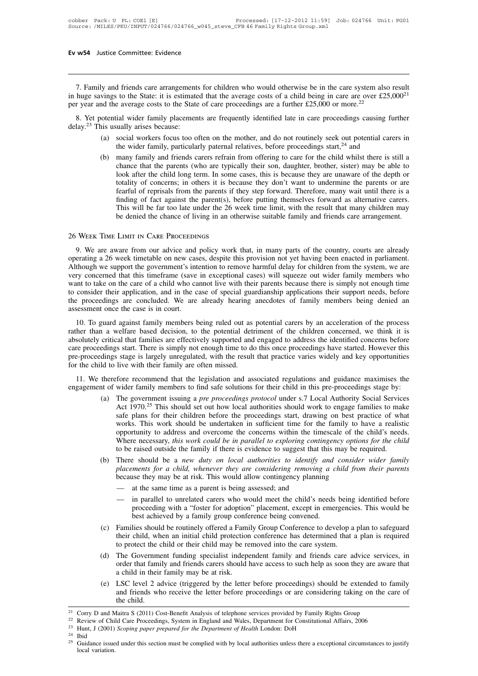**7.** Family and friends care arrangements for children who would otherwise be in the care system also result huge savings to the State: it is estimated that the average costs of a child being in care are over £25,000<sup>21</sup> **Ev w54** Justice Committee: Evidence<br> **Ev w54** Justice Committee: Evidence<br> **EV**<br>
7. Family and friends care arrangements for children who would otherwise be in the care system also result<br>
in huge savings to the State: i 7. Family and friends care arrangements<br>in huge savings to the State: it is estimate<br>per year and the average costs to the State<br>8. Yet potential wider family placemen<br>delay.<sup>23</sup> This usually arises because:<br>(a) social wor (a) social workers focus too often on the mother, and do not routinely vings to the State: it is estimated that the average costs of a child being in care are over £25,000<sup>21</sup> and the average costs to the State of care pr to the State: it is estimated that the average costs of a child being in care are over £25,0<br>e average costs to the State of care proceedings are a further £25,000 or more.<sup>22</sup><br>ial wider family placements are frequently i

- 
- (a) many family placements are frequently identified late in care proceedings causing further is usually arises because:<br>
(a) social workers focus too often on the mother, and do not routinely seek out potential carers in ial wider family placements are frequently identified late in care proceedings causing further<br>ually arises because:<br>social workers focus too often on the mother, and do not routinely seek out potential carers in<br>the wider an woter raminy pracements are requently identified rate in eare proceedings eausing ruttuel<br>ually arises because:<br>social workers focus too often on the mother, and do not routinely seek out potential carers in<br>the wider social workers focus too often on the mother, and do not routinely seek out potential carers in<br>the wider family, particularly paternal relatives, before proceedings start,<sup>24</sup> and<br>many family and friends carers refrain fr social workers focus too often on the mother, and do not routinely seek out potential carers in<br>the wider family, particularly paternal relatives, before proceedings start,<sup>24</sup> and<br>many family and friends carers refrain fr the wider family, particularly paternal relatives, before proceedings start,<sup>24</sup> and<br>many family and friends carers refrain from offering to care for the child whilst there is still a<br>chance that the parents (who are typic many family and friends carers refrain from offering to care for the child whilst there is still a chance that the parents (who are typically their son, daughter, brother, sister) may be able to look after the child long t chance that the parents (who are typically their son, daughter, brother, sister) may be able to look after the child long term. In some cases, this is because they are unaware of the depth or totality of concerns; in other

# 26 Week Time Limit in Care Proceedings

9. We are aware from our advice and policy work that, in many parts of the country, courts are arrangement.<br>
9. We are aware from our advice and policy work that, in many parts of the country, courts are already<br>
9. We are This will be far too late under the 26 week time limit, with the result that many children may<br>be denied the chance of living in an otherwise suitable family and friends care arrangement.<br>26 WEEK TIME LIMIT IN CARE PROCEED be denied the chance of living in an otherwise suitable family and friends care arrangement.<br>
26 WEEK TIME LIMIT IN CARE PROCEEDINGS<br>
9. We are aware from our advice and policy work that, in many parts of the country, cour 26 WEEK TIME LIMIT IN CARE PROCEEDINGS<br>9. We are aware from our advice and policy work that, in many parts of the country, courts are already<br>operating a 26 week timetable on new cases, despite this provision not yet havin 26 WEEK TIME LIMIT IN CARE PROCEEDINGS<br>9. We are aware from our advice and policy work that, in many parts of the country, courts are already<br>operating a 26 week timetable on new cases, despite this provision not yet havin 20 WEEK TIME EIMIT IN CAKE I ROCEEDINGS<br>9. We are aware from our advice and policy work that, in many parts of the country, courts are already<br>operating a 26 week timetable on new cases, despite this provision not yet havi 9. We are aware from our advice and policy work that, in many parts of the country, courts are already operating a 26 week timetable on new cases, despite this provision not yet having been enacted in parliament. Although operating a 26 week timetable on new case.<br>Although we support the government's intervery concerned that this time<br>frame (save want to take on the care of a child who case to consider their application, and in the c<br>the pr In the system, we support the government s member to remove narminal delay for emided from the system, we are<br>try concerned that this timeframe (save in exceptional cases) will squeeze out wider family members who<br>mt to ta rather than a welfare based decision, to the potential detriment of the children concerned, we think it is absolutely critical that families are effectively support and in the case of special guardianship applications thei

want to take on the care of a clind who callifed tive with their parents occause there is simply not enough time<br>to consider their application, and in the case of special guardianship applications their support needs, befo co consider then application, and in the case of special guardianship applications then support necets, octoce<br>the proceedings are concluded. We are already hearing anecdotes of family members being denied an<br>assessment on and pre-proceedings stage is largely members being ruled out as potential carers by an acceleration of the process<br>rather than a welfare based decision, to the potential detriment of the children concerned, we think it is<br> for the child to live with their family are often than a welfare based decision, to the potential detrabsolutely critical that families are effectively supported and care proceedings start. There is simply not enough time 10. To guard against raimly members being ruled out as potential cartes by an acceleration of the process<br>her than a welfare based decision, to the potential detriment of the children concerned, we think it is<br>solutely cri Family increased and the potential definition of the emitted concerned, we think it is<br>absolutely critical that families are effectively supported and engaged to address the identified concerns before<br>care proceedings stag edings start. There is simply not enough time to do this once proceedings have started. However this<br>dings stage is largely unregulated, with the result that practice varies widely and key opportunities<br>ld to live with the

- Example is largely unregulated, with the result that practice varies widely and key opportunities<br>live with their family are often missed.<br>fore recommend that the legislation and associated regulations and guidance maximi live with their family are often missed.<br>
fore recommend that the legislation and associated regulations and guidance maximises the<br>
wider family members to find safe solutions for their child in this pre-proceedings stage fore recommend that the legislation and associated regulations and guidance maximises the wider family members to find safe solutions for their child in this pre-proceedings stage by:<br>The government issuing a *pre proceed* fore recommend that the legislation and associated regulations and guidance maximises the wider family members to find safe solutions for their child in this pre-proceedings stage by:<br>The government issuing a *pre proceedi* wider family members to find safe solutions for their child in this pre-proceedings stage by:<br>The government issuing a *pre proceedings protocol* under s.7 Local Authority Social Services<br>Act 1970.<sup>25</sup> This should set out (a) The government issuing a *pre proceedings protocol* under s.7 Local Authority Social Services<br>Act 1970.<sup>25</sup> This should set out how local authorities should work to engage families to make<br>safe plans for their childre Act 1970.<sup>25</sup> This should set out how local authorities should work to engage families to make<br>safe plans for their children before the proceedings start, drawing on best practice of what<br>works. This work should be underta safe plans for their children before the proceedings start, drawing on best practice of what works. This work should be undertaken in sufficient time for the family to have a realistic opportunity to address and overcome t works. This work should be undertaken in sufficient time for the family to have a realistic opportunity to address and overcome the concerns within the timescale of the child's needs. Where necessary, *this work could be i*
- provide the a new duty on local authorities to identify and consider wider family<br>ments for a child, whenever they are considering removing a child from their parents<br>see they may be at risk. This would allow contingency p
	-
	- best achieved by a family on total dimensions to dentity and<br>ments for a child, whenever they are considering removing a c.<br>see they may be at risk. This would allow contingency planning<br>at the same time as a parent is bei
- (c) Families should be routinely offered a Family Group Conference to develop a plan is required to proceeding with a "foster for adoption" placement, except in emergencies. This would be best achieved by a family group co - at the same time as a parent is being assessed; and<br>
- in parallel to unrelated carers who would meet the child's needs being identified before<br>
proceeding with a "foster for adoption" placement, except in emergencies. T - at the same time as a parent is being assessed, and<br>
- in parallel to unrelated carers who would meet the child's needs being<br>
proceeding with a "foster for adoption" placement, except in emergencie<br>
best achieved by a f In paranci to uniciated carets who would incert the clind s liceus being identified before proceeding with a "foster for adoption" placement, except in emergencies. This would be best achieved by a family group conference proceeding with a roster for adoption pracement, except in emergencies. This would be best achieved by a family group conference being convened.<br>Families should be routinely offered a Family Group Conference to develop a p
- best achieved by a family group conference being convened.<br>
(c) Families should be routinely offered a Family Group Conference to develop a plan to safeguard<br>
their child, when an initial child protection conference has de (e) Tallines should be foldinely offered a Talliny Stoup Collectence to develop a plan to sateguard their child, when an initial child protection conference has determined that a plan is required to protect the child or th and friends, when an initial end protection coincidence has determined that a pian is required<br>to protect the child or their child may be removed into the care system.<br>The Government funding specialist independent family a the child.<br>
22 Corry D and Maitra S (2011) Cost-Benefit Analysis of telephone services provided by Family Rights Group<br>
23 Hunt, J (2001) Scoping paper proceed for the Department of Health London: Dolt
- 22 Constitutional Affairs, 2006 and Maitra S (2011) Cost-Benefit Analysis of telephone services provided by Family Rights Group<br><sup>21</sup> Corry D and Maitra S (2011) Cost-Benefit Analysis of telephone services provided by Famil (e) LSC level 2 advice (triggered by the letter before proceedings) should<br>and friends who receive the letter before proceedings or are considering<br>the child.<br><sup>21</sup> Corry D and Maitra S (2011) Cost-Benefit Analysis of tele

 $\frac{24}{25}$  Ibid

the child.<br>
<sup>21</sup> Corry D and Maitra S (2011) Cost-Benefit Analysis of telephone services provided by Family Rights Group<br>
<sup>22</sup> Review of Child Care Proceedings, System in England and Wales, Department for Constitutional A <sup>22</sup> Review of Child Care Proceedings, System in England and Wales, Department for Constitutional Affairs, 2006<br><sup>23</sup> Hunt, J (2001) *Scoping paper prepared for the Department of Health* London: DoH<br><sup>24</sup> Ibid<br><sup>25</sup> Guidance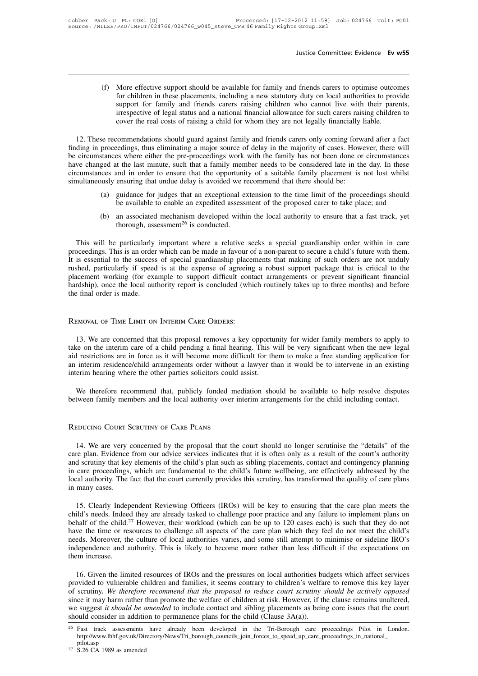Justice Committee: Evidence Ev w55<br>Iustice Committee: Evidence Ev w55<br>Iustice Committee: Evidence Ev w55<br>Iustice Committee: Evidence Ev w55<br>Iustice Support for children in these placements, including a new statutory duty o Justice Committee: Evidence Ev w55<br>More effective support should be available for family and friends carers to optimise outcomes<br>for children in these placements, including a new statutory duty on local authorities to prov Justice Committee: Evidence Ev w55<br>More effective support should be available for family and friends carers to optimise outcomes<br>for children in these placements, including a new statutory duty on local authorities to prov More effective support should be available for family and friends carers to optimise outcomes<br>for children in these placements, including a new statutory duty on local authorities to provide<br>support for family and friends More effective support should be available for family and friends carers to optimise outcor<br>for children in these placements, including a new statutory duty on local authorities to prov<br>support for family and friends carer 12. These recommendations should guard against family and friends carers to optimise outcomes<br>12. These recommends, including a new statutory duty on local authorities to provide<br>12. These recommendations should guard agai

for children in these placements, including a new statutory duty on local authorities to provide<br>support for family and friends carers raising children who cannot live with their parents,<br>irrespective of legal status and a support for family and friends carers raising children who cannot live with their parents,<br>irrespective of legal status and a national financial allowance for such carers raising children to<br>cover the real costs of raising irrespective of legal status and a national financial allowance for such carers raising children to<br>cover the real costs of raising a child for whom they are not legally financially liable.<br>12. These recommendations should cover the real costs of raising a child for whom they are not legally financially liable.<br>
12. These recommendations should guard against family and friends carers only coming forward after a fact<br>
finding in proceedings, 12. These recommendations should guard against family and friends carers only coming forward after a fact<br>finding in proceedings, thus eliminating a major source of delay in the majority of cases. However, there will<br>be ci e recommendations should guard against rainity and rifelius caters only coning forward after a ract proceedings, thus eliminating a major source of delay in the majority of cases. However, there will stances where either t be available to enable an expedited assessment of the proposed carer to take place; and an associated mechanism developed within the local authority to ensure that a family member needs to be considered late in the day. In ged at the last minute, such that a family member needs to be considered late in the day. In these cores and in order to ensure that the opportunity of a suitable family placement is not lost whilst busly ensuring that und

- 
- and in order to ensure that the opportunit<br>ensuring that undue delay is avoided we re<br>guidance for judges that an exceptional ex<br>be available to enable an expedited assess<br>an associated mechanism developed withi<br>thorough,

(a) guidance for judges that an exceptional extension to the time limit of the proceedings should<br>be available to enable an expedited assessment of the proposed carer to take place; and<br>(b) an associated mechanism develop proceedings. This is an order which can be made in favour of a non-parent to secure a child's future with in care proceedings. This is an order which can be made in favour of a non-parent to secure a child's future with th It is essential to the success of special guardianship of the success of special guardianship order within in care<br>It is will be particularly important where a relative seeks a special guardianship order within in care<br>pro (b) an associated mechanism developed within the local authority to ensure that a fast track, yet<br>thorough, assessment<sup>26</sup> is conducted.<br>This will be particularly important where a relative seeks a special guardianship ord thorough, assessment<sup>26</sup> is conducted.<br>This will be particularly important where a relative seeks a special guardianship order within in care<br>proceedings. This is an order which can be made in favour of a non-parent to sec This will be particularly important where a relative seeks a special guardianship order within in care proceedings. This is an order which can be made in favour of a non-parent to secure a child's future with them. It is e This will be particularly<br>proceedings. This is an order<br>It is essential to the success<br>rushed, particularly if speed<br>placement working (for exa<br>hardship), once the local aut<br>the final order is made. proceedings. This is an order which can be made in favour of the success of special guardianship place rushed, particularly if speed is at the expense of agreein placement working (for example to support difficult con hard

13. The concerned that this proposal removes a key opportunity for wider family members to apply to three on the interim care of a child pending a final hearing. This will be very significant when the new legal in restrict The interim care of a child pending a final hearing.<br>
13. We are concerned that this proposal removes a key opportunity for wider family members to apply to<br>
take on the interim care of a child pending a final hearing. Thi REMOVAL OF TIME LIMIT ON INTERIM CARE ORDERS:<br>13. We are concerned that this proposal removes a key opportunity for wider family members to apply to<br>take on the interim care of a child pending a final hearing. This will be REMOVAL OF TIME LIMIT ON INTERIM CARE ORDERS:<br>13. We are concerned that this proposal removes a key opportunity for wider family members to apply to<br>take on the interim care of a child pending a final hearing. This will be REMOVAL OF TIME LIMIT ON INTERIM CARE ORDERS:<br>
13. We are concerned that this proposal removes a key opportunity for wider family members to apply to<br>
take on the interim care of a child pending a final hearing. This will 13. We are concerned that this proposal removes a key opportunity for wider family members to apply to ke on the interim care of a child pending a final hearing. This will be very significant when the new legal restriction take on the interim care of a child pending a final hearing. This will be very significant when the new legal<br>aid restrictions are in force as it will become more difficult for them to make a free standing application for<br> aid restrictions are in force as it will become more diffeormant and interim residence/child arrangements order without interim hearing where the other parties solicitors could we therefore recommend that, publicly funded

The very concerned by the proposal that the court should be available to help resolve disputes<br>
EDUCING COURT SCRUTINY OF CARE PLANS<br>
EDUCING COURT SCRUTINY OF CARE PLANS<br>
14. We are very concerned by the proposal that the between ramity members and the local authority over interim arrangements for the child including contact.<br>
REDUCING COURT SCRUTINY OF CARE PLANS<br>
14. We are very concerned by the proposal that the court should no longer sc REDUCING COURT SCRUTINY OF CARE PLANS<br>14. We are very concerned by the proposal that the court should no longer scrutinise the "details" of the<br>care plan. Evidence from our advice services indicates that it is often only a REDUCING COURT SCRUTINY OF CARE PLANS<br>14. We are very concerned by the proposal that the court should no longer scrutinise the "details" of the<br>care plan. Evidence from our advice services indicates that it is often only a REDUCING COURT SCRUTINY OF CARE PLANS<br>14. We are very concerned by the proposal that the court should no longer scrutinise the "details" of the<br>care plan. Evidence from our advice services indicates that it is often only a 14. We are very concerned by the proposal that the court should no longer scrutinise the "details" of the care plan. Evidence from our advice services indicates that it is often only as a result of the court's authority an The plan. Evidence from our advice services indicates that it is often only as a result of the court's authority<br>d scrutiny that key elements of the child's plan such as sibling placements, contact and contingency planning and scrutiny that key elements of the child's plan such as sibling placements, contact and contingency planning<br>in care proceedings, which are fundamental to the child's future wellbeing, are effectively addressed by the<br>l

in care proceedings, which are fundamental to the child's future wellbeing, are effectively addressed by the local authority. The fact that the court currently provides this scrutiny, has transformed the quality of care pl local authority. The fact that the court currently provides this scrutiny, has transformed the quality of care plans<br>in many cases.<br>15. Clearly Independent Reviewing Officers (IROs) will be key to ensuring that the care pl in many cases.<br>
15. Clearly Independent Reviewing Officers (IROs) will be key to ensuring that the care plan meets the child's needs. Indeed they are already tasked to challenge poor practice and any failure to implement p 15. Clearly Independent Reviewing Officers (IROs) will be key to ensuring that the care plan meets the child's needs. Indeed they are already tasked to challenge poor practice and any failure to implement plans on behalf o 15. Clearly Independied's needs. Indee<br>behalf of the child.<sup>2</sup><br>have the time or re<br>needs. Moreover, the<br>independence and  $\epsilon$ <br>them increase.<br>16. Given the lim half of the child.<sup>27</sup> However, their workload (which can be up to 120 cases each) is such that they do not<br>we the time or resources to challenge all aspects of the care plan which they feel do not meet the child's<br>eds. Mo

may the time or resources to challenge all aspects of the care plan which they feel do not meet the child's needs. Moreover, the culture of local authorities varies, and some still attempt to minimise or sideline IRO's ind needs. Moreover, the culture of local authorities varies, and some still attempt to minimise or sideline IRO's<br>independence and authority. This is likely to become more rather than less difficult if the expectations on<br>the independence and authority. This is likely to become more rather than less difficult if the expectations on them increase.<br>
16. Given the limited resources of IROs and the pressures on local authorities budgets which affe them increase.<br>
16. Given the limited resources of IROs and the pressures on local authorities budgets which affect services<br>
provided to vulnerable children and families, it seems contrary to children's welfare to remove 16. Given the limited resources of IROs and the pressures on local authorities budgets which affect services provided to vulnerable children and families, it seems contrary to children's welfare to remove this key layer o

http://www.lbhf.gov.uk/Directory/News/Tri\_borough\_councils\_join\_forces\_to\_speed\_up\_care\_proceedings\_in\_national\_ pilot.asp we suggest *it should be amended* to include contact and sibling placements as being core issues that the court should consider in addition to permanence plans for the child (Clause  $3A(a)$ ).<br><sup>26</sup> Fast track assessments ha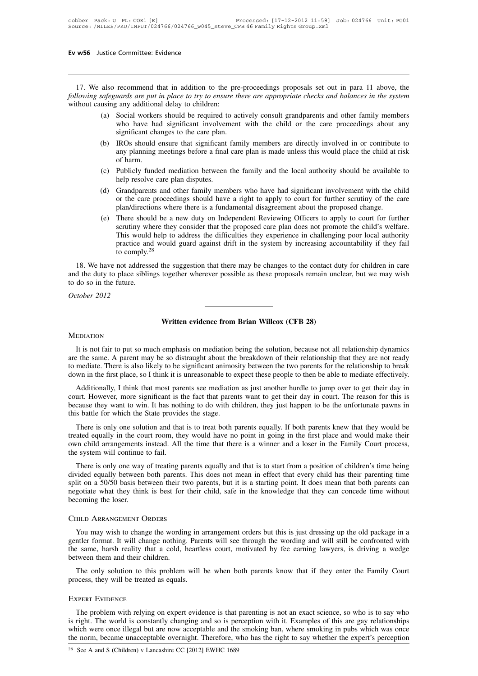17. We also recommend that in addition to the pre-proceedings proposals set out in para 11 above, the<br> *lowing safeguards are put in place to try to ensure there are appropriate checks and balances in the system*<br>
thout ca *following safeguards are put in place to try to ensure there are appropriate checks and balances in the system**following safeguards are put in place to try to ensure there are appropriate checks and balances in the sys* Ev w56 Justice Committee: Evidence<br>
17. We also recommend that in addition to the pre-<br>
following safeguards are put in place to try to ensure to<br>
without causing any additional delay to children:<br>
(a) Social workers shoul

- (a) also recommend that in addition to the pre-proceedings proposals set out in para 11 above, the *safeguards are put in place to try to ensure there are appropriate checks and balances in the system* using any additional recommend that in addition to the pre-proceedings proposals set out in para 11 above, the *uards are put in place to try to ensure there are appropriate checks and balances in the system* (any additional delay to children: recommend that in addition to the pre-<br>
yeards are put in place to try to ensure the<br>
general care any additional delay to children:<br>
Social workers should be required to action<br>
who have had significant involvement<br>
signi (b) IROs should ensure that significant family members are directly involved in the system using any additional delay to children:<br>
(a) Social workers should be required to actively consult grandparents and other family me any additional delay to children:<br>
Social workers should be required to actively consult grandparents and other family members<br>
who have had significant involvement with the child or the care proceedings about any<br>
signifi stary additional<br>Social worker<br>who have has<br>significant cha<br>IROs should of<br>any planning i<br>of harm.<br>Publicly funde
- (a) Social workers should be required to actively consult grandparents and other rainity incidents<br>who have had significant involvement with the child or the care proceedings about any<br>significant changes to the care plan. Suppliciant changes to the care plan.<br>
(b) IROs should ensure that significant family members are directly involved in or contribute to any planning meetings before a final care plan is made unless this would place the chi (b) IROs should ensure that significant family members are directly involved in or contribute to any planning meetings before a final care plan is made unless this would place the child at risk of harm.<br>
(c) Publicly funde
- 
- The care plands are the care proceedings before a final care plan is made unless this would place the child at risk<br>of harm.<br>Publicly funded mediation between the family and the local authority should be available to<br>help or the care proceedings should have a right to apply to court for further scrutiny of the care plan/directions where there is a fundamental disagreement about the proposed change.<br>(e) There should be a new duty on Independ
- (c) Publicly funded mediation between the family and the local authority should be available to help resolve care plan disputes.<br>
(d) Grandparents and other family members who have had significant involvement with the chil Frandparents and other family members who have had significant involvement with the child<br>or the care proceedings should have a right to apply to court for further scrutiny of the care<br>plan/directions where there is a fund Grandparents and other family members who have had significant involvement with the child<br>or the care proceedings should have a right to apply to court for further scrutiny of the care<br>plan/directions where there is a fund Grandparents and other family members who have had significant involvement with the child<br>or the care proceedings should have a right to apply to court for further scrutiny of the care<br>plan/directions where there is a fund or the care proceedings should have a right to apply to court for further scrutiny of the care<br>plan/directions where there is a fundamental disagreement about the proposed change.<br>(e) There should be a new duty on Independ and the duty of the should be a flaw duty of independent Reviewing Officers to apply to count for future scrutiny where they consider that the proposed care plan does not promote the child's welfare.<br>This would help to ad

Seturny win<br>This would<br>practice and<br>to comply.<sup>22</sup><br>18. We have not addresse<br>and the duty to place siblin<br>to do so in the future.<br>*October* 2012 practice a<br>to comply<br>18. We have not addre<br>and the duty to place sib<br>to do so in the future.<br>*October 2012* Written evidence from Brian Willcox (CFB 28)

# **MEDIATION**

It is not fair to put so much emphasis on mediation being the solution, because not all relationship dynamics<br>It is not fair to put so much emphasis on mediation being the solution, because not all relationship dynamics<br>th **ALCON**<br>**AREDIATION**<br>It is not fair to put so much emphasis on mediation being the solution, because not all relationship dynamics<br>are the same. A parent may be so distraught about the breakdown of their relationship that **EXECUTE SOFT WEIGHT SOFT SOFT SOFT SOFT SET ALL SET ALL SET ALL SET ALL SET ALL SET ALL SET ALL SET ALL SET ARE ALL SET ALL SET ALL SET ALL SET ALL SET ALL SET AND THE SET AND THE SET AND THE RELATIONSHIP AND THE RELATION** Written evidence from Brian Willcox (CFB 28)<br>It is not fair to put so much emphasis on mediation being the solution, because not all relationship dynamics<br>are the same. A parent may be so distraught about the breakdown of EDIATION<br>It is not fair to put so much emphasis on mediation being the solution, because not all relationship dynamics<br>the same. A parent may be so distraught about the breakdown of their relationship that they are not rea

It is not fair to put so much emphasis on mediation being the solution, because not all relationship dynamics<br>are the same. A parent may be so distraught about the breakdown of their relationship that they are not ready<br>to It is not fail to put so interi-enphasis on mediation being the solution, because not an relationship dynamics<br>are the same. A parent may be so distraught about the breakdown of their relationship that they are not ready<br>t are the same. A parent may be so distraight about the<br>to mediate. There is also likely to be significant animos<br>down in the first place, so I think it is unreasonable to e<br>Additionally, I think that most parents see mediat wn in the first place, so I think it is unreasonable to expect these people to then be able to mediate effectively.<br>Additionally, I think that most parents see mediation as just another hurdle to jump over to get their day Additionally, I think that most parents see mediation as just another hurdle to jump over to get their day in court. However, more significant is the fact that parents want to get their day in court. The reason for this is

Additionally, I time that thost patents see inediation as just abouter hitter to yump over to get their day in<br>court. However, more significant is the fact that parents want to get their day in court. The reason for this i Fraction Count: However, more significant is the<br>because they want to win. It has nother this battle for which the State provide<br>There is only one solution and that<br>treated equally in the court room, the<br>own child arrangem s battle for which the State provides the stage.<br>There is only one solution and that is to treat both parents equally. If both parents knew that they would be<br>ated equally in the court room, they would have no point in goi There is only one solution and that is to treat both parents equally. If both parents knew that they would be<br>treated equally in the court room, they would have no point in going in the first place and would make their<br>own

Fract is only one solution and that is to theat both parents equally. If both parents kitew that they would be<br>treated equally in the court room, they would have no point in going in the first place and would make their<br>ow neated equally in the court foolit, they would have no point in going in the first place and would hake then<br>own child arrangements instead. All the time that there is a winner and a loser in the Family Court process,<br>the own child arrangements instead. All the time that there is a winner and a loser in the Family Court process, the system will continue to fail.<br>There is only one way of treating parents equally and that is to start from a p Iit on a 50/50 basis between their two parents, but it is a starting point. It does mean that both parents can<br>gotiate what they think is best for their child, safe in the knowledge that they can concede time without<br>comin

# Child Arrangement Orders

negotiate what they think is best for their child, safe in the knowledge that they can concede time without<br>becoming the loser.<br>CHILD ARRANGEMENT ORDERS<br>You may wish to change the wording in arrangement orders but this is THILD ARRANGEMENT ORDERS<br>
You may wish to change the wording in arrangement orders but this is just dressing up the old package in a<br>
gentler format. It will change nothing. Parents will see through the wording and will st CHILD ARRANGEMENT ORDERS<br>
You may wish to change the wordin<br>
gentler format. It will change nothing.<br>
the same, harsh reality that a cold, b<br>
between them and their children.<br>
The only solution to this problem FILD ARRANGEMENT ORDERS<br>You may wish to change the wording in arrangement orders but this is just dressing up the old package in a<br>ntler format. It will change nothing. Parents will see through the wording and will still b You may wish to change the wording in a gentler format. It will change nothing. Pare<br>the same, harsh reality that a cold, heartle<br>between them and their children.<br>The only solution to this problem will l<br>process, they will

# Expert Evidence

The only solution to this problem will be when both parents know that if they enter the Family Court<br>Decess, they will be treated as equals.<br>The problem with relying on expert evidence is that parenting is not an exact sci The only solution to this problem will be when both parents know that if they enter the Family Court<br>process, they will be treated as equals.<br>EXPERT EVIDENCE<br>The problem with relying on expert evidence is that parenting is EXPERT EVIDENCE<br>
The problem with relying on expert evidence is that parenting is not an exact science, so who is to say who<br>
is right. The world is constantly changing and so is perception with it. Examples of this are ga EXPERT EVIDENCE<br>The problem with relying on expert evidence is that parenting is not an exact science, so who is to say who<br>is right. The world is constantly changing and so is perception with it. Examples of this are gay The problem with relying on expert evidence is that parenting is not an exact science, so who is to say who is right. The world is constantly changing and so is perception with it. Examples of this are gay relationships w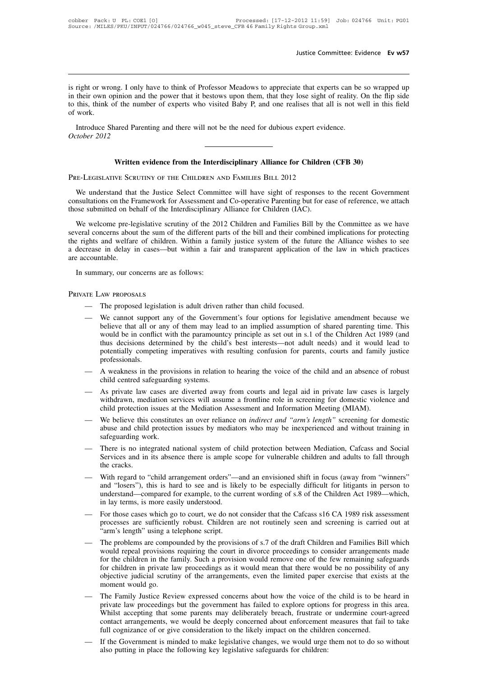Justice Committee: Evidence Ev w57<br>is right or wrong. I only have to think of Professor Meadows to appreciate that experts can be so wrapped up<br>in their own opinion and the power that it bestows upon them, that they lose s Justice Committee: Evidence Ev w57<br>is right or wrong. I only have to think of Professor Meadows to appreciate that experts can be so wrapped up<br>in their own opinion and the power that it bestows upon them, that they lose s Justice Committee: Evidence Ev w57<br>is right or wrong. I only have to think of Professor Meadows to appreciate that experts can be so wrapped up<br>in their own opinion and the power that it bestows upon them, that they lose s is right or wro<br>in their own c<br>to this, think<br>of work.<br>Introduce S Interior wrong. I only have to think of Professor Meadows to appreciate that experts can be their own opinion and the power that it bestows upon them, that they lose sight of reality. It this, think of the number of expert is right or wrong. I only<br>in their own opinion and<br>to this, think of the num<br>of work.<br>Introduce Shared Pare:<br>October 2012

Example and the small interest will not be the need for dubious expert evidence.<br> **Written evidence from the Interdisciplinary Alliance for Children (CFB 30)**<br>
WE SCRUTINY OF THE CHILDREN AND FAMILIES BILL 2012 Fre-Legislative Scrutiny of the Children Pre-Legislative Scruting and there will not be the need for dubious expert evidence Shared Parenting and there will not be the need for dubious expert evidence Children Pre-Legislat

Written evidence from the Interdisciplinary Alliance for Children (CFB 30)<br>E-LEGISLATIVE SCRUTINY OF THE CHILDREN AND FAMILIES BILL 2012<br>We understand that the Justice Select Committee will have sight of responses to the r Written evidence from the Interdisciplinary Alliance for Children (CFB 30)<br>PRE-LEGISLATIVE SCRUTINY OF THE CHILDREN AND FAMILIES BILL 2012<br>We understand that the Justice Select Committee will have sight of responses to the Written evidence from the Interdisciplinary Alliance for Children (CFB 30)<br>PRE-LEGISLATIVE SCRUTINY OF THE CHILDREN AND FAMILIES BILL 2012<br>We understand that the Justice Select Committee will have sight of responses to the

E-LEGISLATIVE SCRUTINY OF THE CHILDREN AND FAMILIES BILL 2012<br>We understand that the Justice Select Committee will have sight of responses to the recent Government<br>nsultations on the Framework for Assessment and Co-operati FRE-LEGISLATIVE SCRUTINY OF THE CHILDREN AND FAMILIES BILL 2012<br>We understand that the Justice Select Committee will have sight of responses to the recent Government<br>consultations on the Framework for Assessment and Co-ope We understand that the Justice Select Committee will have sight of responses to the recent Government consultations on the Framework for Assessment and Co-operative Parenting but for ease of reference, we attach those subm consultations on the Framework for Assessment and Co-operative Parenting but for ease of reference, we attach<br>those submitted on behalf of the Interdisciplinary Alliance for Children (IAC).<br>We welcome pre-legislative scrut those submitted on behalf of the Interdisciplinary Alliance for Children (IAC).<br>We welcome pre-legislative scrutiny of the 2012 Children and Families Bill by the Committee as we have<br>several concerns about the sum of the d We welcome pre-legislative scrutiny of the 201<br>several concerns about the sum of the different pa<br>the rights and welfare of children. Within a fam<br>a decrease in delay in cases—but within a fair<br>are accountable.<br>In summary,

- 
- Moreon The proposed legislation is adult driven rather than child focused.<br>
The proposed legislation is adult driven rather than child focused.<br>
 We cannot support any of the Government's four options for legislative amen hat all or any of the Movement's four options of them may lead to an implied assumption of shared parenting time. This would be in conflict with the paramountcy principle as set out in s.1 of the Children Act 1989 (and thu AW PROPOSALS<br>The proposed legislation is adult driven rather than child focused.<br>We cannot support any of the Government's four options for legislative amendment because we<br>believe that all or any of them may lead to an im AW PROPOSALS<br>The proposed legislation is adult driven rather than child focused.<br>We cannot support any of the Government's four options for legislative amendment because we<br>believe that all or any of them may lead to an im The proposed legislation is adult driven rather than child focused.<br>We cannot support any of the Government's four options for legislative amendment because we<br>believe that all or any of them may lead to an implied assumpt professionals. We cannot support any of the Government's four options for legislative amendment because we<br>believe that all or any of them may lead to an implied assumption of shared parenting time. This<br>would be in conflict with the par believe that all or any of them may lead to an implied assumption of shared parenting time. This<br>would be in conflict with the paramountcy principle as set out in s.1 of the Children Act 1989 (and<br>thus decisions determined
- 
- mediation services with resulting confusion for parents, courts and family justice<br>professionals.<br>A weakness in the provisions in relation to hearing the voice of the child and an absence of robust<br>child centred safeguardi
- professionals.<br>
 A weakness in the provisions in relation to hearing the voice of the child and an absence of robust<br>
child centred safeguarding systems.<br>
 As private law cases are diverted away from courts and legal aid As private law cases are diverted away from courts and legal aid in private law cases is largely<br>As private law cases are diverted away from courts and legal aid in private law cases is largely<br>withdrawn, mediation service Social Exploration of the in screening for the same of the same a frontline role in screening for domestic violence and child protection issues at the Mediation Assessment and Information Meeting (MIAM).<br>
— We believe this Mindrawn, included by the services with assessment and Information Meeting (MIAM).<br>We believe this constitutes an over reliance on *indirect and "arm's length"* screening for domestic<br>abuse and child protection issues by m We believe this constitutes an over reliance on *indirect and "arm's length"* screening for domestic<br>abuse and child protection issues by mediators who may be inexperienced and without training in<br>safeguarding work.<br>— Ther
- 
- safeguarding work.<br>There is no integrated national system of child protection between Mediation, Cafcass and Social<br>Services and in its absence there is ample scope for vulnerable children and adults to fall through<br>the cr Surguarang work.<br>There is no integrated national system of child protection between Mediation, Cafcass and Social<br>Services and in its absence there is ample scope for vulnerable children and adults to fall through<br>the crac Inter is no integrated national system of child protection between Mediation, Catcass and Social<br>Services and in its absence there is ample scope for vulnerable children and adults to fall through<br>the cracks.<br>With regard t me enders.<br>
With regard to "child arrangement orders"—and an envisioned shift in focus (away from "winners"<br>
and "losers"), this is hard to see and is likely to be especially difficult for litigants in person to<br>
understan With regard to "child arrangement orders"—and an envisioned shift in focus (away from "winners" and "losers"), this is hard to see and is likely to be especially difficult for litigants in person to understand—compared for
- 
- in lay terms, is more easily understood.<br>For those cases which go to court, we do not consider that the Cafcass s16 CA 1989 risk assessment<br>processes are sufficiently robust. Children are not routinely seen and screening i In ay terms, is intereduary and exploration.<br>For those cases which go to court, we do not consider that the Cafcass s16 CA 1989 risk assessment<br>processes are sufficiently robust. Children are not routinely seen and screeni For those cases which go to court, we do not consider that the Catcass s16 CA 1989 risk assessment<br>processes are sufficiently robust. Children are not routinely seen and screening is carried out at<br>"arm's length" using a t processes are sufficiently robust. Children are not routinely seen and screening is carried out at<br>
"arm's length" using a telephone script.<br>
The problems are compounded by the provisions of s.7 of the draft Children and F "arm's length" using a telephone script.<br>
— The problems are compounded by the provisions of s.7 of the draft Children and Families Bill which<br>
would repeal provisions requiring the court in divorce proceedings to consider would repeal provisions requiring the court in divorce proceedings to consider arrangements made<br>for the children in the family. Such a provision would remove one of the few remaining safeguards<br>for children in private law
- for children in private law proceedings as it would mean that there would be no possibility of any objective judicial scrutiny of the arrangements, even the limited paper exercise that exists at the moment would go.<br>The Fa for children in private law proceedings as it would mean that there would be no possibility of any objective judicial scrutiny of the arrangements, even the limited paper exercise that exists at the moment would go.<br>The Fa full consider that exists at the moment would go.<br>
— The Family Justice Review expressed concerns about how the voice of the child is to be heard in private law proceedings but the government has failed to explore options
- full cognizance of or give consideration to the likely impact on the children concerned.<br>If the Government is minded to make legislative changes, we would urge them not to do so without also putting in place the following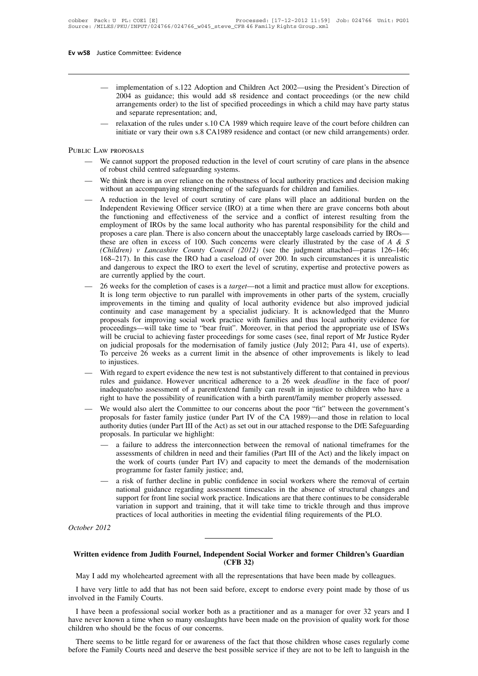- Intertation of s.122 Adoption and Children Act 2002—using the President's Direction of<br>2004 as guidance; this would add s8 residence and contact proceedings (or the new child<br>arrangements order) to the list of specified pr 2004 committee: Evidence<br>
implementation of s.122 Adoption and Children Act 2002—using the President's Direction of<br>
2004 as guidance; this would add s8 residence and contact proceedings (or the new child<br>
arrangements ord committee: Evidence<br>
implementation of s.122 Adoption and Children Act 2002—using the President's Direction of<br>
2004 as guidance; this would add s8 residence and contact proceedings (or the new child<br>
arrangements order) t implementation of s.122 Adoption and Children Act 2002—using the President's Direction of 2004 as guidance; this would add s8 residence and contact proceedings (or the new child arrangements order) to the list of specified implementation of s.122 Adoption and Children Act 2002—using the President's Direction of 2004 as guidance; this would add s8 residence and contact proceedings (or the new child arrangements order) to the list of specified - implementation of<br>
2004 as guidance;<br>
arrangements order<br>
and separate repres<br>
- relaxation of the ru<br>
initiate or vary their<br>
PUBLIC LAW PROPOSALS
	-

- manigements order) to the first of specifical proceedings in which a clind may have party states<br>and separate representation; and,<br>— relaxation of the rules under s.10 CA 1989 which require leave of the court before childr
- of robust children centred safeguarding systems.<br>
 relaxation of the rules under s.10 CA 1989 which require leave of the court before children can<br>
initiate or vary their own s.8 CA1989 residence and contact (or new child
- We cannot support the proposed reduction in the level of court scrutiny of care plans in the absence<br>
of robust child centred safeguarding systems.<br>
We think there is an over reliance on the robustness of local authority p IN EXECUTE THE EVALUATE THE REVIET THE REVIET OF COURT CONTROLLED THE ABOVE CHING THE REVIENT OF THE REVIEWING THE REVIEWING WITHOUT AN EQUITOR WITHOUT AN EQUITOR WITHOUT AN EQUITOR THE WHEN THE REVIEWING STATE ARE PROVIDE We call the functioning and effectiveness of the service and a conflictive practices and decision making without an accompanying strengthening of the safeguards for children and families.<br>A reduction in the level of court of Toolust critical safeguarum systems.<br>We think there is an over reliance on the robustness of local authority practices and decision making<br>without an accompanying strengthening of the safeguards for children and famili We think there is an over reliance on the robustness of local authority practices and decision making<br>without an accompanying strengthening of the safeguards for children and families.<br>A reduction in the level of court sc without an accompanying strengthening of the safeguards for children and families.<br>A reduction in the level of court scrutiny of care plans will place an additional burden on the Independent Reviewing Officer service (IRO) A reduction in the level of court scrutiny of care plans will place an additional burden on the Independent Reviewing Officer service (IRO) at a time when there are grave concerns both about the functioning and effectiven Independent Reviewing Officer service (IRO) at a time when there are grave concerns both about<br>the functioning and effectiveness of the service and a conflict of interest resulting from the<br>employment of IROs by the same the functioning and effectiveness of the service and a conflict of interest resulting from the employment of IROs by the same local authority who has parental responsibility for the child and proposes a care plan. There i employment of IROs by the same local authority who has parental responsibility for the child and<br>proposes a care plan. There is also concern about the unacceptably large caseloads carried by IROs—<br>these are often in excess these are often in excess of 100. Such concerns were clearly illustrated by the case of A & S (Children) v Lancashire County Council (2012) (see the judgment attached—paras 126–146; 168–217). In this case the IRO had a ca
- (Children) v Lancashire County Council (2012) (see the judgment attached—paras 126–146; 168–217). In this case the IRO had a caseload of over 200. In such circumstances it is unrealistic and dangerous to expect the IRO to 168–217). In this case the IRO had a caseload of over 200. In such circumstances it is unrealistic and dangerous to expect the IRO to exert the level of scrutiny, expertise and protective powers as are currently applied by and dangerous to expect the IRO to exert the level of scrutiny, expertise and protective powers as<br>are currently applied by the court.<br>26 weeks for the completion of cases is a *target*—not a limit and practice must allow are currently applied by the court.<br>26 weeks for the completion of cases is a *target*—not a limit and practice must allow for exceptions.<br>It is long term objective to run parallel with improvements in other parts of the s 26 weeks for the completion of cases is a *target*—not a limit and practice must allow for exceptions.<br>It is long term objective to run parallel with improvements in other parts of the system, crucially<br>improvements in the It is long term objective to run parallel with improvements in other parts of the system, crucially improvements in the timing and quality of local authority evidence but also improved judicial continuity and case manageme improvements in the timing and quality of local authority evidence but also improved judicial<br>continuity and case management by a specialist judiciary. It is acknowledged that the Munro<br>proposals for improving social work continuity and case management by a specialist judiciary. It is acknowledged that the Munro<br>proposals for improving social work practice with families and thus local authority evidence for<br>proceedings—will take time to "be proceedings—will take time to "bear fruit". Moreover, in that period the appropriate use of ISWs<br>will be crucial to achieving faster proceedings for some cases (see, final report of Mr Justice Ryder<br>on judicial proposals f
- will be crucial to achieving faster proceedings for some cases (see, final report of Mr Justice Ryder<br>on judicial proposals for the modernisation of family justice (July 2012; Para 41, use of experts).<br>To perceive 26 weeks on judicial proposals for the modernisation of family justice (July 2012; Para 41, use of experts).<br>To perceive 26 weeks as a current limit in the absence of other improvements is likely to lead<br>to injustices.<br>— With regar
- be impusitively different to that contained in previous<br>with regard to expert evidence the new test is not substantively different to that contained in previous<br>rules and guidance. However uncritical adherence to a 26 week With regard to expert evidence the new test is not substantively different to that contained in previous<br>rules and guidance. However uncritical adherence to a 26 week *deadline* in the face of poor/<br>inadequate/no assessmen rules and guidance. However uncritical adherence to a 26 week *deadline* in the face of poor/<br>inadequate/no assessment of a parent/extend family can result in injustice to children who have a<br>right to have the possibility assessments of children in need and their families (Part III of the Act) and those in relation to local with discussed.<br>Assals for faster family justice (under Part IV of the CA 1989)—and those in relation to local writy d
	- vould also alert the Committee to our concerns about the poor "fit" between the government's<br>saals for faster family justice (under Part IV of the CA 1989)—and those in relation to local<br>rity duties (under Part III of the proposals for faster family justice (under Part IV of the CA 1989)—and those in relation to local<br>authority duties (under Part III of the Act) as set out in our attached response to the DfE Safeguarding<br>proposals. In parti a failure to address the interconnection between the removal of national timeframes for the assessments of children in need and their families (Part III of the Act) and the likely impact on the work of courts (under Part I
- a failure to address the interconnection between the removal of national timeframes for the assessments of children in need and their families (Part III of the Act) and the likely impact on the work of courts (under Part I assessments of children in need and their families (Part III of the Act) and the likely impact on<br>the work of courts (under Part IV) and capacity to meet the demands of the modernisation<br>programme for faster family justice programme for faster family justice; and,<br>a risk of further decline in public confidence in social workers where the removal of certain<br>national guidance regarding assessment timescales in the absence of structural changes *Contained a risk of national is support for variation practices* Experience from Judith Fournel, Independent Social Worker and former Children's Guardian<br>Written evidence from Judith Fournel, Independent Social Worker and former Children's Guardian<br>M. J. H. H. H. H. H. H. H. H. H. H. H.

# practices of local authorities in meeting the evidential filing requirements of the PLO.<br> **(CFB 32)**<br> **(CFB 32)**<br>
May I add my wholehearted agreement with all the representations that have been made by colleagues. Viction evidence from Judith Fournel, Independent Social Worker and former Children's Guardian<br>(CFB 32)<br>May I add my wholehearted agreement with all the representations that have been made by colleagues.<br>I have very little Vritten evidence from Judith Fournel, Independent Social Worker and former Children's Guardian<br>
(CFB 32)<br>
May I add my wholehearted agreement with all the representations that have been made by colleagues.<br>
I have very lit Written evidence from Judith Fo<br>May I add my wholehearted agree<br>I have very little to add that has<br>involved in the Family Courts.<br>I have been a professional social

I have been a professional social worker both as a practitioner and some been made by colleagues.<br>I have very little to add that has not been said before, except to endorse every point made by those of us<br>volved in the Fam have never known a time when so many onslaughts have been made by colleagues.<br>
I have very little to add that has not been said before, except to endorse every point made by those of us<br>
involved in the Family Courts.<br>
I h May I add my wholehearted agreement with all the represent I have very little to add that has not been said before involved in the Family Courts.<br>I have been a professional social worker both as a phave never known a time I have very little to add that has not been said before, except to endorse every point made by those of us volved in the Family Courts.<br>I have been a professional social worker both as a practitioner and as a manager for o involved in the Family Courts.<br>
I have been a professional social worker both as a practitioner and as a manager for over 32 years and I<br>
have never known a time when so many onslaughts have been made on the provision of q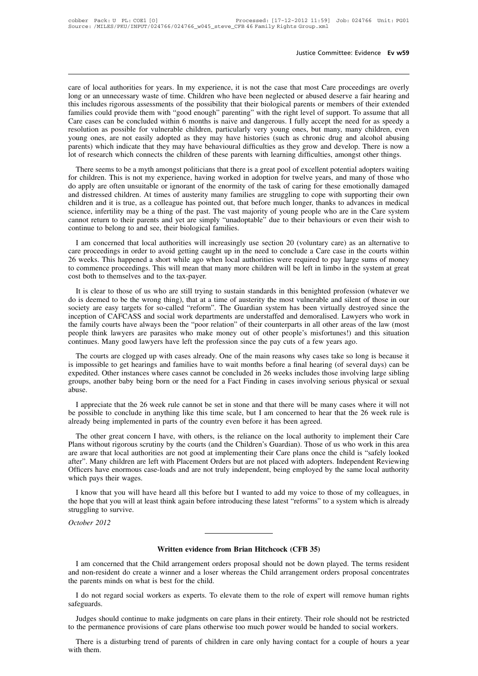Justice Committee: Evidence Ev w59<br>
care of local authorities for years. In my experience, it is not the case that most Care proceedings are overly<br>
long or an unnecessary waste of time. Children who have been neglected or Justice Committee: Evidence Ev w59<br>
Long or an unnecessary waste of time. Children who have been neglected or abused deserve a fair hearing and<br>
this includes rigorous assessments of the possibility that their biological p Justice Committee: Evidence Ev w59<br>
Locare of local authorities for years. In my experience, it is not the case that most Care proceedings are overly<br>
long or an unnecessary waste of time. Children who have been neglected care of local authorities for years. In my experience, it is not the case that most Care proceedings are overly<br>long or an unnecessary waste of time. Children who have been neglected or abused deserve a fair hearing and<br>th care of local authorities for years. In my experience, it is not the case that most Care proceedings are overly<br>long or an unnecessary waste of time. Children who have been neglected or abused deserve a fair hearing and<br>th care of local authorities for years. In my experience, it is not the case that most Care proceedings are overly<br>long or an unnecessary waste of time. Children who have been neglected or abused deserve a fair hearing and<br>th care of local authorities for years. In my experience, it is not the case that most Care proceedings are overly<br>long or an unnecessary waste of time. Children who have been neglected or abused deserve a fair hearing and<br>th long or an unnecessary waste of time. Children who have been neglected or abused deserve a fair hearing and this includes rigorous assessments of the possibility that their biological parents or members of their extended f this includes rigorous assessments of the possibility that their biological parents or members of their extended families could provide them with "good enough" parenting" with the right level of support. To assume that all There cases can be concluded within 6 months is naive and dangerous. I fully accept the need for a speedy a such contourous possible for vulnerable children, particularly very young ones, the many, many children, even ung Exercises can be concluded when the moments is narve and diagetous. That we are these the most possible for vulnerable children, particularly very young ones, are not easily adopted as they may have histories (such as chro

resonation as possible for validated entation, particularly very young ones, the many, many emitted, even<br>young ones, are not easily adopted as they may have histories (such as chronic drug and alcohol abusing<br>parents) whi between the children. At times of austerity many families are structured and develop. There is now a lot of research which connects the children of these parents with learning difficulties, amongst other things.<br>There seem parents) which indicate that they may have benaviously almorated as they grow and develop. There is now a<br>lot of research which connects the children of these parents with learning difficulties, amongst other things.<br>There Science, infertility may be a thing of the past. The vast majority of vecellent potential adopters waiting for children. This is not my experience, having worked in adoption for twelve years, and many of those who do apply There seems to be a myth amongst politicians that there is a great pool of excellent potential adopters waiting<br>for children. This is not my experience, having worked in adoption for twelve years, and many of those who<br>do for children. This is not my experience, having worked in a<br>do apply are often unsuitable or ignorant of the enormity of<br>and distressed children. At times of austerity many families<br>children and it is true, as a colleague apply and other ansulated of the soletion of the choring of the disk of elange to cope with supporting their own<br>iddistersed children and it is true, as a colleague has pointed out, that before much longer, thanks to advan and distributed in the means of adsertion many names are stugging to cope whis supporting then own<br>children and it is true, as a colleague has pointed out, that before much longer, thanks to advances in medical<br>science, in

26 entire this divided a short while ago when local authorities were required to pay large sum of return to their parents and yet are simply "unadoptable" due to their behaviours or even their wish to continue to belong to to commence their parents and yet are simply "unadoptable" due to their behaviours or even their wish to continue to belong to and see, their biological families.<br>
I am concerned that local authorities will increasingly us continue to belong to and see, their biological families.<br>
I am concerned that local authorities will increasingly use section 20 (voluntary care) as an alternative to care proceedings in order to avoid getting caught up i I am concerned that local authorities will increasingly use section 20 (voluntary care) as an alternative to<br>re proceedings in order to avoid getting caught up in the need to conclude a Care case in the courts within<br>weeks

society are easy targets for so-called "reform". The Guardian system has been virtually destroyed since the inception of CAFCASS and social work departments are understaffed and demoralised. Lawyers who work in 26 weeks. This happened a short while ago when local authorities were required to pay large sums of money to commence proceedings. This will mean that many more children will be left in limbo in the system at great cost bo Let the society are easy targets and the tax-payer.<br>It is clear to those of us who are still trying to sustain standards in this benighted profession (whatever we<br>do is deemed to be the wrong thing), that at a time of aust the family course and to the tax-payer.<br>
It is clear to those of us who are still trying to sustain standards in this benighted profession (whatever we<br>
do is deemed to be the wrong thing), that at a time of austerity the best bout to themserves and to the tax payer.<br>It is clear to those of us who are still trying to sustain standards in this benighted profession (whatever we<br>do is deemed to be the wrong thing), that at a time of austerity It is clear to those of us who are still trying to sustain standards in this benighted profession (w<br>do is deemed to be the wrong thing), that at a time of austerity the most vulnerable and silent of t<br>society are easy tar In the courts are clogged up with cases already. One of the main reason variable already are close in the cluster of CAFCASS and social work departments are understaffed and demoralised. Lawyers who work in e family courts society are custs in social work departments are understaffed and demoralised. Lawyers who work in inception of CAFCASS and social work departments are understaffed and demoralised. Lawyers who work in the family courts ha

meeption of the faxe always been the "poor relation" of their counterparts in all other areas of the law (most<br>people think lawyers are parasites who make money out of other people's misfortunes!) and this situation<br>contin The number of the matter and the matter of the need for a Fact Finding in the need in 26 weeks included in 26 weeks in the need for a Fact Finding in cases take so long is because it is impossible to get hearings and famil abuse. The courts are clogged up with cases already. One of the main reasons why cases take so long is because it impossible to get hearings and families have to wait months before a final hearing (of several days) can be pedited In the conclude in anything like this time scale, but I am concerned to hear that the 26 week rule is already being porn or the need for a Fact Finding in cases involving large sibling groups, another baby being born or th is impossible to get hearings and families have to wait months before a final hearing (of several days) can be expedited. Other instances where cases cannot be concluded in 26 weeks includes those involving large sibling g

Suppose the other baby being born or the need for a Fact Finding in cases involving serious physical or sexual<br>
I appreciate that the 26 week rule cannot be set in stone and that there will be many cases where it will not<br>

I appreciate that the 26 week rule cannot be set in stone and that there will be many cases where it will not<br>be possible to conclude in anything like this time scale, but I am concerned to hear that the 26 week rule is<br>al I appreciate that the 26 week rule cannot be set in stone and that there will be many cases where it will not<br>be possible to conclude in anything like this time scale, but I am concerned to hear that the 26 week rule is<br>al Furtherman are the conclude in anything like this time scale, but I am concerned to hear that the 26 week rule is already being implemented in parts of the country even before it has been agreed.<br>The other great concern I Softe the conclude in anything like this time scale, out I am concerned to heat that the 20 week rule is already being implemented in parts of the country even before it has been agreed.<br>The other great concern I have, wit are aware that local authorities are not good at implementing their Care plans once the child is "safely looked<br>after". Many children are left with Placement Orders but are not placed with adopters. Independent Reviewing<br>O In the dural content in taking, which can be Children's Guardian). Those of us who work in this area as without rigorous scritiny by the courts (and the Children's Guardian). Those of us who work in this area e aware that The hope that local surfaints are not good at implementing their Care plans once the child is "safely looked after". Many children are left with Placement Orders but are not placed with adopters. Independent Reviewing Off after". Many children are latter.<br>after". Many children are left<br>officers have enormous ca<br>which pays their wages.<br>I know that you will have<br>the hope that you will at lea<br>struggling to survive.<br>October 2012

Officers have enormous which pays their wages.<br>
I know that you will he hope that you will at the hope that you will at the hope that you will at the struggling to survive.<br>
October 2012 **Written evidence from Brian Hitchcock (CFB 35)**<br>
Must a symbol arrangement orders proposal should not be down player

Unity american concerned that the Child arrangement orders proposal should not be down played. The terms resident<br>d non-resident do create a winner and a loser whereas the Child arrangement orders proposal concentrates<br>the And The non-resident do create a winner and a loser whereas the Child arrangement orders proposal should not be down played. The terms resident and non-resident do create a winner and a loser whereas the Child arrangement Written evidence from<br>I am concerned that the Child arrangement orders<br>and non-resident do create a winner and a loser whe<br>the parents minds on what is best for the child.<br>I do not regard social workers as experts. To elev **I am concerned that the Child arrangement orders proposal should not be down played. The terms resident do non-resident do create a winner and a loser whereas the Child arrangement orders proposal concentrates experts min** I am concerned that the Child arrangement orders proposal should not be down played. The terms resident<br>
a non-resident do create a winner and a loser whereas the Child arrangement orders proposal concentrates<br>
parents min

safeguards.

In a non-resident do create a winner and a loser whereas the Child arrangement orders proposal concentrates<br>the parents minds on what is best for the child.<br>I do not regard social workers as experts. To elevate them to the I do not regard social workers as experts. To elevate them to the role of expert will remove human rights feguards.<br>Judges should continue to make judgments on care plans in their entirety. Their role should not be restric I do not<br>safeguards<br>Judges s<br>to the pern<br>There is<br>with them.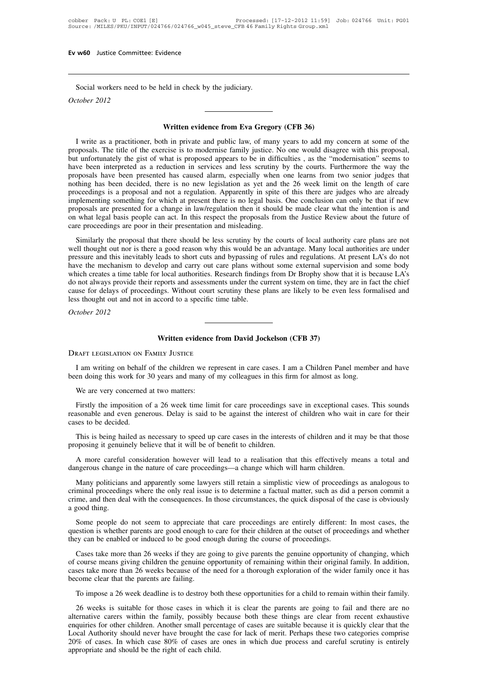w60 Justice Committee: Evidence<br>Social workers need to be held in check by the judiciary.<br>tober 2012 Ev w60 Justice Committe<br> **COCCOLECT SEXELE SEXELE A**<br> *October 2012* 

Social workers need to be held in check by the judiciary.<br>
October 2012<br> **Written evidence from Eva Gregory (CFB 36)**<br>
I write as a practitioner, both in private and public law, of many years to add my concern at some of t Vector 2012<br>I write as a practitioner, both in private and public law, of many years to add my concern at some of the<br>pposals. The title of the exercise is to modernise family justice. No one would disagree with this propo **Proposals.** The title of the exercise is to modernise family justice. No one would disagree with this proposals. The title of the exercise is to modernise family justice. No one would disagree with this proposal, but unfo **but unfortunately**<br> **but unfortunately the gist of what is proposed appears to appears to add my concern at some of the<br>
proposals. The title of the exercise is to modernise family justice. No one would disagree with this Written evidence from Eva Gregory (CFB 36)**<br>I write as a practitioner, both in private and public law, of many years to add my concern at some of the<br>proposals. The title of the exercise is to modernise family justice. No **Written evidence from Eva Gregory (CFB 36)**<br>I write as a practitioner, both in private and public law, of many years to add my concern at some of the<br>proposals. The title of the exercise is to modernise family justice. No I write as a practitioner, both in private and public law, of many years to add my concern at some of the proposals. The title of the exercise is to modernise family justice. No one would disagree with this proposal, but u I write as a practitioner, both in private and public law, of many years to add my concern at some of the proposals. The title of the exercise is to modernise family justice. No one would disagree with this proposal, but u proposals. The title of the exercise is to modernise family justice. No one would disagree with this proposal,<br>but unfortunately the gist of what is proposed appears to be in difficulties, as the "modernisation" seems to<br>h but unfortunately the gist of what is proposed appears to be in difficulties, as the "modernisation" seems to have been interpreted as a reduction in services and less scrutiny by the courts. Furthermore the way the propos have been interpreted as a reduction in services and less scrutiny by the courts. Furthermore the way the proposals have been presented has caused alarm, especially when one learns from two senior judges that nothing has b implementing something for which at present there is no legal basis. One conclusion can only be that if new<br>proposals are presented for a change in law/regulation then it should be made clear what the intention is and<br>on w similarly the proposal and not a regulation. Apparent us yet and the zero were mind on the concedings is a proposal and not a regulation. Apparently in spite of this there are judges who are lineady plementing something fo proceculary as a proposal that there is no legal basis. One conclusion can only be that if new implementing something for which at present there is no legal basis. One conclusion can only be that if new proposals are prese

mphenenting something for which at present diete is no legal basis. One conclusion can omy oc diat if new<br>proposals are presented for a change in law/regulation then it should be made clear what the intention is and<br>on wha broposals are presented for a entange in tawing dual of the mechanism of our and control what lead the mechanism con what legal basis people can act. In this respect the proposals from the Justice Review about the future o or what legal basis people can act. In this lespect the proposals from the stasted review about the rattic or<br>care proceedings are poor in their presentation and misleading.<br>Similarly the proposal that there should be less do not always are poor in their presentation and inistedding.<br>Similarly the proposal that there should be less scrutiny by the courts of local authorities are not well thought out nor is there a good reason why this would Similarly the proposal that there should be less scrutiny by the courts of local authority care plans are not well thought out nor is there a good reason why this would be an advantage. Many local authorities are under pre well thought out nor is there a good reason why this would be a pressure and this inevitably leads to short cuts and bypassing of have the mechanism to develop and carry out care plans with which creates a time table for l pressure and this inevital<br>have the mechanism to which creates a time tabl<br>do not always provide the<br>cause for delays of proce<br>less thought out and not<br>*October 2012* do not always provide their reports and assessments under the current system on time, the cause for delays of proceedings. Without court scrutiny these plans are likely to be eve less thought out and not in accord to a spe

Written evidence from David Jockelson (CFB 37)<br>
RAFT LEGISLATION ON FAMILY JUSTICE<br>
I am writing on behalf of the children we represent in care cases. I am a Children Panel member and have<br>
en doing this work for 30 years **between doing this work for 30 years and many of my colleagues in this firm for almost as long.**<br>We are very concerned at two matters:<br>We are very concerned at two matters: Written evidence<br>
RAFT LEGISLATION ON FAMILY JUSTICE<br>
I am writing on behalf of the children we re<br>
en doing this work for 30 years and many of<br>
We are very concerned at two matters:<br>
Firstly the imposition of a 26 week ti

RAFT LEGISLATION ON FAMILY JUSTICE<br>I am writing on behalf of the children we represent in care cases. I am a Children Panel member and have<br>en doing this work for 30 years and many of my colleagues in this firm for almost I am writing on behalf of the children we represent in care cases. I am a Children Panel member and have<br>been doing this work for 30 years and many of my colleagues in this firm for almost as long.<br>We are very concerned at I am writing on benair<br>been doing this work for<br>We are very concerned<br>Firstly the imposition of<br>reasonable and even gene<br>cases to be decided.<br>This is being hailed as We are very concerned at two matters:<br>Firstly the imposition of a 26 week time limit for care proceedings save in exceptional cases. This sounds<br>asonable and even generous. Delay is said to be against the interest of child We are very concerned at two matters:<br>
Firstly the imposition of a 26 week time limit for care proceedings s<br>
reasonable and even generous. Delay is said to be against the interest<br>
cases to be decided.<br>
This is being hail Firstly the imposition of a 26 week time limit for care proceedings save in exceptional cases. This sounds as<br>sonable and even generous. Delay is said to be against the interest of children who wait in care for their<br>ses t reasonable and even generous. Delay is said to be against the interest of children who wait in care for their<br>cases to be decided.<br>This is being hailed as necessary to speed up care cases in the interests of children and i

This is being hailed as necessary to speed up care cases in the interests of children and it may be that those<br>pposing it genuinely believe that it will be of benefit to children.<br>A more careful consideration however will Inis is being nailed as necessary to speed up care cases in the interests of children and it may be that those<br>proposing it genuinely believe that it will be of benefit to children.<br>A more careful consideration however wil proposing it genuinely believe that it will be of benefit to children.<br>
A more careful consideration however will lead to a realisation that this effectively means a total and<br>
dangerous change in the nature of care procee A more careful<br>dangerous change<br>Many politicians<br>criminal proceedin<br>crime, and then dea<br>a good thing.<br>Some people do magerous change in the nature of care proceedings—a change which will harm children.<br>
Many politicians and apparently some lawyers still retain a simplistic view of proceedings as analogous to<br>
minal proceedings where the Many politicians and apparently some lawyers still retain a simplistic view of proceedings as analogous to criminal proceedings where the only real issue is to determine a factual matter, such as did a person commit a crim

crime, and then deal with the consequences. In those circumstances, the quick disposal of the case is obviously<br>a good thing.<br>Some people do not seem to appreciate that care proceedings are entirely different: In most case me, and then deal with the consequences. In those circumstances, the quick disposal of the case is obviously<br>good thing.<br>Some people do not seem to appreciate that care proceedings are entirely different: In most cases, th

Some people do not seem to appreciate that care proceedings are entirely different: In most cases, the question is whether parents are good enough to care for their children at the outset of proceedings and whether they ca Some people do not seem to appreciate that care proceedings are entirely different: In most cases, the question is whether parents are good enough to care for their children at the outset of proceedings and whether they ca of course means giving children the genuine opportunity of remaining within their original family. In addition, cases take more than 26 weeks because of the need for a thorough exploration of the wider family once it has b by can be enabled or induced to be good enough during the course or proceedings.<br>Cases take more than 26 weeks if they are going to give parents the genuine opportunity of changing, which<br>course means giving children the g Cases take more than 26 weeks if they are going to give parents the genuine opportunity of changing, which course means giving children the genuine opportunity of remaining within their original family. In addition, ses ta

or course means giving children the genuine opportunity of remaining within their original ramily. In addition, cases take more than 26 weeks because of the need for a thorough exploration of the wider family once it has b cases take more than 26 weeks because of the need for a thorough exploration of the wider family once it has<br>become clear that the parents are failing.<br>To impose a 26 week deadline is to destroy both these opportunities fo become clear that the parents are railing.<br>
To impose a 26 week deadline is to destroy both these opportunities for a child to remain within their family.<br>
26 weeks is suitable for those cases in which it is clear the pare To impose a 26 week deadline is to destroy both these opportunities for a child to remain within their family.<br>26 weeks is suitable for those cases in which it is clear the parents are going to fail and there are no<br>altern 26 weeks is suitable for those cases in which<br>26 weeks is suitable for those cases in which<br>alternative carers within the family, possibly be<br>enquiries for other children. Another small percer<br>Local Authority should never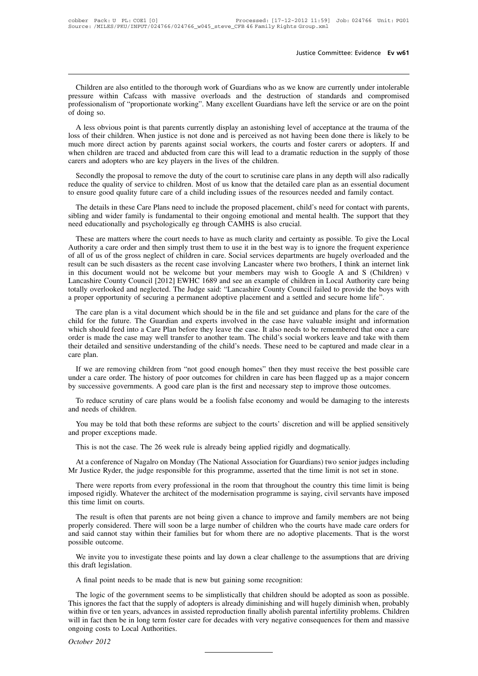Justice Committee: Evidence Ev w61<br>Children are also entitled to the thorough work of Guardians who as we know are currently under intolerable<br>Sessure within Cafcass with massive overloads and the destruction of standards Justice Committee: Evidence Ev w61<br>
Children are also entitled to the thorough work of Guardians who as we know are currently under intolerable<br>
pressure within Cafcass with massive overloads and the destruction of standar bustice Committee: Evidence Ev w61<br>
Children are also entitled to the thorough work of Guardians who as we know are currently under intolerable<br>
pressure within Cafcass with massive overloads and the destruction of standar Children are als<br>pressure within<br>professionalism of<br>doing so.<br>A less obvious Children are also entitled to the thorough work of Guardians who as we know are currently under intolerable<br>essure within Cafcass with massive overloads and the destruction of standards and compromised<br>offessionalism of "p Children are also entitled to the thorough work of Guardians who as we know are currently under intolerable<br>pressure within Cafcass with massive overloads and the destruction of standards and compromised<br>professionalism of

entiated action of the intervals and the destruction of standards and compromised professionalism of "proportionate working". Many excellent Guardians have left the service or are on the point of doing so.<br>A less obvious p professionalism of "proportionate working". Many excellent Guardians have left the service or are on the point<br>of doing so.<br>A less obvious point is that parents currently display an astonishing level of acceptance at the t professionalism of "proportionate working". Many excellent Guardians have left the service or are on the point<br>of doing so.<br>A less obvious point is that parents currently display an astonishing level of acceptance at the t A less obvious point is that parents currently display an astonishing level of acceptance at the trauma of the<br>ss of their children. When justice is not done and is perceived as not having been done there is likely to be<br>u reduce the children. When justice is not done and is perceived as not having been done there is likely to be much more direct action by parents against social workers, the courts and foster carers or adopters. If and when to ensure good quality future care of a child including issues of the resources and foster care of adopters. If and when children are traced and abducted from care this will lead to a dramatic reduction in the supply of th

For a matter are traced and aboutced from care this will lead to a dramatic reduction in the supply or those<br>rers and adopters who are key players in the lives of the children.<br>Secondly the proposal to remove the duty of t carers and adopters who are key players in the lives of the children.<br>Secondly the proposal to remove the duty of the court to scrutinise care plans in any depth will also radically<br>reduce the quality of service to childre Secondly the proposal to remove the duty of the court to scrutinise care plans in reduce the quality of service to children. Most of us know that the detailed care p to ensure good quality future care of a child including ince the quanty of service to children. Most of us know that the detailed care plan as an essential document<br>ensure good quality future care of a child including issues of the resources needed and family contact.<br>The detai

to ensure good quanty ruture care or a cnita including issues or the resources needed and ramity contact.<br>The details in these Care Plans need to include the proposed placement, child's need for contact with parents,<br>sibli The details in these Care Plans need to include the proposed placement, child's need for contact with parents, sibling and wider family is fundamental to their ongoing emotional and mental health. The support that they nee result can be such a such a such disasters as the recentral to their ongoing emotional and mental health. The support that they need educationally and psychologically eg through CAMHS is also crucial.<br>These are matters whe in this document would not be welcome but your members may wish to Google A and S (Children) v<br>Leader where the court needs to have as much clarity and certainty as possible. To give the Local<br>Authority a care order and th These are matters where the count needs to have as much clarity and certain.<br>These are matters where the court needs to have as much clarity and certainty as possible. To give the Local<br>Authority a care order and then simp These are matters where the court needs to have as much clarity and certainty as possible. To give the Local Authority a care order and then simply trust them to use it in the best way is to ignore the frequent experience Authority a care order and then simply trust them to use it in the best way is to ignore the frequent experience of all of us of the gross neglect of children in care. Social services departments are hugely overloaded and and of as of an expect of emmed in exact social social social should be in the care involving Lancaster where two brothers, I think an internet link this document would not be welcome but your members may wish to Google A Fig. 2.1 The future of the belower the future of the belower that is document would not be welcome but your members may wish to Google A and S (Children) v Lancashire County Council [2012] EWHC 1689 and see an example of c

In the social method into a Care Plan before they leave the case. It also needs to begin a care being totally overlooked and neglected. The Judge said: "Lancashire County Council failed to provide the boys with a proper op Example of example of example of example of example and social radiosity constants a proper opportunity of securing a permanent adoptive placement and a settled and secure home life".<br>The care plan is a vital document whic the care plan is a vital document which should be in the file and settled and secure home life".<br>The care plan is a vital document which should be in the file and set guidance and plans for the care of the<br>child for the fu child for the future. The Guardian and experts involved in the case have valuable insight and information which should feed into a Care Plan before they leave the case. It also needs to be remembered that once a care order If we are puring thildren from "not good enough homes" on the may see the case have valuable insight and information<br>inch should feed into a Care Plan before they leave the case. It also needs to be remembered that once a which should feed into a Care Plan before they leave the case. It also meets to be remembered that once a care<br>order is made the case may well transfer to another team. The child's social workers leave and take with them<br>t order is made the case may well transfer to another team. The child's social workers leave and take with them<br>their detailed and sensitive understanding of the child's needs. These need to be captured and made clear in a<br>c

Exercise and sensitive understanding or the child s needs. These heed to be captured and made clear in a<br>re plan.<br>If we are removing children from "not good enough homes" then they must receive the best possible care<br>der a Framericans<br>
If we are removing child<br>
under a care order. The hist<br>
by successive governments.<br>
To reduce scrutiny of car<br>
and needs of children.<br>
You may be told that bot It we are removing children from not good enough nomes then they must receive the best possible care<br>der a care order. The history of poor outcomes for children in care has been flagged up as a major concern<br>successive gov

moder a care order. The history of<br>by successive governments. A good<br>To reduce scrutiny of care plans<br>and needs of children.<br>You may be told that both these<br>and proper exceptions made.<br>This is not the case. The 26 we To reduce scrutiny of care plans would be a foolish false economy and would be damaging to the interests<br>and needs of children.<br>You may be told that both these reforms are subject to the courts' discretion and will be appl

This is not the case. The 26 week rule is already being applied rigidly and dogmatically.<br>This is not the case. The 26 week rule is already being applied rigidly and dogmatically.<br>At a conference of Nagalro on Monday (The You may be told that both these reforms are subject to the courts' discretion and will be applied sensitively<br>and proper exceptions made.<br>This is not the case. The 26 week rule is already being applied rigidly and dogmatic

d proper exceptions made.<br>This is not the case. The 26 week rule is already being applied rigidly and dogmatically.<br>At a conference of Nagalro on Monday (The National Association for Guardians) two senior judges including<br> This is not the case. The 26 week rule is already being applied rigidly and dogmatically.<br>At a conference of Nagalro on Monday (The National Association for Guardians) two senior judges including<br>Mr Justice Ryder, the judg Mr Justice Ryder, the judge responsible for this programme, asserted that the time limit is not set in stone.<br>There were reports from every professional in the room that throughout the country this time limit is being<br>impo

At a conference of Nagatro on Monday (The National Association for Guardians) two senfor judges including<br>The resulted Ryder, the judge responsible for this programme, asserted that the time limit is not set in stone.<br>Ther From the properly considered. There were reports from every professional in the room that throughout the country this time limit is being imposed rigidly. Whatever the architect of the modernisation programme is saying, ci There were reports from every professional in the room that throughout the country this time limit is being imposed rigidly. Whatever the architect of the modernisation programme is saying, civil servants have imposed this imposed rigidly. Whate<br>this time limit on court:<br>The result is often the<br>properly considered. The<br>and said cannot stay w<br>possible outcome.<br>We invite you to inve Solid the solution courts.<br>The result is often that parents are not being given a chance to improve and family members are not being<br>operly considered. There will soon be a large number of children who the courts have made The result is often that<br>properly considered. Then<br>and said cannot stay with<br>possible outcome.<br>We invite you to investi<br>this draft legislation.<br>A final point needs to b by points of the considered. There will soon be a large number of children who the court<br>d said cannot stay within their families but for whom there are no adoptive pl<br>ssible outcome.<br>We invite you to investigate these poi

Solider outcome.<br>We invite you to investigate these points and lay down a clear challenge to the assumptions that are driving<br>s draft legislation.<br>A final point needs to be made that is new but gaining some recognition:<br>Th We invite you to investigate these points and lay down a clear challenge to the assumptions that are driving<br>this draft legislation.<br>A final point needs to be made that is new but gaining some recognition:<br>The logic of the We fivite you to investigate these points and ray down a clear change to the assumptions that are driving<br>this draft legislation.<br>A final point needs to be made that is new but gaining some recognition:<br>The logic of the go A final point needs to be made that is new but gaining some recognition:<br>The logic of the government seems to be simplistically that children should be adopted as soon as possible.<br>This ignores the fact that the supply of A final point needs to be made that is new but gaining some recognition:<br>The logic of the government seems to be simplistically that children should be adopted as soon as possible.<br>This ignores the fact that the supply of ongoing costs to Local Authorities.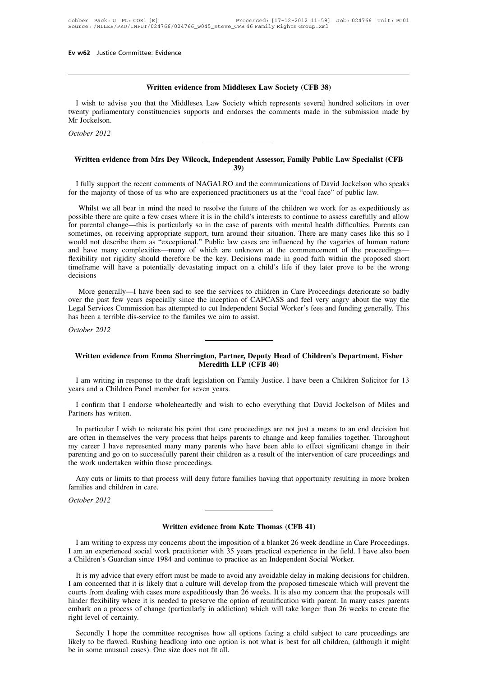**Written evidence from Middlesex Law Society (CFB 38)** Written evidence from Middlesex Law Society (CFB 38)<br>I wish to advise you that the Middlesex Law Society which represents several hundred solicitors in over<br>enty parliamentary constituencies supports and endorses the comme Written evidence from Middlesex Law Society (CFB 38)<br>I wish to advise you that the Middlesex Law Society which represents several hundred solicitors in over<br>twenty parliamentary constituencies supports and endorses the com I wish to advise<br>twenty parliamenta<br>Mr Jockelson.<br>*October* 2012 *I* wish to advise you twenty parliamentary co Mr Jockelson. **Written evidence from Mrs Dey Wilcock, Independent Assessor, Family Public Law Specialist (CFB**<br>Written evidence from Mrs Dey Wilcock, Independent Assessor, Family Public Law Specialist (CFB

# **39)**

I fully support the recent comments of NAGALRO and the communications of David Jockelson who speaks<br>
I fully support the recent comments of NAGALRO and the communications of David Jockelson who speaks<br>
I fully support the Written evidence from Mrs Dey Wilcock, Independent Assessor, Family Public Law Specialist (CFB<br>39)<br>I fully support the recent comments of NAGALRO and the communications of David Jockelson who speaks<br>for the majority of tho

Written evidence from Mrs Dey Wilcock, Independent Assessor, Family Public Law Specialist (CFB<br>39)<br>fully support the recent comments of NAGALRO and the communications of David Jockelson who speaks<br>the majority of those of For the majority of those of us who are experienced practitioners us at the "coal face" of public law.<br>Thilly support the recent comments of NAGALRO and the communications of David Jockelson who speaks<br>for the majority of I fully support the recent comments of NAGALRO and the communications of David Jockelson who speaks<br>for the majority of those of us who are experienced practitioners us at the "coal face" of public law.<br>Whilst we all bear I fully support the recent comments of NAGALRO and the communications of David Jockelson who speaks<br>for the majority of those of us who are experienced practitioners us at the "coal face" of public law.<br>Whilst we all bear for the majority of those of us who are experienced practitioners us at the "coal face" of public law.<br>
Whilst we all bear in mind the need to resolve the future of the children we work for as expeditiously as<br>
possible th Whilst we all bear in mind the need to resolve the future of the children we work for as expeditiously as possible there are quite a few cases where it is in the child's interests to continue to assess carefully and allow Whilst we all bear in mind the need to resolve the future of the children we work for as expeditiously as possible there are quite a few cases where it is in the child's interests to continue to assess carefully and allow possible there are quite a few cases where it is in the child's interests to continue to assess carefully and allow<br>for parental change—this is particularly so in the case of parents with mental health difficulties. Parent decisions uld not describe them as "exceptional." Public law cases are influenced by the vagaries of human nature I have many complexities—many of which are unknown at the commencement of the proceedings—ibility not rigidity should and have many complexities—many of which are unknown at the commencement of the proceedings—<br>flexibility not rigidity should therefore be the key. Decisions made in good faith within the proposed short<br>timeframe will have

flexibility not rigidity should therefore be the key. Decisions made in good faith within the proposed short timeframe will have a potentially devastating impact on a child's life if they later prove to be the wrong decisi time frame will have a potentially devastating impact on a child's life if they later prove to be the wrong decisions<br>
More generally—I have been sad to see the services to children in Care Proceedings deteriorate so badly has been a terrible dis-service to the familes we aim to assist. **Example 12 Seconds and Example 3 Separation** of CAT CASS and Tech very angly about the way the grad Services Commission has attempted to cut Independent Social Worker's fees and funding generally. This is been a terrible

# Written evidence from Emma Sherrington, Partner, Deputy Head of Children's Department, Fisher<br>Meredith LLP (CFB 40)<br>I am writing in response to the draft legislation on Family Justice. I have been a Children Solicitor for

I am writing in response to the draft legislation on Family Justice. I have been a Children Solicitor for 13<br>I am writing in response to the draft legislation on Family Justice. I have been a Children Solicitor for 13<br>I ar Written evidence from Emma Sherrington, Partner,<br>
Meredith LLP<br>
I am writing in response to the draft legislation on Far<br>
years and a Children Panel member for seven years.<br>
I confirm that I endorse wholeheartedly and wish Written evidence from Emma Sherrington, Partner, Deputy Head of Children's Department, Fisher<br>Meredith LLP (CFB 40)<br>I am writing in response to the draft legislation on Family Justice. I have been a Children Solicitor for

years and a Children Panel member for seven years.<br>
I confirm that I endorse wholeheartedly and wish to echo everything that David Jockelson of Miles and<br>
Partners has written.<br>
In particular I wish to reiterate his point

I am writing in response to the draft legislation on Family Justice. I have been a Children Solicitor for 13<br>ars and a Children Panel member for seven years.<br>I confirm that I endorse wholeheartedly and wish to echo everyth From that I endorse wholeheartedly and wish to echo everything that David Jockelson of Miles and<br>Partners has written.<br>In particular I wish to reiterate his point that care proceedings are not just a means to an end decisi I confirm that I endorse wholeheartedly and wish to echo everything that David Jockelson of Miles and<br>Partners has written.<br>In particular I wish to reiterate his point that care proceedings are not just a means to an end d I confirm that I endorse wholeheartedly and wish to echo everything that David Jockelson of Miles and Partners has written.<br>In particular I wish to reiterate his point that care proceedings are not just a means to an end d Partners has written.<br>
In particular I wish to reiterate his point that care<br>
are often in themselves the very process that helps<br>
my career I have represented many many parents<br>
parenting and go on to successfully parent In particular I wish to reiterate his point that care proceedings are not just a means to an end decision but e often in themselves the very process that helps parents to change and keep families together. Throughout  $y$  are often in themselves the very p my career I have represented man parenting and go on to successfully the work undertaken within those J Any cuts or limits to that proces families and children in care. October 2012 my career I have repres<br>parenting and go on to sum<br>the work undertaken with<br>Any cuts or limits to the<br>families and children in<br>October 2012

Any cuts or limits to that process will deny future families having that opportunity resulting in more broken<br>families and children in care.<br>*October 2012*<br>**Written evidence from Kate Thomas (CFB 41)**<br>I am writing to expre

I am writing to express my concerns about the imposition of a blanket 26 week deadline in Care Proceedings.<br>I am writing to express my concerns about the imposition of a blanket 26 week deadline in Care Proceedings.<br>Childr Vertich evidence from Kate Thomas (CFB 41)<br>I am writing to express my concerns about the imposition of a blanket 26 week deadline in Care Proceedings.<br>I am an experienced social work practitioner with 35 years practical ex

a Children's Guardian since 1984 and continue to practice as an Independent Social Worker.<br>It is my advice that every effort must be made to avoid any avoidable delay in making decisions for children.<br>I am concerned that i **IVERT SET UP:** IT: It is my advice that every effort must be made to avoid any avoidable delay in mate field. I have also been Children's Guardian since 1984 and continue to practice as an Independent Social Worker.<br>It is I am writing to express my concerns about the imposition of a blanket 26 week deadline in Care Proceedings.<br>I am an experienced social work practitioner with 35 years practical experience in the field. I have also been<br>a C I am writing to express my concerns about the imposition of a blanket 26 week deadline in Care Proceedings.<br>I am an experienced social work practitioner with 35 years practical experience in the field. I have also been<br>a C I am an experienced social work practitioner with 35 years practical experience in the field. I have also been<br>a Children's Guardian since 1984 and continue to practice as an Independent Social Worker.<br>It is my advice that a Children's Guardian since 1984 and continue to practice as an Independent Social Worker.<br>It is my advice that every effort must be made to avoid any avoidable delay in making decisions for children.<br>I am concerned that i It is my advice that every I<br>I am concerned that it is like<br>courts from dealing with cas<br>hinder flexibility where it is<br>embark on a process of chai<br>right level of certainty.<br>Secondly I hope the com Im concerned that it is likely that a culture will develop from the proposed timescale which will prevent the urts from dealing with cases more expeditiously than 26 weeks. It is also my concern that the proposals will nde From dealing with cases more expeditiously than 26 weeks. It is also my concern that the proposals will hinder flexibility where it is needed to preserve the option of reunification with parent. In many cases parents embar hinder flexibility where it is needed to preserve the embark on a process of change (particularly in addiright level of certainty.<br>
Secondly I hope the committee recognises how likely to be flawed. Rushing headlong into on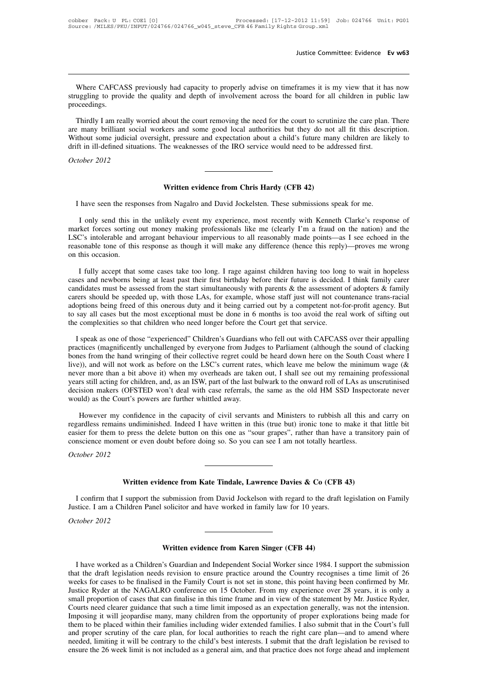Justice Committee: Evidence Ev w63<br>Where CAFCASS previously had capacity to properly advise on timeframes it is my view that it has now<br>uggling to provide the quality and depth of involvement across the board for all child Justice Committee: Evidence Ev w63<br>Where CAFCASS previously had capacity to properly advise on timeframes it is my view that it has now<br>struggling to provide the quality and depth of involvement across the board for all ch proceedings. Where CAFCASS previously had capacity to properly advise on timeframes it is my view that it has now uggling to provide the quality and depth of involvement across the board for all children in public law occedings.<br>Thirdl

Where CAFCASS previously had capacity to properly advise on timeframes it is my view that it has now struggling to provide the quality and depth of involvement across the board for all children in public law proceedings.<br>T Where CAFCASS previously had capacity to properly advise on timeframes it is my view that it has now struggling to provide the quality and depth of involvement across the board for all children in public law proceedings.<br>T struggling to provide the quality and depth of involvement across the board for all children in publes proceedings.<br>Thirdly I am really worried about the court removing the need for the court to scrutinize the care plan.<br>a proceedings.<br>Thirdly I am really wo<br>are many brilliant socia<br>Without some judicial of<br>drift in ill-defined situation<br>October 2012 Without some judicial oversight, pressure and expectation about a child's future many children are likely to drift in ill-defined situations. The weaknesses of the IRO service would need to be addressed first.<br>October 2012

Victime evidence from Chris Hardy (CFB 42)<br>I have seen the responses from Nagalro and David Jockelsten. These submissions speak for me.<br>I only send this in the unlikely event my experience, most recently with Kenneth Clark market forces sorting out money making professionals like me (clearly I'm a fraud on the nation) and the LSC's intolerable and arrogant behaviour impervious to all reasonably made points—as I see echoed in the **Solution System Chris Hardy (CFB 42)**<br>I have seen the responses from Nagalro and David Jockelsten. These submissions speak for me.<br>I only send this in the unlikely event my experience, most recently with Kenneth Clarke's **Example 18 I have seen the responses from Nagalro and David Jockelsten. These submissions speak for me.**<br>I only send this in the unlikely event my experience, most recently with Kenneth Clarke's response of market forces I have seen the responses from Nagalro and David Jockelsten. These submissions speak for me.<br>
I only send this in the unlikely event my experience, most recently with Kenneth Clarke's response of market forces sorting out I have seen the resp<br>I only send this in<br>market forces sorting<br>LSC's intolerable and<br>reasonable tone of this<br>on this occasion.<br>I fully accept that I only send this in the unlikely event my experience, most recently with Kenneth Clarke's response of the forces sorting out money making professionals like me (clearly I'm a fraud on the nation) and the C's intolerable an market forces sorting out money making professionals like me (clearly I'm a fraud on the nation) and the LSC's intolerable and arrogant behaviour impervious to all reasonably made points—as I see echoed in the reasonable t

LSC's intolerable and arrogant behaviour impervious to all reasonably made points—as I see echoed in the reasonable tone of this response as though it will make any difference (hence this reply)—proves me wrong on this occ reasonable tone of this response as though it will make any difference (hence this reply)—proves me wrong<br>on this occasion.<br>I fully accept that some cases take too long. I rage against children having too long to wait in h I fully accept that some cases take too long. I rage against children having too long to wait in hopeless<br>cases and newborns being at least past their first birthday before their future is decided. I think family carer<br>can I fully accept that some cases take too long. I rage against children having too long to wait in hopeless cases and newborns being at least past their first birthday before their future is decided. I think family carer can I fully accept that some cases take too long. I rage against children having too long cases and newborns being at least past their first birthday before their future is decided.<br>candidates must be assessed from the start s carers should be speeded up, with those LAs, for example, whose staff just will not countenance trans-racial<br>adoptions being freed of this onerous duty and it being carried out by a competent not-for-profit agency. But<br>to carers should be speeded up, with those LAs, for example, whose staff just will not countenance trans-racial<br>adoptions being freed of this onerous duty and it being carried out by a competent not-for-profit agency. But<br>to

adoptions being freed of this onerous duty and it being carried out by a competent not-for-profit agency. But<br>to say all cases but the most exceptional must be done in 6 months is too avoid the real work of sifting out<br>the to say all cases but the most exceptional must be done in 6 months is too avoid the real work of sifting out<br>the complexities so that children who need longer before the Court get that service.<br>I speak as one of those "exp the complexities so that children who need longer before the Court get that service.<br>I speak as one of those "experienced" Children's Guardians who fell out with CAFCASS over their appalling<br>practices (magnificently unchal I speak as one of those "experienced" Children's Guardians who fell out with CAFCASS over their appalling practices (magnificently unchallenged by everyone from Judges to Parliament (although the sound of clacking bones fr I speak as one of those "experienced" Children's Guardians who fell out with CAFCASS over their appalling practices (magnificently unchallenged by everyone from Judges to Parliament (although the sound of clacking bones fr practices (magnificently unchallenged by everyone from Judg<br>bones from the hand wringing of their collective regret could<br>live)), and will not work as before on the LSC's current rate<br>never more than a bit above it) when m (a)), and will not work as before on the LSC's current rates, which leave me below the minimum wage ( $\&$ er more than a bit above it) when my overheads are taken out, I shall see out my remaining professional rs still act never more than a bit above it) when my overheads are taken out, I shall see out my remaining professional<br>years still acting for children, and, as an ISW, part of the last bulwark to the onward roll of LAs as unscrutinise

years still acting for children, and, as an ISW, part of the last bulwark to the onward roll of LAs as unscrutinised<br>decision makers (OFSTED won't deal with case referrals, the same as the old HM SSD Inspectorate never<br>wou decision makers (OFSTED won't deal with case referrals, the same as the old HM SSD Inspect<br>would) as the Court's powers are further whittled away.<br>However my confidence in the capacity of civil servants and Ministers to ru *Court s po*<br>*However my confide*<br>regardless remains undin<br>easier for them to press<br>conscience moment or ev<br>*October 2012* **Example 12** and the defect button on this one as "sour grapes", rather than have a transition of even doubt before doing so. So you can see I am not totally heartless.<br> **Written evidence from Kate Tindale, Lawrence Davies** 

I confirm that I support the submission from David Jockelson with regard to the draft legislation on Family<br>I confirm that I support the submission from David Jockelson with regard to the draft legislation on Family<br>stice. Viction 10 12<br>
Justice. I am a Children Panel solicitor and have worked in family law for 10 years.<br>
October 2012 **Viending 1 Second Section**<br>*Dustice. I am a Children*<br>*October 2012* submission from David Jockelson with regard to the drate solicitor and have worked in family law for 10 years.<br> **Written evidence from Karen Singer (CFB 44)**<br>
<sup>2</sup>'s Guardian and Independent Social Worker since 1984. I

I have worked as a Children's Guardian and Independent Social Worker since 1984. I support the submission<br>I have worked as a Children's Guardian and Independent Social Worker since 1984. I support the submission<br>at the dra That the draft legislation needs revision to ensure practice around the Country recognises a time limit of 26<br>weeks for cases to be finalised in the Family Court is not set in stone, this point having been confirmed by Mr. Written evidence from Karen Singer (CFB 44)<br>I have worked as a Children's Guardian and Independent Social Worker since 1984. I support the submission<br>that the draft legislation needs revision to ensure practice around the **Written evidence from Karen Singer (CFB 44)**<br>I have worked as a Children's Guardian and Independent Social Worker since 1984. I support the submission<br>that the draft legislation needs revision to ensure practice around th **Solution 1998 Written evidence from Karen Singer (CFB 44)**<br>
I have worked as a Children's Guardian and Independent Social Worker since 1984. I support the submission<br>
that the draft legislation needs revision to ensure I have worked as a Children's Guardian and Independent Social Worker since 1984. I support the submission that the draft legislation needs revision to ensure practice around the Country recognises a time limit of 26 weeks I have worked as a Children's Guardian and Independent Social Worker since 1984. I support the submission<br>that the draft legislation needs revision to ensure practice around the Country recognises a time limit of 26<br>weeks that the draft legislation needs revision to ensure practice around the Country recognises a time limit of 26 weeks for cases to be finalised in the Family Court is not set in stone, this point having been confirmed by Mr. weeks for cases to be finalised in the Family Court is not set in stone, this point having been confirmed by Mr.<br>Justice Ryder at the NAGALRO conference on 15 October. From my experience over 28 years, it is only a<br>small p Justice Ryder at the NAGALRO conference on 15 October. From my experience over 28 years, it is only a small proportion of cases that can finalise in this time frame and in view of the statement by Mr. Justice Ryder, Courts small proportion of cases that can finalise in this time frame and in view of the statement by Mr. Justice Ryder, Courts need clearer guidance that such a time limit imposed as an expectation generally, was not the intensi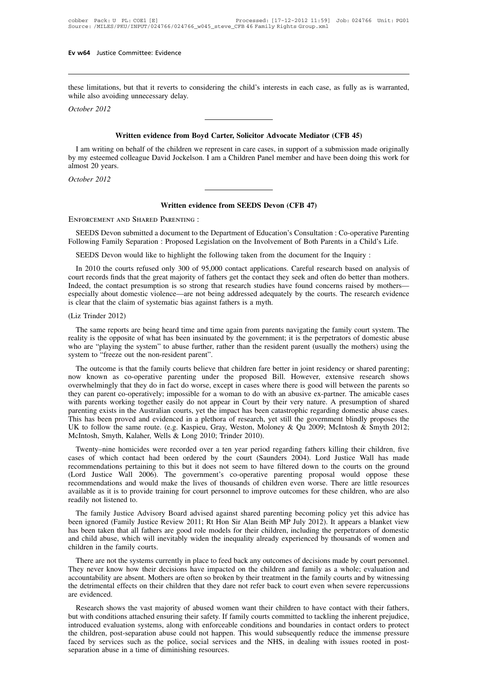Ev w64 Justice Committee: Evidence<br>
these limitations, but that it reverts to considering the child's interests in each case, as fully as is warranted,<br>
while also avoiding unnecessary delay. Ev w64 Justice Committee: Evidence<br>these limitations, but that it reverts to consi<br>while also avoiding unnecessary delay.<br>October 2012 **EV W64** Justice Committe<br>
these limitations, but that<br>
while also avoiding unne<br>
October 2012 **Example 18 External Solution** the child's interests in each case, as fully as is way ding unnecessary delay.<br> **Written evidence from Boyd Carter, Solicitor Advocate Mediator (CFB 45)**<br>
on behalf of the children we represe

I am writing on behalf of the children we represent in care cases, in support of a submission made originally<br>I am writing on behalf of the children we represent in care cases, in support of a submission made originally<br>my **but of the colleague of the colleague from Boyd Carter, Solicitor Advocate Mediator (CFB 45)**<br>
I am writing on behalf of the children we represent in care cases, in support of a submission made originally<br>
by my esteemed Writte<br>
I am writing on beh<br>
by my esteemed colle:<br>
almost 20 years.<br>
October 2012 **Vietner I**<br>*Dem* writing on behalf<br>by my esteemed colleague<br>almost 20 years.<br>*October 2012* I am writing on behalf of the children we represent in care cases, in support of a subm<br>by my esteemed colleague David Jockelson. I am a Children Panel member and have be<br>almost 20 years.<br>October 2012<br>Written evidence from

SEEDS Devon (CFB 47)<br>
SEEDS Devon submitted a document to the Department of Education's Consultation : Co-operative Parenting<br>
Illowing Family Separation : Proposed Legislation on the Involvement of Both Parents in a Child **FOLLOWING FAMILY FOLLOWING FAMILY SEEDS DEVON CONTRATION**<br>FOLLOWING FAMILY SEEDS Devon submitted a document to the Department of Education's Consultation : Co-operative Parenting<br>Following Family Separation : Proposed Leg Written evidence from SEEDS Devon (CFB 47)<br>ENFORCEMENT AND SHARED PARENTING :<br>SEEDS Devon submitted a document to the Department of Education's Consultation : Co-operative Parenting<br>Following Family Separation : Proposed L

INTERT AND SHARED PARENTING :<br>SEEDS Devon submitted a document to the Department of Education's Consultation : Co-operative Parenting<br>Illowing Family Separation : Proposed Legislation on the Involvement of Both Parents in SEEDS Devon submitted a document to the Department of Education's Consultation : Co-operative Parenting Following Family Separation : Proposed Legislation on the Involvement of Both Parents in a Child's Life.<br>SEEDS Devon w SEEDS Devon submitted a document to the Department of Education's Consultation : Co-operative Parenting<br>Following Family Separation : Proposed Legislation on the Involvement of Both Parents in a Child's Life.<br>SEEDS Devon w Following Family Separation : Proposed Legislation on the Involvement of Both Parents in a Child's Life.<br>SEEDS Devon would like to highlight the following taken from the document for the Inquiry :<br>In 2010 the courts refuse SEEDS Devon would like to highlight the following taken from the orthomore in 2010 the courts refused only 300 of 95,000 contact applications. Court records finds that the great majority of fathers get the contact they Ind Indeed, the contact presumption is so strong that research studies have found concerns raised by mothers—<br>especially about domestic violence—are not being addressed adequately by the courts. The research evidence<br>is clear urt records finds that the great majority of fathers get the contact they seek and often do better than mothers.<br>
Ideed, the contact presumption is so strong that research studies have found concerns raised by mothers—<br>
pe

Indeed, the contact presumption is so strong that research studies have found concerns raised by mothers—<br>especially about domestic violence—are not being addressed adequately by the courts. The research evidence<br>is clear especially about domestic violence—are not being addressed adequately by the courts. The research evidence is clear that the claim of systematic bias against fathers is a myth.<br>
(Liz Trinder 2012)<br>
The same reports are bei who are "playing the system" to abuse further, rather than the resident parent (usually the mothers) using the system to "freeze out the non-resident parent".<br>The outcome is that the family courts believe that children far iz Trinder 2012)<br>The same reports are being heard time and time again from parents navigating the family court system. The<br>hilty is the opposite of what has been insinuated by the government; it is the perpetrators of dome

The same reports are being heard time and time again from parents navigating the family court system. The reality is the opposite of what has been insinuated by the government; it is the perpetrators of domestic abuse who The same reports are being heard time and time again from parents havigating the raminy court system. The reality is the opposite of what has been insinuated by the government; it is the perpetrators of domestic abuse who The parent of what has been insimilated by the government, it is the perpetrators of domestic abuse who are "playing the system" to abuse further, rather than the resident parent (usually the mothers) using the system to " who are playing the system to abuse further, father than the resident parent (usuarly the mondels) using the<br>system to "freeze out the non-resident parent".<br>The outcome is that the family courts believe that children fare System to Treeze out the Hon-Testicant parent.<br>The outcome is that the family courts believe that children fare better in joint residency or shared parenting;<br>now known as co-operative parenting under the proposed Bill. Ho The outcome is that the family courts believe that children fare better in joint residency or shared parenting;<br>now known as co-operative parenting under the proposed Bill. However, extensive research shows<br>overwhelmingly now known as co-operative parenting under the proposed Bill. However, extensive research shows<br>overwhelmingly that they do in fact do worse, except in cases where there is good will between the parents so<br>they can parent c overwhelmingly that they do in fact do worse, except in cases where there is good will between the parents so<br>they can parent co-operatively; impossible for a woman to do with an abusive ex-partner. The amicable cases<br>with by can parent co-operativery, impossion for a woman to do whil an abusive ex-partier. The anneable cases<br>th parents working together easily do not appear in Court by their very nature. A presumption of shared<br>renting exist which partitis working together easily do not appear in Court by their very hadite. A presumption of stated parenting exists in the Australian courts, yet the impact has been catastrophic regarding domestic abuse cases. Th

partiting exists in the Australian courts, yet the impact has been catastrophic regarding domestic abuse cases.<br>This has been proved and evidenced in a plethora of research, yet still the government blindly proposes the UK This has been proved and evidenced in a pientota of research, yet sum the government officity proposes the UK to follow the same route. (e.g. Kaspieu, Gray, Weston, Moloney & Qu 2009; McIntosh & Smyth 2012; McIntosh, Smyth be the lines and would make the lives of thousands of children even worse. There are little resources available as it is to provide training for court personnel to improve outcomes for these children, five recommendations available as it is to provide training for court personnel to improve outcomes for these children, five cases of which contact had been ordered by the court (Saunders 2004). Lord Justice Wall has made recommendations perta Twenty–nine homicides v<br>cases of which contact has<br>recommendations pertaining<br>(Lord Justice Wall 2006)<br>recommendations and would<br>available as it is to provide<br>readily not listened to.<br>The family Justice Advis The family Justice Advisory Board advised against shared parenting the perpetrators of domestic Advisory Board and would make the lives of thousands of children even worse. There are little resources ailable as it is to pr becommendations pertaining to this but it does not seem to have intered down to the courts of the ground (Lord Justice Wall 2006). The government's co-operative parenting proposal would oppose these recommendations and wou

(Lord Justice Warr 2000). The government s Co-operative parenting proposar would oppose these recommendations and would make the lives of thousands of children even worse. There are little resources available as it is to p recommendations and would make the fives of mousalins of children even worse. There are intie resources available as it is to provide training for court personnel to improve outcomes for these children, who are also readil available as it is to provide training for court personnel to improve outcomes for these children, who are also<br>readily not listened to.<br>The family Justice Advisory Board advised against shared parenting becoming policy ye The family Justice Advisory Board advised against shared parenting becoming policy yet this advice has<br>en ignored (Family Justice Review 2011; Rt Hon Sir Alan Beith MP July 2012). It appears a blanket view<br>s been taken tha The ranny sustice Advisory Board advised against shared parenting occoming poincy yet this advice has<br>been ignored (Family Justice Review 2011; Rt Hon Sir Alan Beith MP July 2012). It appears a blanket view<br>has been taken

been ignoted (Family Justice Review 2011, RETION 31 Alan Betti MT July 2012). It appears a bialitet view<br>has been taken that all fathers are good role models for their children, including the perpetrators of domestic<br>and c the detrimental effects on their children that they dare not refer back to court even when severe repercussions are evidenced.<br>They never know how their decisions have impacted on the children and family as a whole; evalua They never know how their decisions have impacted on the children and family as a whole; evaluation and accountability are absent. Mothers are often so broken by their treatment in the family courts and by witnessing the d There are not the systems currently in place to feed back any outcomes of decisions made by court personnel.<br>
Hey never know how their decisions have impacted on the children and family as a whole; evaluation and<br>
countabi They never know how their decisions have impacted on the children and family as a whole; evaluation and accountability are absent. Mothers are often so broken by their treatment in the family courts and by witnessing the d

Inty fiever know how their decisions have impacted on the emidden and family as a whole, evaluation and accountability are absent. Mothers are often so broken by their treatment in the family courts and by witnessing the d accountabiny are absent. Monies are often so blocken by their treatment in the rainity courts and by whitessing<br>the detrimental effects on their children that they dare not refer back to court even when severe repercussion faced by services such as the police, social services and the NHS, in dealing with issues rooted in post-separation abuse in a time of diminishing resources.<br>The police of the children, post-separation systems, along with Research shows the vast majority of abused won<br>but with conditions attached ensuring their safety. If<br>introduced evaluation systems, along with enforceal<br>the children, post-separation abuse could not happe<br>faced by service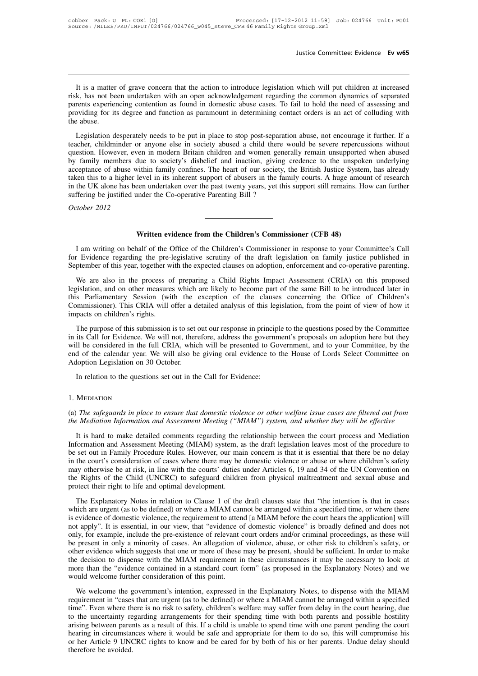It is a matter of grave concern that the action to introduce legislation which will put children at increased<br>K, has not been undertaken with an open acknowledgement regarding the common dynamics of separated<br>rents experie It is a matter of grave concern that the action to introduce legislation which will put children at increased<br>risk, has not been undertaken with an open acknowledgement regarding the common dynamics of separated<br>parents ex Justice Committee: Evidence Evidence Evidence Evidence Evidence Evidence Evidence Evidence Evidence Links.<br>It is a matter of grave concern that the action to introduce legislation which will put children at increased<br>risk, It is a matter of grave concern that the action to introduce legislation which will put children at increased risk, has not been undertaken with an open acknowledgement regarding the common dynamics of separated parents ex It is a matter<br>risk, has not be<br>parents experies<br>providing for it<br>the abuse.<br>Legislation d It is a matter of grave concern that the action to introduce legislation which will put children at increased<br>k, has not been undertaken with an open acknowledgement regarding the common dynamics of separated<br>rents experie This a matter or grave concern that the action to mitodate registation which will put elimited at increased risk, has not been undertaken with an open acknowledgement regarding the common dynamics of separated parents expe

The start of the modern and the modern in the modern expansion. The start of our society and providing for its degree and function as paramount in determining contact orders is an act of colluding with the abuse.<br>
Legislat providing for its degree and function as found in domestic abouse cases. To fail to hold the heced of assessing and<br>providing for its degree and function as paramount in determining contact orders is an act of colluding wi Froviding for its degree and ranction as paramount in determining contact orders is an act or containing with<br>the abuse.<br>Legislation desperately needs to be put in place to stop post-separation abuse, not encourage it furt Legislation desperately needs to be put in place to stop post-separation abuse, not encourage it further. If a teacher, childminder or anyone else in society abused a child there would be severe repercussions without quest Legislation desperately needs to be put in place to stop post-separation abuse, not encourage it further. If a teacher, childminder or anyone else in society abused a child there would be severe repercussions without quest teacher, childminder or anyone else in society abused a child there question. However, even in modern Britain children and women generative parenting members due to society's disbelief and inaction, giving acceptance of ab by family members due to society's disbelief and inaction, giving credence to the unspoken underlying acceptance of abuse within family confines. The heart of our society, the British Justice System, has already taken this in the UK alone has been undertaken over the past twenty years, yet this support still remains. How can further<br>suffering be justified under the Co-operative Parenting Bill?<br>October 2012<br>Written evidence from the Children'

Itering be justified under the Co-operative Parenting Bill?<br>
I am writing on behalf of the Office of the Children's Commissioner (CFB 48)<br>
I am writing on behalf of the Office of the Children's Commissioner in response to For Evidence from the Children's Commissioner (CFB 48)<br>
I am writing on behalf of the Office of the Children's Commissioner in response to your Committee's Call<br>
for Evidence regarding the pre-legislative scrutiny of the d **September of the September of the Children's Commissioner (CFB 48)**<br>I am writing on behalf of the Office of the Children's Commissioner in response to your Committee's Call<br>for Evidence regarding the pre-legislative scrut **Written evidence from the Children's Commissioner (CFB 48)**<br>I am writing on behalf of the Office of the Children's Commissioner in response to your Committee's Call<br>r Evidence regarding the pre-legislative scrutiny of the

**Example 10.** I am writing on behalf of the Office of the Children's Commissioner in response to your Committee's Call for Evidence regarding the pre-legislative scrutiny of the draft legislation on family justice publishe I am writing on behalf of the Office of the Children's Commissioner in response to your Committee's Call<br>for Evidence regarding the pre-legislative scrutiny of the draft legislation on family justice published in<br>September The winding of octain of the Office of the elminent s'Oominissioner in response to your Committee s'Can<br>for Evidence regarding the pre-legislative scrutiny of the draft legislation on family justice published in<br>September For Evidence regarding the pre-<br>September of this year, together w<br>We are also in the process of<br>legislation, and on other measures<br>this Parliamentary Session (with<br>Commissioner). This CRIA will deret in purpose of this su We are also in the process of preparing a Child Rights Impact Assessment (CRIA) on this proposed gislation, and on other measures which are likely to become part of the same Bill to be introduced later in s Parliamentary S From the mass of proposals of proposals in the same Bill to be introduced later in this Parliamentary Session (with the exception of the clauses concerning the Office of Children's Commissioner). This CRIA will offer a det

be considered in the full of the exception of the clauses concerning the Office of Children's Commissioner). This CRIA will offer a detailed analysis of this legislation, from the point of view of how it impacts on childre End of the calendar year. We will offer a detailed analysis of this legislation, from the point of view of how it impacts on children's rights.<br>The purpose of this submission is to set out our response in principle to the Examples on children's rights.<br>The purpose of this submission is to set in its Call for Evidence. We will not, there<br>will be considered in the full CRIA, whice<br>end of the calendar year. We will also be<br>Adoption Legislation The purpose of this submission is to set out our response in principl<br>its Call for Evidence. We will not, therefore, address the governm<br>Il be considered in the full CRIA, which will be presented to Go<br>d of the calendar ye

### 1. Mediation

# (a) *The safeguards in place to ensure that domestic violence:*<br>
(a) *The safeguards in place to ensure that domestic violence or other welfare issue cases are filtered out from*<br>
(b) *The safeguards in place to ensure tha the Mediation is the Mediation Information and Assessment Meeting ("MIAM") system, and whether they will be effective*<br>*the Mediation Information and Assessment Meeting ("MIAM") system, and whether they will be effective*

It is hard to make detailed comments regarding the relationship between the court process are filtered out from<br>It is hard to make detailed comments regarding the relationship between the court process and Mediation<br>It is 1. MEDIATION<br>
(a) The safeguards in place to ensure that domestic violence or other welfare issue cases are filtered out from<br>
the Mediation Information and Assessment Meeting ("MIAM") system, and whether they will be effe 1. MEDIATION<br>
(a) The safeguards in place to ensure that domestic violence or other welfare issue cases are filtered out from<br>
the Mediation Information and Assessment Meeting ("MIAM") system, and whether they will be effe (a) The safeguards in place to ensure that domestic violence or other welfare issue cases are filtered out from<br>the Mediation Information and Assessment Meeting ("MIAM") system, and whether they will be effective<br>It is har may otherwise be at risk, in line with the courts' duties under the court process and Mediation Information and Assessment Meeting ("MIAM") system, and whether they will be effective<br>It is hard to make detailed comments re It is hard to make detailed comments regarding the relationship between the court process and Mediation Information and Assessment Meeting (MIAM) system, as the draft legislation leaves most of the procedure to be set out It is hard to make detailed comments regarding the r<br>Information and Assessment Meeting (MIAM) system, a<br>be set out in Family Procedure Rules. However, our ma<br>in the court's consideration of cases where there may be<br>may ot For the Explanatory Controllation of cases. However, our main concern is that it is essential that there be no delay the court's consideration of cases where there may be domestic violence or abuse or where children's saf in the court's consideration of cases where there may be domestic violence or abuse or where children's safety<br>may otherwise be at risk, in line with the courts' duties under Articles 6, 19 and 34 of the UN Convention on<br>t

in the court is evidence of domestic violence of domesta of the UN Convention of the Rights of the Child (UNCRC) to safeguard children from physical maltreatment and sexual abuse and protect their right to life and optimal nay suce whise our the Child (UNCRC) to safeguard children from physical maltreatment and sexual abuse and protect their right to life and optimal development.<br>The Explanatory Notes in relation to Clause 1 of the draft cla In the Explanatory Notes in relation to Clause 1 of the draft clauses state that "the intention is that in cases<br>which are urgent (as to be defined) or where a MIAM cannot be arranged within a specified time, or where ther The Explanatory Notes in relation to Clause 1 of the draft clauses state that "the intention is that in cases<br>which are urgent (as to be defined) or where a MIAM cannot be arranged within a specified time, or where there<br>i The Explanatory Notes in relation to Clause 1 of the draft clauses state that "the intention is that in cases which are urgent (as to be defined) or where a MIAM cannot be arranged within a specified time, or where there i which are urgent (as to be defined) or where a MIAM cannot be arranged within a specified time, or where there is evidence of domestic violence, the requirement to attend [a MIAM before the court hears the application] wil is evidence of domestic violence, the requirement to attend [a MIAM before the court hears the application] will<br>not apply". It is essential, in our view, that "evidence of domestic violence" is broadly defined and does no not apply". It is essential, in our view, that "evidence oonly, for example, include the pre-existence of relevant the present in only a minority of cases. An allegation of other evidence which suggests that one or more of My, for example, interest in only a minority of cases. An allegation of violence, abuse, or other risk to children's safety, or present in only a minority of cases. An allegation of violence, abuse, or other risk to childr other evidence which suggests that one or more of these may be present, should be sufficient. In order to make<br>the decision to dispense with the MIAM requirement in these circumstances it may be necessary to look at<br>more t

of the decision to dispense with the MIAM requirement in these circumstances it may be necessary to look at more than the "evidence contained in a standard court form" (as proposed in the Explanatory Notes) and we would we the uncertainty difference contained in a standard court form" (as proposed in the Explanatory Notes) and we would welcome further consideration of this point.<br>We welcome the government's intention, expressed in the Explan and would welcome further consideration of this point.<br>We welcome the government's intention, expressed in the Explanatory Notes, to dispense with the MIAM<br>requirement in "cases that are urgent (as to be defined) or where We welcome fartact consideration of all point.<br>We welcome the government's intention, expressed in the Explanatory Notes, to dispense with the MIAM<br>requirement in "cases that are urgent (as to be defined) or where a MIAM c We welcome the government's intention, expressed in the Explanatory Notes, to dispense with the MIAM requirement in "cases that are urgent (as to be defined) or where a MIAM cannot be arranged within a specified time". Eve requirement in "cases<br>time". Even where the<br>to the uncertainty re<br>arising between paren<br>hearing in circumstar<br>or her Article 9 UNC<br>therefore be avoided.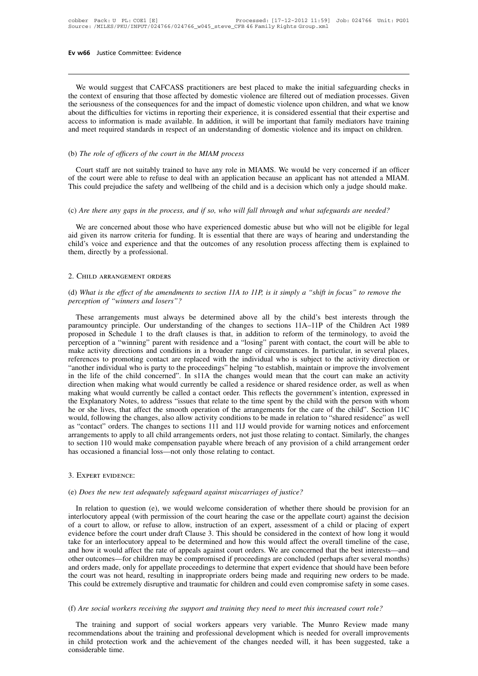We would suggest that CAFCASS practitioners are best placed to make the initial safeguarding checks in<br>e context of ensuring that those affected by domestic violence are filtered out of mediation processes. Given<br>e serious **EV W66** Justice Committee: Evidence<br>
We would suggest that CAFCASS practitioners are best placed to make the initial safeguarding checks in<br>
the context of ensuring that those affected by domestic violence are filtered ou **Ev w66** Justice Committee: Evidence<br>
We would suggest that CAFCASS practitioners are best placed to make the initial safeguarding checks in<br>
the context of ensuring that those affected by domestic violence are filtered ou We would suggest that CAFCASS practitioners are best placed to make the initial safeguarding checks in<br>the context of ensuring that those affected by domestic violence are filtered out of mediation processes. Given<br>the ser We would suggest that CAFCASS practitioners are best placed to make the initial safeguarding checks in the context of ensuring that those affected by domestic violence are filtered out of mediation processes. Given the ser We would suggest that CAFCASS practitioners are best placed to make the initial safeguarding checks in the context of ensuring that those affected by domestic violence are filtered out of mediation processes. Given the ser (*check of officers* of the consequences for and the impact of domestial<br>the seriousness of the consequences for and the impact of domestial<br>about the difficulties for victims in reporting their experience, it is<br>access to

Court staff are not suitably trained to have any role in MIAMS. We would be very concerned if an officer<br>Court staff are not suitably trained to have any role in MIAMS. We would be very concerned if an officer<br>the court st of the court starf are not suitably trained to have any role in MIAMS. We would be very concerned if an officer<br>(b) The role of officers of the court in the MIAM process<br>Court staff are not suitably trained to have any rol This could prejudice the safety and wellbeing of the child and is a decision which only a judge should make.<br>This could prejudice the safety and wellbeing of the child and is a decision which only a judge should make. (b) The role of officers of the court in the prixing process<br>Court staff are not suitably trained to have any role in MIAMS. We would be very concerned if an officer<br>of the court were able to refuse to deal with an applica

Source the court were able to refuse to deal with an application because an applicant has not attended a MIAM.<br>In the court were able to refuse to deal with an application because an applicant has not attended a MIAM.<br>Are This could prejudice the safety and wellbeing of the child and is a decision which only a judge should make.<br>
(c) *Are there any gaps in the process, and if so, who will fall through and what safeguards are needed?*<br>
We ar (c) *Are there any gaps in the process, and if so, who will fall through and what safeguards are needed?*<br>We are concerned about those who have experienced domestic abuse but who will not be eligible for legal<br>aid given it (c) *Are there any gaps in the process, and*<br>We are concerned about those who have<br>aid given its narrow criteria for funding. I<br>child's voice and experience and that the<br>them, directly by a professional.<br>2. CHILD ARRANGEME (d) *What is the effect of the amendments to section 11A to 11P, is it simply a "shift in focus" to remove the*<br>perception of "winners and losers"? *perception of "winners and that the outcomes of any resolution process affecting them is explained to them, directly by a professional.*<br>
2. CHILD ARRANGEMENT ORDERS<br>
(d) *What is the effect of the amendments to section 1* 

CHILD ARRANGEMENT ORDERS<br>
What is the effect of the amendments to section 11A to 11P, is it simply a "shift in focus" to remove the<br>
reeption of "winners and losers"?<br>
These arrangements must always be determined above all 2. CHILD ARRANGEMENT ORDERS<br>
(d) What is the effect of the amendments to section 11A to 11P, is it simply a "shift in focus" to remove the<br>
perception of "winners and losers"?<br>
These arrangements must always be determined perception of "winners and losers"?<br>
These arrangements must always be determined above all by the child's best interests through the<br>
paramountcy principle. Our understanding of the changes to sections 11A-11P of the Chil (d) What is the effect of the amendments to section  $IIA$  to  $IIP$ , is it simply a "shift in focus" to remove the perception of "winners and losers"?<br>These arrangements must always be determined above all by the child's bes perception of "winners and losers"?<br>These arrangements must always be determined above all by the child's best interests through the<br>paramountcy principle. Our understanding of the changes to sections 11A-11P of the Childr These arrangements must always be determined above all by the child's best interests through the paramountcy principle. Our understanding of the changes to sections 11A-11P of the Children Act 1989 proposed in Schedule 1 t These arrangements must always be determined above all by the child's best interests through the paramountcy principle. Our understanding of the changes to sections 11A-11P of the Children Act 1989 proposed in Schedule 1 t paramountcy principle. Our understanding of the changes to sections 11A-11P of the Children Act 1989<br>proposed in Schedule 1 to the draft clauses is that, in addition to reform of the terminology, to avoid the<br>perception of proposed in Schedule 1 to the draft clauses is that, in addition to reform of the terminology, to avoid the perception of a "winning" parent with residence and a "losing" parent with contact, the court will be able to make perception of a "winning" parent with residence and a "losing" parent with contact, the court will be able to make activity directions and conditions in a broader range of circumstances. In particular, in several places, r make activity directions and conditions in a broader range of circumstances. In particular, in several places, references to promoting contact are replaced with the individual who is subject to the activity direction or "a references to promoting contact are replaced with the individual who is subject to the activity direction or "another individual who is party to the proceedings" helping "to establish, maintain or improve the involvement i "another individual who is party to the proceedings" helping "to establish, maintain or improve the involvement<br>in the life of the child concerned". In s11A the changes would mean that the court can make an activity<br>direct in the life of the child concerned". In s11A the changes would mean that the court can make an activity direction when making what would currently be called a residence or shared residence order, as well as when making wha direction when making what would currently be called a residence or shared residence order, as well as when making what would currently be called a contact order. This reflects the government's intention, expressed in the making what would currently be called a contact order. This reflects the government's intention, expressed in<br>the Explanatory Notes, to address "issues that relate to the time spent by the child with the person with whom<br>h the Explanatory Notes, to address "issues that relate to the time spent by<br>he or she lives, that affect the smooth operation of the arrangements fo<br>would, following the changes, also allow activity conditions to be made in (e) *Does the new test adequately safeguard against miscarriages of justice?*<br>
(e) *Does the new test adequately safeguard against miscarriages of justice?*<br>
In relation to question (e), we would welcome consideration of w

EXPERT EVIDENCE:<br>
ID *Does the new test adequately safeguard against miscarriages of justice?*<br>
In relation to question (e), we would welcome consideration of whether there should be provision for an erlocutory appeal (wit FRIM SO UNDERT EVIDENCE:<br>
(e) Does the new test adequately safeguard against miscarriages of justice?<br>
In relation to question (e), we would welcome consideration of whether there should be provision for an<br>
interlocutory 3. Expert evidence:<br>
(e) *Does the new test adequately safeguard against miscarriages of justice?*<br>
In relation to question (e), we would welcome consideration of whether there should be provision for an<br>
interlocutory app (e) *Does the new test adequately safeguard against miscarriages of justice?*<br>In relation to question (e), we would welcome consideration of whether there should be provision for an<br>interlocutory appeal (with permission of (e) *Does the new test adequately safeguard against miscarriages of justice?*<br>In relation to question (e), we would welcome consideration of whether there should be provision for an<br>interlocutory appeal (with permission o In relation to question (e), we would welcome consideration of whether there should be provision for an interlocutory appeal (with permission of the court hearing the case or the appellate court) against the decision of a In relation to question (e), we would welcome consideration of whether there should be provision for an interlocutory appeal (with permission of the court hearing the case or the appellate court) against the decision of a interlocutory appeal (with permission of the court hearing the case or the appellate court) against the decision<br>of a court to allow, or refuse to allow, instruction of an expert, assessment of a child or placing of expert of a court to allow, or refuse to allow, instruction of an expert, assessment of a child or placing of expert evidence before the court under draft Clause 3. This should be considered in the context of how long it would ta evidence before the court under draft Clause 3. This should be considered in the context of how long it would take for an interlocutory appeal to be determined and how this would affect the overall timeline of the case, an wher outcomes—for children may be compromised if proceedings are concluded (perhaps after several months) and orders made, only for appellate proceedings to determine that expert evidence that should have been before the c

Frequences the training in imappropriate orders being made and requiring new orders to be made.<br>
Support was not heard, resulting in inappropriate orders being made and requiring new orders to be made.<br>
Support and trainin This could be extremely disruptive and traumatic for children and could even compromise safety in some cases.<br>
(f) *Are social workers receiving the support and training they need to meet this increased court role?*<br>
The t In child workers receiving the support and training they need to meet this increased court role?<br>The training and support of social workers appears very variable. The Munro Review made many<br>recommendations about the traini (f) *Are social work*<br>The training and<br>recommendations<br>in child protection<br>considerable time.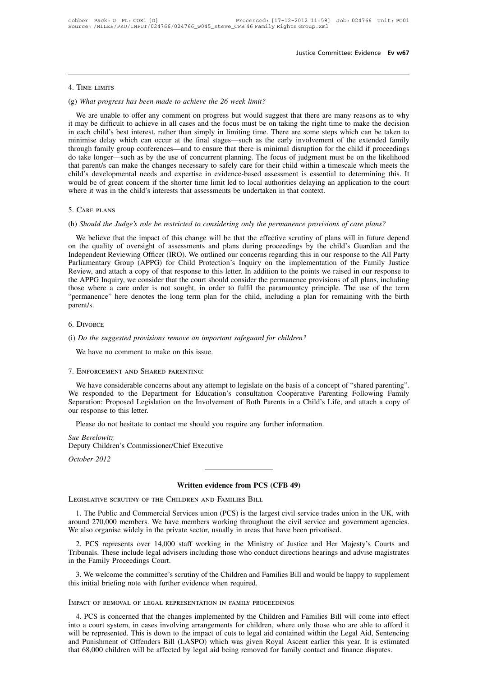# 4. Time limits

ITHE SET AT THE LIMITS<br>(g) *What progress has been made to achieve the 26 week limit?*<br>We are unable to offer any comment on progress but would suggest tha TIME LIMITS<br>What progress has been made to achieve the 26 week limit?<br>We are unable to offer any comment on progress but would suggest that there are many reasons as to why<br>may be difficult to achieve in all cases and the <sup>1</sup><br>
(g) What progress has been made to achieve the 26 week limit?<br>
We are unable to offer any comment on progress but would suggest that there are many reasons as to why<br>
it may be difficult to achieve in all cases and th 4. TIME LIMITS<br>(g) What progress has been made to achieve the 26 week limit?<br>We are unable to offer any comment on progress but would suggest that there are many reasons as to why<br>it may be difficult to achieve in all case 4. TIME LIMITS<br>(g) What progress has been made to achieve the 26 week limit?<br>We are unable to offer any comment on progress but would suggest that there are many reasons as to why<br>it may be difficult to achieve in all case (g) What progress has been made to achieve the 26 week limit?<br>We are unable to offer any comment on progress but would suggest that there are many reasons as to why<br>it may be difficult to achieve in all cases and the focus (g) what progress has been made to achieve the 20 week timu:<br>We are unable to offer any comment on progress but would suggest that there are many reasons as to why<br>it may be difficult to achieve in all cases and the focus We are unable to offer any comment on progress but would suggest that there are many reasons as to why it may be difficult to achieve in all cases and the focus must be on taking the right time to make the decision in each it may be difficult to achieve in all cases and the focus must be on taking the right time to make the decision<br>in each child's best interest, rather than simply in limiting time. There are some steps which can be taken to in each child's best interest, rather than simply in limiting time. There are some steps which can be taken to<br>minimise delay which can occur at the final stages—such as the early involvement of the extended family<br>through minimise delay which can occur at the final stages—such as the early involvement of through family group conferences—and to ensure that there is minimal disruption for the do take longer—such as by the use of concurrent pl (h) *Should the Judge's role be restricted to considering only the permanence provisions of care plans?*<br>
We believe that the impact of this change will be the *shorter* time limit led to local authorities delaying an appl

Mound be of great concern if the shorter time film fed to locar authorities deraying an application to the court<br>here it was in the child's interests that assessments be undertaken in that context.<br>CARE PLANS<br>(Should the J S. CARE PLANS<br>
5. CARE PLANS<br>
(h) Should the Judge's role be restricted to considering only the permanence provisions of care plans?<br>
We believe that the impact of this change will be that the effective scrutiny of plans w 5. Care PLANS<br>
(h) *Should the Judge's role be restricted to considering only the permanence provisions of care plans?*<br>
We believe that the impact of this change will be that the effective scrutiny of plans will in future 5. Care PLANS<br>(h) *Should the Judge's role be restricted to considering only the permanence provisions of care plans?*<br>We believe that the impact of this change will be that the effective scrutiny of plans will in future d (h) *Should the Judge's role be restricted to considering only the permanence provisions of care plans?*<br>We believe that the impact of this change will be that the effective scrutiny of plans will in future depend<br>on the q (i) *shouta the stage's rote be restricted to considering only the permanence provisions of care plans.*<br>We believe that the impact of this change will be that the effective scrutiny of plans will in future depend<br>on the q We believe that the impact of this change will be that the effective scrutiny of plans will in future depend<br>on the quality of oversight of assessments and plans during proceedings by the child's Guardian and the<br>Independe on the quality of oversight of assessments and plans during proceedings by the child's Guardian and the Independent Reviewing Officer (IRO). We outlined our concerns regarding this in our response to the All Party Parliame parent/s. the APPG Inquiry, we consider that the court should consider the permanence provisions of all plans, including<br>those where a care order is not sought, in order to fulfil the paramountcy principle. The use of the term<br>"perm Merinance The denotes the long term plan for<br>parent/s.<br>6. Divorce<br>(i) *Do the suggested provisions remove an importana*<br>We have no comment to make on this issue.<br>7. ENFORCEMENT AND SHARED PARENTING:

# 6. Divorce

*Do the suggested provisions remove an important safeguard for children?*<br>We have no comment to make on this issue.<br>ENFORCEMENT AND SHARED PARENTING:<br>We have considerable concerns about any attempt to legislate on the basi We have no comment to make on this issue.<br>
T. ENFORCEMENT AND SHARED PARENTING:<br>
We have considerable concerns about any attempt to legislate on the basis of a concept of "shared parenting".<br>
We responded to the Department Separation: Proposed Legislation on the Involvement of Both Parents in a Child's Life, and attach a copy of Separation: Proposed Legislation on the Involvement of Both Parents in a Child's Life, and attach a copy of our re T. ENFORCEMENT AND SHARED<br>We have considerable concern<br>We responded to the Departn<br>Separation: Proposed Legislatic<br>our response to this letter.<br>Please do not hesitate to cont T. ENFORCEMENT AND SHARED PARENTING:<br>We have considerable concerns about any attempt to legislate on the basis of a concept of "shared parenting".<br>We responded to the Department for Education's consultation Cooperative Par We have considerable<br>We responded to the<br>Separation: Proposed L<br>our response to this lett<br>Please do not hesitate<br>Sue Berelowitz<br>Deputy Children's Con Separation: Proposed Legislation on the Involvement of Both Parents in a Child's Life, and attach a copy of our response to this letter.<br>
Please do not hesitate to contact me should you require any further information.<br>
Su

**Deputy Children's Commissioner/Chief Executive** Sue Berelowitz<br>Deputy Children's Commissioner/Chief Executive<br>October 2012<br>Written evidence from PCS (CFB 49<br>LEGISLATIVE SCRUTINY OF THE CHILDREN AND FAMILIES BILL

# **Written evidence from PCS (CFB 49)**

1. The Public and Commercial Services union (PCS) is the largest civil service trades union in the UK, with<br>
1. The Public and Commercial Services union (PCS) is the largest civil service trades union in the UK, with<br>
1. T **EXECUTINT SOLUTE AROUND 270,000** members. We have members working throughout the civil service trades union in the UK, with around 270,000 members. We have members working throughout the civil service and government agenc Written evidence from PCS (CFB 49)<br>LEGISLATIVE SCRUTINY OF THE CHILDREN AND FAMILIES BILL<br>1. The Public and Commercial Services union (PCS) is the largest civil service trades union<br>around 270,000 members. We have members 2. PCS represents over 14,000 staff working in the Ministry of Justice trades union in the UK, with<br>and 270,000 members. We have members working throughout the civil service and government agencies.<br>also organise widely in LEGISLATIVE SCRUTINY OF THE CHILDREN AND FAMILIES BILL<br>
1. The Public and Commercial Services union (PCS) is the largest civil service trades union in the UK, with<br>
around 270,000 members. We have members working throughou 1. The Public and Commercial Servi<br>around 270,000 members. We have m<br>We also organise widely in the private<br>2. PCS represents over 14,000 stat<br>Tribunals. These include legal advisers<br>in the Family Proceedings Court.<br>3. We

be also organise widely in the private sector, usually in areas that have been privatised.<br>
2. PCS represents over 14,000 staff working in the Ministry of Justice and Her Majesty's Courts and<br>
2. PCS represents over 14,000 We also organise widely in the private sector, usually in areas that have been priva<br>
2. PCS represents over 14,000 staff working in the Ministry of Justice and<br>
Tribunals. These include legal advisers including those who

3. We welcome the committee's scrutiny of the Children and Families Bill and would be happy to supplement<br>
s initial briefing note with further evidence when required.<br>
PACT OF REMOVAL OF LEGAL REPRESENTATION IN FAMILY PRO 3. We welcome the committee's scrutiny of the Children and Families Bill and would be happy to supplement<br>this initial briefing note with further evidence when required.<br>IMPACT OF REMOVAL OF LEGAL REPRESENTATION IN FAMILY IMPACT OF REMOVAL OF LEGAL REPRESENTATION IN FAMILY PROCEEDINGS<br>
4. PCS is concerned that the changes implemented by the Children and Families Bill will come into effect<br>
into a court system, in cases involving arrangement IMPACT OF REMOVAL OF LEGAL REPRESENTATION IN FAMILY PROCEEDINGS<br>4. PCS is concerned that the changes implemented by the Children and Families Bill will come into effect<br>into a court system, in cases involving arrangements IMPACT OF REMOVAL OF LEGAL REPRESENTATION IN FAMILY PROCEEDINGS<br>4. PCS is concerned that the changes implemented by the Children and Families Bill will come into effect<br>into a court system, in cases involving arrangements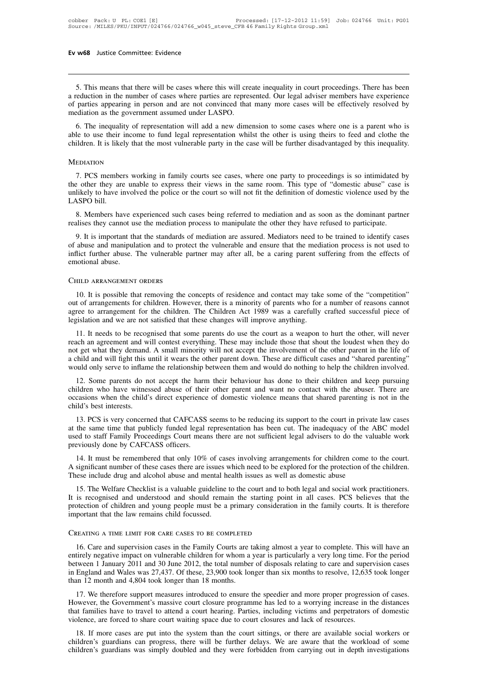**1.**<br>5. This means that there will be cases where this will create inequality in court proceedings. There has been<br>reduction in the number of cases where parties are represented. Our legal adviser members have experience<br>p **EV W68** Justice Committee: Evidence<br> **EV W68** Justice Committee: Evidence<br> **EV** S. This means that there will be cases where this will create inequality in court proceedings. There has been<br>
a reduction in the number of c **EV W68** Justice Committee: Evidence<br> **Committee:** Evidence<br> **Committee:** Evidence<br> **Committee:** Evidence<br> **Committee:** Evidence that will create inequality in court proceedings. There has been<br>
a reduction in the number o 5. This means that there will be cases where this will create a reduction in the number of cases where parties are repres of parties appearing in person and are not convinced that mediation as the government assumed under 5. This means that there will be cases where this will create inequality in court proceedings. There has been eduction in the number of cases where parties are represented. Our legal adviser members have experience parties 5. This means that there will be cases where this will create inequality in court proceedings. There has been<br>a reduction in the number of cases where parties are represented. Our legal adviser members have experience<br>of p Children. It is likely that the most vulnerable party in the case will be further disadvantaged by this inequality.<br>MEDIATION<br>MEDIATION

# **MEDIATION**

The inequality of representation will add a new dimension to some cases where one is a parent who is<br>le to use their income to fund legal representation whilst the other is using theirs to feed and clothe the<br>ildren. It is the other income to fund legal representation whilst the other is using theirs to feed and clothe the children. It is likely that the most vulnerable party in the case will be further disadvantaged by this inequality.<br>MEDI unlikely that the most vulnerable party in the case will be further disadvantaged by this inequality.<br>MEDIATION<br>7. PCS members working in family courts see cases, where one party to proceedings is so intimidated by<br>the oth MEDIATION<br>
7. PCS member<br>
the other they are<br>
unlikely to have in<br>
LASPO bill.<br>
8. Members have EDIATION<br>
7. PCS members working in family courts see cases, where one party to proceedings is so intimidated by<br>
2. other they are unable to express their views in the same room. This type of "domestic abuse" case is<br>
1. 7. PCS members working in family courts see cases, where one party to proceedings is so intimidated the other they are unable to express their views in the same room. This type of "domestic abuse" case unlikely to have inv

9. Other they are unable to express their views in the same room. This type of "domestic abuse" case is likely to have involved the police or the court so will not fit the definition of domestic violence used by the SPO bi unlikely to have involved the police or the court so will not fit the definition of domestic violence used by the LASPO bill.<br>
8. Members have experienced such cases being referred to mediation and as soon as the dominant LASPO bill.<br>
8. Members have experienced such cases being referred to mediation and as soon as the dominant partner<br>
realises they cannot use the mediation process to manipulate the other they have refused to participate.<br> 8. Members have expealises they cannot us<br>9. It is important that<br>of abuse and manipula<br>inflict further abuse.<br>Temotional abuse. 8. Members have experienced such carealises they cannot use the mediation p<br>9. It is important that the standards of<br>of abuse and manipulation and to protec-<br>inflict further abuse. The vulnerable pa<br>emotional abuse. 10. It is possible that removing the concepts of residence and contact may take some of the "competition"<br>
10. It is possible that removing the concepts of residence and contact may take some of the "competition"<br>
10. It i

out of arrangements for children. However, there is a minority of parent suffering from the effects of emotional abuse.<br>
CHILD ARRANGEMENT ORDERS<br>
10. It is possible that removing the concepts of residence and contact may emotional abuse.<br>
CHILD ARRANGEMENT ORDERS<br>
10. It is possible that removing the concepts of residence and contact may take some of the "competition"<br>
out of arrangements for children. However, there is a minority of paren emotional abuse.<br>
CHILD ARRANGEMENT ORDERS<br>
10. It is possible that removing the concepts of residence and contact may take some of the "competition"<br>
out of arrangements for children. However, there is a minority of paren HLD ARRANGEMENT ORDERS<br>
10. It is possible that removing the concepts of residence and contact may take some of the "competition"<br>
10. It of arrangements for children. However, there is a minority of parents who for a numb

10. It is possible that removing the concepts of residence and contact may take some of the "competition"<br>out of arrangements for children. However, there is a minority of parents who for a number of reasons cannot<br>agree t not a sum sum of a context what ten involvements for children. However, there is a minority of parents who for a number of reasons cannot agree to arrangement for the children. The Children Act 1989 was a carefully crafted and will fight this until this until this did this did this did this did this did the other parent in which the other parent in the like of legislation and we are not satisfied that these changes will improve anything.<br>
11 degree to analyzerient for the enfident. The Children Act 1969 was a carefully claried successium piece of legislation and we are not satisfied that some parents do use the court as a weapon to hurt the other, will never r 11. It needs to be recognised that some parents do use the court as a weapon to hurt the other, will never ach an agreement and will contest everything. These may include those that shout the loudest when they do t get wha The internal abut with control and some particle with the solution of the court as a weapon to furt the other, with never<br>reach an agreement and will contest everything. These may include those that shout the loudest when

reach an agreement and will contest everyumig. These may include those that shout the foldest when they do<br>not get what they demand. A small minority will not accept the involvement of the other parent in the life of<br>a chi not get what they demand. A small minority will not accept the involvement of the other parent in the life of<br>a child and will fight this until it wears the other parent down. These are difficult cases and "shared parentin build only serve to inflame the relationship between them and would do nothing to help the children involved.<br>
12. Some parents do not accept the harm their behaviour has done to their children and keep pursuing<br>
ildren wh 12. Some parents do not accept the harm their behaviour has done to their children and keep pursuing children who have witnessed abuse of their other parent and want no contact with the abuser. There are occasions when the

12. Some parents do not accept the harm then behaviour has done to their emhanten and keep pursuing children who have witnessed abuse of their other parent and want no contact with the abuser. There are occasions when the ild's best interests.<br>
13. PCS is very concerned that CAFCASS seems to be reducing its support to the court in private law cases<br>
the same time that publicly funded legal representation has been cut. The inadequacy of the 13. PCS is very concerned that CAFCASS seems to be reducing its support to the court in private law cases<br>at the same time that publicly funded legal representation has been cut. The inadequacy of the ABC model<br>used to sta

previously done by CAFCASS officers.<br>14. It must be remembered that only 10% of cases involving arrangements for children come to the court.<br>A significant number of these cases there are issues which need to be explored fo used to staff Family Proceedings Court means there are not sufficient legal advisers to do the valuable work<br>previously done by CAFCASS officers.<br>14. It must be remembered that only 10% of cases involving arrangements for ed to staff Family Proceedings Court means there are not sufficient legal advisers to do the valuable work<br>eviously done by CAFCASS officers.<br>14. It must be remembered that only 10% of cases involving arrangements for chil

previously done by CAFCASS officers.<br>
14. It must be remembered that only 10% of cases involving arrangements for children come to the court.<br>
A significant number of these cases there are issues which need to be explored 14. It must be remembered that only 10% of cases involving arrangements for children come to the court.<br>A significant number of these cases there are issues which need to be explored for the protection of the children.<br>The Fig. It must be remembered that only 10% of cases involving a<br>Has ignificant number of these cases there are issues which need to be explemented.<br>These include drug and alcohol abuse and mental health issues as well as<br>15 16. It is recognised and understood and should remain the starting point in all cases. PCS believes that the obtection of children and young people must be a primary consideration in the family courts. It is therefore port

entiation of children and young people must be a primary consideration in the family courts. It is therefore<br>important that the law remains child focussed.<br>CREATING A TIME LIMIT FOR CARE CASES TO BE COMPLETED<br>16. Care and EXEMING A TIME LIMIT FOR CARE CASES TO BE COMPLETED<br>
16. Care and supervision cases in the Family Courts are taking almost a year to complete. This will have an<br>
entirely negative impact on vulnerable children for whom a y CREATING A TIME LIMIT FOR CARE CASES TO BE COMPLETED<br>16. Care and supervision cases in the Family Courts are taking almost a year to complete. This will have an<br>entirely negative impact on vulnerable children for whom a ye CREATING A TIME LIMIT FOR CARE CASES TO BE COMPLETED<br>
16. Care and supervision cases in the Family Courts are taking almost a year to complete. This will have an<br>
entirely negative impact on vulnerable children for whom a 16. Care and supervision cases in the Family Courts are taking almost a year to complete. This will have an tirely negative impact on vulnerable children for whom a year is particularly a very long time. For the period twe For Care and supervision cases in the Fainty Courts are taking annost a year to comprete. This win have an entirely negative impact on vulnerable children for whom a year is particularly a very long time. For the period be

that families have to travel to attend a court hearing. Parties, including a very long time. For the period between 1 January 2011 and 30 June 2012, the total number of disposals relating to care and supervision cases in E violence, are forced to share court waiting space due to court closures and lack of resolve, 12,635 than 12 month and 4,804 took longer than 18 months.<br>17. We therefore support measures introduced to ensure the speedier an 17. We therefore support measures introduced to ensure the speedier and more proper progression of cases.<br>
17. We therefore support measures introduced to ensure the speedier and more proper progression of cases.<br>
18. If m 17. We therefore support measures introduced to ensure the speedier and more proper progression of cases.<br>However, the Government's massive court closure programme has led to a worrying increase in the distances<br>that famil From the difference support measures into duced to ensure the spectral and more proper progression of cases.<br>However, the Government's massive court closure programme has led to a worrying increase in the distances<br>that fa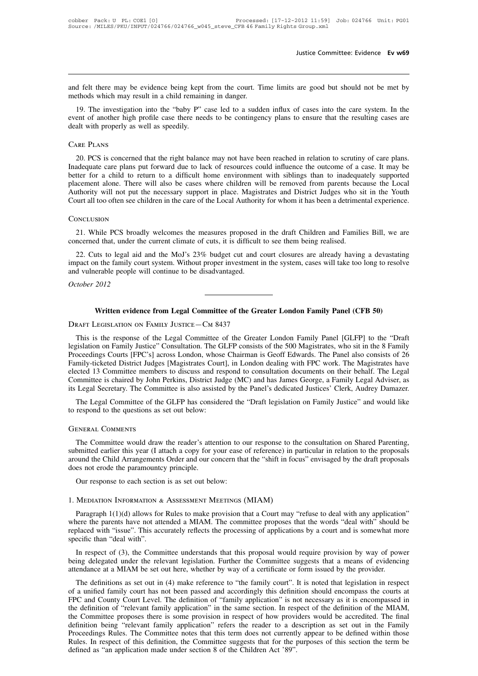Justice Committee: Evidence **Ev w69**<br>and felt there may be evidence being kept from the court. Time limits are good but should not be met by<br>methods which may result in a child remaining in danger. and felt there may be evidence being kept from the court. To<br>methods which may result in a child remaining in danger.<br>19. The investigation into the "baby P" case led to a sudde

19. The investigation into the "baby P" case led to a sudden influx of cases into the care system. In the ent of another high profile case there needs to be contingency plans to ensure that the resulting cases are alt with event of another high profile case there needs to be contingency plans to ensure that the resulting cases are dealt with properly as well as speedily. and felt there may be evidence being kept<br>methods which may result in a child remaini<br>19. The investigation into the "baby P" c<br>event of another high profile case there nee<br>dealt with properly as well as speedily.<br>CARE PLA

19. The investigation into the "baby P" case led to a sudden influx of cases into the care system. In the ent of another high profile case there needs to be contingency plans to ensure that the resulting cases are alt with In a continue to the care plans put forward due to lack of resources could influence that the resulting cases are dealt with properly as well as speedily.<br>
CARE PLANS<br>
20. PCS is concerned that the right balance may not ha better for a child to return to a difficult home environment with siblings than to scrutiny of care plans.<br>
Take PLANS<br>
20. PCS is concerned that the right balance may not have been reached in relation to scrutiny of care CARE PLANS<br>20. PCS is concerned that the right balance may not have been reached in relation to scrutiny of care plans.<br>Inadequate care plans put forward due to lack of resources could influence the outcome of a case. It m CARE PLANS<br>20. PCS is concerned that the right balance may not have been reached in relation to scrutiny of care plans.<br>Inadequate care plans put forward due to lack of resources could influence the outcome of a case. It m 20. PCS is concerned that the right balance may not have been reached in relation to scrutiny of care plans.<br>Inadequate care plans put forward due to lack of resources could influence the outcome of a case. It may be<br>bette Exercise and the measure of the Local Authority will not put the necessary support in place. Magistrates and District Judges who sit in the Youth untreal too often see children in the care of the Local Authority for whom i Authority will not put the necessary support in place. Magistrates and District Judges who sincourt all too often see children in the care of the Local Authority for whom it has been a detrimer<br>CONCLUSION<br>21. While PCS bro

# **CONCLUSION**

22. Cuts to legal aid and the MoJ's 23% budget cut and court closures will take too long to resolve<br>difference.<br>22. Cuts to legal aid and the MoJ's 23% budget cut and court closures are already having a devastating<br>pact on CONCLUSION<br>
21. While PCS broadly welcomes the measures proposed in the draft Children and Families Bill, we are<br>
concerned that, under the current climate of cuts, it is difficult to see them being realised.<br>
22. Cuts to CONCLUSION<br>
21. While PCS broadly welcomes the measures proposed i<br>
concerned that, under the current climate of cuts, it is difficult<br>
22. Cuts to legal aid and the MoJ's 23% budget cut and c<br>
impact on the family court s 21. While PCS broadly welcomes the measures proposed in the draft Children and Families Bill, we are concerned that, under the current climate of cuts, it is difficult to see them being realised.<br>22. Cuts to legal aid and 22. Cuts to legal aid and the MoJ's 23% budget cut and court closures are already having a devastatine<br>
impact on the family court system. Without proper investment in the system, cases will take too long to resolv<br>
and vu

Written evidence from Legal Committee of the Greater London Family Panel (CFB 50)<br>DRAFT LEGISLATION ON FAMILY JUSTICE—CM 8437<br>This is the response of the Legal Committee of the Greater London Family Panel [GLFP] to the "Dr Written evidence from Legal Committee of the Greater London Family Panel (CFB 50)<br>DRAFT LEGISLATION ON FAMILY JUSTICE—CM 8437<br>This is the response of the Legal Committee of the Greater London Family Panel [GLFP] to the "Dr Written evidence from Legal Committee of the Greater London Family Panel (CFB 50)<br>DRAFT LEGISLATION ON FAMILY JUSTICE—CM 8437<br>This is the response of the Legal Committee of the Greater London Family Panel [GLFP] to the "Dr Written evidence from Legal Committee of the Greater London Family Panel (CFB 50)<br>DRAFT LEGISLATION ON FAMILY JUSTICE — CM 8437<br>This is the response of the Legal Committee of the Greater London Family Panel [GLFP] to the " DRAFT LEGISLATION ON FAMILY JUSTICE—CM 8437<br>This is the response of the Legal Committee of the Greater London Family Panel [GLFP] to the "Draft<br>legislation on Family Justice" Consultation. The GLFP consists of the 500 Magi DRAFT LEGISLATION ON TAMILY JOSTICE—CM 6437<br>
This is the response of the Legal Committee of the Greater London Family Panel [GLFP] to the "Draft<br>
legislation on Family Justice" Consultation. The GLFP consists of the 500 Ma This is the response of the Legal Committee of the Greater London Family Panel [GLFP] to the "Draft legislation on Family Justice" Consultation. The GLFP consists of the 500 Magistrates, who sit in the 8 Family Proceedings distation on Pannity Justice" Consultation. The OLP F Consists of the 300 Magistrates, who sit in the 8 Pannity<br>oceedings Courts [FPC's] across London, whose Chairman is Geoff Edwards. The Panel also consists of 26<br>mily-ti Proceedings Courts [FFC s] actoss London, whose<br>Family-ticketed District Judges [Magistrates Court<br>elected 13 Committee members to discuss and res<br>Committee is chaired by John Perkins, District Jud<br>its Legal Secretary. The

Legal Secretary. The Committee is also assisted by the Panel's dedicated Justices' Clerk, Audrey Damazer.<br>The Legal Committee of the GLFP has considered the "Draft legislation on Family Justice" and would like<br>respond to t The Legal Committee of the GLFP has considered the "Draft legislation on Family Justice" and would like<br>to respond to the questions as set out below:<br>GENERAL COMMENTS<br>The Committee would draw the reader's attention to our The Committee would draw the reader's attention to our response to the consultation on Shared Parenting,<br>The Committee would draw the reader's attention to our response to the consultation on Shared Parenting,<br>submitted ea does not be the paramount of the paramountcy principle.<br>The Committee would draw the reader's atte<br>submitted earlier this year (I attach a copy for y<br>around the Child Arrangements Order and our co<br>does not erode the paramo GENERAL COMMENTS<br>
The Committee would draw the reader's attention to our response to the<br>
submitted earlier this year (I attach a copy for your ease of reference) in pa<br>
around the Child Arrangements Order and our concern

bund the Child Arrangements Order and our concern that the "shift in focus" envisaged by the draft proposals<br>es not erode the paramountcy principle.<br>Our response to each section is as set out below:<br>MEDIATION INFORMATION & Now response to each section is as set out below:<br>
1. MEDIATION INFORMATION & ASSESSMENT MEETINGS (MIAM)<br>
Paragraph 1(1)(d) allows for Rules to make provision that a Court may "refuse to deal with any application"<br>
where t Our response to each section is as set out below:<br>
1. MEDIATION INFORMATION & ASSESSMENT MEETINGS (MIAM)<br>
Paragraph 1(1)(d) allows for Rules to make provision that a Court may "refuse to deal with any application"<br>
where 1. MEDIATION INFORMATION &<br>Paragraph  $1(1)(d)$  allows for<br>where the parents have not atter-<br>replaced with "issue". This acc<br>specific than "deal with".<br>In respect of (3), the Comm MEDIATION INFORMATION & ASSESSMENT MEETINGS (MIAM)<br>Paragraph 1(1)(d) allows for Rules to make provision that a Court may "refuse to deal with any application"<br>ere the parents have not attended a MIAM. The committee propose Paragraph 1(1)(d) allows for Rules to make provision that a Court may "refuse to deal with any application"<br>where the parents have not attended a MIAM. The committee proposes that the words "deal with" should be<br>replaced Faragraph  $I(1)(d)$  allows for Kules to make provision that a Court may Teruse to dear with any application where the parents have not attended a MIAM. The committee proposes that the words "deal with" should replaced with

replaced with "issue". This accurately reflects the processing of applications by a court and is somewhat more<br>specific than "deal with".<br>In respect of (3), the Committee understands that this proposal would require provis specific than "deal with".<br>In respect of (3), the Committee understands that this proposal would require provision by way of power<br>being delegated under the relevant legislation. Further the Committee suggests that a means In respect of (3), the Committee understands that this proposal would require provision by way of power<br>being delegated under the relevant legislation. Further the Committee suggests that a means of evidencing<br>attendance a In respect of (5), the Committee unterstants that this proposal would require provision by way of power<br>being delegated under the relevant legislation. Further the Committee suggests that a means of evidencing<br>attendance a being detegated under the refevant regislation. Further the Committee suggests that a means of evidenting<br>attendance at a MIAM be set out here, whether by way of a certificate or form issued by the provider.<br>The definition attenuance at a MIAM be set out nete, whencef by way of a certificate of form issued by the provider.<br>The definitions as set out in (4) make reference to "the family court". It is noted that legislation in respect<br>of a uni The definitions as set out in (4) make reference to "the family court". It is noted that legislation in respect of a unified family court has not been passed and accordingly this definition should encompass the courts at F of a unified family court has not been passed and accordingly this definition should encompass the courts at FPC and County Court Level. The definition of "family application" is not necessary as it is encompassed in the d FPC and County Court Level. The definition of "family application" is note definition of "relevant family application" in the same section. In respect of how providefinition being "relevant family application" refers the r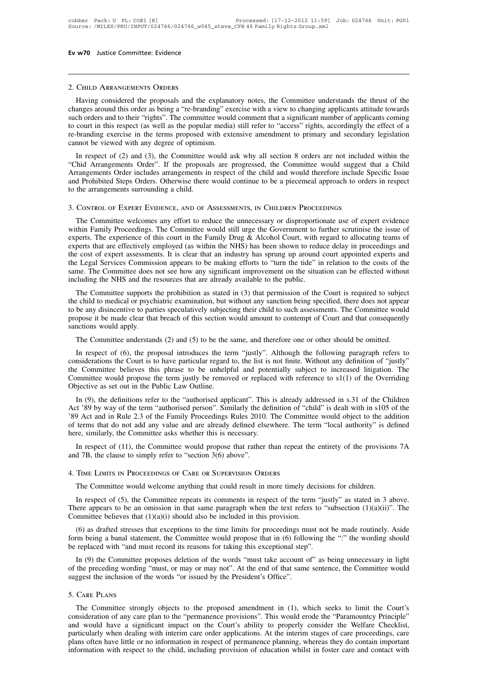# 2. Child Arrangements Orders

WTO Justice Committee: Evidence<br>
CHILD ARRANGEMENTS ORDERS<br>
Having considered the proposals and the explanatory notes, the Committee understands the thrust of the<br>
anges around this order as being a "re-branding" exercise **CHILD ARRANGEMENTS ORDERS**<br> **CHILD ARRANGEMENTS ORDERS**<br> **CHILD ARRANGEMENTS ORDERS**<br> **CHILD ARRANGEMENTS ORDERS**<br> **CHILD ARRANGEMENTS ORDERS**<br> **CHILD ARRANGEMENTS ORDERS**<br> **CHILD ARRANGEMENTS ORDERS**<br> **CHILD ARRANGEMENTS** 2. CHILD ARRANGEMENTS ORDERS<br>Having considered the proposals and the explanatory notes, the Committee understands the thrust of the<br>changes around this order as being a "re-branding" exercise with a view to changing applic 2. CHILD ARRANGEMENTS ORDERS<br>Having considered the proposals and the explanatory notes, the Committee understands the thrust of the<br>changes around this order as being a "re-branding" exercise with a view to changing applic 2. CHILD ARRANGEMENTS ORDERS<br>
Having considered the proposals and the explanatory notes, the Committee understands the thrust of the<br>
changes around this order as being a "re-branding" exercise with a view to changing app 2. CHILD ARKANGEMENTS ORDERS<br>
Having considered the proposals and the explanar<br>
changes around this order as being a "re-branding" ex<br>
such orders and to their "rights". The committee would<br>
to court in this respect (as we Having considered the proposals and the explanatory hotes, the Committee understantias the thrust of the anges around this order as being a "re-branding" exercise with a view to changing applicants attitude towards ch orde changes around this order as being a re-branding exercise with a view to changing applicants attitude towards<br>such orders and to their "rights". The committee would comment that a significant number of applicants coming<br>to

such orders and to their Tights. The committee would comment that a significant number of applicants coming<br>to court in this respect (as well as the popular media) still refer to "access" rights, accordingly the effect of and Prohibited Steps Orders. Otherwise there would continue to be a piecemeal approach to orders in respect of a re-branding exercise in the terms proposed with extensive amendment to primary and secondary legislation cann The branding exercise in the terms proposed with extensive amendment to primary and secondary<br>
cannot be viewed with any degree of optimism.<br>
In respect of (2) and (3), the Committee would ask why all section 8 orders are The Committee welcomes are progressed, the Committee would suggest that a Child<br>Arrangements Order includes arrangements in respect of the child and would therefore include Specific Issue<br>and Prohibited Steps Orders. Other

Within Family Proceedings. The Committee would continue to be a piecemeal approach to orders in respect<br>to the arrangements surrounding a child.<br>3. CONTROL OF EXPERT EVIDENCE, AND OF ASSESSMENTS, IN CHILDREN PROCEEDINGS<br>Th Expert of the arrangements surrounding a child.<br>
3. CONTROL OF EXPERT EVIDENCE, AND OF ASSESSMENTS, IN CHILDREN PROCEEDINGS<br>
The Committee welcomes any effort to reduce the unnecessary or disproportionate use of expert evi 3. CONTROL OF EXPERT EVIDENCE, AND OF ASSESSMENTS, IN CHILDREN PROCEEDINGS<br>The Committee welcomes any effort to reduce the unnecessary or disproportionate use of expert evidence<br>within Family Proceedings. The Committee wou 3. CONTROL OF EXPERT EVIDENCE, AND OF ASSESSMENTS, IN CHILDREN PROCEEDINGS<br>The Committee welcomes any effort to reduce the unnecessary or disproportionate use of expert evidence<br>within Family Proceedings. The Committee wou 5. CONTROL OF EXPERT EVIDENCE, AND OF ASSESSMENTS, IN CHILDREN FROCEEDINGS<br>The Committee welcomes any effort to reduce the unnecessary or disproportionate use of expert evidence<br>within Family Proceedings. The Committee wou The Committee welcomes any effort to reduce the unnecessary or disproportionate use of expert evidence within Family Proceedings. The Committee would still urge the Government to further scrutinise the issue of experts. Th within Family Proceedings. The Committee would still urge the Government to fit experts. The experience of this court in the Family Drug & Alcohol Court, with resperts that are effectively employed (as within the NHS) has bens. The experience of this court in the Family Drug  $\alpha$  Alconor Court, with regard to allocating teams of perts that are effectively employed (as within the NHS) has been shown to reduce delay in proceedings and e cost Experis unat are enectively employed (as within the NHS) has been shown to reduce delay in ploceedings and<br>the cost of expert assessments. It is clear that an industry has sprung up around court appointed experts and<br>the L

the Legal Services Commission appears to be making efforts to "turn the tide" in relation to the costs of the same. The Committee does not see how any significant improvement on the situation can be effected without includ the Committee and the material of this section would amount to contempt of Court and that consequently smeller the of this section would amount to contempt of the Court is required to subject the child to medical or psychi including the NHS and the resources that are already available to the public.<br>The Committee supports the prohibition as stated in (3) that permission of the Court is required to subject<br>the child to medical or psychiatric The Committee supports the prohibition as stated in (3) that permission of the Court is required to subjected the child to medical or psychiatric examination, but without any sanction being specified, there does not appear In respect of (6), the proposal introduces the term "justly". Although the following paragraph refers to provide the made clear that breach of this section would amount to such assessments. The Committee would apply.<br>The C

to be any disincentive to parties speculatively subjecting their child to such assessments. The Committee would<br>propose it be made clear that breach of this section would amount to contempt of Court and that consequently<br>s propose it be made clear that breach of this section would amount to contempt of Court and that consequently<br>sanctions would apply.<br>The Committee understands (2) and (5) to be the same, and therefore one or other should be sanctions would apply.<br>
The Committee understands (2) and (5) to be the same, and therefore one or other should be omitted.<br>
In respect of (6), the proposal introduces the term "justly". Although the following paragraph r The Committee understands (2) and (5) to be the s<br>In respect of (6), the proposal introduces the terconsiderations the Court is to have particular regard<br>the Committee believes this phrase to be unhelpt<br>Committee would pr In respect of (6), the proposal introduces the term "justly". Although the following paragraph refers to nsiderations the Court is to have particular regard to, the list is not finite. Without any definition of "justly" e In respect of (6), the proposar introduces the term "justry". Anthough the forlowing paragraph refers to considerations the Court is to have particular regard to, the list is not finite. Without any definition of "justly"

Considerations the Court is to have particular regard to, the list is not lime. Whilout any definition of gistly the Committee believes this phrase to be unhelpful and potentially subject to increased litigation. The Commi In the committee would propose the term justly be removed or replaced with reference to s1(1) of the Overriding Objective as set out in the Public Law Outline.<br>
In (9), the definitions refer to the "authorised applicant". Committee would propose the term justly be removed of replaced<br>Objective as set out in the Public Law Outline.<br>In (9), the definitions refer to the "authorised applicant". This is<br>Act '89 by way of the term "authorised per In (9), the definitions refer to the "authorised applicant". This is already addressed in s.31 of the Children tt '89 by way of the term "authorised person". Similarly the definition of "child" is dealt with in s105 of the In (9), the definitions refer to the authorised applicant 1. This is already and Act '89 by way of the term "authorised person". Similarly the definition of "cl" (8) Act and in Rule 2.3 of the Family Proceedings Rules 2010

In respect of (11), the Committee asks whether this is necessary.<br>
In respect of (11), the Committee would propose that rather than repeat the entirety of the provisions 7A<br>
and 7B, the clause to simply refer to "section 3

In respect of (11), the Committee would propose that rather than repeat the entirety of the provisions 7A d 7B, the clause to simply refer to "section 3(6) above".<br>
TIME LIMITS IN PROCEEDINGS OF CARE OR SUPERVISION ORDERS and 7B, the clause to simply refer to "section 3(6) above".<br>4. TIME LIMITS IN PROCEEDINGS OF CARE OR SUPERVISION ORDERS<br>The Committee would welcome anything that could result in more timely decisions for children.<br>In resp There appears to be an omission in that same paragraph when the text refers to "subsection  $(1)(a)(ii)$ ". The Committee believes that  $(1)(a)(i)$  should also be included in this provision.<br>(6) as drafted stresses that exceptio

The Committee would welcome anything that could result in more timely decisions for children.<br>In respect of (5), the Committee repeats its comments in respect of the term "justly" as stated in 3 above.<br>ere appears to be a The Committee would welcome anything that could result in more timely decisions for children.<br>
In respect of (5), the Committee repeats its comments in respect of the term "justly" as stated in 3 above.<br>
There appears to be replaced with "and must record its reasons for taking this exceptional step".<br>In (9) the Committee proposes deletion of the words "must take account of" as being unnecessary in light

ere appears to be an omission in that same paragraph when the text refers to "subsection  $(1)(a)(ii)$ ". The mmittee believes that  $(1)(a)(i)$  should also be included in this provision.<br>
(6) as drafted stresses that exceptions Committee believes that  $(1)(a)(i)$  should also be included in this provision.<br>
(6) as drafted stresses that exceptions to the time limits for proceedings must not be made routinely. Aside<br>
form being a banal statement, the (6) as drafted stresses that exceptions to the time limits for proceedings m<br>form being a banal statement, the Committee would propose that in (6) follo<br>be replaced with "and must record its reasons for taking this excepti In (9) the Committee proposes deletion of the words "must take account of" as being unnecessary in light<br>the preceding wording "must, or may or may not". At the end of that same sentence, the Committee would<br>ggest the incl

In (5) are committee proposes deteron of the words Thust the decount of the storing universially in right<br>of the preceding wording "must, or may or may not". At the end of that same sentence, the Committee would<br>suggest th and would have a significant impact on the Court's ability to proposed amendment in (1), which seeks to limit the Court's consideration of any care plan to the "permanence provisions". This would erde the "Paramountcy Prin 5. CaRE PLANS<br>The Committee strongly objects to the proposed amendment in (1), which seeks to limit the Court's<br>consideration of any care plan to the "permanence provisions". This would erode the "Paramountcy Principle"<br>an 5. Care PLANS<br>The Committee strongly objects to the proposed amendment in (1), which seeks to limit the Court's<br>consideration of any care plan to the "permanence provisions". This would erode the "Paramountcy Principle"<br>an Information of any care plan to the proposed amendment in (1), which seeks to limit the Court's consideration of any care plan to the "permanence provisions". This would erode the "Paramountcy Principle" and would have a s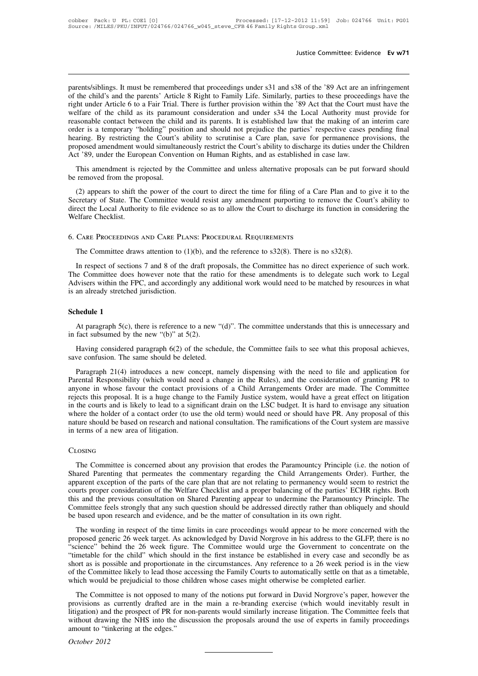Justice Committee: Evidence Ev w71<br>parents/siblings. It must be remembered that proceedings under s31 and s38 of the '89 Act are an infringement<br>of the child's and the parents' Article 8 Right to Family Life. Similarly, pa Justice Committee: Evidence Ev w71<br>parents/siblings. It must be remembered that proceedings under s31 and s38 of the '89 Act are an infringement<br>of the child's and the parents' Article 8 Right to Family Life. Similarly, pa Justice Committee: Evidence **Ev w71**<br>parents/siblings. It must be remembered that proceedings under s31 and s38 of the '89 Act are an infringement<br>of the child's and the parents' Article 8 Right to Family Life. Similarly, parents/siblings. It must be remembered that proceedings under s31 and s38 of the '89 Act are an infringement<br>of the child's and the parents' Article 8 Right to Family Life. Similarly, parties to these proceedings have the parents/siblings. It must be remembered that proceedings under s31 and s38 of the '89 Act are an infringement<br>of the child's and the parents' Article 8 Right to Family Life. Similarly, parties to these proceedings have the parents/siblings. It must be remembered that proceedings under s31 and s38 of the '89 Act are an infringement<br>of the child's and the parents' Article 8 Right to Family Life. Similarly, parties to these proceedings have the parents/siblings. It must be remembered that proceedings under s31 and s38 of the '89 Act are an infringement<br>of the child's and the parents' Article 8 Right to Family Life. Similarly, parties to these proceedings have the of the child's and the parents' Article 8 Right to Family Life. Similarly, parties to these proceedings have the right under Article 6 to a Fair Trial. There is further provision within the '89 Act that the Court must have right under Article 6 to a Fair Trial. There is further provision within the '89 Act that the Court welfare of the child as its paramount consideration and under s34 the Local Authority must reasonable contact between the This amendment is rejected by the Committee and unless alternative proposals can be put forward should removed from the parties' respective cases pending final aring. By restricting the Court's ability to scrutinise a Care reasonable contact octwich the emits<br>order is a temporary "holding" posi-<br>hearing. By restricting the Court's<br>proposed amendment would simultar<br>Act '89, under the European Conver<br>This amendment is rejected by the<br>be remove

Figure 2011 and Samuel and Samuel Court's ability to scrutinise a Care plan, save for permanence provisions, the poposed amendment would simultaneously restrict the Court's ability to discharge its duties under the Childre proposed amendment would simultaneously restrict the Court's ability to discharge its duties under the Children<br>Act '89, under the European Convention on Human Rights, and as established in case law.<br>This amendment is reje Act '89, under the European Convention on Human Rights, and as established in case law.<br>
This amendment is rejected by the Committee and unless alternative proposals can be put forward should<br>
be removed from the proposal. This amendment is rejected by the Committee and unless alternative proposals<br>be removed from the proposal.<br>(2) appears to shift the power of the court to direct the time for filing of a Car<br>Secretary of State. The Committe cretary of State. The Committee would resist any amendment purporting to remove the Courect the Local Authority to file evidence so as to allow the Court to discharge its function in coeffare Checklist.<br>CARE PROCEEDINGS AN

In respect of sections 7 and 8 of the draft proposals, the Committee has no direct experience of such work.<br>In respect of sections 7 and 8 of the draft proposals, the Committee has no direct experience of such work.<br>In res The Committee draws and CARE PLANS: PROCEDURAL REQUIREMENTS<br>The Committee draws attention to  $(1)(b)$ , and the reference to  $s32(8)$ . There is no  $s32(8)$ .<br>In respect of sections 7 and 8 of the draft proposals, the Committ 6. Care Proceed and Care Plants: Proceed and Requirements<br>The Committee draws attention to (1)(b), and the reference to  $s32(8)$ . There is no  $s32(8)$ .<br>In respect of sections 7 and 8 of the draft proposals, the Committee 6. CARE PROCEEDINGS AND CARE PLAN<br>The Committee draws attention to (1)<br>In respect of sections 7 and 8 of the d<br>The Committee does however note that<br>Advisers within the FPC, and accordingl<br>is an already stretched jurisdicti In respect of sections 7 and 8 of the draft proposals, the Committee has no direct experience of such work.<br>
The Committee does however note that the ratio for these amendments is to delegate such work to Legal<br>
Advisers w Experiment that the ratio for these amendments is to delegate such work to Legal<br>
visiers within the FPC, and accordingly any additional work would need to be matched by resources in what<br>
an already stretched jurisdiction Advisers within the FPC, and accordingly any aonors is an already stretched jurisdiction.<br> **Schedule 1**<br>
At paragraph 5(c), there is reference to a new in fact subsumed by the new "(b)" at 5(2).<br>
Having considered paragra

Having considered paragraph 6(2) of the schedule, the Committee understands that this is unnecessary and fact subsumed by the new "(b)" at 5(2).<br>Having considered paragraph 6(2) of the schedule, the Committee fails to see Schedule 1<br>At paragraph 5(c), there is reference to a new "(in fact subsumed by the new "(b)" at 5(2).<br>Having considered paragraph 6(2) of the schedular save confusion. The same should be deleted.<br>Paragraph 21(4) introduc

At paragraph 5(c), there is reference to a new "(d)". The committee understands that this is unnecessary and<br>fact subsumed by the new "(b)" at 5(2).<br>Having considered paragraph 6(2) of the schedule, the Committee fails to At paragraph  $S(c)$ , there is reference to a new "(d)". The committee understands that this is unnecessary and<br>in fact subsumed by the new "(b)" at  $5(2)$ .<br>Having considered paragraph  $6(2)$  of the schedule, the Committee in fact subsumed by the new "(b)" at 5(2).<br>
Having considered paragraph 6(2) of the schedule, the Committee fails to see what this proposal achieves,<br>
save confusion. The same should be deleted.<br>
Paragraph 21(4) introduces Having considered paragraph 6(2) of the schedule, the Committee fails to see what this proposal achieves,<br>save confusion. The same should be deleted.<br>Paragraph 21(4) introduces a new concept, namely dispensing with the nee Fraving considered paragraph  $o(z)$  of an schedare, the communed rans to see what this proposar achieves, save confusion. The same should be deleted.<br>
Paragraph 21(4) introduces a new concept, namely dispensing with the ne Bave comasion. The same should be decided.<br>
Paragraph 21(4) introduces a new concept, namely dispensing with the need to file and application for<br>
Parental Responsibility (which would need a change in the Rules), and the c Paragraph 21(4) introduces a new concept, namely dispensing with the need to file and application for Parental Responsibility (which would need a change in the Rules), and the consideration of granting PR to anyone in whos Parental Responsibility (which would need a change in the Rules), and the consideration of granting PR to anyone in whose favour the contact provisions of a Child Arrangements Order are made. The Committee rejects this pro nere the holder of a contact order (to use the old term) would need or should have PR. Any proposal of this ture should be based on research and national consultation. The ramifications of the Court system are massive term

# Closing

nature should be based on research and national consultation. The ramifications of the Court system are massive<br>in terms of a new area of litigation.<br>CLOSING<br>The Committee is concerned about any provision that erodes the P in terms of a new area of litigation.<br>CLOSING<br>The Committee is concerned about any provision that erodes the Paramountcy Principle (i.e. the notion of<br>Shared Parenting that permeates the commentary regarding the Child Arra CLOSING<br>The Committee is concerned about any provision that erodes the Paramountcy Principle (i.e. the notion of<br>Shared Parenting that permeates the commentary regarding the Child Arrangements Order). Further, the<br>apparent CLOSING<br>The Committee is concerned about any provision that erodes the Paramountcy Principle (i.e. the notion of<br>Shared Parenting that permeates the commentary regarding the Child Arrangements Order). Further, the<br>apparent The Committee is concerned about any provision that erodes the Paramountcy Principle (i.e. the notion of Shared Parenting that permeates the commentary regarding the Child Arrangements Order). Further, the apparent excepti The Committee is concerned about any provision that erodes the Paramountcy Principle (i.e. the notion of Shared Parenting that permeates the commentary regarding the Child Arrangements Order). Further, the apparent excepti neared variables and benneares the community regarding the Cinta Tritangenheids order). Tatact, the parent exception of the parts of the care plan that are not relating to permanency would seem to restrict the stand the pr proposed generic exception of the Welfare Checklist and a proper balancing of the parties' ECHR rights. Both this and the previous consultation on Shared Parenting appear to undermine the Paramountcy Principle. The Committ

From this and the previous consultation of the weitare checkness and a proper balancing of the parties. Ecric rights, Both this and the previous consultation on Shared Parenting appear to undermine the Paramountcy Principl The wording is and the previous consulation on stated a denting appear to underlink the Falamounty Finespe. The<br>Committee feels strongly that any such question should be addressed directly rather than obliquely and should<br> Committee recis strongly that any steen question should be addressed uncelly rather than bonquery and should<br>be based upon research and evidence, and be the matter of consultation in its own right.<br>The wording in respect o of the Committee likely to lead those children whose cases might otherwise be completed earlier.<br>The wording in respect of the time limits in care proceedings would appear to be more concerned with the proposed generic 26 The wording in respect of the time limits in care proceedings would appear to be more concerned proposed generic 26 week target. As acknowledged by David Norgrove in his address to the GLFP, th "science" behind the 26 week Expressed ginent 20 week target. The Committee would urge the Government to concentrate on the metable for the child." which should in the first instance be established in every case and secondly be as ort as is possible a secultive for the child in the first instance would use the Sovethiment to concernate on the ""timetable for the child" which should in the first instance be established in every case and secondly be as short as is possibl

Include for the einda when should in the first instance of established in every case and secondly of as<br>short as is possible and proportionate in the circumstances. Any reference to a 26 week period is in the view<br>of the C short as is possible and proportionate in the encentrisativeles. This territor to a 20 week period is in the view<br>of the Committee likely to lead those accessing the Family Courts to automatically settle on that as a time which would be prejudicial to those children whose cases might otherwise be completed earlier.<br>The Committee is not opposed to many of the notions put forward in David Norgrove's paper, however the provisions as currently amount to "tinkering at the edges."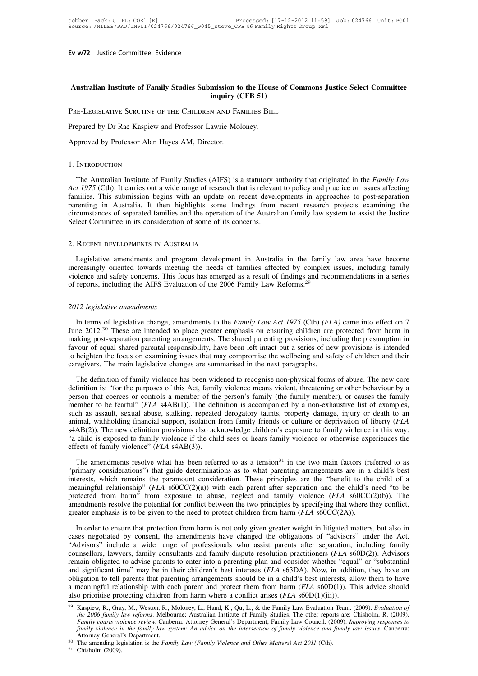# **Australian Institute of Family Studies Submission to the House of Commons Justice Select Committee inission to the House of<br><b>inquiry (CFB 51)**<br>N AND FAMILIES BILL Ev w72 Justice Committee: Evidence<br> **Australian Institute of Family Studies Submission to the House of Commeting Scruting CFB 51**<br>
PRE-LEGISLATIVE SCRUTINY OF THE CHILDREN AND FAMILIES BILL Australian Institute of Family Studies Submission to the Hous<br>inquiry (CFB 51)<br>Pre-Legislative Scrutiny of the Children and Families Bill<br>Prepared by Dr Rae Kaspiew and Professor Lawrie Moloney.<br>Approved by Professor Alan Australian Institute of Family Studies Submission to<br>
inquiry (1)<br>
PRE-LEGISLATIVE SCRUTINY OF THE CHILDREN AND FA<br>
Prepared by Dr Rae Kaspiew and Professor Lawrie Mol<br>
Approved by Professor Alan Hayes AM, Director.

# 1. Introduction

Expaired by Dr Rae Kaspiew and Professor Lawrie Moloney.<br>
INTRODUCTION<br>
The Australian Institute of Family Studies (AIFS) is a statutory authority that originated in the *Family Law*<br> *t 1975* (Cth). It carries out a wide *Approved by Professor Alan Hayes AM, Director.*<br>
1. INTRODUCTION<br> *The Australian Institute of Family Studies (AIFS) is a statutory authority that originated in the <i>Family Law*<br> *Act 1975* (Cth). It carries out a wide ra Approved by Professor Alan Hayes AM, Director.<br>
1. INTRODUCTION<br>
The Australian Institute of Family Studies (AIFS) is a statutory authority that originated in the *Family Law*<br>
Act 1975 (Cth). It carries out a wide range o 1. INTRODUCTION<br>The Australian Institute of Family Studies (AIFS) is a statutory authority that originated in the *Family Law*<br>Act 1975 (Cth). It carries out a wide range of research that is relevant to policy and practice 1. INTRODUCTION<br>The Australian Institute of Family Studies (AIFS) is a statutory authority that originated in the *Family Law*<br>Act 1975 (Cth). It carries out a wide range of research that is relevant to policy and practice The Australian Institute of Family Studies (AIFS) is a statutory a<br>Act 1975 (Cth). It carries out a wide range of research that is relevar<br>families. This submission begins with an update on recent developarenting in Austra

renting in Australia. It then highlights some findings from recent research projects examining the<br>cumstances of separated families and the operation of the Australian family law system to assist the Justice<br>lect Committee circumstances of separated ramilies and the operation of the Australian ramily law system to assist the Justice<br>Select Committee in its consideration of some of its concerns.<br>2. RECENT DEVELOPMENTS IN AUSTRALIA<br>Legislative Select Committee in its consideration of some of its concerns.<br>
2. RECENT DEVELOPMENTS IN AUSTRALIA<br>
Legislative amendments and program development in Australia in the family law area have become<br>
increasingly oriented tow 2. RECENT DEVELOPMENTS IN AUSTRALIA<br>
Legislative amendments and program development in Australia in the family<br>
increasingly oriented towards meeting the needs of families affected by complex<br>
violence and safety concerns.

Ireasingly oriented towards meeting the needs of families affected by complex issues, including family<br>plence and safety concerns. This focus has emerged as a result of findings and recommendations in a series<br>reports, inc violence and sarety concerns. This focus has emerged as a result of findings and recommendations in a series<br>of reports, including the AIFS Evaluation of the 2006 Family Law Reforms.<sup>29</sup><br>2012 legislative amendments<br>In term of reports, including the AIFS Evaluation of the 2006 Family Law Keforms.<sup>27</sup><br>2012 legislative amendments<br>In terms of legislative change, amendments to the *Family Law Act 1975* (Cth) (*FLA*) came into effect on 7<br>June 201 2012 legislative amendments<br>In terms of legislative change, amendments to the *Family Law Act 1975* (Cth) (*FLA*) came into effect on 7<br>June 2012.<sup>30</sup> These are intended to place greater emphasis on ensuring children are p 2012 legislative amendments<br>In terms of legislative change, amendments to the *Family Law Act 1975* (Cth) (*FLA*) came into effect on 7<br>June 2012.<sup>30</sup> These are intended to place greater emphasis on ensuring children are p In terms of legislative change, amendments to the *Family Law Act 1975* (Cth) (*FL* June 2012.<sup>30</sup> These are intended to place greater emphasis on ensuring children are making post-separation parenting arrangements. The s In 2012.<sup>30</sup> These are intended to place greater emphasis on ensuring children are protected from harm in kking post-separation parenting arrangements. The shared parenting provisions, including the presumption in vour of making post-separation parenting arrangements. The shared parenting provisions, including the presumption in favour of equal shared parential responsibility, have been left intact but a series of new provisions is intended

manning post or controls a member of the person's favour of equal shared parental responsibility, have been left intact but a series of new provisions is intended to heighten the focus on examining issues that may compromi member to be fearful" (*FLA* s4AB(1)). The definition is accompanied by a non-exhaustive list of examples.<br>The definition of family violence has been widened to recognise non-physical forms of abuse. The new core definitio such as assault, sexual abuse, stalking, repeated derogatory tauns of abuse. The new core definition of family violence has been widened to recognise non-physical forms of abuse. The new core definition is: "for the purpos and support of a main registrative entanges are stammarized in the next participate.<br>The definition is: "for the purposes of this Act, family violence means violent, threatening or other behaviour by a<br>person that coerces The definition of family violence has been widened to recognise non-physical forms of abuse. The new core definition is: "for the purposes of this Act, family violence means violent, threatening or other behaviour by a per definition is: "for the purposes of this Act, family violence means violent, threatening or other behaviour by a person that coerces or controls a member of the person's family (the family member), or causes the family mem person that coerces or controls a member of the person's family (the family member), or causes the family member to be fearful" (*FLA* s4AB(1)). The definition is accompanied by a non-exhaustive list of examples, such as a The amendments resolve what has been referred to as a tension<sup>31</sup> in the two main factors (referred to as imal, withholding financial support, isolation from family friends or culture or deprivation of liberty (*FLA* AB(2) animal, withholding financial support, isolation from family friends or culture or deprivation of liberty (*FLA* s4AB(2)). The new definition provisions also acknowledge children's exposure to family violence in this way:

stancy). The new definition provisions also acknowledge children's exposure to family violence in this way:<br>"a child is exposed to family violence if the child sees or hears family violence or otherwise experiences the<br>ef a child is exposed to family violence if the child sees or hears family violence or otherwise experiences the effects of family violence" ( $FLA$  s4AB(3)).<br>The amendments resolve what has been referred to as a tension<sup>31</sup> i effects of family violence" (*FLA* s4AB(3)).<br>The amendments resolve what has been referred to as a tension<sup>31</sup> in the two main factors (referred to as<br>"primary considerations") that guide determinations as to what parentin The amendments resolve what has been referred to as a tension<sup>31</sup> in the two main factors (referred to as "primary considerations") that guide determinations as to what parenting arrangements are in a child's best interes The amendments resolve what has been referred to as a tension<sup>31</sup> in the two main factors (re<br>
"primary considerations") that guide determinations as to what parenting arrangements are in a<br>
interests, which remains the pa The entriestion of the paramount consideration. These principles are the "benefit to the child of a eaningful relationship" ( $FLA$  s60CC(2)(a)) with each parent after separation and the child's need "to be betected from ha meaningful relationship" ( $FLA$  s60CC(2)(a)) with each parent after separation and the child's need "to be<br>protected from harm" from exposure to abuse, neglect and family violence ( $FLA$  s60CC(2)(b)). The<br>amendments resolve

The protected from harm" from exposure to abuse, neglect and family violence ( $FLA$  s60CC(2)(b)). The amendments resolve the potential for conflict between the two principles by specifying that where they conflict, greater Framendments resolve the potential for conflict between the two principles by specifying that where they conflict, greater emphasis is to be given to the need to protect children from harm (*FLA* s60CC(2A)).<br>In order to en greater emphasis is to be given to the need to protect children from harm (*FLA* s60CC(2A)).<br>In order to ensure that protection from harm is not only given greater weight in litigated matters, but also in<br>cases negotiated In order to ensure that protection from harm is not only given greater weight in litigated matters, but also in cases negotiated by consent, the amendments have changed the obligations of "advisors" under the Act. "Advisor In order to ensure that protection from harm is not only given greater weight in litigated matters, but also in cases negotiated by consent, the amendments have changed the obligations of "advisors" under the Act. "Adviso cases negotiated by consent, the amendments have changed the obligations of "advisors" under the Act.<br>
"Advisors" include a wide range of professionals who assist parents after separation, including family<br>
counsellors, la "Advisors" include a wide range of professionals who assist parents after separation, including family<br>counsellors, lawyers, family consultants and family dispute resolution practitioners (*FLA* s60D(2)). Advisors<br>remain and significant time" may be in their children's best interests (*FLA* s63DA). Now, in addition, they have an obligation to tell parents that parenting arrangements should be in a child's best interests, allow them to have

*Family courts violence in the family law system:* An *advice on the interestion of family violence and family courts (FLA s60D(1)).* This advice should o prioritise protecting children from harm where a conflict arises ( *family relationship with each parent and protect them from harm (FLA s60D(1)). This advice should* o prioritise protecting children from harm where a conflict arises (*FLA s60D(1)(iii))*. <br>*Kaspiew, R., Gray, M., Weston,* 

<sup>&</sup>lt;sup>30</sup> The amending legislation is the *Family Law (Family Violence and Other Matters) Act 2011* (Cth).<br><sup>31</sup> Chisholm (2009).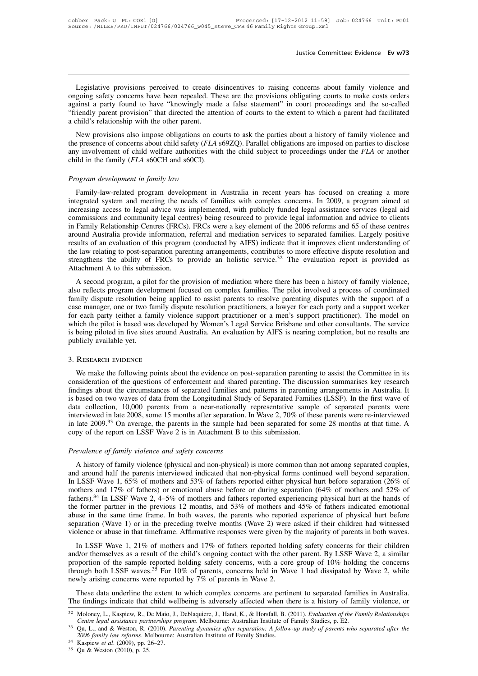Justice Committee: Evidence Ev w73<br>Legislative provisions perceived to create disincentives to raising concerns about family violence and<br>going safety concerns have been repealed. These are the provisions obligating courts **Instice Committee: Evidence Ev w73**<br>
Legislative provisions perceived to create disincentives to raising concerns about family violence and<br>
ongoing safety concerns have been repealed. These are the provisions obligating Justice Committee: Evidence Ev w73<br>
Legislative provisions perceived to create disincentives to raising concerns about family violence and<br>
ongoing safety concerns have been repealed. These are the provisions obligating co Legislative provisions perceived to create disincentives to raising concerns about family violence and ongoing safety concerns have been repealed. These are the provisions obligating courts to make costs orders against a p Legislative provisions perceived to create disincentives to raising concerns about family violence and ongoing safety concerns have been repealed. These are the provisions obligating courts to make costs orders against a p Legislative provisions perceived to create disincentives to raising concerns about family violence and<br>going safety concerns have been repealed. These are the provisions obligating courts to make costs orders<br>ainst a party Legislative provisions perceived to cleate disincentives to raising concerns about rainly violence and<br>ongoing safety concerns have been repealed. These are the provisions obligating courts to make costs orders<br>against a p

ongoing sarety concerns have been repeated. These are the provisions obingating courts to finally and a parent found to have "knowingly made a false statement" in court proceedings and the so-called "friendly parent provis against a party found to have Knowingry made<br>
"friendly parent provision" that directed the attent<br>
a child's relationship with the other parent.<br>
New provisions also impose obligations on cou<br>
the presence of concerns abo **Program development in family law Frontier Conservant Conservant Conservant Conservant Conservant Conservant Conservant Conservant Conservant Conservant Conservant Conservant Child welfare authorities with child in the fa** Family-law-related program development in Australia in recent years has focused on parties to disclose y involvement of child welfare authorities with the child subject to proceedings under the *FLA* or another ild in the

integrated system and meeting the needs of families with the child subject to proceedings under the FLA or another<br>child in the family (FLA s60CH and s60CI).<br>Program development in family law<br>Family-law-related program dev increasing access to legal advice was implemented, with publicly funded legal and the carrier and proper manily-law-related program development in Australia in recent years has focused on creating a more integrated system **Program development in family law**<br>
Family-law-related program development in Australia in recent years has focused on creating a more<br>
integrated system and meeting the needs of families with complex concerns. In 2009, a *Program development in family law*<br>
Family-law-related program development in Australia in recent years has focused on creating a more<br>
integrated system and meeting the needs of families with complex concerns. In 2009, a Family-law-related program development in Australia in recent years has focused on creating a more<br>integrated system and meeting the needs of families with complex concerns. In 2009, a program aimed at<br>increasing access to Family-law-related program development in Australia in recent years has focused on creating a more<br>integrated system and meeting the needs of families with complex concerns. In 2009, a program aimed at<br>increasing access to integrated system and meeting the needs of families with complex concerns. In 2009, a program aimed at increasing access to legal advice was implemented, with publicly funded legal assistance services (legal aid commission increasing access to legal advice was implemented, with publicly funded legal assistance services (legal aid commissions and community legal centres) being resourced to provide legal information and advice to clients in Fa commissions and community legal cen<br>in Family Relationship Centres (FRCs)<br>around Australia provide information,<br>results of an evaluation of this program<br>the law relating to post-separation pare<br>strengthens the ability of F Family Nelationship Centes (FRCs). FRCs were a key element of the 2000 feroms and 0.5 of these centes<br>bund Australia provide information, referral and mediation services to separated families. Largely positive<br>ults of an e abound Austrana provide information, telefant and included by AIFS) indicate that it improves client understanding of the law relating to post-separation parenting arrangements, contributes to more effective dispute resolu

family dispute resolution being applied to assist parents, contributes to more effective dispute resolution and strengthens the ability of FRCs to provide an holistic service.<sup>32</sup> The evaluation report is provided as Attac Include the ability of FRCs to provide an holistic service.<sup>32</sup> The evaluation report is provided as Attachment A to this submission.<br>A second program, a pilot for the provision of mediation where there has been a history Suefigurents the ability of FRCs to provide an honstic service. The evaluation report is provided as<br>Attachment A to this submission.<br>A second program, a pilot for the provision of mediation where there has been a history Attachment A to this submission.<br>
A second program, a pilot for the provision of mediation where there has been a history of family violence,<br>
also reflects program development focused on complex families. The pilot involv A second program, a pilot for the provision of mediation where there has been a history of family violence, also reflects program development focused on complex families. The pilot involved a process of coordinated family also reflects program develated family dispute resolution b<br>case manager, one or two fat<br>for each party (either a fan<br>which the pilot is based was<br>is being piloted in five sites<br>publicly available yet.<br>3. RESEARCH EVIDENCE also reflects program development<br>family dispute resolution being ap<br>case manager, one or two family di<br>for each party (either a family vio<br>which the pilot is based was develo<br>is being piloted in five sites around<br>publicly Member is based was developed by Women's Legal Service Brisbane and other consultants. The service<br>being piloted in five sites around Australia. An evaluation by AIFS is nearing completion, but no results are<br>blicly availa

is being piloted in five sites around Australia. An evaluation by AIFS is nearing completion, but no results are<br>publicly available yet.<br>3. RESEARCH EVIDENCE<br>We make the following points about the evidence on post-separati Findings about the circumstances of separated families and patterns in parenting to assist the Committee in its<br>consideration of the questions of enforcement and shared parenting. The discussion summarises key research<br>fin 3. RESEARCH EVIDENCE<br>We make the following points about the evidence on post-separation parenting to assist the Committee in its<br>consideration of the questions of enforcement and shared parenting. The discussion summarises 3. RESEARCH EVIDENCE<br>We make the following points about the evidence on post-separation parenting to assist the Committee in its<br>consideration of the questions of enforcement and shared parenting. The discussion summarises 3. KESEARCH EVIDENCE<br>We make the following points about the evidence on post-separation parenting to assist the Committee in its<br>consideration of the questions of enforcement and shared parenting. The discussion summarises We make the following points about the evidence on post-separation parenting to assist the Committee in its consideration of the questions of enforcement and shared parenting. The discussion summarises key research finding consideration of the questions of enforcement and shared parenting. The discuss<br>findings about the circumstances of separated families and patterns in parenting<br>is based on two waves of data from the Longitudinal Study of is based on two waves of data from the Longitudinal Study<br>data collection, 10,000 parents from a near-nationally<br>interviewed in late 2008, some 15 months after separation. I<br>in late 2009.<sup>33</sup> On average, the parents in the Example 1 at a 2008, some 15 months after separation. In Wave 2, 70% of these parents were re-interviewed late 2009.<sup>33</sup> On average, the parents in the sample had been separated for some 28 months at that time. A py of th

in late 2009.<sup>33</sup> On average, the parents in the sample had been separated for some 28 months at that time. A<br>copy of the report on LSSF Wave 2 is in Attachment B to this submission.<br>*Prevalence of family violence and safe* The report on LSSF Wave 2 is in Attachment B to this submission.<br> *Prevalence of family violence and safety concerns*<br>
A history of family violence *and safety concerns*<br>
A history of family violence (physical and non-phys Prevalence of family violence and safety concerns<br>A history of family violence (physical and non-physical) is more common than not among separated couples,<br>and around half the parents interviewed indicated that non-physica *Prevalence of family violence and safety concerns*<br>A history of family violence (physical and non-physical) is more common than not among separated couples,<br>and around half the parents interviewed indicated that non-physi The valence of Jamity violence and safety concerns<br>A history of family violence (physical and non-physical) is more common than not among separated couples,<br>and around half the parents interviewed indicated that non-physi A history of family violence (physical and non-physical) is more common than not among separated couples, and around half the parents interviewed indicated that non-physical forms continued well beyond separation. In LSSF and around half the parents interviewed indicated that non-physical forms continued well beyond separation.<br>In LSSF Wave 1, 65% of mothers and 53% of fathers reported either physical hurt before separation (26% of mothers In LSSF Wave 1, 65% of mothers and 53% of fathers reported either physical hurt before separation (26% of mothers and 17% of fathers) or emotional abuse before or during separation (64% of mothers and 52% of fathers).<sup>34</sup> bless and 17% of rathers) of emotional abuse before of during separation (04% of mothers and 32% of hers).<sup>34</sup> In LSSF Wave 2, 4–5% of mothers and fathers reported experiencing physical hurt at the hands of e former partn ratiners). In ESSP wave 2,  $4-3\%$  of mothers and ratifies reported experiencing physical nult at the natios of<br>the former partner in the previous 12 months, and 53% of mothers and 45% of fathers indicated emotional<br>abuse

the former partier in the previous 12 months, and 33% of mothers and 43% of rathers indicated emotional<br>abuse in the same time frame. In both waves, the parents who reported experience of physical hurt before<br>separation ( abuse in the same time frame. In both waves, the parents who reported experience of physical nut before separation (Wave 1) or in the preceding twelve months (Wave 2) were asked if their children had witnessed violence or separation (wave 1) of in the preceding twerve months (wave 2) were violence or abuse in that timeframe. Affirmative responses were given by In LSSF Wave 1, 21% of mothers and 17% of fathers reported hold and/or themselve In LSSF Wave 1, 21% of mothers and 17% of fathers reported holding safety concerns for their children d/or themselves as a result of the child's ongoing contact with the other parent. By LSSF Wave 2, a similar opportion of In ESSI<sup>T</sup> wave 1, 21% of mothers and 17% of familes reported noting safety concerns for then childen<br>and/or themselves as a result of the child's ongoing contact with the other parent. By LSSF Wave 2, a similar<br>proportio

These data underline the extent to which complex concerns are pertinent to separated families in Australia.<br>The findings indicate that child wellbeing is adversely affected when there is a history of family violence, or<br><sup></sup> mewly arising concerns were reported by 7% of parents in Wave 2.<br>
These data underline the extent to which complex concerns are pertinent to separated families in Australia.<br>
The findings indicate that child wellbeing is a These data underline the extent to which complex concerns are pertin<br>
<sup>32</sup> Moloney, L., Kaspiew, R., De Maio, J., Deblaquiere, J., Hand, K., & Horsfall, B.<br> *Centre legal assistance partnerships program.* Melbourne: Austra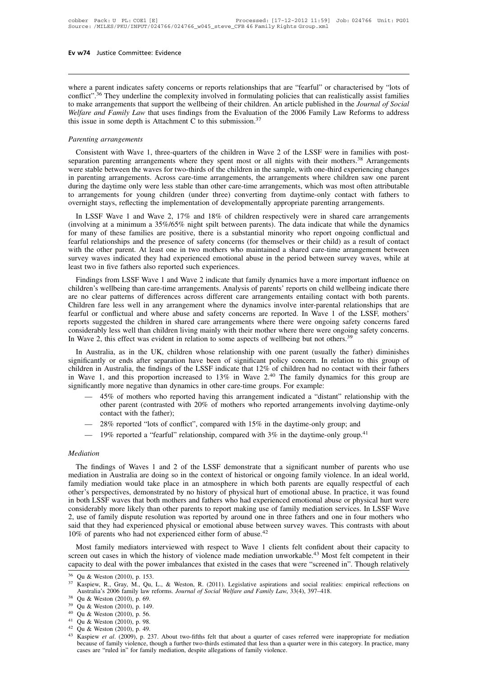**EV W74** Justice Committee: Evidence<br>
where a parent indicates safety concerns or reports relationships that are "fearful" or characterised by "lots of<br>
conflict".<sup>36</sup> They underline the complexity involved in formulating Ev w74 Justice Committee: Evidence<br>where a parent indicates safety concerns or reports relationships that are "fearful" or characterised by "lots of<br>conflict".<sup>36</sup> They underline the complexity involved in formulating poli **Ev w74** Justice Committee: Evidence<br>
where a parent indicates safety concerns or reports relationships that are "fearful" or characterised by "lots of<br>
conflict".<sup>36</sup> They underline the complexity involved in formulating *Where a parent indicates safety concerns or reports relationships that are "fearful" or characterised by "lots of conflict".<sup>36</sup> They underline the complexity involved in formulating policies that can realistically assist* where a parent indicates safety concerns or reports relationships that conflict".<sup>36</sup> They underline the complexity involved in formulating po to make arrangements that support the wellbeing of their children. An *Welfare* miset They undermit are complexity involved in formulating policies and can relatistically assist raining<br>make arrangements that support the wellbeing of their children. An article published in the *Journal of Social*<br>*If* 

separation parenting arrangements where they spent most or all nights with their mothers.<sup>38</sup><br>Melfare and Family Law that uses findings from the Evaluation of the 2006 Family Law Reforms to address<br>this issue in some depth *Parenting arrangements*<br>
Consistent with Wave 1, three-quarters of the children in Wave 2 of the LSSF were in families with post-<br>
separation parenting arrangements where they spent most or all nights with their mothers.<sup></sup> *Parenting arrangements*<br>Consistent with Wave 1, three-quarters of the children in Wave 2 of the LSSF were in families with post-<br>separation parenting arrangements where they spent most or all nights with their mothers.<sup>38</sup> Parenting arrangements<br>Consistent with Wave 1, three-quarters of the children in Wave 2 of the LSSF were in families with post-<br>separation parenting arrangements where they spent most or all nights with their mothers.<sup>38</sup> Furening arrangements<br>
Consistent with Wave 1, three-quarters of the children in Wave 2 of the LSSF were in families with post-<br>
separation parenting arrangements where they spent most or all nights with their mothers.<sup>38</sup> Consistent with Wave 1, three-quarters of the children in Wave 2 of the LSSF were in families with poseparation parenting arrangements where they spent most or all nights with their mothers.<sup>38</sup> Arrangement were stable bet paration parenting ariangements where they spent most of an ingits with their mothers. Arrangements<br>re stable between the waves for two-thirds of the children in the sample, with one-third experiencing changes<br>parenting ar were stable between the waves for two-unitas of the enfident in the sample, with one-unfu experiencing changes<br>in parenting arrangements. Across care-time arrangements, the arrangements where children saw one parent<br>during

In parenting arrangements. Across care-time arrangements, the arrangements where cinicien saw one parent<br>during the daytime only were less stable than other care-time arrangements, which was most often attributable<br>to arra during the daythile only were less stable than other care-time arrangements, which was most other attibutable<br>to arrangements for young children (under three) converting from daytime-only contact with fathers to<br>overnight to arrangements for young emidren (under three) converting from daytime-only contact with fainers to overnight stays, reflecting the implementation of developmentally appropriate parenting arrangements.<br>In LSSF Wave 1 and Survey waves indicated they had Winn 2 indicate that for illustrative processes in the period between survey waves, while at least two in five families for which are positive, there is a substantial minority who report ong In LSSF Wave 1 and Wave 2, 17% and 18% of children respectively were in shared care arrangements (involving at a minimum a 35%/65% night spilt between parents). The data indicate that while the dynamics for many of these f Findings and minimum a 33%/03% mgm split between parents). The data indicate that while the dynamics<br>
In many of these families are positive, there is a substantial minority who report ongoing conflictual and<br>
arful relati for many of these rannies are positive, there is a substantial infinity who report ongoing conficcitial and fearful relationships and the presence of safety concerns (for themselves or their child) as a result of contact w

reafful relationships and the piesence of safety concerns (for themselves of their child) as a result of contact<br>with the other parent. At least one in two mothers who maintained a shared care-time arrangement between<br>surv whil the other parent. At least one in two momels who manufamed a shared care-time arrangement between<br>survey waves indicated they had experienced emotional abuse in the period between survey waves, while at<br>least two in f survey waves indicated they had experienced emotionial abuse in the period between survey waves, while at<br>least two in five fathers also reported such experiences.<br>Findings from LSSF Wave 1 and Wave 2 indicate that family Findings from LSSF Wave 1 and Wave 2 indicate that family dynamics have a more important influence on children's wellbeing than care-time arrangements. Analysis of parents' reports on child wellbeing indicate there are no Findings from LSSF Wave 1 and Wave 2 indicate that family dynamics have a more important influence on children's wellbeing than care-time arrangements. Analysis of parents' reports on child wellbeing indicate there are no children's wellbeing than care-time arrangements. Analysis of parents' reports on child wellbeing indicate there are no clear patterns of differences across different care arrangements entailing contact with both parents.<br> Children in a less well in any attangement where the dynamics involve inter-parential relationships that are fearful or conflictual and where abuse and safety concerns are reported. In Wave 1 of the LSSF, mothers' reports

reantificantly of confinctual and where abuse and safety concerns are reported. In wave 1 of the LSSF, mothers<br>reports suggested the children in shared care arrangements where there were ongoing safety concerns fared<br>consi in Wave 1, and this proportion increased to 13% in Wave 2.<sup>40</sup> The family dynamics for this group are significantly less well than children living mainly with their mother where there were ongoing safety concerns.<br>In Wave Considerably less well than children if ving manny with their mother where there were ongoing sately concerns.<br>In Wave 2, this effect was evident in relation to some aspects of wellbeing but not others.<sup>39</sup><br>In Australia, ralia, as in the UK, children whose relationship with one parent (usually the father) diminishes ly or ends after separation have been of significant policy concern. In relation to this group of a Australia, the findings significantly or ends after separation have been of significant policy concern. In relation to this grouchidren in Australia, the findings of the LSSF indicate that 12% of children had no contact with their fa in Wave 1,

- 
- 
- 

contact with the father);<br>  $-$  28% reported "lots of conflict", compared with 15% in the daytime-only group; and<br>  $-$  19% reported a "fearful" relationship, compared with 3% in the daytime-only group.<sup>41</sup><br> *ediation*<br>
The - 28% reported "lots of conflict", compared with 15% in the daytime-only group; and<br>- 19% reported a "fearful" relationship, compared with 3% in the daytime-only group.<sup>41</sup><br>Mediation<br>The findings of Waves 1 and 2 of the LS - 19% reported a "fearful" relationship, compared with 3% in the daytime-only group.<sup>41</sup><br>Mediation<br>The findings of Waves 1 and 2 of the LSSF demonstrate that a significant number of parents who use<br>mediation in Australia a *Mediation*<br>The findings of Waves 1 and 2 of the LSSF demonstrate that a significant number of parents who use<br>mediation in Australia are doing so in the context of historical or ongoing family violence. In an ideal world, Mediation<br>The findings of Waves 1 and 2 of the LSSF demonstrate that a significant number of parents who use<br>mediation in Australia are doing so in the context of historical or ongoing family violence. In an ideal world,<br>f The findings of Waves 1 and 2 of the LSSF demonstrate that a significant number of parents who use mediation in Australia are doing so in the context of historical or ongoing family violence. In an ideal world, family medi The findings of Waves 1 and 2 of the LSSF demonstrate that a significant number of parents who use mediation in Australia are doing so in the context of historical or ongoing family violence. In an ideal world, family med mediation in Australia are doing so in the context of historical or ongoing family violence. In an ideal world, family mediation would take place in an atmosphere in which both parents are equally respectful of each other family mediation would take place in an atmosphere in which both parents are equally respectful of each<br>other's perspectives, demonstrated by no history of physical hurt of emotional abuse. In practice, it was found<br>in bot In bout ESSF waves that bout mothers and rathers who had experienced emotional abuse of physical nut were considerably more likely than other parents to report making use of family mediation services. In LSSF Wave 2, use considerably inde interpret man other parents to report making use of rainity inediation services. In E351<sup>c</sup> wave<br>2, use of family dispute resolution was reported by around one in three fathers and one in four mothers wh

10% of parents who had not experienced either form of abuse.<sup>42</sup><br>Most family mediators interviewed with respect to Wave 1 clients felt confident about their capacity to<br>screen out cases in which the history of violence ma Most family mediators interviewed with respect to Wave 1 clients felt confident about their capacity to<br>screen out cases in which the history of violence made mediation unworkable.<sup>43</sup> Most felt competent in their<br>capacit

Qu & Weston (2010), p. 69.<br>Qu & Weston (2010), p. 149.<br>Qu & Weston (2010), p. 98.<br>Qu & Weston (2010), p. 98.<br>Kaspiew *et al.* (2009), p. 237. About two-fifths felt that about a quarter of cases referred were inappropriate Qu & Weston (2010), p. 149.<br>
Qu & Weston (2010), p. 56.<br>
Qu & Weston (2010), p. 98.<br>
Qu & Weston (2010), p. 49.<br>
Kaspiew *et al.* (2009), p. 237. About two-fifths felt that about a quarter of ca<br>
because of family violenc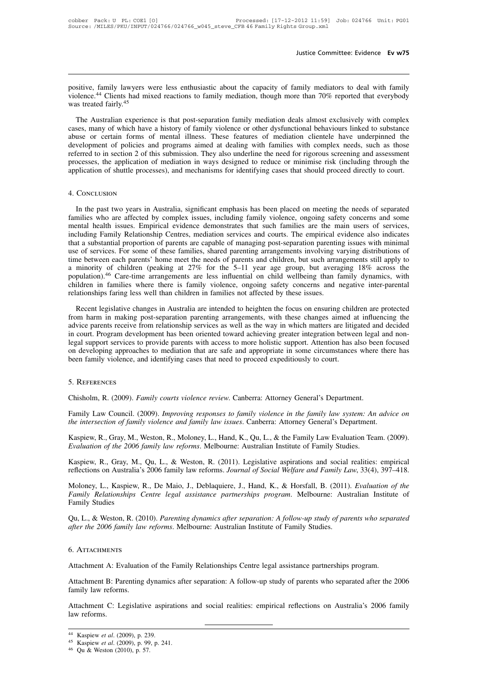bustice Committee: Evidence Ev w75<br>positive, family lawyers were less enthusiastic about the capacity of family mediators to deal with family<br>violence.<sup>44</sup> Clients had mixed reactions to family mediation, though more than Justice Committee: Evidence Ev w75<br>positive, family lawyers were less enthusiastic about the capacity of family mediators to deal with family<br>violence.<sup>44</sup> Clients had mixed reactions to family mediation, though more than

Justice Committee: Evidence Ev w75<br>positive, family lawyers were less enthusiastic about the capacity of family mediators to deal with family<br>violence.<sup>44</sup> Clients had mixed reactions to family mediation, though more than positive, family lawyers were less enthusiastic about the capacity of family mediators to deal with family violence.<sup>44</sup> Clients had mixed reactions to family mediation, though more than 70% reported that everybody was tre positive, family lawyers were less enthusiastic about the capacity of family mediators to deal with family violence.<sup>44</sup> Clients had mixed reactions to family mediation, though more than 70% reported that everybody was tre violence.<sup>44</sup> Clients had mixed reactions to family mediation, though more than 70% reported that everybody was treated fairly.<sup>45</sup><br>The Australian experience is that post-separation family mediation deals almost exclusivel The Australian experience is that post-separation family mediation deals almost exclusively with complex cases, many of which have a history of family violence or other dysfunctional behaviours linked to substance abuse or The Australian experience is that post-separation family mediation deals almost exclusively with complex cases, many of which have a history of family violence or other dysfunctional behaviours linked to substance abuse or The Australian experience is that post-separation family mediation deals almost exclusively with complex cases, many of which have a history of family violence or other dysfunctional behaviours linked to substance abuse or

# 4. Conclusion

In the past two years in Australia, significant emphasis has been placed on meeting the needs of separated plication of shuttle processes), and mechanisms for identifying cases that should proceed directly to court.<br>CONCLU Framilies who are affected by complex issues, including families are affected directly to court.<br>A. CONCLUSION<br>In the past two years in Australia, significant emphasis has been placed on meeting the needs of separated<br>fami and mechanisms for demotying cases that should proceed directly to court.<br>4. Conclusion<br>In the past two years in Australia, significant emphasis has been placed on meeting the needs of separated<br>families who are affected b 4. Conclusion<br>In the past two years in Australia, significant emphasis has been placed on meeting the needs of separated<br>families who are affected by complex issues, including family violence, ongoing safety concerns and s 4. Conclusion<br>In the past two years in Australia, significant emphasis has been placed on meeting the needs of separated<br>families who are affected by complex issues, including family violence, ongoing safety concerns and s In the past two years in Australia, significant emphasis has been placed on meeting the needs of separated families who are affected by complex issues, including family violence, ongoing safety concerns and some mental hea In the past two years in Australia, significant emphasis has been placed on meeting the needs of separated families who are affected by complex issues, including family violence, ongoing safety concerns and some mental hea families who are affected by complex issues, including family violence, ongoing safety concerns and some<br>mental health issues. Empirical evidence demonstrates that such families are the main users of services,<br>including Fa mental health issues. Empirical evidence demonstrates that such families are the main users of services, including Family Relationship Centres, mediation services and courts. The empirical evidence also indicates that a su including Family Relationship Centres, mediation services and courts. The empirical evidence also indicates that a substantial proportion of parents are capable of managing post-separation parenting issues with minimal use that a substantial proportion of parents are capable of managing post-separation parentinuse of services. For some of these families, shared parenting arrangements involving values time between each parents' home meet the The between each parents' home meet the needs of parents and children, but such arrangements still apply to minority of children (peaking at 27% for the 5–11 year age group, but averaging 18% across the pulation).<sup>46</sup> Care a minority of children (peaking at  $27\%$  for the 5-11 year age group, but averaging 18% across the population).<sup>46</sup> Care-time arrangements are less influential on child wellbeing than family dynamics, with children in fa

aby population).<sup>46</sup> Care-time arrangements are less influential on child wellbeing than family dynamics, with children in families where there is family violence, ongoing safety concerns and negative inter-parental relati Figure 1.1 The court. The summanist where there is family violence, ongoing safety concerns and negative inter-parental relationships faring less well than children in families not affected by these issues.<br>Recent legislat relationships faring less well than children in families not affected by these issues.<br>Recent legislative changes in Australia are intended to heighten the focus on ensuring children are protected<br>from harm in making post-Recent legislative changes in Australia are intended to heighten the focus on ensuring children are protected<br>from harm in making post-separation parenting arrangements, with these changes aimed at influencing the<br>advice p Recent legislative changes in Australia are intended to heighten the focus on ensuring child<br>from harm in making post-separation parenting arrangements, with these changes aimed a<br>advice parents receive from relationship s regal support services to provide parents with access to more noilstic support. Attention has also been<br>on developing approaches to mediation that are safe and appropriate in some circumstances where<br>been family violence,

# 5. References

been family violence, and identifying cases that need to proceed expeditiously to court.<br>5. REFERENCES<br>Chisholm, R. (2009). *Family courts violence review*. Canberra: Attorney General's Department.<br>Family Law Council. (200 <sup>5</sup>. REFERENCES<br>Chisholm, R. (2009). *Family courts violence review*. Canberra: Attorney General's Department.<br>Family Law Council. (2009). *Improving responses to family violence in the family law system: An advict<br>the int* S. KEFERENCES<br>Chisholm, R. (2009). *Family courts violence review*. Canberra: Attorney General's Department.<br>Family Law Council. (2009). *Improving responses to family violence in the family law system: An advice on*<br>the i Chisholm, R. (2009). *Family courts violence review*. Canberra: Attorney General's Department.<br>
Family Law Council. (2009). *Improving responses to family violence in the family law system: An*<br> *the intersection of family* Family Law Council. (2009). *Improving responses to family violence in the family law system: An advice on*<br>*the intersection of family violence and family law issues.* Canberra: Attorney General's Department.<br>Kaspiew, R.,

ranny Law Councin. (2009). *Improving responses to jumity violence in the jumity law system. An davice on*<br>the intersection of family violence and family law issues. Canberra: Attorney General's Department.<br>Kaspiew, R., Gr

Kaspiew, R., Gray, M., Weston, R., Moloney, L., Hand, K., Qu, L., & the Family Law Evaluation Team. (2009).<br> *Evaluation of the 2006 family law reforms*. Melbourne: Australian Institute of Family Studies.<br> *Kaspiew, R., Gr Family Relationships Centre legal assistance partnerships program.* Melbourne: Australian Institute of Family Studies.<br>*Family Relations of the 2006 family law reforms.* Melbourne: Australian Institute of Family Studies.<br> Evanamon by the 2000<br>Kaspiew, R., Gray, M.,<br>reflections on Australia<sup>7</sup><br>Moloney, L., Kaspiew,<br>Family *Relationships*<br>Family Studies<br>Qu, L., & Weston, R. (2 Raspiew, R., Gray, M., Qa, *L.*, & Weston, R. (2011). *Legislative* asphrations and social relatios. empirical reflections on Australia's 2006 family law reforms. *Journal of Social Welfare and Family Law*, 33(4), 397–418. reflections on Australia's 2006 family law reforms. Journal of Social Welfare and Family Law, 33(4), 397–418.<br>
Moloney, L., Kaspiew, R., De Maio, J., Deblaquiere, J., Hand, K., & Horsfall, B. (2011). *Evaluation of the*<br>

Qu, L., & Weston, R. (2010). *Parenting dynamics after separation: A follow-up study of parents who separafter the 2006 family law reforms. Melbourne: Australian Institute of Family Studies.<br>6. ATTACHMENTS<br>Attachment A: Ev* 

# 6. Attachments

after the 2006 family law reforms. Melbourne: Australian institute of Family Studies.<br>6. ATTACHMENTS<br>Attachment A: Evaluation of the Family Relationships Centre legal assistance partnerships program.<br>Attachment B: Parentin 6. ATTACHMENTS<br>Attachment A: Evaluation<br>Attachment B: Parenting<br>family law reforms.<br>Attachment C: Legislativ Attachment A: Evaluation of the Family Relationships Centre legal assistance partnerships program.<br>Attachment B: Parenting dynamics after separation: A follow-up study of parents who separated after the 2006<br>family law ref Attachment A: Ev<br>Attachment B: Par<br>family law reform<br>Attachment C: Le<br>law reforms.

family law reforms.<br>Attachment C: Legislative aspirations<br>law reforms.<br><sup>44</sup> Kaspiew *et al.* (2009), p. 239.<br><sup>45</sup> Kaspiew *et al.* (2009), p. 99, p. 241.<br><sup>46</sup> Qu & Weston (2010), p. 57.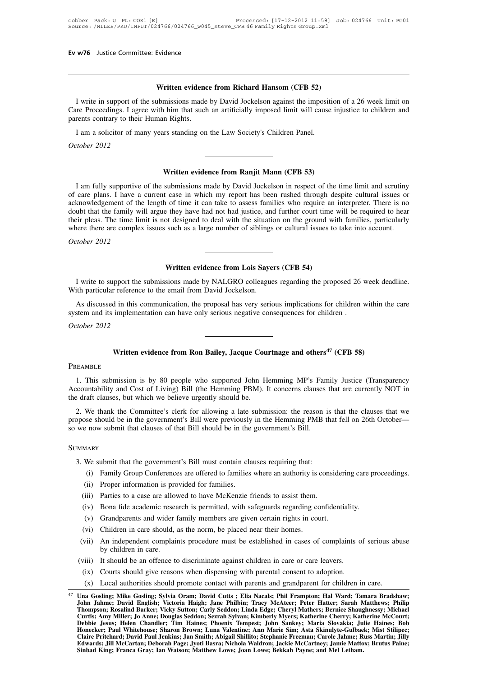**Written evidence from Richard Hansom (CFB 52)** I write in support of the submissions made by David Jockelson against the imposition of a 26 week limit on<br>I write in support of the submissions made by David Jockelson against the imposition of a 26 week limit on<br>tre Proc **CALCARE PROCESS**<br> **CARE PROCEEDING INTERET WITH A SUCH AND CARE PROCEEDING**<br> **CARE Proceedings.** I agree with him that such an artificially imposed limit will cause injustice to children and<br>
parents contrary to their Hum parents contrary to their Human Rights. **IVERT WRITE SET WARES THE SET SET SET SET SOLUTE:** It write in support of the submissions made by David Jockelson against the impositive Proceedings. I agree with him that such an artificially imposed limit will cause ren I write in support of th<br>Care Proceedings. I agre<br>parents contrary to their<br>I am a solicitor of man<br>*October 2012* parents contrary to their Human Rights.<br>
I am a solicitor of many years standing on the Law Society's Children Panel.<br>
October 2012<br> **Written evidence from Ranjit Mann (CFB 53)**<br>
I am fully supportive of the submissions ma

I am a solicitor of many years standing on the Law Society's Children Panel.<br>
I am fully supportive of the submissions made by David Jockelson in respect of the time limit and scrutiny<br>
care plans. I have a current case in **Solution CER 53**<br> **October 2012**<br> **CER 53**<br> **CER 53**<br> **CER 53**<br> **CER 53**<br> **CER 53**<br> **CER 53**<br> **CER 53**<br> **CER 53**<br> **CER 53**<br> **CER 53**<br> **CER 53**<br> **CER 53**<br> **CER 53**<br> **CER 53**<br> **CER 53**<br> **CER 53**<br> **CER 53**<br> **CER 53**<br> **CER 53** acknowledgement of the length of time it can take to assess families who require an interpreter. There is no **Example 10** Written evidence from Ranjit Mann (CFB 53)<br>I am fully supportive of the submissions made by David Jockelson in respect of the time limit and scrutiny<br>of care plans. I have a current case in which my report has **Example 1** If am fully supportive of the submissions made by David Jockelson in respect of the time limit and scrutiny of care plans. I have a current case in which my report has been rushed through despite cultural issue of care plans. I have a current case in which my report has been rushed through despite cultural issues or acknowledgement of the length of time it can take to assess families who require an interpreter. There is no doubt *I* am rully supportive of care plans. I have a order and acknowledgement of the doubt that the family will their pleas. The time lim where there are complex October 2012 They have had not had justice, and further court time<br>of designed to deal with the situation on the ground w<br>such as a large number of siblings or cultural issues to<br>**Written evidence from Lois Sayers (CFB 54)**<br>sions made

I write to support the submissions made by NALGRO colleagues regarding the proposed 26 week deadline.<br>
I write to support the submissions made by NALGRO colleagues regarding the proposed 26 week deadline.<br>
ith particular r October 2012<br>
Written evidence from Lois Saye<br>
I write to support the submissions made by NALGRO colleague<br>
With particular reference to the email from David Jockelson.<br>
As discussed in this communication, the proposal has **System and its implementation can have only SALGRO colleagues regarding the proposed 26** With particular reference to the email from David Jockelson.<br>As discussed in this communication, the proposal has very serious impli I write to support the s<br>With particular reference<br>As discussed in this co<br>system and its implemen<br>*October 2012* 

Written evidence from Lois Sayers (CFB 54)<br>I write to support the submissions made by NALGRO colleagues regarding the proposed 26 week deadline.<br>This particular reference to the email from David Jockelson.<br>As discussed in It in this communication, the proposal has very serious implications for children within the implementation can have only serious negative consequences for children .<br> **Written evidence from Ron Bailey, Jacque Courtnage an** 

# **PREAMBLE**

THE THE SUNDER THE SUPPORT THE SUPPORT THE SUPPORT THE SUPPORT OF SUPPORT THE SUBMISSION IS by 80 people who supported John Hemming MP's Family Justice (Transparency countability and Cost of Living) Bill (the Hemming PBM). Written evidence from Ron Bailey, Jacque Courtnage and others<sup>47</sup> (CFB 58)<br>
PREAMBLE<br>
1. This submission is by 80 people who supported John Hemming MP's Family Justice (Transparency<br>
Accountability and Cost of Living) Bill Written evidence from Ron Bailey, Jacque Cou<br>PREAMBLE<br>1. This submission is by 80 people who supported John H<br>Accountability and Cost of Living) Bill (the Hemming PBM). I<br>the draft clauses, but which we believe urgently sh 2. This submission is by 80 people who supported John Hemming MP's Family Justice (Transparency<br>2. We thank the Committee's clerk for allowing a late submission: the reason is that the clauses that we<br>2. We thank the Commi PREAMBLE<br>
1. This submission is by 80 people who supported John Hemming MP's Family Justice (Transparency<br>
Accountability and Cost of Living) Bill (the Hemming PBM). It concerns clauses that are currently NOT in<br>
the draft 1. This submission is by 80 people who supported John Hemming MP's Fan<br>Accountability and Cost of Living) Bill (the Hemming PBM). It concerns clauses<br>the draft clauses, but which we believe urgently should be.<br>2. We thank

3. We thank the Committee's clerk for allowing a late submission: the reason is<br>ppose should be in the government's Bill were previously in the Hemming PMB th<br>we now submit that clauses of that Bill should be in the govern See should be in the government's Bill were previously in the Hemming PMB that fell on 26th October—<br>
now submit that clauses of that Bill should be in the government's Bill.<br>
IARY<br>
We submit that the government's Bill mus

# **SUMMARY**

- MARY<br>We submit that the government's Bill must contain cla<br>(i) Family Group Conferences are offered to families.<br>(ii) Proper information is provided for families.<br>(ii) Parties to a case are allowed to have McKenzie f
	- (i) Family Group Conferences are offered to families where an authority is considering care pr<br>
	(ii) Family Group Conferences are offered to families where an authority is considering care pr<br>
	(ii) Proper information is pr (i) Family Group Conferences are offered to families where an authority is consider<br>
	(ii) Proper information is provided for families.<br>
	(ii) Proper information is provided for families.<br>
	(ii) Parties to a case are allowed
	-
	-
	- (i) We submit that the government's Bill must contain clauses requiring that:<br>
	(i) Family Group Conferences are offered to families where an authority is consi<br>
	(ii) Proper information is provided for families.<br>
	(iii) Part
	-
	-
- (i) Tanny Group concremes are offered to families where an additiony is (ii) Proper information is provided for families.<br>
(iii) Parties to a case are allowed to have McKenzie friends to assist them.<br>
(iv) Bona fide academ (ii) Troper mormation is provided for namines.<br>
(iii) Parties to a case are allowed to have McKenzie friends to assist them.<br>
(iv) Bona fide academic research is permitted, with safeguards regarding confidentiality.<br>
(vi) (ii) Parties to a case are allowed to have McKenzie friends to assist them.<br>
(iv) Bona fide academic research is permitted, with safeguards regarding confidentiality.<br>
(v) Grandparents and wider family members are given ce (iv) Bona fide academic research is permitted, with sateguards regarding confidentiality.<br>
(vi) Grandparents and wider family members are given certain rights in court.<br>
(vii) Children in care should, as the norm, be place (v) Grandparents and wider family members are given certain rights in court.<br>
(vi) Children in care should, as the norm, be placed near their homes.<br>
vii) An independent complaints procedure must be established in cases of
- 
- 
- 

<sup>(</sup>vi) Children in care should, as the norm, be placed near their homes.<br>
(vii) An independent complaints procedure must be established in cases of complaints of serious abuse<br>
by children in care.<br>
(ix) It should be an offe (x) Local authorities should promote contact with parents and grandparent for children in care.<br>
Una Gosling; Mike Gosling; Sylvia Oram; David Cutts ; Elia Nacals; Phil Frampton; Hal Ward; Tamara Bradshaw;<br>
John Jahme; Dav Thompson; Rosalid give reasons when dispensing with parental consent to adoption.<br>
(x) Local authorities should promote contact with parents and grandparent for children in care.<br> **Tha Gosling; Mike Gosling; Sylvia Oram; D** (ix) Courts should give reasons when dispensing with parental consent to adoption.<br>
(x) Local authorities should promote contact with parents and grandparent for children in care.<br>
Una Gosling; Mike Gosling; Sylvia Oram; D (x) Local authorities should promote contact with parents and grandparent for children in care.<br>
Una Gosling; Mike Gosling; Sylvia Oram; David Cutts ; Elia Nacals; Phil Frampton; Hal Ward; Tamara Bradshaw;<br>
John Jahme; Dav (x) Local authorities shound promote contact with parents and grandparent for ciniquen in care.<br>
Una Gosling; Mike Gosling; Sylvia Oram; David Cutts ; Elia Nacals; Phil Frampton; Hal Ward; Tamara Bradshaw;<br>
John Jahme; Dav Una Gosling; Mike Gosling; Sylvia Oram; David Cutts ; Elia Nacals; Phil Frampton; Hal Ward; Tamara Bradshaw;<br>John Jahme; David English; Victoria Haigh; Jane Philbin; Tracy McAteer; Peter Hatter; Sarah Matthews; Philip<br>Thom Edwards; Jill McCartan; Deborah Page; Jyoti Basra; Nichola Waldron; Jackie McCartney; Jamie Matthews; Philip Thompson; Rosalind Barker; Vicky Sutton; Carly Seddon; Linda Edge; Cheryl Mathers; Bernice Shaughnessy; Michael C John Jamine, *David English, Victoria Hangi, Jami Yimani, Haxy Wickler, Yicki Hanni Willer; Jo Anne; Douglas Seddon; Sezrah Sylvan; Kimberly Myers; Katherine Cherry; Katl<br>Curtis; Amy Miller; Jo Anne; Douglas Seddon; Sezrah*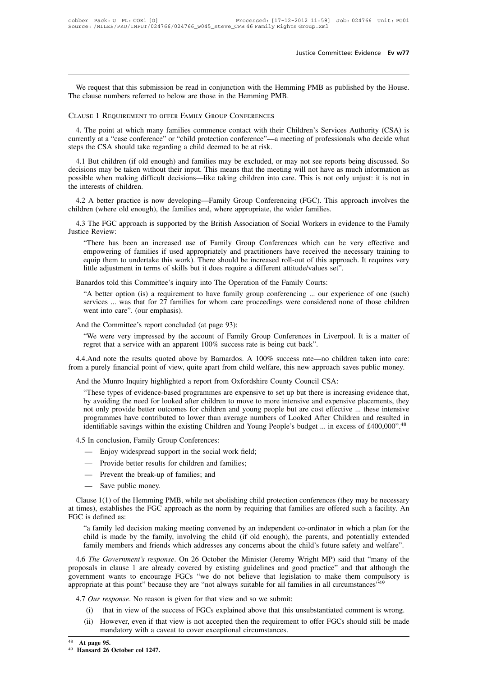Justice Committee: Evidence Ev w77<br>We request that this submission be read in conjunction with the Hemming PMB as published by the House.<br>clause numbers referred to below are those in the Hemming PMB. The clause numbers referred to below are those in the Hemming The clause numbers referred to below are those in the Hemming PMB.<br>
The clause 1 REQUEEMENT TO OFFER FAMIX GROUP CONFERENCES Jus<br>We request that this submission be read in conjunction with the Hemming<br>The clause numbers referred to below are those in the Hemming PMB.<br>CLAUSE 1 REQUIREMENT TO OFFER FAMILY GROUP CONFERENCES

We request that this submission be read in conjunction with the Hemming PMB as published by the House.<br>
Le clause numbers referred to below are those in the Hemming PMB.<br>
LAUSE 1 REQUIREMENT TO OFFER FAMILY GROUP CONFERENC We request that this submission be read in conjunction with the Hemming PMB as published by the House.<br>The clause numbers referred to below are those in the Hemming PMB.<br>CLAUSE 1 REQUIREMENT TO OFFER FAMILY GROUP CONFERENC The clause numbers referred to below are those in the Hemming PMB.<br>CLAUSE 1 REQUIREMENT TO OFFER FAMILY GROUP CONFERENCES<br>4. The point at which many families commence contact with their C<br>currently at a "case conference" o

SAUSE 1 REQUIREMENT TO OFFER FAMILY GROUP CONFERENCES<br>4. The point at which many families commence contact with their Children's Services Authority (CSA) is<br>rrently at a "case conference" or "child protection conference"—a CLAUSE I REQUIREMENT TO OFFER FAMILY GROUP CONFERENCES<br>4. The point at which many families commence contact with their Children's Services Authority (CSA) is<br>currently at a "case conference" or "child protection conference 4. The point at which many families commence contact with their Children's Services Authority (CSA) is currently at a "case conference" or "child protection conference"—a meeting of professionals who decide what steps the 4. The point at which hair<br>currently at a "case conference<br>steps the CSA should take reg<br>4.1 But children (if old enc<br>decisions may be taken witho<br>possible when making difficu<br>the interests of children.<br>4.2 A better practi position and the CSA should take regarding a child deemed to be at risk.<br>
4.1 But children (if old enough) and families may be excluded, or may not see reports being discussed. So<br>
cisions may be taken without their input. 4.1 But children (if old enough) and families may be excluded, or may not see reports being discussed. So decisions may be taken without their input. This means that the meeting will not have as much information as possibl cisions may be taken without their input. This means that the meeting will not have as much information as<br>sible when making difficult decisions—like taking children into care. This is not only unjust: it is not in<br>eintere

children (where old enough), the families and, where appropriate, the wider families.<br>4.3 The FGC approach is supported by the British Association of Social Workers in evidence to the Family<br>Justice Review:<br>"There has been

2 A better practice is now developing—Family Group Conferencing (FGC). This approach involves the<br>ren (where old enough), the families and, where appropriate, the wider families.<br>3 The FGC approach is supported by the Brit 2 A better practice is now developing—Family Group Conferencing (FGC). This approach involves the<br>ren (where old enough), the families and, where appropriate, the wider families.<br><sup>3</sup> The FGC approach is supported by the Br Fraction Comparison and the families and, where appropriate, the wider families.<br>
The FGC approach is supported by the British Association of Social Workers in evidence to the Family<br>
"There has been an increased use of Fa If the FGC approach is supported by the British Association of Social Workers in evidence Review:<br>
"There has been an increased use of Family Group Conferences which can be very<br>
empowering of families if used appropriatel There has been an increased use of Family Group Conferences which can be<br>empowering of families if used appropriately and practitioners have received the n<br>equip them to undertake this work). There should be increased roll "There has been an increased use of Family Group Conferences which can be very effective and<br>empowering of families if used appropriately and practitioners have received the necessary training to<br>equip them to undertake th empowering of families if used appropriately and practitioners have received the necessary training to equip them to undertake this work). There should be increased roll-out of this approach. It requires very little adjust

equip them to undertake this work). I<br>little adjustment in terms of skills but<br>mardos told this Committee's inquiry<br>"A better option (is) a requirement to<br>services ... was that for 27 families f<br>went into care". (our empha Banardos told this Committee's inquiry into The Operation<br>
"A better option (is) a requirement to have family gro<br>
services ... was that for 27 families for whom care pro<br>
went into care". (our emphasis).<br>
And the Committ mardos told this Committee's inquiry into The Operation of the Family Courts:<br>
"A better option (is) a requirement to have family group conferencing ... our experience of one (such)<br>
services ... was that for 27 families f services ... was that for 27 families for whom care proceedings were considered none of those children went into care". (our emphasis).<br>And the Committee's report concluded (at page 93):<br>"We were very impressed by the acco

4.4.And note the results quoted above by Barnardos. A 100% success rate—no children taken into care:<br>
4.4.And note the results quoted above by Barnardos. A 100% success rate—no children taken into care:<br>
4.4.And note the And the Committee's report concluded (at page 93):<br>
"We were very impressed by the account of Family Group Conferences in Liverpool. It is a matter of<br>
regret that a service with an apparent 100% success rate is being cut We were very impressed by the account of Family Group Conferences in Liverpool.<br>
regret that a service with an apparent  $100\%$  success rate is being cut back".<br>
4.4.And note the results quoted above by Barnardos. A  $100\$ 

We were very impressed by the account of Family Stroup Conferences in Eiverpool. It is a matter of regret that a service with an apparent 100% success rate is being cut back".<br>
1. And note the results quoted above by Barna by avoid the results quoted above by Barnardos. A 100% success rate—no children taken into care:<br>a purely financial point of view, quite apart from child welfare, this new approach saves public money.<br>ad the Munro Inquiry 1. And note the results quoted above by Barnardos. A 100% success rate—no children taken into care:<br>a purely financial point of view, quite apart from child welfare, this new approach saves public money.<br>d the Munro Inquir a purely financial point of view, quite apart from child welfare, this new approach saves public money.<br>
In the Munro Inquiry highlighted a report from Oxfordshire County Council CSA:<br>
"These types of evidence-based progra And the Munro Inquiry highlighted a report from Oxfordshire County Council CSA:<br>
"These types of evidence-based programmes are expensive to set up but there is increasing evidence that,<br>
by avoiding the need for looked aft

- 
- 
- 
- 

- Enjoy widespread support in the social work field;<br>
- Provide better results for children and families;<br>
- Prevent the break-up of families; and<br>
- Save public money.<br>
Clause 1(1) of the Hemming PMB, while not abolishing 21967 whese better results for children and families;<br>
- Prevent the break-up of families; and<br>
- Save public money.<br>
Clause 1(1) of the Hemming PMB, while not abolishing child protection conferences (they may be necessary  $-$  Provide better<br> $-$  Prevent the bre<br> $-$  Save public m<br>Clause 1(1) of the Hen<br>at times), establishes the<br>FGC is defined as:<br>"a family led decisical is made by the "a family led decision making meeting convened by an independent co-ordinator in which a plan for the Save public money.<br>
ause 1(1) of the Hemming PMB, while not abolishing child protection conferences (they may be necessary<br>
mes), establishes the FGC approach as the norm by requiring that families are offered such a facil ause 1(1) of the Hemming PMB, while not abolishing child protection conferences (they may be necessary mes), establishes the FGC approach as the norm by requiring that families are offered such a facility. An is defined as

times), establishes the FGC approach as the norm by requiring that families are offered such a facility. An <br>
iG is defined as:<br>
"a family led decision making meeting convened by an independent co-ordinator in which a plan FGC is defined as:<br>
"a family led decision making meeting convened by an independent co-ordinator in which a plan for the<br>
child is made by the family, involving the child (if old enough), the parents, and potentially exte "a family led decision making meeting convened by an independent co-ordinator in which a plan for the child is made by the family, involving the child (if old enough), the parents, and potentially extended family members a chain is made by the family, involving the child (if old enough), the parents, and potentially extended family members and friends which addresses any concerns about the child's future safety and welfare".<br>
4.6 *The Gove* The Government's response. On 26 October the Minister (Jeremy Wright MP) said that "many of the<br>sals in clause 1 are already covered by existing guidelines and good practice" and that although the<br>nment wants to encourage Saals in clause 1 are already covered by existing guidelines and good practice" and that although the mment wants to encourage FGCs "we do not believe that legislation to make them compulsory is ppriate at this point" bec

- 
- government wants to encourage FGCs "we do not believe that legislatic appropriate at this point" because they are "not always suitable for all famili 4.7 *Our response*. No reason is given for that view and so we submit:<br>(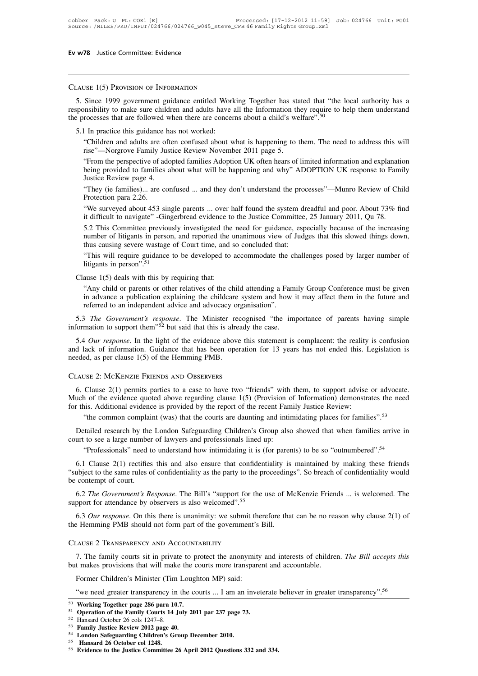# Clause 1(5) Provision of Information

**EV W78** Justice Committee: Evidence<br>
CLAUSE 1(5) PROVISION OF INFORMATION<br>
5. Since 1999 government guidance entitled Working Together has stated that "the local authority has a<br>
responsibility to make sure children and a CLAUSE 1(5) PROVISION OF INFORMATION<br>5. Since 1999 government guidance entitled Working Together has stated that "the local authority has a<br>responsibility to make sure children and adults have all the Information they requ CLAUSE 1(5) PROVISION OF INFORMATION<br>5. Since 1999 government guidance entitled Working Together has stated that "the left<br>responsibility to make sure children and adults have all the Information they require to he<br>the pro SE 1(5) PROVISION OF INFORMATION<br>
Since 1999 government guidance entitled Working Together has stated that "the local authority has a<br>
msibility to make sure children and adults have all the Information they require to hel Since 1999 government guidance entitled Working Together has stands<br>insibility to make sure children and adults have all the Information the<br>rocesses that are followed when there are concerns about a child's we<br>I In practi

Insibility to make sure children and adults have all the Information they require to help them understand<br>rocesses that are followed when there are concerns about a child's welfare".<sup>50</sup><br>Children and adults are often confu rocesses that are followed when there are concerns about a child's welfare".<sup>50</sup><br>
I In practice this guidance has not worked:<br>
"Children and adults are often confused about what is happening to them. The need to address th I In practice this guidance ha<br>
"Children and adults are oft<br>
rise"—Norgrove Family Just<br>
"From the perspective of ado<br>
being provided to families a<br>
Justice Review page 4.<br>
"They (ie families)... are cor<br>
Protection para "Children and adults are often confused about what is happening to them. The need to address this will rise"—Norgrove Family Justice Review November 2011 page 5.<br>
"From the perspective of adopted families Adoption UK often Ciniuen and adults are consider<br>
rise"—Norgrove Family Ju<br>
"From the perspective of a<br>
being provided to families<br>
Justice Review page 4.<br>
"They (ie families)... are c<br>
Protection para 2.26.<br>
"We surveyed about 453 s<br>
it d "From the perspective of adopted families Adoption UK often hears of limited information and explanation<br>being provided to families about what will be happening and why" ADOPTION UK response to Family<br>Justice Review page 4 From the perspective of adopted rammes Adoption UK often hears of infinited information and explanation<br>being provided to families about what will be happening and why" ADOPTION UK response to Family<br>suiting the Seview pag

Justice Review page 4.<br>
"They (ie families)... are confused ... and they don't understand the processes"—Munro Review of Child<br>
Protection para 2.26.<br>
"We surveyed about 453 single parents ... over half found the system dr "They (ie families)... are confused ... and they don't understand the processes"—Munro Review of Child Protection para 2.26.<br>"We surveyed about 453 single parents ... over half found the system dreadful and poor. About 73% Protection para 2.26.<br>
"We surveyed about 453 single parents ... over half found the system dreadful and poor. About 73% find<br>
it difficult to navigate" -Gingerbread evidence to the Justice Committee, 25 January 2011, Qu "We surveyed about 453 single parents ... over half found the system dreadful and poor. About 73% find<br>it difficult to navigate" -Gingerbread evidence to the Justice Committee, 25 January 2011, Qu 78.<br>5.2 This Committee pr We surveyed about 455 Single patents ... over in<br>it difficult to navigate" -Gingerbread evidence to<br>5.2 This Committee previously investigated the<br>number of litigants in person, and reported the t<br>thus causing severe wasta

number of litigants in person, and reported the unanimous view of Judges that this slowed things down,<br>thus causing severe wastage of Court time, and so concluded that:<br>"This will require guidance to be developed to accomm thus causing severe wastage of Court time, and so concluded that:<br>
"This will require guidance to be developed to accommodate the challenges posed by larger number of<br>
litigants in person".<sup>51</sup><br>
ause 1(5) deals with this b "This will require guidance to be developed to accommodate the c<br>litigants in person".<sup>51</sup><br>ause 1(5) deals with this by requiring that:<br>"Any child or parents or other relatives of the child attending a Fan<br>in advance a pu It Clause 1(5) deals with this by requiring that:<br>
"Any child or parents or other relatives of the child attending a Family Group Conference must be given<br>
in advance a publication explaining the childcare system and how i Clause 1(5) deals with this by requiring that:<br>
"Any child or parents or other relatives of the child attending a Fam<br>
in advance a publication explaining the childcare system and how i<br>
referred to an independent advice

"Any child or parents or other relatives of the child attending a Family Group Conference must be given<br>in advance a publication explaining the childcare system and how it may affect them in the future and<br>referred to an in advance a publication explaining the childcare system and how it may affect them in the future and referred to an independent advice and advocacy organisation".<br>
5.3 *The Government's response*. The Minister recognised referred to an independent advice and advocacy organi<br>
5.3 *The Government's response*. The Minister recogn<br>
information to support them<sup>352</sup> but said that this is already<br>
5.4 *Our response*. In the light of the evidence 5.4 Our response. In the light of the evidence above this statement is complacent: the reality is confusion<br>d lack of information. Guidance that has been operation for 13 years has not ended this. Legislation is<br>eded, as p

and lack of information. Guidance that has been operation for 13 years has not ended this. Legislation is<br>needed, as per clause 1(5) of the Hemming PMB.<br>CLAUSE 2: MCKENZIE FRIENDS AND OBSERVERS<br>6. Clause 2(1) permits part and lack of information. Guidance that has been operation for 13 years has not ended this. Legislation is<br>needed, as per clause 1(5) of the Hemming PMB.<br>CLAUSE 2: McKENZIE FRIENDS AND OBSERVERS<br>6. Clause 2(1) permits part EXECT COMPUTE COMPONDE COMPONDED CONSERVERS<br>
Solution complaint (was) that the courts are daunting and intimidating places for families".<sup>53</sup><br>
The common complaint (was) that the courts are daunting and intimidating place 6. Clause  $2(1)$  permits parties to a case to have two "friends" with Much of the evidence quoted above regarding clause  $1(5)$  (Provision of or this. Additional evidence is provided by the report of the recent Fam "the c

uch of the evidence quoted above regarding clause 1(5) (Provision of Information) demonstrates the need<br>
this. Additional evidence is provided by the report of the recent Family Justice Review:<br>
"the common complaint (was) The same rules of confidentiality as the party to the proceedings". So breach of confidentiality is  $\frac{1}{10}$  and  $\frac{1}{10}$  and  $\frac{1}{10}$  and  $\frac{1}{10}$  are a large number of lawyers and professionals lined up:<br>
"Profe Detailed research by the<br>court to see a large number<br>"Professionals" need t<br>6.1 Clause 2(1) rectifies<br>"subject to the same rules of<br>the contempt of court.<br>6.2 *The Government's Refore the* at to see a large number of lawyers and protessionals lined up:<br>
"Professionals" need to understand how intimidating it is (for parents) to be so "outnumbered".<sup>54</sup><br>
6.1 Clause 2(1) rectifies this and also ensure that conf "Professionals" need to understand how intimidating it is (for parents) to be so "outnumbered".<sup>54</sup><br>6.1 Clause 2(1) rectifies this and also ensure that confidentiality is maintained by making these friends<br>"subject to the "subject to the same rules of confidentiality as the party to the proceeding<br>be contempt of court.<br>6.2 *The Government's Response*. The Bill's "support for the use of M<br>support for attendance by observers is also welcomed "subject to the same rules of confidentiality as the party to the<br>be contempt of court.<br>6.2 *The Government's Response*. The Bill's "support for the<br>support for attendance by observers is also welcomed".<sup>55</sup><br>6.3 *Our resp* 

Family courts site in private to protect the anonymity and interests of children. *The Bill accepts this* the family courts sit in private to protect the anonymity and interests of children. *The Bill accepts this* thakes 6.3 Our response. On this there is unanimity: we submit therefore that can be no rea<br>the Hemming PMB should not form part of the government's Bill.<br>CLAUSE 2 TRANSPARENCY AND ACCOUNTABILITY<br>7. The family courts sit in priv EXEMBER PARENCY AND ACCOUNTABILITY<br>
TAUSE 2 TRANSPARENCY AND ACCOUNTABILITY<br>
7. The family courts sit in private to protect the anonymity<br>
t makes provisions that will make the courts more transpare<br>
Former Children's Mini The family courts sit in private to protect the anonymity and interests of children. The Bill accepts this it makes provisions that will make the courts more transparent and accountable.<br>Former Children's Minister (Tim Lou Former Children's Minister (Tim Loughton MP) said:<br>
"We need greater transparency in the courts more transparent and<br>
"We need greater transparency in the courts ... I am an inveterate<br>
"We need greater transparency in th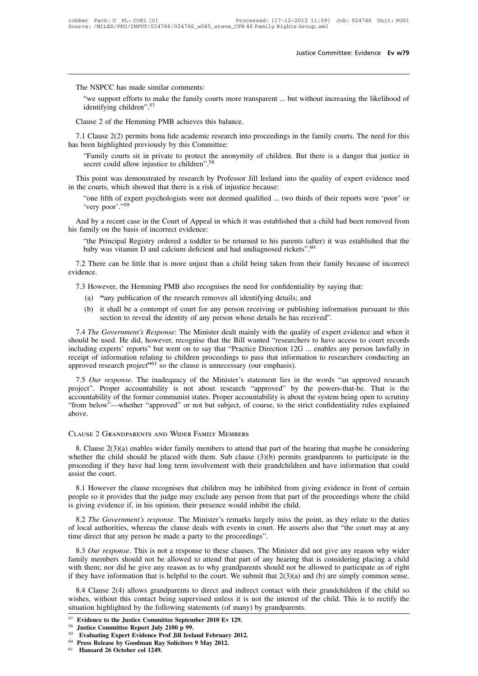The NSPCC has made similar comments:<br>"we support efforts to make the family courts<br>identifying children"  $57$ Justice Committee: Evidence Ev w79<br>
we support efforts to make the family courts more transparent ... but without increasing the likelihood of<br>
identifying children".<sup>57</sup> The NSPCC has made similar comments:<br>"we support efforts to make the family courts more transpidentifying children".<sup>57</sup><br>Clause 2 of the Hemming PMB achieves this balance.<br>7.1 Clause 2(2) permits bona fide academic researc

The NSPCC has made similar comments:<br>
"we support efforts to make the family courts more transparent ... but without increasing the likelihood of<br>
identifying children".<sup>57</sup><br>
Clause 2 of the Hemming PMB achieves this balan The Forte has made similar commens.<br>
"we support efforts to make the family courts more to<br>
identifying children".<sup>57</sup><br>
Clause 2 of the Hemming PMB achieves this balance.<br>
7.1 Clause 2(2) permits bona fide academic resear identifying children".<sup>57</sup><br>ause 2 of the Hemming PMB achieves this balance.<br>L Clause 2(2) permits bona fide academic research into proceedings in the family courts. The need for this<br>een highlighted previously by this Comm Clause 2 of the Hemming PMB achieves this balance.<br>
7.1 Clause 2(2) permits bona fide academic research into proceedings in the family courts. The need for this<br>
seen highlighted previously by this Committee:<br>
"Family cou 7.1 Clause 2(2) permits bona fide academic research into proceedings in<br>has been highlighted previously by this Committee:<br>
"Family courts sit in private to protect the anonymity of children. I<br>
secret could allow injusti

een highlighted previously by this Committee:<br>
"Family courts sit in private to protect the anonymity of children. But there is a danger that justice in<br>
secret could allow injustice to children".<sup>58</sup><br>
is point was demonst "Family courts sit in private to protect the anonymity of children. But there is a danger that justice in secret could allow injustice to children".<sup>58</sup><br>This point was demonstrated by research by Professor Jill Ireland int This point was demonstrated by research by Pro<br>in the courts, which showed that there is a risk of i<br>"one fifth of expert psychologists were not dee<br>"very poor"."<sup>59</sup><br>And by a recent case in the Court of Appeal in w<br>his fa

e courts, which showed that there is a risk of injustice because:<br>
"one fifth of expert psychologists were not deemed qualified ... two thirds of their reports were 'poor' or<br>
"very poor'."<sup>59</sup><br>
"d by a recent case in the "one fifth of expert psychologists were not deemed qualified ... two thirds of their reports were 'poor' or 'very poor'."<sup>59</sup><br>And by a recent case in the Court of Appeal in which it was established that a child had been re 7.3 However, the Hemming PMB also recognises the need for confidentiality by saying that:<br>
(a)  $\frac{4}{3}$  There can be little that is more unjust than a child being taken from their family because of idence.<br>
7.3 However,

evidence. (a) **"**any publication of the research removes all identifying details; and<br>
(b) it shall be a contempt of court for any person receiving or publishing information to reveal the identity of any person receiving or publishi (b) it shall be a contempt of court for any person receiving or publishing information pursuant to this section to reveal the identity of any person whose details he has received.<br>
(a)  $\frac{1}{2}$  is shall be a contempt of

- 
- re can be little that is more unjust than a child being taken from their family by<br>wever, the Hemming PMB also recognises the need for confidentiality by saying<br>"any publication of the research removes all identifying deta

1.3 However, the Hemming PMB also recognises the need for confidentiality by saying that:<br>
(a) "any publication of the research removes all identifying details; and<br>
(b) it shall be a contempt of court for any person recei Showever, the Hemming PMB also recognises the need for confidentiality by saying that:<br>
(a) "any publication of the research removes all identifying details; and<br>
(b) it shall be a contempt of court for any person receivin (a) "any publication of the research removes all identifying details; and<br>
(b) it shall be a contempt of court for any person receiving or publishing information pursuant to this<br>
section to reveal the identity of any per (b) it shall be a contempt of court for any person receiving or publishing information pursuant to this section to reveal the identity of any person whose details he has received".<br>
7.4 *The Government's Response*: The Mi approved the identity of any person receiving or publishing section to reveal the identity of any person whose details he has rece 7.4 *The Government's Response*: The Minister dealt mainly with the quality should be used. 7.4 *The Government's Response*: The Minister dealt mainly with the quality of expert evidence and when it ould be used. He did, however, recognise that the Bill wanted "researchers to have access to court records cluding proved in the Bill wanted "researchers to have access to court records should be used. He did, however, recognise that the Bill wanted "researchers to have access to court records including experts" but went on to asy that

and the tastes. The tastes, the former communist states in the Financel Testates. The former contribution including experts' reports' but went on to say that "Practice Direction 12G ... enables any person lawfully in recei mericulary experts reports out went on to say that Tractice Differential in the mericulary precept of information relating to children proceedings to pass that information to researchers conducting an approved research pro above. approved research project<sup>351</sup> so the clause is unnecessary (our emph<br>
7.5 *Our response*. The inadequacy of the Minister's statement<br>
project". Proper accountability is not about research "approve-<br>
accountability of the Solution to the former communist states. Proper accountability is about the system being open to scrutiny<br>
Solution below"—whether "approved" or not but subject, of course, to the strict confidentiality rules explained<br>
Ov

"Trom below"—whether "approved" or not but subject, of course, to the strict confidentiality rules explained<br>above.<br>CLAUSE 2 GRANDPARENTS AND WIDER FAMILY MEMBERS<br>8. Clause 2(3)(a) enables wider family members to attend th proceeding if they have had long term involvement with their grandchildren and have information that could assist the court. CLAUSE 2 GRANDPAN<br>8. Clause  $2(3)(a)$  e<br>whether the child sh<br>proceeding if they has<br>assist the court.<br>8.1 However the c AUSE 2 GRANDPARENTS AND WIDER FAMILY MEMBERS<br>8. Clause 2(3)(a) enables wider family members to attend that part of the hearing that maybe be considering<br>nether the child should be placed with them. Sub clause (3)(b) permit 8. Clause 2(3)(a) enables wider family members to attend that part of the hearing that maybe be considering whether the child should be placed with them. Sub clause (3)(b) permits grandparents to participate in the procee is giving evidence if, in his opinion, their presence would inhibited from giving evidence if, in his opinion, their presence would inhibited from giving evidence if, in his opinion, their presence would inhibit the child

be Soceeding if they have had long term involvement with their grandchildren and have information that could<br>sist the court.<br>8.1 However the clause recognises that children may be inhibited from giving evidence in front of 8.1 However the clause recognises that children may be inhibited from giving evidence in front of certain people so it provides that the judge may exclude any person from that part of the proceedings where the child is gi 8.1 However the clause recognises that children may be inhibited people so it provides that the judge may exclude any person from that<br>is giving evidence if, in his opinion, their presence would inhibit the original and th

ople so it provides that the judge may exclude any person from that part of the proceedings where the child<br>giving evidence if, in his opinion, their presence would inhibit the child.<br>8.2 *The Government's response*. The M Family evidence if, in his opinion, their presence would inhibit the child.<br>
8.2 The Government's response. The Minister's remarks largely miss the point, as they relate to the duties<br>
of local authorities, whereas the cl 8.2 The Government's response. The Minister's remarks largely miss the point, as they relate to the duties<br>of local authorities, whereas the clause deals with events in court. He asserts also that "the court may at any<br>ti if they have information that is helpful to the court. We submit that 2(3)(a) and (b) are simply common sense.<br>
8.3 *Our response*. This is not a response to these clauses. The Minister did not give any reason why wider fa as 3 *Our response*. This is not a response to these clauses. The Minister did not give any reason why wider mily members should not be allowed to attend that part of any hearing that is considering placing a child th them 8.3 *Our response*. This is not a response to these clauses. The Minister did not give any reason why wider family members should not be allowed to attend that part of any hearing that is considering placing a child with 6.3 Our response. This is not a response to these chauses. The whenever that the family members should not be allowed to attend that part of any hearing that is with them; nor did he give any reason as to why grandparents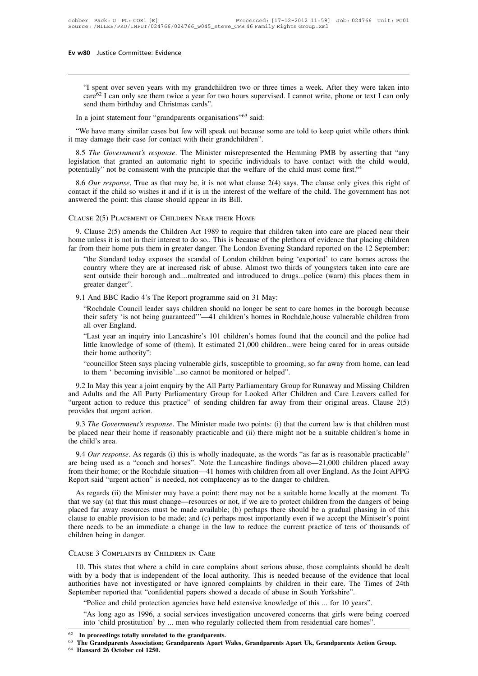"<br>"I spent over seven years with my grandchildren two or three times a week. After they were taken into<br>care<sup>62</sup> I can only see them twice a year for two hours supervised. I cannot write, phone or text I can only<br>send them SO Justice Committee: Evidence<br>
"I spent over seven years with my grandchildren two or three times a week. After they were taken into<br>
care<sup>62</sup> I can only see them twice a year for two hours supervised. I cannot write, ph **80** Justice Committee: Evidence<br>
"I spent over seven years with my grandchildr<br>
care<sup>62</sup> I can only see them twice a year for two<br>
send them birthday and Christmas cards".<br>
a joint statement four "grandparents organisati "I spent over seven years with my grandchildren two or three ti care<sup>62</sup> I can only see them twice a year for two hours supervised send them birthday and Christmas cards".<br>In a joint statement four "grandparents organisat "I spent over seven years with my grandchildren two or three times a week. After they were taken into care<sup>62</sup> I can only see them twice a year for two hours supervised. I cannot write, phone or text I can only send them The spent over seven years with my grandchildren two or three care<sup>62</sup> I can only see them twice a year for two hours supervised send them birthday and Christmas cards".<br>In a joint statement four "grandparents organisatio

8.5 *The Government's response*. The Minister misrepresented the Hemming PMB by asserting that "any similar cases but few will speak out because some are told to keep quiet while others think that may damage their case for In a joint statement four "grandparents organisations"<sup>63</sup> said:<br>
"We have many similar cases but few will speak out because some are told to keep quiet while others think<br>
it may damage their case for contact with their In a joint statement four "grandparents organisations"<sup>63</sup> said:<br>
"We have many similar cases but few will speak out because some are told to keep quiet while others think<br>
it may damage their case for contact with their g it may damage their case for contact with their grandchildren".<br>
8.5 The Government's response. The Minister misrepresented the Hemming PMB by asserting that "any<br>
legislation that granted an automatic right to specific in 8.5 *The Government's response*. The Minister misrepresented the Hegislation that granted an automatic right to specific individuals to potentially" not be consistent with the principle that the welfare of the 8.6 *Our res* 

8.6 *Our response*. True as that may be, it is not what clause 2(4) says. The clause only gives this right of that if the child so wishes it and if it is in the interest of the welfare of the child. The government has not

CLAUSE 2(5) PLACEMENT OF CHILDREN NEAR THEIR HOME<br>CLAUSE 2(5) PLACEMENT OF CHILDREN NEAR THEIR HOME<br>9. Clause 2(5) PLACEMENT OF CHILDREN NEAR THEIR HOME<br>9. Clause 2(5) amends the Children Act 1989 to require that children Far from their home puts them in greater danger. The London Evening Standard report and their standard reported on the 12 September:<br>
The Standard report of CHILDREN NEAR THEIR HOME<br>
9. Clause 2(5) amends the Children Act

THE STANDARD TO THE STANDARD TO SET USE 2(5) PLACEMENT OF CHILDREN NEAR THEIR HOME<br>
Clause 2(5) amends the Children Act 1989 to require that children taken into care are placed near their<br>
e unless it is not in their inter USE 2(5) PLACEMENT OF CHILDREN NEAR THEIR HOME<br>Clause 2(5) amends the Children Act 1989 to require that children taken into care are placed near their<br>e unless it is not in their interest to do so.. This is because of the Clause 2(5) amends the Children Act 1989 to require that children taken into care are placed near their<br>
eunless it is not in their interest to do so.. This is because of the plethora of evidence that placing children<br>
co Clause 2(5) amends the unless it is not in the<br>great is in the community of the Standard today of<br>"the Standard today of country where they a<br>sent outside their bor<br>greater danger".<br>And BBC Radio 4's The Standard today exposes the scandal of London Evening Sta<br>
"the Standard today exposes the scandal of London children being<br>
country where they are at increased risk of abuse. Almost two third<br>
sent outside their boroug "the Standard today exposes the scandal of London children being 'exported' to care homes across the country where they are at increased risk of abuse. Almost two thirds of youngsters taken into care are sent outside their country where they are at increased risk of abuse. Almost two thirds of youngsters taken into care are<br>sent outside their borough and....maltreated and introduced to drugs...police (warn) this places them in<br>greater danger

sent outside their bord<br>greater danger".<br>L And BBC Radio 4's "<br>"Rochdale Council lea<br>their safety 'is not beir<br>all over England.<br>"Last year an inquiry little knowledge of son greater danger".<br>
1 And BBC Radio 4's The Report programme said on 31 May:<br>
"Rochdale Council leader says children should no longer be sent to care homes in the borough because<br>
their safety 'is not being guaranteed'"—41 c The BBC Kadio 4 s The K<br>
"Rochdale Council leader sa<br>
their safety 'is not being gua<br>
all over England.<br>
"Last year an inquiry into I<br>
little knowledge of some of<br>
their home authority":<br>"councillor Steen says placing to t

l And BBC Radio 4's The Report programme said on 31 May:<br>
"Rochdale Council leader says children should no longer be sent to care homes in the borough because<br>
their safety 'is not being guaranteed'"—41 children's homes in Notificant Council relater says cinder should no longer be sent to care homes in the borough because<br>their safety 'is not being guaranteed'"—41 children's homes in Rochdale, house vulnerable children from<br>all over England. them 'salety' is not being guaranteed ---41 cinden's homes in Rochdar<br>all over England.<br>"Last year an inquiry into Lancashire's 101 children's homes found that<br>little knowledge of some of (them). It estimated 21,000 childr

"Last year an inquiry into Lancashire's 101 children's homes found that the council and the police had<br>little knowledge of some of (them). It estimated 21,000 children...were being cared for in areas outside<br>their home aut It the knowledge of some of (them). It estimated 21,000 children...were being cared for in areas outside<br>their home authority":<br>"councillor Steen says placing vulnerable girls, susceptible to grooming, so far away from hom their home authority":<br>
"councillor Steen says placing vulnerable girls, susceptible to grooming, so far away from home, can lead<br>
to them 'becoming invisible'...so cannot be monitored or helped".<br>
9.2 In May this year a j "councillor Steen says placities"<br>to them 'becoming invisible<br>9.2 In May this year a joint end<br>and Adults and the All Party Pi<br>"urgent action to reduce this pr<br>provides that urgent action.<br>9.3 *The Government's respons* to them 'becoming invisible'...so cannot be monitored or helped".<br>
9.2 In May this year a joint enquiry by the All Party Parliamentary Group for Runaway and Missing Children<br>
d Adults and the All Party Parliamentary Group 9.2 In May this year a joint enquiry by the All Party Parliamentary Group for Runaway and Missing Children<br>and Adults and the All Party Parliamentary Group for Looked After Children and Care Leavers called for<br>"urgent act 9.2 In May uns yeard Adults and the  $\mu$ <br>
"urgent action to red<br>
provides that urgent at  $9.3$  The Government<br>
be placed near their l<br>
the child's area.<br>
9.4 Our response.

rgent action to reduce this practice" of sending children far away from their original areas. Clause 2(5)<br>ovides that urgent action.<br>9.3 *The Government's response*. The Minister made two points: (i) that the current law i

9.3 The Government's response. The Minister made two points: (i) that the current law is that children must<br>be placed near their home if reasonably practicable and (ii) there might not be a suitable children's home in<br>the 9.3 The Government's response. The Minister made two points: (i) that the current law is that children must<br>be placed near their home if reasonably practicable and (ii) there might not be a suitable children's home in<br>the 9.3 The Government's response. The Minister made two points: (i) that the current law is that children must<br>be placed near their home if reasonably practicable and (ii) there might not be a suitable children's home in<br>the e child's area.<br>
9.4 *Our response*. As regards (i) this is wholly inadequate, as the words "as far as is reasonable practicable"<br>
being used as a "coach and horses". Note the Lancashire findings above—21,000 children plac

9.4 Our response. As regards (i) this is wholly inadequate, as the words "as far as is reasonable practicable"<br>are being used as a "coach and horses". Note the Lancashire findings above—21,000 children placed away<br>from the 9.4 Our response. As regards (i) this is wholly madequate, as the words as far as is reasonable practicable are being used as a "coach and horses". Note the Lancashire findings above—21,000 children placed away from their are being used as a Coach and noises. Note the Lancashine intuitings above—21,000 children pacted away<br>from their home; or the Rochdale situation—41 homes with children from all over England. As the Joint APPG<br>Report said Trom their nome, of the Rochdale shuation—41 nomes with children from an over England. As the John APPG<br>Report said "urgent action" is needed, not complacency as to the danger to children.<br>As regards (ii) the Minister may Report said digent action is<br>As regards (ii) the Minister<br>that we say (a) that this must c<br>placed far away resources mu<br>clause to enable provision to b<br>there needs to be an immedia<br>children being in danger.<br>CLAUSE 3 COMPLA Report sata digent action is needed, not complacency as<br>As regards (ii) the Minister may have a point: there may<br>that we say (a) that this must change—resources or not, if<br>placed far away resources must be made available; This states that where a child in care complains about serious abuse, those complaints is be infinited in the law to reduce the current practice of tens of thousands of einder being in danger.<br>
LAUSE 3 COMPLAINTS BY CHILDR

There needs to be an immediate a change in the law to reduce the current practice of tens of thousands of children being in danger.<br>CLAUSE 3 COMPLAINTS BY CHILDREN IN CARE<br>10. This states that where a child in care complai CLAUSE 3 COMPLAINTS BY CHILDREN IN CARE<br>
10. This states that where a child in care complains about serious abuse, those complaints should be dealt<br>
with by a body that is independent of the local authority. This is needed CLAUSE 3 COMPLAINTS BY CHILDREN IN CARE<br>
10. This states that where a child in care complains about serious abuse, those complaints show<br>
with by a body that is independent of the local authority. This is needed because of USE 3 COMPLAINTS BY CHILDREN IN CARE<br>
This states that where a child in care complains about serious abuse, those complaints should be<br>
by a body that is independent of the local authority. This is needed because of the ev This states that where a child in care complains about serious abuse, those complaints should be dealt<br>by a body that is independent of the local authority. This is needed because of the evidence that local<br>arrities have n io. This states und where a chiun in cate complains about serious abous, those complains to the evidence that local<br>authorities have not investigated or have ignored complaints by children in their care. The Times of 24th<br>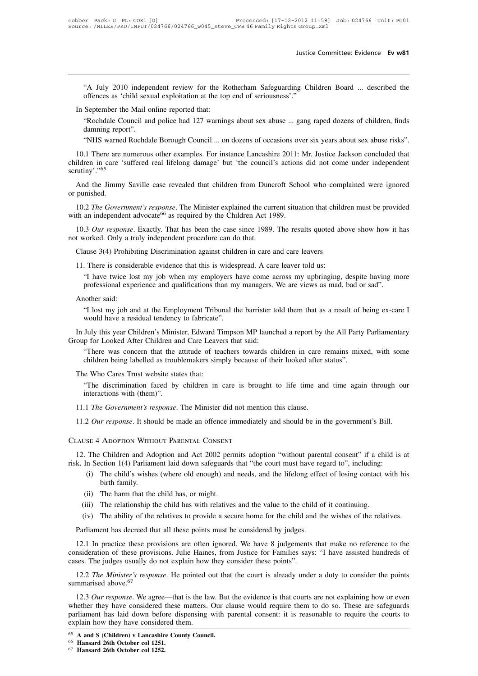Justice Committee: Evidence Ev w81<br>
"A July 2010 independent review for the Rotherham Safeguarding Children Board ... described the<br>
offences as 'child sexual exploitation at the top end of seriousness'." Justice Cor<br>
"A July 2010 independent review for the Rotherham Safeguarding Childre<br>
offences as 'child sexual exploitation at the top end of seriousness'."<br>
September the Mail online reported that: "A July 2010 independent review for the Re<br>offences as 'child sexual exploitation at the top<br>In September the Mail online reported that:<br>"Rochdale Council and police had 127 warning<br>damning report"

"A July 2010 independent review for the Rotherham Safeguarding Children Board ... described the offences as 'child sexual exploitation at the top end of seriousness'."<br>September the Mail online reported that:<br>"Rochdale Cou "A July 2010 independent review for the Rotherham Safeguarding Children Board ... described the offences as 'child sexual exploitation at the top end of seriousness'."<br>In September the Mail online reported that:<br>"Rochdale "A July 2010 independent review for the Rotherham Safeguarding Children Board ... described the offences as 'child sexual exploitation at the top end of seriousness'."<br>September the Mail online reported that:<br>"Rochdale Cou

In September the Mail online reported that:<br>
"Rochdale Council and police had 127 warnings about sex abuse ... gang raped dozens of children, finds<br>
damning report".<br>
"NHS warned Rochdale Borough Council ... on dozens of o In September the Mail online reported that:<br>
"Rochdale Council and police had 127 warnings about sex abuse ... gang raped dozens of children, finds<br>
damning report".<br>
"NHS warned Rochdale Borough Council ... on dozens of o SCRUTE CONTROLLATED MELTANGLIC THE SCRUTE CAST CONTROLLATED THE SCHOOL STRUCTURE CONTROLLATED THE JIMMY SAVILLE CAST CONTROLLATED IN SAVILLE CAST CAST CONTROLLATED SCHOOL WHO COMPLAINED WAS CHILDREN SCHOOL WHO COMPLAINED W children in care 'suffered real lifelong damage' but 'the council's actions did not come under independent<br>scrutiny'."<sup>65</sup><br>And the Jimmy Saville case revealed that children from Duncroft School who complained were ignored<br> 10.1 There are numerous other examples. For instance Lancashire 2011: Mr. Justice Jackson concluded that ildren in care 'suffered real lifelong damage' but 'the council's actions did not come under independent rutiny'."<sup>65</sup>

children in care 'suffered real lifelong damage' but 'the council's actions<br>scrutiny'."<sup>65</sup><br>And the Jimmy Saville case revealed that children from Duncroft Scho<br>or punished.<br>10.2 *The Government's response*. The Minister e 10.2 *The Government's response*. The Minister explained the current situation that children must be provided the an independent advocate<sup>66</sup> as required by the Children Act 1989.<br>
10.3 *Our response*. Exactly. That has be And the Jimmy Saville case revealed that children from Dund<br>or punished.<br>10.2 *The Government's response*. The Minister explained the cur<br>with an independent advocate<sup>66</sup> as required by the Children Act 1<br>10.3 *Our respons* 10.2 *The Government's response*. The Minister explained the current situation that childre th an independent advocate<sup>66</sup> as required by the Children Act 1989.<br>10.3 *Our response*. Exactly. That has been the case since 19

th an independent advocate<sup>66</sup> as required by the Children Act 1989.<br>
10.3 *Our response*. Exactly. That has been the case since 1989. The results quoted ab<br>
t worked. Only a truly independent procedure can do that.<br>
Clau 3 Our response. Exactly. That has been the case since 1989. The results quoted above show how it has vorked. Only a truly independent procedure can do that.<br>ause 3(4) Prohibiting Discrimination against children in care and

professional experience and qualifications than my managers. We are views as mad, bad or sad".<br>
There is considerable evidence that this is widespread. A care leaver told us:<br>
"I have twice lost my job when my employers ha Clause 3(4) Prohibiting Discrimination against children in care and care leavers<br>11. There is considerable evidence that this is widespread. A care leaver told us:<br>
"I have twice lost my job when my employers have come acr

There is considerable evidence that this is widespread. A care leaver told us:<br>
"I have twice lost my job when my employers have come across my upbringing, despite having more<br>
professional experience and qualifications t There is considerable evidence that this is widesp.<br>
"I have twice lost my job when my employers have<br>
professional experience and qualifications than my<br>
nother said:<br>
"I lost my job and at the Employment Tribunal the<br>
wo I have twice lost hiy job when hiy employers have come across hiy uponinging, despite having more professional experience and qualifications than my managers. We are views as mad, bad or sad".<br>
"I lost my job and at the Em

From Fribunal experience and quannications than my managers.<br>
"T lost my job and at the Employment Tribunal the barrister to<br>
would have a residual tendency to fabricate".<br>
In July this year Children's Minister, Edward Tim In July this year Children's Minister, Edward Timpson MP launched a report by the All Party Parliamentary<br>Group for Looked After Children and Care Leavers that said:<br>
"There was concern that the attitude of teachers toward

"There was concern that the Employment Tribunal the barrister told them that as a result of being ex-care I<br>would have a residual tendency to fabricate".<br>July this year Children's Minister, Edward Timpson MP launched a rep "I lost my job and at the Employment Tribunal the barrister told them that as a result of t<br>would have a residual tendency to fabricate".<br>July this year Children's Minister, Edward Timpson MP launched a report by the All P

July this year Children's Minister, Edward Timpson MP launched a report by the All Party Parliamentary<br>p for Looked After Children and Care Leavers that said:<br>"There was concern that the attitude of teachers towards childr "The discrimination faced by children in care is brought to life time and time again through our interactions with (them)".<br>11.1 The Government's response. The Minister did not mention this clause. 11.1 The Government's response. The Minister did not mention this clause.<br>
11.1 *The Government's response*. The Minister did not mention this clause.<br>
11.2 *Our response*. It should be made an offence immediately and shou The Who Cares Trust website states that:<br>
"The discrimination faced by children in care is brought to life time and time again through our<br>
interactions with (them)".<br>
11.1 *The Government's response*. The Minister did not The Who Cares Trust website states that:<br>
"The discrimination faced by children in care is brougniteractions with (them)".<br>
11.1 *The Government's response*. The Minister did not ment<br>
11.2 *Our response*. It should be mad

11.1 The Government's response. The Minister did not mention this clause.<br>
11.2 Our response. It should be made an offence immediately and should be in the government's Bill.<br>
12. The Children and Adoption and Act 2002 per 11.1 *The Government's response*. It should be made an offence immediately and should be in the government's Bill.<br>CLAUSE 4 ADOPTION WITHOUT PARENTAL CONSENT<br>12. The Children and Adoption and Act 2002 permits adoption "wit

- (i) The children and Adoption and Act 2002 permits adoption "without parental consent" if a child is at in Section 1(4) Parliament laid down safeguards that "the court must have regard to", including:<br>
(i) The child's wish ADOPTION WITH<br>Children and Ad<br>ction 1(4) Parliam<br>The child's wishe<br>birth family.<br>The harm that the SE 4 ADOPTION WITHOUT PARENTAL CONSENT<br>
The Children and Adoption and Act 2002 pern<br>
In Section 1(4) Parliament laid down safeguards<br>
(i) The child's wishes (where old enough) and<br>
birth family.<br>
(ii) The harm that the chi (i) The Children and Adoption and Act 2002 permits adoption "without parental consent" if a child in Section 1(4) Parliament laid down safeguards that "the court must have regard to", including:<br>
(i) The child's wishes (wh In Section 1(4) Parliament laid down safeguards that "the court must have regard to", including:<br>
(i) The child's wishes (where old enough) and needs, and the lifelong effect of losing contact with his<br>
birth family.<br>
(ii) Find the child has decreed that all these points are often ignored.<br>
The parliament has decreed that all these points must be considered by judges.<br>
12.1 In practice these provisions are often ignored. We have 8 judgements
	-
	-
	-

12.1 In practice these provisions are often ignored. We have 8 judgements that make no reference to the misderation of these provisions are often ignored. We have 8 judgements that make no reference to the misderation of t (iii) The relationship the child has with relatives and the value to the child of it continuing.<br>
(iv) The ability of the relatives to provide a secure home for the child and the wishes of the relatives.<br>
Parliament has de (ii) The relationship the effit has what relatives and the variatio the effitive (iv). The ability of the relatives to provide a secure home for the child and Parliament has decreed that all these points must be considere Parliament has decreed that all these points must be considered by judges.<br>12.1 In practice these provisions are often ignored. We have 8 judgements that make no reference to the nisideration of these provisions. Julie Hai Parliament has decreed that all these points must be considered by judges.<br>
12.1 In practice these provisions are often ignored. We have 8 judgements that make no reference to the consideration of these provisions. Julie H

consideration of these provisions. Julie Haines, from Justice for Families says: "I have assisted hundreds of cases. The judges usually do not explain how they consider these points".<br>
12.2 *The Minister's response*. He p cases. The judges usually do not explain how they consider these points".<br>
12.2 The Minister's response. He pointed out that the court is already under a duty to consider the points<br>
summarised above.<sup>67</sup><br>
12.3 *Our respo* 12.2 *The Minister's response*. He pointed out tha<br>summarised above.<sup>67</sup><br>12.3 *Our response*. We agree—that is the law. But<br>whether they have considered these matters. Our ci<br>parliament has laid down before dispensing wit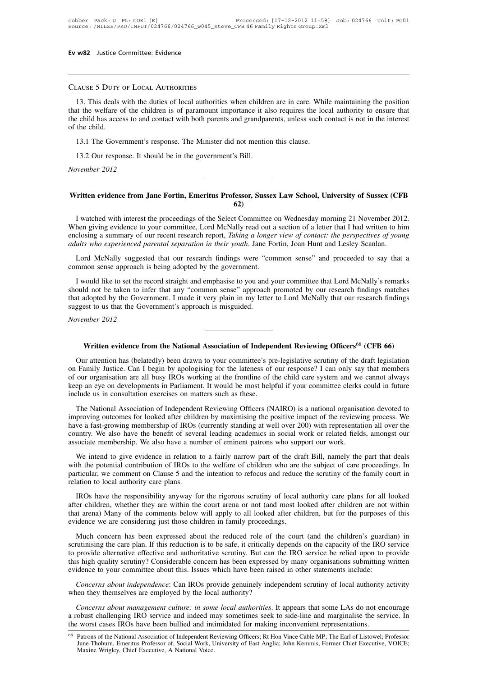# Clause <sup>5</sup> Duty of Local Authorities

13. This deals with the duties of local authorities when children are in care. While maintaining the position<br>13. This deals with the duties of local authorities when children are in care. While maintaining the position<br>13 that the welfare of the children is of paramount importance it also requires the local authority to ensure that CLAUSE 5 DUTY OF LOCAL AUTHORITIES<br>13. This deals with the duties of local authorities when children are in care. While maintaining the position<br>that the welfare of the children is of paramount importance it also requires CLAUSE 5 DUTY<br>13. This deals<br>that the welfare c<br>the child has acce<br>of the child.<br>13.1 The Gover THE SUCT SUCT SUCT AUTHORITIES<br>
13. This deals with the duties of local authorities when children are in care. While<br>
the welfare of the children is of paramount importance it also requires the loce<br>
child has access to an 13. This deals with the duties of local authorities when children<br>the welfare of the children is of paramount importance it all<br>e child has access to and contact with both parents and grandpar<br>the child.<br>13.1 The Governmen the child has access to and contact with both parents and grandparents, unless such contact is not in the interest<br>of the child.<br>13.1 The Government's response. The Minister did not mention this clause.<br>13.2 Our response.

# 13.1 The Government's response. The Minister did not mention this clause.<br>
13.2 Our response. It should be in the government's Bill.<br>
Wovember 2012<br> **Written evidence from Jane Fortin, Emeritus Professor, Sussex Law School 62)**

Vertiten evidence from Jane Fortin, Emeritus Professor, Sussex Law School, University of Sussex (CFB<br>
(62)<br>
I watched with interest the proceedings of the Select Committee on Wednesday morning 21 November 2012.<br>
Then givin Written evidence from Jane Fortin, Emeritus Professor, Sussex Law School, University of Sussex (CFB<br>62)<br>I watched with interest the proceedings of the Select Committee on Wednesday morning 21 November 2012.<br>When giving evi Written evidence from Jane Fortin, Emeritus Professor, Sussex Law School, University of Sussex (CFB<br>
62)<br>
I watched with interest the proceedings of the Select Committee on Wednesday morning 21 November 2012.<br>
When giving **424 Written evidence from Jane Fortin, Emeritus Professor, Sussex Law School, University of Sussex (CF)<br>
420 I watched with interest the proceedings of the Select Committee on Wednesday morning 21 November 201<br>
420 When g** Lord McNally interest the proceedings of the Select Committee on Wednesday morning 21 November 2012.<br>
hen giving evidence to your committee, Lord McNally read out a section of a letter that I had written to him<br>
closing a I watched with interest the proceedings of the Select Committee of When giving evidence to your committee, Lord McNally read out a enclosing a summary of our recent research report, *Taking a longer adults who experienced* 

nen giving evidence to your committee, Lord McNaily read out a section of a letter that I had written to him<br>closing a summary of our recent research report, Taking a longer view of contact: the perspectives of young<br>ults enclosing a summary of our recent research report, *Iaking a longer view of contact: the perspectives of young adults who experienced parental separation in their youth*. Jane Fortin, Joan Hunt and Lesley Scanlan.<br>
Lord adults who experienced parental separation in their youth. Jane Fortin, Joan Hunt and Lesley Scanian.<br>
Lord McNally suggested that our research findings were "common sense" and proceeded to say that a<br>
common sense approac Lord McNally suggested that our research findings were "common sense approach is being adopted by the government.<br>I would like to set the record straight and emphasise to you and should not be taken to infer that any "comm Frammon sense approach is<br> *I* would like to set the reashould not be taken to inforthat adopted by the Govern<br>
suggest to us that the Govern<br> *November 2012* Most be taken to liner that any common sense approach promoted by our research findings inacties adopted by the Government. I made it very plain in my letter to Lord McNally that our research findings est to us that the Go

Written evidence from the National Association of Independent Reviewing Officers<sup>68</sup> (CFB 66)<br>
Our attention has (belatedly) been drawn to your committee's pre-legislative scrutiny of the draft legislation<br>
Family Justice. **Solution Family Justice. Can I begin by apologising for the lateness of our response?** I can only say that members of our organisation are all busy IROs working at the frontline of the child care system and we cannot alwa **Solution 2012**<br> **Solution Evaluary Written evidence from the National Association of Independent Reviewing Officers<sup>68</sup> (CFB 66)<br>
Our attention has (belatedly) been drawn to your committee's pre-legislative scrutiny of th** Written evidence from the National Association of Independent Reviewing Officers<sup>68</sup> (CFB 66)<br>Our attention has (belatedly) been drawn to your committee's pre-legislative scrutiny of the draft legislation<br>on Family Justice Written evidence from the National Association of Independual Couract attention has (belatedly) been drawn to your committee's pron Family Justice. Can I begin by apologising for the lateness of of our organisation are all Our attention has (belatedly) been drawn to your committee's pre-legislative scrutiny of the draft legislation<br>Family Justice. Can I begin by apologising for the lateness of our response? I can only say that members<br>our or out and the section and between the specifical specifically of the dial registration on Family Justice. Can I begin by apologising for the lateness of our response? I can only say that members of our organisation are all b

of our organisation are all busy IROs working at the frontline of the child care system and we cannot always<br>of our organisation are all busy IROs working at the frontline of the child care system and we cannot always<br>keep or our organisation are an otay RCS working at the hondine or the einit eare system and we cannot always keep an eye on developments in Parliament. It would be most helpful if your committee clerks could in future include keep an eye on developments in Parliament. It would be most helpful if your committee clerks could in future<br>include us in consultation exercises on matters such as these.<br>The National Association of Independent Reviewing The National Association of Independent Reviewing Officers (NAIRO) is a national organisation devoted to proving outcomes for looked after children by maximising the positive impact of the reviewing process. We we a fast-g Incertiguary and the potential contribution of Independent Neveral gonities (*WHKO)* is a national organisation devoted to three a fast-growing ontcomes for looked after children by maximising the positive impact of the re

miproving outcomes for looked after einfiniten by maximising the positive impact of the fevtewing process. We<br>have a fast-growing membership of IROs (currently standing at well over 200) with representation all over the<br>co relative a rase growing intimetership of RCs v<br>country. We also have the benefit of seve<br>associate membership. We also have a nur<br>We intend to give evidence in relation<br>with the potential contribution of IROs to<br>particular Sociate membership. We also have a number of eminent patrons who support our work.<br>We intend to give evidence in relation to a fairly narrow part of the draft Bill, namely the part that deals<br>th the potential contribution We intend to give evidence in relation to a fairly narrow part of the draft Bill, namely the part that deals<br>with the potential contribution of IROs to the welfare of children who are the subject of care proceedings. In<br>pa

With the potential contribution of ROs to the welfare of children who are the subject of care proceedings. In particular, we comment on Clause 5 and the intention to refocus and reduce the scrutiny of the family court in r particular, we comment on Clause 5 and the intention to refocus and reduce the scrutiny of the family court in<br>relation to local authority care plans.<br>IROs have the responsibility anyway for the rigorous scrutiny of local ation to local authority care plans.<br>
IROs have the responsibility anyway for the rigorous scrutiny of local authority care plans for all looked<br>
er children, whether they are within the court arena or not (and most looked IROs have the responsibility anyway for the rigorous scrutiny of local authority care plans for all looked after children, whether they are within the court arena or not (and most looked after children are not within that

The provided alternative effective and authoritative scrutiny. But can the IRO service and a servicity that arena) Many of the comments below will apply to all looked after children, but for the purposes of this evidence w that arena) Many of the comments below will apply to all looked after children, but for the purposes of this evidence we are considering just those children in family proceedings.<br>
Much concern has been expressed about the mat alena) Many of the comments below win apply to an looked anter emfarted, our one parposes cevidence we are considering just those children in family proceedings.<br>
Much concern has been expressed about the reduced role *Concerns about independence:* Can IROs provide genuinely independs on the capacity of the IRO service provide alternative effective and authoritative scrutiny. But can the IRO service be relied upon to provide alternative When tendern has been expressed about the reduced fore of the<br>scrutinising the care plan. If this reduction is to be safe, it critically de<br>to provide alternative effective and authoritative scrutiny. But can the<br>this high provide alternative effective and authoritative scrutiny. But can the IRO service be relied upon to provide s high quality scrutiny? Considerable concern has been expressed by many organisations submitting written idence t

this high quality scrutiny? Considerable concern has been expressed by many organisations submitting written evidence to your committee about this. Issues which have been raised in other statements include:<br> *Concerns abou* evidence to your committee about this. Issues which have been raised in other statements include:<br>
Concerns about independence: Can IROs provide genuinely independent scrutiny of local authority activity<br>
when they themsel Concerns about management culture: in some local authorities. It appears that some LAs do not encourage<br>obust challenging IRO service and indeed may sometimes seek to side-line and marginalise the service. In<br>vorst cases I Concerns about management culture: in som<br>obust challenging IRO service and indeed m<br>vorst cases IROs have been bullied and int<br>Patrons of the National Association of Independent Ro<br>June Thoburn, Emeritus Professor of, Soc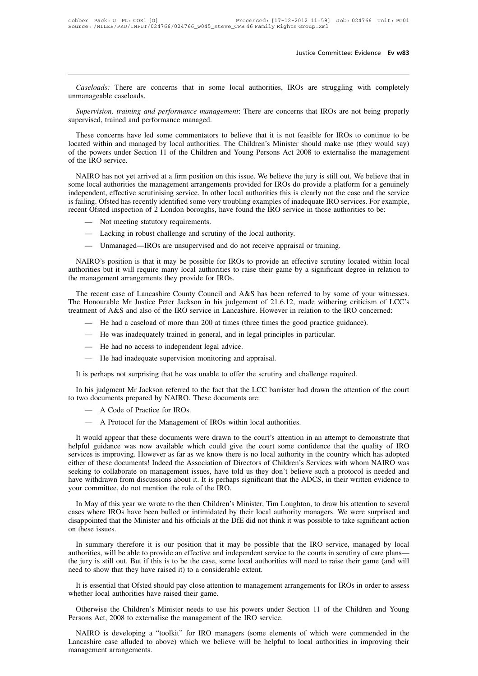*Caseloads:* There are concerns that in some local authorities, IROs are struggling with completely manageable caseloads. Caseloads: There are conor<br>
unmanageable caseloads.<br>
Supervision, training and po *Caseloads:* There are concerns that in some local authorities, IROs are struggling with completely manageable caseloads.<br>Supervision, training and performance management: There are concerns that IROs are not being properl Caseloads: There are concerns that in some<br>unmanageable caseloads.<br>Supervision, training and performance managem<br>supervised, trained and performance managed.<br>These concerns have led some commentators to

Caseloads: There are concerns that in some local authorities, IROs are struggling with completely manageable caseloads.<br>
Supervision, training and performance management: There are concerns that IROs are not being properly Supervision, training and performance management: There are concerns that IROs are not being properly supervision, training and performance management: There are concerns that IROs are not being properly supervised, traine Supervision, training and performance management: There are concerns that IROs are not being properly supervised, trained and performance managed.<br>These concerns have led some commentators to believe that it is not feasibl Supervision, training and performance management: There are concerns that IROs are not being properly supervised, trained and performance managed.<br>
These concerns have led some commentators to believe that it is not feasib These concerns have led some commentators to believe that it is not feasible for IROs to continue to be cated within and managed by local authorities. The Children's Minister should make use (they would say) the powers und These concerns have led some commentators to believe that it is not feasible for IROs to continue to be located within and managed by local authorities. The Children's Minister should make use (they would say) of the power

independent, effective scrutinising service. The Children's Minister should make use (they would say) of the powers under Section 11 of the Children and Young Persons Act 2008 to externalise the management of the IRO servi For the powers under Section 11 of the Children and Young Persons Act 2008 to externalise the management<br>of the IRO service.<br>NAIRO has not yet arrived at a firm position on this issue. We believe the jury is still out. We of the IRO service.<br>
NAIRO has not yet arrived at a firm position on this issue. We believe the jury is still out. We believe that<br>
some local authorities the management arrangements provided for IROs do provide a platform

- 
- 
- 

NAIRO's position is that it may be possible for IROs to provide an effective scrutiny located within local authority.<br>
The Unmanaged—IROs are unsupervised and do not receive appraisal or training.<br>
NAIRO's position is that - Not meeting statutory requirements.<br>
- Lacking in robust challenge and scrutiny of the local authority.<br>
- Unmanaged-IROs are unsupervised and do not receive appraisal or training.<br>
NAIRO's position is that it may be pos - Italian in robust challenge and scrutiny of the l<br>
- Lacking in robust challenge and scrutiny of the l<br>
- Unmanaged-IROs are unsupervised and do not<br>
NAIRO's position is that it may be possible for IROs to<br>
authorities b — Unmanaged—IROs are unsupervised and do not receive appraisal or training.<br>
NAIRO's position is that it may be possible for IROs to provide an effective scrutiny located within local<br>
thorities but it will require many lo MAIRO's position is that it may be possible for IROs to provide an effective scrutiny located within local<br>authorities but it will require many local authorities to raise their game by a significant degree in relation to<br>t NAIRO's position is that it may be possible for IROs to provide an effective scrutiny located within local<br>authorities but it will require many local authorities to raise their game by a significant degree in relation to<br>t

- 
- 
- 
- 

It is perhaps not surprising that he was unable to offer the scrutiny and challenge required.<br>
It is perhaps not surprising that he was unable to offer the scrutiny and challenge required.<br>
It is perhaps not surprising tha In his judgment Mr Jackson referred to the fact that the LCC barrister had drawn the attention of the court two documents prepared by NAIRO. These documents are:<br>A Code of Practice for IPOs The had no access to independent legal advice.<br>
— He had inadequate supervision monitoring and appraisal.<br>
It is perhaps not surprising that he was unable to offer the scrutiny and challer<br>
In his judgment Mr Jackson refer

- 
- 

In his judgment Mr Jackson referred to the fact that the LCC barrister had drawn the attention of the court<br>two documents prepared by NAIRO. These documents are:<br>
— A Code of Practice for IROs.<br>
— A Protocol for the Manage helpful guidance was now available which could give the court some confidence that the court of IROs within local authorities.<br>
It would appear that these documents were drawn to the court's attention in an attempt to demo A Protocol for the Management of IROs within local authorities.<br>
A Protocol for the Management of IROs within local authorities.<br>
It would appear that these documents were drawn to the court's attention in an attempt to de either of these documents! Indeed the Association of Directors of Children's Services with whom NAIRO was seeking to collaborate on management issues, have told us they don't believe such a protocol is needed and It would appear that these documents were drawn to the court's attention in an attempt to demonstrate that helpful guidance was now available which could give the court some confidence that the quality of IRO services is i It would appear that these documents were drawn to the court's attention in an attempt to demonstrate that helpful guidance was now available which could give the court some confidence that the quality of IRO services is i Fivilies is improving. However as far as we know there is no local authority in the country which has adopted<br>her of these documents! Indeed the Association of Directors of Children's Services with whom NAIRO was<br>eking to either of these documents! Indeed the Association of Directors of Children's Services with whom NAIRO was seeking to collaborate on management issues, have told us they don't believe such a protocol is needed and have with

seeking to collaborate on management issues, have told us they don't believe such a protocol is needed and have withdrawn from discussions about it. It is perhaps significant that the ADCS, in their written evidence to you have withdrawn from<br>your committee, do n<br>In May of this year<br>cases where IROs ha<br>disappointed that the<br>on these issues.<br>In summary there In May of this year we wrote to the then Children's Minister, Tim Loughton, to draw his attention to several<br>ses where IROs have been bulled or intimidated by their local authority managers. We were surprised and<br>sappointe In May of this year we wrote to the then Children's Minister, Tim Loughton, to draw his attention to several cases where IROs have been bulled or intimidated by their local authority managers. We were surprised and disappo

The state where IROs have been bulled or intimidated by their local authority managers. We were surprised and disappointed that the Minister and his officials at the DfE did not think it was possible to take significant ac disappointed that the Minister and his officials at the DfE did not thin<br>on these issues.<br>In summary therefore it is our position that it may be possible<br>authorities, will be able to provide an effective and independent se In summary therefore it is our position that it may be possible that the IRO service, managed by local thorities, will be able to provide an effective and independent service to the courts in scrutiny of care plans—<br>
igury In summary therefore it is our position that it matuthorities, will be able to provide an effective and ind the jury is still out. But if this is to be the case, some need to show that they have raised it) to a considerabl The contract with the Children's twitted and memopoleal service to the coalits in seriality of eare plans is jury is still out. But if this is to be the case, some local authorities will need to raise their game (and will the jury is still out. But if this is to be the case, some local authorities will need to raise their game (and will<br>need to show that they have raised it) to a considerable extent.<br>It is essential that Ofsted should pay c

It is essential that Ofsted should pay close attention to management arrangements for IROs in order to assess<br>nether local authorities have raised their game.<br>Otherwise the Children's Minister needs to use his powers under Lancashire case alluded to above) which we believe will be helpful to local authorities in improving their parameters are management of the IRO service.<br>
NAIRO is developing a "toolkit" for IRO managers (some elements of w The University of the Children's<br>Persons Act, 2008 to extern<br>NAIRO is developing a<br>Lancashire case alluded to<br>management arrangements.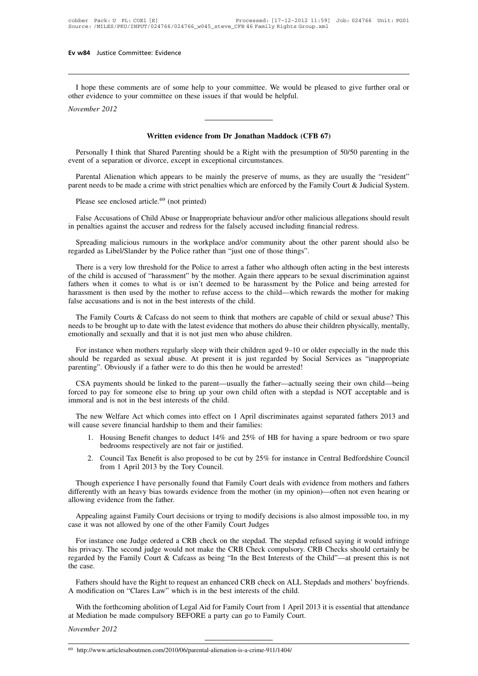I hope these comments are of some help to your committee. We would be pleased to give further oral or<br>a local order evidence to your committee on these issues if that would be helpful. **Ev w84** Justice Committee: Evidence<br>
I hope these comments are of some help to your committee. We would be jother evidence to your committee on these issues if that would be helpful.<br>
November 2012 *November 2012*<br>*November 2012* I hope these comments are of some help to your committee. We would be pleased to give further oral or other evidence to your committee on these issues if that would be helpful.<br>November 2012<br>Written evidence from Dr Jonath

Personally I think that Shared Parenting should be a Right with the presumption of 50/50 parenting in the ent of a separation or divorce, except in exceptional circumstances. Written evidence from Dr Jonathan Maddock<br>
Personally I think that Shared Parenting should be a Right with the presevent of a separation or divorce, except in exceptional circumstances.<br>
Parental Alienation which appears t **Solution Written evidence from Dr Jonathan Maddock (CFB 67)**<br>Personally I think that Shared Parenting should be a Right with the presumption of 50/50 parenting in the<br>ent of a separation or divorce, except in exceptional **Written evidence from Dr Jonathan Maddock (CFB 67)**<br>Personally I think that Shared Parenting should be a Right with the presumption of 50/50 parenting in the<br>event of a separation or divorce, except in exceptional circums Personally I think that Shared Parenting should bent of a separation or divorce, except in exception<br>Parental Alienation which appears to be mainly<br>rent needs to be made a crime with strict penalties<br>Please see enclosed ar

Parental Alienation of Child Abuse are mainly the preserve of mums, as they are usually the "resident"<br>rent needs to be made a crime with strict penalties which are enforced by the Family Court & Judicial System.<br>Please se Parental Alienation which appears to be mainly the preserve of mums, as they are usually the parent needs to be made a crime with strict penalties which are enforced by the Family Court & Judic<br>Please see enclosed article.

Please see enclosed article.<sup>69</sup> (not printed)<br>False Accusations of Child Abuse or Inappropriate behaviour and/or other malicious allegations should result<br>penalties against the accuser and redress for the falsely accused Please see enclosed article.<sup>69</sup> (not printed)<br>
False Accusations of Child Abuse or Inappropriate behaviour and/or other malicious allegations should result<br>
in penalties against the accuser and redress for the falsely acc

False Accusations of Child Abuse or Inappropriate behaviour and/or other malicious allegations should result<br>penalties against the accuser and redress for the falsely accused including financial redress.<br>Spreading maliciou in penalties against the accuser and redress for the falsely accused including financial redress.<br>
Spreading malicious rumours in the workplace and/or community about the other parent should also be<br>
regarded as Libel/Slan Spreading malicious rumours in the workplace and/or community about the other parent should also be regarded as Libel/Slander by the Police rather than "just one of those things".<br>There is a very low threshold for the Poli Spreading malicious rumours in the workplace and/or community about the other parent should also be regarded as Libel/Slander by the Police rather than "just one of those things".<br>There is a very low threshold for the Poli regarded as Libel/Slander by the Police rather than "just one of th<br>There is a very low threshold for the Police to arrest a father w.<br>of the child is accused of "harassment" by the mother. Again there<br>fathers when it come There is a very low threshold for the Police to arrest a father who although often acting in the best interests<br>the child is accused of "harassment" by the mother. Again there appears to be sexual discrimination against<br>he of the child is accused of "harassment" by the mother. Again there appears to be sexual discrimination against fathers when it comes to what is or isn't deemed to be harassment by the Police and being arrested for harassme fathers when it comes to what is or isn't deemed to be harassment by the harassment is then used by the mother to refuse access to the child—which false accusations and is not in the best interests of the child.<br>The Family

se accusations and is not in the best interests of the child.<br>The Family Courts & Cafcass do not seem to think that mothers are capable of child or sexual abuse? This<br>eds to be brought up to date with the latest evidence t The Family Courts & Cafcass do not seem to think that mothers are capable of child or sexual abuse? This needs to be brought up to date with the latest evidence that mothers do abuse their children physically, mentally, em The Family Courts & Cafcass do not seem to think that mothers are capable of child or sexual abuse? This needs to be brought up to date with the latest evidence that mothers do abuse their children physically, mentally, em

notionally and sexually and that it is not just men who abuse children.<br>For instance when mothers regularly sleep with their children aged 9–10 or older especially in the nude this<br>ould be regarded as sexual abuse. At pres For instance when mothers regularly sleep with their children aged 9–10 or older especially in the nude this should be regarded as sexual abuse. At present it is just regarded by Social Services as "inappropriate parenting

parenting". Obviously if a father were to do this then he would be arrested!<br>CSA payments should be linked to the parent—usually the father—actua<br>forced to pay for someone else to bring up your own child often with a s<br>imm The new Welfare Act which comes into effect on 1 April discriminates against separated fathers 2013 and<br>In a step of the new Welfare Act which comes into effect on 1 April discriminates against separated fathers 2013 and<br> forced to pay for someone else to bring up your own child often with a stepdad is NOT acceptable and is<br>immoral and is not in the best interests of the child.<br>The new Welfare Act which comes into effect on 1 April discrimi 1. Housing Benefit changes to deduct 14% and 25% of HB for having a spare bedroom or two spare bedrooms respectively are not fair or justified.

The new Welfare Act which comes into effect on 1 April discriminates against separated fathers 2013 and<br>ill cause severe financial hardship to them and their families:<br>1. Housing Benefit changes to deduct 14% and 25% of HB

- 
- 2. Council Tax Benefit is also proposed to be cut by 25% for instance in Central Bedfordshire Council from 1 April 2013 by the Tory Council.

Though experience I have personally found that Family Court deals with evidence from mothers and fathers Though experience I have personally found that Family Court deals with evidence from mothers and fathers<br>Though experience I have personally found that Family Court deals with evidence from mothers and fathers<br>Though exper differently are not fair or justified.<br>
2. Council Tax Benefit is also proposed to be cut by 25% for instance in Central Bedfordshire Council<br>
from 1 April 2013 by the Tory Council.<br>
Though experience I have personally fou bedrooms respectively are not<br>2. Council Tax Benefit is also pr<br>from 1 April 2013 by the Tor<br>Though experience I have personally<br>differently with an heavy bias towards a<br>allowing evidence from the father.<br>Appealing against from 1 April 2013 by the Tory Council.<br>Though experience I have personally found that Family Court deals with evidence from mothers and fathers<br>ferently with an heavy bias towards evidence from the mother (in my opinion)—o Though experience I have personally found that Family Court deals wit<br>differently with an heavy bias towards evidence from the mother (in my<br>allowing evidence from the father.<br>Appealing against Family Court decisions or tr

Ferently with an heavy bias towards evidence from the mother (in my opinion)—often not even hearing or<br>owing evidence from the father.<br>Appealing against Family Court decisions or trying to modify decisions is also almost i Appealing against Family Court decisions or trying to modify decisions is also almost impossible too, in my<br>case it was not allowed by one of the other Family Court Judges<br>For instance one Judge ordered a CRB check on the Appealing against Family Court decisions or trying to modify decisions is also almost impossible too, in my case it was not allowed by one of the other Family Court Judges<br>For instance one Judge ordered a CRB check on the Appealing against Family Court decisions or trying to modify decisions is also almost impossible too, in my case it was not allowed by one of the other Family Court Judges<br>For instance one Judge ordered a CRB check on the For instance one Judge ordered a CRB check on the stepdad. The stepdad refused saying it would infringe s privacy. The second judge would not make the CRB Check compulsory. CRB Checks should certainly be garded by the Fami his privacy. The second judge would not make the CRB Check compulsory. CRB Checks should certainly be regarded by the Family Court & Cafcass as being "In the Best Interests of the Child"—at present this is not the case.<br>Fa Farlies by the Family Court & Cafcass as being "In the Best Interests of the Child"—at present this is not exase.<br>
Fathers should have the Right to request an enhanced CRB check on ALL Stepdads and mothers' boyfriends.<br>
Mo

Fathers should have the Right to request an enhanced CRB check on ALL Stepdads and mothers' boyfriends.<br>A modification on "Clares Law" which is in the best interests of the child.<br>With the forthcoming abolition of Legal Ai at Mediation be made compulsory BEFORE a party can go to Family Court.

<sup>69</sup> http://www.articlesaboutmen.com/2010/06/parental-alienation-is-a-crime-911/1404/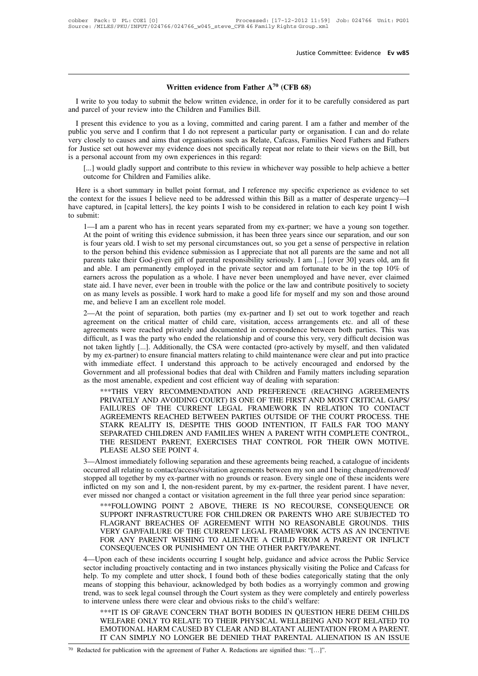**Written evidence from Father A<sup>70</sup> (CFB 68)**<br>
it the below written evidence, in order for it to be care I write to you today to submit the below written evidence, in order for it to be carefully considered as part of parcel of your review into the Children and Families Bill. **And All Written evidence from Father A<sup>70</sup><br>I write to you today to submit the below written evidence, in order and parcel of your review into the Children and Families Bill.<br>I present this evidence to you as a loving, com** 

**I** write to you today to submit the below written evidence, in order for it to be carefully considered as part d parcel of your review into the Children and Families Bill.<br>I present this evidence to you as a loving, commi **Solution Written evidence from Father A<sup>70</sup> (CFB 68)**<br>I write to you today to submit the below written evidence, in order for it to be carefully considered as part<br>and parcel of your review into the Children and Familie **Vieloce from Father A<sup>70</sup> (CFB 68)**<br>I write to you today to submit the below written evidence, in order for it to be carefully considered as part<br>and parcel of your review into the Children and Families Bill.<br>I present th I write to you today to submit the below written evidence, in order for it to be carefully considered as part<br>and parcel of your review into the Children and Families Bill.<br>I present this evidence to you as a loving, commi and parcel of your review into the Children and Families Bill.<br>
I present this evidence to you as a loving, committed and caring parent. I am a father and member of the<br>
public you serve and I confirm that I do not represe Fresent this evidence to you as a loving, committed and caring parent. I am a father and member of the c you serve and I confirm that I do not represent a particular party or organisation. I can and do relate closely to ca beyond this evidence to you as a loving, comm<br>c you serve and I confirm that I do not repres<br>closely to causes and aims that organisations s<br>ustice set out however my evidence does not s<br>personal account from my own experi It is a short summary in bullet point format, and I reference my specific experience as evidence to set a personal account from my own experiences in this regard:<br>
[...] would gladly support and contribute to this review i

for Justice set out however my evidence does not specifically repeat nor relate to their views on the Bill, but<br>is a personal account from my own experiences in this regard:<br>[...] would gladly support and contribute to thi is a personal account from my own experiences in this regard:<br>
[...] would gladly support and contribute to this review in whichever way possible to help achieve a better<br>
outcome for Children and Families alike.<br>
Here is the context for the issues I believe need to be addressed within this Bill as a matter of desperate urgency—I<br>have captured, in [capital letters], the key points I wish to be considered in relation to each key point I wish outcome for Children and Families alike.<br>
The set ontext for the issues I believe need to be addressed within this Bill as a matter of desperate urgency—I<br>
captured, in [capital letters], the key points I wish to be consid

expective is a short summary in bullet point format, and I reference my specific experience as evidence to set<br>ontext for the issues I believe need to be addressed within this Bill as a matter of desperate urgency—I<br>captur is a short summary in bullet point format, and I reference my specific experience as evidence to set<br>ontext for the issues I believe need to be addressed within this Bill as a matter of desperate urgency—I<br>captured, in [ca ontext for the issues I believe need to be addressed within this Bill as a matter of desperate urgency—I<br>captured, in [capital letters], the key points I wish to be considered in relation to each key point I wish<br>bmit:<br>1—I captured, in [capital letters], the key points I wish to be considered in relation to each key point I wish<br>bmit:<br>1—I am a parent who has in recent years separated from my ex-partner; we have a young son together.<br>At the p bmit:<br>1—I am a parent who has in recent years separated from my ex-partner; we have a young son together.<br>At the point of writing this evidence submission, it has been three years since our separation, and our son<br>is four 1—I am a parent who has in recent years separated from my ex-partner; we have a young son together.<br>At the point of writing this evidence submission, it has been three years since our separation, and our son<br>is four years At the point of writing this evidence submission, it has been three years since our separation, and our son is four years old. I wish to set my personal circumstances out, so you get a sense of perspective in relation to t is four years old. I wish to set my personal circumstances out, so you get a sense of perspective in relation<br>to the person behind this evidence submission as I appreciate that not all parents are the same and not all<br>pare to the person behind this evidence submission as I appreciate that not all parents are the same and not all parents take their God-given gift of parental responsibility seriously. I am [...] [over 30] years old, am fit and parents take their God-given gift of parental responsibility seriously. I am [...] [over 30] years old, am fit<br>and able. I am permanently employed in the private sector and am fortunate to be in the top 10% of<br>earners acro and able. I am permanently employed in the private sector and am fortunate to be in the top 10% of earners across the population as a whole. I have never been unemployed and have never, ever claimed state aid. I have never

earners across the population as a whole. I have never been unemployed and have never, ever claimed<br>state aid. I have never, ever been in trouble with the police or the law and contribute positively to society<br>on as many l state aid. I have never, ever been in trouble with the police or the law and contribute positively to society<br>on as many levels as possible. I work hard to make a good life for myself and my son and those around<br>me, and be on as many levels as possible. I work hard to make a good life for myself and my son and those around<br>me, and believe I am an excellent role model.<br>2—At the point of separation, both parties (my ex-partner and I) set out t me, and believe I am an excellent role model.<br>2—At the point of separation, both parties (my ex-partner and I) set out to work together and reach<br>agreement on the critical matter of child care, visitation, access arrangeme 2—At the point of separation, both parties (my ex-partner and I) set out to work together and reach agreement on the critical matter of child care, visitation, access arrangements etc. and all of these agreements were reac agreement on the critical matter of child care, visitation, access arrangements etc. and all of these agreements were reached privately and documented in correspondence between both parties. This was difficult, as I was th agreements were reached privately and documented in correspondence between both p<br>difficult, as I was the party who ended the relationship and of course this very, very diffic<br>not taken lightly [...]. Additionally, the CSA ult, as I was the party who ended the relationship and of course this very, very difficult decision was<br>ken lightly [...]. Additionally, the CSA were contacted (pro-actively by myself, and then validated<br>y ex-partner) to e iken lightly [...]. Additionally, the CSA were contacted (pro-actively by myself, and then validated y ex-partner) to ensure financial matters relating to child maintenance were clear and put into practice immediate effect

y ex-partner) to ensure financial matters relating to child maintenance were clear and put into practice immediate effect. I understand this approach to be actively encouraged and endorsed by the rnment and all professiona immediate effect. I understand this approach to be actively encouraged and endorsed by the<br>rnment and all professional bodies that deal with Children and Family matters including separation<br>? most amenable, expedient and c rnment and all professional bodies that deal with Children and Family matters including separation<br>
emost amenable, expedient and cost efficient way of dealing with separation:<br>
\*\*\*THIS VERY RECOMMENDATION AND PREFERENCE ( emost amenable, expedient and cost efficient way of dealing with separation:<br>\*\*\*THIS VERY RECOMMENDATION AND PREFERENCE (REACHING AGREEMENTS<br>PRIVATELY AND AVOIDING COURT) IS ONE OF THE FIRST AND MOST CRITICAL GAPS/<br>FAILURE \*\*\*THIS VERY RECOMMENDATION AND PREFERENCE (REACHING AGREEMENTS<br>PRIVATELY AND AVOIDING COURT) IS ONE OF THE FIRST AND MOST CRITICAL GAPS/<br>FAILURES OF THE CURRENT LEGAL FRAMEWORK IN RELATION TO CONTACT<br>AGREEMENTS REACHED BE PRIVATELY AND AVOIDING COU<br>FAILURES OF THE CURRENT<br>AGREEMENTS REACHED BETWI<br>STARK REALITY IS, DESPITE<br>SEPARATED CHILDREN AND FAI<br>THE RESIDENT PARENT, EXER<br>PLEASE ALSO SEE POINT 4.<br>Imost immediately following separatic<br>red FAILURES OF THE CURRENT LEGAL FRAMEWORK IN RELATION TO CONTACT<br>AGREEMENTS REACHED BETWEEN PARTIES OUTSIDE OF THE COURT PROCESS. THE<br>STARK REALITY IS, DESPITE THIS GOOD INTENTION, IT FAILS FAR TOO MANY<br>SEPARATED CHILDREN AN AGREEMENTS REACHED BETWEEN PARTIES OUTSIDE OF THE COURT PROCESS. THE<br>STARK REALITY IS, DESPITE THIS GOOD INTENTION, IT FAILS FAR TOO MANY<br>SEPARATED CHILDREN AND FAMILIES WHEN A PARENT WITH COMPLETE CONTROL,<br>THE RESIDENT PA

STARK REALITY IS, DESPITE THIS GOOD INTENTION, IT FAILS FAR TOO MANY<br>SEPARATED CHILDREN AND FAMILIES WHEN A PARENT WITH COMPLETE CONTROL,<br>THE RESIDENT PARENT, EXERCISES THAT CONTROL FOR THEIR OWN MOTIVE.<br>PLEASE ALSO SEE PO SEPARATED CHILDREN AND FAMILIES WHEN A PARENT WITH COMPLETE CONTROL,<br>THE RESIDENT PARENT, EXERCISES THAT CONTROL FOR THEIR OWN MOTIVE.<br>PLEASE ALSO SEE POINT 4.<br>3—Almost immediately following separation and these agreements THE RESIDENT PARENT, EXERCISES THAT CONTROL FOR THEIR OWN MOTIVE.<br>
PLEASE ALSO SEE POINT 4.<br>
3—Almost immediately following separation and these agreements being reached, a catalogue of incidents<br>
occurred all relating to FLEASE ALSO SEE FOINT 4.<br>Imost immediately following separation and these agreements being reached, a catalogue of incidents<br>red all relating to contact/access/visitation agreements between my son and I being changed/remov lmost immediately following separation and these agreements being reached, a catalogue of incidents<br>red all relating to contact/access/visitation agreements between my son and I being changed/removed/<br>ed all together by my

red all relating to contact/access/visitation agreements between my son and I being changed/removed/<br>ed all together by my ex-partner with no grounds or reason. Every single one of these incidents were<br>red on my son and I, ed all together by my ex-partner with no grounds or reason. Every single one of these incidents were<br>ted on my son and I, the non-resident parent, by my ex-partner, the resident parent. I have never,<br>missed nor changed a c ied on my son and I, the non-resident parent, by my ex-partner, the resident parent. I have never, missed nor changed a contact or visitation agreement in the full three year period since separation:<br>\*\*\*FOLLOWING POINT 2 A ever missed nor changed a contact or visitation agreement in the full three year period since separation:<br>
\*\*\*FOLLOWING POINT 2 ABOVE, THERE IS NO RECOURSE, CONSEQUENCE OR<br>
SUPPORT INFRASTRUCTURE FOR CHILDREN OR PARENTS WH \*\*\*FOLLOWING POINT 2 ABOVE, THERE IS NO RECOURSE, CONSEQUENCE OR<br>SUPPORT INFRASTRUCTURE FOR CHILDREN OR PARENTS WHO ARE SUBJECTED TO<br>FLAGRANT BREACHES OF AGREEMENT WITH NO REASONABLE GROUNDS. THIS<br>VERY GAP/FAILURE OF THE C SUPPORT INFRASTRUCTURE FOR CHILDREN OR PARENTS WHO ARE SUBJECTED TO<br>FLAGRANT BREACHES OF AGREEMENT WITH NO REASONABLE GROUNDS. THIS<br>VERY GAP/FAILURE OF THE CURRENT LEGAL FRAMEWORK ACTS AS AN INCENTIVE<br>FOR ANY PARENT WISHIN

FLAGRANT BREACHES OF AGREEMENT WITH NO REASONABLE GROUNDS. THIS<br>VERY GAP/FAILURE OF THE CURRENT LEGAL FRAMEWORK ACTS AS AN INCENTIVE<br>FOR ANY PARENT WISHING TO ALIENATE A CHILD FROM A PARENT OR INFLICT<br>CONSEQUENCES OR PUNIS VERY GAP/FAILURE OF THE CURRENT LEGAL FRAMEWORK ACTS AS AN INCENTIVE<br>FOR ANY PARENT WISHING TO ALIENATE A CHILD FROM A PARENT OR INFLICT<br>CONSEQUENCES OR PUNISHMENT ON THE OTHER PARTY/PARENT.<br>4—Upon each of these incidents FOR ANY PARENT WISHING TO ALIENATE A CHILD FROM A PARENT OR INFLICT<br>CONSEQUENCES OR PUNISHMENT ON THE OTHER PARTY/PARENT.<br>4—Upon each of these incidents occurring I sought help, guidance and advice across the Public Servic CONSEQUENCES OR PUNISHMENT ON THE OTHER PARTY/PARENT<br>4—Upon each of these incidents occurring I sought help, guidance and advice acsector including proactively contacting and in two instances physically visiting the<br>help. pon each of these incidents occurring I sought help, guidance and advice across the Public Service<br>
i including proactively contacting and in two instances physically visiting the Police and Cafcass for<br>
To my complete and r including proactively contacting and in two instances physically visiting the Police and Cafcass for To my complete and utter shock, I found both of these bodies categorically stating that the only s of stopping this beh

To my complete and utter shock, I found both of these bodies categorically stating that the only<br>s of stopping this behaviour, acknowledged by both bodies as a worryingly common and growing<br>, was to seek legal counsel thro s of stopping this behaviour, acknowledged by both bodies as a worryingly common and growing<br>
was to seek legal counsel through the Court system as they were completely and entirely powerless<br>
ervene unless there were clea To intervene unless there were clear and obvious risks to the child's welfare:<br>
\*\*\*IT IS OF GRAVE CONCERN THAT BOTH BODIES IN QUESTION HERE DEEM CHILDS<br>
WELFARE ONLY TO RELATE TO THEIR PHYSICAL WELLBEING AND NOT RELATED TO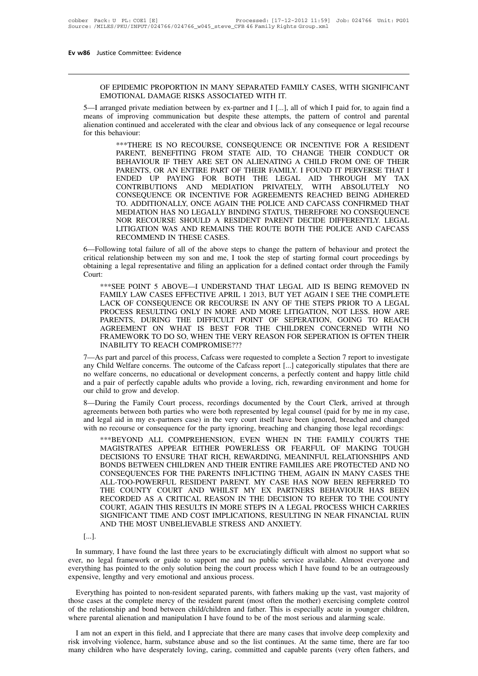ustice Committee: Evidence<br>
OF EPIDEMIC PROPORTION IN MANY SEPARATED FAMILY CASES, WITH SIGNIFICANT<br>
EMOTIONAL DAMAGE RISKS ASSOCIATED WITH IT.<br>
arranged private mediation between by ex-partner and [[[] all of which I paid ustice Committee: Evidence<br>
OF EPIDEMIC PROPORTION IN MANY SEPARATED FAMIL<br>
EMOTIONAL DAMAGE RISKS ASSOCIATED WITH IT.<br>
arranged private mediation between by ex-partner and I [...], all c<br>
s. of improving communication but

5—<br>5—I arranged private mediation between by ex-partner and I [...], all of which I paid for, to again find a<br>5—I arranged private mediation between by ex-partner and I [...], all of which I paid for, to again find a<br>means OF EPIDEMIC PROPORTION IN MANY SEPARATED FAMILY CASES, WITH SIGNIFICANT<br>EMOTIONAL DAMAGE RISKS ASSOCIATED WITH IT.<br>5—I arranged private mediation between by ex-partner and I [...], all of which I paid for, to again find a<br> OF EPIDEMIC PROPORTION IN MANY SEPARATED FAMILY CASES, WITH SIGNIFICANT<br>EMOTIONAL DAMAGE RISKS ASSOCIATED WITH IT.<br>5—I arranged private mediation between by ex-partner and I [...], all of which I paid for, to again find a<br> OF EPIDEMIC PROPORTION IN MANY SEPARATED FAMILY CASES, WITH SIGNIFICANT<br>EMOTIONAL DAMAGE RISKS ASSOCIATED WITH IT.<br>5—I arranged private mediation between by ex-partner and I [...], all of which I paid for, to again find a<br> TIONAL DAMAGE RISKS ASSOCIATED WITH IT.<br>ged private mediation between by ex-partner and I [...], all of which I paid for, to again find a<br>improving communication but despite these attempts, the pattern of control and paren

FIGHT DETINTED HISTORICS HIS WELL WITH THE HISTORICAL BRITAIN (Sed private mediation between by ex-partner and I [...], all of which I paid for, to again find a improving communication but despite these attempts, the patte ged private mediation between by ex-partner and I [...], all of which I paid for, to again find a<br>improving communication but despite these attempts, the pattern of control and parental<br>continued and accelerated with the c improving communication but despite these attempts, the pattern of control and parental<br>continued and accelerated with the clear and obvious lack of any consequence or legal recourse<br>haviour:<br>\*\*\*THERE IS NO RECOURSE, CONSE continued and accelerated with the clear and obvious lack of any consequence or legal recourse<br>haviour:<br>\*\*\*THERE IS NO RECOURSE, CONSEQUENCE OR INCENTIVE FOR A RESIDENT<br>PARENT, BENEFITING FROM STATE AID, TO CHANGE THEIR CO haviour:<br>\*\*\*THERE IS NO RECOURSE, CONSEQUENCE OR INCENTIVE FOR A RESIDENT<br>PARENT, BENEFITING FROM STATE AID, TO CHANGE THEIR CONDUCT OR<br>BEHAVIOUR IF THEY ARE SET ON ALIENATING A CHILD FROM ONE OF THEIR<br>PARENTS, OR AN ENTIR \*\*\*THERE IS NO RECOURSE, CONSEQUENCE OR INCENTIVE FOR A RESIDENT PARENT, BENEFITING FROM STATE AID, TO CHANGE THEIR CONDUCT OR BEHAVIOUR IF THEY ARE SET ON ALIENATING A CHILD FROM ONE OF THEIR PARENTS, OR AN ENTIRE PART OF PARENT, BENEFITING FROM STATE AID, TO CHANGE THEIR CONDUCT OR<br>BEHAVIOUR IF THEY ARE SET ON ALIENATING A CHILD FROM ONE OF THEIR<br>PARENTS, OR AN ENTIRE PART OF THEIR FAMILY. I FOUND IT PERVERSE THAT I<br>ENDED UP PAYING FOR BOT BEHAVIOUR IF THEY ARE SET ON ALIENATING A CHILD FROM ONE OF THEIR PARENTS, OR AN ENTIRE PART OF THEIR FAMILY. I FOUND IT PERVERSE THAT I ENDED UP PAYING FOR BOTH THE LEGAL AID THROUGH MY TAX CONTRIBUTIONS AND MEDIATION PRI PARENTS, OR AN ENTIRE PART OF THEIR FAMILY. I FOUND IT PERVERSE THAT I ENDED UP PAYING FOR BOTH THE LEGAL AID THROUGH MY TAX CONTRIBUTIONS AND MEDIATION PRIVATELY, WITH ABSOLUTELY NO CONSEQUENCE OR INCENTIVE FOR AGREEMENTS ENDED UP PAYING FOR BOTH THE LEGAL AID THROUGH MY TAX CONTRIBUTIONS AND MEDIATION PRIVATELY, WITH ABSOLUTELY NO CONSEQUENCE OR INCENTIVE FOR AGREEMENTS REACHED BEING ADHERED TO. ADDITIONALLY, ONCE AGAIN THE POLICE AND CAFC CONTRIBUTIONS AND MEDIATION PRIVATELY, WITH ABSOLUTELY NO<br>CONSEQUENCE OR INCENTIVE FOR AGREEMENTS REACHED BEING ADHERED<br>TO. ADDITIONALLY, ONCE AGAIN THE POLICE AND CAFCASS CONFIRMED THAT<br>MEDIATION HAS NO LEGALLY BINDING ST CONSEQUENCE OR INCENTIVE FOR AGREEMENTS REACHED BEING ADHERED<br>TO. ADDITIONALLY, ONCE AGAIN THE POLICE AND CAFCASS CONFIRMED THAT<br>MEDIATION HAS NO LEGALLY BINDING STATUS, THEREFORE NO CONSEQUENCE<br>NOR RECOURSE SHOULD A RESID TO. ADDITIONALLY, ONCE AGAIN THE POLICE AND CAFCASS CONFIRMED THAT<br>MEDIATION HAS NO LEGALLY BINDING STATUS, THEREFORE NO CONSEQUENCE<br>NOR RECOURSE SHOULD A RESIDENT PARENT DECIDE DIFFERENTLY. LEGAL<br>LITIGATION WAS AND REMAIN

MEDIATION HAS NO LEGALLY BINDING STATUS, THEREFORE NO CONSEQUENCE<br>
NOR RECOURSE SHOULD A RESIDENT PARENT DECIDE DIFFERENTLY. LEGAL<br>
LITIGATION WAS AND REMAINS THE ROUTE BOTH THE POLICE AND CAFCASS<br>
RECOMMEND IN THESE CASES Court: RECOMMEND IN THESE CASES.<br>
Dilowing total failure of all of the above steps to change the pattern of behaviour and protect the<br>
all relationship between my son and me, I took the step of starting formal court proceedings b FAMILY IN THESE STEEN.<br>
Illowing total failure of all of the above steps to change the pattern of behaviour and protect the<br>
al relationship between my son and me, I took the step of starting formal court proceedings by<br>
i

bilowing total failure of all of the above steps to change the pattern of behaviour and protect the<br>al relationship between my son and me, I took the step of starting formal court proceedings by<br>ining a legal representativ al relationship between my son and me, 1 took the step of starting formal court proceedings by<br>ing a legal representative and filing an application for a defined contact order through the Family<br>::<br>\*\*\*SEE POINT 5 ABOVE—I U ing a legal representative and filing an application for a defined contact order through the Family<br>
:<br>
\*\*\*SEE POINT 5 ABOVE—I UNDERSTAND THAT LEGAL AID IS BEING REMOVED IN<br>
FAMILY LAW CASES EFFECTIVE APRIL 1 2013, BUT YET :<br>\*\*\*SEE POINT 5 ABOVE—I UNDERSTAND THAT LEGAL AID IS BEING REMOVED IN<br>FAMILY LAW CASES EFFECTIVE APRIL 1 2013, BUT YET AGAIN I SEE THE COMPLETE<br>LACK OF CONSEQUENCE OR RECOURSE IN ANY OF THE STEPS PRIOR TO A LEGAL<br>PROCESS \*\*\*SEE POINT 5 ABOVE—I UNDERSTAND THAT LEGAL AID IS BEING REMOVED IN<br>FAMILY LAW CASES EFFECTIVE APRIL 1 2013, BUT YET AGAIN I SEE THE COMPLETE<br>LACK OF CONSEQUENCE OR RECOURSE IN ANY OF THE STEPS PRIOR TO A LEGAL<br>PROCESS RE FAMILY LAW CASES EFFECTIVE APRIL 1 2013, BUT YET AGAIN I SEE THE COMPLETE<br>LACK OF CONSEQUENCE OR RECOURSE IN ANY OF THE STEPS PRIOR TO A LEGAL<br>PROCESS RESULTING ONLY IN MORE AND MORE LITIGATION, NOT LESS. HOW ARE<br>PARENTS, LACK OF CONSEQUENCE OR RECOURSE IN ANY OF THE STEPS PRIOR TO A LEGAL<br>PROCESS RESULTING ONLY IN MORE AND MORE LITIGATION, NOT LESS. HOW ARE<br>PARENTS, DURING THE DIFFICULT POINT OF SEPERATION, GOING TO REACH<br>AGREEMENT ON WHAT PROCESS RESULTING ONLY IN MOKE AND MOKE LITIGATION, NOT LESS. HOW ARE PARENTS, DURING THE DIFFICULT POINT OF SEPERATION, GOING TO REACH AGREEMENT ON WHAT IS BEST FOR THE CHILDREN CONCERNED WITH NO FRAMEWORK TO DO SO, WHEN

PARENTS, DURING THE DIFFICULT POINT OF SEPERATION, GOING TO REACH<br>AGREEMENT ON WHAT IS BEST FOR THE CHILDREN CONCERNED WITH NO<br>FRAMEWORK TO DO SO, WHEN THE VERY REASON FOR SEPERATION IS OFTEN THEIR<br>INABILITY TO REACH COMPR AGREEMENT ON WHAT IS BEST FOR THE CHILDREN CONCERNED WITH NO<br>FRAMEWORK TO DO SO, WHEN THE VERY REASON FOR SEPERATION IS OFTEN THEIR<br>INABILITY TO REACH COMPROMISE???<br>7—As part and parcel of this process, Cafcass were reques 7—As part and parcel of this process, Cafcass were requested to complete a Section 7 report to investigate<br>any Child Welfare concerns. The outcome of the Cafcass report [...] categorically stipulates that there are<br>no welf 7—As part and parcel of this process, Cafcass were requested to complete a Section 7 report to investigate<br>any Child Welfare concerns. The outcome of the Cafcass report [...] categorically stipulates that there are<br>no welf 7—As part and parcel of this process, Carcass were requested to complete a Section / report to investigate<br>any Child Welfare concerns. The outcome of the Cafcass report [...] categorically stipulates that there are<br>no welf

any Child Welfare concerns. The outcome of the Cafcass report [...] categorically stipulates that there are<br>no welfare concerns, no educational or development concerns, a perfectly content and happy little child<br>and a pair no weltare concerns, no educational or development concerns, a perfectly content and happy little child<br>and a pair of perfectly capable adults who provide a loving, rich, rewarding environment and home for<br>our child to gro whild to grow and develop.<br>
uring the Family Court process, recordings documented by the Court Clerk, arrived at through<br>
ments between both parties who were both represented by legal counsel (paid for by me in my case,<br>
e

The Family Court process, recordings documented by the Court Clerk, arrived at through<br>ments between both parties who were both represented by legal counsel (paid for by me in my case,<br>regal aid in my ex-partners case) in uring the Family Court process, recordings documented by the Court Clerk, arrived at through<br>ments between both parties who were both represented by legal counsel (paid for by me in my case,<br>egal aid in my ex-partners case ments between both parties who were both represented by legal counsel (paid for by me in my case, egal aid in my ex-partners case) in the very court itself have been ignored, breached and changed no recourse or consequence egal aid in my ex-partners case) in the very court itself have been ignored, breached and changed<br>no recourse or consequence for the party ignoring, breaching and changing those legal recordings:<br>\*\*\*BEYOND ALL COMPREHENSIO no recourse or consequence for the party ignoring, breaching and changing those legal recordings:<br>\*\*\*BEYOND ALL COMPREHENSION, EVEN WHEN IN THE FAMILY COURTS THE<br>MAGISTRATES APPEAR EITHER POWERLESS OR FEARFUL \*\*\*BEYOND ALL COMPREHENSION, EVEN WHEN IN THE FAMILY COURTS THE MAGISTRATES APPEAR EITHER POWERLESS OR FEARFUL OF MAKING TOUGH DECISIONS TO ENSURE THAT RICH, REWARDING, MEANINFUL RELATIONSHIPS AND BONDS BETWEEN CHILDREN AN MAGISTRATES APPEAR EITHER POWERLESS OR FEARFUL OF MAKING TOUGH<br>DECISIONS TO ENSURE THAT RICH, REWARDING, MEANINFUL RELATIONSHIPS AND<br>BONDS BETWEEN CHILDREN AND THEIR ENTIRE FAMILIES ARE PROTECTED AND NO<br>CONSEQUENCES FOR TH DECISIONS TO ENSURE THAT RICH, REWARDING, MEANINFUL RELATIONSHIPS AND BONDS BETWEEN CHILDREN AND THEIR ENTIRE FAMILIES ARE PROTECTED AND NO CONSEQUENCES FOR THE PARENTS INFLICTING THEM, AGAIN IN MANY CASES THE ALL-TOO-POWE BONDS BETWEEN CHILDREN AND THEIR ENTIRE FAMILIES ARE PROTECTED AND NO CONSEQUENCES FOR THE PARENTS INFLICTING THEM, AGAIN IN MANY CASES THE ALL-TOO-POWERFUL RESIDENT PARENT. MY CASE HAS NOW BEEN REFERRED TO THE COUNTY COUR CONSEQUENCES FOR THE PARENTS INFLICTING THEM, AGAIL-TOO-POWERFUL RESIDENT PARENT. MY CASE HAS NOTHE COUNTY COURT AND WHILST MY EX PARTNERS RECORDED AS A CRITICAL REASON IN THE DECISION TO COURT, AGAIN THIS RESULTS IN MORE RECORDED AS A CRITICAL REASON IN THE DECISION TO REFER TO THE COUNTY<br>COURT, AGAIN THIS RESULTS IN MORE STEPS IN A LEGAL PROCESS WHICH CARRIES<br>SIGNIFICANT TIME AND COST IMPLICATIONS, RESULTING IN NEAR FINANCIAL RUIN<br>AND THE

# [...].

EVERT, AGAIN THIS RESULTS IN MORE STEPS IN A LEGAL PROCESS WHICH CARRIES<br>SIGNIFICANT TIME AND COST IMPLICATIONS, RESULTING IN NEAR FINANCIAL RUIN<br>AND THE MOST UNBELIEVABLE STRESS AND ANXIETY.<br>[...].<br>In summary, I have foun SIGNIFICANT TIME AND COST IMPLICATIONS, RESULTING IN NEAR FINANCIAL RUIN<br>AND THE MOST UNBELIEVABLE STRESS AND ANXIETY.<br>[...].<br>In summary, I have found the last three years to be excruciatingly difficult with almost no supp AND THE MOST UNBELIEVABLE STRESS AND ANXIETY.<br>
[...].<br>
In summary, I have found the last three years to be excruciatingly difficult with almost no support what so<br>
ever, no legal framework or guide to support me and no pub Im summary, I have found the last three years to be excruciatingly difficult with almost no support what so<br>er, no legal framework or guide to support me and no public service available. Almost everyone and<br>erything has po

In summary, I have found the last three years to be excruciatingly difficult with almost no support what so ever, no legal framework or guide to support me and no public service available. Almost everyone and everything ha ever, no legal framework or guide to support me and no public service available. Almost everyone and everything has pointed to the only solution being the court process which I have found to be an outrageously expensive, l where has bointed to the only solution being the court process which I have found to be an outrageous<br>expensive, lengthy and very emotional and anxious process.<br>Everything has pointed to non-resident separated parents, wit Everything has pointed to non-resident separated parents, with fathers making up the vast, vast majority of ose cases at the complete mercy of the resident parent (most often the mother) exercising complete control the rel Everything has pointed to non-resident separated parents, with fathers making up the vast, vast majority of those cases at the complete mercy of the resident parent (most often the mother) exercising complete control of th These cases at the complete mercy of the resident parent (most often the mother) exercising complete control<br>of the relationship and bond between child/children and father. This is especially acute in younger children,<br>whe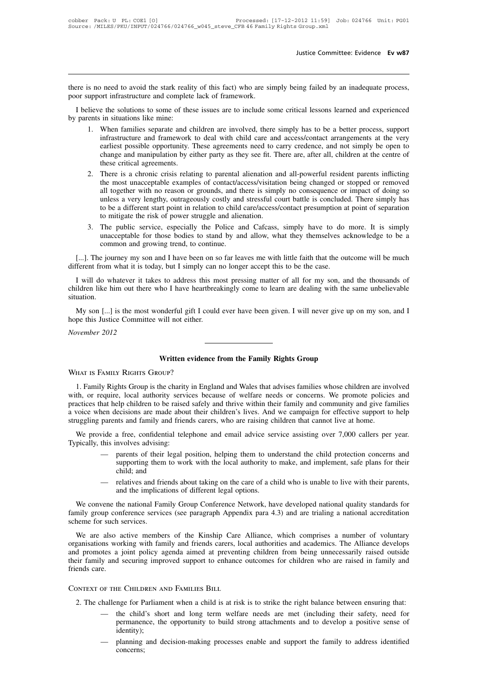Iustice Committee: Evidence Ev w87<br>there is no need to avoid the stark reality of this fact) who are simply being failed by an inadequate process,<br>poor support infrastructure and complete lack of framework. There is no need to avoid the stark reality of this fact) who are six poor support infrastructure and complete lack of framework.<br>I believe the solutions to some of these issues are to include so I believe the solutions to some of these issues are to include some critical lessons learned and experienced<br>I believe the solutions to some of these issues are to include some critical lessons learned and experienced<br>pare there is no need to avoid the stark reality<br>poor support infrastructure and complete<br>I believe the solutions to some of the<br>by parents in situations like mine:<br>1. When families separate and c<br>infrastructure and framework

- 1. So mo need to avoid the stark reality of this fact) who are simply being failed by an inadequate process, upport infrastructure and complete lack of framework.<br>
I lieve the solutions to some of these issues are to inclu infrastructure and complete lack of framework.<br>
e the solutions to some of these issues are to include some critical lessons learned and experienced<br>
in situations to some of these issues are to include some critical lesso ort infrastructure and complete lack of framework.<br>
e the solutions to some of these issues are to include some critical lessons learned and experienced<br>
in situations like mine:<br>
When families separate and children are in e the solutions to some of these issues are to include some critical lessons learned and experienced<br>in situations like mine:<br>When families separate and children are involved, there simply has to be a better process, suppo e the solutions to some of thes<br>in situations like mine:<br>When families separate and ch<br>infrastructure and framework<br>earliest possible opportunity. T<br>change and manipulation by ei<br>these critical agreements.<br>There is a chron 2. There is a chronic crisis relating to parental alienation and all-powerful resident process, support infrastructure and framework to deal with child care and access/contact arrangements at the very earliest possible opp When families separate and children are involved, there simply has to be a better process, support infrastructure and framework to deal with child care and access/contact arrangements at the very earliest possible opportun
- infrastructure and framework to deal with child care and access/contact arrangements at the very<br>earliest possible opportunity. These agreements need to carry credence, and not simply be open to<br>change and manipulation by earliest possible opportunity. These agreements need to carry credence, and not simply be open to change and manipulation by either party as they see fit. There are, after all, children at the centre of these critical agre change and manipulation by either party as they see fit. There are, after all, children at the centre of these critical agreements.<br>There is a chronic crisis relating to parental alienation and all-powerful resident parent these critical agreements.<br>There is a chronic crisis relating to parental alienation an<br>the most unacceptable examples of contact/access/visitatia<br>all together with no reason or grounds, and there is simp<br>unless a very len 2. There is a chronic crisis relating to parental alienation and all-powerful resident parents inflicting<br>the most unacceptable examples of contact/access/visitation being changed or stopped or removed<br>all together with no the most unacceptable examples of contact/access/visitation being changed or stopped or removed<br>all together with no reason or grounds, and there is simply no consequence or impact of doing so<br>unless a very lengthy, outrag If the same very lengthy, outrageously costly and stressful court battle is concluded. There simply has<br>to be a different start point in relation to child care/access/contact presumption at point of separation<br>to mitigate
- I...]. The journey my son and I have been on so far leaves me with little faith that the outcome will be much that it is today, but I simply unacceptable for those bodies to stand by and allow, what they themselves acknowl to mitigate the risk of power struggle and alienation.<br>
3. The public service, especially the Police and Cafcass, simply have to do<br>
unacceptable for those bodies to stand by and allow, what they themselves a<br>
common and g

I.e., The public service, especially the Police and Cafcass, simply have to do more. It is simply unacceptable for those bodies to stand by and allow, what they themselves acknowledge to be a common and growing trend, to c unacceptable for those bodies to stand by and allow, what they themselves acknowledge to be a<br>common and growing trend, to continue.<br>[...]. The journey my son and I have been on so far leaves me with little faith that the situation. [...]. The journey my son and I have been on so far leaves me with little faith that the outcome will be much<br>ferent from what it is today, but I simply can no longer accept this to be the case.<br>I will do whatever it takes different from what it is today, but I simply can a<br>
I will do whatever it takes to address this me<br>
children like him out there who I have heartbrea<br>
situation.<br>
My son [...] is the most wonderful gift I could<br>
hope this *Nover it ta* children like him out there situation.<br>*My son* [...] is the most hope this Justice Committe November 2012

My son [...] is the most wonderful gift I could ever have been given. I will never give up on my son, and I hope this Justice Committee will not either.<br>November 2012<br>Written evidence from the Family Rights Group<br>WHAT IS F My son [...] is the most wonderful gift I complements Justice Committee will not either.<br>
November 2012<br>
Written eviden<br>
WHAT IS FAMILY RIGHTS GROUP?

1. Family Rights Group<br>
1. Family Rights Group:<br>
1. Family Rights Group is the charity in England and Wales that advises families whose children are involved<br>
1. Family Rights Group is the charity in England and Wales that WHAT IS FAMILY RIGHTS GROUP?<br>
1. Family Rights Group is the charity in England and Wales that advises families whose children are involved<br>
with, or require, local authority services because of welfare needs or concerns. W WHAT IS FAMILY RIGHTS GROUP?<br>
1. Family Rights Group is the charity in England and Wales that advises families whose children are involved<br>
with, or require, local authority services because of welfare needs or concerns. W WHAT IS FAMILY RIGHTS GROUP?<br>
1. Family Rights Group is the charity in England and Wales that advises families whose children are involved<br>
with, or require, local authority services because of welfare needs or concerns. W WHAT IS FAMILY RIGHTS GROUP?<br>
1. Family Rights Group is the charity in England and Wales that advises families whose children are inv<br>
with, or require, local authority services because of welfare needs or concerns. We pro 1. Family Rights Group is the charity in England and Wales that advises families whose children are involved<br>th, or require, local authority services because of welfare needs or concerns. We promote policies and<br>actices th Typically, this involves and variable to be raised and variable solution. The propose them decisions are made about their children's lives. And we campaign for effective support to help practices that help children to be r

- ecisions are made about their children's lives. And we campaign for effective support to help<br>the and family and friends carers, who are raising children that cannot live at home.<br>a free, confidential telephone and email a parents and family and friends carers, who are raising children that cannot live at home.<br>
vide a free, confidential telephone and email advice service assisting over 7,000 callers per year.<br>
this involves advising:<br>
— par We provide a free, confidential telephone and email advice service assisting over 7,000 callers per year.<br>Typically, this involves advising:<br>— parents of their legal position, helping them to understand the child protectio
	-

— parents of their legal position, helping them to understand the child protection concerns and<br>supporting them to work with the local authority to make, and implement, safe plans for their<br>child; and<br>— relatives and frien supporting them to work with the local authority to make, and implement, safe plans for their child; and<br>
— relatives and friends about taking on the care of a child who is unable to live with their parents,<br>
and the impli child; and<br>
— relatives and fri<br>
and the implicar<br>
We convene the national Far<br>
family group conference service<br>
scheme for such services.<br>
We are also active membe — relatives and friends about taking on the care of a child who is unable to live with their parents,<br>and the implications of different legal options.<br>We convene the national Family Group Conference Network, have developed

and the implications of different legal options.<br>We convene the national Family Group Conference Network, have developed national quality standards for<br>family group conference services (see paragraph Appendix para 4.3) and We convene the national Family Group Conference Network, have developed national quality standards for family group conference services (see paragraph Appendix para 4.3) and are trialing a national accreditation scheme for The method of the Kinship Care (See paragraph Appendix para 4.3) and are trialing a national accreditation scheme for such services.<br>We are also active members of the Kinship Care Alliance, which comprises a number of volu Scheme for such services.<br>We are also active members of the Kinship Care Alliance, which comprises a number of voluntary<br>organisations working with family and friends carers, local authorities and academics. The Alliance d Example 1.4 percent of the Context of the Children and Scheme for such services.<br>We are also active members of the Kinship Care All<br>organisations working with family and friends carers, local<br>and promotes a joint policy ag 2. The challenge for Parliament when a child is at risk is to strike the right balance between ensuring that:<br>
2. The challenge for Parliament when a child is at risk is to strike the right balance between ensuring that:<br>

- E CHILDREN AND FAMILIES BILL<br>nge for Parliament when a child is at risk is to strike the right balance between ensuring that:<br>the child's short and long term welfare needs are met (including their safety, need for<br>permanen identity); The CHILDREN AND FAMILIES BILL<br>
hallenge for Parliament when a child is at risk is to strike the right balance between ensuring that:<br>
— the child's short and long term welfare needs are met (including their safety, need f
- concerns;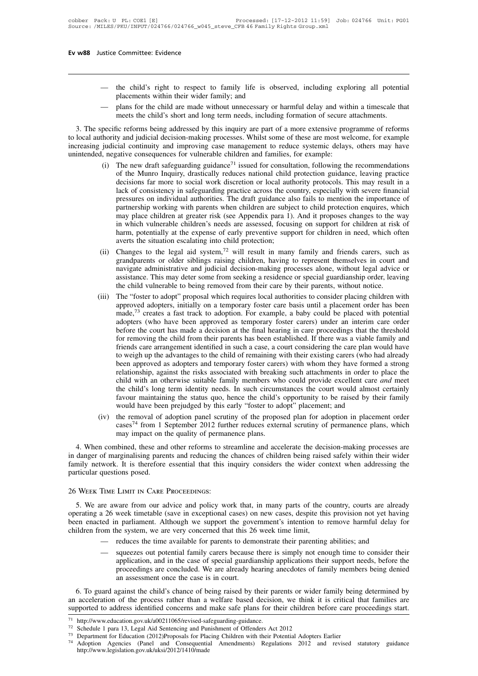- the child's right to respect to family life is observed, including exploring all potential<br>
placements within their wider family; and<br>
 plans for the child are made without unnecessary or harmful delay and within a time
- placements within their wider family life is observed, including exploring all potential<br>placements within their wider family; and<br>— plans for the child are made without unnecessary or harmful delay and within a timescale

metal of the child's right to respect to family life is observed, including exploring all potential<br>placements within their wider family; and<br>meets the child are made without unnecessary or harmful delay and within a times - the child's right to respect to family life is observed, including exploring all potential<br>placements within their wider family; and<br>- plans for the child are made without unnecessary or harmful delay and within a timesc to family life is observed, including exploring all potential<br>placements within their wider family; and<br>— plans for the child are made without unnecessary or harmful delay and within a timescale that<br>meets the child's shor placements within their wider family; and<br>
increases the child are made without unnecessary or harmful delay and within a timescale that<br>
meets the child's short and long term needs, including formation of secure attachme - plans for the child are made without unnecessary or harmful delay and with<br>meets the child's short and long term needs, including formation of secure a<br>3. The specific reforms being addressed by this inquiry are part of meets the child's short and long term needs, including formation of secure attachments.<br>pecific reforms being addressed by this inquiry are part of a more extensive programme of reforms<br>hority and judicial decision-making

- ic reforms being addressed by this inquiry are part of a more extensive programme of reforms<br>y and judicial decision-making processes. Whilst some of these are most welcome, for example<br>cial continuity and improving case m ic reforms being addressed by this inquiry are part of a more extensive programme of reforms<br>y and judicial decision-making processes. Whilst some of these are most welcome, for example<br>cial continuity and improving case m y and judicial decision-making processes. Whilst some of these are most welcome, for example<br>cial continuity and improving case management to reduce systemic delays, others may have<br>gative consequences for vulnerable child ial continuity and improving case management to reduce systemic delays, others may have<br>gative consequences for vulnerable children and families, for example:<br>The new draft safeguarding guidance<sup>71</sup> issued for consultation gative consequences for vulnerable children and families, for example:<br>The new draft safeguarding guidance<sup>71</sup> issued for consultation, following the recommendations<br>of the Munro Inquiry, drastically reduces national child The new draft safeguarding guidance<sup>71</sup> issued for consultation, following the recommendations of the Munro Inquiry, drastically reduces national child protection guidance, leaving practice decisions far more to social wor of the Munro Inquiry, drastically reduces national child protection guidance, leaving practice decisions far more to social work discretion or local authority protocols. This may result in a lack of consistency in safeguar decisions far more to social work discretion or local authority protocols. This may result in a lack of consistency in safeguarding practice across the country, especially with severe financial pressures on individual auth lack of consistency in safeguarding practice across the co<br>pressures on individual authorities. The draft guidance al<br>partnership working with parents when children are subje<br>may place children at greater risk (see Appendi pressures on individual authorities. The draft guidance also fails to mention the importance of partnership working with parents when children are subject to child protection enquires, which may place children at greater r partnership working with parents when children are subject to child protection enquires, which<br>may place children at greater risk (see Appendix para 1). And it proposes changes to the way<br>in which vulnerable children's nee
- may place children at greater risk (see Appendix para 1). And it proposes changes to the way<br>in which vulnerable children's needs are assessed, focusing on support for children at risk of<br>harm, potentially at the expense o in which vulnerable children's needs are assessed, focusing on support for children at risk of<br>harm, potentially at the expense of early preventive support for children in need, which often<br>averts the situation escalating harm, potentially at the expense of early preventive support for children in need, which of<br>averts the situation escalating into child protection;<br>Changes to the legal aid system,<sup>72</sup> will result in many family and friends (ii) Changes to the legal aid system,<sup>72</sup> will result in many family and friends carers, such as grandparents or older siblings raising children, having to represent themselves in court and navigate administrative and jud Changes to the legal aid system,<sup>72</sup> will result in many family and friends carers, such as grandparents or older siblings raising children, having to represent themselves in court and navigate administrative and judicial
- grandparents or older siblings raising children, having to represent themselves in court and<br>navigate administrative and judicial decision-making processes alone, without legal advice or<br>assistance. This may deter some fro navigate administrative and judicial decision-making processes alone, without legal advice or assistance. This may deter some from seeking a residence or special guardianship order, leaving the child vulnerable to being re assistance. This may deter some from seeking a residence or special guardianship order, leaving<br>the child vulnerable to being removed from their care by their parents, without notice.<br>The "foster to adopt" proposal which r the child vulnerable to being removed from their care by their parents, without notice.<br>The "foster to adopt" proposal which requires local authorities to consider placing children with<br>approved adopters, initially on a te The "foster to adopt" proposal which requires local authorities to consider placing children with approved adopters, initially on a temporary foster care basis until a placement order has been made,<sup>73</sup> creates a fast trac approved adopters, initially on a temporary foster care basis until a placement order has been made,<sup>73</sup> creates a fast track to adoption. For example, a baby could be placed with potential adopters (who have been approved made,<sup>73</sup> creates a fast track to adoption. For example, a baby could be placed with potential adopters (who have been approved as temporary foster carers) under an interim care order before the court has made a decision a adopters (who have been approved as temporary foster carers) under an interim care order<br>before the court has made a decision at the final hearing in care proceedings that the threshold<br>for removing the child from their pa before the court has made a decision at the final hearing in care proceedings that the threshold<br>for removing the child from their parents has been established. If there was a viable family and<br>friends care arrangement ide for removing the child from their parents has been established. If there was a viable family and<br>friends care arrangement identified in such a case, a court considering the care plan would have<br>to weigh up the advantages t friends care arrangement identified in such a case, a court considering the care plan would have<br>to weigh up the advantages to the child of remaining with their existing carers (who had already<br>been approved as adopters an to weigh up the advantages to the child of remaining with their existing carers (who had already<br>been approved as adopters and temporary foster carers) with whom they have formed a strong<br>relationship, against the risks as been approved as adopters and temporary foster carers) with whom they have formed a strong relationship, against the risks associated with breaking such attachments in order to place the child with an otherwise suitable fa
- would have been prejudged by this early "foster to adopt" placement; and<br>
(iv) the removal of adoption panel scrutiny of the proposed plan for adoption in placement order<br>
cases<sup>74</sup> from 1 September 2012 further reduces ex

favour maintaining the status quo, hence the child's opportunity to be raised by their family<br>would have been prejudged by this early "foster to adopt" placement; and<br>(iv) the removal of adoption panel scrutiny of the pro in danger of marginalising parents and reducing the this early "foster to adopt" placement; and<br>
(iv) the removal of adoption panel scrutiny of the proposed plan for adoption in placement order<br>
cases<sup>74</sup> from 1 September (iv) the removal of adoption panel scrutiny of the proposed plan for adoption in placement order cases<sup>74</sup> from 1 September 2012 further reduces external scrutiny of permanence plans, which may impact on the quality of pe Figure 1.1 States  $(IV)$  the removal of a<br>cases<sup>74</sup> from 1 S<br>may impact on the 4. When combined, these and<br>in danger of marginalising parer<br>family network. It is therefore<br>particular questions posed.<br>26 WEEK TIME LIMIT IN 26 Week Time Limit in Care Proceeding the chances of children being raised safely within their wider<br>family network. It is therefore essential that this inquiry considers the wider context when addressing the<br>particular qu

Family network. It is therefore essential that this inquiry considers the wider context when addressing the particular questions posed.<br>
26 WEEK TIME LIMIT IN CARE PROCEEDINGS:<br>
5. We are aware from our advice and policy w particular questions posed.<br>
26 WEEK TIME LIMIT IN CARE PROCEEDINGS:<br>
5. We are aware from our advice and policy work that, in many parts of the country, courts are already<br>
operating a 26 week timetable (save in exception 26 WEEK TIME LIMIT IN CARE PROCEEDINGS:<br>
5. We are aware from our advice and policy work that, in many parts of the country, courts are already<br>
operating a 26 week timetable (save in exceptional cases) on new cases, despi

- 
- wate from our advice and policy work ulad, in many parts of the country, courts are already week timetable (save in exceptional cases) on new cases, despite this provision not yet having a parliament. Although we support t n parliament. Although we support the government's intention to remove harmful delay for a parliament. Although we support the government's intention to remove harmful delay for the system, we are very concerned that this been enacted in parliament. Although we support the government's intention to remove harmful delay for children from the system, we are very concerned that this 26 week time limit,<br>
— reduces the time available for parents - reduces the time available for parents to demonstrate their parenting abilities; and<br>
- squeezes out potential family carers because there is simply not enough time to consider their<br>
application, and in the case of spec an acceleration, and in the case of special guardianship applications their support needs, before the proceedings are concluded. We are already hearing anecdotes of family members being denied an assessment once the case i 43.1 Splication, and in the case of special guardianship applications their support needs, before the<br>proceedings are concluded. We are already hearing anecdotes of family members being denied<br>an assessment once the case

6. To guard against the child's chance of being raised by their parents or wider family being<br>an acceleration of the process rather than a welfare based decision, we think it is critical t<br>supported to address identified an acceleration of the process rather than a welfare based decision, we think it is critical that families are<br>supported to address identified concerns and make safe plans for their children before care proceedings start.

http://www.legislation.gov.uk/uksi/2012/1410/made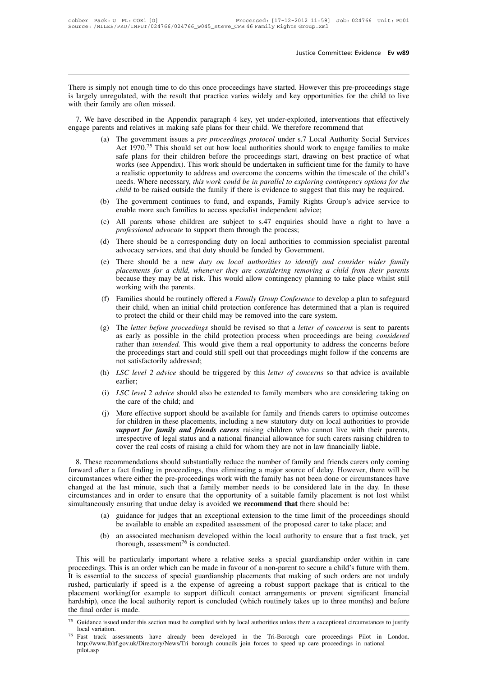Justice Committee: Evidence Ev w89<br>There is simply not enough time to do this once proceedings have started. However this pre-proceedings stage<br>is largely unregulated, with the result that practice varies widely and key op Intered is simply not enough time to do this once proceedings have started. However this pre-proceedings stage is largely unregulated, with the result that practice varies widely and key opportunities for the child to live There is simply not enough time to do the<br>is largely unregulated, with the result their<br>with their family are often missed.<br>7. We have described in the Appendi The approximation of the Appendix paragraph 4 key, yet under-exploited, interventions that effectively<br>T. We have described in the Appendix paragraph 4 key, yet under-exploited, interventions that effectively<br>gage parents There is simply not enough time to do this once proceedings have started. However this pre-proceedin<br>is largely unregulated, with the result that practice varies widely and key opportunities for the chil<br>with their family mply not enough time to do this once proceedings have started. However this pre-proceedings stage<br>unregulated, with the result that practice varies widely and key opportunities for the child to live<br>family are often missed

- gulated, with the result that practice varies widely and key opportunities for the child to live<br>y are often missed.<br>described in the Appendix paragraph 4 key, yet under-exploited, interventions that effectively<br>and relati y are often missed.<br>
described in the Appendix paragraph 4 key, yet under-exploited, interventions that effectively<br>
and relatives in making safe plans for their child. We therefore recommend that<br>
The government issues a described in the Appendix paragraph 4 key, yet under-exploited, interventions that effectively<br>and relatives in making safe plans for their child. We therefore recommend that<br>The government issues a *pre proceedings protoc* described in the Appendix paragraph 4 key, yet under-exploited, interventions that effectively<br>and relatives in making safe plans for their child. We therefore recommend that<br>The government issues a *pre proceedings protoc* and relatives in making safe plans for their child. We therefore recommend that<br>The government issues a *pre proceedings protocol* under s.7 Local Authority Social Services<br>Act 1970.<sup>75</sup> This should set out how local autho The government issues a *pre proceedings protocol* under s.7 Local Authority Social Services Act 1970.<sup>75</sup> This should set out how local authorities should work to engage families to make safe plans for their children befo Act 1970.<sup>75</sup> This should set out how local authorities should work to engage families to make<br>safe plans for their children before the proceedings start, drawing on best practice of what<br>works (see Appendix). This work s works (see Appendix). This work should be undertaken in sufficient time for the family to have<br>a realistic opportunity to address and overcome the concerns within the timescale of the child's<br>needs. Where necessary, *this* The about the children are subject to s.47 enquiries to commission specialist parental<br>(d) The government continues to fund, and expanded to exploring contingency options for the<br>child to be raised outside the family if th needs. Where necessary, *this work could be in parallel to exploring contingency options for the child* to be raised outside the family if there is evidence to suggest that this may be required.<br>The government continues
- 
- 
- child to be raised outside the family if there is evidence to suggest that this may be required.<br>
(b) The government continues to fund, and expands, Family Rights Group's advice service to enable more such families to acce (b) The government continues to fund, and expands, Family Rights Group's advice service to enable more such families to access specialist independent advice;<br>
(c) All parents whose children are subject to  $s.47$  enquiries
- enable more such families to access specialist independent advice;<br>(c) All parents whose children are subject to s.47 enquiries should have a right to have a<br>*professional advocate* to support them through the process;<br>(d) All parents whose children are subject to s.47 enquiries should have a right to have a *professional advocate* to support them through the process;<br>There should be a corresponding duty on local authorities to commission sp In particular and advocate to support them through the process;<br>There should be a corresponding duty on local authorities to commission specialist parental<br>advocacy services, and that duty should be funded by Government.<br>T (d) There should be a corresponding duty on local authorities to commission specialist parental<br>advocacy services, and that duty should be funded by Government.<br>(e) There should be a new *duty on local authorities to ident* (a) There should be a corresponding daty on local authorities to commission specialist parental<br>advocacy services, and that duty should be funded by Government.<br>(b) There should be a new *duty on local authorities to ident* there should be a new *duty on local authorities to identify and consider wider family placements for a child, whenever they are considering removing a child from their parents because they may be at risk. This would allow*
- because they may be at risk. This would allow contingency planning to take place whilst still<br>working with the parents.<br>(f) Families should be routinely offered a *Family Group Conference* to develop a plan to safeguard<br>th (g) The *letter before proceedings* should allow contingency planning to take place whilst still working with the parents.<br>
(f) Families should be routinely offered a *Family Group Conference* to develop a plan to safeguar
- working with the parents. This would allow contingency praining to take prace whilst sint<br>Families should be routinely offered a *Family Group Conference* to develop a plan to safeguard<br>their child, when an initial child p Families should be routinely offered a *Family Group Conference* to develop a plan to safeguard their child, when an initial child protection conference has determined that a plan is required to protect the child or their Families should be routinely offered a *Family Group Conference* to develop a plan to sateguard<br>their child, when an initial child protection conference has determined that a plan is required<br>to protect the child or their their child, when an initial child<br>to protect the child or their child i<br>The *letter before proceedings* sho<br>as early as possible in the child<br>rather than *intended*. This would<br>the proceedings start and could sti<br>not sati (g) The *letter before proceedings* should be revised so that a *letter of concerns* is sent to parents as early as possible in the child protection process when proceedings are being *considered* rather than *intended*. T (i) *LSC level 2 advice* should give the area of family to address the concerns before the proceedings start and could still spell out that proceedings might follow if the concerns are not satisfactorily addressed;<br>(h) *LS* The proceedings start and could still<br>the proceedings start and could still<br>not satisfactorily addressed;<br>*LSC level 2 advice* should be trigge<br>earlier;<br>*LSC level 2 advice* should also be e.<br>the care of the child; and<br>Mor
- earlier;
- 
- (i) *LSC level 2 advice* should be triggered by this *letter of concerns* so that advice is available earlier;<br>
(i) *LSC level 2 advice* should also be extended to family members who are considering taking on the care of t *LSC level 2 advice* should be triggered by this *letter of concerns* so that advice is available earlier;<br>*LSC level 2 advice* should also be extended to family members who are considering taking on the care of the child; *ESC level 2 davice should also be extended to family members who are considering taking on* the care of the child; and<br>*More effective support should be available for family and friends carers to optimise outcomes* for ch LSC level 2 advice should also be extended to family members who are considering taking on the care of the child; and<br>the care of the child; and<br>More effective support should be available for family and friends carers to o (i) *LSC level 2 advice* should also be extended to family members who are considering taking on the care of the child; and (j) More effective support should be available for family and friends carers to optimise outcomes (j) More effective support should be available for family and friends carers to optimise outcomes<br>for children in these placements, including a new statutory duty on local authorities to provide<br>*support for family and fri*

for children in these placements, including a new statutory duty on local authorities to provide<br>for children in these placements, including a new statutory duty on local authorities to provide<br>*support for family and frie* **Example 1 Constrained and Sciences with the pre-proceedings are a** state of legal status and a national financial allowance for such carers raising children to cover the real costs of raising a child for whom they are n Expective of legal status and a national financial allowance for such carers raising children to cover the real costs of raising a child for whom they are not in law financially liable.<br>
8. These recommendations should sub Extra the real costs of raising a child for whom they are not in law financially liable.<br>
8. These recommendations should substantially reduce the number of family and friends carers only coming<br>
forward after a fact findi circumstances where either the pre-proceedings work with the family has not been done or circumstances have changed at the last minute, such that a family member needs to be considered late in the day. In these circumstanc Exercion extends the should substantially reduce the number of family and friends carers only coming<br>ter a fact finding in proceedings, thus eliminating a major source of delay. However, there will be<br>ces where either the fact finding in proceedings, thus eliminating a major source of delay. However, there will be where either the pre-proceedings work with the family has not been done or circumstances have last minute, such that a family m The last minute, such that a family member needs to be considered late in the day. In these coes and in order to ensure that the opportunity of a suitable family placement is not lost whilst busly ensuring that undue dela

- 
- 

(b) an associated mechanism developed within the local authority to ensure that a fast track, yet thorough, assessment<sup>76</sup> is conducted.<br>This will be particularly important where a relative seeks a special guardianship or This will be particularly important where a relative seeks a special guardianship order are not under the succeedings should be available to enable an expedited assessment of the proposed carer to take place; and (b) an a (a) guidance for judges that an exceptional extension to the time limit of the proceedings should<br>be available to enable an expedited assessment of the proposed carer to take place; and<br>(b) an associated mechanism develop be available to enable an expedited assessment of the proposed carer to take place; and<br>
(b) an associated mechanism developed within the local authority to ensure that a fast track, yet<br>
thorough, assessment<sup>76</sup> is conduc (b) an associated mechanism developed within the local authority to ensure that a fast track, yet thorough, assessment<sup>76</sup> is conducted.<br>This will be particularly important where a relative seeks a special guardianship or First will be particularly important where a relative seeks a special guardianship order within in care<br>proceedings. This is an order which can be made in favour of a non-parent to secure a child's future with them.<br>It is This will be particularly important where a relative seeks a special guardianship order within in care<br>proceedings. This is an order which can be made in favour of a non-parent to secure a child's future with them.<br>It is e This will be particularly important where a relative seeks a special guardianship order within in care<br>proceedings. This is an order which can be made in favour of a non-parent to secure a child's future with them.<br>It is e rushed, particularly if speed is a the expense of agreeing a robust support package that is critical to the placement working(for example to support difficult contact arrangements or prevent significant financial hardship)

http://www.lbhf.gov.uk/Directory/News/Tri\_borough\_councils\_join\_forces\_to\_speed\_up\_care\_proceedings\_in\_national\_ pilot.asp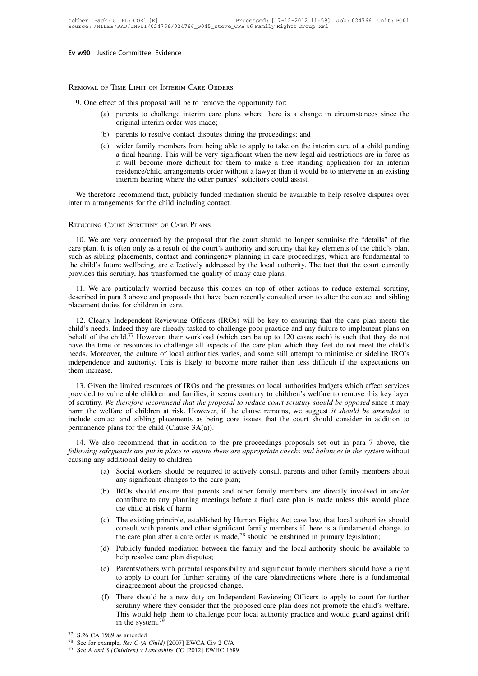Removal of Time Limit on Interim Care Orders:

- 9. Under the Committee: Evidence<br>
9. One effect of this proposal will be to remove the opportunity for:<br>
(a) parents to challenge interim care plans where there is a characterism order was made: (a) parents to challenge interim care plans where there is a change in circumstances since the original interim order was made;<br>(b) parents to challenge interim care plans where there is a change in circumstances since the IME LIMIT ON INTERIM CARE ORDERS:<br>of this proposal will be to remove the<br>parents to challenge interim care plan<br>original interim order was made;<br>parents to resolve contact disputes duri (a) parents to challenge interim care plans where there is a change in circ<br>
(a) parents to challenge interim care plans where there is a change in circ<br>
original interim order was made;<br>
(b) parents to resolve contact dis
	-
- effect of this proposal will be to remove the opportunity for:<br>
(a) parents to challenge interim care plans where there is a change in circumstances since the<br>
original interim order was made;<br>
(b) parents to resolve conta of this proposal will be to remove the opportunity for:<br>parents to challenge interim care plans where there is a change in circumstances since the<br>original interim order was made;<br>parents to resolve contact disputes during parents to challenge interim care plans where there is a change in circumstances since the original interim order was made;<br>parents to resolve contact disputes during the proceedings; and<br>wider family members from being ab parents to chancing methan care plans where there is a enally in encalisatives since the original interim order was made;<br>parents to resolve contact disputes during the proceedings; and<br>wider family members from being able original interim order was made;<br>
(b) parents to resolve contact disputes during the proceedings; and<br>
(c) wider family members from being able to apply to take on the interim care of a child pending<br>
a final hearing. This (c) wider family members from being able to apply to take on the interim care of a child pending a final hearing. This will be very significant when the new legal aid restrictions are in force as it will become more diffic interim arrangements from edificult for them to<br>a final hearing. This will be very significan<br>it will become more difficult for them to<br>residence/child arrangements order without<br>interim hearing where the other parties' so a final hearing. This will be very signific<br>it will become more difficult for them<br>residence/child arrangements order with<br>interim hearing where the other parties'<br>We therefore recommend that, publicly funded media<br>interim

We therefore recommend that, publicly funded mediation should be available to help resolve disputes over<br>
rerim arrangements for the child including contact.<br>
EDUCING COURT SCRUTINY OF CARE PLANS<br>
10. We are very concerned We therefore recommend that, publicly tunded mediation should be available to help resolve disputes over<br>interim arrangements for the child including contact.<br>REDUCING COURT SCRUTINY OF CARE PLANS<br>10. We are very concerned interim arrangements for the child including contact.<br>
REDUCING COURT SCRUTINY OF CARE PLANS<br>
10. We are very concerned by the proposal that the court should no longer scrutinise the "details" of the<br>
care plan. It is ofte REDUCING COURT SCRUTINY OF CARE PLANS<br>10. We are very concerned by the proposal that the court should no longer scrutinise the "details" of the<br>care plan. It is often only as a result of the court's authority and scrutiny REDUCING COURT SCRUTINY OF CARE PLANS<br>
10. We are very concerned by the proposal that the court should no longer scrutinise the "details" of the<br>
care plan. It is often only as a result of the court's authority and scrutin 10. We are very concerned by the proposal that the court should no longer scrutinise the "details" of the re plan. It is often only as a result of the court's authority and scrutiny that key elements of the child's plan, c From the child's often only as a result of the court's authority and scrutiny that key elements of the child's plan, such as sibling placements, contact and contingency planning in care proceedings, which are fundamental t eare plan. It is often only as a resain of the<br>such as sibling placements, contact and co<br>the child's future wellbeing, are effectively<br>provides this scrutiny, has transformed the<br>11. We are particularly worried becaus<br>des

12. Clearly Independent Reviewing Officers (IROs) will be key to ensuring that the court currently ovides this scrutiny, has transformed the quality of many care plans.<br>
11. We are particularly worried because this comes o

provides this scrutiny, has transformed the quanty of many care plans.<br>
11. We are particularly worried because this comes on top of other actions to reduce external scrutiny,<br>
described in para 3 above and proposals that 11. We are particularly worried because this comes on top of other actions to reduce external scrutiny, described in para 3 above and proposals that have been recently consulted upon to alter the contact and sibling placem described in para 3 above and proposals that have been recently consulted upon to alter the contact and sibling<br>placement duties for children in care.<br>12. Clearly Independent Reviewing Officers (IROs) will be key to ensuri needs. Moreover, the culture of local authorities varies, and some still attempt to minimise or sideline IRO's<br>independent Reviewing Officers (IROs) will be key to ensuring that the care plan meets the<br>child's needs. Indee placement dates for emhaten in eare.<br>
12. Clearly Independent Reviewing Officers (IROs) will be key to ensuring that the care plan meets the child's needs. Indeed they are already tasked to challenge poor practice and any 12. Clearly Independied's needs. Indee<br>behalf of the child.<sup>7</sup><br>have the time or re<br>needs. Moreover, the<br>independence and  $\epsilon$ <br>them increase.<br>13. Given the lim The limit of the child.<sup>77</sup> However, their workload (which can be up to 120 cases each) is such that they do not<br>we the time or resources to challenge all aspects of the care plan which they feel do not meet the child's<br>e because to children at misliman in the care plan which they feel do not meet the child's needs. Moreover, the culture of local authorities varies, and some still attempt to minimise or sideline IRO's independence and autho

Figure 1.13. Given the culture of local authorities varies, and some still attempt to minimise or sideline IRO's independence and authority. This is likely to become more rather than less difficult if the expectations on t harm the welfare of children at risk. However, if the clause remains, we suggest *it should be amended* to vulnerable children and families, it seems contrary to children's welfare to remove this key layer of scrutiny. We include contact and sibling placements as being the since it and the pressures on local authorities budgets which affect services provided to vulnerable children and families, it seems contrary to children's welfare to re 13. Given the limited resources of IROs and the p<br>provided to vulnerable children and families, it seem<br>of scrutiny. We therefore recommend that the proposo<br>harm the welfare of children at risk. However, if t<br>include cont 14. We also recommend that in addition to the pre-proceedings proposals when the expectation. We therefore recommend that the proposal to reduce court scrutiny should be opposed since it may rm the welfare of children at *following safeguards are put in place to ensure there are appropriate checks and balances in the system* of scrutiny. We therefore recommend that the proposal to reduce court scrutiny should be opposed since it may harm t For scruting. The *interface* containment than the pharm the welfare of children at risk. Howeve<br>include contact and sibling placements as be<br>permanence plans for the child (Clause 3A(a)).<br>14. We also recommend that in ad

mtact and sibling placements as being core issues that the court should consider in addition to<br>e plans for the child (Clause 3A(a)).<br>also recommend that in addition to the pre-proceedings proposals set out in para 7 abov any for the child (Clause 3A(a)).<br>
recommend that in addition to the pre-procential and the interval of the care approxitional delay to children:<br>
Social workers should be required to actively<br>
any significant changes to

- 
- (a) also recommend that in addition to the pre-proceedings proposals set out in para 7 above, the *safeguards are put in place to ensure there are appropriate checks and balances in the system* without by additional delay Exercise to any planning there are appropriate checks and balances in the system without<br>ditional delay to children:<br>Social workers should be required to actively consult parents and other family members about<br>any signific The consults are parameters and the children:<br>Social workers should be required to actionary significant changes to the care plan;<br>IROs should ensure that parents and oth<br>contribute to any planning meetings before the chil (a) Social workers should be required to actively consult parents and other family members about<br>any significant changes to the care plan;<br>(b) IROs should ensure that parents and other family members are directly involved IROs should ensure that parents and other family members are directly involved in and contribute to any planning meetings before a final care plan is made unless this would pl the child at risk of harm<br>The existing princi
- any significant changes to the care plan;<br>IROs should ensure that parents and other family members are directly involved in and/or<br>contribute to any planning meetings before a final care plan is made unless this would pla (d) Contribute to any planning meetings before a final care plan is made unless this would place<br>the child at risk of harm<br>(c) The existing principle, established by Human Rights Act case law, that local authorities shoul Framing incellige<br>the child at risk of harm<br>The existing principle, established by<br>consult with parents and other signific<br>the care plan after a care order is made<br>Publicly funded mediation between t<br>help resolve care plan
- 
- (c) The existing principle, established by Human Rights Act case law, that local authorities should consult with parents and other significant family members if there is a fundamental change to the care plan after a care There should be a new duty on Indenendent Peyieving Officers to apply to court for further<br>there should be a new duty on Independent family members if there is a fundamental change to<br>the care plan after a care order is m booker with parents and other significant raining<br>the care plan after a care order is made,<sup>78</sup> shou<br>Publicly funded mediation between the family<br>help resolve care plan disputes;<br>Parents/others with parental responsibility (d) Publicly funded mediation between the family and the local authority should be available to help resolve care plan disputes;<br>
(e) Parents/others with parental responsibility and significant family members should have a
- Functional means of the means of the means of the proposition of the presents/others with parental responsibility and significant family members should have a right to apply to court for further scrutiny of the care plan/ Parents/others with parental responsibility and significant family members should have a right<br>to apply to court for further scrutiny of the care plan/directions where there is a fundamental<br>disagreement about the propose The system.<sup>79</sup><br>S.26 CA 1989 as amended and set of the system of the care plan/directions where there is a fundamental disagreement about the proposed change.<br>(f) There should be a new duty on Independent Reviewing Office (f) There should be a<br>scrutiny where they<br>This would help the<br>in the system.<sup>79</sup><br> $\frac{77}{77}$  S.26 CA 1989 as amended<br> $\frac{78}{78}$  See for example, *Re*: *C* (*A Child*) [20<br> $\frac{79}{79}$  See *A and S (Children) v Lancashire* (f) There should be a new duty on Independent Revie<br>scrutiny where they consider that the proposed care<br>This would help them to challenge poor local author<br>in the system.<sup>79</sup><br> $\frac{77}{72}$  S.26 CA 1989 as amended<br> $\frac{78}{79}$ scrutiny where they consider that the pr<br>This would help them to challenge poor<br>in the system.<sup>79</sup><br><sup>79</sup> S.26 CA 1989 as amended<br><sup>78</sup> See for example, *Re:* C (*A Child)* [2007] EWCA Civ 2 C/A<br><sup>79</sup> See *A and S (Children)*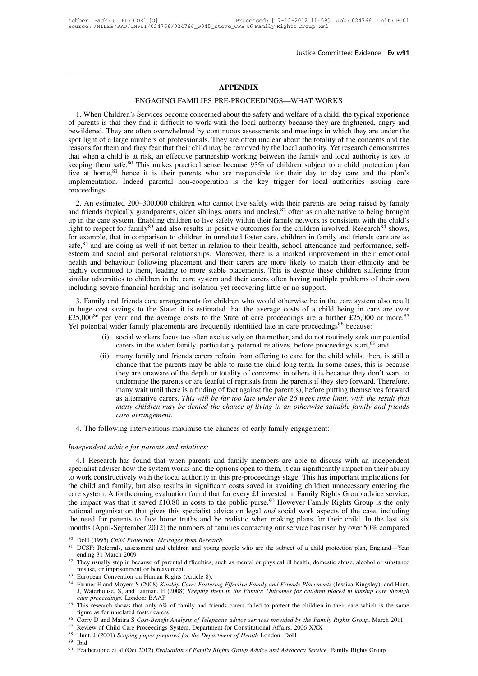# **APPENDIX**

Justice Committee: Evidence<br> **APPENDIX**<br>
ENGAGING FAMILIES PRE-PROCEEDINGS—WHAT WORKS<br>
Services become concerned about the safety and welfare of a child, the typical experience **1. When Children's Services become concerned about the safety and welfare of a child, the typical experience**<br>
1. When Children's Services become concerned about the safety and welfare of a child, the typical experience<br> ENGAGING FAMILIES PRE-PROCEEDINGS—WHAT WORKS<br>1. When Children's Services become concerned about the safety and welfare of a child, the typical experience<br>of parents is that they find it difficult to work with the local aut **betwirdered.** They are often overwhelmed by continuous assessments and welfare of a child, the typical experience of parents is that they find it difficult to work with the local authority because they are frightened, ang **Spot light of a large numbers of professionals.** They are often a child, the typical experience of parents is that they find it difficult to work with the local authority because they are frightened, angry and bewildered. ENGAGING FAMILIES PRE-PROCEEDINGS—WHAT WORKS<br>1. When Children's Services become concerned about the safety and welfare of a child, the typical experience<br>of parents is that they find it difficult to work with the local aut ENGAGING FAMILIES FRE-FROCEEDINGS—WHAT WORKS<br>1. When Children's Services become concerned about the safety and welfare of a child, the typical experience<br>of parents is that they find it difficult to work with the local au 1. When Children's Services become concerned about the safety and welfare of a child, the typical experience of parents is that they find it difficult to work with the local authority because they are frightened, angry an of parents is that they find it difficult to work with the local authority because they are frightened, angry and bewildered. They are often overwhelmed by continuous assessments and meetings in which they are under the sp bewildered. They are often overwhelmed by continuous assessments and meetings in which they are under the spot light of a large numbers of professionals. They are often unclear about the totality of the concerns and the re proceedings. 2. An estimated 200–300,000 children who cannot live safely with their family network is consistent when a child is at risk, an effective partnership working between the family and local authority is key to eping them safe and when a child is at fisk, an effective partiels inp working between the rainity and local authority is key to<br>keeping them safe.<sup>80</sup> This makes practical sense because 93% of children subject to a child protection plan

Example 11 Safe.<sup>54</sup> Instructs practical sense because 95% of children subject to a child protection plant live at home,<sup>81</sup> hence it is their parents who are responsible for their day to day care and the plan's implement right to respect for family83 and also results in positive outcomes for the children in day to day care and the pairs<br>approceedings.<br>2. An estimated 200–300,000 children who cannot live safely with their parents are being Example, that in comparison to children in unrelated foster care, children in taniformize and performance in the care system. Enabling children to live safely with their parents are being raised by family and friends (typ 2. An estimated 200–300,000 children who cannot live safely with their parents are being raised by family and friends (typically grandparents, older siblings, aunts and uncles),<sup>82</sup> often as an alternative to being brought 2. An estimated 200–300,000 children who cannot live safely with their parents are being raised by family and friends (typically grandparents, older siblings, aunts and uncles),<sup>82</sup> often as an alternative to being brough and friends (typically grandparents, older siblings, aunts and uncles),<sup>82</sup> often as an alternative to being brought<br>up in the care system. Enabling children to live safely within their family network is consistent with th up in the care system. Enabling children to live safely within their family network is consistent with the child's<br>right to respect for family<sup>83</sup> and also results in positive outcomes for the children involved. Research<sup>8</sup> ight to respect for family<sup>83</sup> and also results in positive outcomes for the children involved. Research<sup>84</sup> shows, for example, that in comparison to children in unrelated foster care, children in family and friends care safe,<sup>85</sup> and are doing as well if not better in relation to their health, school attendance and performance, self-<br>esteem and social and personal relationships. Moreover, there is a marked improvement in their emotional<br>h 3. Family and friends care arrangements for children who would otherwise be in their entired improvement in their enotional alth and behaviour following placement and their carers are more likely to match their ethnicity in and social and personal relationships. Moreover, there is a marked improvement in their emotional<br>health and behaviour following placement and their carers are more likely to match their ethnicity and be<br>highly committe

Example and denote them, leading to more stable placements. This is despite these children suffering from similar adversities to children in the care system and their carers often having multiple problems of their own inc evere financial hardship and isolation yet recovering little or no support.<br>
y and friends care arrangements for children who would otherwise be in the care system also result<br>
st savings to the State: it is estimated that d friends care arrangements for children who would otherwise be in the care system also result<br>avings to the State: it is estimated that the average costs of a child being in care are over<br>year and the average costs to th (ii) social workers focus too often exclusively on the mother and the care system also result obst savings to the State: it is estimated that the average costs of a child being in care are over per year and the average cos

- 
- Extreme that the parents of the depth or totality of concerns; in others it they step forward. Therefore, we<br>are an other family placements are frequently identified late in care proceedings<sup>88</sup> because:<br>social workers fo bear and the average costs to the state of cate proceedings are a futuler  $\tau$ 25,000 or more.<br>
ider family placements are frequently identified late in care proceedings<sup>88</sup> because:<br>
social workers focus too often exclusiv used and a workers focus too often exclusively on the mother, and do not routinely seek our potential carers in the wider family, particularly paternal relatives, before proceedings start,<sup>89</sup> and many family and friends social workers focus too often exclusively on the mother, and do not routinely seek our potential carers in the wider family, particularly paternal relatives, before proceedings start,<sup>89</sup> and many family and friends care carers in the wider family, particularly paternal relatives, before proceedings start,<sup>89</sup> and<br>many family and friends carers refrain from offering to care for the child whilst there is still a<br>chance that the parents may many family and friends carers refrain from offering to care for the child whilst there is still a chance that the parents may be able to raise the child long term. In some cases, this is because they are unaware of the de chance that the parents may be able to raise the child long term. In some care they are unaware of the depth or totality of concerns; in others it is because undermine the parents or are fearful of reprisals from the paren *Independent advice for parents and relatives:*<br> **I** A. The following interventions maximise the changement.<br> **A.** The following interventions maximise the changement advice for parents and relatives:<br> **A.1** Research has f
	-

many children may be denied the chance of living in an otherwise suitable family and friends<br>care arrangement.<br>4. The following interventions maximise the chances of early family engagement:<br>4.1 Research has found that whe specialist advice for parents and relatives:<br>
A. The following interventions maximise the chances of early family engagement:<br>
A. I Research has found that when parents and family members are able to discuss with an indepe 4. The following interventions maximise the chances of early family engagement:<br> *Independent advice for parents and relatives:*<br>
4.1 Research has found that when parents and family members are able to discuss with an ind *Independent advice for parents and relatives:*<br>
4.1 Research has found that when parents and family members are able to discuss with an independent<br>
specialist adviser how the system works and the options open to them, i *Independent advice for parents and relatives:*<br>4.1 Research has found that when parents and family members are able to discuss with an independent<br>specialist adviser how the system works and the options open to them, it c The impact was that it saved  $\epsilon$  for parents and reality.<br>
4.1 Research has found that when parents and family members are able to discuss with an independent<br>
specialist adviser how the system works and the options open 4.1 Research has found that when parents and family members are able to discuss with an independent specialist adviser how the system works and the options open to them, it can significantly impact on their ability to wor specialist adviser how the system works and the options open to them, it can significantly impact on their ability<br>to work constructively with the local authority in this pre-proceedings stage. This has important implicati to work constructively with the local authority in this pre-proceedings stage. This has important implications for<br>the child and family, but also results in significant costs saved in avoiding children unnecessary enterin care system. A forthcoming evaluation found that for every<br>the impact was that it saved £10.80 in costs to the public<br>national organisation that gives this specialist advice on le<br>the need for parents to face home truths a the impact was that it saved £10.80 in costs to the public purse.<sup>20</sup> However Family Rights Group is the only national organisation that gives this specialist advice on legal *and* social work aspects of the case, includi ional organisation that gives<br>
i need for parents to face ho<br>
nnths (April-September 2012)<br>
DoH (1995) Child Protection: Me<br>
DCSF: Referrals, assessment and<br>
ending 31 March 2009<br>
They usually step in because of p<br>
misuse, the need for parents to face home truths and be realistic when making plans for their child. In the last six<br>months (April-September 2012) the numbers of families contacting our service has risen by over 50% compared<br><sup>80</sup>

months (April-September 2012) the numbers of families contacting our service has risen by over 50% compared<br><sup>80</sup> DoH (1995) *Child Protection: Messages from Research*<br><sup>81</sup> DCSF: Referrals, assessment and children and young DCSF: Referrals, assessment and children and young people who are the subject of a child protection plan, England—Year ending 31 March 2009<br>They usually step in because of parental difficulties, such as mental or physical ending 31 March 2009<br>They usually step in because of parental diffic<br>misuse, or imprisonment or bereavement.<br>European Convention on Human Rights (Artic<br>Farmer E and Moyers S (2008) *Kinship Care:*<br>J, Waterhouse, S, and Lut <sup>82</sup> They usually step in because of parental difficulties, such as mental or physical ill health, domestic abuse, alcohol or substance misuse, or imprisonment or bereavement.<br><sup>83</sup> European Convention on Human Rights (Art misuse, or imprisonment or bereavement.<br>European Convention on Human Rights (Ai<br>Farmer E and Moyers S (2008) Kinship Car<br>J, Waterhouse, S, and Lutman, E (2008) K<br>care proceedings. London: BAAF<br>This research shows that only 83 European Convention on Human Rights (Article 8).<br>
84 Farmer E and Moyers S (2008) *Kinship Care: Fostering Effective Family and Friends Placements* (Jessica Kingsley); and Hunt,<br>
1, Waterhouse, S, and Lutman, E (2008) <sup>84</sup> Farmer E and Moyers S (2008) *Kinship Care: Fostering Effective Family and Friends Placements* (Jessica Kin J, Waterhouse, S, and Lutman, E (2008) *Keeping them in the Family: Outcomes for children placed in kins c* 1. Waterhouse, S, and Lutman, E (2008) *Keeping them in the Family: Outcomes for children placeare proceedings*. London: BAAF<br><sup>85</sup> This research shows that only 6% of family and friends carers failed to protect the childre

figure as for unrelated foster carers<br><sup>86</sup> Corry D and Maitra S *Cost-Benefit Analysis of Telephone advice services provided by the Family Rights Group*, March 2011<br><sup>87</sup> Review of Child Care Proceedings System, Department

<sup>&</sup>lt;sup>88</sup> Hunt, J (2001) *Scoping paper prepared for the Department of Health* London: DoH<br><sup>89</sup> Ibid<br><sup>90</sup> Featherstone et al (Oct 2012) *Evaluation of Family Rights Group Advice and Advocacy Service*, Family Rights Group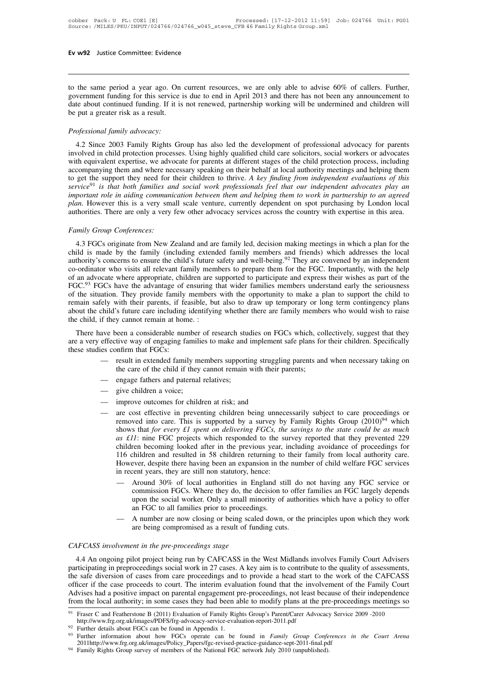**Ev w92** Justice Committee: Evidence<br>
to the same period a year ago. On current resources, we are only able to advise 60% of callers. Further,<br>
government funding for this service is due to end in April 2013 and there has Ev w92 Justice Committee: Evidence<br>to the same period a year ago. On current resources, we are only able to advise 60% of callers. Further,<br>government funding for this service is due to end in April 2013 and there has not Ev w92 Justice Committee: Evidence<br>
do the same period a year ago. On current resources, we are only able to advise 60% of callers. Further,<br>
government funding for this service is due to end in April 2013 and there has no to the same period a year ago. On<br>government funding for this service is<br>date about continued funding. If it is<br>be put a greater risk as a result.<br>Professional family advocacy: *Professional family advocacy:*<br> *Professional family advocacy:*<br> *Professional family advocacy:*<br> *Professional family advocacy:*<br>
4.2 Since 2003 Family Rights Granger wernment funding for this service is due to end in April 2013 and there has not been any announcement to<br>te about continued funding. If it is not renewed, partnership working will be undermined and children will<br>put a grea

involved in child protection processes. Using highly qualified child care solid and children will be put a greater risk as a result.<br> *Professional family advocacy*:<br>
4.2 Since 2003 Family Rights Group has also led the dev *Professional family advocacy:*<br> *Professional family advocacy:*<br>
4.2 Since 2003 Family Rights Group has also led the development of professional advocacy for parents<br>
involved in child protection processes. Using highly q *Professional family advocacy:*<br>
4.2 Since 2003 Family Rights Group has also led the development of professional advocacy for parents<br>
involved in child protection processes. Using highly qualified child care solicitors, s Professional family advocacy:<br>4.2 Since 2003 Family Rights Group has also led the development of professional advocacy for parents<br>involved in child protection processes. Using highly qualified child care solicitors, socia *Projessional jamity aavocacy:*<br>
4.2 Since 2003 Family Rights Group has also led the development of professional advocacy for parents<br>
involved in child protection processes. Using highly qualified child care solicitors, s 4.2 Since 2003 Family Rights Group has also led the development of professional advocacy for parents<br>involved in child protection processes. Using highly qualified child care solicitors, social workers or advocates<br>with eq involved in child protection processes. Using highly qualified child care solicitors, social workers or advocates<br>with equivalent expertise, we advocate for parents at different stages of the child protection process, incl with equivalent expertise, we advocate for parents at different stages of the child protection process, including<br>accompanying them and where necessary speaking on their behalf at local authority meetings and helping them<br> to get the support they need for the *service*<sup>91</sup> is that both families and important role in aiding communic plan. However this is a very smal authorities. There are only a very for *Family Group Conferences*: 4.3 FGCs o service<sup>91</sup> is that both families and social work professionals feel that our independent advocates play an important role in aiding communication between them and helping them to work in partnership to an agreed plan. Ho

*child is made by the family dependent of the family dependent on spot purchasing by London local authorities. There are only a very few other advocacy services across the country with expertise in this area.<br>Family Group* authorities. There are only a very few other advocacy services across the country with expertise in this area.<br> *Family Group Conferences:*<br>
4.3 FGCs originate from New Zealand and are family led, decision making meetings Family Group Conferences:<br>4.3 FGCs originate from New Zealand and are family led, decision making meetings in which a plan for the<br>child is made by the family (including extended family members and friends) which addresses Family Group Conferences:<br>4.3 FGCs originate from New Zealand and are family led, decision making meetings in which a plan for the<br>child is made by the family (including extended family members and friends) which addresses Family Group Conjerences:<br>4.3 FGCs originate from New Zealand and are family led, decision making meetings in which a plan for the<br>child is made by the family (including extended family members and friends) which addresses 4.3 FGCs originate from New Zealand and are family led, decision making meetings in which a plan for the child is made by the family (including extended family members and friends) which addresses the local authority's co child is made by the family (including extended family members and friends) which addresses the local authority's concerns to ensure the child's future safety and well-being.<sup>92</sup> They are convened by an independent co-ordi authority's concerns to ensure the child's future safety and well-being.<sup>92</sup> They are convened by an independent<br>co-ordinator who visits all relevant family members to prepare them for the FGC. Importantly, with the help<br>o co-ordinator who visits all relevant family mem<br>of an advocate where appropriate, children are s<br>FGC.<sup>93</sup> FGCs have the advantage of ensuring t<br>of the situation. They provide family members<br>remain safely with their parents an avocate where appropriate, cinitien are supported to participate and express their wishes as part of the SC.<sup>93</sup> FGCs have the advantage of ensuring that wider families members understand early the seriousness the situa FOC. TOCS have the advantage of ensuring that where families infinites understand early the seriousness<br>of the situation. They provide family members with the opportunity to make a plan to support the child to<br>remain safel of the studient. They provide raimly members with the opportunity to make a plan to support the child to draw<br>about the child's future parents, if easible, but also to draw up temporary or long term contingency plans<br>about

- 
- 
- 
- 
- The state of the state of the state of the state of the state of the state of the state of the state of the state of the state of the state of the state of the state of the state of the state of the state of the state of the care of the child if they cannot remain with their parents;<br>engage fathers and paternal relatives;<br>give children a voice;<br>improve outcomes for children at risk; and<br>are cost effective in preventing children being unnec engage fathers and paternal relatives;<br>give children a voice;<br>improve outcomes for children at risk; and<br>are cost effective in preventing children being unnecessarily subject to care proceedings or<br>removed into care. This *as £11*: nine Face provided at the survey in providing to the survey by Family subject to care proceedings or removed into care. This is supported by a survey by Family Rights Group (2010)<sup>94</sup> which shows that *for every* improve outcomes for children at risk; and<br>are cost effective in preventing children being unnecessarily subject to care proceedings or<br>removed into care. This is supported by a survey by Family Rights Group (2010)<sup>94</sup> wh improve outcomes for children at risk; and<br>are cost effective in preventing children being unnecessarily subject to care proceedings or<br>removed into care. This is supported by a survey by Family Rights Group  $(2010)^{94}$  are cost effective in preventing children being unnecessarily subject to care proceedings or<br>removed into care. This is supported by a survey by Family Rights Group  $(2010)^{94}$  which<br>shows that *for every £1 spent on del* removed into care. This is supported by a survey by Family Rights Group  $(2010)^{94}$  which<br>shows that *for every £1 spent on delivering FGCs*, *the savings to the state could be as much*<br>as *£11*: nine FGC projects which 11: nine FGC projects which responded to the survey reported that they prevented 229 ren becoming looked after in the previous year, including avoidance of proceedings for children and resulted in 58 children returning to
- ren becoming looked after in the previous year, including avoidance of proceedings for children and resulted in 58 children returning to their family from local authority care.<br>
ever, despite there having been an expansion 116 children and resulted in 58 children returning to their family from local authority care.<br>However, despite there having been an expansion in the number of child welfare FGC services<br>in recent years, they are still non in recent years, they are still non statutory, hence:<br>
— Around 30% of local authorities in England still do not having any FGC service or<br>
commission FGCs. Where they do, the decision to offer families an FGC largely depe commission FGCs. Where they do, the dupon the social worker. Only a small mir<br>an FGC to all families prior to proceedin<br>— A number are now closing or being scale<br>are being compromised as a result of fun<br>CAFCASS involvement
	-

4.4 An ongoing pilot project being stage<br>
4.4 An ongoing pilot project being run by CAFCASS in the West Midlands involves Family Court Advisers<br>
4.4 An ongoing pilot project being run by CAFCASS in the West Midlands involv participating in preproceedings social work in 27 cases. A key aim is to contribute to the quality of assessments, The safe diversion of cases from care proceedings and to funding cuts.<br>CAFCASS involvement in the pre-proceedings stage<br>4.4 An ongoing pilot project being run by CAFCASS in the West Midlands involves Family Court Advisers<br> CAFCASS involvement in the pre-proceedings stage<br>4.4 An ongoing pilot project being run by CAFCASS in the West Midlands involves Family Court Advisers<br>participating in preproceedings social work in 27 cases. A key aim is t CAFCASS involvement in the pre-proceedings stage<br>4.4 An ongoing pilot project being run by CAFCASS in the West Midlands involves Family Court Advisers<br>participating in preproceedings social work in 27 cases. A key aim is t CAP CASS *involvement in the pre-proceedings stage*<br>4.4 An ongoing pilot project being run by CAFCASS in the West Midlands involves Family Court Advisers<br>participating in preproceedings social work in 27 cases. A key aim participating in preproceedings social work in 27 cases. A key aim is to contribute to the quality of assessments, the safe diversion of cases from care proceedings and to provide a head start to the work of the CAFCASS o from the local authority; in some cases they had been able to modify plans at the pre-proceedings meetings so

http://www.frg.org.uk/images/PDFS/frg-advocacy-service-evaluation-report-2011.pdf

<sup>2011</sup>http://www.frg.org.uk/images/Policy\_Papers/fgc-revised-practice-guidance-sept-2011-final.pdf

<sup>&</sup>lt;sup>94</sup> Family Rights Group survey of members of the National FGC network July 2010 (unpublished).